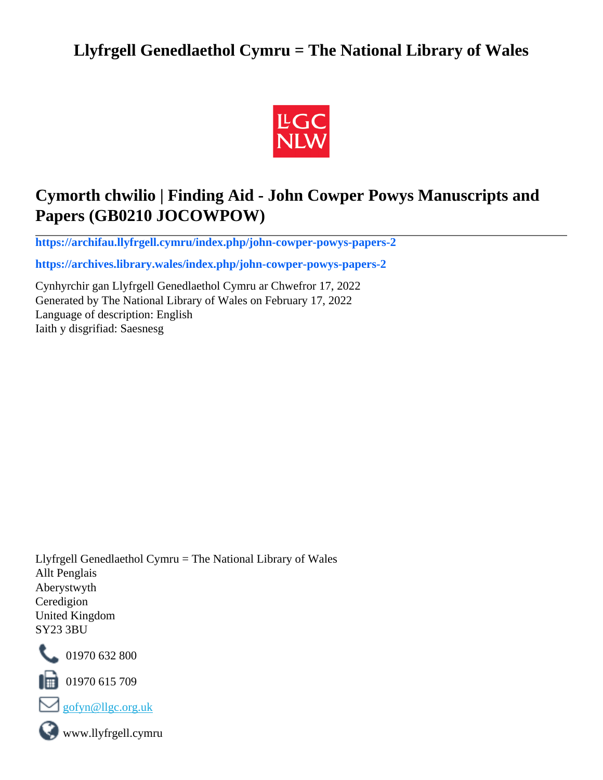# **Llyfrgell Genedlaethol Cymru = The National Library of Wales**



# **Cymorth chwilio | Finding Aid - John Cowper Powys Manuscripts and Papers (GB0210 JOCOWPOW)**

**[https://archifau.llyfrgell.cymru/index.php/john-cowper-powys-papers-2](https://archifau.llyfrgell.cymru/index.php/john-cowper-powys-papers-2;isad?sf_culture=cy)**

**[https://archives.library.wales/index.php/john-cowper-powys-papers-2](https://archives.library.wales/index.php/john-cowper-powys-papers-2;isad?sf_culture=en)**

Cynhyrchir gan Llyfrgell Genedlaethol Cymru ar Chwefror 17, 2022 Generated by The National Library of Wales on February 17, 2022 Language of description: English Iaith y disgrifiad: Saesnesg

Llyfrgell Genedlaethol Cymru = The National Library of Wales Allt Penglais Aberystwyth Ceredigion United Kingdom SY23 3BU



101970 632 800

 $\blacksquare$  01970 615 709



www.llyfrgell.cymru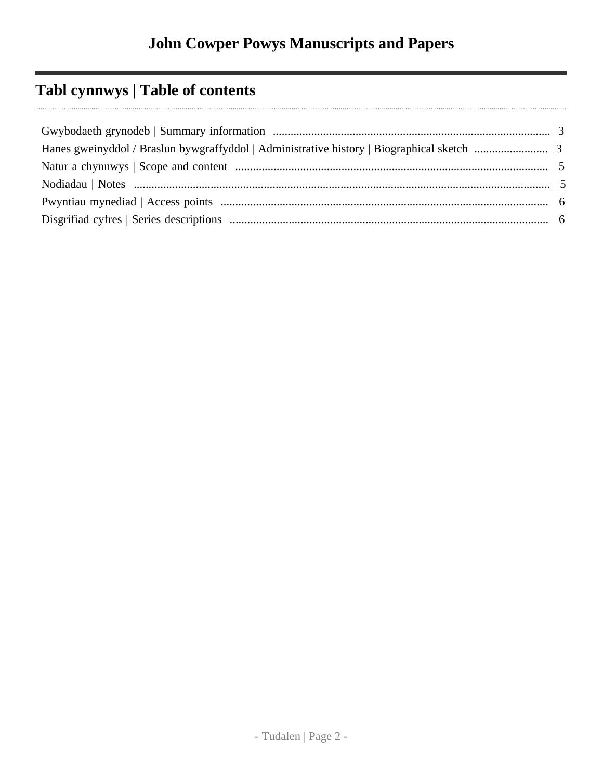# **Tabl cynnwys | Table of contents**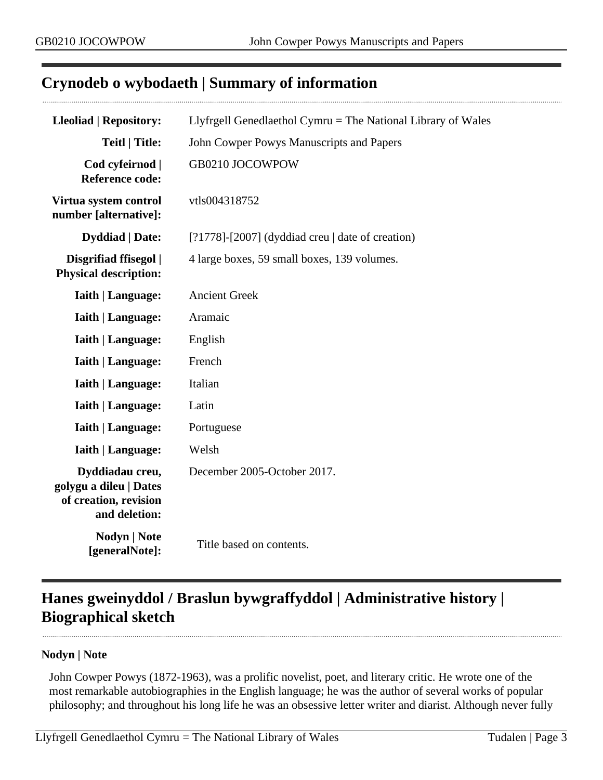## <span id="page-2-0"></span>**Crynodeb o wybodaeth | Summary of information**

| <b>Lleoliad   Repository:</b>                                                       | Llyfrgell Genedlaethol Cymru = The National Library of Wales |  |  |
|-------------------------------------------------------------------------------------|--------------------------------------------------------------|--|--|
| <b>Teitl   Title:</b>                                                               | John Cowper Powys Manuscripts and Papers                     |  |  |
| Cod cyfeirnod  <br><b>Reference code:</b>                                           | GB0210 JOCOWPOW                                              |  |  |
| Virtua system control<br>number [alternative]:                                      | vtls004318752                                                |  |  |
| <b>Dyddiad</b>   Date:                                                              | $[?1778]$ - $[2007]$ (dyddiad creu   date of creation)       |  |  |
| Disgrifiad ffisegol  <br><b>Physical description:</b>                               | 4 large boxes, 59 small boxes, 139 volumes.                  |  |  |
| <b>Iaith   Language:</b>                                                            | <b>Ancient Greek</b>                                         |  |  |
| <b>Iaith   Language:</b>                                                            | Aramaic                                                      |  |  |
| <b>Iaith   Language:</b>                                                            | English                                                      |  |  |
| <b>Iaith   Language:</b>                                                            | French                                                       |  |  |
| <b>Iaith   Language:</b>                                                            | Italian                                                      |  |  |
| <b>Iaith   Language:</b>                                                            | Latin                                                        |  |  |
| <b>Iaith   Language:</b>                                                            | Portuguese                                                   |  |  |
| <b>Iaith   Language:</b>                                                            | Welsh                                                        |  |  |
| Dyddiadau creu,<br>golygu a dileu   Dates<br>of creation, revision<br>and deletion: | December 2005-October 2017.                                  |  |  |
| <b>Nodyn</b>   <b>Note</b><br>[generalNote]:                                        | Title based on contents.                                     |  |  |

# <span id="page-2-1"></span>**Hanes gweinyddol / Braslun bywgraffyddol | Administrative history | Biographical sketch**

#### **Nodyn | Note**

John Cowper Powys (1872-1963), was a prolific novelist, poet, and literary critic. He wrote one of the most remarkable autobiographies in the English language; he was the author of several works of popular philosophy; and throughout his long life he was an obsessive letter writer and diarist. Although never fully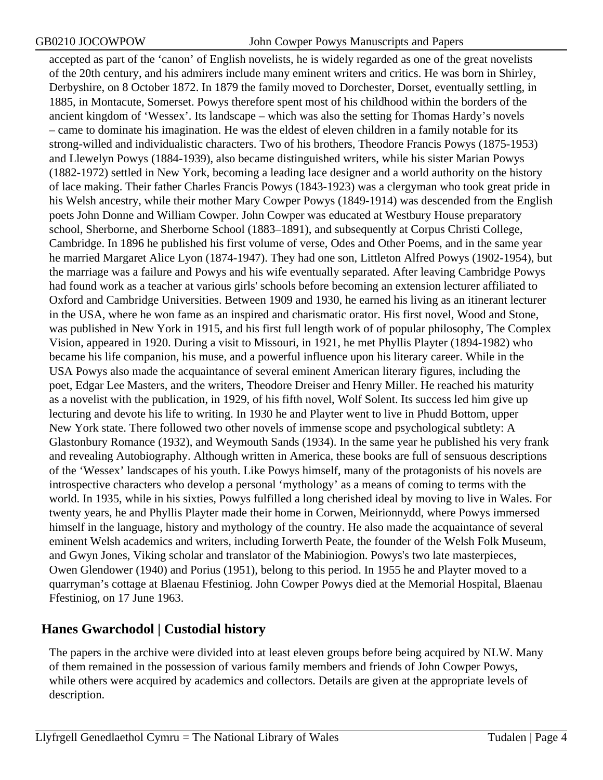accepted as part of the 'canon' of English novelists, he is widely regarded as one of the great novelists of the 20th century, and his admirers include many eminent writers and critics. He was born in Shirley, Derbyshire, on 8 October 1872. In 1879 the family moved to Dorchester, Dorset, eventually settling, in 1885, in Montacute, Somerset. Powys therefore spent most of his childhood within the borders of the ancient kingdom of 'Wessex'. Its landscape – which was also the setting for Thomas Hardy's novels – came to dominate his imagination. He was the eldest of eleven children in a family notable for its strong-willed and individualistic characters. Two of his brothers, Theodore Francis Powys (1875-1953) and Llewelyn Powys (1884-1939), also became distinguished writers, while his sister Marian Powys (1882-1972) settled in New York, becoming a leading lace designer and a world authority on the history of lace making. Their father Charles Francis Powys (1843-1923) was a clergyman who took great pride in his Welsh ancestry, while their mother Mary Cowper Powys (1849-1914) was descended from the English poets John Donne and William Cowper. John Cowper was educated at Westbury House preparatory school, Sherborne, and Sherborne School (1883–1891), and subsequently at Corpus Christi College, Cambridge. In 1896 he published his first volume of verse, Odes and Other Poems, and in the same year he married Margaret Alice Lyon (1874-1947). They had one son, Littleton Alfred Powys (1902-1954), but the marriage was a failure and Powys and his wife eventually separated. After leaving Cambridge Powys had found work as a teacher at various girls' schools before becoming an extension lecturer affiliated to Oxford and Cambridge Universities. Between 1909 and 1930, he earned his living as an itinerant lecturer in the USA, where he won fame as an inspired and charismatic orator. His first novel, Wood and Stone, was published in New York in 1915, and his first full length work of of popular philosophy, The Complex Vision, appeared in 1920. During a visit to Missouri, in 1921, he met Phyllis Playter (1894-1982) who became his life companion, his muse, and a powerful influence upon his literary career. While in the USA Powys also made the acquaintance of several eminent American literary figures, including the poet, Edgar Lee Masters, and the writers, Theodore Dreiser and Henry Miller. He reached his maturity as a novelist with the publication, in 1929, of his fifth novel, Wolf Solent. Its success led him give up lecturing and devote his life to writing. In 1930 he and Playter went to live in Phudd Bottom, upper New York state. There followed two other novels of immense scope and psychological subtlety: A Glastonbury Romance (1932), and Weymouth Sands (1934). In the same year he published his very frank and revealing Autobiography. Although written in America, these books are full of sensuous descriptions of the 'Wessex' landscapes of his youth. Like Powys himself, many of the protagonists of his novels are introspective characters who develop a personal 'mythology' as a means of coming to terms with the world. In 1935, while in his sixties, Powys fulfilled a long cherished ideal by moving to live in Wales. For twenty years, he and Phyllis Playter made their home in Corwen, Meirionnydd, where Powys immersed himself in the language, history and mythology of the country. He also made the acquaintance of several eminent Welsh academics and writers, including Iorwerth Peate, the founder of the Welsh Folk Museum, and Gwyn Jones, Viking scholar and translator of the Mabiniogion. Powys's two late masterpieces, Owen Glendower (1940) and Porius (1951), belong to this period. In 1955 he and Playter moved to a quarryman's cottage at Blaenau Ffestiniog. John Cowper Powys died at the Memorial Hospital, Blaenau Ffestiniog, on 17 June 1963.

## **Hanes Gwarchodol | Custodial history**

The papers in the archive were divided into at least eleven groups before being acquired by NLW. Many of them remained in the possession of various family members and friends of John Cowper Powys, while others were acquired by academics and collectors. Details are given at the appropriate levels of description.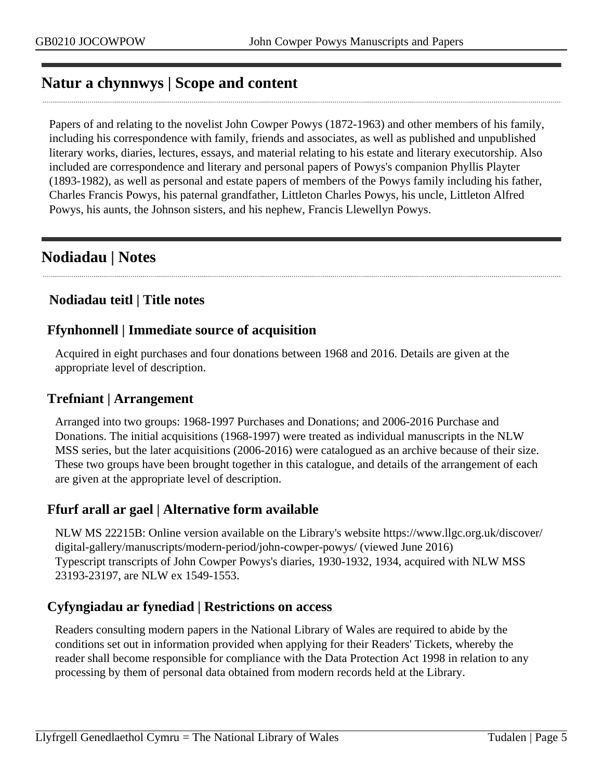## <span id="page-4-0"></span>**Natur a chynnwys | Scope and content**

Papers of and relating to the novelist John Cowper Powys (1872-1963) and other members of his family, including his correspondence with family, friends and associates, as well as published and unpublished literary works, diaries, lectures, essays, and material relating to his estate and literary executorship. Also included are correspondence and literary and personal papers of Powys's companion Phyllis Playter (1893-1982), as well as personal and estate papers of members of the Powys family including his father, Charles Francis Powys, his paternal grandfather, Littleton Charles Powys, his uncle, Littleton Alfred Powys, his aunts, the Johnson sisters, and his nephew, Francis Llewellyn Powys.

# <span id="page-4-1"></span>**Nodiadau | Notes**

## **Nodiadau teitl | Title notes**

### **Ffynhonnell | Immediate source of acquisition**

Acquired in eight purchases and four donations between 1968 and 2016. Details are given at the appropriate level of description.

#### **Trefniant | Arrangement**

Arranged into two groups: 1968-1997 Purchases and Donations; and 2006-2016 Purchase and Donations. The initial acquisitions (1968-1997) were treated as individual manuscripts in the NLW MSS series, but the later acquisitions (2006-2016) were catalogued as an archive because of their size. These two groups have been brought together in this catalogue, and details of the arrangement of each are given at the appropriate level of description.

#### **Ffurf arall ar gael | Alternative form available**

NLW MS 22215B: Online version available on the Library's website https://www.llgc.org.uk/discover/ digital-gallery/manuscripts/modern-period/john-cowper-powys/ (viewed June 2016) Typescript transcripts of John Cowper Powys's diaries, 1930-1932, 1934, acquired with NLW MSS 23193-23197, are NLW ex 1549-1553.

## **Cyfyngiadau ar fynediad | Restrictions on access**

Readers consulting modern papers in the National Library of Wales are required to abide by the conditions set out in information provided when applying for their Readers' Tickets, whereby the reader shall become responsible for compliance with the Data Protection Act 1998 in relation to any processing by them of personal data obtained from modern records held at the Library.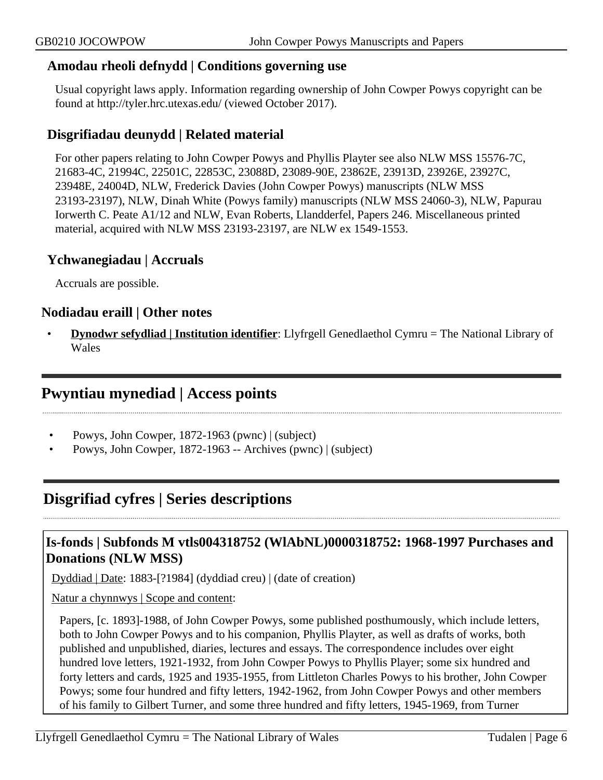#### **Amodau rheoli defnydd | Conditions governing use**

Usual copyright laws apply. Information regarding ownership of John Cowper Powys copyright can be found at http://tyler.hrc.utexas.edu/ (viewed October 2017).

## **Disgrifiadau deunydd | Related material**

For other papers relating to John Cowper Powys and Phyllis Playter see also NLW MSS 15576-7C, 21683-4C, 21994C, 22501C, 22853C, 23088D, 23089-90E, 23862E, 23913D, 23926E, 23927C, 23948E, 24004D, NLW, Frederick Davies (John Cowper Powys) manuscripts (NLW MSS 23193-23197), NLW, Dinah White (Powys family) manuscripts (NLW MSS 24060-3), NLW, Papurau Iorwerth C. Peate A1/12 and NLW, Evan Roberts, Llandderfel, Papers 246. Miscellaneous printed material, acquired with NLW MSS 23193-23197, are NLW ex 1549-1553.

#### **Ychwanegiadau | Accruals**

Accruals are possible.

#### **Nodiadau eraill | Other notes**

• **Dynodwr sefydliad | Institution identifier**: Llyfrgell Genedlaethol Cymru = The National Library of Wales

## <span id="page-5-0"></span>**Pwyntiau mynediad | Access points**

- Powys, John Cowper, 1872-1963 (pwnc) | (subject)
- Powys, John Cowper, 1872-1963 -- Archives (pwnc) | (subject)

## <span id="page-5-1"></span>**Disgrifiad cyfres | Series descriptions**

### **Is-fonds | Subfonds M vtls004318752 (WlAbNL)0000318752: 1968-1997 Purchases and Donations (NLW MSS)**

Dyddiad | Date: 1883-[?1984] (dyddiad creu) | (date of creation)

Natur a chynnwys | Scope and content:

Papers, [c. 1893]-1988, of John Cowper Powys, some published posthumously, which include letters, both to John Cowper Powys and to his companion, Phyllis Playter, as well as drafts of works, both published and unpublished, diaries, lectures and essays. The correspondence includes over eight hundred love letters, 1921-1932, from John Cowper Powys to Phyllis Player; some six hundred and forty letters and cards, 1925 and 1935-1955, from Littleton Charles Powys to his brother, John Cowper Powys; some four hundred and fifty letters, 1942-1962, from John Cowper Powys and other members of his family to Gilbert Turner, and some three hundred and fifty letters, 1945-1969, from Turner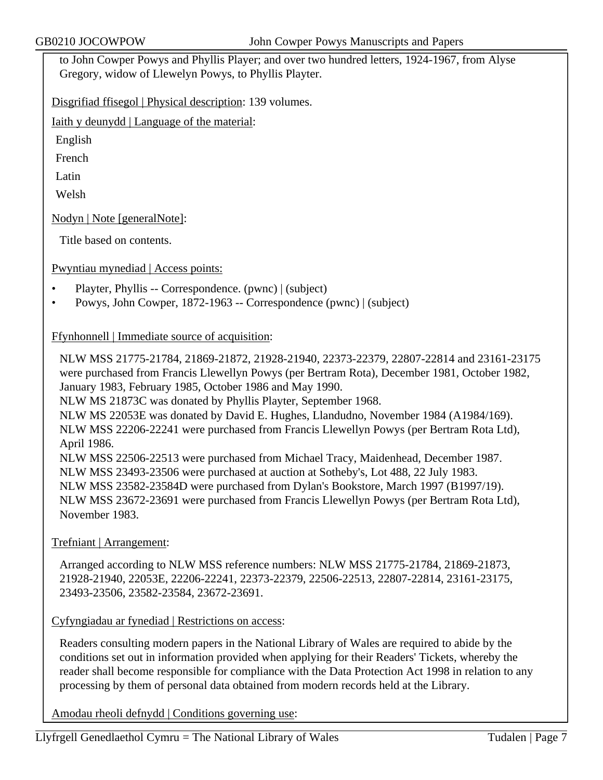to John Cowper Powys and Phyllis Player; and over two hundred letters, 1924-1967, from Alyse Gregory, widow of Llewelyn Powys, to Phyllis Playter.

Disgrifiad ffisegol | Physical description: 139 volumes.

Iaith y deunydd | Language of the material:

English

French

Latin

Welsh

Nodyn | Note [generalNote]:

Title based on contents.

Pwyntiau mynediad | Access points:

- Playter, Phyllis -- Correspondence. (pwnc) | (subject)
- Powys, John Cowper, 1872-1963 -- Correspondence (pwnc) | (subject)

Ffynhonnell | Immediate source of acquisition:

NLW MSS 21775-21784, 21869-21872, 21928-21940, 22373-22379, 22807-22814 and 23161-23175 were purchased from Francis Llewellyn Powys (per Bertram Rota), December 1981, October 1982, January 1983, February 1985, October 1986 and May 1990. NLW MS 21873C was donated by Phyllis Playter, September 1968.

NLW MS 22053E was donated by David E. Hughes, Llandudno, November 1984 (A1984/169). NLW MSS 22206-22241 were purchased from Francis Llewellyn Powys (per Bertram Rota Ltd), April 1986.

NLW MSS 22506-22513 were purchased from Michael Tracy, Maidenhead, December 1987.

NLW MSS 23493-23506 were purchased at auction at Sotheby's, Lot 488, 22 July 1983.

NLW MSS 23582-23584D were purchased from Dylan's Bookstore, March 1997 (B1997/19). NLW MSS 23672-23691 were purchased from Francis Llewellyn Powys (per Bertram Rota Ltd), November 1983.

Trefniant | Arrangement:

Arranged according to NLW MSS reference numbers: NLW MSS 21775-21784, 21869-21873, 21928-21940, 22053E, 22206-22241, 22373-22379, 22506-22513, 22807-22814, 23161-23175, 23493-23506, 23582-23584, 23672-23691.

Cyfyngiadau ar fynediad | Restrictions on access:

Readers consulting modern papers in the National Library of Wales are required to abide by the conditions set out in information provided when applying for their Readers' Tickets, whereby the reader shall become responsible for compliance with the Data Protection Act 1998 in relation to any processing by them of personal data obtained from modern records held at the Library.

Amodau rheoli defnydd | Conditions governing use:

Llyfrgell Genedlaethol Cymru = The National Library of Wales Tudalen | Page 7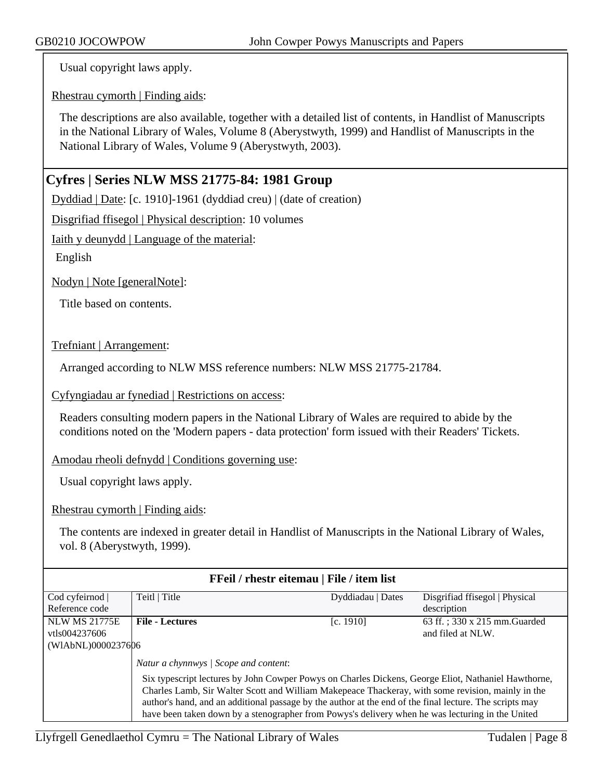Usual copyright laws apply.

Rhestrau cymorth | Finding aids:

The descriptions are also available, together with a detailed list of contents, in Handlist of Manuscripts in the National Library of Wales, Volume 8 (Aberystwyth, 1999) and Handlist of Manuscripts in the National Library of Wales, Volume 9 (Aberystwyth, 2003).

### **Cyfres | Series NLW MSS 21775-84: 1981 Group**

Dyddiad | Date: [c. 1910]-1961 (dyddiad creu) | (date of creation)

Disgrifiad ffisegol | Physical description: 10 volumes

Iaith y deunydd | Language of the material:

English

Nodyn | Note [generalNote]:

Title based on contents.

Trefniant | Arrangement:

Arranged according to NLW MSS reference numbers: NLW MSS 21775-21784.

Cyfyngiadau ar fynediad | Restrictions on access:

Readers consulting modern papers in the National Library of Wales are required to abide by the conditions noted on the 'Modern papers - data protection' form issued with their Readers' Tickets.

Amodau rheoli defnydd | Conditions governing use:

Usual copyright laws apply.

Rhestrau cymorth | Finding aids:

The contents are indexed in greater detail in Handlist of Manuscripts in the National Library of Wales, vol. 8 (Aberystwyth, 1999).

| FFeil / rhestr eitemau   File / item list                                                                                                                                                                                                                                                                                                                                                                               |                   |                                |  |  |
|-------------------------------------------------------------------------------------------------------------------------------------------------------------------------------------------------------------------------------------------------------------------------------------------------------------------------------------------------------------------------------------------------------------------------|-------------------|--------------------------------|--|--|
| Teitl   Title                                                                                                                                                                                                                                                                                                                                                                                                           | Dyddiadau   Dates | Disgrifiad ffisegol   Physical |  |  |
|                                                                                                                                                                                                                                                                                                                                                                                                                         |                   | description                    |  |  |
| <b>File - Lectures</b>                                                                                                                                                                                                                                                                                                                                                                                                  | [c. 1910]         | 63 ff.; 330 x 215 mm. Guarded  |  |  |
|                                                                                                                                                                                                                                                                                                                                                                                                                         |                   | and filed at NLW.              |  |  |
| (W1AbNL)0000237606                                                                                                                                                                                                                                                                                                                                                                                                      |                   |                                |  |  |
| Natur a chynnwys / Scope and content:                                                                                                                                                                                                                                                                                                                                                                                   |                   |                                |  |  |
| Six typescript lectures by John Cowper Powys on Charles Dickens, George Eliot, Nathaniel Hawthorne,<br>Charles Lamb, Sir Walter Scott and William Makepeace Thackeray, with some revision, mainly in the<br>author's hand, and an additional passage by the author at the end of the final lecture. The scripts may<br>have been taken down by a stenographer from Powys's delivery when he was lecturing in the United |                   |                                |  |  |
|                                                                                                                                                                                                                                                                                                                                                                                                                         |                   |                                |  |  |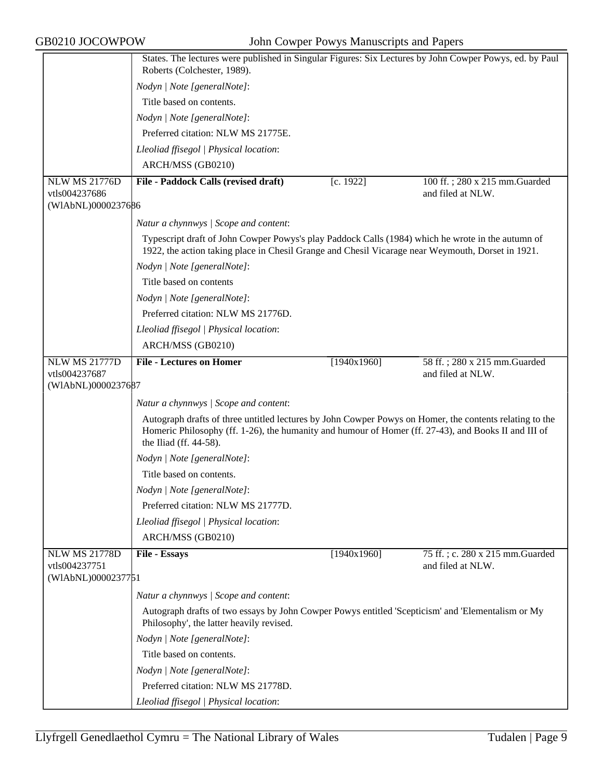|                      | States. The lectures were published in Singular Figures: Six Lectures by John Cowper Powys, ed. by Paul<br>Roberts (Colchester, 1989).                                                                                                    |             |                                  |
|----------------------|-------------------------------------------------------------------------------------------------------------------------------------------------------------------------------------------------------------------------------------------|-------------|----------------------------------|
|                      | Nodyn   Note [generalNote]:                                                                                                                                                                                                               |             |                                  |
|                      | Title based on contents.                                                                                                                                                                                                                  |             |                                  |
|                      | Nodyn   Note [generalNote]:                                                                                                                                                                                                               |             |                                  |
|                      | Preferred citation: NLW MS 21775E.                                                                                                                                                                                                        |             |                                  |
|                      | Lleoliad ffisegol   Physical location:                                                                                                                                                                                                    |             |                                  |
|                      | ARCH/MSS (GB0210)                                                                                                                                                                                                                         |             |                                  |
| <b>NLW MS 21776D</b> | File - Paddock Calls (revised draft)                                                                                                                                                                                                      | [c. 1922]   | 100 ff.; 280 x 215 mm. Guarded   |
| vtls004237686        |                                                                                                                                                                                                                                           |             | and filed at NLW.                |
| (WIAbNL)0000237686   |                                                                                                                                                                                                                                           |             |                                  |
|                      | Natur a chynnwys / Scope and content:                                                                                                                                                                                                     |             |                                  |
|                      | Typescript draft of John Cowper Powys's play Paddock Calls (1984) which he wrote in the autumn of<br>1922, the action taking place in Chesil Grange and Chesil Vicarage near Weymouth, Dorset in 1921.                                    |             |                                  |
|                      | Nodyn   Note [generalNote]:                                                                                                                                                                                                               |             |                                  |
|                      | Title based on contents                                                                                                                                                                                                                   |             |                                  |
|                      | Nodyn   Note [generalNote]:                                                                                                                                                                                                               |             |                                  |
|                      | Preferred citation: NLW MS 21776D.                                                                                                                                                                                                        |             |                                  |
|                      | Lleoliad ffisegol   Physical location:                                                                                                                                                                                                    |             |                                  |
|                      | ARCH/MSS (GB0210)                                                                                                                                                                                                                         |             |                                  |
| <b>NLW MS 21777D</b> | <b>File - Lectures on Homer</b>                                                                                                                                                                                                           | [1940x1960] | 58 ff.; 280 x 215 mm. Guarded    |
| vtls004237687        |                                                                                                                                                                                                                                           |             | and filed at NLW.                |
| (WIAbNL)0000237687   |                                                                                                                                                                                                                                           |             |                                  |
|                      | Natur a chynnwys / Scope and content:                                                                                                                                                                                                     |             |                                  |
|                      | Autograph drafts of three untitled lectures by John Cowper Powys on Homer, the contents relating to the<br>Homeric Philosophy (ff. 1-26), the humanity and humour of Homer (ff. 27-43), and Books II and III of<br>the Iliad (ff. 44-58). |             |                                  |
|                      | Nodyn   Note [generalNote]:                                                                                                                                                                                                               |             |                                  |
|                      | Title based on contents.                                                                                                                                                                                                                  |             |                                  |
|                      | Nodyn   Note [generalNote]:                                                                                                                                                                                                               |             |                                  |
|                      | Preferred citation: NLW MS 21777D.                                                                                                                                                                                                        |             |                                  |
|                      | Lleoliad ffisegol   Physical location:                                                                                                                                                                                                    |             |                                  |
|                      | ARCH/MSS (GB0210)                                                                                                                                                                                                                         |             |                                  |
| <b>NLW MS 21778D</b> | File - Essays                                                                                                                                                                                                                             | [1940x1960] | 75 ff.; c. 280 x 215 mm. Guarded |
| vtls004237751        |                                                                                                                                                                                                                                           |             | and filed at NLW.                |
| (WIAbNL)0000237751   |                                                                                                                                                                                                                                           |             |                                  |
|                      | Natur a chynnwys / Scope and content:                                                                                                                                                                                                     |             |                                  |
|                      | Autograph drafts of two essays by John Cowper Powys entitled 'Scepticism' and 'Elementalism or My<br>Philosophy', the latter heavily revised.                                                                                             |             |                                  |
|                      | Nodyn   Note [generalNote]:                                                                                                                                                                                                               |             |                                  |
|                      | Title based on contents.                                                                                                                                                                                                                  |             |                                  |
|                      | Nodyn   Note [generalNote]:                                                                                                                                                                                                               |             |                                  |
|                      | Preferred citation: NLW MS 21778D.                                                                                                                                                                                                        |             |                                  |
|                      | Lleoliad ffisegol   Physical location:                                                                                                                                                                                                    |             |                                  |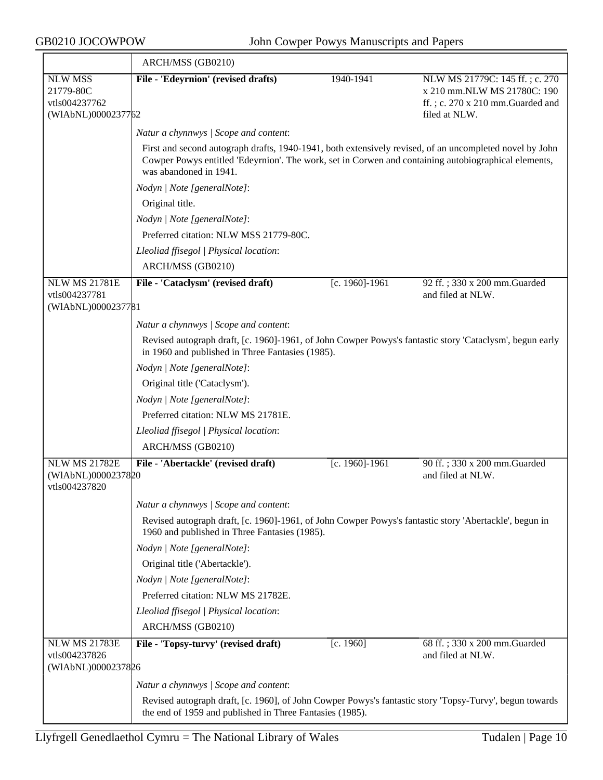|                                                                                                                                                              | ARCH/MSS (GB0210)                                                                                                                                                                                                                         |                |                                                                                                                    |
|--------------------------------------------------------------------------------------------------------------------------------------------------------------|-------------------------------------------------------------------------------------------------------------------------------------------------------------------------------------------------------------------------------------------|----------------|--------------------------------------------------------------------------------------------------------------------|
| <b>NLW MSS</b><br>21779-80C<br>vtls004237762<br>(WIAbNL)0000237762                                                                                           | File - 'Edeyrnion' (revised drafts)                                                                                                                                                                                                       | 1940-1941      | NLW MS 21779C: 145 ff.; c. 270<br>x 210 mm.NLW MS 21780C: 190<br>ff.; c. 270 x 210 mm.Guarded and<br>filed at NLW. |
|                                                                                                                                                              | Natur a chynnwys / Scope and content:                                                                                                                                                                                                     |                |                                                                                                                    |
|                                                                                                                                                              | First and second autograph drafts, 1940-1941, both extensively revised, of an uncompleted novel by John<br>Cowper Powys entitled 'Edeyrnion'. The work, set in Corwen and containing autobiographical elements,<br>was abandoned in 1941. |                |                                                                                                                    |
|                                                                                                                                                              | Nodyn   Note [generalNote]:                                                                                                                                                                                                               |                |                                                                                                                    |
|                                                                                                                                                              | Original title.                                                                                                                                                                                                                           |                |                                                                                                                    |
|                                                                                                                                                              | Nodyn   Note [generalNote]:                                                                                                                                                                                                               |                |                                                                                                                    |
|                                                                                                                                                              | Preferred citation: NLW MSS 21779-80C.                                                                                                                                                                                                    |                |                                                                                                                    |
|                                                                                                                                                              | Lleoliad ffisegol   Physical location:                                                                                                                                                                                                    |                |                                                                                                                    |
|                                                                                                                                                              | ARCH/MSS (GB0210)                                                                                                                                                                                                                         |                |                                                                                                                    |
| <b>NLW MS 21781E</b><br>vtls004237781<br>(WIAbNL)0000237781                                                                                                  | File - 'Cataclysm' (revised draft)                                                                                                                                                                                                        | [c. 1960]-1961 | 92 ff.; 330 x 200 mm.Guarded<br>and filed at NLW.                                                                  |
|                                                                                                                                                              | Natur a chynnwys / Scope and content:                                                                                                                                                                                                     |                |                                                                                                                    |
| Revised autograph draft, [c. 1960]-1961, of John Cowper Powys's fantastic story 'Cataclysm', begun early<br>in 1960 and published in Three Fantasies (1985). |                                                                                                                                                                                                                                           |                |                                                                                                                    |
|                                                                                                                                                              | Nodyn   Note [generalNote]:                                                                                                                                                                                                               |                |                                                                                                                    |
|                                                                                                                                                              | Original title ('Cataclysm').                                                                                                                                                                                                             |                |                                                                                                                    |
|                                                                                                                                                              | Nodyn   Note [generalNote]:                                                                                                                                                                                                               |                |                                                                                                                    |
|                                                                                                                                                              | Preferred citation: NLW MS 21781E.                                                                                                                                                                                                        |                |                                                                                                                    |
|                                                                                                                                                              | Lleoliad ffisegol   Physical location:                                                                                                                                                                                                    |                |                                                                                                                    |
|                                                                                                                                                              | ARCH/MSS (GB0210)                                                                                                                                                                                                                         |                |                                                                                                                    |
| <b>NLW MS 21782E</b><br>(WIAbNL)0000237820<br>vtls004237820                                                                                                  | File - 'Abertackle' (revised draft)                                                                                                                                                                                                       | [c. 1960]-1961 | 90 ff.; 330 x 200 mm.Guarded<br>and filed at NLW.                                                                  |
|                                                                                                                                                              | Natur a chynnwys / Scope and content:                                                                                                                                                                                                     |                |                                                                                                                    |
|                                                                                                                                                              | Revised autograph draft, [c. 1960]-1961, of John Cowper Powys's fantastic story 'Abertackle', begun in                                                                                                                                    |                |                                                                                                                    |
|                                                                                                                                                              | 1960 and published in Three Fantasies (1985).                                                                                                                                                                                             |                |                                                                                                                    |
|                                                                                                                                                              | Nodyn   Note [generalNote]:                                                                                                                                                                                                               |                |                                                                                                                    |
|                                                                                                                                                              | Original title ('Abertackle').                                                                                                                                                                                                            |                |                                                                                                                    |
|                                                                                                                                                              | Nodyn   Note [generalNote]:                                                                                                                                                                                                               |                |                                                                                                                    |
|                                                                                                                                                              | Preferred citation: NLW MS 21782E.                                                                                                                                                                                                        |                |                                                                                                                    |
|                                                                                                                                                              | Lleoliad ffisegol   Physical location:                                                                                                                                                                                                    |                |                                                                                                                    |
|                                                                                                                                                              | ARCH/MSS (GB0210)                                                                                                                                                                                                                         |                |                                                                                                                    |
| <b>NLW MS 21783E</b><br>vtls004237826                                                                                                                        | File - 'Topsy-turvy' (revised draft)                                                                                                                                                                                                      | [c. 1960]      | 68 ff.; 330 x 200 mm.Guarded<br>and filed at NLW.                                                                  |
| (WIAbNL)0000237826                                                                                                                                           |                                                                                                                                                                                                                                           |                |                                                                                                                    |
|                                                                                                                                                              | Natur a chynnwys / Scope and content:                                                                                                                                                                                                     |                |                                                                                                                    |
|                                                                                                                                                              | Revised autograph draft, [c. 1960], of John Cowper Powys's fantastic story 'Topsy-Turvy', begun towards<br>the end of 1959 and published in Three Fantasies (1985).                                                                       |                |                                                                                                                    |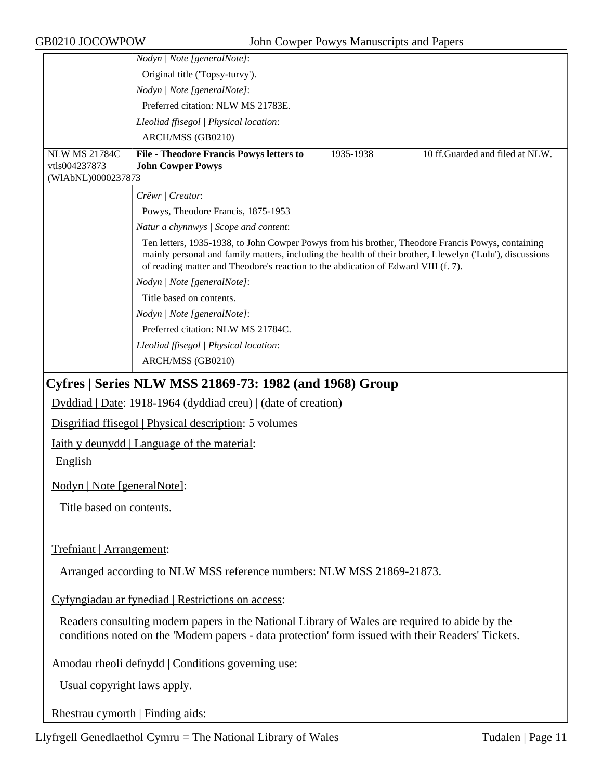| GB0210 JOCOWPOW                       | John Cowper Powys Manuscripts and Papers                                                                                                                                                                                                                                                             |  |  |  |
|---------------------------------------|------------------------------------------------------------------------------------------------------------------------------------------------------------------------------------------------------------------------------------------------------------------------------------------------------|--|--|--|
|                                       | Nodyn   Note [generalNote]:                                                                                                                                                                                                                                                                          |  |  |  |
|                                       | Original title ('Topsy-turvy').                                                                                                                                                                                                                                                                      |  |  |  |
|                                       | Nodyn   Note [generalNote]:                                                                                                                                                                                                                                                                          |  |  |  |
|                                       | Preferred citation: NLW MS 21783E.                                                                                                                                                                                                                                                                   |  |  |  |
|                                       | Lleoliad ffisegol   Physical location:                                                                                                                                                                                                                                                               |  |  |  |
|                                       | ARCH/MSS (GB0210)                                                                                                                                                                                                                                                                                    |  |  |  |
| <b>NLW MS 21784C</b><br>vtls004237873 | 10 ff.Guarded and filed at NLW.<br><b>File - Theodore Francis Powys letters to</b><br>1935-1938<br><b>John Cowper Powys</b>                                                                                                                                                                          |  |  |  |
| (WIAbNL)0000237873                    |                                                                                                                                                                                                                                                                                                      |  |  |  |
|                                       | Crëwr   Creator:                                                                                                                                                                                                                                                                                     |  |  |  |
|                                       | Powys, Theodore Francis, 1875-1953                                                                                                                                                                                                                                                                   |  |  |  |
|                                       | Natur a chynnwys / Scope and content:                                                                                                                                                                                                                                                                |  |  |  |
|                                       | Ten letters, 1935-1938, to John Cowper Powys from his brother, Theodore Francis Powys, containing<br>mainly personal and family matters, including the health of their brother, Llewelyn ('Lulu'), discussions<br>of reading matter and Theodore's reaction to the abdication of Edward VIII (f. 7). |  |  |  |
|                                       | Nodyn   Note [generalNote]:                                                                                                                                                                                                                                                                          |  |  |  |
|                                       | Title based on contents.                                                                                                                                                                                                                                                                             |  |  |  |
|                                       | Nodyn   Note [generalNote]:                                                                                                                                                                                                                                                                          |  |  |  |
|                                       | Preferred citation: NLW MS 21784C.                                                                                                                                                                                                                                                                   |  |  |  |
|                                       | Lleoliad ffisegol   Physical location:                                                                                                                                                                                                                                                               |  |  |  |
|                                       | ARCH/MSS (GB0210)                                                                                                                                                                                                                                                                                    |  |  |  |
|                                       | Cyfres   Series NLW MSS 21869-73: 1982 (and 1968) Group                                                                                                                                                                                                                                              |  |  |  |
|                                       | Dyddiad   Date: 1918-1964 (dyddiad creu)   (date of creation)                                                                                                                                                                                                                                        |  |  |  |
|                                       | Disgrifiad ffisegol   Physical description: 5 volumes                                                                                                                                                                                                                                                |  |  |  |
|                                       | <u>Iaith y deunydd   Language of the material:</u>                                                                                                                                                                                                                                                   |  |  |  |
| English                               |                                                                                                                                                                                                                                                                                                      |  |  |  |
| Nodyn   Note [generalNote]:           |                                                                                                                                                                                                                                                                                                      |  |  |  |
| Title based on contents.              |                                                                                                                                                                                                                                                                                                      |  |  |  |
| Trefniant   Arrangement:              |                                                                                                                                                                                                                                                                                                      |  |  |  |
|                                       |                                                                                                                                                                                                                                                                                                      |  |  |  |
|                                       | Arranged according to NLW MSS reference numbers: NLW MSS 21869-21873.                                                                                                                                                                                                                                |  |  |  |
|                                       | Cyfyngiadau ar fynediad   Restrictions on access:                                                                                                                                                                                                                                                    |  |  |  |
|                                       | Readers consulting modern papers in the National Library of Wales are required to abide by the<br>conditions noted on the 'Modern papers - data protection' form issued with their Readers' Tickets.                                                                                                 |  |  |  |
|                                       | Amodau rheoli defnydd   Conditions governing use:                                                                                                                                                                                                                                                    |  |  |  |

Usual copyright laws apply.

Rhestrau cymorth | Finding aids: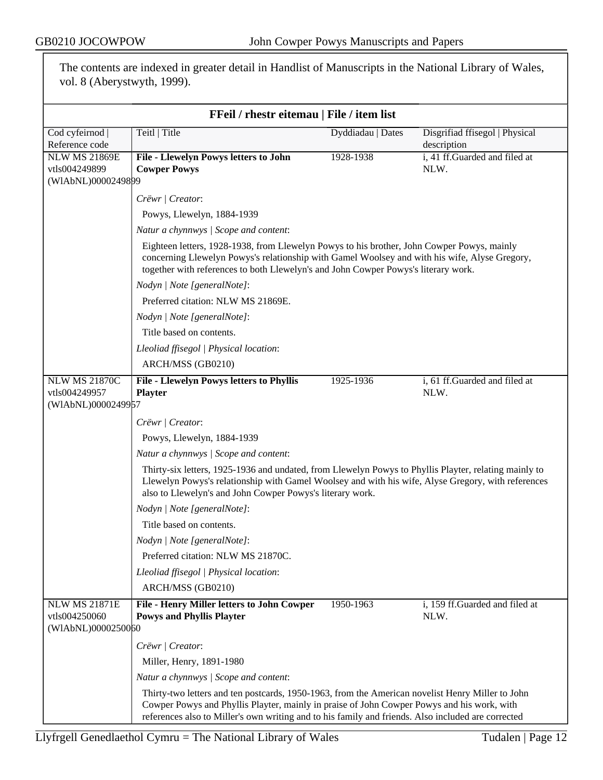|                                                             | vol. 8 (Aberystwyth, 1999).                                                                                                                                                                                                                                                       |                   |                                               |
|-------------------------------------------------------------|-----------------------------------------------------------------------------------------------------------------------------------------------------------------------------------------------------------------------------------------------------------------------------------|-------------------|-----------------------------------------------|
|                                                             | FFeil / rhestr eitemau   File / item list                                                                                                                                                                                                                                         |                   |                                               |
| Cod cyfeirnod  <br>Reference code                           | Teitl   Title                                                                                                                                                                                                                                                                     | Dyddiadau   Dates | Disgrifiad ffisegol   Physical<br>description |
| <b>NLW MS 21869E</b><br>vtls004249899<br>(WIAbNL)0000249899 | File - Llewelyn Powys letters to John<br><b>Cowper Powys</b>                                                                                                                                                                                                                      | 1928-1938         | i, 41 ff.Guarded and filed at<br>NLW.         |
|                                                             | Crëwr   Creator:                                                                                                                                                                                                                                                                  |                   |                                               |
|                                                             | Powys, Llewelyn, 1884-1939                                                                                                                                                                                                                                                        |                   |                                               |
|                                                             | Natur a chynnwys / Scope and content:                                                                                                                                                                                                                                             |                   |                                               |
|                                                             | Eighteen letters, 1928-1938, from Llewelyn Powys to his brother, John Cowper Powys, mainly<br>concerning Llewelyn Powys's relationship with Gamel Woolsey and with his wife, Alyse Gregory,<br>together with references to both Llewelyn's and John Cowper Powys's literary work. |                   |                                               |
|                                                             | Nodyn   Note [generalNote]:                                                                                                                                                                                                                                                       |                   |                                               |
|                                                             | Preferred citation: NLW MS 21869E.                                                                                                                                                                                                                                                |                   |                                               |
|                                                             | Nodyn   Note [generalNote]:                                                                                                                                                                                                                                                       |                   |                                               |
|                                                             | Title based on contents.                                                                                                                                                                                                                                                          |                   |                                               |
|                                                             | Lleoliad ffisegol   Physical location:                                                                                                                                                                                                                                            |                   |                                               |
|                                                             | ARCH/MSS (GB0210)                                                                                                                                                                                                                                                                 |                   |                                               |
| <b>NLW MS 21870C</b><br>vtls004249957<br>(WIAbNL)0000249957 | File - Llewelyn Powys letters to Phyllis<br><b>Playter</b>                                                                                                                                                                                                                        | 1925-1936         | i, 61 ff.Guarded and filed at<br>NLW.         |
|                                                             | Crëwr   Creator:                                                                                                                                                                                                                                                                  |                   |                                               |
|                                                             | Powys, Llewelyn, 1884-1939                                                                                                                                                                                                                                                        |                   |                                               |
|                                                             | Natur a chynnwys / Scope and content:                                                                                                                                                                                                                                             |                   |                                               |
|                                                             | Thirty-six letters, 1925-1936 and undated, from Llewelyn Powys to Phyllis Playter, relating mainly to<br>Llewelyn Powys's relationship with Gamel Woolsey and with his wife, Alyse Gregory, with references<br>also to Llewelyn's and John Cowper Powys's literary work.          |                   |                                               |
|                                                             | Nodyn   Note [generalNote]:                                                                                                                                                                                                                                                       |                   |                                               |
|                                                             | Title based on contents.                                                                                                                                                                                                                                                          |                   |                                               |
|                                                             | Nodyn   Note [generalNote]:                                                                                                                                                                                                                                                       |                   |                                               |
|                                                             | Preferred citation: NLW MS 21870C.                                                                                                                                                                                                                                                |                   |                                               |
|                                                             | Lleoliad ffisegol   Physical location:                                                                                                                                                                                                                                            |                   |                                               |
|                                                             | ARCH/MSS (GB0210)                                                                                                                                                                                                                                                                 |                   |                                               |
| <b>NLW MS 21871E</b><br>vtls004250060<br>(WIAbNL)0000250060 | <b>File - Henry Miller letters to John Cowper</b><br><b>Powys and Phyllis Playter</b>                                                                                                                                                                                             | 1950-1963         | i, 159 ff.Guarded and filed at<br>NLW.        |
|                                                             | Crëwr   Creator:                                                                                                                                                                                                                                                                  |                   |                                               |
|                                                             | Miller, Henry, 1891-1980                                                                                                                                                                                                                                                          |                   |                                               |
|                                                             | Natur a chynnwys / Scope and content:                                                                                                                                                                                                                                             |                   |                                               |
|                                                             | Thirty-two letters and ten postcards, 1950-1963, from the American novelist Henry Miller to John                                                                                                                                                                                  |                   |                                               |
|                                                             | Cowper Powys and Phyllis Playter, mainly in praise of John Cowper Powys and his work, with<br>references also to Miller's own writing and to his family and friends. Also included are corrected                                                                                  |                   |                                               |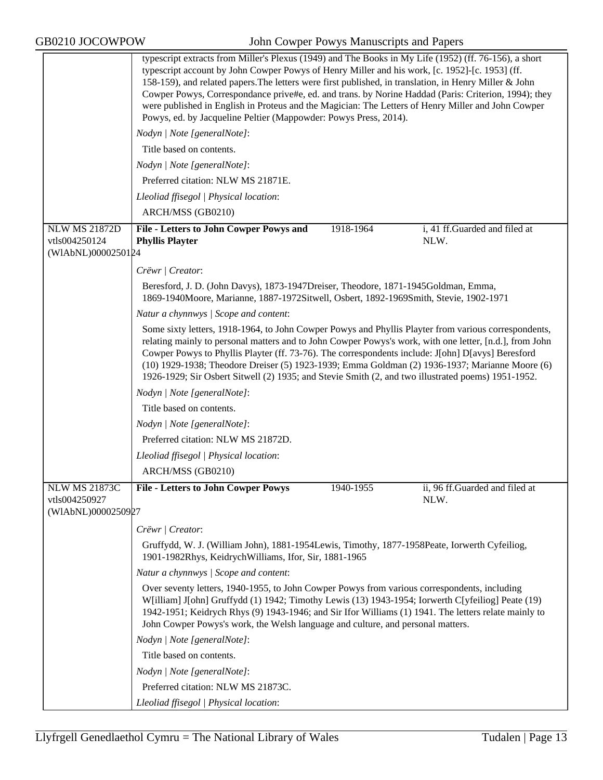|                                                             | typescript extracts from Miller's Plexus (1949) and The Books in My Life (1952) (ff. 76-156), a short<br>typescript account by John Cowper Powys of Henry Miller and his work, [c. 1952]-[c. 1953] (ff.<br>158-159), and related papers. The letters were first published, in translation, in Henry Miller & John<br>Cowper Powys, Correspondance prive#e, ed. and trans. by Norine Haddad (Paris: Criterion, 1994); they<br>were published in English in Proteus and the Magician: The Letters of Henry Miller and John Cowper<br>Powys, ed. by Jacqueline Peltier (Mappowder: Powys Press, 2014). |  |  |  |
|-------------------------------------------------------------|-----------------------------------------------------------------------------------------------------------------------------------------------------------------------------------------------------------------------------------------------------------------------------------------------------------------------------------------------------------------------------------------------------------------------------------------------------------------------------------------------------------------------------------------------------------------------------------------------------|--|--|--|
|                                                             | Nodyn   Note [generalNote]:                                                                                                                                                                                                                                                                                                                                                                                                                                                                                                                                                                         |  |  |  |
|                                                             | Title based on contents.                                                                                                                                                                                                                                                                                                                                                                                                                                                                                                                                                                            |  |  |  |
|                                                             | Nodyn   Note [generalNote]:                                                                                                                                                                                                                                                                                                                                                                                                                                                                                                                                                                         |  |  |  |
|                                                             | Preferred citation: NLW MS 21871E.                                                                                                                                                                                                                                                                                                                                                                                                                                                                                                                                                                  |  |  |  |
|                                                             | Lleoliad ffisegol   Physical location:                                                                                                                                                                                                                                                                                                                                                                                                                                                                                                                                                              |  |  |  |
|                                                             | ARCH/MSS (GB0210)                                                                                                                                                                                                                                                                                                                                                                                                                                                                                                                                                                                   |  |  |  |
| <b>NLW MS 21872D</b><br>vtls004250124<br>(WIAbNL)0000250124 | 1918-1964<br>i, 41 ff.Guarded and filed at<br>File - Letters to John Cowper Powys and<br>NLW.<br><b>Phyllis Playter</b>                                                                                                                                                                                                                                                                                                                                                                                                                                                                             |  |  |  |
|                                                             | Crëwr   Creator:                                                                                                                                                                                                                                                                                                                                                                                                                                                                                                                                                                                    |  |  |  |
|                                                             | Beresford, J. D. (John Davys), 1873-1947Dreiser, Theodore, 1871-1945Goldman, Emma,<br>1869-1940Moore, Marianne, 1887-1972Sitwell, Osbert, 1892-1969Smith, Stevie, 1902-1971                                                                                                                                                                                                                                                                                                                                                                                                                         |  |  |  |
|                                                             | Natur a chynnwys   Scope and content:                                                                                                                                                                                                                                                                                                                                                                                                                                                                                                                                                               |  |  |  |
|                                                             | Some sixty letters, 1918-1964, to John Cowper Powys and Phyllis Playter from various correspondents,<br>relating mainly to personal matters and to John Cowper Powys's work, with one letter, [n.d.], from John<br>Cowper Powys to Phyllis Playter (ff. 73-76). The correspondents include: J[ohn] D[avys] Beresford<br>(10) 1929-1938; Theodore Dreiser (5) 1923-1939; Emma Goldman (2) 1936-1937; Marianne Moore (6)<br>1926-1929; Sir Osbert Sitwell (2) 1935; and Stevie Smith (2, and two illustrated poems) 1951-1952.                                                                        |  |  |  |
|                                                             | Nodyn   Note [generalNote]:                                                                                                                                                                                                                                                                                                                                                                                                                                                                                                                                                                         |  |  |  |
|                                                             | Title based on contents.                                                                                                                                                                                                                                                                                                                                                                                                                                                                                                                                                                            |  |  |  |
|                                                             | Nodyn   Note [generalNote]:                                                                                                                                                                                                                                                                                                                                                                                                                                                                                                                                                                         |  |  |  |
|                                                             | Preferred citation: NLW MS 21872D.                                                                                                                                                                                                                                                                                                                                                                                                                                                                                                                                                                  |  |  |  |
|                                                             | Lleoliad ffisegol   Physical location:                                                                                                                                                                                                                                                                                                                                                                                                                                                                                                                                                              |  |  |  |
|                                                             | ARCH/MSS (GB0210)                                                                                                                                                                                                                                                                                                                                                                                                                                                                                                                                                                                   |  |  |  |
| <b>NLW MS 21873C</b><br>vtls004250927<br>(WIAbNL)0000250927 | 1940-1955<br>ii, 96 ff.Guarded and filed at<br><b>File - Letters to John Cowper Powys</b><br>NLW.                                                                                                                                                                                                                                                                                                                                                                                                                                                                                                   |  |  |  |
|                                                             | Crëwr   Creator:                                                                                                                                                                                                                                                                                                                                                                                                                                                                                                                                                                                    |  |  |  |
|                                                             | Gruffydd, W. J. (William John), 1881-1954Lewis, Timothy, 1877-1958Peate, Iorwerth Cyfeiliog,<br>1901-1982Rhys, KeidrychWilliams, Ifor, Sir, 1881-1965                                                                                                                                                                                                                                                                                                                                                                                                                                               |  |  |  |
|                                                             | Natur a chynnwys / Scope and content:                                                                                                                                                                                                                                                                                                                                                                                                                                                                                                                                                               |  |  |  |
|                                                             | Over seventy letters, 1940-1955, to John Cowper Powys from various correspondents, including<br>W[illiam] J[ohn] Gruffydd (1) 1942; Timothy Lewis (13) 1943-1954; Iorwerth C[yfeiliog] Peate (19)<br>1942-1951; Keidrych Rhys (9) 1943-1946; and Sir Ifor Williams (1) 1941. The letters relate mainly to<br>John Cowper Powys's work, the Welsh language and culture, and personal matters.                                                                                                                                                                                                        |  |  |  |
|                                                             | Nodyn   Note [generalNote]:                                                                                                                                                                                                                                                                                                                                                                                                                                                                                                                                                                         |  |  |  |
|                                                             | Title based on contents.                                                                                                                                                                                                                                                                                                                                                                                                                                                                                                                                                                            |  |  |  |
|                                                             | Nodyn   Note [generalNote]:                                                                                                                                                                                                                                                                                                                                                                                                                                                                                                                                                                         |  |  |  |
|                                                             | Preferred citation: NLW MS 21873C.                                                                                                                                                                                                                                                                                                                                                                                                                                                                                                                                                                  |  |  |  |
|                                                             | Lleoliad ffisegol   Physical location:                                                                                                                                                                                                                                                                                                                                                                                                                                                                                                                                                              |  |  |  |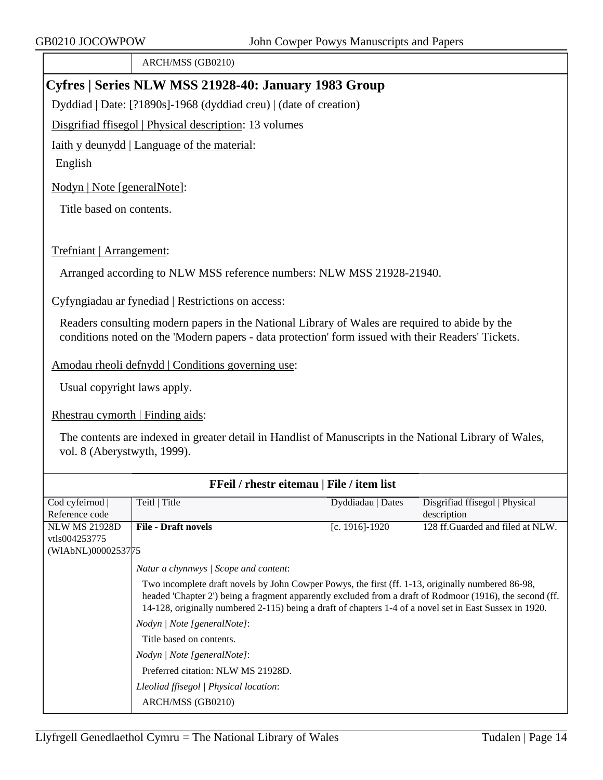ARCH/MSS (GB0210)

## **Cyfres | Series NLW MSS 21928-40: January 1983 Group**

Dyddiad | Date: [?1890s]-1968 (dyddiad creu) | (date of creation)

Disgrifiad ffisegol | Physical description: 13 volumes

Iaith y deunydd | Language of the material:

English

Nodyn | Note [generalNote]:

Title based on contents.

Trefniant | Arrangement:

Arranged according to NLW MSS reference numbers: NLW MSS 21928-21940.

Cyfyngiadau ar fynediad | Restrictions on access:

Readers consulting modern papers in the National Library of Wales are required to abide by the conditions noted on the 'Modern papers - data protection' form issued with their Readers' Tickets.

Amodau rheoli defnydd | Conditions governing use:

Usual copyright laws apply.

Rhestrau cymorth | Finding aids:

The contents are indexed in greater detail in Handlist of Manuscripts in the National Library of Wales, vol. 8 (Aberystwyth, 1999).

| FFeil / rhestr eitemau   File / item list |                                                                                                                                                                                                                                                                                                                          |                   |                                   |  |
|-------------------------------------------|--------------------------------------------------------------------------------------------------------------------------------------------------------------------------------------------------------------------------------------------------------------------------------------------------------------------------|-------------------|-----------------------------------|--|
| Cod cyfeirnod                             | Teitl   Title                                                                                                                                                                                                                                                                                                            | Dyddiadau   Dates | Disgrifiad ffisegol   Physical    |  |
| Reference code                            |                                                                                                                                                                                                                                                                                                                          |                   | description                       |  |
| <b>NLW MS 21928D</b>                      | <b>File - Draft novels</b>                                                                                                                                                                                                                                                                                               | [c. 1916]-1920    | 128 ff. Guarded and filed at NLW. |  |
| vtls004253775                             |                                                                                                                                                                                                                                                                                                                          |                   |                                   |  |
| (WIAbNL)0000253775                        |                                                                                                                                                                                                                                                                                                                          |                   |                                   |  |
|                                           | Natur a chynnwys / Scope and content:                                                                                                                                                                                                                                                                                    |                   |                                   |  |
|                                           | Two incomplete draft novels by John Cowper Powys, the first (ff. 1-13, originally numbered 86-98,<br>headed 'Chapter 2') being a fragment apparently excluded from a draft of Rodmoor (1916), the second (ff.<br>14-128, originally numbered 2-115) being a draft of chapters 1-4 of a novel set in East Sussex in 1920. |                   |                                   |  |
|                                           | Nodyn / Note [generalNote]:                                                                                                                                                                                                                                                                                              |                   |                                   |  |
|                                           | Title based on contents.                                                                                                                                                                                                                                                                                                 |                   |                                   |  |
|                                           | Nodyn / Note [generalNote]:                                                                                                                                                                                                                                                                                              |                   |                                   |  |
|                                           | Preferred citation: NLW MS 21928D.                                                                                                                                                                                                                                                                                       |                   |                                   |  |
|                                           | Lleoliad ffisegol   Physical location:                                                                                                                                                                                                                                                                                   |                   |                                   |  |
|                                           | ARCH/MSS (GB0210)                                                                                                                                                                                                                                                                                                        |                   |                                   |  |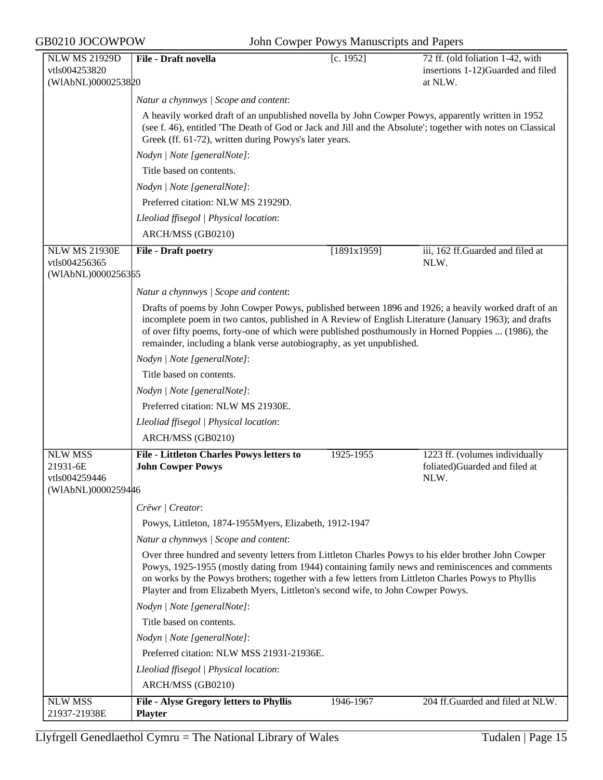| <b>NLW MS 21929D</b>                        | File - Draft novella                                                                                                                                                                                                                                                                                                                                                                                | [c. 1952]   | 72 ff. (old foliation 1-42, with                                        |  |  |
|---------------------------------------------|-----------------------------------------------------------------------------------------------------------------------------------------------------------------------------------------------------------------------------------------------------------------------------------------------------------------------------------------------------------------------------------------------------|-------------|-------------------------------------------------------------------------|--|--|
| vtls004253820                               |                                                                                                                                                                                                                                                                                                                                                                                                     |             | insertions 1-12)Guarded and filed                                       |  |  |
| (WIAbNL)0000253820                          |                                                                                                                                                                                                                                                                                                                                                                                                     |             | at NLW.                                                                 |  |  |
|                                             | Natur a chynnwys / Scope and content:                                                                                                                                                                                                                                                                                                                                                               |             |                                                                         |  |  |
|                                             | A heavily worked draft of an unpublished novella by John Cowper Powys, apparently written in 1952<br>(see f. 46), entitled 'The Death of God or Jack and Jill and the Absolute'; together with notes on Classical<br>Greek (ff. 61-72), written during Powys's later years.                                                                                                                         |             |                                                                         |  |  |
|                                             | Nodyn   Note [generalNote]:                                                                                                                                                                                                                                                                                                                                                                         |             |                                                                         |  |  |
|                                             | Title based on contents.                                                                                                                                                                                                                                                                                                                                                                            |             |                                                                         |  |  |
|                                             | Nodyn   Note [generalNote]:                                                                                                                                                                                                                                                                                                                                                                         |             |                                                                         |  |  |
|                                             | Preferred citation: NLW MS 21929D.                                                                                                                                                                                                                                                                                                                                                                  |             |                                                                         |  |  |
|                                             | Lleoliad ffisegol   Physical location:                                                                                                                                                                                                                                                                                                                                                              |             |                                                                         |  |  |
|                                             | ARCH/MSS (GB0210)                                                                                                                                                                                                                                                                                                                                                                                   |             |                                                                         |  |  |
| <b>NLW MS 21930E</b>                        | <b>File - Draft poetry</b>                                                                                                                                                                                                                                                                                                                                                                          | [1891x1959] | iii, 162 ff.Guarded and filed at                                        |  |  |
| vtls004256365<br>(WIAbNL)0000256365         |                                                                                                                                                                                                                                                                                                                                                                                                     |             | NLW.                                                                    |  |  |
|                                             | Natur a chynnwys / Scope and content:                                                                                                                                                                                                                                                                                                                                                               |             |                                                                         |  |  |
|                                             | Drafts of poems by John Cowper Powys, published between 1896 and 1926; a heavily worked draft of an<br>incomplete poem in two cantos, published in A Review of English Literature (January 1963); and drafts<br>of over fifty poems, forty-one of which were published posthumously in Horned Poppies  (1986), the<br>remainder, including a blank verse autobiography, as yet unpublished.         |             |                                                                         |  |  |
|                                             | Nodyn   Note [generalNote]:                                                                                                                                                                                                                                                                                                                                                                         |             |                                                                         |  |  |
|                                             | Title based on contents.                                                                                                                                                                                                                                                                                                                                                                            |             |                                                                         |  |  |
|                                             | Nodyn   Note [generalNote]:                                                                                                                                                                                                                                                                                                                                                                         |             |                                                                         |  |  |
|                                             | Preferred citation: NLW MS 21930E.                                                                                                                                                                                                                                                                                                                                                                  |             |                                                                         |  |  |
|                                             | Lleoliad ffisegol   Physical location:                                                                                                                                                                                                                                                                                                                                                              |             |                                                                         |  |  |
|                                             | ARCH/MSS (GB0210)                                                                                                                                                                                                                                                                                                                                                                                   |             |                                                                         |  |  |
| <b>NLW MSS</b><br>21931-6E<br>vtls004259446 | File - Littleton Charles Powys letters to<br><b>John Cowper Powys</b>                                                                                                                                                                                                                                                                                                                               | 1925-1955   | 1223 ff. (volumes individually<br>foliated)Guarded and filed at<br>NLW. |  |  |
| (WIAbNL)0000259446                          |                                                                                                                                                                                                                                                                                                                                                                                                     |             |                                                                         |  |  |
|                                             | Crëwr / Creator:                                                                                                                                                                                                                                                                                                                                                                                    |             |                                                                         |  |  |
|                                             | Powys, Littleton, 1874-1955Myers, Elizabeth, 1912-1947                                                                                                                                                                                                                                                                                                                                              |             |                                                                         |  |  |
|                                             | Natur a chynnwys / Scope and content:                                                                                                                                                                                                                                                                                                                                                               |             |                                                                         |  |  |
|                                             | Over three hundred and seventy letters from Littleton Charles Powys to his elder brother John Cowper<br>Powys, 1925-1955 (mostly dating from 1944) containing family news and reminiscences and comments<br>on works by the Powys brothers; together with a few letters from Littleton Charles Powys to Phyllis<br>Playter and from Elizabeth Myers, Littleton's second wife, to John Cowper Powys. |             |                                                                         |  |  |
|                                             | Nodyn   Note [generalNote]:                                                                                                                                                                                                                                                                                                                                                                         |             |                                                                         |  |  |
|                                             | Title based on contents.                                                                                                                                                                                                                                                                                                                                                                            |             |                                                                         |  |  |
|                                             | Nodyn   Note [generalNote]:                                                                                                                                                                                                                                                                                                                                                                         |             |                                                                         |  |  |
|                                             | Preferred citation: NLW MSS 21931-21936E.                                                                                                                                                                                                                                                                                                                                                           |             |                                                                         |  |  |
|                                             | Lleoliad ffisegol   Physical location:                                                                                                                                                                                                                                                                                                                                                              |             |                                                                         |  |  |
|                                             | ARCH/MSS (GB0210)                                                                                                                                                                                                                                                                                                                                                                                   |             |                                                                         |  |  |
| <b>NLW MSS</b><br>21937-21938E              | File - Alyse Gregory letters to Phyllis<br><b>Playter</b>                                                                                                                                                                                                                                                                                                                                           | 1946-1967   | 204 ff.Guarded and filed at NLW.                                        |  |  |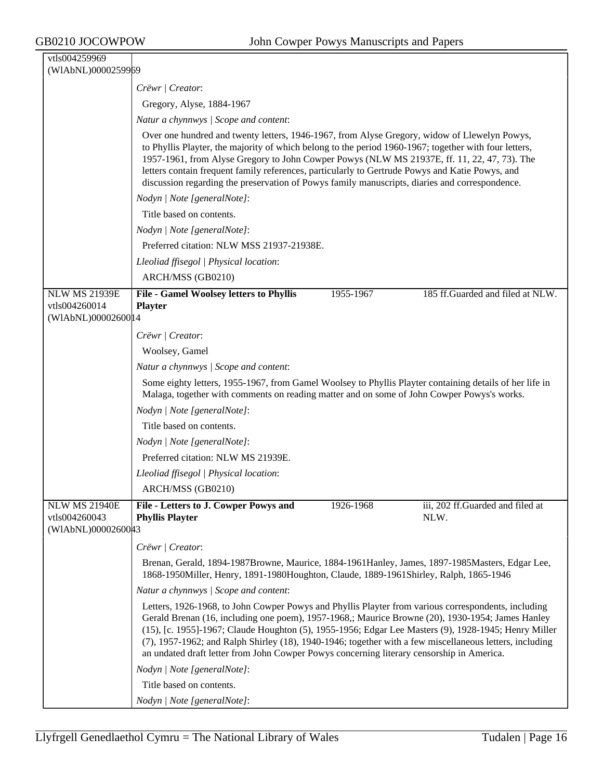| vtls004259969                                               |                                                                                                                                                                                                                                                                                                                                                                                                                                                                                                                         |           |                                          |  |
|-------------------------------------------------------------|-------------------------------------------------------------------------------------------------------------------------------------------------------------------------------------------------------------------------------------------------------------------------------------------------------------------------------------------------------------------------------------------------------------------------------------------------------------------------------------------------------------------------|-----------|------------------------------------------|--|
| (WIAbNL)0000259969                                          |                                                                                                                                                                                                                                                                                                                                                                                                                                                                                                                         |           |                                          |  |
|                                                             | Crëwr   Creator:                                                                                                                                                                                                                                                                                                                                                                                                                                                                                                        |           |                                          |  |
|                                                             | Gregory, Alyse, 1884-1967                                                                                                                                                                                                                                                                                                                                                                                                                                                                                               |           |                                          |  |
|                                                             | Natur a chynnwys / Scope and content:                                                                                                                                                                                                                                                                                                                                                                                                                                                                                   |           |                                          |  |
|                                                             | Over one hundred and twenty letters, 1946-1967, from Alyse Gregory, widow of Llewelyn Powys,<br>to Phyllis Playter, the majority of which belong to the period 1960-1967; together with four letters,<br>1957-1961, from Alyse Gregory to John Cowper Powys (NLW MS 21937E, ff. 11, 22, 47, 73). The<br>letters contain frequent family references, particularly to Gertrude Powys and Katie Powys, and<br>discussion regarding the preservation of Powys family manuscripts, diaries and correspondence.               |           |                                          |  |
|                                                             | Nodyn   Note [generalNote]:                                                                                                                                                                                                                                                                                                                                                                                                                                                                                             |           |                                          |  |
|                                                             | Title based on contents.                                                                                                                                                                                                                                                                                                                                                                                                                                                                                                |           |                                          |  |
|                                                             | Nodyn   Note [generalNote]:                                                                                                                                                                                                                                                                                                                                                                                                                                                                                             |           |                                          |  |
|                                                             | Preferred citation: NLW MSS 21937-21938E.                                                                                                                                                                                                                                                                                                                                                                                                                                                                               |           |                                          |  |
|                                                             | Lleoliad ffisegol   Physical location:                                                                                                                                                                                                                                                                                                                                                                                                                                                                                  |           |                                          |  |
|                                                             | ARCH/MSS (GB0210)                                                                                                                                                                                                                                                                                                                                                                                                                                                                                                       |           |                                          |  |
| <b>NLW MS 21939E</b>                                        | <b>File - Gamel Woolsey letters to Phyllis</b>                                                                                                                                                                                                                                                                                                                                                                                                                                                                          | 1955-1967 | 185 ff.Guarded and filed at NLW.         |  |
| vtls004260014                                               | <b>Playter</b>                                                                                                                                                                                                                                                                                                                                                                                                                                                                                                          |           |                                          |  |
| (WIAbNL)0000260014                                          |                                                                                                                                                                                                                                                                                                                                                                                                                                                                                                                         |           |                                          |  |
|                                                             | Crëwr   Creator:                                                                                                                                                                                                                                                                                                                                                                                                                                                                                                        |           |                                          |  |
|                                                             | Woolsey, Gamel                                                                                                                                                                                                                                                                                                                                                                                                                                                                                                          |           |                                          |  |
|                                                             | Natur a chynnwys / Scope and content:                                                                                                                                                                                                                                                                                                                                                                                                                                                                                   |           |                                          |  |
|                                                             | Some eighty letters, 1955-1967, from Gamel Woolsey to Phyllis Playter containing details of her life in<br>Malaga, together with comments on reading matter and on some of John Cowper Powys's works.                                                                                                                                                                                                                                                                                                                   |           |                                          |  |
|                                                             | Nodyn   Note [generalNote]:                                                                                                                                                                                                                                                                                                                                                                                                                                                                                             |           |                                          |  |
|                                                             | Title based on contents.                                                                                                                                                                                                                                                                                                                                                                                                                                                                                                |           |                                          |  |
|                                                             | Nodyn   Note [generalNote]:                                                                                                                                                                                                                                                                                                                                                                                                                                                                                             |           |                                          |  |
|                                                             | Preferred citation: NLW MS 21939E.                                                                                                                                                                                                                                                                                                                                                                                                                                                                                      |           |                                          |  |
|                                                             | Lleoliad ffisegol   Physical location:                                                                                                                                                                                                                                                                                                                                                                                                                                                                                  |           |                                          |  |
|                                                             | ARCH/MSS (GB0210)                                                                                                                                                                                                                                                                                                                                                                                                                                                                                                       |           |                                          |  |
| <b>NLW MS 21940E</b><br>vtls004260043<br>(WIAbNL)0000260043 | File - Letters to J. Cowper Powys and<br><b>Phyllis Playter</b>                                                                                                                                                                                                                                                                                                                                                                                                                                                         | 1926-1968 | iii, 202 ff.Guarded and filed at<br>NLW. |  |
|                                                             | Crëwr   Creator:                                                                                                                                                                                                                                                                                                                                                                                                                                                                                                        |           |                                          |  |
|                                                             | Brenan, Gerald, 1894-1987Browne, Maurice, 1884-1961Hanley, James, 1897-1985Masters, Edgar Lee,<br>1868-1950Miller, Henry, 1891-1980Houghton, Claude, 1889-1961Shirley, Ralph, 1865-1946                                                                                                                                                                                                                                                                                                                                 |           |                                          |  |
|                                                             | Natur a chynnwys / Scope and content:                                                                                                                                                                                                                                                                                                                                                                                                                                                                                   |           |                                          |  |
|                                                             | Letters, 1926-1968, to John Cowper Powys and Phyllis Playter from various correspondents, including<br>Gerald Brenan (16, including one poem), 1957-1968,; Maurice Browne (20), 1930-1954; James Hanley<br>(15), [c. 1955]-1967; Claude Houghton (5), 1955-1956; Edgar Lee Masters (9), 1928-1945; Henry Miller<br>(7), 1957-1962; and Ralph Shirley (18), 1940-1946; together with a few miscellaneous letters, including<br>an undated draft letter from John Cowper Powys concerning literary censorship in America. |           |                                          |  |
|                                                             | Nodyn   Note [generalNote]:                                                                                                                                                                                                                                                                                                                                                                                                                                                                                             |           |                                          |  |
|                                                             | Title based on contents.                                                                                                                                                                                                                                                                                                                                                                                                                                                                                                |           |                                          |  |
|                                                             | Nodyn   Note [generalNote]:                                                                                                                                                                                                                                                                                                                                                                                                                                                                                             |           |                                          |  |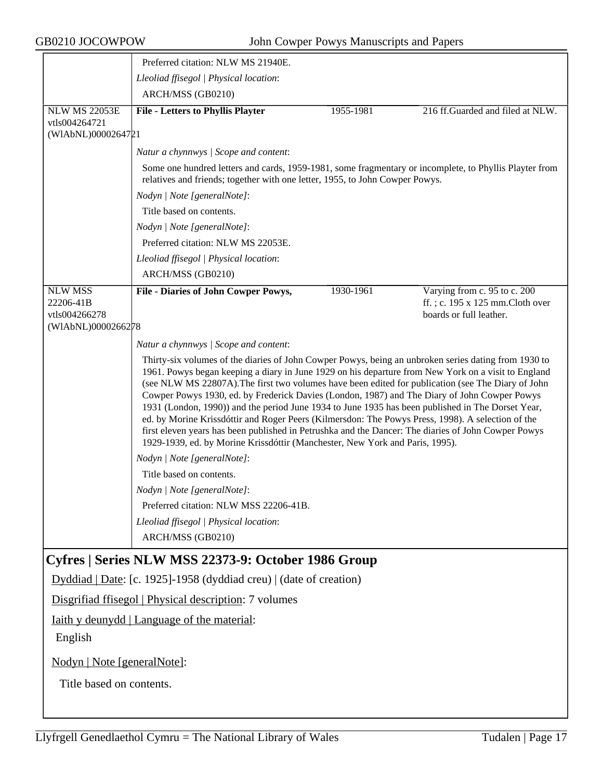|                                                             | Preferred citation: NLW MS 21940E.                                                                                                                                                                                                                                                                                                                                                                                                                                                                                                                                                                                                                                                                                                                                                                                                                |           |                                                                                            |  |
|-------------------------------------------------------------|---------------------------------------------------------------------------------------------------------------------------------------------------------------------------------------------------------------------------------------------------------------------------------------------------------------------------------------------------------------------------------------------------------------------------------------------------------------------------------------------------------------------------------------------------------------------------------------------------------------------------------------------------------------------------------------------------------------------------------------------------------------------------------------------------------------------------------------------------|-----------|--------------------------------------------------------------------------------------------|--|
|                                                             | Lleoliad ffisegol   Physical location:                                                                                                                                                                                                                                                                                                                                                                                                                                                                                                                                                                                                                                                                                                                                                                                                            |           |                                                                                            |  |
|                                                             | ARCH/MSS (GB0210)                                                                                                                                                                                                                                                                                                                                                                                                                                                                                                                                                                                                                                                                                                                                                                                                                                 |           |                                                                                            |  |
| <b>NLW MS 22053E</b><br>vtls004264721<br>(WIAbNL)0000264721 | <b>File - Letters to Phyllis Playter</b>                                                                                                                                                                                                                                                                                                                                                                                                                                                                                                                                                                                                                                                                                                                                                                                                          | 1955-1981 | 216 ff.Guarded and filed at NLW.                                                           |  |
|                                                             | Natur a chynnwys / Scope and content:                                                                                                                                                                                                                                                                                                                                                                                                                                                                                                                                                                                                                                                                                                                                                                                                             |           |                                                                                            |  |
|                                                             | Some one hundred letters and cards, 1959-1981, some fragmentary or incomplete, to Phyllis Playter from<br>relatives and friends; together with one letter, 1955, to John Cowper Powys.                                                                                                                                                                                                                                                                                                                                                                                                                                                                                                                                                                                                                                                            |           |                                                                                            |  |
|                                                             | Nodyn   Note [generalNote]:                                                                                                                                                                                                                                                                                                                                                                                                                                                                                                                                                                                                                                                                                                                                                                                                                       |           |                                                                                            |  |
|                                                             | Title based on contents.                                                                                                                                                                                                                                                                                                                                                                                                                                                                                                                                                                                                                                                                                                                                                                                                                          |           |                                                                                            |  |
|                                                             | Nodyn   Note [generalNote]:                                                                                                                                                                                                                                                                                                                                                                                                                                                                                                                                                                                                                                                                                                                                                                                                                       |           |                                                                                            |  |
|                                                             | Preferred citation: NLW MS 22053E.                                                                                                                                                                                                                                                                                                                                                                                                                                                                                                                                                                                                                                                                                                                                                                                                                |           |                                                                                            |  |
|                                                             | Lleoliad ffisegol   Physical location:                                                                                                                                                                                                                                                                                                                                                                                                                                                                                                                                                                                                                                                                                                                                                                                                            |           |                                                                                            |  |
|                                                             | ARCH/MSS (GB0210)                                                                                                                                                                                                                                                                                                                                                                                                                                                                                                                                                                                                                                                                                                                                                                                                                                 |           |                                                                                            |  |
| <b>NLW MSS</b><br>22206-41B<br>vtls004266278                | <b>File - Diaries of John Cowper Powys,</b>                                                                                                                                                                                                                                                                                                                                                                                                                                                                                                                                                                                                                                                                                                                                                                                                       | 1930-1961 | Varying from c. 95 to c. 200<br>ff.; c. 195 x 125 mm.Cloth over<br>boards or full leather. |  |
| (WIAbNL)0000266278                                          |                                                                                                                                                                                                                                                                                                                                                                                                                                                                                                                                                                                                                                                                                                                                                                                                                                                   |           |                                                                                            |  |
|                                                             | Natur a chynnwys / Scope and content:                                                                                                                                                                                                                                                                                                                                                                                                                                                                                                                                                                                                                                                                                                                                                                                                             |           |                                                                                            |  |
|                                                             | Thirty-six volumes of the diaries of John Cowper Powys, being an unbroken series dating from 1930 to<br>1961. Powys began keeping a diary in June 1929 on his departure from New York on a visit to England<br>(see NLW MS 22807A). The first two volumes have been edited for publication (see The Diary of John<br>Cowper Powys 1930, ed. by Frederick Davies (London, 1987) and The Diary of John Cowper Powys<br>1931 (London, 1990)) and the period June 1934 to June 1935 has been published in The Dorset Year,<br>ed. by Morine Krissdóttir and Roger Peers (Kilmersdon: The Powys Press, 1998). A selection of the<br>first eleven years has been published in Petrushka and the Dancer: The diaries of John Cowper Powys<br>1929-1939, ed. by Morine Krissdóttir (Manchester, New York and Paris, 1995).<br>Nodyn   Note [generalNote]: |           |                                                                                            |  |
|                                                             | Title based on contents.                                                                                                                                                                                                                                                                                                                                                                                                                                                                                                                                                                                                                                                                                                                                                                                                                          |           |                                                                                            |  |
|                                                             | Nodyn   Note [generalNote]:                                                                                                                                                                                                                                                                                                                                                                                                                                                                                                                                                                                                                                                                                                                                                                                                                       |           |                                                                                            |  |
|                                                             | Preferred citation: NLW MSS 22206-41B.                                                                                                                                                                                                                                                                                                                                                                                                                                                                                                                                                                                                                                                                                                                                                                                                            |           |                                                                                            |  |
|                                                             | Lleoliad ffisegol   Physical location:                                                                                                                                                                                                                                                                                                                                                                                                                                                                                                                                                                                                                                                                                                                                                                                                            |           |                                                                                            |  |
|                                                             | ARCH/MSS (GB0210)                                                                                                                                                                                                                                                                                                                                                                                                                                                                                                                                                                                                                                                                                                                                                                                                                                 |           |                                                                                            |  |
| Cyfres   Series NLW MSS 22373-9: October 1986 Group         |                                                                                                                                                                                                                                                                                                                                                                                                                                                                                                                                                                                                                                                                                                                                                                                                                                                   |           |                                                                                            |  |
|                                                             | Dyddiad   Date: [c. 1925]-1958 (dyddiad creu)   (date of creation)                                                                                                                                                                                                                                                                                                                                                                                                                                                                                                                                                                                                                                                                                                                                                                                |           |                                                                                            |  |
| Disgrifiad ffisegol   Physical description: 7 volumes       |                                                                                                                                                                                                                                                                                                                                                                                                                                                                                                                                                                                                                                                                                                                                                                                                                                                   |           |                                                                                            |  |
| Iaith y deunydd   Language of the material:<br>English      |                                                                                                                                                                                                                                                                                                                                                                                                                                                                                                                                                                                                                                                                                                                                                                                                                                                   |           |                                                                                            |  |
| Nodyn   Note [generalNote]:                                 |                                                                                                                                                                                                                                                                                                                                                                                                                                                                                                                                                                                                                                                                                                                                                                                                                                                   |           |                                                                                            |  |
| Title based on contents.                                    |                                                                                                                                                                                                                                                                                                                                                                                                                                                                                                                                                                                                                                                                                                                                                                                                                                                   |           |                                                                                            |  |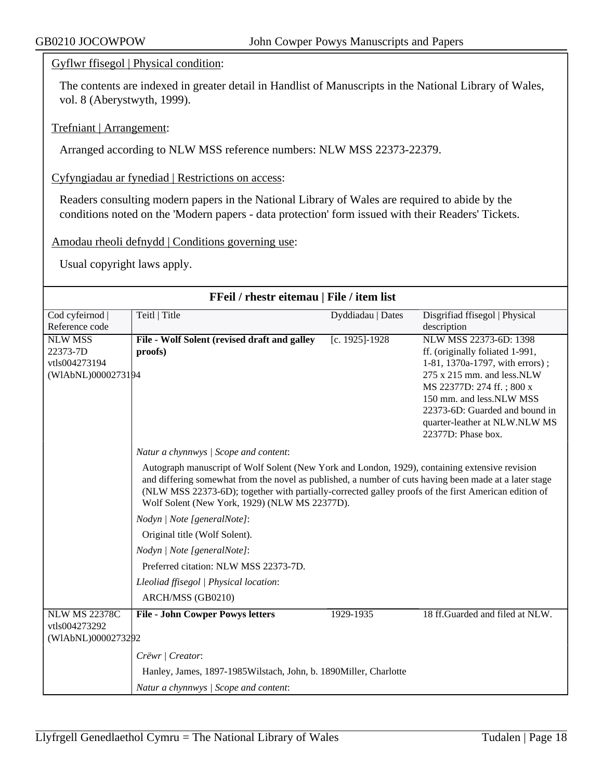Gyflwr ffisegol | Physical condition:

The contents are indexed in greater detail in Handlist of Manuscripts in the National Library of Wales, vol. 8 (Aberystwyth, 1999).

Trefniant | Arrangement:

Arranged according to NLW MSS reference numbers: NLW MSS 22373-22379.

Cyfyngiadau ar fynediad | Restrictions on access:

Readers consulting modern papers in the National Library of Wales are required to abide by the conditions noted on the 'Modern papers - data protection' form issued with their Readers' Tickets.

Amodau rheoli defnydd | Conditions governing use:

Usual copyright laws apply.

| FFeil / rhestr eitemau   File / item list |                                                                                                                                                                                                                                                                                                                                                                   |                   |                                                     |  |
|-------------------------------------------|-------------------------------------------------------------------------------------------------------------------------------------------------------------------------------------------------------------------------------------------------------------------------------------------------------------------------------------------------------------------|-------------------|-----------------------------------------------------|--|
| Cod cyfeirnod  <br>Reference code         | Teitl   Title                                                                                                                                                                                                                                                                                                                                                     | Dyddiadau   Dates | Disgrifiad ffisegol   Physical<br>description       |  |
| <b>NLW MSS</b>                            |                                                                                                                                                                                                                                                                                                                                                                   |                   | NLW MSS 22373-6D: 1398                              |  |
| 22373-7D                                  | File - Wolf Solent (revised draft and galley<br>proofs)                                                                                                                                                                                                                                                                                                           | [c. 1925]-1928    | ff. (originally foliated 1-991,                     |  |
| vtls004273194                             |                                                                                                                                                                                                                                                                                                                                                                   |                   | 1-81, 1370a-1797, with errors);                     |  |
| (WIAbNL)0000273194                        |                                                                                                                                                                                                                                                                                                                                                                   |                   | $275 \times 215$ mm, and less. NLW                  |  |
|                                           |                                                                                                                                                                                                                                                                                                                                                                   |                   | MS 22377D: 274 ff.; 800 x                           |  |
|                                           |                                                                                                                                                                                                                                                                                                                                                                   |                   | 150 mm. and less.NLW MSS                            |  |
|                                           |                                                                                                                                                                                                                                                                                                                                                                   |                   | 22373-6D: Guarded and bound in                      |  |
|                                           |                                                                                                                                                                                                                                                                                                                                                                   |                   | quarter-leather at NLW.NLW MS<br>22377D: Phase box. |  |
|                                           | Natur a chynnwys / Scope and content:                                                                                                                                                                                                                                                                                                                             |                   |                                                     |  |
|                                           |                                                                                                                                                                                                                                                                                                                                                                   |                   |                                                     |  |
|                                           | Autograph manuscript of Wolf Solent (New York and London, 1929), containing extensive revision<br>and differing somewhat from the novel as published, a number of cuts having been made at a later stage<br>(NLW MSS 22373-6D); together with partially-corrected galley proofs of the first American edition of<br>Wolf Solent (New York, 1929) (NLW MS 22377D). |                   |                                                     |  |
|                                           | Nodyn   Note [generalNote]:                                                                                                                                                                                                                                                                                                                                       |                   |                                                     |  |
|                                           | Original title (Wolf Solent).                                                                                                                                                                                                                                                                                                                                     |                   |                                                     |  |
|                                           | Nodyn   Note [generalNote]:                                                                                                                                                                                                                                                                                                                                       |                   |                                                     |  |
|                                           | Preferred citation: NLW MSS 22373-7D.                                                                                                                                                                                                                                                                                                                             |                   |                                                     |  |
|                                           | Lleoliad ffisegol   Physical location:                                                                                                                                                                                                                                                                                                                            |                   |                                                     |  |
|                                           | ARCH/MSS (GB0210)                                                                                                                                                                                                                                                                                                                                                 |                   |                                                     |  |
| <b>NLW MS 22378C</b><br>vtls004273292     | <b>File - John Cowper Powys letters</b>                                                                                                                                                                                                                                                                                                                           | 1929-1935         | 18 ff.Guarded and filed at NLW.                     |  |
| (WIAbNL)0000273292                        |                                                                                                                                                                                                                                                                                                                                                                   |                   |                                                     |  |
|                                           | Crëwr   Creator:                                                                                                                                                                                                                                                                                                                                                  |                   |                                                     |  |
|                                           | Hanley, James, 1897-1985 Wilstach, John, b. 1890 Miller, Charlotte                                                                                                                                                                                                                                                                                                |                   |                                                     |  |
|                                           | Natur a chynnwys / Scope and content:                                                                                                                                                                                                                                                                                                                             |                   |                                                     |  |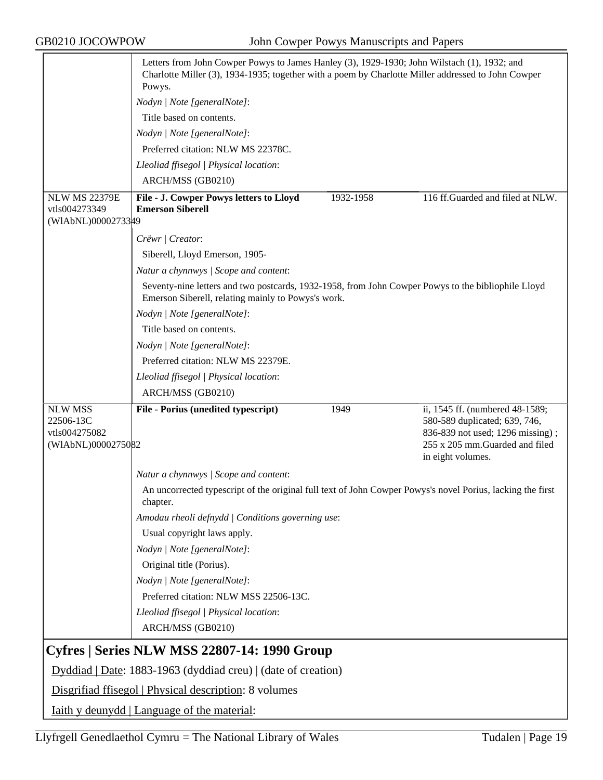|                                                                    | Letters from John Cowper Powys to James Hanley (3), 1929-1930; John Wilstach (1), 1932; and<br>Charlotte Miller (3), 1934-1935; together with a poem by Charlotte Miller addressed to John Cowper<br>Powys. |           |                                                                                                                                                             |  |
|--------------------------------------------------------------------|-------------------------------------------------------------------------------------------------------------------------------------------------------------------------------------------------------------|-----------|-------------------------------------------------------------------------------------------------------------------------------------------------------------|--|
|                                                                    | Nodyn   Note [generalNote]:                                                                                                                                                                                 |           |                                                                                                                                                             |  |
|                                                                    | Title based on contents.                                                                                                                                                                                    |           |                                                                                                                                                             |  |
|                                                                    | Nodyn   Note [generalNote]:                                                                                                                                                                                 |           |                                                                                                                                                             |  |
|                                                                    | Preferred citation: NLW MS 22378C.                                                                                                                                                                          |           |                                                                                                                                                             |  |
|                                                                    | Lleoliad ffisegol   Physical location:                                                                                                                                                                      |           |                                                                                                                                                             |  |
|                                                                    | ARCH/MSS (GB0210)                                                                                                                                                                                           |           |                                                                                                                                                             |  |
| <b>NLW MS 22379E</b>                                               | File - J. Cowper Powys letters to Lloyd                                                                                                                                                                     | 1932-1958 | 116 ff.Guarded and filed at NLW.                                                                                                                            |  |
| vtls004273349<br>(WIAbNL)0000273349                                | <b>Emerson Siberell</b>                                                                                                                                                                                     |           |                                                                                                                                                             |  |
|                                                                    | Crëwr   Creator:                                                                                                                                                                                            |           |                                                                                                                                                             |  |
|                                                                    | Siberell, Lloyd Emerson, 1905-                                                                                                                                                                              |           |                                                                                                                                                             |  |
|                                                                    | Natur a chynnwys / Scope and content:                                                                                                                                                                       |           |                                                                                                                                                             |  |
|                                                                    | Seventy-nine letters and two postcards, 1932-1958, from John Cowper Powys to the bibliophile Lloyd<br>Emerson Siberell, relating mainly to Powys's work.                                                    |           |                                                                                                                                                             |  |
|                                                                    | Nodyn   Note [generalNote]:                                                                                                                                                                                 |           |                                                                                                                                                             |  |
|                                                                    | Title based on contents.                                                                                                                                                                                    |           |                                                                                                                                                             |  |
|                                                                    | Nodyn   Note [generalNote]:                                                                                                                                                                                 |           |                                                                                                                                                             |  |
|                                                                    | Preferred citation: NLW MS 22379E.                                                                                                                                                                          |           |                                                                                                                                                             |  |
|                                                                    | Lleoliad ffisegol   Physical location:                                                                                                                                                                      |           |                                                                                                                                                             |  |
|                                                                    | ARCH/MSS (GB0210)                                                                                                                                                                                           |           |                                                                                                                                                             |  |
| <b>NLW MSS</b><br>22506-13C<br>vtls004275082<br>(WIAbNL)0000275082 | File - Porius (unedited typescript)                                                                                                                                                                         | 1949      | ii, 1545 ff. (numbered 48-1589;<br>580-589 duplicated; 639, 746,<br>836-839 not used; 1296 missing);<br>255 x 205 mm.Guarded and filed<br>in eight volumes. |  |
|                                                                    | Natur a chynnwys / Scope and content:                                                                                                                                                                       |           |                                                                                                                                                             |  |
|                                                                    | An uncorrected typescript of the original full text of John Cowper Powys's novel Porius, lacking the first<br>chapter.                                                                                      |           |                                                                                                                                                             |  |
|                                                                    | Amodau rheoli defnydd   Conditions governing use:                                                                                                                                                           |           |                                                                                                                                                             |  |
|                                                                    | Usual copyright laws apply.                                                                                                                                                                                 |           |                                                                                                                                                             |  |
|                                                                    | Nodyn   Note [generalNote]:                                                                                                                                                                                 |           |                                                                                                                                                             |  |
|                                                                    | Original title (Porius).                                                                                                                                                                                    |           |                                                                                                                                                             |  |
|                                                                    | Nodyn   Note [generalNote]:                                                                                                                                                                                 |           |                                                                                                                                                             |  |
|                                                                    | Preferred citation: NLW MSS 22506-13C.                                                                                                                                                                      |           |                                                                                                                                                             |  |
|                                                                    | Lleoliad ffisegol   Physical location:                                                                                                                                                                      |           |                                                                                                                                                             |  |
|                                                                    | ARCH/MSS (GB0210)                                                                                                                                                                                           |           |                                                                                                                                                             |  |
|                                                                    | Cyfres   Series NLW MSS 22807-14: 1990 Group                                                                                                                                                                |           |                                                                                                                                                             |  |
| Dyddiad   Date: 1883-1963 (dyddiad creu)   (date of creation)      |                                                                                                                                                                                                             |           |                                                                                                                                                             |  |
| Disgrifiad ffisegol   Physical description: 8 volumes              |                                                                                                                                                                                                             |           |                                                                                                                                                             |  |
| <u>Iaith y deunydd   Language of the material:</u>                 |                                                                                                                                                                                                             |           |                                                                                                                                                             |  |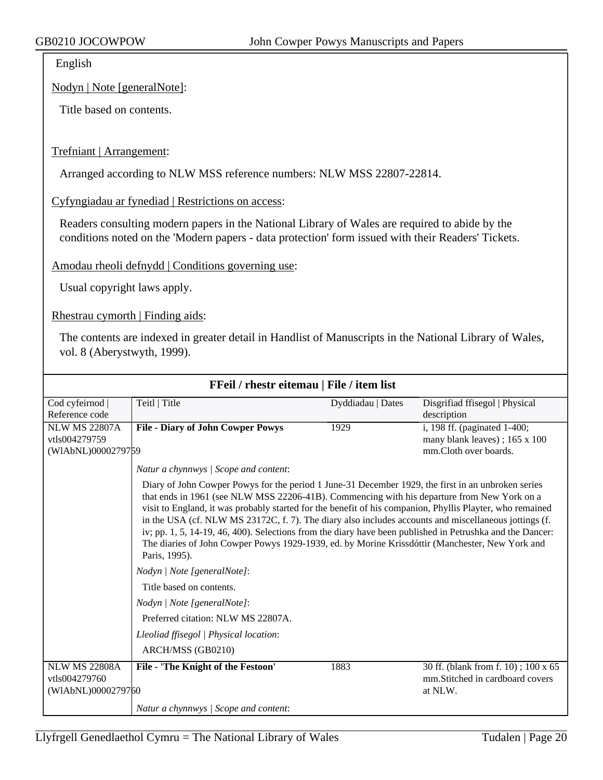English

Nodyn | Note [generalNote]:

Title based on contents.

#### Trefniant | Arrangement:

Arranged according to NLW MSS reference numbers: NLW MSS 22807-22814.

#### Cyfyngiadau ar fynediad | Restrictions on access:

Readers consulting modern papers in the National Library of Wales are required to abide by the conditions noted on the 'Modern papers - data protection' form issued with their Readers' Tickets.

Amodau rheoli defnydd | Conditions governing use:

Usual copyright laws apply.

Rhestrau cymorth | Finding aids:

The contents are indexed in greater detail in Handlist of Manuscripts in the National Library of Wales, vol. 8 (Aberystwyth, 1999).

| FFeil / rhestr eitemau   File / item list                   |                                                                                                                                                                                                                                                                                                                                                                                                                                                                                                                                                                                                                                                          |                   |                                                                                    |  |
|-------------------------------------------------------------|----------------------------------------------------------------------------------------------------------------------------------------------------------------------------------------------------------------------------------------------------------------------------------------------------------------------------------------------------------------------------------------------------------------------------------------------------------------------------------------------------------------------------------------------------------------------------------------------------------------------------------------------------------|-------------------|------------------------------------------------------------------------------------|--|
| Cod cyfeirnod                                               | Teitl   Title                                                                                                                                                                                                                                                                                                                                                                                                                                                                                                                                                                                                                                            | Dyddiadau   Dates | Disgrifiad ffisegol   Physical                                                     |  |
| Reference code                                              |                                                                                                                                                                                                                                                                                                                                                                                                                                                                                                                                                                                                                                                          |                   | description                                                                        |  |
| <b>NLW MS 22807A</b>                                        | <b>File - Diary of John Cowper Powys</b>                                                                                                                                                                                                                                                                                                                                                                                                                                                                                                                                                                                                                 | 1929              | i, 198 ff. (paginated 1-400;                                                       |  |
| vtls004279759                                               |                                                                                                                                                                                                                                                                                                                                                                                                                                                                                                                                                                                                                                                          |                   | many blank leaves); 165 x 100                                                      |  |
| (WIAbNL)0000279759                                          |                                                                                                                                                                                                                                                                                                                                                                                                                                                                                                                                                                                                                                                          |                   | mm.Cloth over boards.                                                              |  |
|                                                             | Natur a chynnwys / Scope and content:                                                                                                                                                                                                                                                                                                                                                                                                                                                                                                                                                                                                                    |                   |                                                                                    |  |
|                                                             | Diary of John Cowper Powys for the period 1 June-31 December 1929, the first in an unbroken series<br>that ends in 1961 (see NLW MSS 22206-41B). Commencing with his departure from New York on a<br>visit to England, it was probably started for the benefit of his companion, Phyllis Playter, who remained<br>in the USA (cf. NLW MS 23172C, f. 7). The diary also includes accounts and miscellaneous jottings (f.<br>iv; pp. 1, 5, 14-19, 46, 400). Selections from the diary have been published in Petrushka and the Dancer:<br>The diaries of John Cowper Powys 1929-1939, ed. by Morine Krissdóttir (Manchester, New York and<br>Paris, 1995). |                   |                                                                                    |  |
|                                                             | Nodyn   Note [generalNote]:                                                                                                                                                                                                                                                                                                                                                                                                                                                                                                                                                                                                                              |                   |                                                                                    |  |
|                                                             | Title based on contents.                                                                                                                                                                                                                                                                                                                                                                                                                                                                                                                                                                                                                                 |                   |                                                                                    |  |
|                                                             | Nodyn   Note [generalNote]:                                                                                                                                                                                                                                                                                                                                                                                                                                                                                                                                                                                                                              |                   |                                                                                    |  |
|                                                             | Preferred citation: NLW MS 22807A.                                                                                                                                                                                                                                                                                                                                                                                                                                                                                                                                                                                                                       |                   |                                                                                    |  |
|                                                             | Lleoliad ffisegol   Physical location:                                                                                                                                                                                                                                                                                                                                                                                                                                                                                                                                                                                                                   |                   |                                                                                    |  |
|                                                             | ARCH/MSS (GB0210)                                                                                                                                                                                                                                                                                                                                                                                                                                                                                                                                                                                                                                        |                   |                                                                                    |  |
| <b>NLW MS 22808A</b><br>vtls004279760<br>(WIAbNL)0000279760 | File - 'The Knight of the Festoon'                                                                                                                                                                                                                                                                                                                                                                                                                                                                                                                                                                                                                       | 1883              | 30 ff. (blank from f. 10); 100 x 65<br>mm. Stitched in cardboard covers<br>at NLW. |  |
|                                                             | Natur a chynnwys / Scope and content:                                                                                                                                                                                                                                                                                                                                                                                                                                                                                                                                                                                                                    |                   |                                                                                    |  |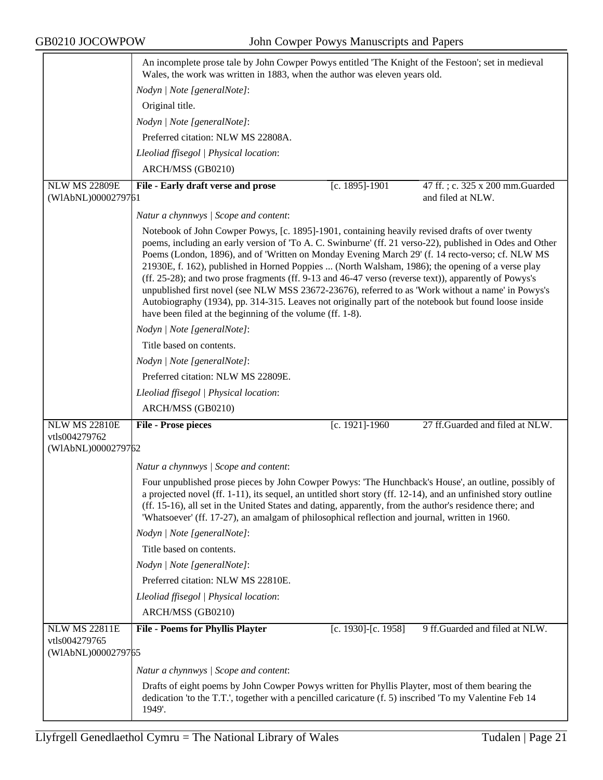|                                     | An incomplete prose tale by John Cowper Powys entitled 'The Knight of the Festoon'; set in medieval                                                                                                                                                                                                                                                                                                                                                                                                                                                                                                                                                                                                                                                                                                     |  |  |
|-------------------------------------|---------------------------------------------------------------------------------------------------------------------------------------------------------------------------------------------------------------------------------------------------------------------------------------------------------------------------------------------------------------------------------------------------------------------------------------------------------------------------------------------------------------------------------------------------------------------------------------------------------------------------------------------------------------------------------------------------------------------------------------------------------------------------------------------------------|--|--|
|                                     | Wales, the work was written in 1883, when the author was eleven years old.                                                                                                                                                                                                                                                                                                                                                                                                                                                                                                                                                                                                                                                                                                                              |  |  |
|                                     | Nodyn   Note [generalNote]:                                                                                                                                                                                                                                                                                                                                                                                                                                                                                                                                                                                                                                                                                                                                                                             |  |  |
|                                     | Original title.                                                                                                                                                                                                                                                                                                                                                                                                                                                                                                                                                                                                                                                                                                                                                                                         |  |  |
|                                     | Nodyn   Note [generalNote]:                                                                                                                                                                                                                                                                                                                                                                                                                                                                                                                                                                                                                                                                                                                                                                             |  |  |
|                                     | Preferred citation: NLW MS 22808A.                                                                                                                                                                                                                                                                                                                                                                                                                                                                                                                                                                                                                                                                                                                                                                      |  |  |
|                                     | Lleoliad ffisegol   Physical location:                                                                                                                                                                                                                                                                                                                                                                                                                                                                                                                                                                                                                                                                                                                                                                  |  |  |
|                                     | ARCH/MSS (GB0210)                                                                                                                                                                                                                                                                                                                                                                                                                                                                                                                                                                                                                                                                                                                                                                                       |  |  |
| <b>NLW MS 22809E</b>                | [c. 1895]-1901<br>47 ff.; c. 325 x 200 mm. Guarded<br>File - Early draft verse and prose                                                                                                                                                                                                                                                                                                                                                                                                                                                                                                                                                                                                                                                                                                                |  |  |
| (WIAbNL)0000279761                  | and filed at NLW.                                                                                                                                                                                                                                                                                                                                                                                                                                                                                                                                                                                                                                                                                                                                                                                       |  |  |
|                                     | Natur a chynnwys / Scope and content:                                                                                                                                                                                                                                                                                                                                                                                                                                                                                                                                                                                                                                                                                                                                                                   |  |  |
|                                     | Notebook of John Cowper Powys, [c. 1895]-1901, containing heavily revised drafts of over twenty<br>poems, including an early version of 'To A. C. Swinburne' (ff. 21 verso-22), published in Odes and Other<br>Poems (London, 1896), and of 'Written on Monday Evening March 29' (f. 14 recto-verso; cf. NLW MS<br>21930E, f. 162), published in Horned Poppies  (North Walsham, 1986); the opening of a verse play<br>(ff. 25-28); and two prose fragments (ff. 9-13 and 46-47 verso (reverse text)), apparently of Powys's<br>unpublished first novel (see NLW MSS 23672-23676), referred to as 'Work without a name' in Powys's<br>Autobiography (1934), pp. 314-315. Leaves not originally part of the notebook but found loose inside<br>have been filed at the beginning of the volume (ff. 1-8). |  |  |
|                                     | Nodyn   Note [generalNote]:                                                                                                                                                                                                                                                                                                                                                                                                                                                                                                                                                                                                                                                                                                                                                                             |  |  |
|                                     | Title based on contents.                                                                                                                                                                                                                                                                                                                                                                                                                                                                                                                                                                                                                                                                                                                                                                                |  |  |
|                                     | Nodyn   Note [generalNote]:                                                                                                                                                                                                                                                                                                                                                                                                                                                                                                                                                                                                                                                                                                                                                                             |  |  |
|                                     | Preferred citation: NLW MS 22809E.                                                                                                                                                                                                                                                                                                                                                                                                                                                                                                                                                                                                                                                                                                                                                                      |  |  |
|                                     | Lleoliad ffisegol   Physical location:                                                                                                                                                                                                                                                                                                                                                                                                                                                                                                                                                                                                                                                                                                                                                                  |  |  |
|                                     | ARCH/MSS (GB0210)                                                                                                                                                                                                                                                                                                                                                                                                                                                                                                                                                                                                                                                                                                                                                                                       |  |  |
| <b>NLW MS 22810E</b>                | [c. 1921]-1960<br>27 ff.Guarded and filed at NLW.<br><b>File - Prose pieces</b>                                                                                                                                                                                                                                                                                                                                                                                                                                                                                                                                                                                                                                                                                                                         |  |  |
| vtls004279762                       |                                                                                                                                                                                                                                                                                                                                                                                                                                                                                                                                                                                                                                                                                                                                                                                                         |  |  |
| (WIAbNL)0000279762                  |                                                                                                                                                                                                                                                                                                                                                                                                                                                                                                                                                                                                                                                                                                                                                                                                         |  |  |
|                                     | Natur a chynnwys / Scope and content:                                                                                                                                                                                                                                                                                                                                                                                                                                                                                                                                                                                                                                                                                                                                                                   |  |  |
|                                     | Four unpublished prose pieces by John Cowper Powys: 'The Hunchback's House', an outline, possibly of<br>a projected novel (ff. 1-11), its sequel, an untitled short story (ff. 12-14), and an unfinished story outline<br>(ff. 15-16), all set in the United States and dating, apparently, from the author's residence there; and<br>'Whatsoever' (ff. 17-27), an amalgam of philosophical reflection and journal, written in 1960.                                                                                                                                                                                                                                                                                                                                                                    |  |  |
|                                     | Nodyn   Note [generalNote]:                                                                                                                                                                                                                                                                                                                                                                                                                                                                                                                                                                                                                                                                                                                                                                             |  |  |
|                                     | Title based on contents.                                                                                                                                                                                                                                                                                                                                                                                                                                                                                                                                                                                                                                                                                                                                                                                |  |  |
|                                     | Nodyn   Note [generalNote]:                                                                                                                                                                                                                                                                                                                                                                                                                                                                                                                                                                                                                                                                                                                                                                             |  |  |
|                                     | Preferred citation: NLW MS 22810E.                                                                                                                                                                                                                                                                                                                                                                                                                                                                                                                                                                                                                                                                                                                                                                      |  |  |
|                                     | Lleoliad ffisegol   Physical location:                                                                                                                                                                                                                                                                                                                                                                                                                                                                                                                                                                                                                                                                                                                                                                  |  |  |
|                                     | ARCH/MSS (GB0210)                                                                                                                                                                                                                                                                                                                                                                                                                                                                                                                                                                                                                                                                                                                                                                                       |  |  |
| <b>NLW MS 22811E</b>                | [c. 1930]-[c. 1958]<br>9 ff.Guarded and filed at NLW.<br><b>File - Poems for Phyllis Playter</b>                                                                                                                                                                                                                                                                                                                                                                                                                                                                                                                                                                                                                                                                                                        |  |  |
| vtls004279765<br>(WIAbNL)0000279765 |                                                                                                                                                                                                                                                                                                                                                                                                                                                                                                                                                                                                                                                                                                                                                                                                         |  |  |
|                                     |                                                                                                                                                                                                                                                                                                                                                                                                                                                                                                                                                                                                                                                                                                                                                                                                         |  |  |
|                                     | Natur a chynnwys / Scope and content:                                                                                                                                                                                                                                                                                                                                                                                                                                                                                                                                                                                                                                                                                                                                                                   |  |  |
|                                     | Drafts of eight poems by John Cowper Powys written for Phyllis Playter, most of them bearing the<br>dedication 'to the T.T.', together with a pencilled caricature (f. 5) inscribed 'To my Valentine Feb 14<br>1949'.                                                                                                                                                                                                                                                                                                                                                                                                                                                                                                                                                                                   |  |  |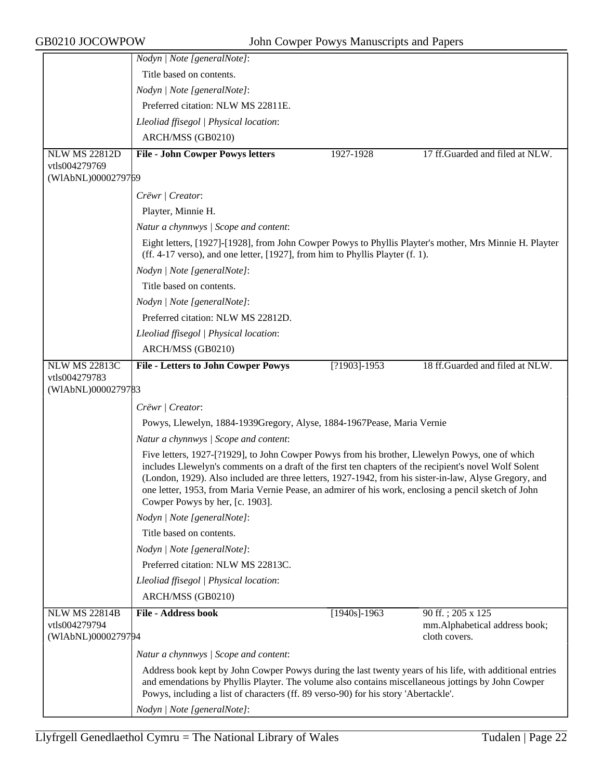|                                     | Nodyn   Note [generalNote]:                                                                                                                                                                                                                                                                                                                                                                                                                                    |                  |                                                |
|-------------------------------------|----------------------------------------------------------------------------------------------------------------------------------------------------------------------------------------------------------------------------------------------------------------------------------------------------------------------------------------------------------------------------------------------------------------------------------------------------------------|------------------|------------------------------------------------|
|                                     | Title based on contents.                                                                                                                                                                                                                                                                                                                                                                                                                                       |                  |                                                |
|                                     | Nodyn   Note [generalNote]:                                                                                                                                                                                                                                                                                                                                                                                                                                    |                  |                                                |
|                                     | Preferred citation: NLW MS 22811E.                                                                                                                                                                                                                                                                                                                                                                                                                             |                  |                                                |
|                                     | Lleoliad ffisegol   Physical location:                                                                                                                                                                                                                                                                                                                                                                                                                         |                  |                                                |
|                                     | ARCH/MSS (GB0210)                                                                                                                                                                                                                                                                                                                                                                                                                                              |                  |                                                |
| <b>NLW MS 22812D</b>                | <b>File - John Cowper Powys letters</b>                                                                                                                                                                                                                                                                                                                                                                                                                        | 1927-1928        | 17 ff.Guarded and filed at NLW.                |
| vtls004279769                       |                                                                                                                                                                                                                                                                                                                                                                                                                                                                |                  |                                                |
| (WIAbNL)0000279769                  |                                                                                                                                                                                                                                                                                                                                                                                                                                                                |                  |                                                |
|                                     | Crëwr   Creator:                                                                                                                                                                                                                                                                                                                                                                                                                                               |                  |                                                |
|                                     | Playter, Minnie H.                                                                                                                                                                                                                                                                                                                                                                                                                                             |                  |                                                |
|                                     | Natur a chynnwys / Scope and content:                                                                                                                                                                                                                                                                                                                                                                                                                          |                  |                                                |
|                                     | Eight letters, [1927]-[1928], from John Cowper Powys to Phyllis Playter's mother, Mrs Minnie H. Playter<br>(ff. 4-17 verso), and one letter, [1927], from him to Phyllis Playter (f. 1).                                                                                                                                                                                                                                                                       |                  |                                                |
|                                     | Nodyn   Note [generalNote]:                                                                                                                                                                                                                                                                                                                                                                                                                                    |                  |                                                |
|                                     | Title based on contents.                                                                                                                                                                                                                                                                                                                                                                                                                                       |                  |                                                |
|                                     | Nodyn   Note [generalNote]:                                                                                                                                                                                                                                                                                                                                                                                                                                    |                  |                                                |
|                                     | Preferred citation: NLW MS 22812D.                                                                                                                                                                                                                                                                                                                                                                                                                             |                  |                                                |
|                                     | Lleoliad ffisegol   Physical location:                                                                                                                                                                                                                                                                                                                                                                                                                         |                  |                                                |
|                                     | ARCH/MSS (GB0210)                                                                                                                                                                                                                                                                                                                                                                                                                                              |                  |                                                |
| <b>NLW MS 22813C</b>                | <b>File - Letters to John Cowper Powys</b>                                                                                                                                                                                                                                                                                                                                                                                                                     | $[?1903] - 1953$ | 18 ff.Guarded and filed at NLW.                |
| vtls004279783<br>(WIAbNL)0000279783 |                                                                                                                                                                                                                                                                                                                                                                                                                                                                |                  |                                                |
|                                     |                                                                                                                                                                                                                                                                                                                                                                                                                                                                |                  |                                                |
|                                     | Crëwr   Creator:                                                                                                                                                                                                                                                                                                                                                                                                                                               |                  |                                                |
|                                     | Powys, Llewelyn, 1884-1939Gregory, Alyse, 1884-1967Pease, Maria Vernie                                                                                                                                                                                                                                                                                                                                                                                         |                  |                                                |
|                                     | Natur a chynnwys / Scope and content:                                                                                                                                                                                                                                                                                                                                                                                                                          |                  |                                                |
|                                     | Five letters, 1927-[?1929], to John Cowper Powys from his brother, Llewelyn Powys, one of which<br>includes Llewelyn's comments on a draft of the first ten chapters of the recipient's novel Wolf Solent<br>(London, 1929). Also included are three letters, 1927-1942, from his sister-in-law, Alyse Gregory, and<br>one letter, 1953, from Maria Vernie Pease, an admirer of his work, enclosing a pencil sketch of John<br>Cowper Powys by her, [c. 1903]. |                  |                                                |
|                                     | Nodyn   Note [generalNote]:                                                                                                                                                                                                                                                                                                                                                                                                                                    |                  |                                                |
|                                     | Title based on contents.                                                                                                                                                                                                                                                                                                                                                                                                                                       |                  |                                                |
|                                     | Nodyn   Note [generalNote]:                                                                                                                                                                                                                                                                                                                                                                                                                                    |                  |                                                |
|                                     | Preferred citation: NLW MS 22813C.                                                                                                                                                                                                                                                                                                                                                                                                                             |                  |                                                |
|                                     | Lleoliad ffisegol   Physical location:                                                                                                                                                                                                                                                                                                                                                                                                                         |                  |                                                |
|                                     | ARCH/MSS (GB0210)                                                                                                                                                                                                                                                                                                                                                                                                                                              |                  |                                                |
| <b>NLW MS 22814B</b>                | <b>File - Address book</b>                                                                                                                                                                                                                                                                                                                                                                                                                                     | $[1940s]$ -1963  | 90 ff.; 205 x 125                              |
| vtls004279794<br>(WIAbNL)0000279794 |                                                                                                                                                                                                                                                                                                                                                                                                                                                                |                  | mm.Alphabetical address book;<br>cloth covers. |
|                                     |                                                                                                                                                                                                                                                                                                                                                                                                                                                                |                  |                                                |
|                                     | Natur a chynnwys / Scope and content:                                                                                                                                                                                                                                                                                                                                                                                                                          |                  |                                                |
|                                     | Address book kept by John Cowper Powys during the last twenty years of his life, with additional entries<br>and emendations by Phyllis Playter. The volume also contains miscellaneous jottings by John Cowper<br>Powys, including a list of characters (ff. 89 verso-90) for his story 'Abertackle'.                                                                                                                                                          |                  |                                                |
|                                     | Nodyn   Note [generalNote]:                                                                                                                                                                                                                                                                                                                                                                                                                                    |                  |                                                |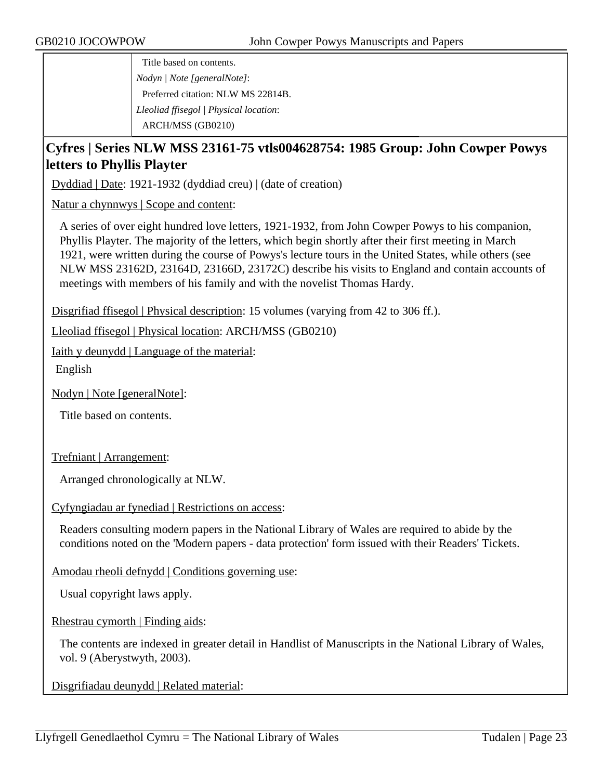Title based on contents. *Nodyn | Note [generalNote]*: Preferred citation: NLW MS 22814B. *Lleoliad ffisegol | Physical location*: ARCH/MSS (GB0210)

## **Cyfres | Series NLW MSS 23161-75 vtls004628754: 1985 Group: John Cowper Powys letters to Phyllis Playter**

Dyddiad | Date: 1921-1932 (dyddiad creu) | (date of creation)

Natur a chynnwys | Scope and content:

A series of over eight hundred love letters, 1921-1932, from John Cowper Powys to his companion, Phyllis Playter. The majority of the letters, which begin shortly after their first meeting in March 1921, were written during the course of Powys's lecture tours in the United States, while others (see NLW MSS 23162D, 23164D, 23166D, 23172C) describe his visits to England and contain accounts of meetings with members of his family and with the novelist Thomas Hardy.

Disgrifiad ffisegol | Physical description: 15 volumes (varying from 42 to 306 ff.).

Lleoliad ffisegol | Physical location: ARCH/MSS (GB0210)

Iaith y deunydd | Language of the material:

English

Nodyn | Note [generalNote]:

Title based on contents.

Trefniant | Arrangement:

Arranged chronologically at NLW.

Cyfyngiadau ar fynediad | Restrictions on access:

Readers consulting modern papers in the National Library of Wales are required to abide by the conditions noted on the 'Modern papers - data protection' form issued with their Readers' Tickets.

Amodau rheoli defnydd | Conditions governing use:

Usual copyright laws apply.

Rhestrau cymorth | Finding aids:

The contents are indexed in greater detail in Handlist of Manuscripts in the National Library of Wales, vol. 9 (Aberystwyth, 2003).

Disgrifiadau deunydd | Related material: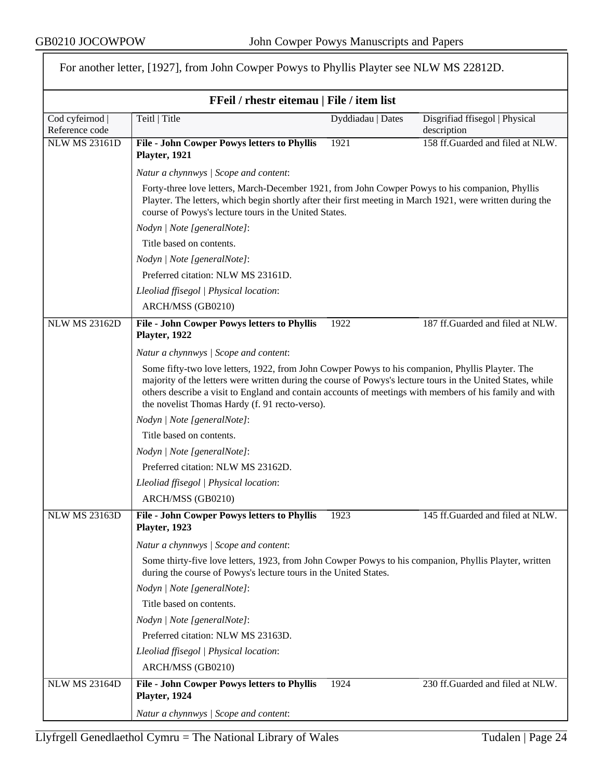$\overline{r}$ 

|                                   | FFeil / rhestr eitemau   File / item list                                                                                                                                                                                                                                                                                                                                    |                   |                                               |  |
|-----------------------------------|------------------------------------------------------------------------------------------------------------------------------------------------------------------------------------------------------------------------------------------------------------------------------------------------------------------------------------------------------------------------------|-------------------|-----------------------------------------------|--|
| Cod cyfeirnod  <br>Reference code | Teitl   Title                                                                                                                                                                                                                                                                                                                                                                | Dyddiadau   Dates | Disgrifiad ffisegol   Physical<br>description |  |
| <b>NLW MS 23161D</b>              | <b>File - John Cowper Powys letters to Phyllis</b><br>Playter, 1921                                                                                                                                                                                                                                                                                                          | 1921              | 158 ff.Guarded and filed at NLW.              |  |
|                                   | Natur a chynnwys / Scope and content:                                                                                                                                                                                                                                                                                                                                        |                   |                                               |  |
|                                   | Forty-three love letters, March-December 1921, from John Cowper Powys to his companion, Phyllis<br>Playter. The letters, which begin shortly after their first meeting in March 1921, were written during the<br>course of Powys's lecture tours in the United States.                                                                                                       |                   |                                               |  |
|                                   | Nodyn   Note [generalNote]:                                                                                                                                                                                                                                                                                                                                                  |                   |                                               |  |
|                                   | Title based on contents.                                                                                                                                                                                                                                                                                                                                                     |                   |                                               |  |
|                                   | Nodyn   Note [generalNote]:                                                                                                                                                                                                                                                                                                                                                  |                   |                                               |  |
|                                   | Preferred citation: NLW MS 23161D.                                                                                                                                                                                                                                                                                                                                           |                   |                                               |  |
|                                   | Lleoliad ffisegol   Physical location:                                                                                                                                                                                                                                                                                                                                       |                   |                                               |  |
|                                   | ARCH/MSS (GB0210)                                                                                                                                                                                                                                                                                                                                                            |                   |                                               |  |
| <b>NLW MS 23162D</b>              | <b>File - John Cowper Powys letters to Phyllis</b><br>Playter, 1922                                                                                                                                                                                                                                                                                                          | 1922              | 187 ff.Guarded and filed at NLW.              |  |
|                                   | Natur a chynnwys / Scope and content:                                                                                                                                                                                                                                                                                                                                        |                   |                                               |  |
|                                   | Some fifty-two love letters, 1922, from John Cowper Powys to his companion, Phyllis Playter. The<br>majority of the letters were written during the course of Powys's lecture tours in the United States, while<br>others describe a visit to England and contain accounts of meetings with members of his family and with<br>the novelist Thomas Hardy (f. 91 recto-verso). |                   |                                               |  |
|                                   | Nodyn   Note [generalNote]:                                                                                                                                                                                                                                                                                                                                                  |                   |                                               |  |
|                                   | Title based on contents.                                                                                                                                                                                                                                                                                                                                                     |                   |                                               |  |
|                                   | Nodyn   Note [generalNote]:                                                                                                                                                                                                                                                                                                                                                  |                   |                                               |  |
|                                   | Preferred citation: NLW MS 23162D.                                                                                                                                                                                                                                                                                                                                           |                   |                                               |  |
|                                   | Lleoliad ffisegol   Physical location:                                                                                                                                                                                                                                                                                                                                       |                   |                                               |  |
|                                   | ARCH/MSS (GB0210)                                                                                                                                                                                                                                                                                                                                                            |                   |                                               |  |
| <b>NLW MS 23163D</b>              | <b>File - John Cowper Powys letters to Phyllis</b><br>Playter, 1923                                                                                                                                                                                                                                                                                                          | 1923              | 145 ff.Guarded and filed at NLW.              |  |
|                                   | Natur a chynnwys / Scope and content:                                                                                                                                                                                                                                                                                                                                        |                   |                                               |  |
|                                   | Some thirty-five love letters, 1923, from John Cowper Powys to his companion, Phyllis Playter, written<br>during the course of Powys's lecture tours in the United States.                                                                                                                                                                                                   |                   |                                               |  |
|                                   | Nodyn   Note [generalNote]:                                                                                                                                                                                                                                                                                                                                                  |                   |                                               |  |
|                                   | Title based on contents.                                                                                                                                                                                                                                                                                                                                                     |                   |                                               |  |
|                                   | Nodyn   Note [generalNote]:                                                                                                                                                                                                                                                                                                                                                  |                   |                                               |  |
|                                   | Preferred citation: NLW MS 23163D.                                                                                                                                                                                                                                                                                                                                           |                   |                                               |  |
|                                   | Lleoliad ffisegol   Physical location:                                                                                                                                                                                                                                                                                                                                       |                   |                                               |  |
|                                   | ARCH/MSS (GB0210)                                                                                                                                                                                                                                                                                                                                                            |                   |                                               |  |
| <b>NLW MS 23164D</b>              | <b>File - John Cowper Powys letters to Phyllis</b><br>Playter, 1924                                                                                                                                                                                                                                                                                                          | 1924              | 230 ff.Guarded and filed at NLW.              |  |
|                                   | Natur a chynnwys / Scope and content:                                                                                                                                                                                                                                                                                                                                        |                   |                                               |  |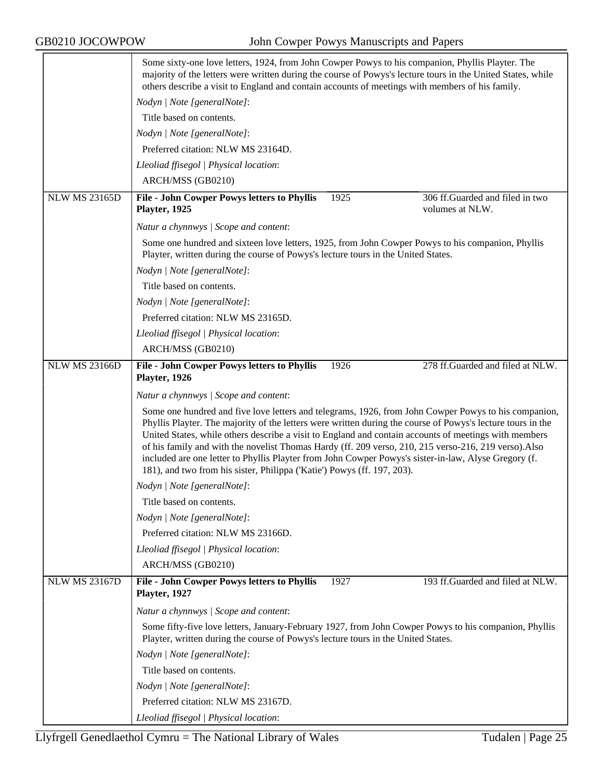|                      | Some sixty-one love letters, 1924, from John Cowper Powys to his companion, Phyllis Playter. The<br>majority of the letters were written during the course of Powys's lecture tours in the United States, while<br>others describe a visit to England and contain accounts of meetings with members of his family.                                                                                                                                                                                                                                                                                                       |  |  |
|----------------------|--------------------------------------------------------------------------------------------------------------------------------------------------------------------------------------------------------------------------------------------------------------------------------------------------------------------------------------------------------------------------------------------------------------------------------------------------------------------------------------------------------------------------------------------------------------------------------------------------------------------------|--|--|
|                      | Nodyn   Note [generalNote]:                                                                                                                                                                                                                                                                                                                                                                                                                                                                                                                                                                                              |  |  |
|                      | Title based on contents.                                                                                                                                                                                                                                                                                                                                                                                                                                                                                                                                                                                                 |  |  |
|                      | Nodyn   Note [generalNote]:                                                                                                                                                                                                                                                                                                                                                                                                                                                                                                                                                                                              |  |  |
|                      | Preferred citation: NLW MS 23164D.                                                                                                                                                                                                                                                                                                                                                                                                                                                                                                                                                                                       |  |  |
|                      | Lleoliad ffisegol   Physical location:                                                                                                                                                                                                                                                                                                                                                                                                                                                                                                                                                                                   |  |  |
|                      | ARCH/MSS (GB0210)                                                                                                                                                                                                                                                                                                                                                                                                                                                                                                                                                                                                        |  |  |
| <b>NLW MS 23165D</b> | 1925<br>306 ff.Guarded and filed in two<br>File - John Cowper Powys letters to Phyllis<br>volumes at NLW.<br>Playter, 1925                                                                                                                                                                                                                                                                                                                                                                                                                                                                                               |  |  |
|                      | Natur a chynnwys / Scope and content:                                                                                                                                                                                                                                                                                                                                                                                                                                                                                                                                                                                    |  |  |
|                      | Some one hundred and sixteen love letters, 1925, from John Cowper Powys to his companion, Phyllis<br>Playter, written during the course of Powys's lecture tours in the United States.                                                                                                                                                                                                                                                                                                                                                                                                                                   |  |  |
|                      | Nodyn   Note [generalNote]:                                                                                                                                                                                                                                                                                                                                                                                                                                                                                                                                                                                              |  |  |
|                      | Title based on contents.                                                                                                                                                                                                                                                                                                                                                                                                                                                                                                                                                                                                 |  |  |
|                      | Nodyn   Note [generalNote]:                                                                                                                                                                                                                                                                                                                                                                                                                                                                                                                                                                                              |  |  |
|                      | Preferred citation: NLW MS 23165D.                                                                                                                                                                                                                                                                                                                                                                                                                                                                                                                                                                                       |  |  |
|                      | Lleoliad ffisegol   Physical location:                                                                                                                                                                                                                                                                                                                                                                                                                                                                                                                                                                                   |  |  |
|                      | ARCH/MSS (GB0210)                                                                                                                                                                                                                                                                                                                                                                                                                                                                                                                                                                                                        |  |  |
| <b>NLW MS 23166D</b> | 278 ff.Guarded and filed at NLW.<br>File - John Cowper Powys letters to Phyllis<br>1926                                                                                                                                                                                                                                                                                                                                                                                                                                                                                                                                  |  |  |
|                      | Playter, 1926                                                                                                                                                                                                                                                                                                                                                                                                                                                                                                                                                                                                            |  |  |
|                      | Natur a chynnwys / Scope and content:                                                                                                                                                                                                                                                                                                                                                                                                                                                                                                                                                                                    |  |  |
|                      | Some one hundred and five love letters and telegrams, 1926, from John Cowper Powys to his companion,<br>Phyllis Playter. The majority of the letters were written during the course of Powys's lecture tours in the<br>United States, while others describe a visit to England and contain accounts of meetings with members<br>of his family and with the novelist Thomas Hardy (ff. 209 verso, 210, 215 verso-216, 219 verso). Also<br>included are one letter to Phyllis Playter from John Cowper Powys's sister-in-law, Alyse Gregory (f.<br>181), and two from his sister, Philippa ('Katie') Powys (ff. 197, 203). |  |  |
|                      | Nodyn   Note [generalNote]:                                                                                                                                                                                                                                                                                                                                                                                                                                                                                                                                                                                              |  |  |
|                      | Title based on contents.                                                                                                                                                                                                                                                                                                                                                                                                                                                                                                                                                                                                 |  |  |
|                      | Nodyn   Note [generalNote]:                                                                                                                                                                                                                                                                                                                                                                                                                                                                                                                                                                                              |  |  |
|                      | Preferred citation: NLW MS 23166D.                                                                                                                                                                                                                                                                                                                                                                                                                                                                                                                                                                                       |  |  |
|                      | Lleoliad ffisegol   Physical location:                                                                                                                                                                                                                                                                                                                                                                                                                                                                                                                                                                                   |  |  |
|                      | ARCH/MSS (GB0210)                                                                                                                                                                                                                                                                                                                                                                                                                                                                                                                                                                                                        |  |  |
| <b>NLW MS 23167D</b> | 193 ff.Guarded and filed at NLW.<br><b>File - John Cowper Powys letters to Phyllis</b><br>1927<br>Playter, 1927                                                                                                                                                                                                                                                                                                                                                                                                                                                                                                          |  |  |
|                      | Natur a chynnwys / Scope and content:                                                                                                                                                                                                                                                                                                                                                                                                                                                                                                                                                                                    |  |  |
|                      | Some fifty-five love letters, January-February 1927, from John Cowper Powys to his companion, Phyllis<br>Playter, written during the course of Powys's lecture tours in the United States.                                                                                                                                                                                                                                                                                                                                                                                                                               |  |  |
|                      | Nodyn   Note [generalNote]:                                                                                                                                                                                                                                                                                                                                                                                                                                                                                                                                                                                              |  |  |
|                      | Title based on contents.                                                                                                                                                                                                                                                                                                                                                                                                                                                                                                                                                                                                 |  |  |
|                      | Nodyn   Note [generalNote]:                                                                                                                                                                                                                                                                                                                                                                                                                                                                                                                                                                                              |  |  |
|                      | Preferred citation: NLW MS 23167D.                                                                                                                                                                                                                                                                                                                                                                                                                                                                                                                                                                                       |  |  |
|                      | Lleoliad ffisegol   Physical location:                                                                                                                                                                                                                                                                                                                                                                                                                                                                                                                                                                                   |  |  |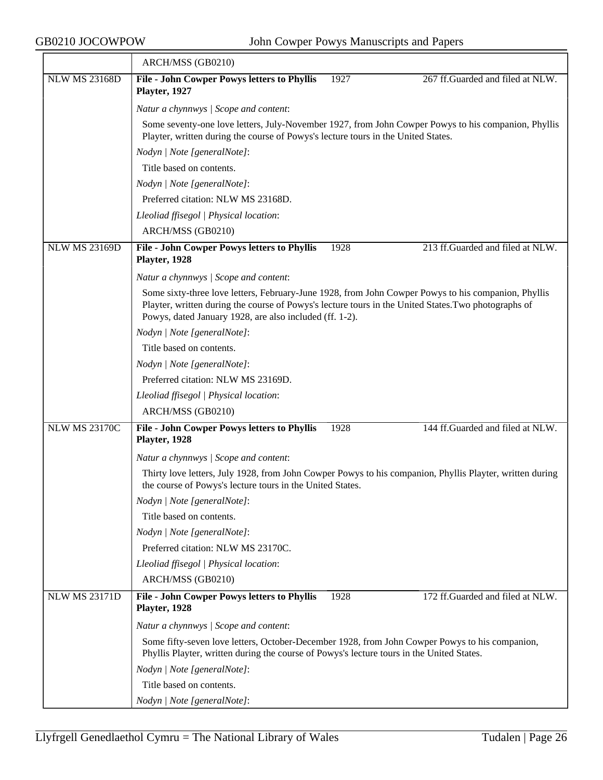|                      | ARCH/MSS (GB0210)                                                                                                                                                                                                                                                      |  |  |  |
|----------------------|------------------------------------------------------------------------------------------------------------------------------------------------------------------------------------------------------------------------------------------------------------------------|--|--|--|
| <b>NLW MS 23168D</b> | File - John Cowper Powys letters to Phyllis<br>1927<br>267 ff.Guarded and filed at NLW.<br>Playter, 1927                                                                                                                                                               |  |  |  |
|                      | Natur a chynnwys / Scope and content:                                                                                                                                                                                                                                  |  |  |  |
|                      | Some seventy-one love letters, July-November 1927, from John Cowper Powys to his companion, Phyllis<br>Playter, written during the course of Powys's lecture tours in the United States.                                                                               |  |  |  |
|                      | Nodyn   Note [generalNote]:                                                                                                                                                                                                                                            |  |  |  |
|                      | Title based on contents.                                                                                                                                                                                                                                               |  |  |  |
|                      | Nodyn   Note [generalNote]:                                                                                                                                                                                                                                            |  |  |  |
|                      | Preferred citation: NLW MS 23168D.                                                                                                                                                                                                                                     |  |  |  |
|                      | Lleoliad ffisegol   Physical location:                                                                                                                                                                                                                                 |  |  |  |
|                      | ARCH/MSS (GB0210)                                                                                                                                                                                                                                                      |  |  |  |
| <b>NLW MS 23169D</b> | 213 ff.Guarded and filed at NLW.<br>File - John Cowper Powys letters to Phyllis<br>1928<br>Playter, 1928                                                                                                                                                               |  |  |  |
|                      | Natur a chynnwys / Scope and content:                                                                                                                                                                                                                                  |  |  |  |
|                      | Some sixty-three love letters, February-June 1928, from John Cowper Powys to his companion, Phyllis<br>Playter, written during the course of Powys's lecture tours in the United States. Two photographs of<br>Powys, dated January 1928, are also included (ff. 1-2). |  |  |  |
|                      | Nodyn   Note [generalNote]:                                                                                                                                                                                                                                            |  |  |  |
|                      | Title based on contents.                                                                                                                                                                                                                                               |  |  |  |
|                      | Nodyn   Note [generalNote]:                                                                                                                                                                                                                                            |  |  |  |
|                      | Preferred citation: NLW MS 23169D.                                                                                                                                                                                                                                     |  |  |  |
|                      | Lleoliad ffisegol   Physical location:                                                                                                                                                                                                                                 |  |  |  |
|                      | ARCH/MSS (GB0210)                                                                                                                                                                                                                                                      |  |  |  |
| <b>NLW MS 23170C</b> | 144 ff.Guarded and filed at NLW.<br>File - John Cowper Powys letters to Phyllis<br>1928<br>Playter, 1928                                                                                                                                                               |  |  |  |
|                      | Natur a chynnwys / Scope and content:                                                                                                                                                                                                                                  |  |  |  |
|                      | Thirty love letters, July 1928, from John Cowper Powys to his companion, Phyllis Playter, written during<br>the course of Powys's lecture tours in the United States.                                                                                                  |  |  |  |
|                      | Nodyn   Note [generalNote]:                                                                                                                                                                                                                                            |  |  |  |
|                      | Title based on contents.                                                                                                                                                                                                                                               |  |  |  |
|                      | Nodyn   Note [generalNote]:                                                                                                                                                                                                                                            |  |  |  |
|                      | Preferred citation: NLW MS 23170C.                                                                                                                                                                                                                                     |  |  |  |
|                      | Lleoliad ffisegol   Physical location:                                                                                                                                                                                                                                 |  |  |  |
|                      | ARCH/MSS (GB0210)                                                                                                                                                                                                                                                      |  |  |  |
| <b>NLW MS 23171D</b> | 172 ff.Guarded and filed at NLW.<br>File - John Cowper Powys letters to Phyllis<br>1928<br>Playter, 1928                                                                                                                                                               |  |  |  |
|                      | Natur a chynnwys / Scope and content:                                                                                                                                                                                                                                  |  |  |  |
|                      | Some fifty-seven love letters, October-December 1928, from John Cowper Powys to his companion,<br>Phyllis Playter, written during the course of Powys's lecture tours in the United States.                                                                            |  |  |  |
|                      | Nodyn   Note [generalNote]:                                                                                                                                                                                                                                            |  |  |  |
|                      | Title based on contents.                                                                                                                                                                                                                                               |  |  |  |
|                      | Nodyn   Note [generalNote]:                                                                                                                                                                                                                                            |  |  |  |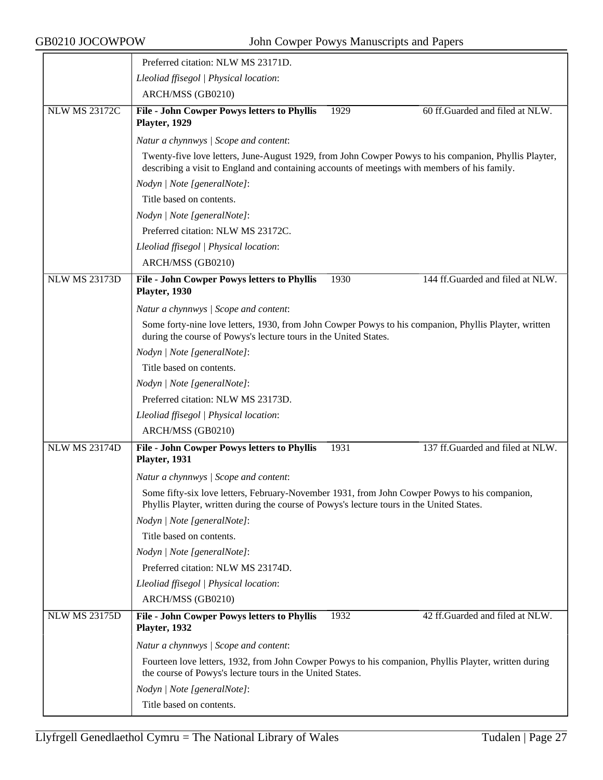|                      | Preferred citation: NLW MS 23171D.                                                                                                                                                                     |
|----------------------|--------------------------------------------------------------------------------------------------------------------------------------------------------------------------------------------------------|
|                      | Lleoliad ffisegol   Physical location:                                                                                                                                                                 |
|                      | ARCH/MSS (GB0210)                                                                                                                                                                                      |
| <b>NLW MS 23172C</b> | <b>File - John Cowper Powys letters to Phyllis</b><br>60 ff.Guarded and filed at NLW.<br>1929<br>Playter, 1929                                                                                         |
|                      | Natur a chynnwys / Scope and content:                                                                                                                                                                  |
|                      | Twenty-five love letters, June-August 1929, from John Cowper Powys to his companion, Phyllis Playter,<br>describing a visit to England and containing accounts of meetings with members of his family. |
|                      | Nodyn   Note [generalNote]:                                                                                                                                                                            |
|                      | Title based on contents.                                                                                                                                                                               |
|                      | Nodyn   Note [generalNote]:                                                                                                                                                                            |
|                      | Preferred citation: NLW MS 23172C.                                                                                                                                                                     |
|                      | Lleoliad ffisegol   Physical location:                                                                                                                                                                 |
|                      | ARCH/MSS (GB0210)                                                                                                                                                                                      |
| <b>NLW MS 23173D</b> | 144 ff.Guarded and filed at NLW.<br>File - John Cowper Powys letters to Phyllis<br>1930<br>Playter, 1930                                                                                               |
|                      | Natur a chynnwys / Scope and content:                                                                                                                                                                  |
|                      | Some forty-nine love letters, 1930, from John Cowper Powys to his companion, Phyllis Playter, written<br>during the course of Powys's lecture tours in the United States.                              |
|                      | Nodyn   Note [generalNote]:                                                                                                                                                                            |
|                      | Title based on contents.                                                                                                                                                                               |
|                      | Nodyn   Note [generalNote]:                                                                                                                                                                            |
|                      | Preferred citation: NLW MS 23173D.                                                                                                                                                                     |
|                      | Lleoliad ffisegol   Physical location:                                                                                                                                                                 |
|                      | ARCH/MSS (GB0210)                                                                                                                                                                                      |
| <b>NLW MS 23174D</b> | 137 ff.Guarded and filed at NLW.<br>File - John Cowper Powys letters to Phyllis<br>1931<br>Playter, 1931                                                                                               |
|                      | Natur a chynnwys / Scope and content:                                                                                                                                                                  |
|                      | Some fifty-six love letters, February-November 1931, from John Cowper Powys to his companion,<br>Phyllis Playter, written during the course of Powys's lecture tours in the United States.             |
|                      | Nodyn   Note [generalNote]:                                                                                                                                                                            |
|                      | Title based on contents.                                                                                                                                                                               |
|                      | Nodyn   Note [generalNote]:                                                                                                                                                                            |
|                      | Preferred citation: NLW MS 23174D.                                                                                                                                                                     |
|                      | Lleoliad ffisegol   Physical location:                                                                                                                                                                 |
|                      | ARCH/MSS (GB0210)                                                                                                                                                                                      |
| <b>NLW MS 23175D</b> | <b>File - John Cowper Powys letters to Phyllis</b><br>42 ff.Guarded and filed at NLW.<br>1932<br>Playter, 1932                                                                                         |
|                      | Natur a chynnwys / Scope and content:                                                                                                                                                                  |
|                      | Fourteen love letters, 1932, from John Cowper Powys to his companion, Phyllis Playter, written during<br>the course of Powys's lecture tours in the United States.                                     |
|                      | Nodyn   Note [generalNote]:                                                                                                                                                                            |
|                      | Title based on contents.                                                                                                                                                                               |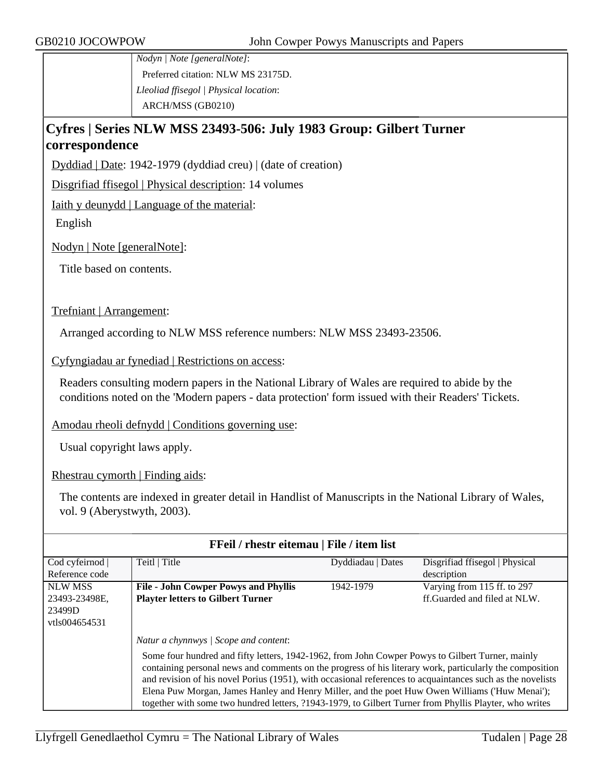*Nodyn | Note [generalNote]*: Preferred citation: NLW MS 23175D. *Lleoliad ffisegol | Physical location*: ARCH/MSS (GB0210)

## **Cyfres | Series NLW MSS 23493-506: July 1983 Group: Gilbert Turner correspondence**

Dyddiad | Date: 1942-1979 (dyddiad creu) | (date of creation)

Disgrifiad ffisegol | Physical description: 14 volumes

Iaith y deunydd | Language of the material:

English

Nodyn | Note [generalNote]:

Title based on contents.

Trefniant | Arrangement:

Arranged according to NLW MSS reference numbers: NLW MSS 23493-23506.

Cyfyngiadau ar fynediad | Restrictions on access:

Readers consulting modern papers in the National Library of Wales are required to abide by the conditions noted on the 'Modern papers - data protection' form issued with their Readers' Tickets.

Amodau rheoli defnydd | Conditions governing use:

Usual copyright laws apply.

Rhestrau cymorth | Finding aids:

The contents are indexed in greater detail in Handlist of Manuscripts in the National Library of Wales, vol. 9 (Aberystwyth, 2003).

| FFeil / rhestr eitemau   File / item list |                                                                                                                                                                                                                                                                                                                                                                                                                                                                                                                                        |                   |                                |  |
|-------------------------------------------|----------------------------------------------------------------------------------------------------------------------------------------------------------------------------------------------------------------------------------------------------------------------------------------------------------------------------------------------------------------------------------------------------------------------------------------------------------------------------------------------------------------------------------------|-------------------|--------------------------------|--|
| Cod cyfeirnod                             | Teitl   Title                                                                                                                                                                                                                                                                                                                                                                                                                                                                                                                          | Dyddiadau   Dates | Disgrifiad ffisegol   Physical |  |
| Reference code                            |                                                                                                                                                                                                                                                                                                                                                                                                                                                                                                                                        |                   | description                    |  |
| <b>NLW MSS</b>                            | <b>File - John Cowper Powys and Phyllis</b>                                                                                                                                                                                                                                                                                                                                                                                                                                                                                            | 1942-1979         | Varying from 115 ff. to 297    |  |
| 23493-23498E,                             | <b>Playter letters to Gilbert Turner</b>                                                                                                                                                                                                                                                                                                                                                                                                                                                                                               |                   | ff. Guarded and filed at NLW.  |  |
| 23499D                                    |                                                                                                                                                                                                                                                                                                                                                                                                                                                                                                                                        |                   |                                |  |
| vtls004654531                             |                                                                                                                                                                                                                                                                                                                                                                                                                                                                                                                                        |                   |                                |  |
|                                           | Natur a chynnwys / Scope and content:                                                                                                                                                                                                                                                                                                                                                                                                                                                                                                  |                   |                                |  |
|                                           | Some four hundred and fifty letters, 1942-1962, from John Cowper Powys to Gilbert Turner, mainly<br>containing personal news and comments on the progress of his literary work, particularly the composition<br>and revision of his novel Porius (1951), with occasional references to acquaintances such as the novelists<br>Elena Puw Morgan, James Hanley and Henry Miller, and the poet Huw Owen Williams ('Huw Menai');<br>together with some two hundred letters, ?1943-1979, to Gilbert Turner from Phyllis Playter, who writes |                   |                                |  |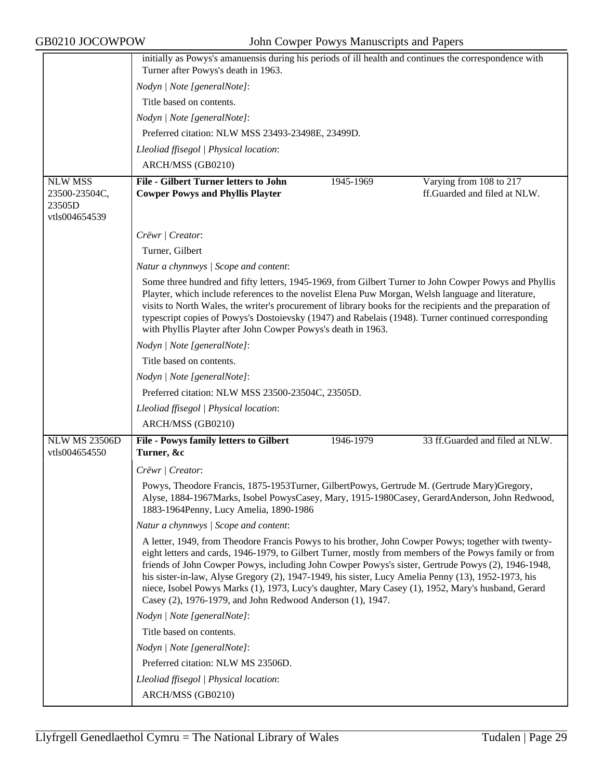|                                          | initially as Powys's amanuensis during his periods of ill health and continues the correspondence with<br>Turner after Powys's death in 1963.                                                                                                                                                                                                                                                                                                                                                                                                                                                   |
|------------------------------------------|-------------------------------------------------------------------------------------------------------------------------------------------------------------------------------------------------------------------------------------------------------------------------------------------------------------------------------------------------------------------------------------------------------------------------------------------------------------------------------------------------------------------------------------------------------------------------------------------------|
|                                          | Nodyn   Note [generalNote]:                                                                                                                                                                                                                                                                                                                                                                                                                                                                                                                                                                     |
|                                          | Title based on contents.                                                                                                                                                                                                                                                                                                                                                                                                                                                                                                                                                                        |
|                                          | Nodyn   Note [generalNote]:                                                                                                                                                                                                                                                                                                                                                                                                                                                                                                                                                                     |
|                                          | Preferred citation: NLW MSS 23493-23498E, 23499D.                                                                                                                                                                                                                                                                                                                                                                                                                                                                                                                                               |
|                                          | Lleoliad ffisegol   Physical location:                                                                                                                                                                                                                                                                                                                                                                                                                                                                                                                                                          |
|                                          | ARCH/MSS (GB0210)                                                                                                                                                                                                                                                                                                                                                                                                                                                                                                                                                                               |
| <b>NLW MSS</b>                           | <b>File - Gilbert Turner letters to John</b><br>Varying from 108 to 217<br>1945-1969                                                                                                                                                                                                                                                                                                                                                                                                                                                                                                            |
| 23500-23504C,<br>23505D<br>vtls004654539 | ff.Guarded and filed at NLW.<br><b>Cowper Powys and Phyllis Playter</b>                                                                                                                                                                                                                                                                                                                                                                                                                                                                                                                         |
|                                          |                                                                                                                                                                                                                                                                                                                                                                                                                                                                                                                                                                                                 |
|                                          | Crëwr   Creator:                                                                                                                                                                                                                                                                                                                                                                                                                                                                                                                                                                                |
|                                          | Turner, Gilbert                                                                                                                                                                                                                                                                                                                                                                                                                                                                                                                                                                                 |
|                                          | Natur a chynnwys / Scope and content:                                                                                                                                                                                                                                                                                                                                                                                                                                                                                                                                                           |
|                                          | Some three hundred and fifty letters, 1945-1969, from Gilbert Turner to John Cowper Powys and Phyllis<br>Playter, which include references to the novelist Elena Puw Morgan, Welsh language and literature,<br>visits to North Wales, the writer's procurement of library books for the recipients and the preparation of<br>typescript copies of Powys's Dostoievsky (1947) and Rabelais (1948). Turner continued corresponding<br>with Phyllis Playter after John Cowper Powys's death in 1963.                                                                                               |
|                                          | Nodyn   Note [generalNote]:                                                                                                                                                                                                                                                                                                                                                                                                                                                                                                                                                                     |
|                                          | Title based on contents.                                                                                                                                                                                                                                                                                                                                                                                                                                                                                                                                                                        |
|                                          | Nodyn   Note [generalNote]:                                                                                                                                                                                                                                                                                                                                                                                                                                                                                                                                                                     |
|                                          | Preferred citation: NLW MSS 23500-23504C, 23505D.                                                                                                                                                                                                                                                                                                                                                                                                                                                                                                                                               |
|                                          | Lleoliad ffisegol   Physical location:                                                                                                                                                                                                                                                                                                                                                                                                                                                                                                                                                          |
|                                          | ARCH/MSS (GB0210)                                                                                                                                                                                                                                                                                                                                                                                                                                                                                                                                                                               |
| <b>NLW MS 23506D</b>                     | 33 ff.Guarded and filed at NLW.<br>File - Powys family letters to Gilbert<br>1946-1979                                                                                                                                                                                                                                                                                                                                                                                                                                                                                                          |
| vtls004654550                            | Turner, &c                                                                                                                                                                                                                                                                                                                                                                                                                                                                                                                                                                                      |
|                                          | Crëwr   Creator:                                                                                                                                                                                                                                                                                                                                                                                                                                                                                                                                                                                |
|                                          | Powys, Theodore Francis, 1875-1953Turner, GilbertPowys, Gertrude M. (Gertrude Mary)Gregory,<br>Alyse, 1884-1967Marks, Isobel PowysCasey, Mary, 1915-1980Casey, GerardAnderson, John Redwood,<br>1883-1964Penny, Lucy Amelia, 1890-1986                                                                                                                                                                                                                                                                                                                                                          |
|                                          | Natur a chynnwys / Scope and content:                                                                                                                                                                                                                                                                                                                                                                                                                                                                                                                                                           |
|                                          | A letter, 1949, from Theodore Francis Powys to his brother, John Cowper Powys; together with twenty-<br>eight letters and cards, 1946-1979, to Gilbert Turner, mostly from members of the Powys family or from<br>friends of John Cowper Powys, including John Cowper Powys's sister, Gertrude Powys (2), 1946-1948,<br>his sister-in-law, Alyse Gregory (2), 1947-1949, his sister, Lucy Amelia Penny (13), 1952-1973, his<br>niece, Isobel Powys Marks (1), 1973, Lucy's daughter, Mary Casey (1), 1952, Mary's husband, Gerard<br>Casey (2), 1976-1979, and John Redwood Anderson (1), 1947. |
|                                          | Nodyn   Note [generalNote]:                                                                                                                                                                                                                                                                                                                                                                                                                                                                                                                                                                     |
|                                          | Title based on contents.                                                                                                                                                                                                                                                                                                                                                                                                                                                                                                                                                                        |
|                                          | Nodyn   Note [generalNote]:                                                                                                                                                                                                                                                                                                                                                                                                                                                                                                                                                                     |
|                                          | Preferred citation: NLW MS 23506D.                                                                                                                                                                                                                                                                                                                                                                                                                                                                                                                                                              |
|                                          | Lleoliad ffisegol   Physical location:                                                                                                                                                                                                                                                                                                                                                                                                                                                                                                                                                          |
|                                          | ARCH/MSS (GB0210)                                                                                                                                                                                                                                                                                                                                                                                                                                                                                                                                                                               |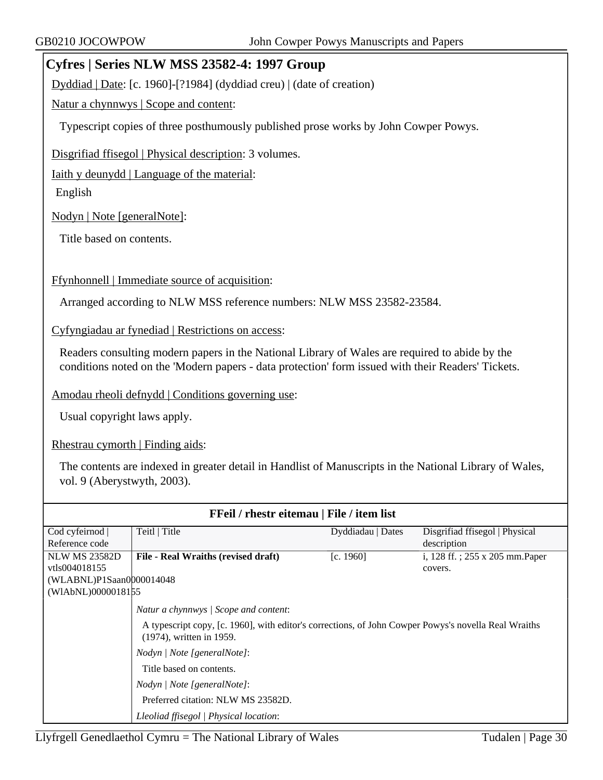#### **Cyfres | Series NLW MSS 23582-4: 1997 Group**

Dyddiad | Date: [c. 1960]-[?1984] (dyddiad creu) | (date of creation)

Natur a chynnwys | Scope and content:

Typescript copies of three posthumously published prose works by John Cowper Powys.

Disgrifiad ffisegol | Physical description: 3 volumes.

Iaith y deunydd | Language of the material:

English

Nodyn | Note [generalNote]:

Title based on contents.

Ffynhonnell | Immediate source of acquisition:

Arranged according to NLW MSS reference numbers: NLW MSS 23582-23584.

Cyfyngiadau ar fynediad | Restrictions on access:

Readers consulting modern papers in the National Library of Wales are required to abide by the conditions noted on the 'Modern papers - data protection' form issued with their Readers' Tickets.

Amodau rheoli defnydd | Conditions governing use:

Usual copyright laws apply.

Rhestrau cymorth | Finding aids:

The contents are indexed in greater detail in Handlist of Manuscripts in the National Library of Wales, vol. 9 (Aberystwyth, 2003).

| <b>FFeil</b> / rhestr eitemau   File / item list |                                                                                                                                  |                   |                                 |  |
|--------------------------------------------------|----------------------------------------------------------------------------------------------------------------------------------|-------------------|---------------------------------|--|
| Cod cyfeirnod                                    | Teitl   Title                                                                                                                    | Dyddiadau   Dates | Disgrifiad ffisegol   Physical  |  |
| Reference code                                   |                                                                                                                                  |                   | description                     |  |
| <b>NLW MS 23582D</b>                             | File - Real Wraiths (revised draft)                                                                                              | [c. 1960]         | i, 128 ff.; 255 x 205 mm. Paper |  |
| vtls004018155                                    |                                                                                                                                  |                   | covers.                         |  |
| (WLABNL)P1Saan0000014048                         |                                                                                                                                  |                   |                                 |  |
| (WIAbNL)0000018155                               |                                                                                                                                  |                   |                                 |  |
|                                                  | Natur a chynnwys   Scope and content:                                                                                            |                   |                                 |  |
|                                                  | A typescript copy, [c. 1960], with editor's corrections, of John Cowper Powys's novella Real Wraiths<br>(1974), written in 1959. |                   |                                 |  |
|                                                  | Nodyn / Note [generalNote]:                                                                                                      |                   |                                 |  |
|                                                  | Title based on contents.                                                                                                         |                   |                                 |  |
|                                                  | Nodyn   Note [generalNote]:                                                                                                      |                   |                                 |  |
|                                                  | Preferred citation: NLW MS 23582D.                                                                                               |                   |                                 |  |
|                                                  | Lleoliad ffisegol   Physical location:                                                                                           |                   |                                 |  |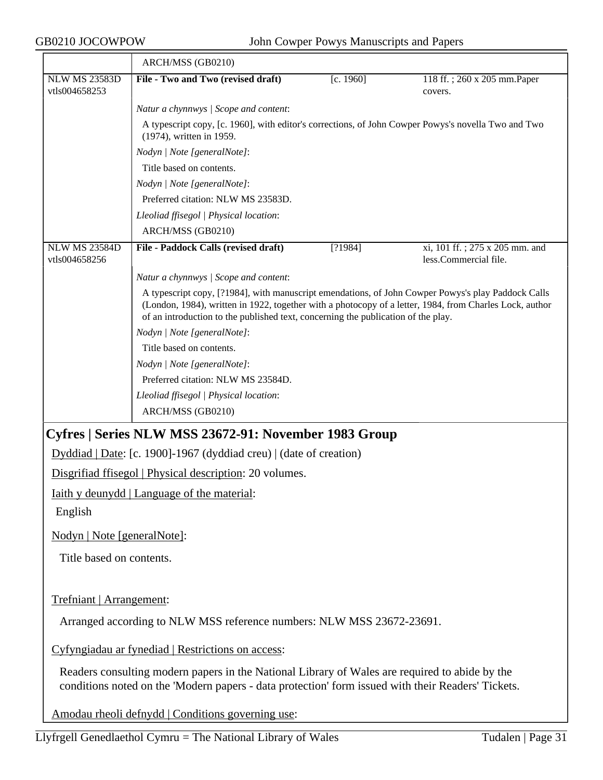|                                       | ARCH/MSS (GB0210)                                                                                                                                                                                                                                                                                  |           |                                                         |
|---------------------------------------|----------------------------------------------------------------------------------------------------------------------------------------------------------------------------------------------------------------------------------------------------------------------------------------------------|-----------|---------------------------------------------------------|
| <b>NLW MS 23583D</b><br>vtls004658253 | File - Two and Two (revised draft)                                                                                                                                                                                                                                                                 | [c. 1960] | 118 ff.; 260 x 205 mm. Paper<br>covers.                 |
|                                       | Natur a chynnwys / Scope and content:                                                                                                                                                                                                                                                              |           |                                                         |
|                                       | A typescript copy, [c. 1960], with editor's corrections, of John Cowper Powys's novella Two and Two<br>(1974), written in 1959.                                                                                                                                                                    |           |                                                         |
|                                       | Nodyn   Note [generalNote]:                                                                                                                                                                                                                                                                        |           |                                                         |
|                                       | Title based on contents.                                                                                                                                                                                                                                                                           |           |                                                         |
|                                       | Nodyn   Note [generalNote]:                                                                                                                                                                                                                                                                        |           |                                                         |
|                                       | Preferred citation: NLW MS 23583D.                                                                                                                                                                                                                                                                 |           |                                                         |
|                                       | Lleoliad ffisegol   Physical location:                                                                                                                                                                                                                                                             |           |                                                         |
|                                       | ARCH/MSS (GB0210)                                                                                                                                                                                                                                                                                  |           |                                                         |
| <b>NLW MS 23584D</b><br>vtls004658256 | File - Paddock Calls (revised draft)                                                                                                                                                                                                                                                               | [?1984]   | xi, 101 ff.; 275 x 205 mm. and<br>less.Commercial file. |
|                                       | Natur a chynnwys / Scope and content:                                                                                                                                                                                                                                                              |           |                                                         |
|                                       | A typescript copy, [?1984], with manuscript emendations, of John Cowper Powys's play Paddock Calls<br>(London, 1984), written in 1922, together with a photocopy of a letter, 1984, from Charles Lock, author<br>of an introduction to the published text, concerning the publication of the play. |           |                                                         |
|                                       | Nodyn   Note [generalNote]:                                                                                                                                                                                                                                                                        |           |                                                         |
|                                       | Title based on contents.                                                                                                                                                                                                                                                                           |           |                                                         |
|                                       | Nodyn   Note [generalNote]:                                                                                                                                                                                                                                                                        |           |                                                         |
|                                       | Preferred citation: NLW MS 23584D.                                                                                                                                                                                                                                                                 |           |                                                         |
|                                       | Lleoliad ffisegol   Physical location:                                                                                                                                                                                                                                                             |           |                                                         |
|                                       | ARCH/MSS (GB0210)                                                                                                                                                                                                                                                                                  |           |                                                         |
|                                       | Cyfres   Series NLW MSS 23672-91: November 1983 Group                                                                                                                                                                                                                                              |           |                                                         |
|                                       | Dyddiad   Date: [c. 1900]-1967 (dyddiad creu)   (date of creation)                                                                                                                                                                                                                                 |           |                                                         |
|                                       | Disgrifiad ffisegol   Physical description: 20 volumes.                                                                                                                                                                                                                                            |           |                                                         |
|                                       | Taith y deunydd   Language of the material:                                                                                                                                                                                                                                                        |           |                                                         |
| English                               |                                                                                                                                                                                                                                                                                                    |           |                                                         |
| Nodyn   Note [generalNote]:           |                                                                                                                                                                                                                                                                                                    |           |                                                         |
| Title based on contents.              |                                                                                                                                                                                                                                                                                                    |           |                                                         |
|                                       |                                                                                                                                                                                                                                                                                                    |           |                                                         |
| Trefniant   Arrangement:              |                                                                                                                                                                                                                                                                                                    |           |                                                         |
|                                       | Arranged according to NLW MSS reference numbers: NLW MSS 23672-23691.                                                                                                                                                                                                                              |           |                                                         |
|                                       | Cyfyngiadau ar fynediad   Restrictions on access:                                                                                                                                                                                                                                                  |           |                                                         |
|                                       | Readers consulting modern papers in the National Library of Wales are required to abide by the<br>conditions noted on the 'Modern papers - data protection' form issued with their Readers' Tickets.                                                                                               |           |                                                         |
|                                       | Amodau rheoli defnydd   Conditions governing use:                                                                                                                                                                                                                                                  |           |                                                         |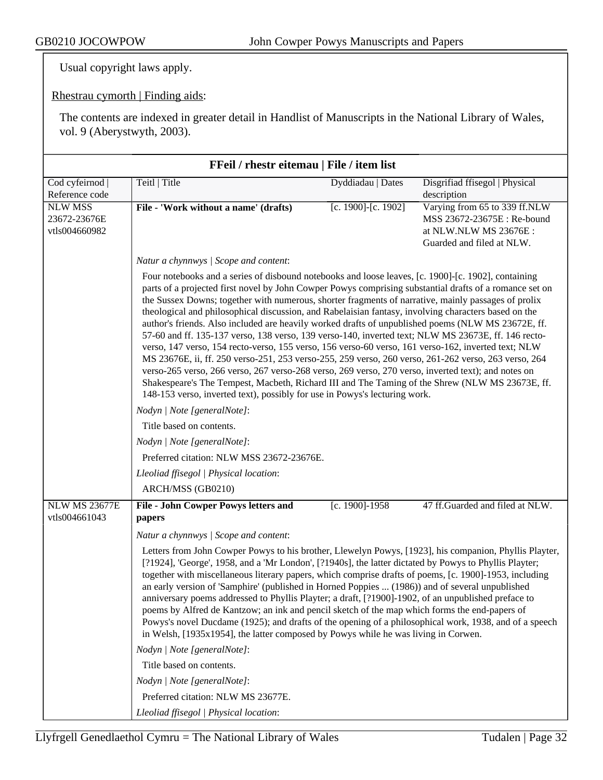Usual copyright laws apply.

Rhestrau cymorth | Finding aids:

The contents are indexed in greater detail in Handlist of Manuscripts in the National Library of Wales, vol. 9 (Aberystwyth, 2003).

| FFeil / rhestr eitemau   File / item list       |                                                                                                                                                                                                                                                                                                                                                                                                                                                                                                                                                                                                                                                                                                                                                                                                                                                                                                                                                                                                                                                                                                                                                   |                     |                                                                                                                     |
|-------------------------------------------------|---------------------------------------------------------------------------------------------------------------------------------------------------------------------------------------------------------------------------------------------------------------------------------------------------------------------------------------------------------------------------------------------------------------------------------------------------------------------------------------------------------------------------------------------------------------------------------------------------------------------------------------------------------------------------------------------------------------------------------------------------------------------------------------------------------------------------------------------------------------------------------------------------------------------------------------------------------------------------------------------------------------------------------------------------------------------------------------------------------------------------------------------------|---------------------|---------------------------------------------------------------------------------------------------------------------|
| Cod cyfeirnod  <br>Reference code               | Teitl   Title                                                                                                                                                                                                                                                                                                                                                                                                                                                                                                                                                                                                                                                                                                                                                                                                                                                                                                                                                                                                                                                                                                                                     | Dyddiadau   Dates   | Disgrifiad ffisegol   Physical<br>description                                                                       |
| <b>NLW MSS</b><br>23672-23676E<br>vtls004660982 | File - 'Work without a name' (drafts)                                                                                                                                                                                                                                                                                                                                                                                                                                                                                                                                                                                                                                                                                                                                                                                                                                                                                                                                                                                                                                                                                                             | [c. 1900]-[c. 1902] | Varying from 65 to 339 ff.NLW<br>MSS 23672-23675E : Re-bound<br>at NLW.NLW MS 23676E :<br>Guarded and filed at NLW. |
|                                                 | Natur a chynnwys / Scope and content:                                                                                                                                                                                                                                                                                                                                                                                                                                                                                                                                                                                                                                                                                                                                                                                                                                                                                                                                                                                                                                                                                                             |                     |                                                                                                                     |
|                                                 | Four notebooks and a series of disbound notebooks and loose leaves, [c. 1900]-[c. 1902], containing<br>parts of a projected first novel by John Cowper Powys comprising substantial drafts of a romance set on<br>the Sussex Downs; together with numerous, shorter fragments of narrative, mainly passages of prolix<br>theological and philosophical discussion, and Rabelaisian fantasy, involving characters based on the<br>author's friends. Also included are heavily worked drafts of unpublished poems (NLW MS 23672E, ff.<br>57-60 and ff. 135-137 verso, 138 verso, 139 verso-140, inverted text; NLW MS 23673E, ff. 146 recto-<br>verso, 147 verso, 154 recto-verso, 155 verso, 156 verso-60 verso, 161 verso-162, inverted text; NLW<br>MS 23676E, ii, ff. 250 verso-251, 253 verso-255, 259 verso, 260 verso, 261-262 verso, 263 verso, 264<br>verso-265 verso, 266 verso, 267 verso-268 verso, 269 verso, 270 verso, inverted text); and notes on<br>Shakespeare's The Tempest, Macbeth, Richard III and The Taming of the Shrew (NLW MS 23673E, ff.<br>148-153 verso, inverted text), possibly for use in Powys's lecturing work. |                     |                                                                                                                     |
|                                                 | Nodyn   Note [generalNote]:                                                                                                                                                                                                                                                                                                                                                                                                                                                                                                                                                                                                                                                                                                                                                                                                                                                                                                                                                                                                                                                                                                                       |                     |                                                                                                                     |
|                                                 | Title based on contents.                                                                                                                                                                                                                                                                                                                                                                                                                                                                                                                                                                                                                                                                                                                                                                                                                                                                                                                                                                                                                                                                                                                          |                     |                                                                                                                     |
|                                                 | Nodyn   Note [generalNote]:                                                                                                                                                                                                                                                                                                                                                                                                                                                                                                                                                                                                                                                                                                                                                                                                                                                                                                                                                                                                                                                                                                                       |                     |                                                                                                                     |
|                                                 | Preferred citation: NLW MSS 23672-23676E.                                                                                                                                                                                                                                                                                                                                                                                                                                                                                                                                                                                                                                                                                                                                                                                                                                                                                                                                                                                                                                                                                                         |                     |                                                                                                                     |
|                                                 | Lleoliad ffisegol   Physical location:                                                                                                                                                                                                                                                                                                                                                                                                                                                                                                                                                                                                                                                                                                                                                                                                                                                                                                                                                                                                                                                                                                            |                     |                                                                                                                     |
|                                                 | ARCH/MSS (GB0210)                                                                                                                                                                                                                                                                                                                                                                                                                                                                                                                                                                                                                                                                                                                                                                                                                                                                                                                                                                                                                                                                                                                                 |                     |                                                                                                                     |
| <b>NLW MS 23677E</b><br>vtls004661043           | File - John Cowper Powys letters and<br>papers                                                                                                                                                                                                                                                                                                                                                                                                                                                                                                                                                                                                                                                                                                                                                                                                                                                                                                                                                                                                                                                                                                    | [c. 1900]-1958      | 47 ff.Guarded and filed at NLW.                                                                                     |
|                                                 | Natur a chynnwys / Scope and content:                                                                                                                                                                                                                                                                                                                                                                                                                                                                                                                                                                                                                                                                                                                                                                                                                                                                                                                                                                                                                                                                                                             |                     |                                                                                                                     |
|                                                 | Letters from John Cowper Powys to his brother, Llewelyn Powys, [1923], his companion, Phyllis Playter,<br>[?1924], 'George', 1958, and a 'Mr London', [?1940s], the latter dictated by Powys to Phyllis Playter;<br>together with miscellaneous literary papers, which comprise drafts of poems, [c. 1900]-1953, including<br>an early version of 'Samphire' (published in Horned Poppies  (1986)) and of several unpublished<br>anniversary poems addressed to Phyllis Playter; a draft, [?1900]-1902, of an unpublished preface to<br>poems by Alfred de Kantzow; an ink and pencil sketch of the map which forms the end-papers of<br>Powys's novel Ducdame (1925); and drafts of the opening of a philosophical work, 1938, and of a speech<br>in Welsh, [1935x1954], the latter composed by Powys while he was living in Corwen.                                                                                                                                                                                                                                                                                                             |                     |                                                                                                                     |
|                                                 | Nodyn   Note [generalNote]:                                                                                                                                                                                                                                                                                                                                                                                                                                                                                                                                                                                                                                                                                                                                                                                                                                                                                                                                                                                                                                                                                                                       |                     |                                                                                                                     |
|                                                 | Title based on contents.                                                                                                                                                                                                                                                                                                                                                                                                                                                                                                                                                                                                                                                                                                                                                                                                                                                                                                                                                                                                                                                                                                                          |                     |                                                                                                                     |
|                                                 | Nodyn   Note [generalNote]:                                                                                                                                                                                                                                                                                                                                                                                                                                                                                                                                                                                                                                                                                                                                                                                                                                                                                                                                                                                                                                                                                                                       |                     |                                                                                                                     |
|                                                 | Preferred citation: NLW MS 23677E.                                                                                                                                                                                                                                                                                                                                                                                                                                                                                                                                                                                                                                                                                                                                                                                                                                                                                                                                                                                                                                                                                                                |                     |                                                                                                                     |
|                                                 | Lleoliad ffisegol   Physical location:                                                                                                                                                                                                                                                                                                                                                                                                                                                                                                                                                                                                                                                                                                                                                                                                                                                                                                                                                                                                                                                                                                            |                     |                                                                                                                     |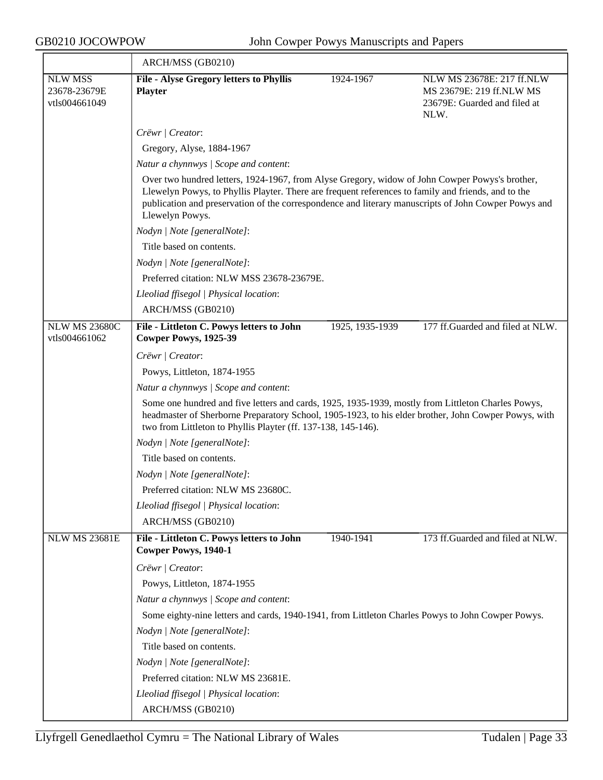<u> Tanzania de la contenentación de la contenentación de la contenentación de la contenentación de la contenenta</u>

|                                                 | ARCH/MSS (GB0210)                                                                                                                                                                                                                                                                                                                |                 |                                                                                               |
|-------------------------------------------------|----------------------------------------------------------------------------------------------------------------------------------------------------------------------------------------------------------------------------------------------------------------------------------------------------------------------------------|-----------------|-----------------------------------------------------------------------------------------------|
| <b>NLW MSS</b><br>23678-23679E<br>vtls004661049 | File - Alyse Gregory letters to Phyllis<br><b>Playter</b>                                                                                                                                                                                                                                                                        | 1924-1967       | NLW MS 23678E: 217 ff.NLW<br>MS 23679E: 219 ff.NLW MS<br>23679E: Guarded and filed at<br>NLW. |
|                                                 | Crëwr   Creator:                                                                                                                                                                                                                                                                                                                 |                 |                                                                                               |
|                                                 | Gregory, Alyse, 1884-1967                                                                                                                                                                                                                                                                                                        |                 |                                                                                               |
|                                                 | Natur a chynnwys / Scope and content:                                                                                                                                                                                                                                                                                            |                 |                                                                                               |
|                                                 | Over two hundred letters, 1924-1967, from Alyse Gregory, widow of John Cowper Powys's brother,<br>Llewelyn Powys, to Phyllis Playter. There are frequent references to family and friends, and to the<br>publication and preservation of the correspondence and literary manuscripts of John Cowper Powys and<br>Llewelyn Powys. |                 |                                                                                               |
|                                                 | Nodyn   Note [generalNote]:                                                                                                                                                                                                                                                                                                      |                 |                                                                                               |
|                                                 | Title based on contents.                                                                                                                                                                                                                                                                                                         |                 |                                                                                               |
|                                                 | Nodyn   Note [generalNote]:                                                                                                                                                                                                                                                                                                      |                 |                                                                                               |
|                                                 | Preferred citation: NLW MSS 23678-23679E.                                                                                                                                                                                                                                                                                        |                 |                                                                                               |
|                                                 | Lleoliad ffisegol   Physical location:                                                                                                                                                                                                                                                                                           |                 |                                                                                               |
|                                                 | ARCH/MSS (GB0210)                                                                                                                                                                                                                                                                                                                |                 |                                                                                               |
| <b>NLW MS 23680C</b>                            | File - Littleton C. Powys letters to John                                                                                                                                                                                                                                                                                        | 1925, 1935-1939 | 177 ff.Guarded and filed at NLW.                                                              |
| vtls004661062                                   | Cowper Powys, 1925-39                                                                                                                                                                                                                                                                                                            |                 |                                                                                               |
|                                                 | Crëwr   Creator:                                                                                                                                                                                                                                                                                                                 |                 |                                                                                               |
|                                                 | Powys, Littleton, 1874-1955                                                                                                                                                                                                                                                                                                      |                 |                                                                                               |
|                                                 | Natur a chynnwys / Scope and content:                                                                                                                                                                                                                                                                                            |                 |                                                                                               |
|                                                 | Some one hundred and five letters and cards, 1925, 1935-1939, mostly from Littleton Charles Powys,<br>headmaster of Sherborne Preparatory School, 1905-1923, to his elder brother, John Cowper Powys, with<br>two from Littleton to Phyllis Playter (ff. 137-138, 145-146).                                                      |                 |                                                                                               |
|                                                 | Nodyn   Note [generalNote]:                                                                                                                                                                                                                                                                                                      |                 |                                                                                               |
|                                                 | Title based on contents.                                                                                                                                                                                                                                                                                                         |                 |                                                                                               |
|                                                 | Nodyn   Note [generalNote]:                                                                                                                                                                                                                                                                                                      |                 |                                                                                               |
|                                                 | Preferred citation: NLW MS 23680C.                                                                                                                                                                                                                                                                                               |                 |                                                                                               |
|                                                 | Lleoliad ffisegol   Physical location:                                                                                                                                                                                                                                                                                           |                 |                                                                                               |
|                                                 | ARCH/MSS (GB0210)                                                                                                                                                                                                                                                                                                                |                 |                                                                                               |
| <b>NLW MS 23681E</b>                            | File - Littleton C. Powys letters to John<br><b>Cowper Powys, 1940-1</b>                                                                                                                                                                                                                                                         | 1940-1941       | 173 ff.Guarded and filed at NLW.                                                              |
|                                                 | Crëwr / Creator:                                                                                                                                                                                                                                                                                                                 |                 |                                                                                               |
|                                                 | Powys, Littleton, 1874-1955                                                                                                                                                                                                                                                                                                      |                 |                                                                                               |
|                                                 | Natur a chynnwys / Scope and content:                                                                                                                                                                                                                                                                                            |                 |                                                                                               |
|                                                 | Some eighty-nine letters and cards, 1940-1941, from Littleton Charles Powys to John Cowper Powys.                                                                                                                                                                                                                                |                 |                                                                                               |
|                                                 | Nodyn   Note [generalNote]:                                                                                                                                                                                                                                                                                                      |                 |                                                                                               |
|                                                 | Title based on contents.                                                                                                                                                                                                                                                                                                         |                 |                                                                                               |
|                                                 | Nodyn   Note [generalNote]:                                                                                                                                                                                                                                                                                                      |                 |                                                                                               |
|                                                 | Preferred citation: NLW MS 23681E.                                                                                                                                                                                                                                                                                               |                 |                                                                                               |
|                                                 | Lleoliad ffisegol   Physical location:                                                                                                                                                                                                                                                                                           |                 |                                                                                               |
|                                                 | ARCH/MSS (GB0210)                                                                                                                                                                                                                                                                                                                |                 |                                                                                               |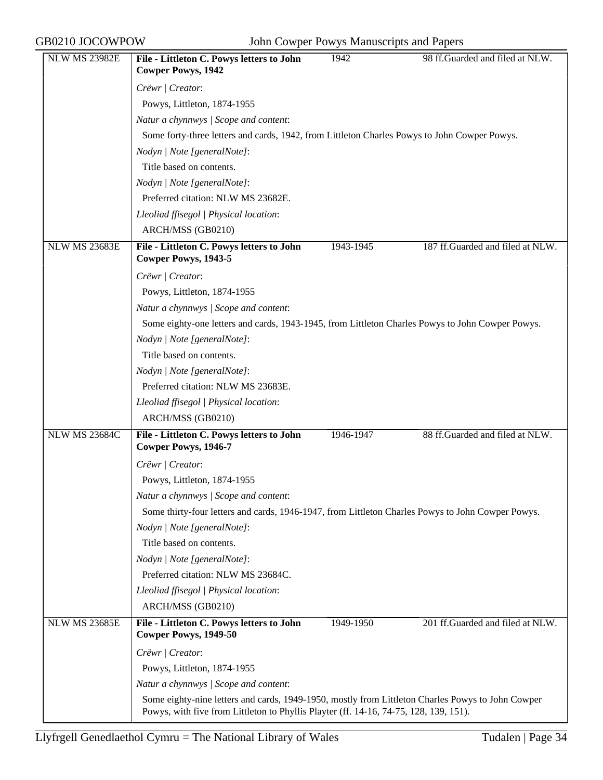| <b>NLW MS 23982E</b> | File - Littleton C. Powys letters to John<br><b>Cowper Powys, 1942</b>                            | 1942      | 98 ff.Guarded and filed at NLW.  |
|----------------------|---------------------------------------------------------------------------------------------------|-----------|----------------------------------|
|                      | Crëwr   Creator:                                                                                  |           |                                  |
|                      | Powys, Littleton, 1874-1955                                                                       |           |                                  |
|                      | Natur a chynnwys / Scope and content:                                                             |           |                                  |
|                      | Some forty-three letters and cards, 1942, from Littleton Charles Powys to John Cowper Powys.      |           |                                  |
|                      | Nodyn   Note [generalNote]:                                                                       |           |                                  |
|                      | Title based on contents.                                                                          |           |                                  |
|                      | Nodyn   Note [generalNote]:                                                                       |           |                                  |
|                      | Preferred citation: NLW MS 23682E.                                                                |           |                                  |
|                      | Lleoliad ffisegol   Physical location:                                                            |           |                                  |
|                      | ARCH/MSS (GB0210)                                                                                 |           |                                  |
| <b>NLW MS 23683E</b> | File - Littleton C. Powys letters to John<br>Cowper Powys, 1943-5                                 | 1943-1945 | 187 ff.Guarded and filed at NLW. |
|                      | Crëwr   Creator:                                                                                  |           |                                  |
|                      | Powys, Littleton, 1874-1955                                                                       |           |                                  |
|                      | Natur a chynnwys / Scope and content:                                                             |           |                                  |
|                      | Some eighty-one letters and cards, 1943-1945, from Littleton Charles Powys to John Cowper Powys.  |           |                                  |
|                      | Nodyn   Note [generalNote]:                                                                       |           |                                  |
|                      | Title based on contents.                                                                          |           |                                  |
|                      | Nodyn   Note [generalNote]:                                                                       |           |                                  |
|                      | Preferred citation: NLW MS 23683E.                                                                |           |                                  |
|                      | Lleoliad ffisegol   Physical location:                                                            |           |                                  |
|                      | ARCH/MSS (GB0210)                                                                                 |           |                                  |
| <b>NLW MS 23684C</b> | File - Littleton C. Powys letters to John<br><b>Cowper Powys, 1946-7</b>                          | 1946-1947 | 88 ff.Guarded and filed at NLW.  |
|                      | Crëwr   Creator:                                                                                  |           |                                  |
|                      | Powys, Littleton, 1874-1955                                                                       |           |                                  |
|                      | Natur a chynnwys / Scope and content:                                                             |           |                                  |
|                      | Some thirty-four letters and cards, 1946-1947, from Littleton Charles Powys to John Cowper Powys. |           |                                  |
|                      | Nodyn   Note [generalNote]:                                                                       |           |                                  |
|                      | Title based on contents.                                                                          |           |                                  |
|                      | Nodyn   Note [generalNote]:                                                                       |           |                                  |
|                      | Preferred citation: NLW MS 23684C.                                                                |           |                                  |
|                      | Lleoliad ffisegol   Physical location:                                                            |           |                                  |
|                      | ARCH/MSS (GB0210)                                                                                 |           |                                  |
| <b>NLW MS 23685E</b> | File - Littleton C. Powys letters to John<br>Cowper Powys, 1949-50                                | 1949-1950 | 201 ff.Guarded and filed at NLW. |
|                      | Crëwr   Creator:                                                                                  |           |                                  |
|                      | Powys, Littleton, 1874-1955                                                                       |           |                                  |
|                      | Natur a chynnwys / Scope and content:                                                             |           |                                  |
|                      | Some eighty-nine letters and cards, 1949-1950, mostly from Littleton Charles Powys to John Cowper |           |                                  |
|                      | Powys, with five from Littleton to Phyllis Playter (ff. 14-16, 74-75, 128, 139, 151).             |           |                                  |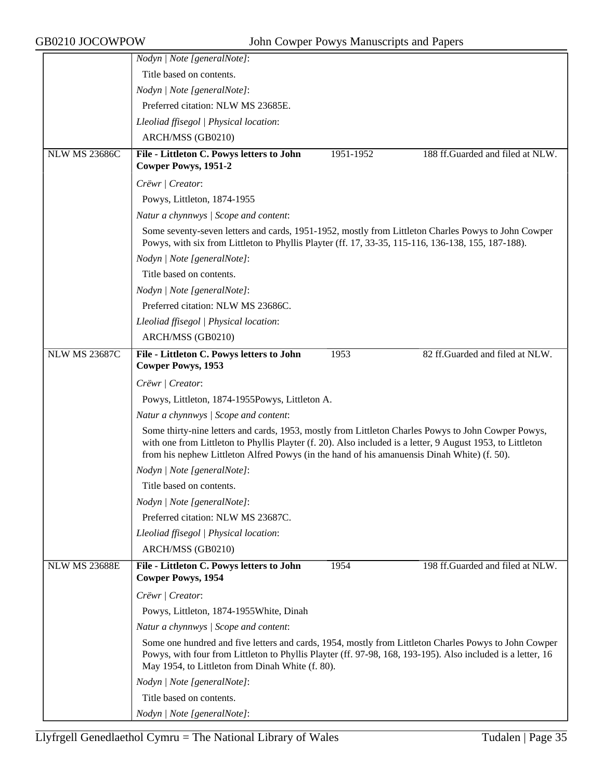|                      | Nodyn   Note [generalNote]:                                                                                                                                                                                                                                                                                      |
|----------------------|------------------------------------------------------------------------------------------------------------------------------------------------------------------------------------------------------------------------------------------------------------------------------------------------------------------|
|                      | Title based on contents.                                                                                                                                                                                                                                                                                         |
|                      | Nodyn   Note [generalNote]:                                                                                                                                                                                                                                                                                      |
|                      | Preferred citation: NLW MS 23685E.                                                                                                                                                                                                                                                                               |
|                      | Lleoliad ffisegol   Physical location:                                                                                                                                                                                                                                                                           |
|                      | ARCH/MSS (GB0210)                                                                                                                                                                                                                                                                                                |
| <b>NLW MS 23686C</b> | 188 ff.Guarded and filed at NLW.<br>File - Littleton C. Powys letters to John<br>1951-1952                                                                                                                                                                                                                       |
|                      | <b>Cowper Powys, 1951-2</b>                                                                                                                                                                                                                                                                                      |
|                      | Crëwr   Creator:                                                                                                                                                                                                                                                                                                 |
|                      | Powys, Littleton, 1874-1955                                                                                                                                                                                                                                                                                      |
|                      | Natur a chynnwys / Scope and content:                                                                                                                                                                                                                                                                            |
|                      | Some seventy-seven letters and cards, 1951-1952, mostly from Littleton Charles Powys to John Cowper<br>Powys, with six from Littleton to Phyllis Playter (ff. 17, 33-35, 115-116, 136-138, 155, 187-188).                                                                                                        |
|                      | Nodyn   Note [generalNote]:                                                                                                                                                                                                                                                                                      |
|                      | Title based on contents.                                                                                                                                                                                                                                                                                         |
|                      | Nodyn   Note [generalNote]:                                                                                                                                                                                                                                                                                      |
|                      | Preferred citation: NLW MS 23686C.                                                                                                                                                                                                                                                                               |
|                      | Lleoliad ffisegol   Physical location:                                                                                                                                                                                                                                                                           |
|                      | ARCH/MSS (GB0210)                                                                                                                                                                                                                                                                                                |
| <b>NLW MS 23687C</b> | 82 ff.Guarded and filed at NLW.<br>File - Littleton C. Powys letters to John<br>1953                                                                                                                                                                                                                             |
|                      | <b>Cowper Powys, 1953</b>                                                                                                                                                                                                                                                                                        |
|                      | Crëwr   Creator:                                                                                                                                                                                                                                                                                                 |
|                      | Powys, Littleton, 1874-1955Powys, Littleton A.                                                                                                                                                                                                                                                                   |
|                      | Natur a chynnwys / Scope and content:                                                                                                                                                                                                                                                                            |
|                      | Some thirty-nine letters and cards, 1953, mostly from Littleton Charles Powys to John Cowper Powys,<br>with one from Littleton to Phyllis Playter (f. 20). Also included is a letter, 9 August 1953, to Littleton<br>from his nephew Littleton Alfred Powys (in the hand of his amanuensis Dinah White) (f. 50). |
|                      | Nodyn   Note [generalNote]:                                                                                                                                                                                                                                                                                      |
|                      | Title based on contents.                                                                                                                                                                                                                                                                                         |
|                      | Nodyn   Note [generalNote]:                                                                                                                                                                                                                                                                                      |
|                      | Preferred citation: NLW MS 23687C.                                                                                                                                                                                                                                                                               |
|                      | Lleoliad ffisegol   Physical location:                                                                                                                                                                                                                                                                           |
|                      | ARCH/MSS (GB0210)                                                                                                                                                                                                                                                                                                |
| <b>NLW MS 23688E</b> | 198 ff.Guarded and filed at NLW.<br>File - Littleton C. Powys letters to John<br>1954<br><b>Cowper Powys, 1954</b>                                                                                                                                                                                               |
|                      | Crëwr   Creator:                                                                                                                                                                                                                                                                                                 |
|                      | Powys, Littleton, 1874-1955 White, Dinah                                                                                                                                                                                                                                                                         |
|                      | Natur a chynnwys / Scope and content:                                                                                                                                                                                                                                                                            |
|                      | Some one hundred and five letters and cards, 1954, mostly from Littleton Charles Powys to John Cowper<br>Powys, with four from Littleton to Phyllis Playter (ff. 97-98, 168, 193-195). Also included is a letter, 16<br>May 1954, to Littleton from Dinah White (f. 80).                                         |
|                      | Nodyn   Note [generalNote]:                                                                                                                                                                                                                                                                                      |
|                      | Title based on contents.                                                                                                                                                                                                                                                                                         |
|                      | Nodyn   Note [generalNote]:                                                                                                                                                                                                                                                                                      |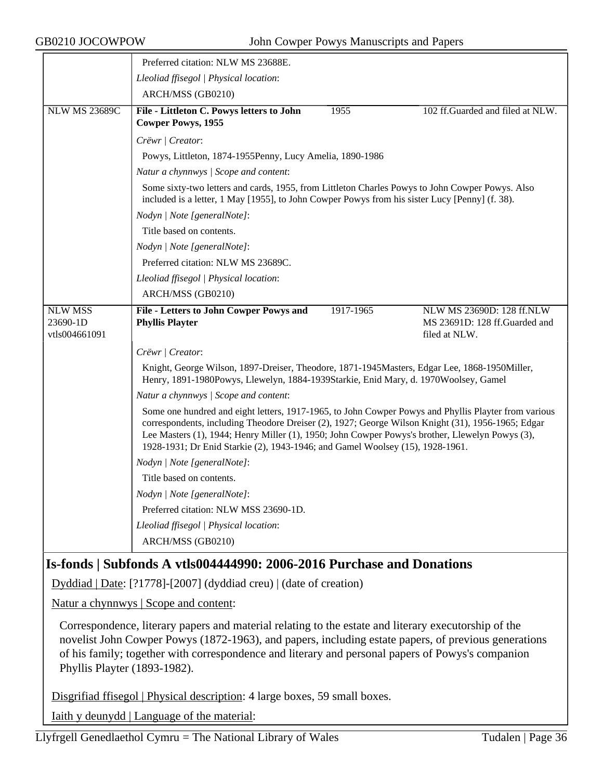|                                             | Preferred citation: NLW MS 23688E.                                                                                                                                                                                                                                                                                                                                                            |           |                                                                             |
|---------------------------------------------|-----------------------------------------------------------------------------------------------------------------------------------------------------------------------------------------------------------------------------------------------------------------------------------------------------------------------------------------------------------------------------------------------|-----------|-----------------------------------------------------------------------------|
|                                             | Lleoliad ffisegol   Physical location:                                                                                                                                                                                                                                                                                                                                                        |           |                                                                             |
|                                             | ARCH/MSS (GB0210)                                                                                                                                                                                                                                                                                                                                                                             |           |                                                                             |
| <b>NLW MS 23689C</b>                        | File - Littleton C. Powys letters to John<br><b>Cowper Powys, 1955</b>                                                                                                                                                                                                                                                                                                                        | 1955      | 102 ff.Guarded and filed at NLW.                                            |
|                                             | Crëwr   Creator:                                                                                                                                                                                                                                                                                                                                                                              |           |                                                                             |
|                                             | Powys, Littleton, 1874-1955Penny, Lucy Amelia, 1890-1986                                                                                                                                                                                                                                                                                                                                      |           |                                                                             |
|                                             | Natur a chynnwys / Scope and content:                                                                                                                                                                                                                                                                                                                                                         |           |                                                                             |
|                                             | Some sixty-two letters and cards, 1955, from Littleton Charles Powys to John Cowper Powys. Also<br>included is a letter, 1 May [1955], to John Cowper Powys from his sister Lucy [Penny] (f. 38).                                                                                                                                                                                             |           |                                                                             |
|                                             | Nodyn   Note [generalNote]:                                                                                                                                                                                                                                                                                                                                                                   |           |                                                                             |
|                                             | Title based on contents.                                                                                                                                                                                                                                                                                                                                                                      |           |                                                                             |
|                                             | Nodyn   Note [generalNote]:                                                                                                                                                                                                                                                                                                                                                                   |           |                                                                             |
|                                             | Preferred citation: NLW MS 23689C.                                                                                                                                                                                                                                                                                                                                                            |           |                                                                             |
|                                             | Lleoliad ffisegol   Physical location:                                                                                                                                                                                                                                                                                                                                                        |           |                                                                             |
|                                             | ARCH/MSS (GB0210)                                                                                                                                                                                                                                                                                                                                                                             |           |                                                                             |
|                                             |                                                                                                                                                                                                                                                                                                                                                                                               |           |                                                                             |
| <b>NLW MSS</b><br>23690-1D<br>vtls004661091 | File - Letters to John Cowper Powys and<br><b>Phyllis Playter</b>                                                                                                                                                                                                                                                                                                                             | 1917-1965 | NLW MS 23690D: 128 ff.NLW<br>MS 23691D: 128 ff.Guarded and<br>filed at NLW. |
|                                             | Crëwr   Creator:                                                                                                                                                                                                                                                                                                                                                                              |           |                                                                             |
|                                             | Knight, George Wilson, 1897-Dreiser, Theodore, 1871-1945Masters, Edgar Lee, 1868-1950Miller,<br>Henry, 1891-1980Powys, Llewelyn, 1884-1939Starkie, Enid Mary, d. 1970Woolsey, Gamel                                                                                                                                                                                                           |           |                                                                             |
|                                             | Natur a chynnwys / Scope and content:                                                                                                                                                                                                                                                                                                                                                         |           |                                                                             |
|                                             | Some one hundred and eight letters, 1917-1965, to John Cowper Powys and Phyllis Playter from various<br>correspondents, including Theodore Dreiser (2), 1927; George Wilson Knight (31), 1956-1965; Edgar<br>Lee Masters (1), 1944; Henry Miller (1), 1950; John Cowper Powys's brother, Llewelyn Powys (3),<br>1928-1931; Dr Enid Starkie (2), 1943-1946; and Gamel Woolsey (15), 1928-1961. |           |                                                                             |
|                                             | Nodyn   Note [generalNote]:                                                                                                                                                                                                                                                                                                                                                                   |           |                                                                             |
|                                             | Title based on contents.                                                                                                                                                                                                                                                                                                                                                                      |           |                                                                             |
|                                             | Nodyn   Note [generalNote]:                                                                                                                                                                                                                                                                                                                                                                   |           |                                                                             |
|                                             | Preferred citation: NLW MSS 23690-1D.                                                                                                                                                                                                                                                                                                                                                         |           |                                                                             |
|                                             | Lleoliad ffisegol   Physical location:                                                                                                                                                                                                                                                                                                                                                        |           |                                                                             |
|                                             | ARCH/MSS (GB0210)                                                                                                                                                                                                                                                                                                                                                                             |           |                                                                             |

## **Is-fonds | Subfonds A vtls004444990: 2006-2016 Purchase and Donations**

Dyddiad | Date: [?1778]-[2007] (dyddiad creu) | (date of creation)

Natur a chynnwys | Scope and content:

Correspondence, literary papers and material relating to the estate and literary executorship of the novelist John Cowper Powys (1872-1963), and papers, including estate papers, of previous generations of his family; together with correspondence and literary and personal papers of Powys's companion Phyllis Playter (1893-1982).

Disgrifiad ffisegol | Physical description: 4 large boxes, 59 small boxes.

Iaith y deunydd | Language of the material: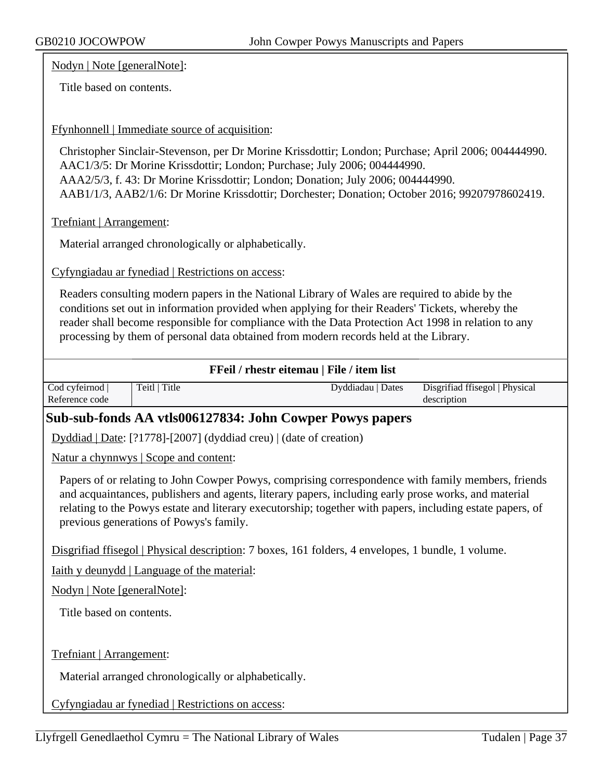Nodyn | Note [generalNote]:

Title based on contents.

#### Ffynhonnell | Immediate source of acquisition:

Christopher Sinclair-Stevenson, per Dr Morine Krissdottir; London; Purchase; April 2006; 004444990. AAC1/3/5: Dr Morine Krissdottir; London; Purchase; July 2006; 004444990. AAA2/5/3, f. 43: Dr Morine Krissdottir; London; Donation; July 2006; 004444990.

AAB1/1/3, AAB2/1/6: Dr Morine Krissdottir; Dorchester; Donation; October 2016; 99207978602419.

Trefniant | Arrangement:

Material arranged chronologically or alphabetically.

Cyfyngiadau ar fynediad | Restrictions on access:

Readers consulting modern papers in the National Library of Wales are required to abide by the conditions set out in information provided when applying for their Readers' Tickets, whereby the reader shall become responsible for compliance with the Data Protection Act 1998 in relation to any processing by them of personal data obtained from modern records held at the Library.

|  |  | FFeil / rhestr eitemau   File / item list |  |  |  |
|--|--|-------------------------------------------|--|--|--|
|--|--|-------------------------------------------|--|--|--|

| Cod cyfeirnod  | Teitl   Title | Dyddiadau   Dates | Disgrifiad ffisegol   Physical |
|----------------|---------------|-------------------|--------------------------------|
| Reference code |               |                   | description                    |

### **Sub-sub-fonds AA vtls006127834: John Cowper Powys papers**

Dyddiad | Date: [?1778]-[2007] (dyddiad creu) | (date of creation)

Natur a chynnwys | Scope and content:

Papers of or relating to John Cowper Powys, comprising correspondence with family members, friends and acquaintances, publishers and agents, literary papers, including early prose works, and material relating to the Powys estate and literary executorship; together with papers, including estate papers, of previous generations of Powys's family.

Disgrifiad ffisegol | Physical description: 7 boxes, 161 folders, 4 envelopes, 1 bundle, 1 volume.

Iaith y deunydd | Language of the material:

Nodyn | Note [generalNote]:

Title based on contents.

Trefniant | Arrangement:

Material arranged chronologically or alphabetically.

Cyfyngiadau ar fynediad | Restrictions on access: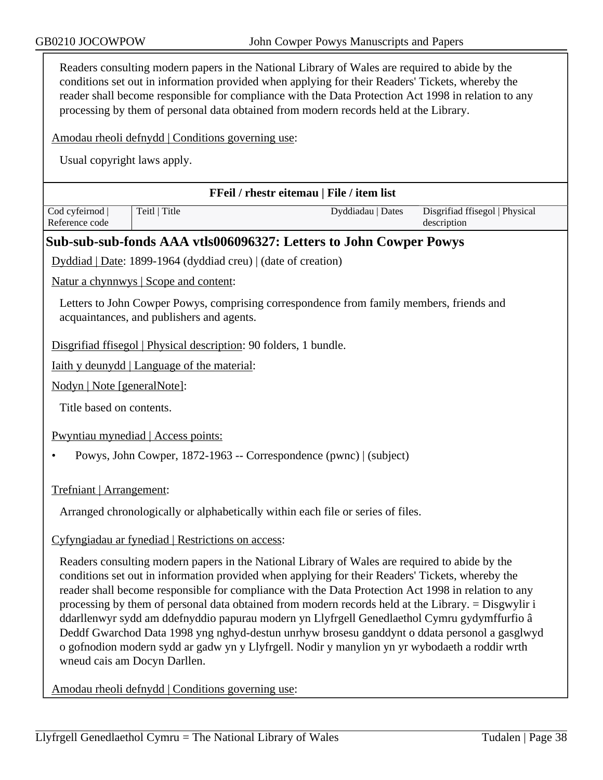| Readers consulting modern papers in the National Library of Wales are required to abide by the<br>conditions set out in information provided when applying for their Readers' Tickets, whereby the<br>reader shall become responsible for compliance with the Data Protection Act 1998 in relation to any<br>processing by them of personal data obtained from modern records held at the Library. |                                                                                                                                                                                                                                                                                                                                                                                                                                                                                                                                                                                                                                                                                                                                                     |                                           |                                               |  |  |
|----------------------------------------------------------------------------------------------------------------------------------------------------------------------------------------------------------------------------------------------------------------------------------------------------------------------------------------------------------------------------------------------------|-----------------------------------------------------------------------------------------------------------------------------------------------------------------------------------------------------------------------------------------------------------------------------------------------------------------------------------------------------------------------------------------------------------------------------------------------------------------------------------------------------------------------------------------------------------------------------------------------------------------------------------------------------------------------------------------------------------------------------------------------------|-------------------------------------------|-----------------------------------------------|--|--|
|                                                                                                                                                                                                                                                                                                                                                                                                    | Amodau rheoli defnydd   Conditions governing use:                                                                                                                                                                                                                                                                                                                                                                                                                                                                                                                                                                                                                                                                                                   |                                           |                                               |  |  |
|                                                                                                                                                                                                                                                                                                                                                                                                    | Usual copyright laws apply.                                                                                                                                                                                                                                                                                                                                                                                                                                                                                                                                                                                                                                                                                                                         |                                           |                                               |  |  |
|                                                                                                                                                                                                                                                                                                                                                                                                    |                                                                                                                                                                                                                                                                                                                                                                                                                                                                                                                                                                                                                                                                                                                                                     | FFeil / rhestr eitemau   File / item list |                                               |  |  |
| Cod cyfeirnod<br>Reference code                                                                                                                                                                                                                                                                                                                                                                    | Teitl   Title                                                                                                                                                                                                                                                                                                                                                                                                                                                                                                                                                                                                                                                                                                                                       | Dyddiadau   Dates                         | Disgrifiad ffisegol   Physical<br>description |  |  |
|                                                                                                                                                                                                                                                                                                                                                                                                    | Sub-sub-sub-fonds AAA vtls006096327: Letters to John Cowper Powys                                                                                                                                                                                                                                                                                                                                                                                                                                                                                                                                                                                                                                                                                   |                                           |                                               |  |  |
|                                                                                                                                                                                                                                                                                                                                                                                                    | Dyddiad   Date: 1899-1964 (dyddiad creu)   (date of creation)                                                                                                                                                                                                                                                                                                                                                                                                                                                                                                                                                                                                                                                                                       |                                           |                                               |  |  |
|                                                                                                                                                                                                                                                                                                                                                                                                    | Natur a chynnwys   Scope and content:                                                                                                                                                                                                                                                                                                                                                                                                                                                                                                                                                                                                                                                                                                               |                                           |                                               |  |  |
|                                                                                                                                                                                                                                                                                                                                                                                                    | Letters to John Cowper Powys, comprising correspondence from family members, friends and<br>acquaintances, and publishers and agents.                                                                                                                                                                                                                                                                                                                                                                                                                                                                                                                                                                                                               |                                           |                                               |  |  |
|                                                                                                                                                                                                                                                                                                                                                                                                    | Disgrifiad ffisegol   Physical description: 90 folders, 1 bundle.                                                                                                                                                                                                                                                                                                                                                                                                                                                                                                                                                                                                                                                                                   |                                           |                                               |  |  |
|                                                                                                                                                                                                                                                                                                                                                                                                    | Iaith y deunydd   Language of the material:                                                                                                                                                                                                                                                                                                                                                                                                                                                                                                                                                                                                                                                                                                         |                                           |                                               |  |  |
| Nodyn   Note [generalNote]:                                                                                                                                                                                                                                                                                                                                                                        |                                                                                                                                                                                                                                                                                                                                                                                                                                                                                                                                                                                                                                                                                                                                                     |                                           |                                               |  |  |
| Title based on contents.                                                                                                                                                                                                                                                                                                                                                                           |                                                                                                                                                                                                                                                                                                                                                                                                                                                                                                                                                                                                                                                                                                                                                     |                                           |                                               |  |  |
|                                                                                                                                                                                                                                                                                                                                                                                                    | Pwyntiau mynediad   Access points:                                                                                                                                                                                                                                                                                                                                                                                                                                                                                                                                                                                                                                                                                                                  |                                           |                                               |  |  |
|                                                                                                                                                                                                                                                                                                                                                                                                    | Powys, John Cowper, 1872-1963 -- Correspondence (pwnc)   (subject)                                                                                                                                                                                                                                                                                                                                                                                                                                                                                                                                                                                                                                                                                  |                                           |                                               |  |  |
| Trefniant   Arrangement:                                                                                                                                                                                                                                                                                                                                                                           |                                                                                                                                                                                                                                                                                                                                                                                                                                                                                                                                                                                                                                                                                                                                                     |                                           |                                               |  |  |
| Arranged chronologically or alphabetically within each file or series of files.                                                                                                                                                                                                                                                                                                                    |                                                                                                                                                                                                                                                                                                                                                                                                                                                                                                                                                                                                                                                                                                                                                     |                                           |                                               |  |  |
|                                                                                                                                                                                                                                                                                                                                                                                                    | Cyfyngiadau ar fynediad   Restrictions on access:                                                                                                                                                                                                                                                                                                                                                                                                                                                                                                                                                                                                                                                                                                   |                                           |                                               |  |  |
|                                                                                                                                                                                                                                                                                                                                                                                                    | Readers consulting modern papers in the National Library of Wales are required to abide by the<br>conditions set out in information provided when applying for their Readers' Tickets, whereby the<br>reader shall become responsible for compliance with the Data Protection Act 1998 in relation to any<br>processing by them of personal data obtained from modern records held at the Library. = Disgwylir i<br>ddarllenwyr sydd am ddefnyddio papurau modern yn Llyfrgell Genedlaethol Cymru gydymffurfio â<br>Deddf Gwarchod Data 1998 yng nghyd-destun unrhyw brosesu ganddynt o ddata personol a gasglwyd<br>o gofnodion modern sydd ar gadw yn y Llyfrgell. Nodir y manylion yn yr wybodaeth a roddir wrth<br>wneud cais am Docyn Darllen. |                                           |                                               |  |  |
|                                                                                                                                                                                                                                                                                                                                                                                                    | Amodau rheoli defnydd   Conditions governing use:                                                                                                                                                                                                                                                                                                                                                                                                                                                                                                                                                                                                                                                                                                   |                                           |                                               |  |  |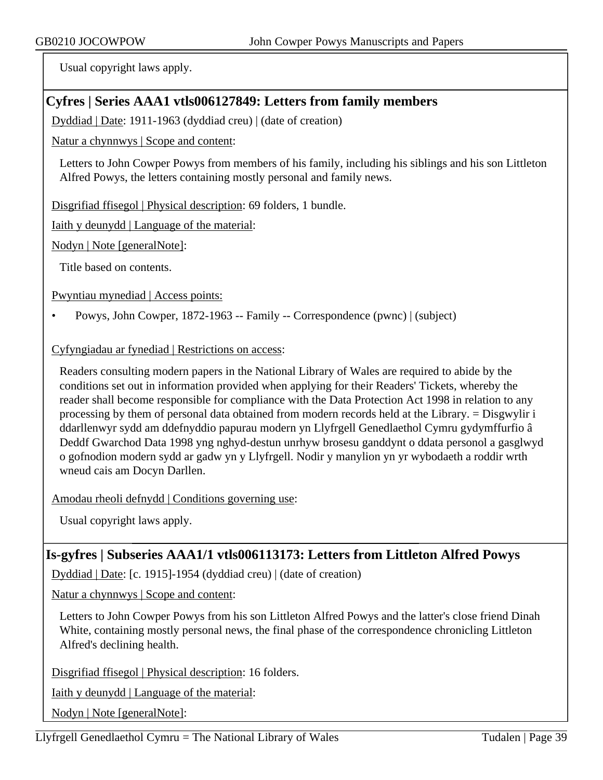Usual copyright laws apply.

# **Cyfres | Series AAA1 vtls006127849: Letters from family members**

Dyddiad | Date: 1911-1963 (dyddiad creu) | (date of creation)

Natur a chynnwys | Scope and content:

Letters to John Cowper Powys from members of his family, including his siblings and his son Littleton Alfred Powys, the letters containing mostly personal and family news.

Disgrifiad ffisegol | Physical description: 69 folders, 1 bundle.

Iaith y deunydd | Language of the material:

Nodyn | Note [generalNote]:

Title based on contents.

Pwyntiau mynediad | Access points:

• Powys, John Cowper, 1872-1963 -- Family -- Correspondence (pwnc) | (subject)

### Cyfyngiadau ar fynediad | Restrictions on access:

Readers consulting modern papers in the National Library of Wales are required to abide by the conditions set out in information provided when applying for their Readers' Tickets, whereby the reader shall become responsible for compliance with the Data Protection Act 1998 in relation to any processing by them of personal data obtained from modern records held at the Library. = Disgwylir i ddarllenwyr sydd am ddefnyddio papurau modern yn Llyfrgell Genedlaethol Cymru gydymffurfio â Deddf Gwarchod Data 1998 yng nghyd-destun unrhyw brosesu ganddynt o ddata personol a gasglwyd o gofnodion modern sydd ar gadw yn y Llyfrgell. Nodir y manylion yn yr wybodaeth a roddir wrth wneud cais am Docyn Darllen.

Amodau rheoli defnydd | Conditions governing use:

Usual copyright laws apply.

# **Is-gyfres | Subseries AAA1/1 vtls006113173: Letters from Littleton Alfred Powys**

Dyddiad | Date: [c. 1915]-1954 (dyddiad creu) | (date of creation)

Natur a chynnwys | Scope and content:

Letters to John Cowper Powys from his son Littleton Alfred Powys and the latter's close friend Dinah White, containing mostly personal news, the final phase of the correspondence chronicling Littleton Alfred's declining health.

Disgrifiad ffisegol | Physical description: 16 folders.

Iaith y deunydd | Language of the material:

Nodyn | Note [generalNote]: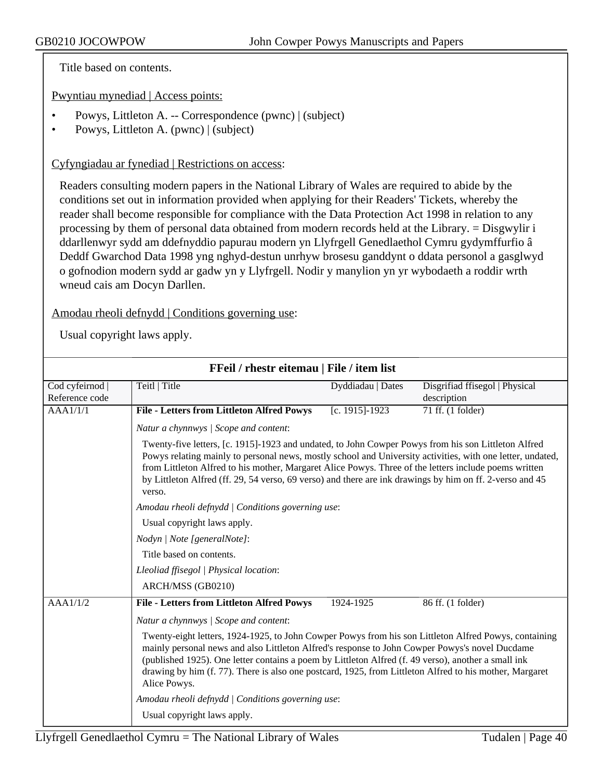Title based on contents.

Pwyntiau mynediad | Access points:

- Powys, Littleton A. -- Correspondence (pwnc) | (subject)
- Powys, Littleton A. (pwnc) | (subject)

#### Cyfyngiadau ar fynediad | Restrictions on access:

Readers consulting modern papers in the National Library of Wales are required to abide by the conditions set out in information provided when applying for their Readers' Tickets, whereby the reader shall become responsible for compliance with the Data Protection Act 1998 in relation to any processing by them of personal data obtained from modern records held at the Library. = Disgwylir i ddarllenwyr sydd am ddefnyddio papurau modern yn Llyfrgell Genedlaethol Cymru gydymffurfio â Deddf Gwarchod Data 1998 yng nghyd-destun unrhyw brosesu ganddynt o ddata personol a gasglwyd o gofnodion modern sydd ar gadw yn y Llyfrgell. Nodir y manylion yn yr wybodaeth a roddir wrth wneud cais am Docyn Darllen.

Amodau rheoli defnydd | Conditions governing use:

|                                   | FFeil / rhestr eitemau   File / item list                                                                                                                                                                                                                                                                                                                                                                                                        |                   |                                               |  |
|-----------------------------------|--------------------------------------------------------------------------------------------------------------------------------------------------------------------------------------------------------------------------------------------------------------------------------------------------------------------------------------------------------------------------------------------------------------------------------------------------|-------------------|-----------------------------------------------|--|
| Cod cyfeirnod  <br>Reference code | Teitl   Title                                                                                                                                                                                                                                                                                                                                                                                                                                    | Dyddiadau   Dates | Disgrifiad ffisegol   Physical<br>description |  |
| AAA1/1/1                          | <b>File - Letters from Littleton Alfred Powys</b>                                                                                                                                                                                                                                                                                                                                                                                                | [c. 1915]-1923    | 71 ff. (1 folder)                             |  |
|                                   | Natur a chynnwys / Scope and content:                                                                                                                                                                                                                                                                                                                                                                                                            |                   |                                               |  |
|                                   | Twenty-five letters, [c. 1915]-1923 and undated, to John Cowper Powys from his son Littleton Alfred<br>Powys relating mainly to personal news, mostly school and University activities, with one letter, undated,<br>from Littleton Alfred to his mother, Margaret Alice Powys. Three of the letters include poems written<br>by Littleton Alfred (ff. 29, 54 verso, 69 verso) and there are ink drawings by him on ff. 2-verso and 45<br>verso. |                   |                                               |  |
|                                   | Amodau rheoli defnydd   Conditions governing use:                                                                                                                                                                                                                                                                                                                                                                                                |                   |                                               |  |
|                                   | Usual copyright laws apply.                                                                                                                                                                                                                                                                                                                                                                                                                      |                   |                                               |  |
|                                   | Nodyn   Note [generalNote]:                                                                                                                                                                                                                                                                                                                                                                                                                      |                   |                                               |  |
|                                   | Title based on contents.                                                                                                                                                                                                                                                                                                                                                                                                                         |                   |                                               |  |
|                                   | Lleoliad ffisegol   Physical location:                                                                                                                                                                                                                                                                                                                                                                                                           |                   |                                               |  |
|                                   | ARCH/MSS (GB0210)                                                                                                                                                                                                                                                                                                                                                                                                                                |                   |                                               |  |
| AAA1/1/2                          | <b>File - Letters from Littleton Alfred Powys</b>                                                                                                                                                                                                                                                                                                                                                                                                | 1924-1925         | 86 ff. (1 folder)                             |  |
|                                   | Natur a chynnwys / Scope and content:                                                                                                                                                                                                                                                                                                                                                                                                            |                   |                                               |  |
|                                   | Twenty-eight letters, 1924-1925, to John Cowper Powys from his son Littleton Alfred Powys, containing<br>mainly personal news and also Littleton Alfred's response to John Cowper Powys's novel Ducdame<br>(published 1925). One letter contains a poem by Littleton Alfred (f. 49 verso), another a small ink<br>drawing by him (f. 77). There is also one postcard, 1925, from Littleton Alfred to his mother, Margaret<br>Alice Powys.        |                   |                                               |  |
|                                   | Amodau rheoli defnydd   Conditions governing use:                                                                                                                                                                                                                                                                                                                                                                                                |                   |                                               |  |
|                                   | Usual copyright laws apply.                                                                                                                                                                                                                                                                                                                                                                                                                      |                   |                                               |  |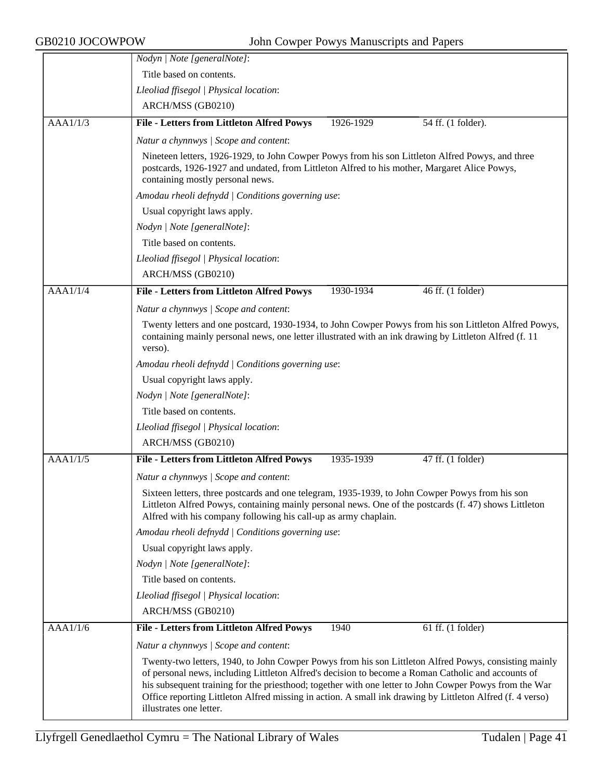|          | Nodyn   Note [generalNote]:                                                                                                                                                                                                                                                                                                                                                                                                                                   |
|----------|---------------------------------------------------------------------------------------------------------------------------------------------------------------------------------------------------------------------------------------------------------------------------------------------------------------------------------------------------------------------------------------------------------------------------------------------------------------|
|          | Title based on contents.                                                                                                                                                                                                                                                                                                                                                                                                                                      |
|          | Lleoliad ffisegol   Physical location:                                                                                                                                                                                                                                                                                                                                                                                                                        |
|          | ARCH/MSS (GB0210)                                                                                                                                                                                                                                                                                                                                                                                                                                             |
| AAA1/1/3 | <b>File - Letters from Littleton Alfred Powys</b><br>1926-1929<br>54 ff. (1 folder).                                                                                                                                                                                                                                                                                                                                                                          |
|          | Natur a chynnwys / Scope and content:                                                                                                                                                                                                                                                                                                                                                                                                                         |
|          | Nineteen letters, 1926-1929, to John Cowper Powys from his son Littleton Alfred Powys, and three<br>postcards, 1926-1927 and undated, from Littleton Alfred to his mother, Margaret Alice Powys,<br>containing mostly personal news.                                                                                                                                                                                                                          |
|          | Amodau rheoli defnydd   Conditions governing use:                                                                                                                                                                                                                                                                                                                                                                                                             |
|          | Usual copyright laws apply.                                                                                                                                                                                                                                                                                                                                                                                                                                   |
|          | Nodyn   Note [generalNote]:                                                                                                                                                                                                                                                                                                                                                                                                                                   |
|          | Title based on contents.                                                                                                                                                                                                                                                                                                                                                                                                                                      |
|          | Lleoliad ffisegol   Physical location:                                                                                                                                                                                                                                                                                                                                                                                                                        |
|          | ARCH/MSS (GB0210)                                                                                                                                                                                                                                                                                                                                                                                                                                             |
| AAA1/1/4 | <b>File - Letters from Littleton Alfred Powys</b><br>1930-1934<br>46 ff. (1 folder)                                                                                                                                                                                                                                                                                                                                                                           |
|          | Natur a chynnwys / Scope and content:                                                                                                                                                                                                                                                                                                                                                                                                                         |
|          | Twenty letters and one postcard, 1930-1934, to John Cowper Powys from his son Littleton Alfred Powys,<br>containing mainly personal news, one letter illustrated with an ink drawing by Littleton Alfred (f. 11<br>verso).                                                                                                                                                                                                                                    |
|          | Amodau rheoli defnydd   Conditions governing use:                                                                                                                                                                                                                                                                                                                                                                                                             |
|          | Usual copyright laws apply.                                                                                                                                                                                                                                                                                                                                                                                                                                   |
|          | Nodyn   Note [generalNote]:                                                                                                                                                                                                                                                                                                                                                                                                                                   |
|          | Title based on contents.                                                                                                                                                                                                                                                                                                                                                                                                                                      |
|          | Lleoliad ffisegol   Physical location:                                                                                                                                                                                                                                                                                                                                                                                                                        |
|          | ARCH/MSS (GB0210)                                                                                                                                                                                                                                                                                                                                                                                                                                             |
| AAA1/1/5 | 47 ff. (1 folder)<br><b>File - Letters from Littleton Alfred Powys</b><br>1935-1939                                                                                                                                                                                                                                                                                                                                                                           |
|          | Natur a chynnwys / Scope and content:                                                                                                                                                                                                                                                                                                                                                                                                                         |
|          | Sixteen letters, three postcards and one telegram, 1935-1939, to John Cowper Powys from his son<br>Littleton Alfred Powys, containing mainly personal news. One of the postcards (f. 47) shows Littleton<br>Alfred with his company following his call-up as army chaplain.                                                                                                                                                                                   |
|          | Amodau rheoli defnydd   Conditions governing use:                                                                                                                                                                                                                                                                                                                                                                                                             |
|          | Usual copyright laws apply.                                                                                                                                                                                                                                                                                                                                                                                                                                   |
|          | Nodyn   Note [generalNote]:                                                                                                                                                                                                                                                                                                                                                                                                                                   |
|          | Title based on contents.                                                                                                                                                                                                                                                                                                                                                                                                                                      |
|          | Lleoliad ffisegol   Physical location:                                                                                                                                                                                                                                                                                                                                                                                                                        |
|          | ARCH/MSS (GB0210)                                                                                                                                                                                                                                                                                                                                                                                                                                             |
| AAA1/1/6 | <b>File - Letters from Littleton Alfred Powys</b><br>1940<br>61 ff. (1 folder)                                                                                                                                                                                                                                                                                                                                                                                |
|          | Natur a chynnwys / Scope and content:                                                                                                                                                                                                                                                                                                                                                                                                                         |
|          | Twenty-two letters, 1940, to John Cowper Powys from his son Littleton Alfred Powys, consisting mainly<br>of personal news, including Littleton Alfred's decision to become a Roman Catholic and accounts of<br>his subsequent training for the priesthood; together with one letter to John Cowper Powys from the War<br>Office reporting Littleton Alfred missing in action. A small ink drawing by Littleton Alfred (f. 4 verso)<br>illustrates one letter. |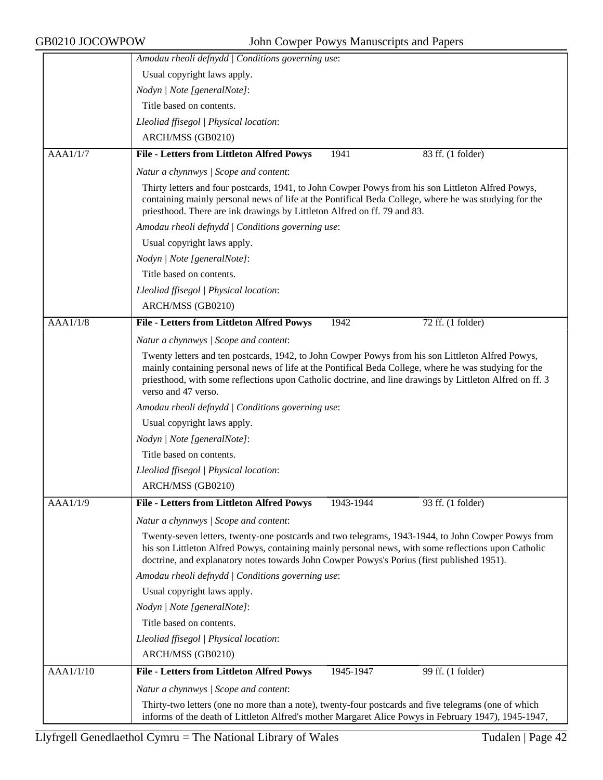|           | Amodau rheoli defnydd   Conditions governing use:                                                                                                                                                                                                                                                        |  |
|-----------|----------------------------------------------------------------------------------------------------------------------------------------------------------------------------------------------------------------------------------------------------------------------------------------------------------|--|
|           | Usual copyright laws apply.                                                                                                                                                                                                                                                                              |  |
|           | Nodyn   Note [generalNote]:                                                                                                                                                                                                                                                                              |  |
|           | Title based on contents.                                                                                                                                                                                                                                                                                 |  |
|           | Lleoliad ffisegol   Physical location:                                                                                                                                                                                                                                                                   |  |
|           | ARCH/MSS (GB0210)                                                                                                                                                                                                                                                                                        |  |
| AAA1/1/7  | <b>File - Letters from Littleton Alfred Powys</b><br>1941<br>83 ff. (1 folder)                                                                                                                                                                                                                           |  |
|           | Natur a chynnwys / Scope and content:                                                                                                                                                                                                                                                                    |  |
|           | Thirty letters and four postcards, 1941, to John Cowper Powys from his son Littleton Alfred Powys,<br>containing mainly personal news of life at the Pontifical Beda College, where he was studying for the<br>priesthood. There are ink drawings by Littleton Alfred on ff. 79 and 83.                  |  |
|           | Amodau rheoli defnydd   Conditions governing use:                                                                                                                                                                                                                                                        |  |
|           | Usual copyright laws apply.                                                                                                                                                                                                                                                                              |  |
|           | Nodyn   Note [generalNote]:                                                                                                                                                                                                                                                                              |  |
|           | Title based on contents.                                                                                                                                                                                                                                                                                 |  |
|           | Lleoliad ffisegol   Physical location:                                                                                                                                                                                                                                                                   |  |
|           | ARCH/MSS (GB0210)                                                                                                                                                                                                                                                                                        |  |
| AAA1/1/8  | File - Letters from Littleton Alfred Powys<br>1942<br>72 ff. (1 folder)                                                                                                                                                                                                                                  |  |
|           | Natur a chynnwys / Scope and content:                                                                                                                                                                                                                                                                    |  |
|           | Twenty letters and ten postcards, 1942, to John Cowper Powys from his son Littleton Alfred Powys,                                                                                                                                                                                                        |  |
|           | mainly containing personal news of life at the Pontifical Beda College, where he was studying for the<br>priesthood, with some reflections upon Catholic doctrine, and line drawings by Littleton Alfred on ff. 3<br>verso and 47 verso.                                                                 |  |
|           | Amodau rheoli defnydd   Conditions governing use:                                                                                                                                                                                                                                                        |  |
|           | Usual copyright laws apply.                                                                                                                                                                                                                                                                              |  |
|           | Nodyn   Note [generalNote]:                                                                                                                                                                                                                                                                              |  |
|           | Title based on contents.                                                                                                                                                                                                                                                                                 |  |
|           | Lleoliad ffisegol   Physical location:                                                                                                                                                                                                                                                                   |  |
|           | ARCH/MSS (GB0210)                                                                                                                                                                                                                                                                                        |  |
| AAA1/1/9  | <b>File - Letters from Littleton Alfred Powys</b><br>1943-1944<br>93 ff. (1 folder)                                                                                                                                                                                                                      |  |
|           | Natur a chynnwys / Scope and content:                                                                                                                                                                                                                                                                    |  |
|           | Twenty-seven letters, twenty-one postcards and two telegrams, 1943-1944, to John Cowper Powys from<br>his son Littleton Alfred Powys, containing mainly personal news, with some reflections upon Catholic<br>doctrine, and explanatory notes towards John Cowper Powys's Porius (first published 1951). |  |
|           | Amodau rheoli defnydd   Conditions governing use:                                                                                                                                                                                                                                                        |  |
|           | Usual copyright laws apply.                                                                                                                                                                                                                                                                              |  |
|           | Nodyn   Note [generalNote]:                                                                                                                                                                                                                                                                              |  |
|           | Title based on contents.                                                                                                                                                                                                                                                                                 |  |
|           | Lleoliad ffisegol   Physical location:                                                                                                                                                                                                                                                                   |  |
|           | ARCH/MSS (GB0210)                                                                                                                                                                                                                                                                                        |  |
| AAA1/1/10 | File - Letters from Littleton Alfred Powys<br>1945-1947<br>99 ff. (1 folder)                                                                                                                                                                                                                             |  |
|           | Natur a chynnwys / Scope and content:                                                                                                                                                                                                                                                                    |  |
|           | Thirty-two letters (one no more than a note), twenty-four postcards and five telegrams (one of which                                                                                                                                                                                                     |  |
|           | informs of the death of Littleton Alfred's mother Margaret Alice Powys in February 1947), 1945-1947,                                                                                                                                                                                                     |  |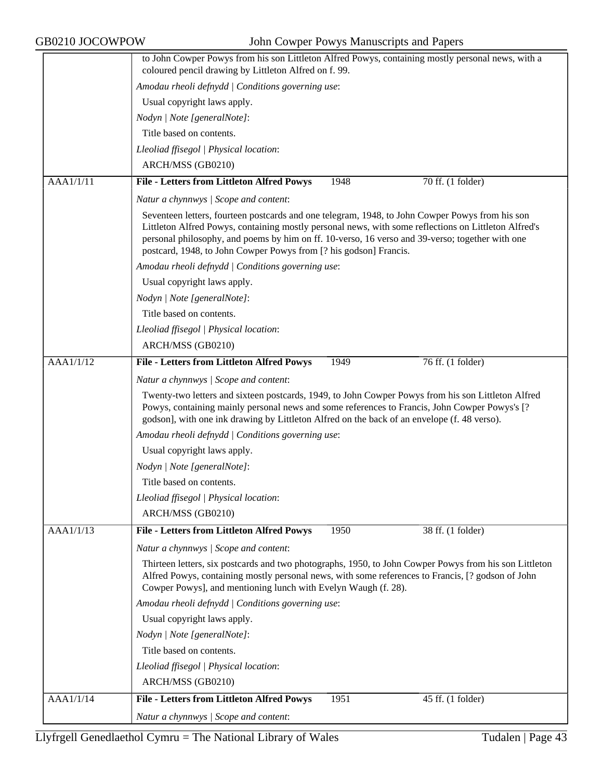|           | to John Cowper Powys from his son Littleton Alfred Powys, containing mostly personal news, with a<br>coloured pencil drawing by Littleton Alfred on f. 99.                                                                                                                                                                                                                      |
|-----------|---------------------------------------------------------------------------------------------------------------------------------------------------------------------------------------------------------------------------------------------------------------------------------------------------------------------------------------------------------------------------------|
|           | Amodau rheoli defnydd   Conditions governing use:                                                                                                                                                                                                                                                                                                                               |
|           | Usual copyright laws apply.                                                                                                                                                                                                                                                                                                                                                     |
|           | Nodyn   Note [generalNote]:                                                                                                                                                                                                                                                                                                                                                     |
|           | Title based on contents.                                                                                                                                                                                                                                                                                                                                                        |
|           | Lleoliad ffisegol   Physical location:                                                                                                                                                                                                                                                                                                                                          |
|           | ARCH/MSS (GB0210)                                                                                                                                                                                                                                                                                                                                                               |
| AAA1/1/11 | $70$ ff. $(1$ folder)<br><b>File - Letters from Littleton Alfred Powys</b><br>1948                                                                                                                                                                                                                                                                                              |
|           | Natur a chynnwys / Scope and content:                                                                                                                                                                                                                                                                                                                                           |
|           | Seventeen letters, fourteen postcards and one telegram, 1948, to John Cowper Powys from his son<br>Littleton Alfred Powys, containing mostly personal news, with some reflections on Littleton Alfred's<br>personal philosophy, and poems by him on ff. 10-verso, 16 verso and 39-verso; together with one<br>postcard, 1948, to John Cowper Powys from [? his godson] Francis. |
|           | Amodau rheoli defnydd   Conditions governing use:                                                                                                                                                                                                                                                                                                                               |
|           | Usual copyright laws apply.                                                                                                                                                                                                                                                                                                                                                     |
|           | Nodyn   Note [generalNote]:                                                                                                                                                                                                                                                                                                                                                     |
|           | Title based on contents.                                                                                                                                                                                                                                                                                                                                                        |
|           | Lleoliad ffisegol   Physical location:                                                                                                                                                                                                                                                                                                                                          |
|           | ARCH/MSS (GB0210)                                                                                                                                                                                                                                                                                                                                                               |
| AAA1/1/12 | 76 ff. (1 folder)<br>File - Letters from Littleton Alfred Powys<br>1949                                                                                                                                                                                                                                                                                                         |
|           | Natur a chynnwys / Scope and content:                                                                                                                                                                                                                                                                                                                                           |
|           | Twenty-two letters and sixteen postcards, 1949, to John Cowper Powys from his son Littleton Alfred<br>Powys, containing mainly personal news and some references to Francis, John Cowper Powys's [?<br>godson], with one ink drawing by Littleton Alfred on the back of an envelope (f. 48 verso).                                                                              |
|           | Amodau rheoli defnydd   Conditions governing use:                                                                                                                                                                                                                                                                                                                               |
|           |                                                                                                                                                                                                                                                                                                                                                                                 |
|           | Usual copyright laws apply.                                                                                                                                                                                                                                                                                                                                                     |
|           | Nodyn   Note [generalNote]:                                                                                                                                                                                                                                                                                                                                                     |
|           | Title based on contents.                                                                                                                                                                                                                                                                                                                                                        |
|           | Lleoliad ffisegol   Physical location:                                                                                                                                                                                                                                                                                                                                          |
|           | ARCH/MSS (GB0210)                                                                                                                                                                                                                                                                                                                                                               |
| AAA1/1/13 | 1950<br><b>File - Letters from Littleton Alfred Powys</b><br>38 ff. (1 folder)                                                                                                                                                                                                                                                                                                  |
|           | Natur a chynnwys / Scope and content:                                                                                                                                                                                                                                                                                                                                           |
|           | Thirteen letters, six postcards and two photographs, 1950, to John Cowper Powys from his son Littleton<br>Alfred Powys, containing mostly personal news, with some references to Francis, [? godson of John<br>Cowper Powys], and mentioning lunch with Evelyn Waugh (f. 28).                                                                                                   |
|           | Amodau rheoli defnydd   Conditions governing use:                                                                                                                                                                                                                                                                                                                               |
|           | Usual copyright laws apply.                                                                                                                                                                                                                                                                                                                                                     |
|           | Nodyn   Note [generalNote]:                                                                                                                                                                                                                                                                                                                                                     |
|           | Title based on contents.                                                                                                                                                                                                                                                                                                                                                        |
|           | Lleoliad ffisegol   Physical location:                                                                                                                                                                                                                                                                                                                                          |
|           | ARCH/MSS (GB0210)                                                                                                                                                                                                                                                                                                                                                               |
| AAA1/1/14 | 1951<br><b>File - Letters from Littleton Alfred Powys</b><br>45 ff. (1 folder)                                                                                                                                                                                                                                                                                                  |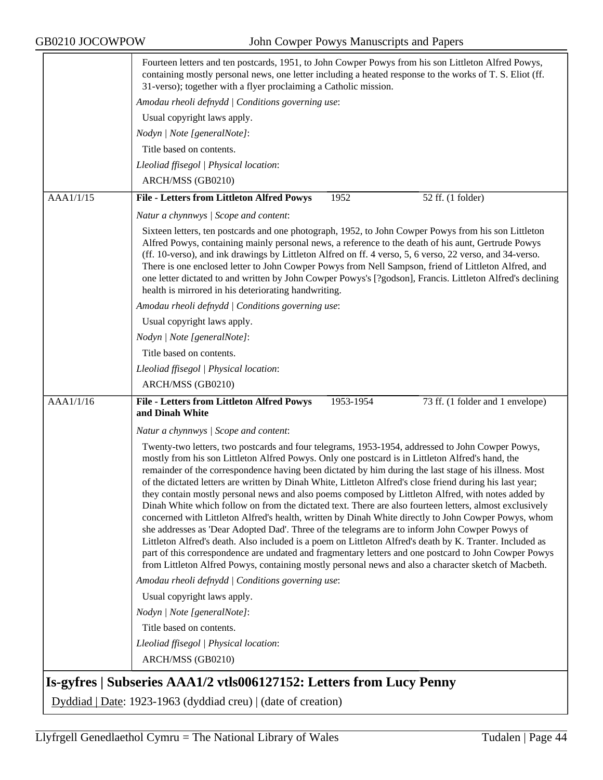|           | Fourteen letters and ten postcards, 1951, to John Cowper Powys from his son Littleton Alfred Powys,<br>containing mostly personal news, one letter including a heated response to the works of T. S. Eliot (ff.<br>31-verso); together with a flyer proclaiming a Catholic mission.                                                                                                                                                                                                                                                                                                                                                                                                                                                                                                                                                                                                                                                                                                                                                                                                                                                                                                 |
|-----------|-------------------------------------------------------------------------------------------------------------------------------------------------------------------------------------------------------------------------------------------------------------------------------------------------------------------------------------------------------------------------------------------------------------------------------------------------------------------------------------------------------------------------------------------------------------------------------------------------------------------------------------------------------------------------------------------------------------------------------------------------------------------------------------------------------------------------------------------------------------------------------------------------------------------------------------------------------------------------------------------------------------------------------------------------------------------------------------------------------------------------------------------------------------------------------------|
|           | Amodau rheoli defnydd   Conditions governing use:                                                                                                                                                                                                                                                                                                                                                                                                                                                                                                                                                                                                                                                                                                                                                                                                                                                                                                                                                                                                                                                                                                                                   |
|           | Usual copyright laws apply.                                                                                                                                                                                                                                                                                                                                                                                                                                                                                                                                                                                                                                                                                                                                                                                                                                                                                                                                                                                                                                                                                                                                                         |
|           | Nodyn   Note [generalNote]:                                                                                                                                                                                                                                                                                                                                                                                                                                                                                                                                                                                                                                                                                                                                                                                                                                                                                                                                                                                                                                                                                                                                                         |
|           | Title based on contents.                                                                                                                                                                                                                                                                                                                                                                                                                                                                                                                                                                                                                                                                                                                                                                                                                                                                                                                                                                                                                                                                                                                                                            |
|           | Lleoliad ffisegol   Physical location:                                                                                                                                                                                                                                                                                                                                                                                                                                                                                                                                                                                                                                                                                                                                                                                                                                                                                                                                                                                                                                                                                                                                              |
|           | ARCH/MSS (GB0210)                                                                                                                                                                                                                                                                                                                                                                                                                                                                                                                                                                                                                                                                                                                                                                                                                                                                                                                                                                                                                                                                                                                                                                   |
| AAA1/1/15 | <b>File - Letters from Littleton Alfred Powys</b><br>1952<br>52 ff. (1 folder)                                                                                                                                                                                                                                                                                                                                                                                                                                                                                                                                                                                                                                                                                                                                                                                                                                                                                                                                                                                                                                                                                                      |
|           | Natur a chynnwys / Scope and content:                                                                                                                                                                                                                                                                                                                                                                                                                                                                                                                                                                                                                                                                                                                                                                                                                                                                                                                                                                                                                                                                                                                                               |
|           | Sixteen letters, ten postcards and one photograph, 1952, to John Cowper Powys from his son Littleton<br>Alfred Powys, containing mainly personal news, a reference to the death of his aunt, Gertrude Powys<br>(ff. 10-verso), and ink drawings by Littleton Alfred on ff. 4 verso, 5, 6 verso, 22 verso, and 34-verso.<br>There is one enclosed letter to John Cowper Powys from Nell Sampson, friend of Littleton Alfred, and<br>one letter dictated to and written by John Cowper Powys's [?godson], Francis. Littleton Alfred's declining<br>health is mirrored in his deteriorating handwriting.                                                                                                                                                                                                                                                                                                                                                                                                                                                                                                                                                                               |
|           | Amodau rheoli defnydd   Conditions governing use:                                                                                                                                                                                                                                                                                                                                                                                                                                                                                                                                                                                                                                                                                                                                                                                                                                                                                                                                                                                                                                                                                                                                   |
|           | Usual copyright laws apply.                                                                                                                                                                                                                                                                                                                                                                                                                                                                                                                                                                                                                                                                                                                                                                                                                                                                                                                                                                                                                                                                                                                                                         |
|           | Nodyn   Note [generalNote]:                                                                                                                                                                                                                                                                                                                                                                                                                                                                                                                                                                                                                                                                                                                                                                                                                                                                                                                                                                                                                                                                                                                                                         |
|           | Title based on contents.                                                                                                                                                                                                                                                                                                                                                                                                                                                                                                                                                                                                                                                                                                                                                                                                                                                                                                                                                                                                                                                                                                                                                            |
|           | Lleoliad ffisegol   Physical location:                                                                                                                                                                                                                                                                                                                                                                                                                                                                                                                                                                                                                                                                                                                                                                                                                                                                                                                                                                                                                                                                                                                                              |
|           | ARCH/MSS (GB0210)                                                                                                                                                                                                                                                                                                                                                                                                                                                                                                                                                                                                                                                                                                                                                                                                                                                                                                                                                                                                                                                                                                                                                                   |
| AAA1/1/16 | File - Letters from Littleton Alfred Powys<br>1953-1954<br>73 ff. (1 folder and 1 envelope)<br>and Dinah White                                                                                                                                                                                                                                                                                                                                                                                                                                                                                                                                                                                                                                                                                                                                                                                                                                                                                                                                                                                                                                                                      |
|           | Natur a chynnwys   Scope and content:                                                                                                                                                                                                                                                                                                                                                                                                                                                                                                                                                                                                                                                                                                                                                                                                                                                                                                                                                                                                                                                                                                                                               |
|           | Twenty-two letters, two postcards and four telegrams, 1953-1954, addressed to John Cowper Powys,<br>mostly from his son Littleton Alfred Powys. Only one postcard is in Littleton Alfred's hand, the<br>remainder of the correspondence having been dictated by him during the last stage of his illness. Most<br>of the dictated letters are written by Dinah White, Littleton Alfred's close friend during his last year;<br>they contain mostly personal news and also poems composed by Littleton Alfred, with notes added by<br>Dinah White which follow on from the dictated text. There are also fourteen letters, almost exclusively<br>concerned with Littleton Alfred's health, written by Dinah White directly to John Cowper Powys, whom<br>she addresses as 'Dear Adopted Dad'. Three of the telegrams are to inform John Cowper Powys of<br>Littleton Alfred's death. Also included is a poem on Littleton Alfred's death by K. Tranter. Included as<br>part of this correspondence are undated and fragmentary letters and one postcard to John Cowper Powys<br>from Littleton Alfred Powys, containing mostly personal news and also a character sketch of Macbeth. |
|           | Amodau rheoli defnydd   Conditions governing use:                                                                                                                                                                                                                                                                                                                                                                                                                                                                                                                                                                                                                                                                                                                                                                                                                                                                                                                                                                                                                                                                                                                                   |
|           | Usual copyright laws apply.                                                                                                                                                                                                                                                                                                                                                                                                                                                                                                                                                                                                                                                                                                                                                                                                                                                                                                                                                                                                                                                                                                                                                         |
|           | Nodyn   Note [generalNote]:                                                                                                                                                                                                                                                                                                                                                                                                                                                                                                                                                                                                                                                                                                                                                                                                                                                                                                                                                                                                                                                                                                                                                         |
|           | Title based on contents.                                                                                                                                                                                                                                                                                                                                                                                                                                                                                                                                                                                                                                                                                                                                                                                                                                                                                                                                                                                                                                                                                                                                                            |
|           | Lleoliad ffisegol   Physical location:                                                                                                                                                                                                                                                                                                                                                                                                                                                                                                                                                                                                                                                                                                                                                                                                                                                                                                                                                                                                                                                                                                                                              |
|           | ARCH/MSS (GB0210)                                                                                                                                                                                                                                                                                                                                                                                                                                                                                                                                                                                                                                                                                                                                                                                                                                                                                                                                                                                                                                                                                                                                                                   |
|           | Is-gyfres   Subseries AAA1/2 vtls006127152: Letters from Lucy Penny                                                                                                                                                                                                                                                                                                                                                                                                                                                                                                                                                                                                                                                                                                                                                                                                                                                                                                                                                                                                                                                                                                                 |

Dyddiad | Date: 1923-1963 (dyddiad creu) | (date of creation)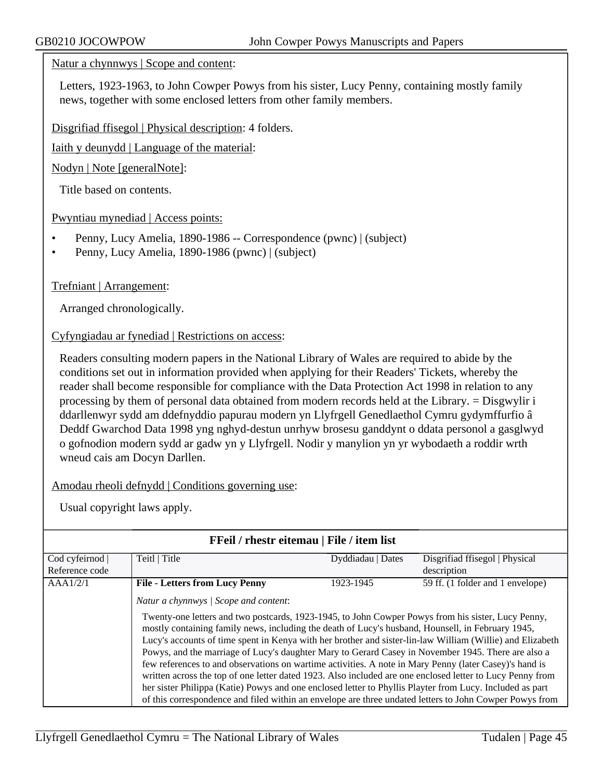#### Natur a chynnwys | Scope and content:

Letters, 1923-1963, to John Cowper Powys from his sister, Lucy Penny, containing mostly family news, together with some enclosed letters from other family members.

Disgrifiad ffisegol | Physical description: 4 folders.

Iaith y deunydd | Language of the material:

Nodyn | Note [generalNote]:

Title based on contents.

Pwyntiau mynediad | Access points:

- Penny, Lucy Amelia, 1890-1986 -- Correspondence (pwnc) | (subject)
- Penny, Lucy Amelia, 1890-1986 (pwnc) | (subject)

Trefniant | Arrangement:

Arranged chronologically.

#### Cyfyngiadau ar fynediad | Restrictions on access:

Readers consulting modern papers in the National Library of Wales are required to abide by the conditions set out in information provided when applying for their Readers' Tickets, whereby the reader shall become responsible for compliance with the Data Protection Act 1998 in relation to any processing by them of personal data obtained from modern records held at the Library. = Disgwylir i ddarllenwyr sydd am ddefnyddio papurau modern yn Llyfrgell Genedlaethol Cymru gydymffurfio â Deddf Gwarchod Data 1998 yng nghyd-destun unrhyw brosesu ganddynt o ddata personol a gasglwyd o gofnodion modern sydd ar gadw yn y Llyfrgell. Nodir y manylion yn yr wybodaeth a roddir wrth wneud cais am Docyn Darllen.

Amodau rheoli defnydd | Conditions governing use:

| FFeil / rhestr eitemau   File / item list |                                                                                                                                                                                                                                                                                                                                                                                                                                                                                                                                                                                                                                                                                                                                                                                                                                                                                                                   |                   |                                  |
|-------------------------------------------|-------------------------------------------------------------------------------------------------------------------------------------------------------------------------------------------------------------------------------------------------------------------------------------------------------------------------------------------------------------------------------------------------------------------------------------------------------------------------------------------------------------------------------------------------------------------------------------------------------------------------------------------------------------------------------------------------------------------------------------------------------------------------------------------------------------------------------------------------------------------------------------------------------------------|-------------------|----------------------------------|
| Cod cyfeirnod                             | Teitl   Title                                                                                                                                                                                                                                                                                                                                                                                                                                                                                                                                                                                                                                                                                                                                                                                                                                                                                                     | Dyddiadau   Dates | Disgrifiad ffisegol   Physical   |
| Reference code                            |                                                                                                                                                                                                                                                                                                                                                                                                                                                                                                                                                                                                                                                                                                                                                                                                                                                                                                                   |                   | description                      |
| AAA1/2/1                                  | <b>File - Letters from Lucy Penny</b>                                                                                                                                                                                                                                                                                                                                                                                                                                                                                                                                                                                                                                                                                                                                                                                                                                                                             | 1923-1945         | 59 ff. (1 folder and 1 envelope) |
|                                           | Natur a chynnwys / Scope and content:<br>Twenty-one letters and two postcards, 1923-1945, to John Cowper Powys from his sister, Lucy Penny,<br>mostly containing family news, including the death of Lucy's husband, Hounsell, in February 1945,<br>Lucy's accounts of time spent in Kenya with her brother and sister-lin-law William (Willie) and Elizabeth<br>Powys, and the marriage of Lucy's daughter Mary to Gerard Casey in November 1945. There are also a<br>few references to and observations on wartime activities. A note in Mary Penny (later Casey)'s hand is<br>written across the top of one letter dated 1923. Also included are one enclosed letter to Lucy Penny from<br>her sister Philippa (Katie) Powys and one enclosed letter to Phyllis Playter from Lucy. Included as part<br>of this correspondence and filed within an envelope are three undated letters to John Cowper Powys from |                   |                                  |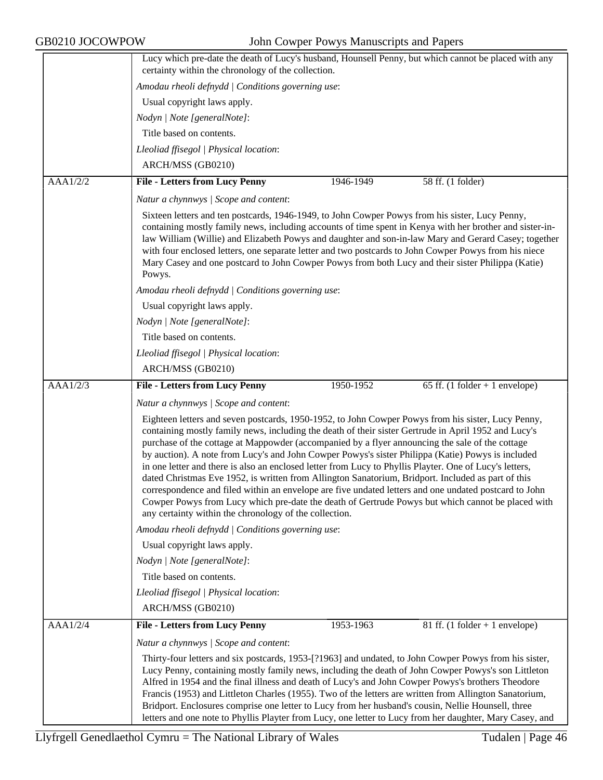|          | Lucy which pre-date the death of Lucy's husband, Hounsell Penny, but which cannot be placed with any<br>certainty within the chronology of the collection.                                                                                                                                                                                                                                                                                                                                                                                                                                                                                                                                                                                                                                                                                                                                                  |  |  |
|----------|-------------------------------------------------------------------------------------------------------------------------------------------------------------------------------------------------------------------------------------------------------------------------------------------------------------------------------------------------------------------------------------------------------------------------------------------------------------------------------------------------------------------------------------------------------------------------------------------------------------------------------------------------------------------------------------------------------------------------------------------------------------------------------------------------------------------------------------------------------------------------------------------------------------|--|--|
|          | Amodau rheoli defnydd   Conditions governing use:                                                                                                                                                                                                                                                                                                                                                                                                                                                                                                                                                                                                                                                                                                                                                                                                                                                           |  |  |
|          | Usual copyright laws apply.                                                                                                                                                                                                                                                                                                                                                                                                                                                                                                                                                                                                                                                                                                                                                                                                                                                                                 |  |  |
|          | Nodyn   Note [generalNote]:                                                                                                                                                                                                                                                                                                                                                                                                                                                                                                                                                                                                                                                                                                                                                                                                                                                                                 |  |  |
|          | Title based on contents.                                                                                                                                                                                                                                                                                                                                                                                                                                                                                                                                                                                                                                                                                                                                                                                                                                                                                    |  |  |
|          | Lleoliad ffisegol   Physical location:                                                                                                                                                                                                                                                                                                                                                                                                                                                                                                                                                                                                                                                                                                                                                                                                                                                                      |  |  |
|          | ARCH/MSS (GB0210)                                                                                                                                                                                                                                                                                                                                                                                                                                                                                                                                                                                                                                                                                                                                                                                                                                                                                           |  |  |
| AAA1/2/2 | <b>File - Letters from Lucy Penny</b><br>1946-1949<br>58 ff. (1 folder)                                                                                                                                                                                                                                                                                                                                                                                                                                                                                                                                                                                                                                                                                                                                                                                                                                     |  |  |
|          | Natur a chynnwys / Scope and content:                                                                                                                                                                                                                                                                                                                                                                                                                                                                                                                                                                                                                                                                                                                                                                                                                                                                       |  |  |
|          | Sixteen letters and ten postcards, 1946-1949, to John Cowper Powys from his sister, Lucy Penny,                                                                                                                                                                                                                                                                                                                                                                                                                                                                                                                                                                                                                                                                                                                                                                                                             |  |  |
|          | containing mostly family news, including accounts of time spent in Kenya with her brother and sister-in-<br>law William (Willie) and Elizabeth Powys and daughter and son-in-law Mary and Gerard Casey; together<br>with four enclosed letters, one separate letter and two postcards to John Cowper Powys from his niece<br>Mary Casey and one postcard to John Cowper Powys from both Lucy and their sister Philippa (Katie)<br>Powys.                                                                                                                                                                                                                                                                                                                                                                                                                                                                    |  |  |
|          | Amodau rheoli defnydd   Conditions governing use:                                                                                                                                                                                                                                                                                                                                                                                                                                                                                                                                                                                                                                                                                                                                                                                                                                                           |  |  |
|          | Usual copyright laws apply.                                                                                                                                                                                                                                                                                                                                                                                                                                                                                                                                                                                                                                                                                                                                                                                                                                                                                 |  |  |
|          | Nodyn   Note [generalNote]:                                                                                                                                                                                                                                                                                                                                                                                                                                                                                                                                                                                                                                                                                                                                                                                                                                                                                 |  |  |
|          | Title based on contents.                                                                                                                                                                                                                                                                                                                                                                                                                                                                                                                                                                                                                                                                                                                                                                                                                                                                                    |  |  |
|          | Lleoliad ffisegol   Physical location:                                                                                                                                                                                                                                                                                                                                                                                                                                                                                                                                                                                                                                                                                                                                                                                                                                                                      |  |  |
|          | ARCH/MSS (GB0210)                                                                                                                                                                                                                                                                                                                                                                                                                                                                                                                                                                                                                                                                                                                                                                                                                                                                                           |  |  |
| AAA1/2/3 | <b>File - Letters from Lucy Penny</b><br>65 ff. $(1$ folder + 1 envelope)<br>1950-1952                                                                                                                                                                                                                                                                                                                                                                                                                                                                                                                                                                                                                                                                                                                                                                                                                      |  |  |
|          | Natur a chynnwys / Scope and content:                                                                                                                                                                                                                                                                                                                                                                                                                                                                                                                                                                                                                                                                                                                                                                                                                                                                       |  |  |
|          | Eighteen letters and seven postcards, 1950-1952, to John Cowper Powys from his sister, Lucy Penny,<br>containing mostly family news, including the death of their sister Gertrude in April 1952 and Lucy's<br>purchase of the cottage at Mappowder (accompanied by a flyer announcing the sale of the cottage<br>by auction). A note from Lucy's and John Cowper Powys's sister Philippa (Katie) Powys is included<br>in one letter and there is also an enclosed letter from Lucy to Phyllis Playter. One of Lucy's letters,<br>dated Christmas Eve 1952, is written from Allington Sanatorium, Bridport. Included as part of this<br>correspondence and filed within an envelope are five undated letters and one undated postcard to John<br>Cowper Powys from Lucy which pre-date the death of Gertrude Powys but which cannot be placed with<br>any certainty within the chronology of the collection. |  |  |
|          | Amodau rheoli defnydd   Conditions governing use:                                                                                                                                                                                                                                                                                                                                                                                                                                                                                                                                                                                                                                                                                                                                                                                                                                                           |  |  |
|          | Usual copyright laws apply.                                                                                                                                                                                                                                                                                                                                                                                                                                                                                                                                                                                                                                                                                                                                                                                                                                                                                 |  |  |
|          | Nodyn   Note [generalNote]:                                                                                                                                                                                                                                                                                                                                                                                                                                                                                                                                                                                                                                                                                                                                                                                                                                                                                 |  |  |
|          | Title based on contents.                                                                                                                                                                                                                                                                                                                                                                                                                                                                                                                                                                                                                                                                                                                                                                                                                                                                                    |  |  |
|          | Lleoliad ffisegol   Physical location:                                                                                                                                                                                                                                                                                                                                                                                                                                                                                                                                                                                                                                                                                                                                                                                                                                                                      |  |  |
|          | ARCH/MSS (GB0210)                                                                                                                                                                                                                                                                                                                                                                                                                                                                                                                                                                                                                                                                                                                                                                                                                                                                                           |  |  |
| AAA1/2/4 | <b>File - Letters from Lucy Penny</b><br>1953-1963<br>81 ff. $(1$ folder + 1 envelope)                                                                                                                                                                                                                                                                                                                                                                                                                                                                                                                                                                                                                                                                                                                                                                                                                      |  |  |
|          | Natur a chynnwys / Scope and content:                                                                                                                                                                                                                                                                                                                                                                                                                                                                                                                                                                                                                                                                                                                                                                                                                                                                       |  |  |
|          | Thirty-four letters and six postcards, 1953-[?1963] and undated, to John Cowper Powys from his sister,<br>Lucy Penny, containing mostly family news, including the death of John Cowper Powys's son Littleton<br>Alfred in 1954 and the final illness and death of Lucy's and John Cowper Powys's brothers Theodore<br>Francis (1953) and Littleton Charles (1955). Two of the letters are written from Allington Sanatorium,<br>Bridport. Enclosures comprise one letter to Lucy from her husband's cousin, Nellie Hounsell, three<br>letters and one note to Phyllis Playter from Lucy, one letter to Lucy from her daughter, Mary Casey, and                                                                                                                                                                                                                                                             |  |  |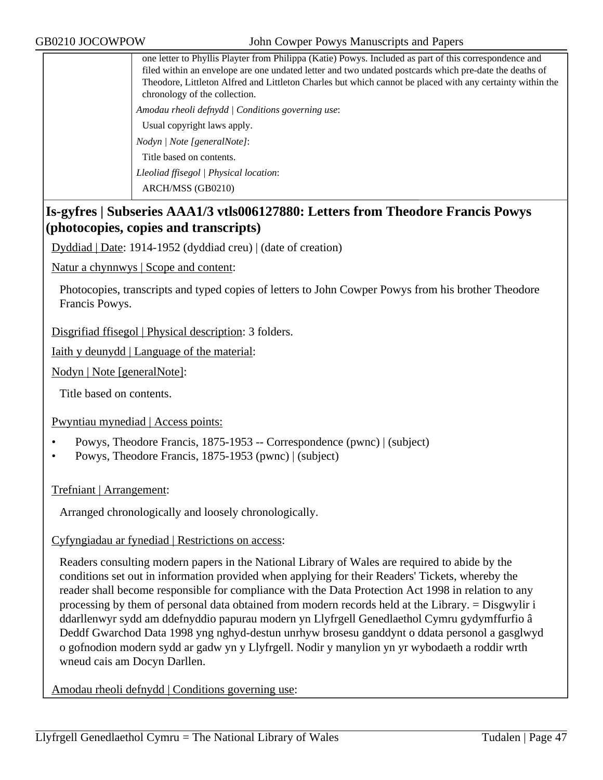one letter to Phyllis Playter from Philippa (Katie) Powys. Included as part of this correspondence and filed within an envelope are one undated letter and two undated postcards which pre-date the deaths of Theodore, Littleton Alfred and Littleton Charles but which cannot be placed with any certainty within the chronology of the collection. *Amodau rheoli defnydd | Conditions governing use*: Usual copyright laws apply. *Nodyn | Note [generalNote]*: Title based on contents. *Lleoliad ffisegol | Physical location*: ARCH/MSS (GB0210)

# **Is-gyfres | Subseries AAA1/3 vtls006127880: Letters from Theodore Francis Powys (photocopies, copies and transcripts)**

Dyddiad | Date: 1914-1952 (dyddiad creu) | (date of creation)

Natur a chynnwys | Scope and content:

Photocopies, transcripts and typed copies of letters to John Cowper Powys from his brother Theodore Francis Powys.

Disgrifiad ffisegol | Physical description: 3 folders.

Iaith y deunydd | Language of the material:

Nodyn | Note [generalNote]:

Title based on contents.

Pwyntiau mynediad | Access points:

- Powys, Theodore Francis, 1875-1953 -- Correspondence (pwnc) | (subject)
- Powys, Theodore Francis, 1875-1953 (pwnc) | (subject)

Trefniant | Arrangement:

Arranged chronologically and loosely chronologically.

#### Cyfyngiadau ar fynediad | Restrictions on access:

Readers consulting modern papers in the National Library of Wales are required to abide by the conditions set out in information provided when applying for their Readers' Tickets, whereby the reader shall become responsible for compliance with the Data Protection Act 1998 in relation to any processing by them of personal data obtained from modern records held at the Library. = Disgwylir i ddarllenwyr sydd am ddefnyddio papurau modern yn Llyfrgell Genedlaethol Cymru gydymffurfio â Deddf Gwarchod Data 1998 yng nghyd-destun unrhyw brosesu ganddynt o ddata personol a gasglwyd o gofnodion modern sydd ar gadw yn y Llyfrgell. Nodir y manylion yn yr wybodaeth a roddir wrth wneud cais am Docyn Darllen.

Amodau rheoli defnydd | Conditions governing use: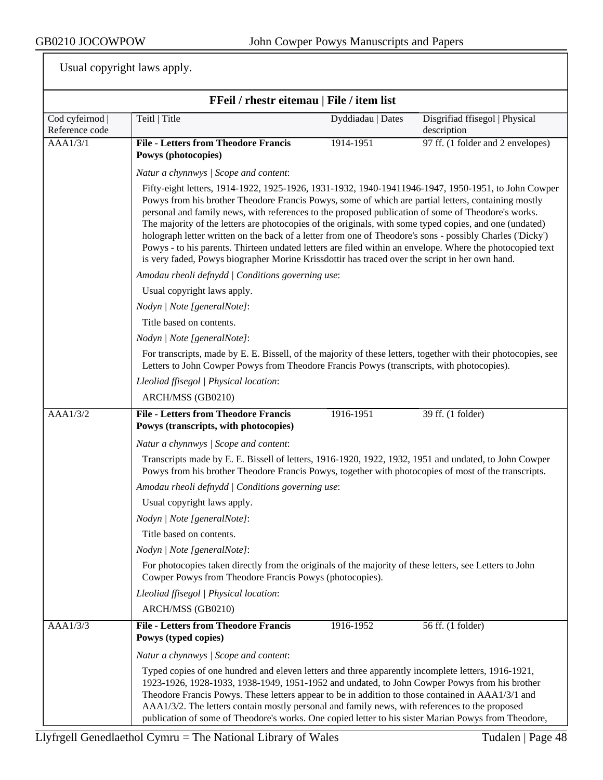| FFeil / rhestr eitemau   File / item list |                                                                                                                                                                                                                                                                                                                                                                                                                                                                                                                    |                                                                                                                                                                                                                                                                                                                                                                                                                                                                                                                                                                                                                                                                                                                                                         |                                               |  |  |  |
|-------------------------------------------|--------------------------------------------------------------------------------------------------------------------------------------------------------------------------------------------------------------------------------------------------------------------------------------------------------------------------------------------------------------------------------------------------------------------------------------------------------------------------------------------------------------------|---------------------------------------------------------------------------------------------------------------------------------------------------------------------------------------------------------------------------------------------------------------------------------------------------------------------------------------------------------------------------------------------------------------------------------------------------------------------------------------------------------------------------------------------------------------------------------------------------------------------------------------------------------------------------------------------------------------------------------------------------------|-----------------------------------------------|--|--|--|
| Cod cyfeirnod<br>Reference code           | Teitl   Title                                                                                                                                                                                                                                                                                                                                                                                                                                                                                                      | Dyddiadau   Dates                                                                                                                                                                                                                                                                                                                                                                                                                                                                                                                                                                                                                                                                                                                                       | Disgrifiad ffisegol   Physical<br>description |  |  |  |
| AAA1/3/1                                  | <b>File - Letters from Theodore Francis</b><br>Powys (photocopies)                                                                                                                                                                                                                                                                                                                                                                                                                                                 | 1914-1951                                                                                                                                                                                                                                                                                                                                                                                                                                                                                                                                                                                                                                                                                                                                               | 97 ff. (1 folder and 2 envelopes)             |  |  |  |
|                                           | Natur a chynnwys / Scope and content:                                                                                                                                                                                                                                                                                                                                                                                                                                                                              |                                                                                                                                                                                                                                                                                                                                                                                                                                                                                                                                                                                                                                                                                                                                                         |                                               |  |  |  |
|                                           |                                                                                                                                                                                                                                                                                                                                                                                                                                                                                                                    | Fifty-eight letters, 1914-1922, 1925-1926, 1931-1932, 1940-19411946-1947, 1950-1951, to John Cowper<br>Powys from his brother Theodore Francis Powys, some of which are partial letters, containing mostly<br>personal and family news, with references to the proposed publication of some of Theodore's works.<br>The majority of the letters are photocopies of the originals, with some typed copies, and one (undated)<br>holograph letter written on the back of a letter from one of Theodore's sons - possibly Charles ('Dicky')<br>Powys - to his parents. Thirteen undated letters are filed within an envelope. Where the photocopied text<br>is very faded, Powys biographer Morine Krissdottir has traced over the script in her own hand. |                                               |  |  |  |
|                                           |                                                                                                                                                                                                                                                                                                                                                                                                                                                                                                                    | Amodau rheoli defnydd   Conditions governing use:                                                                                                                                                                                                                                                                                                                                                                                                                                                                                                                                                                                                                                                                                                       |                                               |  |  |  |
|                                           | Usual copyright laws apply.                                                                                                                                                                                                                                                                                                                                                                                                                                                                                        |                                                                                                                                                                                                                                                                                                                                                                                                                                                                                                                                                                                                                                                                                                                                                         |                                               |  |  |  |
|                                           | Nodyn   Note [generalNote]:                                                                                                                                                                                                                                                                                                                                                                                                                                                                                        |                                                                                                                                                                                                                                                                                                                                                                                                                                                                                                                                                                                                                                                                                                                                                         |                                               |  |  |  |
|                                           | Title based on contents.                                                                                                                                                                                                                                                                                                                                                                                                                                                                                           |                                                                                                                                                                                                                                                                                                                                                                                                                                                                                                                                                                                                                                                                                                                                                         |                                               |  |  |  |
|                                           |                                                                                                                                                                                                                                                                                                                                                                                                                                                                                                                    | Nodyn   Note [generalNote]:                                                                                                                                                                                                                                                                                                                                                                                                                                                                                                                                                                                                                                                                                                                             |                                               |  |  |  |
|                                           | For transcripts, made by E. E. Bissell, of the majority of these letters, together with their photocopies, see<br>Letters to John Cowper Powys from Theodore Francis Powys (transcripts, with photocopies).                                                                                                                                                                                                                                                                                                        |                                                                                                                                                                                                                                                                                                                                                                                                                                                                                                                                                                                                                                                                                                                                                         |                                               |  |  |  |
|                                           | Lleoliad ffisegol   Physical location:                                                                                                                                                                                                                                                                                                                                                                                                                                                                             |                                                                                                                                                                                                                                                                                                                                                                                                                                                                                                                                                                                                                                                                                                                                                         |                                               |  |  |  |
|                                           | ARCH/MSS (GB0210)                                                                                                                                                                                                                                                                                                                                                                                                                                                                                                  |                                                                                                                                                                                                                                                                                                                                                                                                                                                                                                                                                                                                                                                                                                                                                         |                                               |  |  |  |
| AAA1/3/2                                  | <b>File - Letters from Theodore Francis</b><br>Powys (transcripts, with photocopies)                                                                                                                                                                                                                                                                                                                                                                                                                               | 1916-1951                                                                                                                                                                                                                                                                                                                                                                                                                                                                                                                                                                                                                                                                                                                                               | 39 ff. (1 folder)                             |  |  |  |
|                                           | Natur a chynnwys / Scope and content:                                                                                                                                                                                                                                                                                                                                                                                                                                                                              |                                                                                                                                                                                                                                                                                                                                                                                                                                                                                                                                                                                                                                                                                                                                                         |                                               |  |  |  |
|                                           | Transcripts made by E. E. Bissell of letters, 1916-1920, 1922, 1932, 1951 and undated, to John Cowper<br>Powys from his brother Theodore Francis Powys, together with photocopies of most of the transcripts.                                                                                                                                                                                                                                                                                                      |                                                                                                                                                                                                                                                                                                                                                                                                                                                                                                                                                                                                                                                                                                                                                         |                                               |  |  |  |
|                                           | Amodau rheoli defnydd   Conditions governing use:                                                                                                                                                                                                                                                                                                                                                                                                                                                                  |                                                                                                                                                                                                                                                                                                                                                                                                                                                                                                                                                                                                                                                                                                                                                         |                                               |  |  |  |
|                                           | Usual copyright laws apply.                                                                                                                                                                                                                                                                                                                                                                                                                                                                                        |                                                                                                                                                                                                                                                                                                                                                                                                                                                                                                                                                                                                                                                                                                                                                         |                                               |  |  |  |
|                                           | Nodyn   Note [generalNote]:                                                                                                                                                                                                                                                                                                                                                                                                                                                                                        |                                                                                                                                                                                                                                                                                                                                                                                                                                                                                                                                                                                                                                                                                                                                                         |                                               |  |  |  |
|                                           | Title based on contents.                                                                                                                                                                                                                                                                                                                                                                                                                                                                                           |                                                                                                                                                                                                                                                                                                                                                                                                                                                                                                                                                                                                                                                                                                                                                         |                                               |  |  |  |
|                                           | Nodyn   Note [generalNote]:                                                                                                                                                                                                                                                                                                                                                                                                                                                                                        |                                                                                                                                                                                                                                                                                                                                                                                                                                                                                                                                                                                                                                                                                                                                                         |                                               |  |  |  |
|                                           | For photocopies taken directly from the originals of the majority of these letters, see Letters to John<br>Cowper Powys from Theodore Francis Powys (photocopies).                                                                                                                                                                                                                                                                                                                                                 |                                                                                                                                                                                                                                                                                                                                                                                                                                                                                                                                                                                                                                                                                                                                                         |                                               |  |  |  |
|                                           | Lleoliad ffisegol   Physical location:                                                                                                                                                                                                                                                                                                                                                                                                                                                                             |                                                                                                                                                                                                                                                                                                                                                                                                                                                                                                                                                                                                                                                                                                                                                         |                                               |  |  |  |
|                                           | ARCH/MSS (GB0210)                                                                                                                                                                                                                                                                                                                                                                                                                                                                                                  |                                                                                                                                                                                                                                                                                                                                                                                                                                                                                                                                                                                                                                                                                                                                                         |                                               |  |  |  |
| AAA1/3/3                                  | <b>File - Letters from Theodore Francis</b><br>Powys (typed copies)                                                                                                                                                                                                                                                                                                                                                                                                                                                | 1916-1952                                                                                                                                                                                                                                                                                                                                                                                                                                                                                                                                                                                                                                                                                                                                               | 56 ff. (1 folder)                             |  |  |  |
|                                           | Natur a chynnwys / Scope and content:                                                                                                                                                                                                                                                                                                                                                                                                                                                                              |                                                                                                                                                                                                                                                                                                                                                                                                                                                                                                                                                                                                                                                                                                                                                         |                                               |  |  |  |
|                                           | Typed copies of one hundred and eleven letters and three apparently incomplete letters, 1916-1921,<br>1923-1926, 1928-1933, 1938-1949, 1951-1952 and undated, to John Cowper Powys from his brother<br>Theodore Francis Powys. These letters appear to be in addition to those contained in AAA1/3/1 and<br>AAA1/3/2. The letters contain mostly personal and family news, with references to the proposed<br>publication of some of Theodore's works. One copied letter to his sister Marian Powys from Theodore, |                                                                                                                                                                                                                                                                                                                                                                                                                                                                                                                                                                                                                                                                                                                                                         |                                               |  |  |  |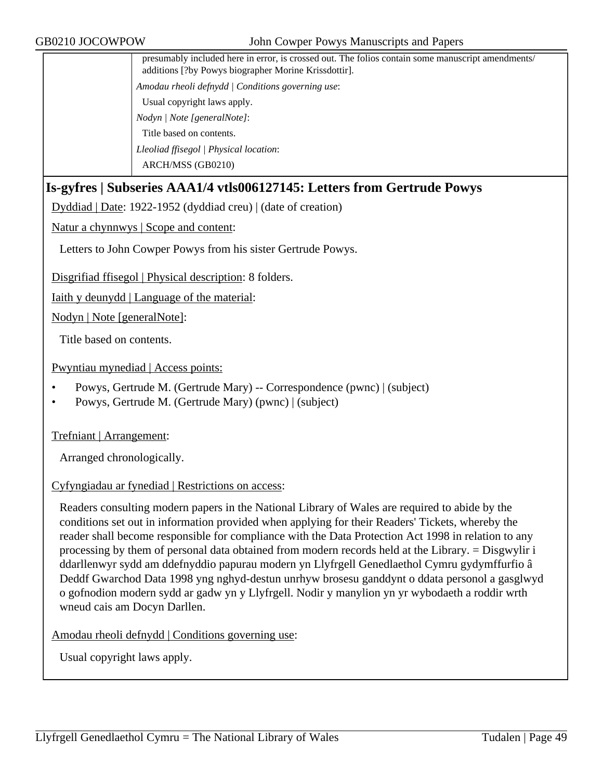| presumably included here in error, is crossed out. The folios contain some manuscript amendments/<br>additions [?by Powys biographer Morine Krissdottir]. |
|-----------------------------------------------------------------------------------------------------------------------------------------------------------|
| Amodau rheoli defnydd   Conditions governing use:                                                                                                         |
| Usual copyright laws apply.                                                                                                                               |
| Nodyn / Note [generalNote]:                                                                                                                               |
| Title based on contents.                                                                                                                                  |
| Lleoliad ffisegol   Physical location:                                                                                                                    |
| ARCH/MSS (GB0210)                                                                                                                                         |
|                                                                                                                                                           |

# **Is-gyfres | Subseries AAA1/4 vtls006127145: Letters from Gertrude Powys**

Dyddiad | Date: 1922-1952 (dyddiad creu) | (date of creation)

Natur a chynnwys | Scope and content:

Letters to John Cowper Powys from his sister Gertrude Powys.

Disgrifiad ffisegol | Physical description: 8 folders.

Iaith y deunydd | Language of the material:

Nodyn | Note [generalNote]:

Title based on contents.

Pwyntiau mynediad | Access points:

- Powys, Gertrude M. (Gertrude Mary) -- Correspondence (pwnc) | (subject)
- Powys, Gertrude M. (Gertrude Mary) (pwnc) | (subject)

Trefniant | Arrangement:

Arranged chronologically.

#### Cyfyngiadau ar fynediad | Restrictions on access:

Readers consulting modern papers in the National Library of Wales are required to abide by the conditions set out in information provided when applying for their Readers' Tickets, whereby the reader shall become responsible for compliance with the Data Protection Act 1998 in relation to any processing by them of personal data obtained from modern records held at the Library. = Disgwylir i ddarllenwyr sydd am ddefnyddio papurau modern yn Llyfrgell Genedlaethol Cymru gydymffurfio â Deddf Gwarchod Data 1998 yng nghyd-destun unrhyw brosesu ganddynt o ddata personol a gasglwyd o gofnodion modern sydd ar gadw yn y Llyfrgell. Nodir y manylion yn yr wybodaeth a roddir wrth wneud cais am Docyn Darllen.

Amodau rheoli defnydd | Conditions governing use: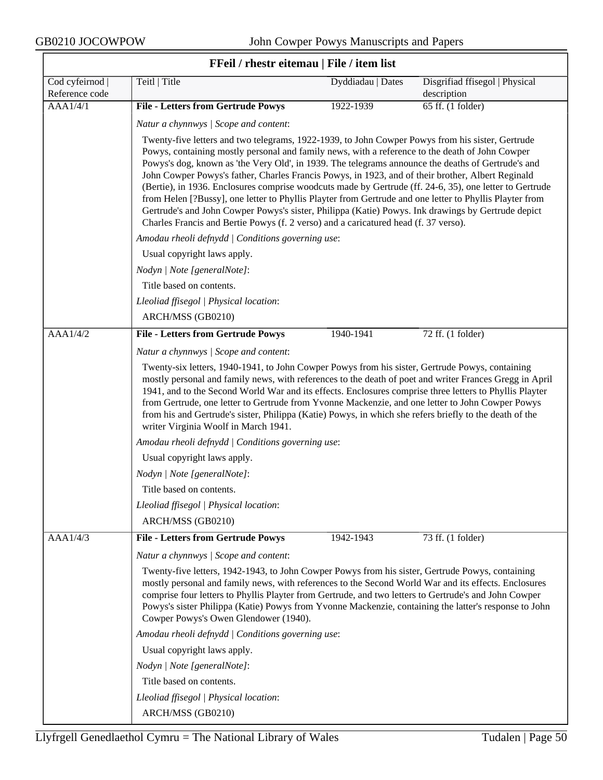$\overline{\phantom{0}}$ 

| FFeil / rhestr eitemau   File / item list |                                                                                                                                                                                                                                                                                                                                                                                                                                                                                                                                                                                                                                                                                                                                                                                                                                   |                   |                                               |  |
|-------------------------------------------|-----------------------------------------------------------------------------------------------------------------------------------------------------------------------------------------------------------------------------------------------------------------------------------------------------------------------------------------------------------------------------------------------------------------------------------------------------------------------------------------------------------------------------------------------------------------------------------------------------------------------------------------------------------------------------------------------------------------------------------------------------------------------------------------------------------------------------------|-------------------|-----------------------------------------------|--|
| Cod cyfeirnod  <br>Reference code         | Teitl   Title                                                                                                                                                                                                                                                                                                                                                                                                                                                                                                                                                                                                                                                                                                                                                                                                                     | Dyddiadau   Dates | Disgrifiad ffisegol   Physical<br>description |  |
| AAA1/4/1                                  | <b>File - Letters from Gertrude Powys</b>                                                                                                                                                                                                                                                                                                                                                                                                                                                                                                                                                                                                                                                                                                                                                                                         | 1922-1939         | 65 ff. (1 folder)                             |  |
|                                           | Natur a chynnwys / Scope and content:                                                                                                                                                                                                                                                                                                                                                                                                                                                                                                                                                                                                                                                                                                                                                                                             |                   |                                               |  |
|                                           | Twenty-five letters and two telegrams, 1922-1939, to John Cowper Powys from his sister, Gertrude<br>Powys, containing mostly personal and family news, with a reference to the death of John Cowper<br>Powys's dog, known as 'the Very Old', in 1939. The telegrams announce the deaths of Gertrude's and<br>John Cowper Powys's father, Charles Francis Powys, in 1923, and of their brother, Albert Reginald<br>(Bertie), in 1936. Enclosures comprise woodcuts made by Gertrude (ff. 24-6, 35), one letter to Gertrude<br>from Helen [?Bussy], one letter to Phyllis Playter from Gertrude and one letter to Phyllis Playter from<br>Gertrude's and John Cowper Powys's sister, Philippa (Katie) Powys. Ink drawings by Gertrude depict<br>Charles Francis and Bertie Powys (f. 2 verso) and a caricatured head (f. 37 verso). |                   |                                               |  |
|                                           | Amodau rheoli defnydd   Conditions governing use:                                                                                                                                                                                                                                                                                                                                                                                                                                                                                                                                                                                                                                                                                                                                                                                 |                   |                                               |  |
|                                           | Usual copyright laws apply.                                                                                                                                                                                                                                                                                                                                                                                                                                                                                                                                                                                                                                                                                                                                                                                                       |                   |                                               |  |
|                                           | Nodyn   Note [generalNote]:                                                                                                                                                                                                                                                                                                                                                                                                                                                                                                                                                                                                                                                                                                                                                                                                       |                   |                                               |  |
|                                           | Title based on contents.                                                                                                                                                                                                                                                                                                                                                                                                                                                                                                                                                                                                                                                                                                                                                                                                          |                   |                                               |  |
|                                           | Lleoliad ffisegol   Physical location:                                                                                                                                                                                                                                                                                                                                                                                                                                                                                                                                                                                                                                                                                                                                                                                            |                   |                                               |  |
|                                           | ARCH/MSS (GB0210)                                                                                                                                                                                                                                                                                                                                                                                                                                                                                                                                                                                                                                                                                                                                                                                                                 |                   |                                               |  |
| AAA1/4/2                                  | <b>File - Letters from Gertrude Powys</b>                                                                                                                                                                                                                                                                                                                                                                                                                                                                                                                                                                                                                                                                                                                                                                                         | 1940-1941         | 72 ff. (1 folder)                             |  |
|                                           | Natur a chynnwys / Scope and content:                                                                                                                                                                                                                                                                                                                                                                                                                                                                                                                                                                                                                                                                                                                                                                                             |                   |                                               |  |
|                                           | Twenty-six letters, 1940-1941, to John Cowper Powys from his sister, Gertrude Powys, containing<br>mostly personal and family news, with references to the death of poet and writer Frances Gregg in April<br>1941, and to the Second World War and its effects. Enclosures comprise three letters to Phyllis Playter<br>from Gertrude, one letter to Gertrude from Yvonne Mackenzie, and one letter to John Cowper Powys<br>from his and Gertrude's sister, Philippa (Katie) Powys, in which she refers briefly to the death of the<br>writer Virginia Woolf in March 1941.                                                                                                                                                                                                                                                      |                   |                                               |  |
|                                           | Amodau rheoli defnydd   Conditions governing use:                                                                                                                                                                                                                                                                                                                                                                                                                                                                                                                                                                                                                                                                                                                                                                                 |                   |                                               |  |
|                                           | Usual copyright laws apply.                                                                                                                                                                                                                                                                                                                                                                                                                                                                                                                                                                                                                                                                                                                                                                                                       |                   |                                               |  |
|                                           | Nodyn   Note [generalNote]:                                                                                                                                                                                                                                                                                                                                                                                                                                                                                                                                                                                                                                                                                                                                                                                                       |                   |                                               |  |
|                                           | Title based on contents.                                                                                                                                                                                                                                                                                                                                                                                                                                                                                                                                                                                                                                                                                                                                                                                                          |                   |                                               |  |
|                                           | Lleoliad ffisegol   Physical location:                                                                                                                                                                                                                                                                                                                                                                                                                                                                                                                                                                                                                                                                                                                                                                                            |                   |                                               |  |
|                                           | ARCH/MSS (GB0210)                                                                                                                                                                                                                                                                                                                                                                                                                                                                                                                                                                                                                                                                                                                                                                                                                 |                   |                                               |  |
| AAA1/4/3                                  | <b>File - Letters from Gertrude Powys</b>                                                                                                                                                                                                                                                                                                                                                                                                                                                                                                                                                                                                                                                                                                                                                                                         | 1942-1943         | 73 ff. (1 folder)                             |  |
|                                           | Natur a chynnwys / Scope and content:                                                                                                                                                                                                                                                                                                                                                                                                                                                                                                                                                                                                                                                                                                                                                                                             |                   |                                               |  |
|                                           | Twenty-five letters, 1942-1943, to John Cowper Powys from his sister, Gertrude Powys, containing<br>mostly personal and family news, with references to the Second World War and its effects. Enclosures<br>comprise four letters to Phyllis Playter from Gertrude, and two letters to Gertrude's and John Cowper<br>Powys's sister Philippa (Katie) Powys from Yvonne Mackenzie, containing the latter's response to John<br>Cowper Powys's Owen Glendower (1940).                                                                                                                                                                                                                                                                                                                                                               |                   |                                               |  |
|                                           | Amodau rheoli defnydd   Conditions governing use:                                                                                                                                                                                                                                                                                                                                                                                                                                                                                                                                                                                                                                                                                                                                                                                 |                   |                                               |  |
|                                           | Usual copyright laws apply.                                                                                                                                                                                                                                                                                                                                                                                                                                                                                                                                                                                                                                                                                                                                                                                                       |                   |                                               |  |
|                                           | Nodyn   Note [generalNote]:                                                                                                                                                                                                                                                                                                                                                                                                                                                                                                                                                                                                                                                                                                                                                                                                       |                   |                                               |  |
|                                           | Title based on contents.                                                                                                                                                                                                                                                                                                                                                                                                                                                                                                                                                                                                                                                                                                                                                                                                          |                   |                                               |  |
|                                           | Lleoliad ffisegol   Physical location:                                                                                                                                                                                                                                                                                                                                                                                                                                                                                                                                                                                                                                                                                                                                                                                            |                   |                                               |  |
|                                           | ARCH/MSS (GB0210)                                                                                                                                                                                                                                                                                                                                                                                                                                                                                                                                                                                                                                                                                                                                                                                                                 |                   |                                               |  |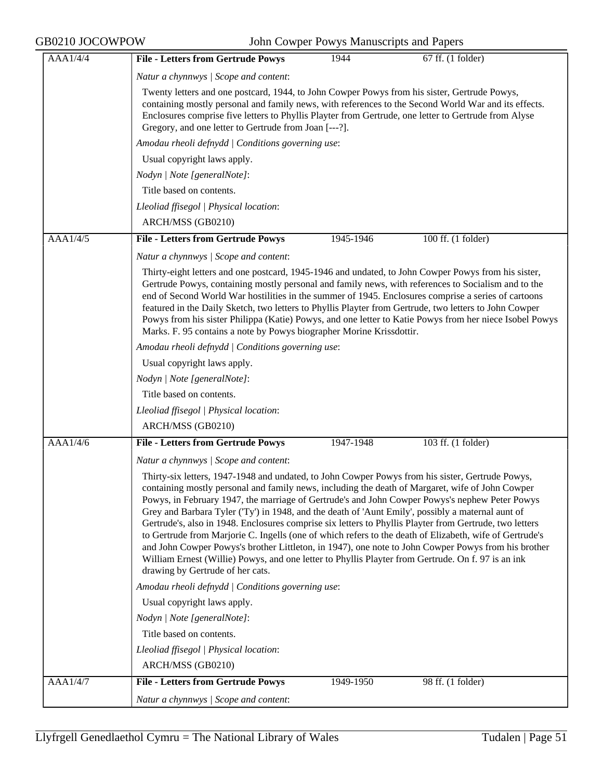| AAA1/4/4 | <b>File - Letters from Gertrude Powys</b><br>67 ff. (1 folder)<br>1944                                                                                                                                                                                                                                                                                                                                                                                                                                                                                                                                                                                                                                                                                                                                                                                                             |  |  |
|----------|------------------------------------------------------------------------------------------------------------------------------------------------------------------------------------------------------------------------------------------------------------------------------------------------------------------------------------------------------------------------------------------------------------------------------------------------------------------------------------------------------------------------------------------------------------------------------------------------------------------------------------------------------------------------------------------------------------------------------------------------------------------------------------------------------------------------------------------------------------------------------------|--|--|
|          | Natur a chynnwys / Scope and content:                                                                                                                                                                                                                                                                                                                                                                                                                                                                                                                                                                                                                                                                                                                                                                                                                                              |  |  |
|          | Twenty letters and one postcard, 1944, to John Cowper Powys from his sister, Gertrude Powys,<br>containing mostly personal and family news, with references to the Second World War and its effects.<br>Enclosures comprise five letters to Phyllis Playter from Gertrude, one letter to Gertrude from Alyse<br>Gregory, and one letter to Gertrude from Joan [---?].                                                                                                                                                                                                                                                                                                                                                                                                                                                                                                              |  |  |
|          | Amodau rheoli defnydd   Conditions governing use:                                                                                                                                                                                                                                                                                                                                                                                                                                                                                                                                                                                                                                                                                                                                                                                                                                  |  |  |
|          | Usual copyright laws apply.                                                                                                                                                                                                                                                                                                                                                                                                                                                                                                                                                                                                                                                                                                                                                                                                                                                        |  |  |
|          | Nodyn   Note [generalNote]:                                                                                                                                                                                                                                                                                                                                                                                                                                                                                                                                                                                                                                                                                                                                                                                                                                                        |  |  |
|          | Title based on contents.                                                                                                                                                                                                                                                                                                                                                                                                                                                                                                                                                                                                                                                                                                                                                                                                                                                           |  |  |
|          | Lleoliad ffisegol   Physical location:                                                                                                                                                                                                                                                                                                                                                                                                                                                                                                                                                                                                                                                                                                                                                                                                                                             |  |  |
|          | ARCH/MSS (GB0210)                                                                                                                                                                                                                                                                                                                                                                                                                                                                                                                                                                                                                                                                                                                                                                                                                                                                  |  |  |
| AAA1/4/5 | <b>File - Letters from Gertrude Powys</b><br>100 ff. (1 folder)<br>1945-1946                                                                                                                                                                                                                                                                                                                                                                                                                                                                                                                                                                                                                                                                                                                                                                                                       |  |  |
|          | Natur a chynnwys / Scope and content:                                                                                                                                                                                                                                                                                                                                                                                                                                                                                                                                                                                                                                                                                                                                                                                                                                              |  |  |
|          | Thirty-eight letters and one postcard, 1945-1946 and undated, to John Cowper Powys from his sister,<br>Gertrude Powys, containing mostly personal and family news, with references to Socialism and to the<br>end of Second World War hostilities in the summer of 1945. Enclosures comprise a series of cartoons<br>featured in the Daily Sketch, two letters to Phyllis Playter from Gertrude, two letters to John Cowper<br>Powys from his sister Philippa (Katie) Powys, and one letter to Katie Powys from her niece Isobel Powys<br>Marks. F. 95 contains a note by Powys biographer Morine Krissdottir.                                                                                                                                                                                                                                                                     |  |  |
|          | Amodau rheoli defnydd   Conditions governing use:                                                                                                                                                                                                                                                                                                                                                                                                                                                                                                                                                                                                                                                                                                                                                                                                                                  |  |  |
|          | Usual copyright laws apply.                                                                                                                                                                                                                                                                                                                                                                                                                                                                                                                                                                                                                                                                                                                                                                                                                                                        |  |  |
|          | Nodyn   Note [generalNote]:                                                                                                                                                                                                                                                                                                                                                                                                                                                                                                                                                                                                                                                                                                                                                                                                                                                        |  |  |
|          | Title based on contents.                                                                                                                                                                                                                                                                                                                                                                                                                                                                                                                                                                                                                                                                                                                                                                                                                                                           |  |  |
|          | Lleoliad ffisegol   Physical location:                                                                                                                                                                                                                                                                                                                                                                                                                                                                                                                                                                                                                                                                                                                                                                                                                                             |  |  |
|          | ARCH/MSS (GB0210)                                                                                                                                                                                                                                                                                                                                                                                                                                                                                                                                                                                                                                                                                                                                                                                                                                                                  |  |  |
| AAA1/4/6 | <b>File - Letters from Gertrude Powys</b><br>103 ff. (1 folder)<br>1947-1948                                                                                                                                                                                                                                                                                                                                                                                                                                                                                                                                                                                                                                                                                                                                                                                                       |  |  |
|          | Natur a chynnwys / Scope and content:                                                                                                                                                                                                                                                                                                                                                                                                                                                                                                                                                                                                                                                                                                                                                                                                                                              |  |  |
|          | Thirty-six letters, 1947-1948 and undated, to John Cowper Powys from his sister, Gertrude Powys,<br>containing mostly personal and family news, including the death of Margaret, wife of John Cowper<br>Powys, in February 1947, the marriage of Gertrude's and John Cowper Powys's nephew Peter Powys<br>Grey and Barbara Tyler ('Ty') in 1948, and the death of 'Aunt Emily', possibly a maternal aunt of<br>Gertrude's, also in 1948. Enclosures comprise six letters to Phyllis Playter from Gertrude, two letters<br>to Gertrude from Marjorie C. Ingells (one of which refers to the death of Elizabeth, wife of Gertrude's<br>and John Cowper Powys's brother Littleton, in 1947), one note to John Cowper Powys from his brother<br>William Ernest (Willie) Powys, and one letter to Phyllis Playter from Gertrude. On f. 97 is an ink<br>drawing by Gertrude of her cats. |  |  |
|          | Amodau rheoli defnydd   Conditions governing use:                                                                                                                                                                                                                                                                                                                                                                                                                                                                                                                                                                                                                                                                                                                                                                                                                                  |  |  |
|          | Usual copyright laws apply.                                                                                                                                                                                                                                                                                                                                                                                                                                                                                                                                                                                                                                                                                                                                                                                                                                                        |  |  |
|          | Nodyn   Note [generalNote]:                                                                                                                                                                                                                                                                                                                                                                                                                                                                                                                                                                                                                                                                                                                                                                                                                                                        |  |  |
|          | Title based on contents.                                                                                                                                                                                                                                                                                                                                                                                                                                                                                                                                                                                                                                                                                                                                                                                                                                                           |  |  |
|          | Lleoliad ffisegol   Physical location:                                                                                                                                                                                                                                                                                                                                                                                                                                                                                                                                                                                                                                                                                                                                                                                                                                             |  |  |
|          | ARCH/MSS (GB0210)                                                                                                                                                                                                                                                                                                                                                                                                                                                                                                                                                                                                                                                                                                                                                                                                                                                                  |  |  |
| AAA1/4/7 | <b>File - Letters from Gertrude Powys</b><br>98 ff. (1 folder)<br>1949-1950                                                                                                                                                                                                                                                                                                                                                                                                                                                                                                                                                                                                                                                                                                                                                                                                        |  |  |
|          | Natur a chynnwys / Scope and content:                                                                                                                                                                                                                                                                                                                                                                                                                                                                                                                                                                                                                                                                                                                                                                                                                                              |  |  |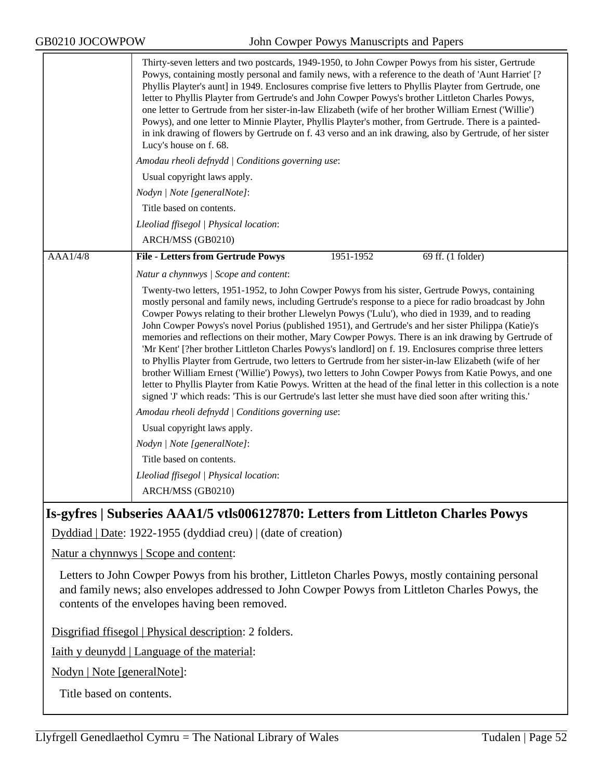|          | Thirty-seven letters and two postcards, 1949-1950, to John Cowper Powys from his sister, Gertrude<br>Powys, containing mostly personal and family news, with a reference to the death of 'Aunt Harriet' [?<br>Phyllis Playter's aunt] in 1949. Enclosures comprise five letters to Phyllis Playter from Gertrude, one<br>letter to Phyllis Playter from Gertrude's and John Cowper Powys's brother Littleton Charles Powys,<br>one letter to Gertrude from her sister-in-law Elizabeth (wife of her brother William Ernest ('Willie')<br>Powys), and one letter to Minnie Playter, Phyllis Playter's mother, from Gertrude. There is a painted-<br>in ink drawing of flowers by Gertrude on f. 43 verso and an ink drawing, also by Gertrude, of her sister<br>Lucy's house on f. 68.                                                                                                                                                                                                                                                                                                    |  |  |
|----------|------------------------------------------------------------------------------------------------------------------------------------------------------------------------------------------------------------------------------------------------------------------------------------------------------------------------------------------------------------------------------------------------------------------------------------------------------------------------------------------------------------------------------------------------------------------------------------------------------------------------------------------------------------------------------------------------------------------------------------------------------------------------------------------------------------------------------------------------------------------------------------------------------------------------------------------------------------------------------------------------------------------------------------------------------------------------------------------|--|--|
|          | Amodau rheoli defnydd   Conditions governing use:                                                                                                                                                                                                                                                                                                                                                                                                                                                                                                                                                                                                                                                                                                                                                                                                                                                                                                                                                                                                                                        |  |  |
|          | Usual copyright laws apply.                                                                                                                                                                                                                                                                                                                                                                                                                                                                                                                                                                                                                                                                                                                                                                                                                                                                                                                                                                                                                                                              |  |  |
|          | Nodyn   Note [generalNote]:                                                                                                                                                                                                                                                                                                                                                                                                                                                                                                                                                                                                                                                                                                                                                                                                                                                                                                                                                                                                                                                              |  |  |
|          | Title based on contents.                                                                                                                                                                                                                                                                                                                                                                                                                                                                                                                                                                                                                                                                                                                                                                                                                                                                                                                                                                                                                                                                 |  |  |
|          | Lleoliad ffisegol   Physical location:                                                                                                                                                                                                                                                                                                                                                                                                                                                                                                                                                                                                                                                                                                                                                                                                                                                                                                                                                                                                                                                   |  |  |
|          | ARCH/MSS (GB0210)                                                                                                                                                                                                                                                                                                                                                                                                                                                                                                                                                                                                                                                                                                                                                                                                                                                                                                                                                                                                                                                                        |  |  |
| AAA1/4/8 | <b>File - Letters from Gertrude Powys</b><br>1951-1952<br>69 ff. (1 folder)                                                                                                                                                                                                                                                                                                                                                                                                                                                                                                                                                                                                                                                                                                                                                                                                                                                                                                                                                                                                              |  |  |
|          | Natur a chynnwys / Scope and content:                                                                                                                                                                                                                                                                                                                                                                                                                                                                                                                                                                                                                                                                                                                                                                                                                                                                                                                                                                                                                                                    |  |  |
|          | Twenty-two letters, 1951-1952, to John Cowper Powys from his sister, Gertrude Powys, containing<br>mostly personal and family news, including Gertrude's response to a piece for radio broadcast by John<br>Cowper Powys relating to their brother Llewelyn Powys ('Lulu'), who died in 1939, and to reading<br>John Cowper Powys's novel Porius (published 1951), and Gertrude's and her sister Philippa (Katie)'s<br>memories and reflections on their mother, Mary Cowper Powys. There is an ink drawing by Gertrude of<br>'Mr Kent' [?her brother Littleton Charles Powys's landlord] on f. 19. Enclosures comprise three letters<br>to Phyllis Playter from Gertrude, two letters to Gertrude from her sister-in-law Elizabeth (wife of her<br>brother William Ernest ('Willie') Powys), two letters to John Cowper Powys from Katie Powys, and one<br>letter to Phyllis Playter from Katie Powys. Written at the head of the final letter in this collection is a note<br>signed 'J' which reads: 'This is our Gertrude's last letter she must have died soon after writing this.' |  |  |
|          | Amodau rheoli defnydd   Conditions governing use:                                                                                                                                                                                                                                                                                                                                                                                                                                                                                                                                                                                                                                                                                                                                                                                                                                                                                                                                                                                                                                        |  |  |
|          | Usual copyright laws apply.                                                                                                                                                                                                                                                                                                                                                                                                                                                                                                                                                                                                                                                                                                                                                                                                                                                                                                                                                                                                                                                              |  |  |
|          | Nodyn   Note [generalNote]:                                                                                                                                                                                                                                                                                                                                                                                                                                                                                                                                                                                                                                                                                                                                                                                                                                                                                                                                                                                                                                                              |  |  |
|          | Title based on contents.                                                                                                                                                                                                                                                                                                                                                                                                                                                                                                                                                                                                                                                                                                                                                                                                                                                                                                                                                                                                                                                                 |  |  |
|          | Lleoliad ffisegol   Physical location:                                                                                                                                                                                                                                                                                                                                                                                                                                                                                                                                                                                                                                                                                                                                                                                                                                                                                                                                                                                                                                                   |  |  |
|          | ARCH/MSS (GB0210)                                                                                                                                                                                                                                                                                                                                                                                                                                                                                                                                                                                                                                                                                                                                                                                                                                                                                                                                                                                                                                                                        |  |  |

# **Is-gyfres | Subseries AAA1/5 vtls006127870: Letters from Littleton Charles Powys**

Dyddiad | Date: 1922-1955 (dyddiad creu) | (date of creation)

Natur a chynnwys | Scope and content:

Letters to John Cowper Powys from his brother, Littleton Charles Powys, mostly containing personal and family news; also envelopes addressed to John Cowper Powys from Littleton Charles Powys, the contents of the envelopes having been removed.

Disgrifiad ffisegol | Physical description: 2 folders.

Iaith y deunydd | Language of the material:

Nodyn | Note [generalNote]:

Title based on contents.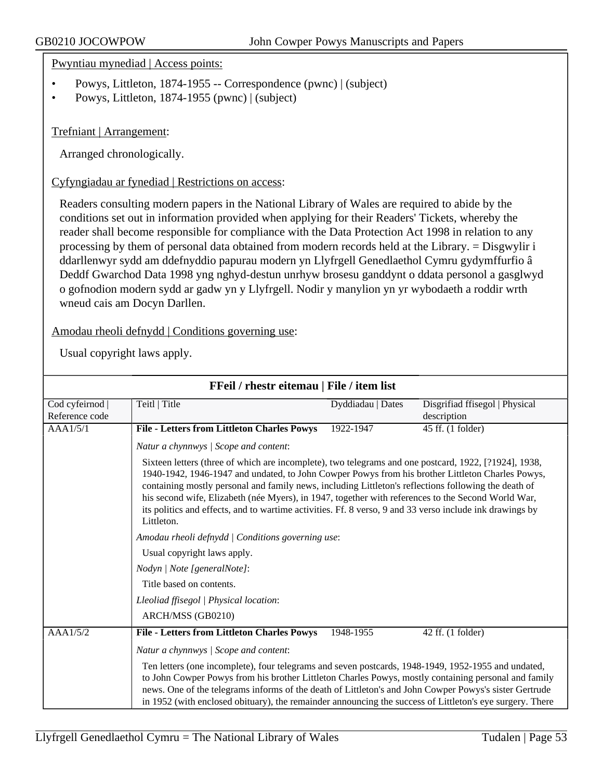Pwyntiau mynediad | Access points:

- Powys, Littleton, 1874-1955 -- Correspondence (pwnc) | (subject)
- Powys, Littleton, 1874-1955 (pwnc) | (subject)

#### Trefniant | Arrangement:

Arranged chronologically.

Cyfyngiadau ar fynediad | Restrictions on access:

Readers consulting modern papers in the National Library of Wales are required to abide by the conditions set out in information provided when applying for their Readers' Tickets, whereby the reader shall become responsible for compliance with the Data Protection Act 1998 in relation to any processing by them of personal data obtained from modern records held at the Library. = Disgwylir i ddarllenwyr sydd am ddefnyddio papurau modern yn Llyfrgell Genedlaethol Cymru gydymffurfio â Deddf Gwarchod Data 1998 yng nghyd-destun unrhyw brosesu ganddynt o ddata personol a gasglwyd o gofnodion modern sydd ar gadw yn y Llyfrgell. Nodir y manylion yn yr wybodaeth a roddir wrth wneud cais am Docyn Darllen.

Amodau rheoli defnydd | Conditions governing use:

| FFeil / rhestr eitemau   File / item list |                                                                                                                                                                                                                                                                                                                                                                                                                                                                                                                                                   |                   |                                               |  |
|-------------------------------------------|---------------------------------------------------------------------------------------------------------------------------------------------------------------------------------------------------------------------------------------------------------------------------------------------------------------------------------------------------------------------------------------------------------------------------------------------------------------------------------------------------------------------------------------------------|-------------------|-----------------------------------------------|--|
| Cod cyfeirnod<br>Reference code           | Teitl   Title                                                                                                                                                                                                                                                                                                                                                                                                                                                                                                                                     | Dyddiadau   Dates | Disgrifiad ffisegol   Physical<br>description |  |
| AAA1/5/1                                  | <b>File - Letters from Littleton Charles Powys</b>                                                                                                                                                                                                                                                                                                                                                                                                                                                                                                | 1922-1947         | 45 ff. (1 folder)                             |  |
|                                           | Natur a chynnwys / Scope and content:                                                                                                                                                                                                                                                                                                                                                                                                                                                                                                             |                   |                                               |  |
|                                           | Sixteen letters (three of which are incomplete), two telegrams and one postcard, 1922, [?1924], 1938,<br>1940-1942, 1946-1947 and undated, to John Cowper Powys from his brother Littleton Charles Powys,<br>containing mostly personal and family news, including Littleton's reflections following the death of<br>his second wife, Elizabeth (née Myers), in 1947, together with references to the Second World War,<br>its politics and effects, and to wartime activities. Ff. 8 verso, 9 and 33 verso include ink drawings by<br>Littleton. |                   |                                               |  |
|                                           | Amodau rheoli defnydd   Conditions governing use:                                                                                                                                                                                                                                                                                                                                                                                                                                                                                                 |                   |                                               |  |
|                                           | Usual copyright laws apply.                                                                                                                                                                                                                                                                                                                                                                                                                                                                                                                       |                   |                                               |  |
|                                           | Nodyn   Note [generalNote]:                                                                                                                                                                                                                                                                                                                                                                                                                                                                                                                       |                   |                                               |  |
|                                           | Title based on contents.<br>Lleoliad ffisegol   Physical location:                                                                                                                                                                                                                                                                                                                                                                                                                                                                                |                   |                                               |  |
|                                           |                                                                                                                                                                                                                                                                                                                                                                                                                                                                                                                                                   |                   |                                               |  |
|                                           | ARCH/MSS (GB0210)                                                                                                                                                                                                                                                                                                                                                                                                                                                                                                                                 |                   |                                               |  |
| AAA1/5/2                                  | <b>File - Letters from Littleton Charles Powys</b>                                                                                                                                                                                                                                                                                                                                                                                                                                                                                                | 1948-1955         | 42 ff. (1 folder)                             |  |
|                                           | Natur a chynnwys / Scope and content:<br>Ten letters (one incomplete), four telegrams and seven postcards, 1948-1949, 1952-1955 and undated,<br>to John Cowper Powys from his brother Littleton Charles Powys, mostly containing personal and family<br>news. One of the telegrams informs of the death of Littleton's and John Cowper Powys's sister Gertrude<br>in 1952 (with enclosed obituary), the remainder announcing the success of Littleton's eye surgery. There                                                                        |                   |                                               |  |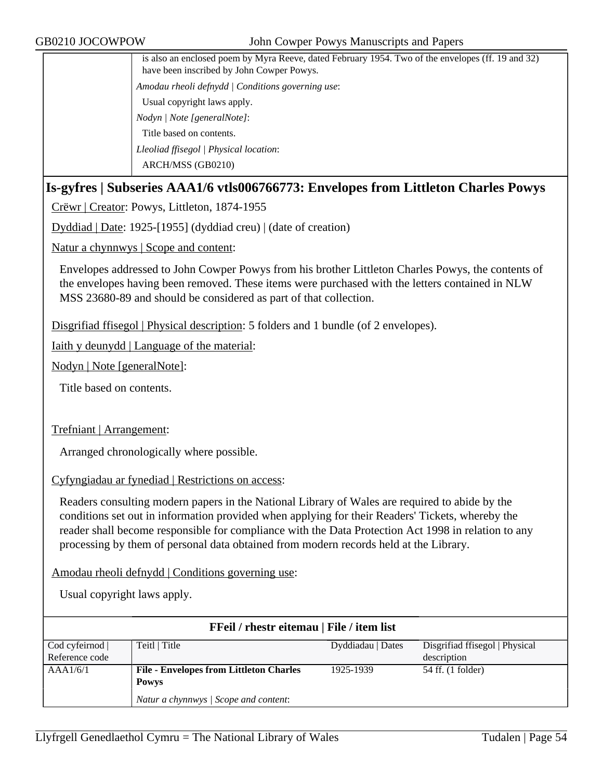| is also an enclosed poem by Myra Reeve, dated February 1954. Two of the envelopes (ff. 19 and 32)<br>have been inscribed by John Cowper Powys. |
|------------------------------------------------------------------------------------------------------------------------------------------------|
| Amodau rheoli defnydd   Conditions governing use:                                                                                              |
| Usual copyright laws apply.                                                                                                                    |
| Nodyn / Note [generalNote]:                                                                                                                    |
| Title based on contents.                                                                                                                       |
| Lleoliad ffisegol   Physical location:                                                                                                         |
| ARCH/MSS (GB0210)                                                                                                                              |
|                                                                                                                                                |

### **Is-gyfres | Subseries AAA1/6 vtls006766773: Envelopes from Littleton Charles Powys**

Crëwr | Creator: Powys, Littleton, 1874-1955

Dyddiad | Date: 1925-[1955] (dyddiad creu) | (date of creation)

Natur a chynnwys | Scope and content:

Envelopes addressed to John Cowper Powys from his brother Littleton Charles Powys, the contents of the envelopes having been removed. These items were purchased with the letters contained in NLW MSS 23680-89 and should be considered as part of that collection.

Disgrifiad ffisegol | Physical description: 5 folders and 1 bundle (of 2 envelopes).

Iaith y deunydd | Language of the material:

Nodyn | Note [generalNote]:

Title based on contents.

Trefniant | Arrangement:

Arranged chronologically where possible.

Cyfyngiadau ar fynediad | Restrictions on access:

Readers consulting modern papers in the National Library of Wales are required to abide by the conditions set out in information provided when applying for their Readers' Tickets, whereby the reader shall become responsible for compliance with the Data Protection Act 1998 in relation to any processing by them of personal data obtained from modern records held at the Library.

Amodau rheoli defnydd | Conditions governing use:

| <b>FFeil</b> / rhestr eitemau   File / item list |                                                |                   |                                |  |
|--------------------------------------------------|------------------------------------------------|-------------------|--------------------------------|--|
| Cod cyfeirnod                                    | Teitl   Title                                  | Dyddiadau   Dates | Disgrifiad ffisegol   Physical |  |
| Reference code                                   |                                                |                   | description                    |  |
| AAA1/6/1                                         | <b>File - Envelopes from Littleton Charles</b> | 1925-1939         | 54 ff. (1 folder)              |  |
|                                                  | <b>Powys</b>                                   |                   |                                |  |
|                                                  | Natur a chynnwys / Scope and content:          |                   |                                |  |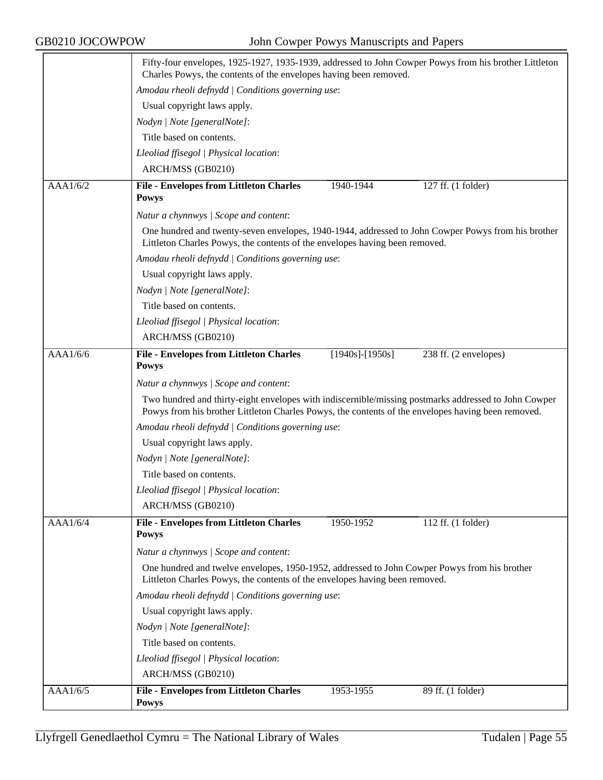|          | Fifty-four envelopes, 1925-1927, 1935-1939, addressed to John Cowper Powys from his brother Littleton<br>Charles Powys, the contents of the envelopes having been removed.                                 |  |  |
|----------|------------------------------------------------------------------------------------------------------------------------------------------------------------------------------------------------------------|--|--|
|          | Amodau rheoli defnydd   Conditions governing use:                                                                                                                                                          |  |  |
|          | Usual copyright laws apply.                                                                                                                                                                                |  |  |
|          | Nodyn   Note [generalNote]:                                                                                                                                                                                |  |  |
|          | Title based on contents.                                                                                                                                                                                   |  |  |
|          | Lleoliad ffisegol   Physical location:                                                                                                                                                                     |  |  |
|          | ARCH/MSS (GB0210)                                                                                                                                                                                          |  |  |
| AAA1/6/2 | <b>File - Envelopes from Littleton Charles</b><br>127 ff. (1 folder)<br>1940-1944                                                                                                                          |  |  |
|          | <b>Powys</b>                                                                                                                                                                                               |  |  |
|          | Natur a chynnwys / Scope and content:                                                                                                                                                                      |  |  |
|          | One hundred and twenty-seven envelopes, 1940-1944, addressed to John Cowper Powys from his brother<br>Littleton Charles Powys, the contents of the envelopes having been removed.                          |  |  |
|          | Amodau rheoli defnydd   Conditions governing use:                                                                                                                                                          |  |  |
|          | Usual copyright laws apply.                                                                                                                                                                                |  |  |
|          | Nodyn   Note [generalNote]:                                                                                                                                                                                |  |  |
|          | Title based on contents.                                                                                                                                                                                   |  |  |
|          | Lleoliad ffisegol   Physical location:                                                                                                                                                                     |  |  |
|          | ARCH/MSS (GB0210)                                                                                                                                                                                          |  |  |
| AAA1/6/6 | 238 ff. (2 envelopes)<br><b>File - Envelopes from Littleton Charles</b><br>$[1940s]$ - $[1950s]$<br><b>Powys</b>                                                                                           |  |  |
|          | Natur a chynnwys / Scope and content:                                                                                                                                                                      |  |  |
|          | Two hundred and thirty-eight envelopes with indiscernible/missing postmarks addressed to John Cowper<br>Powys from his brother Littleton Charles Powys, the contents of the envelopes having been removed. |  |  |
|          | Amodau rheoli defnydd   Conditions governing use:                                                                                                                                                          |  |  |
|          | Usual copyright laws apply.                                                                                                                                                                                |  |  |
|          | Nodyn   Note [generalNote]:                                                                                                                                                                                |  |  |
|          | Title based on contents.                                                                                                                                                                                   |  |  |
|          | Lleoliad ffisegol   Physical location:                                                                                                                                                                     |  |  |
|          | ARCH/MSS (GB0210)                                                                                                                                                                                          |  |  |
| AAAl/6/4 | <b>File - Envelopes from Littleton Charles</b><br>1950-1952<br>112 ff. (1 folder)<br><b>Powys</b>                                                                                                          |  |  |
|          | Natur a chynnwys / Scope and content:                                                                                                                                                                      |  |  |
|          | One hundred and twelve envelopes, 1950-1952, addressed to John Cowper Powys from his brother<br>Littleton Charles Powys, the contents of the envelopes having been removed.                                |  |  |
|          | Amodau rheoli defnydd   Conditions governing use:                                                                                                                                                          |  |  |
|          | Usual copyright laws apply.                                                                                                                                                                                |  |  |
|          | Nodyn   Note [generalNote]:                                                                                                                                                                                |  |  |
|          | Title based on contents.                                                                                                                                                                                   |  |  |
|          | Lleoliad ffisegol   Physical location:                                                                                                                                                                     |  |  |
|          | ARCH/MSS (GB0210)                                                                                                                                                                                          |  |  |
| AAA1/6/5 | 1953-1955<br>89 ff. (1 folder)<br><b>File - Envelopes from Littleton Charles</b><br><b>Powys</b>                                                                                                           |  |  |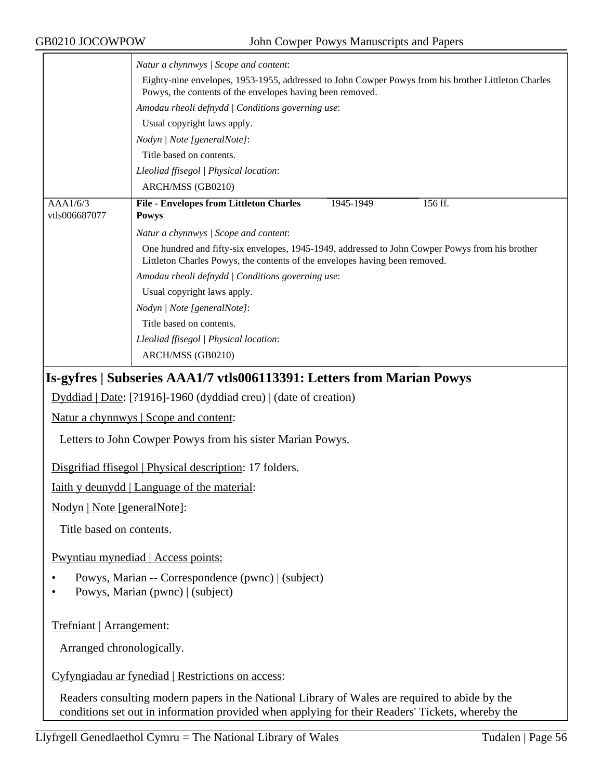| GB0210 JOCOWPOW             | John Cowper Powys Manuscripts and Papers                                                                                                                                                                  |
|-----------------------------|-----------------------------------------------------------------------------------------------------------------------------------------------------------------------------------------------------------|
|                             | Natur a chynnwys / Scope and content:<br>Eighty-nine envelopes, 1953-1955, addressed to John Cowper Powys from his brother Littleton Charles<br>Powys, the contents of the envelopes having been removed. |
|                             | Amodau rheoli defnydd   Conditions governing use:                                                                                                                                                         |
|                             | Usual copyright laws apply.                                                                                                                                                                               |
|                             | Nodyn   Note [generalNote]:                                                                                                                                                                               |
|                             | Title based on contents.                                                                                                                                                                                  |
|                             | Lleoliad ffisegol   Physical location:                                                                                                                                                                    |
|                             | ARCH/MSS (GB0210)                                                                                                                                                                                         |
| AAA1/6/3<br>vtls006687077   | <b>File - Envelopes from Littleton Charles</b><br>156 ff.<br>1945-1949<br><b>Powys</b>                                                                                                                    |
|                             | Natur a chynnwys / Scope and content:                                                                                                                                                                     |
|                             | One hundred and fifty-six envelopes, 1945-1949, addressed to John Cowper Powys from his brother<br>Littleton Charles Powys, the contents of the envelopes having been removed.                            |
|                             | Amodau rheoli defnydd   Conditions governing use:                                                                                                                                                         |
|                             | Usual copyright laws apply.                                                                                                                                                                               |
|                             | Nodyn   Note [generalNote]:                                                                                                                                                                               |
|                             | Title based on contents.                                                                                                                                                                                  |
|                             | Lleoliad ffisegol   Physical location:                                                                                                                                                                    |
|                             | ARCH/MSS (GB0210)                                                                                                                                                                                         |
|                             | Is-gyfres   Subseries AAA1/7 vtls006113391: Letters from Marian Powys                                                                                                                                     |
|                             | Dyddiad   Date: [?1916]-1960 (dyddiad creu)   (date of creation)                                                                                                                                          |
|                             | <u>Natur a chynnwys</u>   Scope and content:                                                                                                                                                              |
|                             | Letters to John Cowper Powys from his sister Marian Powys.                                                                                                                                                |
|                             | Disgrifiad ffisegol   Physical description: 17 folders.                                                                                                                                                   |
|                             | Iaith y deunydd   Language of the material:                                                                                                                                                               |
| Nodyn   Note [generalNote]: |                                                                                                                                                                                                           |
| Title based on contents.    |                                                                                                                                                                                                           |
|                             | Pwyntiau mynediad   Access points:                                                                                                                                                                        |
|                             | Powys, Marian -- Correspondence (pwnc)   (subject)<br>Powys, Marian (pwnc)   (subject)                                                                                                                    |
| Trefniant   Arrangement:    |                                                                                                                                                                                                           |
| Arranged chronologically.   |                                                                                                                                                                                                           |
|                             | Cyfyngiadau ar fynediad   Restrictions on access:                                                                                                                                                         |

Readers consulting modern papers in the National Library of Wales are required to abide by the conditions set out in information provided when applying for their Readers' Tickets, whereby the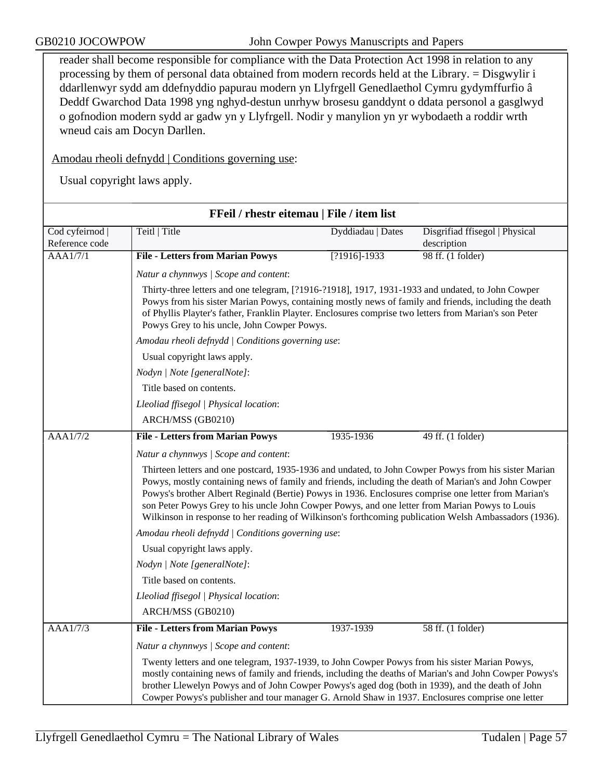reader shall become responsible for compliance with the Data Protection Act 1998 in relation to any processing by them of personal data obtained from modern records held at the Library. = Disgwylir i ddarllenwyr sydd am ddefnyddio papurau modern yn Llyfrgell Genedlaethol Cymru gydymffurfio â Deddf Gwarchod Data 1998 yng nghyd-destun unrhyw brosesu ganddynt o ddata personol a gasglwyd o gofnodion modern sydd ar gadw yn y Llyfrgell. Nodir y manylion yn yr wybodaeth a roddir wrth wneud cais am Docyn Darllen.

Amodau rheoli defnydd | Conditions governing use:

| FFeil / rhestr eitemau   File / item list |                                                                                                                                                                                                                                                                                                                                                                                                                                                                                                                                                                                       |                   |                                               |  |
|-------------------------------------------|---------------------------------------------------------------------------------------------------------------------------------------------------------------------------------------------------------------------------------------------------------------------------------------------------------------------------------------------------------------------------------------------------------------------------------------------------------------------------------------------------------------------------------------------------------------------------------------|-------------------|-----------------------------------------------|--|
| Cod cyfeirnod<br>Reference code           | Teitl   Title                                                                                                                                                                                                                                                                                                                                                                                                                                                                                                                                                                         | Dyddiadau   Dates | Disgrifiad ffisegol   Physical<br>description |  |
| AAA1/7/1                                  | <b>File - Letters from Marian Powys</b>                                                                                                                                                                                                                                                                                                                                                                                                                                                                                                                                               | $[?1916]-1933$    | 98 ff. (1 folder)                             |  |
|                                           | Natur a chynnwys / Scope and content:                                                                                                                                                                                                                                                                                                                                                                                                                                                                                                                                                 |                   |                                               |  |
|                                           | Thirty-three letters and one telegram, [?1916-?1918], 1917, 1931-1933 and undated, to John Cowper<br>Powys from his sister Marian Powys, containing mostly news of family and friends, including the death<br>of Phyllis Playter's father, Franklin Playter. Enclosures comprise two letters from Marian's son Peter<br>Powys Grey to his uncle, John Cowper Powys.                                                                                                                                                                                                                   |                   |                                               |  |
|                                           | Amodau rheoli defnydd   Conditions governing use:                                                                                                                                                                                                                                                                                                                                                                                                                                                                                                                                     |                   |                                               |  |
|                                           | Usual copyright laws apply.                                                                                                                                                                                                                                                                                                                                                                                                                                                                                                                                                           |                   |                                               |  |
|                                           | Nodyn   Note [generalNote]:                                                                                                                                                                                                                                                                                                                                                                                                                                                                                                                                                           |                   |                                               |  |
|                                           | Title based on contents.                                                                                                                                                                                                                                                                                                                                                                                                                                                                                                                                                              |                   |                                               |  |
|                                           | Lleoliad ffisegol   Physical location:                                                                                                                                                                                                                                                                                                                                                                                                                                                                                                                                                |                   |                                               |  |
|                                           | ARCH/MSS (GB0210)                                                                                                                                                                                                                                                                                                                                                                                                                                                                                                                                                                     |                   |                                               |  |
| <b>AAA1/7/2</b>                           | <b>File - Letters from Marian Powys</b>                                                                                                                                                                                                                                                                                                                                                                                                                                                                                                                                               | 1935-1936         | 49 ff. (1 folder)                             |  |
|                                           | Natur a chynnwys / Scope and content:                                                                                                                                                                                                                                                                                                                                                                                                                                                                                                                                                 |                   |                                               |  |
|                                           | Thirteen letters and one postcard, 1935-1936 and undated, to John Cowper Powys from his sister Marian<br>Powys, mostly containing news of family and friends, including the death of Marian's and John Cowper<br>Powys's brother Albert Reginald (Bertie) Powys in 1936. Enclosures comprise one letter from Marian's<br>son Peter Powys Grey to his uncle John Cowper Powys, and one letter from Marian Powys to Louis<br>Wilkinson in response to her reading of Wilkinson's forthcoming publication Welsh Ambassadors (1936).<br>Amodau rheoli defnydd   Conditions governing use: |                   |                                               |  |
|                                           |                                                                                                                                                                                                                                                                                                                                                                                                                                                                                                                                                                                       |                   |                                               |  |
|                                           | Usual copyright laws apply.                                                                                                                                                                                                                                                                                                                                                                                                                                                                                                                                                           |                   |                                               |  |
|                                           | Nodyn   Note [generalNote]:                                                                                                                                                                                                                                                                                                                                                                                                                                                                                                                                                           |                   |                                               |  |
|                                           | Title based on contents.                                                                                                                                                                                                                                                                                                                                                                                                                                                                                                                                                              |                   |                                               |  |
|                                           | Lleoliad ffisegol   Physical location:                                                                                                                                                                                                                                                                                                                                                                                                                                                                                                                                                |                   |                                               |  |
|                                           | ARCH/MSS (GB0210)                                                                                                                                                                                                                                                                                                                                                                                                                                                                                                                                                                     |                   |                                               |  |
| <b>AAA1/7/3</b>                           | <b>File - Letters from Marian Powys</b>                                                                                                                                                                                                                                                                                                                                                                                                                                                                                                                                               | 1937-1939         | 58 ff. (1 folder)                             |  |
|                                           | Natur a chynnwys / Scope and content:                                                                                                                                                                                                                                                                                                                                                                                                                                                                                                                                                 |                   |                                               |  |
|                                           | Twenty letters and one telegram, 1937-1939, to John Cowper Powys from his sister Marian Powys,<br>mostly containing news of family and friends, including the deaths of Marian's and John Cowper Powys's<br>brother Llewelyn Powys and of John Cowper Powys's aged dog (both in 1939), and the death of John<br>Cowper Powys's publisher and tour manager G. Arnold Shaw in 1937. Enclosures comprise one letter                                                                                                                                                                      |                   |                                               |  |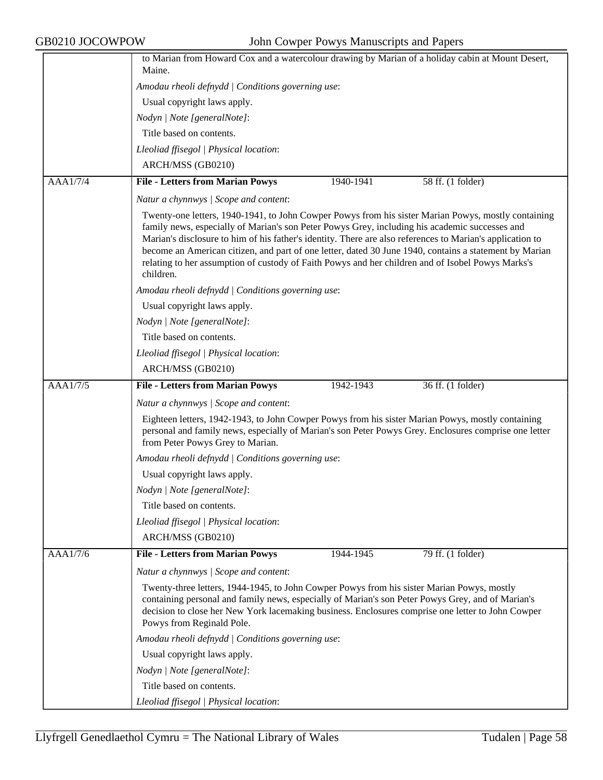|                 | to Marian from Howard Cox and a watercolour drawing by Marian of a holiday cabin at Mount Desert,<br>Maine.                                                                                                                                                                                                                                                                                                                                                                                                                                    |
|-----------------|------------------------------------------------------------------------------------------------------------------------------------------------------------------------------------------------------------------------------------------------------------------------------------------------------------------------------------------------------------------------------------------------------------------------------------------------------------------------------------------------------------------------------------------------|
|                 | Amodau rheoli defnydd   Conditions governing use:                                                                                                                                                                                                                                                                                                                                                                                                                                                                                              |
|                 | Usual copyright laws apply.                                                                                                                                                                                                                                                                                                                                                                                                                                                                                                                    |
|                 | Nodyn   Note [generalNote]:                                                                                                                                                                                                                                                                                                                                                                                                                                                                                                                    |
|                 | Title based on contents.                                                                                                                                                                                                                                                                                                                                                                                                                                                                                                                       |
|                 |                                                                                                                                                                                                                                                                                                                                                                                                                                                                                                                                                |
|                 | Lleoliad ffisegol   Physical location:                                                                                                                                                                                                                                                                                                                                                                                                                                                                                                         |
|                 | ARCH/MSS (GB0210)                                                                                                                                                                                                                                                                                                                                                                                                                                                                                                                              |
| AAA1/7/4        | <b>File - Letters from Marian Powys</b><br>58 ff. (1 folder)<br>1940-1941                                                                                                                                                                                                                                                                                                                                                                                                                                                                      |
|                 | Natur a chynnwys / Scope and content:                                                                                                                                                                                                                                                                                                                                                                                                                                                                                                          |
|                 | Twenty-one letters, 1940-1941, to John Cowper Powys from his sister Marian Powys, mostly containing<br>family news, especially of Marian's son Peter Powys Grey, including his academic successes and<br>Marian's disclosure to him of his father's identity. There are also references to Marian's application to<br>become an American citizen, and part of one letter, dated 30 June 1940, contains a statement by Marian<br>relating to her assumption of custody of Faith Powys and her children and of Isobel Powys Marks's<br>children. |
|                 | Amodau rheoli defnydd   Conditions governing use:                                                                                                                                                                                                                                                                                                                                                                                                                                                                                              |
|                 | Usual copyright laws apply.                                                                                                                                                                                                                                                                                                                                                                                                                                                                                                                    |
|                 | Nodyn   Note [generalNote]:                                                                                                                                                                                                                                                                                                                                                                                                                                                                                                                    |
|                 | Title based on contents.                                                                                                                                                                                                                                                                                                                                                                                                                                                                                                                       |
|                 | Lleoliad ffisegol   Physical location:                                                                                                                                                                                                                                                                                                                                                                                                                                                                                                         |
|                 | ARCH/MSS (GB0210)                                                                                                                                                                                                                                                                                                                                                                                                                                                                                                                              |
| <b>AAA1/7/5</b> | <b>File - Letters from Marian Powys</b><br>36 ff. (1 folder)<br>1942-1943                                                                                                                                                                                                                                                                                                                                                                                                                                                                      |
|                 | Natur a chynnwys / Scope and content:                                                                                                                                                                                                                                                                                                                                                                                                                                                                                                          |
|                 | Eighteen letters, 1942-1943, to John Cowper Powys from his sister Marian Powys, mostly containing<br>personal and family news, especially of Marian's son Peter Powys Grey. Enclosures comprise one letter<br>from Peter Powys Grey to Marian.                                                                                                                                                                                                                                                                                                 |
|                 | Amodau rheoli defnydd   Conditions governing use:                                                                                                                                                                                                                                                                                                                                                                                                                                                                                              |
|                 | Usual copyright laws apply.                                                                                                                                                                                                                                                                                                                                                                                                                                                                                                                    |
|                 | Nodyn   Note [generalNote]:                                                                                                                                                                                                                                                                                                                                                                                                                                                                                                                    |
|                 | Title based on contents.                                                                                                                                                                                                                                                                                                                                                                                                                                                                                                                       |
|                 | Lleoliad ffisegol   Physical location:                                                                                                                                                                                                                                                                                                                                                                                                                                                                                                         |
|                 | ARCH/MSS (GB0210)                                                                                                                                                                                                                                                                                                                                                                                                                                                                                                                              |
| AAA1/7/6        | <b>File - Letters from Marian Powys</b><br>79 ff. (1 folder)<br>1944-1945                                                                                                                                                                                                                                                                                                                                                                                                                                                                      |
|                 | Natur a chynnwys / Scope and content:                                                                                                                                                                                                                                                                                                                                                                                                                                                                                                          |
|                 | Twenty-three letters, 1944-1945, to John Cowper Powys from his sister Marian Powys, mostly<br>containing personal and family news, especially of Marian's son Peter Powys Grey, and of Marian's<br>decision to close her New York lacemaking business. Enclosures comprise one letter to John Cowper<br>Powys from Reginald Pole.                                                                                                                                                                                                              |
|                 | Amodau rheoli defnydd   Conditions governing use:                                                                                                                                                                                                                                                                                                                                                                                                                                                                                              |
|                 | Usual copyright laws apply.                                                                                                                                                                                                                                                                                                                                                                                                                                                                                                                    |
|                 | Nodyn   Note [generalNote]:                                                                                                                                                                                                                                                                                                                                                                                                                                                                                                                    |
|                 | Title based on contents.                                                                                                                                                                                                                                                                                                                                                                                                                                                                                                                       |
|                 |                                                                                                                                                                                                                                                                                                                                                                                                                                                                                                                                                |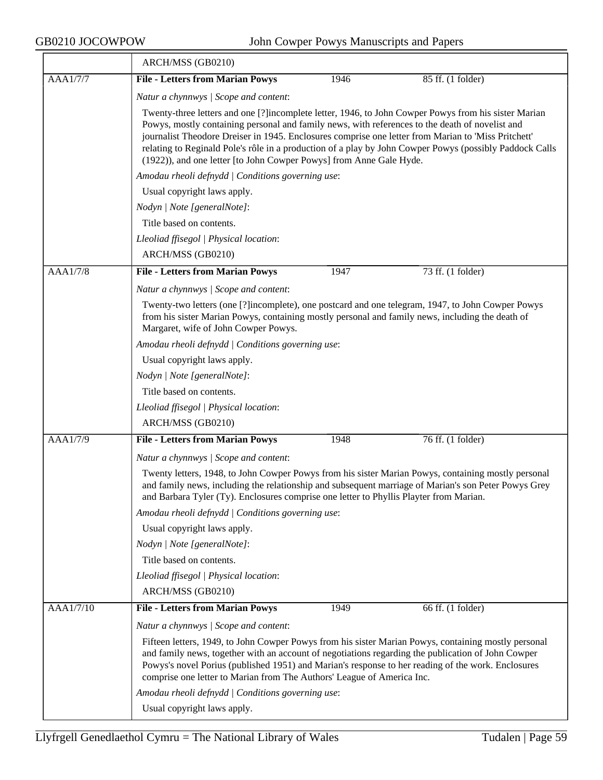|                 | ARCH/MSS (GB0210)                                                                                                                                                                                                                                                                                                                                                                          |      |                                                                                                         |  |
|-----------------|--------------------------------------------------------------------------------------------------------------------------------------------------------------------------------------------------------------------------------------------------------------------------------------------------------------------------------------------------------------------------------------------|------|---------------------------------------------------------------------------------------------------------|--|
| AAA1/7/7        | <b>File - Letters from Marian Powys</b>                                                                                                                                                                                                                                                                                                                                                    | 1946 | 85 ff. (1 folder)                                                                                       |  |
|                 | Natur a chynnwys / Scope and content:                                                                                                                                                                                                                                                                                                                                                      |      |                                                                                                         |  |
|                 | Twenty-three letters and one [?]incomplete letter, 1946, to John Cowper Powys from his sister Marian<br>Powys, mostly containing personal and family news, with references to the death of novelist and<br>journalist Theodore Dreiser in 1945. Enclosures comprise one letter from Marian to 'Miss Pritchett'<br>(1922)), and one letter [to John Cowper Powys] from Anne Gale Hyde.      |      | relating to Reginald Pole's rôle in a production of a play by John Cowper Powys (possibly Paddock Calls |  |
|                 | Amodau rheoli defnydd   Conditions governing use:                                                                                                                                                                                                                                                                                                                                          |      |                                                                                                         |  |
|                 | Usual copyright laws apply.                                                                                                                                                                                                                                                                                                                                                                |      |                                                                                                         |  |
|                 | Nodyn   Note [generalNote]:                                                                                                                                                                                                                                                                                                                                                                |      |                                                                                                         |  |
|                 | Title based on contents.                                                                                                                                                                                                                                                                                                                                                                   |      |                                                                                                         |  |
|                 | Lleoliad ffisegol   Physical location:                                                                                                                                                                                                                                                                                                                                                     |      |                                                                                                         |  |
|                 | ARCH/MSS (GB0210)                                                                                                                                                                                                                                                                                                                                                                          |      |                                                                                                         |  |
| <b>AAA1/7/8</b> | <b>File - Letters from Marian Powys</b>                                                                                                                                                                                                                                                                                                                                                    | 1947 | 73 ff. (1 folder)                                                                                       |  |
|                 | Natur a chynnwys / Scope and content:                                                                                                                                                                                                                                                                                                                                                      |      |                                                                                                         |  |
|                 | Twenty-two letters (one [?]incomplete), one postcard and one telegram, 1947, to John Cowper Powys<br>from his sister Marian Powys, containing mostly personal and family news, including the death of<br>Margaret, wife of John Cowper Powys.                                                                                                                                              |      |                                                                                                         |  |
|                 | Amodau rheoli defnydd   Conditions governing use:                                                                                                                                                                                                                                                                                                                                          |      |                                                                                                         |  |
|                 | Usual copyright laws apply.                                                                                                                                                                                                                                                                                                                                                                |      |                                                                                                         |  |
|                 | Nodyn   Note [generalNote]:                                                                                                                                                                                                                                                                                                                                                                |      |                                                                                                         |  |
|                 | Title based on contents.                                                                                                                                                                                                                                                                                                                                                                   |      |                                                                                                         |  |
|                 | Lleoliad ffisegol   Physical location:                                                                                                                                                                                                                                                                                                                                                     |      |                                                                                                         |  |
|                 | ARCH/MSS (GB0210)                                                                                                                                                                                                                                                                                                                                                                          |      |                                                                                                         |  |
| AAA1/7/9        | <b>File - Letters from Marian Powys</b>                                                                                                                                                                                                                                                                                                                                                    | 1948 | 76 ff. (1 folder)                                                                                       |  |
|                 | Natur a chynnwys / Scope and content:                                                                                                                                                                                                                                                                                                                                                      |      |                                                                                                         |  |
|                 | Twenty letters, 1948, to John Cowper Powys from his sister Marian Powys, containing mostly personal<br>and family news, including the relationship and subsequent marriage of Marian's son Peter Powys Grey<br>and Barbara Tyler (Ty). Enclosures comprise one letter to Phyllis Playter from Marian.                                                                                      |      |                                                                                                         |  |
|                 | Amodau rheoli defnydd   Conditions governing use:                                                                                                                                                                                                                                                                                                                                          |      |                                                                                                         |  |
|                 | Usual copyright laws apply.                                                                                                                                                                                                                                                                                                                                                                |      |                                                                                                         |  |
|                 | Nodyn   Note [generalNote]:                                                                                                                                                                                                                                                                                                                                                                |      |                                                                                                         |  |
|                 | Title based on contents.                                                                                                                                                                                                                                                                                                                                                                   |      |                                                                                                         |  |
|                 | Lleoliad ffisegol   Physical location:                                                                                                                                                                                                                                                                                                                                                     |      |                                                                                                         |  |
|                 | ARCH/MSS (GB0210)                                                                                                                                                                                                                                                                                                                                                                          |      |                                                                                                         |  |
| AAA1/7/10       | <b>File - Letters from Marian Powys</b>                                                                                                                                                                                                                                                                                                                                                    | 1949 | 66 ff. (1 folder)                                                                                       |  |
|                 | Natur a chynnwys / Scope and content:                                                                                                                                                                                                                                                                                                                                                      |      |                                                                                                         |  |
|                 | Fifteen letters, 1949, to John Cowper Powys from his sister Marian Powys, containing mostly personal<br>and family news, together with an account of negotiations regarding the publication of John Cowper<br>Powys's novel Porius (published 1951) and Marian's response to her reading of the work. Enclosures<br>comprise one letter to Marian from The Authors' League of America Inc. |      |                                                                                                         |  |
|                 | Amodau rheoli defnydd   Conditions governing use:                                                                                                                                                                                                                                                                                                                                          |      |                                                                                                         |  |
|                 | Usual copyright laws apply.                                                                                                                                                                                                                                                                                                                                                                |      |                                                                                                         |  |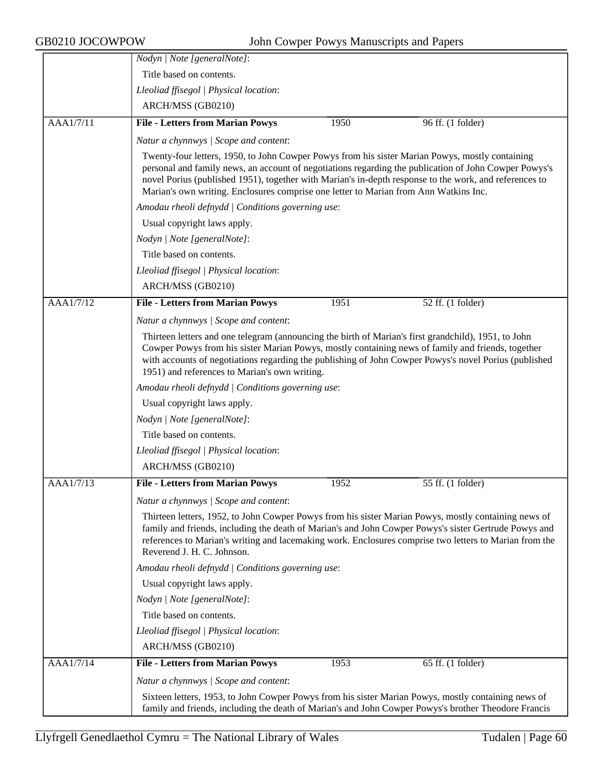|           | Nodyn   Note [generalNote]:                                                                                                                                                                                                                                                                                                                                                                                |      |                                                                                                                                                                                                                                                                                                                         |
|-----------|------------------------------------------------------------------------------------------------------------------------------------------------------------------------------------------------------------------------------------------------------------------------------------------------------------------------------------------------------------------------------------------------------------|------|-------------------------------------------------------------------------------------------------------------------------------------------------------------------------------------------------------------------------------------------------------------------------------------------------------------------------|
|           | Title based on contents.                                                                                                                                                                                                                                                                                                                                                                                   |      |                                                                                                                                                                                                                                                                                                                         |
|           | Lleoliad ffisegol   Physical location:                                                                                                                                                                                                                                                                                                                                                                     |      |                                                                                                                                                                                                                                                                                                                         |
|           | ARCH/MSS (GB0210)                                                                                                                                                                                                                                                                                                                                                                                          |      |                                                                                                                                                                                                                                                                                                                         |
| AAA1/7/11 | <b>File - Letters from Marian Powys</b>                                                                                                                                                                                                                                                                                                                                                                    | 1950 | 96 ff. (1 folder)                                                                                                                                                                                                                                                                                                       |
|           | Natur a chynnwys / Scope and content:                                                                                                                                                                                                                                                                                                                                                                      |      |                                                                                                                                                                                                                                                                                                                         |
|           | Twenty-four letters, 1950, to John Cowper Powys from his sister Marian Powys, mostly containing<br>personal and family news, an account of negotiations regarding the publication of John Cowper Powys's<br>novel Porius (published 1951), together with Marian's in-depth response to the work, and references to<br>Marian's own writing. Enclosures comprise one letter to Marian from Ann Watkins Inc. |      |                                                                                                                                                                                                                                                                                                                         |
|           | Amodau rheoli defnydd   Conditions governing use:                                                                                                                                                                                                                                                                                                                                                          |      |                                                                                                                                                                                                                                                                                                                         |
|           | Usual copyright laws apply.                                                                                                                                                                                                                                                                                                                                                                                |      |                                                                                                                                                                                                                                                                                                                         |
|           | Nodyn   Note [generalNote]:                                                                                                                                                                                                                                                                                                                                                                                |      |                                                                                                                                                                                                                                                                                                                         |
|           | Title based on contents.                                                                                                                                                                                                                                                                                                                                                                                   |      |                                                                                                                                                                                                                                                                                                                         |
|           | Lleoliad ffisegol   Physical location:                                                                                                                                                                                                                                                                                                                                                                     |      |                                                                                                                                                                                                                                                                                                                         |
|           | ARCH/MSS (GB0210)                                                                                                                                                                                                                                                                                                                                                                                          |      |                                                                                                                                                                                                                                                                                                                         |
| AAA1/7/12 | <b>File - Letters from Marian Powys</b>                                                                                                                                                                                                                                                                                                                                                                    | 1951 | 52 ff. (1 folder)                                                                                                                                                                                                                                                                                                       |
|           | Natur a chynnwys / Scope and content:                                                                                                                                                                                                                                                                                                                                                                      |      |                                                                                                                                                                                                                                                                                                                         |
|           | Thirteen letters and one telegram (announcing the birth of Marian's first grandchild), 1951, to John<br>1951) and references to Marian's own writing.                                                                                                                                                                                                                                                      |      | Cowper Powys from his sister Marian Powys, mostly containing news of family and friends, together<br>with accounts of negotiations regarding the publishing of John Cowper Powys's novel Porius (published                                                                                                              |
|           | Amodau rheoli defnydd   Conditions governing use:                                                                                                                                                                                                                                                                                                                                                          |      |                                                                                                                                                                                                                                                                                                                         |
|           | Usual copyright laws apply.                                                                                                                                                                                                                                                                                                                                                                                |      |                                                                                                                                                                                                                                                                                                                         |
|           | Nodyn   Note [generalNote]:                                                                                                                                                                                                                                                                                                                                                                                |      |                                                                                                                                                                                                                                                                                                                         |
|           | Title based on contents.                                                                                                                                                                                                                                                                                                                                                                                   |      |                                                                                                                                                                                                                                                                                                                         |
|           | Lleoliad ffisegol   Physical location:                                                                                                                                                                                                                                                                                                                                                                     |      |                                                                                                                                                                                                                                                                                                                         |
|           | ARCH/MSS (GB0210)                                                                                                                                                                                                                                                                                                                                                                                          |      |                                                                                                                                                                                                                                                                                                                         |
| AAA1/7/13 | <b>File - Letters from Marian Powys</b>                                                                                                                                                                                                                                                                                                                                                                    | 1952 | 55 ff. (1 folder)                                                                                                                                                                                                                                                                                                       |
|           | Natur a chynnwys / Scope and content:                                                                                                                                                                                                                                                                                                                                                                      |      |                                                                                                                                                                                                                                                                                                                         |
|           | Reverend J. H. C. Johnson.                                                                                                                                                                                                                                                                                                                                                                                 |      | Thirteen letters, 1952, to John Cowper Powys from his sister Marian Powys, mostly containing news of<br>family and friends, including the death of Marian's and John Cowper Powys's sister Gertrude Powys and<br>references to Marian's writing and lacemaking work. Enclosures comprise two letters to Marian from the |
|           | Amodau rheoli defnydd   Conditions governing use:                                                                                                                                                                                                                                                                                                                                                          |      |                                                                                                                                                                                                                                                                                                                         |
|           | Usual copyright laws apply.                                                                                                                                                                                                                                                                                                                                                                                |      |                                                                                                                                                                                                                                                                                                                         |
|           | Nodyn   Note [generalNote]:                                                                                                                                                                                                                                                                                                                                                                                |      |                                                                                                                                                                                                                                                                                                                         |
|           | Title based on contents.                                                                                                                                                                                                                                                                                                                                                                                   |      |                                                                                                                                                                                                                                                                                                                         |
|           | Lleoliad ffisegol   Physical location:                                                                                                                                                                                                                                                                                                                                                                     |      |                                                                                                                                                                                                                                                                                                                         |
|           | ARCH/MSS (GB0210)                                                                                                                                                                                                                                                                                                                                                                                          |      |                                                                                                                                                                                                                                                                                                                         |
| AAA1/7/14 | <b>File - Letters from Marian Powys</b>                                                                                                                                                                                                                                                                                                                                                                    | 1953 | 65 ff. (1 folder)                                                                                                                                                                                                                                                                                                       |
|           | Natur a chynnwys / Scope and content:                                                                                                                                                                                                                                                                                                                                                                      |      |                                                                                                                                                                                                                                                                                                                         |
|           |                                                                                                                                                                                                                                                                                                                                                                                                            |      | Sixteen letters, 1953, to John Cowper Powys from his sister Marian Powys, mostly containing news of<br>family and friends, including the death of Marian's and John Cowper Powys's brother Theodore Francis                                                                                                             |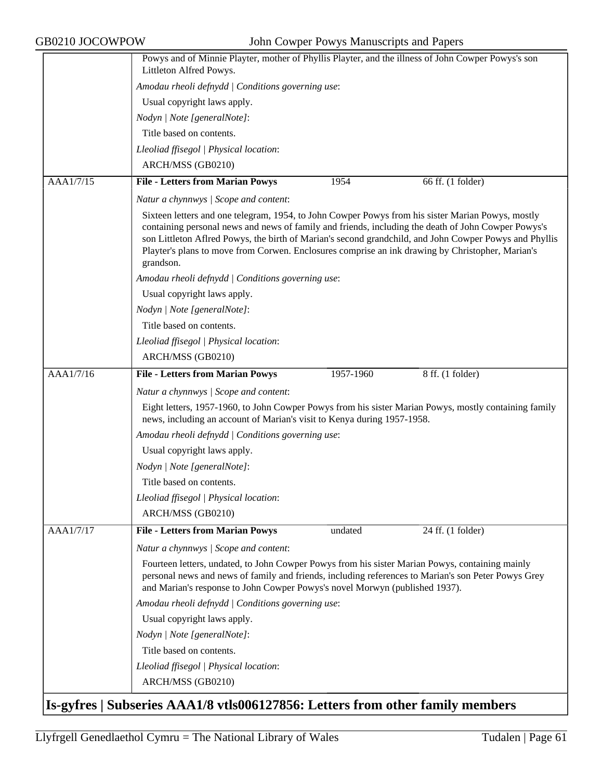|           | Powys and of Minnie Playter, mother of Phyllis Playter, and the illness of John Cowper Powys's son<br>Littleton Alfred Powys.                                                                                                                                                                                                                                                                                                       |
|-----------|-------------------------------------------------------------------------------------------------------------------------------------------------------------------------------------------------------------------------------------------------------------------------------------------------------------------------------------------------------------------------------------------------------------------------------------|
|           | Amodau rheoli defnydd / Conditions governing use:                                                                                                                                                                                                                                                                                                                                                                                   |
|           |                                                                                                                                                                                                                                                                                                                                                                                                                                     |
|           | Usual copyright laws apply.                                                                                                                                                                                                                                                                                                                                                                                                         |
|           | Nodyn   Note [generalNote]:                                                                                                                                                                                                                                                                                                                                                                                                         |
|           | Title based on contents.                                                                                                                                                                                                                                                                                                                                                                                                            |
|           | Lleoliad ffisegol   Physical location:                                                                                                                                                                                                                                                                                                                                                                                              |
|           | ARCH/MSS (GB0210)                                                                                                                                                                                                                                                                                                                                                                                                                   |
| AAA1/7/15 | <b>File - Letters from Marian Powys</b><br>1954<br>66 ff. (1 folder)                                                                                                                                                                                                                                                                                                                                                                |
|           | Natur a chynnwys / Scope and content:                                                                                                                                                                                                                                                                                                                                                                                               |
|           | Sixteen letters and one telegram, 1954, to John Cowper Powys from his sister Marian Powys, mostly<br>containing personal news and news of family and friends, including the death of John Cowper Powys's<br>son Littleton Aflred Powys, the birth of Marian's second grandchild, and John Cowper Powys and Phyllis<br>Playter's plans to move from Corwen. Enclosures comprise an ink drawing by Christopher, Marian's<br>grandson. |
|           | Amodau rheoli defnydd   Conditions governing use:                                                                                                                                                                                                                                                                                                                                                                                   |
|           | Usual copyright laws apply.                                                                                                                                                                                                                                                                                                                                                                                                         |
|           | Nodyn   Note [generalNote]:                                                                                                                                                                                                                                                                                                                                                                                                         |
|           | Title based on contents.                                                                                                                                                                                                                                                                                                                                                                                                            |
|           | Lleoliad ffisegol   Physical location:                                                                                                                                                                                                                                                                                                                                                                                              |
|           | ARCH/MSS (GB0210)                                                                                                                                                                                                                                                                                                                                                                                                                   |
| AAA1/7/16 | <b>File - Letters from Marian Powys</b><br>$8$ ff. (1 folder)<br>1957-1960                                                                                                                                                                                                                                                                                                                                                          |
|           | Natur a chynnwys / Scope and content:                                                                                                                                                                                                                                                                                                                                                                                               |
|           | Eight letters, 1957-1960, to John Cowper Powys from his sister Marian Powys, mostly containing family<br>news, including an account of Marian's visit to Kenya during 1957-1958.                                                                                                                                                                                                                                                    |
|           | Amodau rheoli defnydd   Conditions governing use:                                                                                                                                                                                                                                                                                                                                                                                   |
|           | Usual copyright laws apply.                                                                                                                                                                                                                                                                                                                                                                                                         |
|           | Nodyn   Note [generalNote]:                                                                                                                                                                                                                                                                                                                                                                                                         |
|           | Title based on contents.                                                                                                                                                                                                                                                                                                                                                                                                            |
|           | Lleoliad ffisegol   Physical location:                                                                                                                                                                                                                                                                                                                                                                                              |
|           | ARCH/MSS (GB0210)                                                                                                                                                                                                                                                                                                                                                                                                                   |
| AAA1/7/17 | <b>File - Letters from Marian Powys</b><br>undated<br>24 ff. (1 folder)                                                                                                                                                                                                                                                                                                                                                             |
|           | Natur a chynnwys / Scope and content:                                                                                                                                                                                                                                                                                                                                                                                               |
|           | Fourteen letters, undated, to John Cowper Powys from his sister Marian Powys, containing mainly<br>personal news and news of family and friends, including references to Marian's son Peter Powys Grey<br>and Marian's response to John Cowper Powys's novel Morwyn (published 1937).                                                                                                                                               |
|           | Amodau rheoli defnydd   Conditions governing use:                                                                                                                                                                                                                                                                                                                                                                                   |
|           | Usual copyright laws apply.                                                                                                                                                                                                                                                                                                                                                                                                         |
|           | Nodyn   Note [generalNote]:                                                                                                                                                                                                                                                                                                                                                                                                         |
|           | Title based on contents.                                                                                                                                                                                                                                                                                                                                                                                                            |
|           | Lleoliad ffisegol   Physical location:                                                                                                                                                                                                                                                                                                                                                                                              |
|           | ARCH/MSS (GB0210)                                                                                                                                                                                                                                                                                                                                                                                                                   |
|           | Is-gyfres   Subseries AAA1/8 vtls006127856: Letters from other family members                                                                                                                                                                                                                                                                                                                                                       |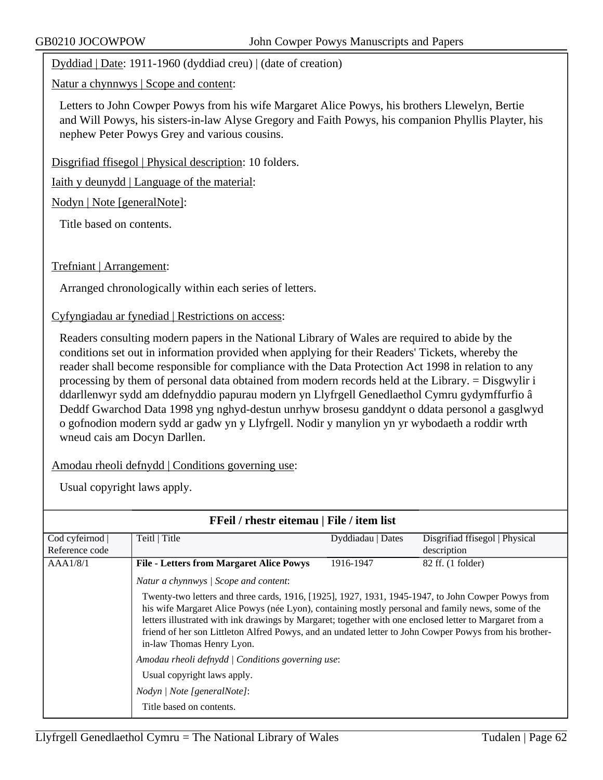Dyddiad | Date: 1911-1960 (dyddiad creu) | (date of creation)

Natur a chynnwys | Scope and content:

Letters to John Cowper Powys from his wife Margaret Alice Powys, his brothers Llewelyn, Bertie and Will Powys, his sisters-in-law Alyse Gregory and Faith Powys, his companion Phyllis Playter, his nephew Peter Powys Grey and various cousins.

Disgrifiad ffisegol | Physical description: 10 folders.

Iaith y deunydd | Language of the material:

Nodyn | Note [generalNote]:

Title based on contents.

Trefniant | Arrangement:

Arranged chronologically within each series of letters.

Cyfyngiadau ar fynediad | Restrictions on access:

Readers consulting modern papers in the National Library of Wales are required to abide by the conditions set out in information provided when applying for their Readers' Tickets, whereby the reader shall become responsible for compliance with the Data Protection Act 1998 in relation to any processing by them of personal data obtained from modern records held at the Library. = Disgwylir i ddarllenwyr sydd am ddefnyddio papurau modern yn Llyfrgell Genedlaethol Cymru gydymffurfio â Deddf Gwarchod Data 1998 yng nghyd-destun unrhyw brosesu ganddynt o ddata personol a gasglwyd o gofnodion modern sydd ar gadw yn y Llyfrgell. Nodir y manylion yn yr wybodaeth a roddir wrth wneud cais am Docyn Darllen.

Amodau rheoli defnydd | Conditions governing use:

| FFeil / rhestr eitemau   File / item list |                                                                                                                                                                                                                                                                                                                                                                                                                                                                                                                                               |                   |                                |  |
|-------------------------------------------|-----------------------------------------------------------------------------------------------------------------------------------------------------------------------------------------------------------------------------------------------------------------------------------------------------------------------------------------------------------------------------------------------------------------------------------------------------------------------------------------------------------------------------------------------|-------------------|--------------------------------|--|
| Cod cyfeirnod                             | Teitl   Title                                                                                                                                                                                                                                                                                                                                                                                                                                                                                                                                 | Dyddiadau   Dates | Disgrifiad ffisegol   Physical |  |
| Reference code                            |                                                                                                                                                                                                                                                                                                                                                                                                                                                                                                                                               |                   | description                    |  |
| AAA1/8/1                                  | <b>File - Letters from Margaret Alice Powys</b>                                                                                                                                                                                                                                                                                                                                                                                                                                                                                               | 1916-1947         | 82 ff. (1 folder)              |  |
|                                           | Natur a chynnwys / Scope and content:                                                                                                                                                                                                                                                                                                                                                                                                                                                                                                         |                   |                                |  |
|                                           | Twenty-two letters and three cards, 1916, [1925], 1927, 1931, 1945-1947, to John Cowper Powys from<br>his wife Margaret Alice Powys (née Lyon), containing mostly personal and family news, some of the<br>letters illustrated with ink drawings by Margaret; together with one enclosed letter to Margaret from a<br>friend of her son Littleton Alfred Powys, and an undated letter to John Cowper Powys from his brother-<br>in-law Thomas Henry Lyon.<br>Amodau rheoli defnydd   Conditions governing use:<br>Usual copyright laws apply. |                   |                                |  |
|                                           |                                                                                                                                                                                                                                                                                                                                                                                                                                                                                                                                               |                   |                                |  |
|                                           |                                                                                                                                                                                                                                                                                                                                                                                                                                                                                                                                               |                   |                                |  |
|                                           | Nodyn / Note [generalNote]:                                                                                                                                                                                                                                                                                                                                                                                                                                                                                                                   |                   |                                |  |
|                                           | Title based on contents.                                                                                                                                                                                                                                                                                                                                                                                                                                                                                                                      |                   |                                |  |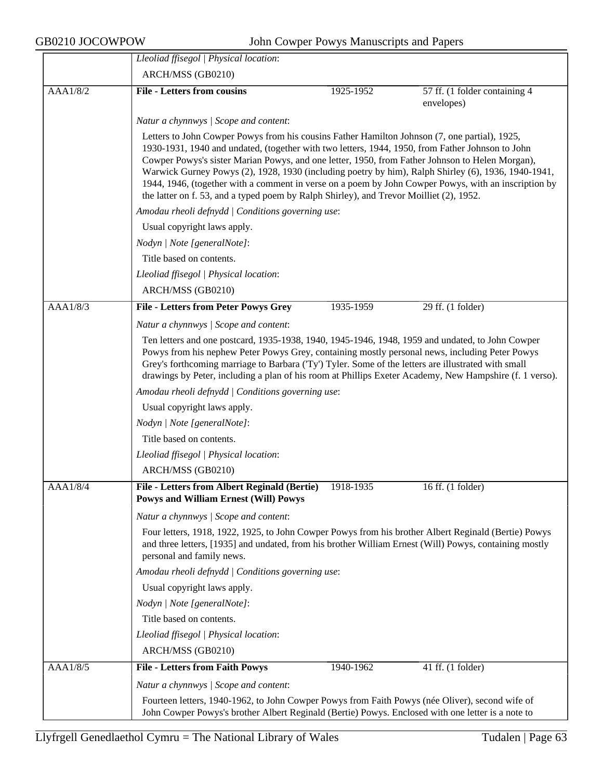|          | Lleoliad ffisegol   Physical location:                                                                                                                                                               |                                                                                                                                                                                                                                                                                                                                                                                                                                                                                                                                                                                                                |                                             |  |  |  |
|----------|------------------------------------------------------------------------------------------------------------------------------------------------------------------------------------------------------|----------------------------------------------------------------------------------------------------------------------------------------------------------------------------------------------------------------------------------------------------------------------------------------------------------------------------------------------------------------------------------------------------------------------------------------------------------------------------------------------------------------------------------------------------------------------------------------------------------------|---------------------------------------------|--|--|--|
|          | ARCH/MSS (GB0210)                                                                                                                                                                                    |                                                                                                                                                                                                                                                                                                                                                                                                                                                                                                                                                                                                                |                                             |  |  |  |
| AAA1/8/2 | <b>File - Letters from cousins</b>                                                                                                                                                                   | 1925-1952                                                                                                                                                                                                                                                                                                                                                                                                                                                                                                                                                                                                      | 57 ff. (1 folder containing 4<br>envelopes) |  |  |  |
|          | Natur a chynnwys / Scope and content:                                                                                                                                                                |                                                                                                                                                                                                                                                                                                                                                                                                                                                                                                                                                                                                                |                                             |  |  |  |
|          |                                                                                                                                                                                                      | Letters to John Cowper Powys from his cousins Father Hamilton Johnson (7, one partial), 1925,<br>1930-1931, 1940 and undated, (together with two letters, 1944, 1950, from Father Johnson to John<br>Cowper Powys's sister Marian Powys, and one letter, 1950, from Father Johnson to Helen Morgan),<br>Warwick Gurney Powys (2), 1928, 1930 (including poetry by him), Ralph Shirley (6), 1936, 1940-1941,<br>1944, 1946, (together with a comment in verse on a poem by John Cowper Powys, with an inscription by<br>the latter on f. 53, and a typed poem by Ralph Shirley), and Trevor Moilliet (2), 1952. |                                             |  |  |  |
|          | Amodau rheoli defnydd   Conditions governing use:                                                                                                                                                    |                                                                                                                                                                                                                                                                                                                                                                                                                                                                                                                                                                                                                |                                             |  |  |  |
|          | Usual copyright laws apply.                                                                                                                                                                          |                                                                                                                                                                                                                                                                                                                                                                                                                                                                                                                                                                                                                |                                             |  |  |  |
|          | Nodyn   Note [generalNote]:                                                                                                                                                                          |                                                                                                                                                                                                                                                                                                                                                                                                                                                                                                                                                                                                                |                                             |  |  |  |
|          | Title based on contents.                                                                                                                                                                             |                                                                                                                                                                                                                                                                                                                                                                                                                                                                                                                                                                                                                |                                             |  |  |  |
|          | Lleoliad ffisegol   Physical location:                                                                                                                                                               |                                                                                                                                                                                                                                                                                                                                                                                                                                                                                                                                                                                                                |                                             |  |  |  |
|          | ARCH/MSS (GB0210)                                                                                                                                                                                    |                                                                                                                                                                                                                                                                                                                                                                                                                                                                                                                                                                                                                |                                             |  |  |  |
| AAA1/8/3 | <b>File - Letters from Peter Powys Grey</b>                                                                                                                                                          | 1935-1959                                                                                                                                                                                                                                                                                                                                                                                                                                                                                                                                                                                                      | 29 ff. (1 folder)                           |  |  |  |
|          | Natur a chynnwys / Scope and content:                                                                                                                                                                |                                                                                                                                                                                                                                                                                                                                                                                                                                                                                                                                                                                                                |                                             |  |  |  |
|          |                                                                                                                                                                                                      | Ten letters and one postcard, 1935-1938, 1940, 1945-1946, 1948, 1959 and undated, to John Cowper<br>Powys from his nephew Peter Powys Grey, containing mostly personal news, including Peter Powys<br>Grey's forthcoming marriage to Barbara ('Ty') Tyler. Some of the letters are illustrated with small<br>drawings by Peter, including a plan of his room at Phillips Exeter Academy, New Hampshire (f. 1 verso).                                                                                                                                                                                           |                                             |  |  |  |
|          |                                                                                                                                                                                                      | Amodau rheoli defnydd   Conditions governing use:                                                                                                                                                                                                                                                                                                                                                                                                                                                                                                                                                              |                                             |  |  |  |
|          | Usual copyright laws apply.                                                                                                                                                                          |                                                                                                                                                                                                                                                                                                                                                                                                                                                                                                                                                                                                                |                                             |  |  |  |
|          | Nodyn   Note [generalNote]:                                                                                                                                                                          |                                                                                                                                                                                                                                                                                                                                                                                                                                                                                                                                                                                                                |                                             |  |  |  |
|          | Title based on contents.                                                                                                                                                                             |                                                                                                                                                                                                                                                                                                                                                                                                                                                                                                                                                                                                                |                                             |  |  |  |
|          | Lleoliad ffisegol   Physical location:                                                                                                                                                               |                                                                                                                                                                                                                                                                                                                                                                                                                                                                                                                                                                                                                |                                             |  |  |  |
|          | ARCH/MSS (GB0210)                                                                                                                                                                                    |                                                                                                                                                                                                                                                                                                                                                                                                                                                                                                                                                                                                                |                                             |  |  |  |
| AAA1/8/4 | File - Letters from Albert Reginald (Bertie)<br><b>Powys and William Ernest (Will) Powys</b>                                                                                                         | 1918-1935                                                                                                                                                                                                                                                                                                                                                                                                                                                                                                                                                                                                      | 16 ff. (1 folder)                           |  |  |  |
|          | Natur a chynnwys / Scope and content:                                                                                                                                                                |                                                                                                                                                                                                                                                                                                                                                                                                                                                                                                                                                                                                                |                                             |  |  |  |
|          | personal and family news.                                                                                                                                                                            | Four letters, 1918, 1922, 1925, to John Cowper Powys from his brother Albert Reginald (Bertie) Powys<br>and three letters, [1935] and undated, from his brother William Ernest (Will) Powys, containing mostly                                                                                                                                                                                                                                                                                                                                                                                                 |                                             |  |  |  |
|          | Amodau rheoli defnydd   Conditions governing use:                                                                                                                                                    |                                                                                                                                                                                                                                                                                                                                                                                                                                                                                                                                                                                                                |                                             |  |  |  |
|          | Usual copyright laws apply.                                                                                                                                                                          |                                                                                                                                                                                                                                                                                                                                                                                                                                                                                                                                                                                                                |                                             |  |  |  |
|          | Nodyn   Note [generalNote]:                                                                                                                                                                          |                                                                                                                                                                                                                                                                                                                                                                                                                                                                                                                                                                                                                |                                             |  |  |  |
|          | Title based on contents.                                                                                                                                                                             |                                                                                                                                                                                                                                                                                                                                                                                                                                                                                                                                                                                                                |                                             |  |  |  |
|          | Lleoliad ffisegol   Physical location:                                                                                                                                                               |                                                                                                                                                                                                                                                                                                                                                                                                                                                                                                                                                                                                                |                                             |  |  |  |
|          | ARCH/MSS (GB0210)                                                                                                                                                                                    |                                                                                                                                                                                                                                                                                                                                                                                                                                                                                                                                                                                                                |                                             |  |  |  |
| AAA1/8/5 | <b>File - Letters from Faith Powys</b>                                                                                                                                                               | 1940-1962                                                                                                                                                                                                                                                                                                                                                                                                                                                                                                                                                                                                      | 41 ff. $(1$ folder)                         |  |  |  |
|          | Natur a chynnwys / Scope and content:                                                                                                                                                                |                                                                                                                                                                                                                                                                                                                                                                                                                                                                                                                                                                                                                |                                             |  |  |  |
|          | Fourteen letters, 1940-1962, to John Cowper Powys from Faith Powys (née Oliver), second wife of<br>John Cowper Powys's brother Albert Reginald (Bertie) Powys. Enclosed with one letter is a note to |                                                                                                                                                                                                                                                                                                                                                                                                                                                                                                                                                                                                                |                                             |  |  |  |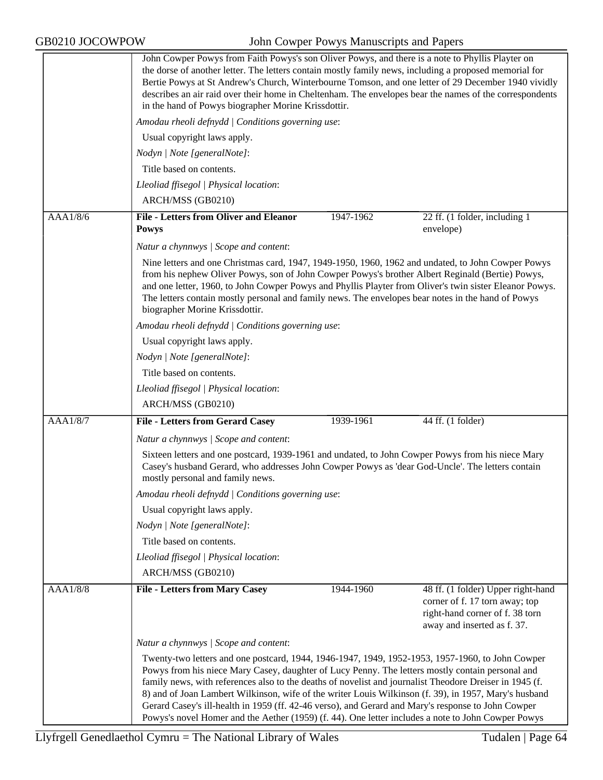|                 | Twenty-two letters and one postcard, 1944, 1946-1947, 1949, 1952-1953, 1957-1960, to John Cowper<br>Powys from his niece Mary Casey, daughter of Lucy Penny. The letters mostly contain personal and<br>family news, with references also to the deaths of novelist and journalist Theodore Dreiser in 1945 (f.<br>8) and of Joan Lambert Wilkinson, wife of the writer Louis Wilkinson (f. 39), in 1957, Mary's husband<br>Gerard Casey's ill-health in 1959 (ff. 42-46 verso), and Gerard and Mary's response to John Cowper<br>Powys's novel Homer and the Aether (1959) (f. 44). One letter includes a note to John Cowper Powys |           |                                                                                                  |  |
|-----------------|--------------------------------------------------------------------------------------------------------------------------------------------------------------------------------------------------------------------------------------------------------------------------------------------------------------------------------------------------------------------------------------------------------------------------------------------------------------------------------------------------------------------------------------------------------------------------------------------------------------------------------------|-----------|--------------------------------------------------------------------------------------------------|--|
|                 | Natur a chynnwys / Scope and content:                                                                                                                                                                                                                                                                                                                                                                                                                                                                                                                                                                                                |           |                                                                                                  |  |
|                 |                                                                                                                                                                                                                                                                                                                                                                                                                                                                                                                                                                                                                                      |           | corner of f. 17 torn away; top<br>right-hand corner of f. 38 torn<br>away and inserted as f. 37. |  |
| AAA1/8/8        | <b>File - Letters from Mary Casey</b>                                                                                                                                                                                                                                                                                                                                                                                                                                                                                                                                                                                                | 1944-1960 | 48 ff. (1 folder) Upper right-hand                                                               |  |
|                 | ARCH/MSS (GB0210)                                                                                                                                                                                                                                                                                                                                                                                                                                                                                                                                                                                                                    |           |                                                                                                  |  |
|                 | Lleoliad ffisegol   Physical location:                                                                                                                                                                                                                                                                                                                                                                                                                                                                                                                                                                                               |           |                                                                                                  |  |
|                 | Title based on contents.                                                                                                                                                                                                                                                                                                                                                                                                                                                                                                                                                                                                             |           |                                                                                                  |  |
|                 | Usual copyright laws apply.<br>Nodyn   Note [generalNote]:                                                                                                                                                                                                                                                                                                                                                                                                                                                                                                                                                                           |           |                                                                                                  |  |
|                 | Amodau rheoli defnydd   Conditions governing use:                                                                                                                                                                                                                                                                                                                                                                                                                                                                                                                                                                                    |           |                                                                                                  |  |
|                 | Casey's husband Gerard, who addresses John Cowper Powys as 'dear God-Uncle'. The letters contain<br>mostly personal and family news.                                                                                                                                                                                                                                                                                                                                                                                                                                                                                                 |           |                                                                                                  |  |
|                 | Natur a chynnwys / Scope and content:<br>Sixteen letters and one postcard, 1939-1961 and undated, to John Cowper Powys from his niece Mary                                                                                                                                                                                                                                                                                                                                                                                                                                                                                           |           |                                                                                                  |  |
|                 | <b>File - Letters from Gerard Casey</b>                                                                                                                                                                                                                                                                                                                                                                                                                                                                                                                                                                                              |           |                                                                                                  |  |
| <b>AAA1/8/7</b> | ARCH/MSS (GB0210)                                                                                                                                                                                                                                                                                                                                                                                                                                                                                                                                                                                                                    | 1939-1961 | 44 ff. (1 folder)                                                                                |  |
|                 | Lleoliad ffisegol   Physical location:                                                                                                                                                                                                                                                                                                                                                                                                                                                                                                                                                                                               |           |                                                                                                  |  |
|                 | Title based on contents.                                                                                                                                                                                                                                                                                                                                                                                                                                                                                                                                                                                                             |           |                                                                                                  |  |
|                 | Nodyn   Note [generalNote]:                                                                                                                                                                                                                                                                                                                                                                                                                                                                                                                                                                                                          |           |                                                                                                  |  |
|                 | Usual copyright laws apply.                                                                                                                                                                                                                                                                                                                                                                                                                                                                                                                                                                                                          |           |                                                                                                  |  |
|                 | Amodau rheoli defnydd   Conditions governing use:                                                                                                                                                                                                                                                                                                                                                                                                                                                                                                                                                                                    |           |                                                                                                  |  |
|                 | Nine letters and one Christmas card, 1947, 1949-1950, 1960, 1962 and undated, to John Cowper Powys<br>from his nephew Oliver Powys, son of John Cowper Powys's brother Albert Reginald (Bertie) Powys,<br>and one letter, 1960, to John Cowper Powys and Phyllis Playter from Oliver's twin sister Eleanor Powys.<br>The letters contain mostly personal and family news. The envelopes bear notes in the hand of Powys<br>biographer Morine Krissdottir.                                                                                                                                                                            |           |                                                                                                  |  |
|                 | Natur a chynnwys / Scope and content:                                                                                                                                                                                                                                                                                                                                                                                                                                                                                                                                                                                                |           |                                                                                                  |  |
| AAA1/8/6        | <b>File - Letters from Oliver and Eleanor</b><br><b>Powys</b>                                                                                                                                                                                                                                                                                                                                                                                                                                                                                                                                                                        | 1947-1962 | 22 ff. (1 folder, including 1<br>envelope)                                                       |  |
|                 | ARCH/MSS (GB0210)                                                                                                                                                                                                                                                                                                                                                                                                                                                                                                                                                                                                                    |           |                                                                                                  |  |
|                 | Lleoliad ffisegol   Physical location:                                                                                                                                                                                                                                                                                                                                                                                                                                                                                                                                                                                               |           |                                                                                                  |  |
|                 | Title based on contents.                                                                                                                                                                                                                                                                                                                                                                                                                                                                                                                                                                                                             |           |                                                                                                  |  |
|                 | Nodyn   Note [generalNote]:                                                                                                                                                                                                                                                                                                                                                                                                                                                                                                                                                                                                          |           |                                                                                                  |  |
|                 | Usual copyright laws apply.                                                                                                                                                                                                                                                                                                                                                                                                                                                                                                                                                                                                          |           |                                                                                                  |  |
|                 | Amodau rheoli defnydd   Conditions governing use:                                                                                                                                                                                                                                                                                                                                                                                                                                                                                                                                                                                    |           |                                                                                                  |  |
|                 | John Cowper Powys from Faith Powys's son Oliver Powys, and there is a note to Phyllis Playter on<br>the dorse of another letter. The letters contain mostly family news, including a proposed memorial for<br>Bertie Powys at St Andrew's Church, Winterbourne Tomson, and one letter of 29 December 1940 vividly<br>describes an air raid over their home in Cheltenham. The envelopes bear the names of the correspondents<br>in the hand of Powys biographer Morine Krissdottir.                                                                                                                                                  |           |                                                                                                  |  |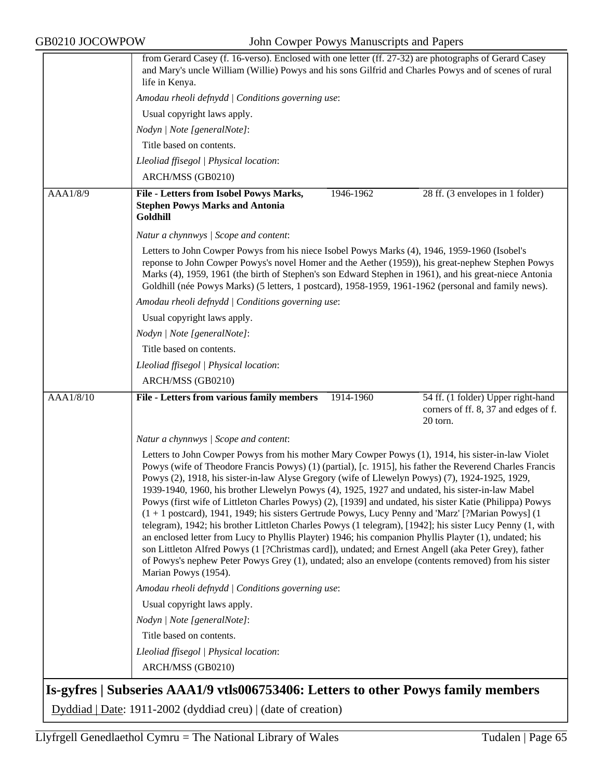|                                                               | from Gerard Casey (f. 16-verso). Enclosed with one letter (ff. 27-32) are photographs of Gerard Casey<br>and Mary's uncle William (Willie) Powys and his sons Gilfrid and Charles Powys and of scenes of rural<br>life in Kenya.                                                                                                                                                                                                                                                                                                                                                                                                                                                                                                                                                                                                                                                                                                                                                                                                                                                                                  |  |  |  |
|---------------------------------------------------------------|-------------------------------------------------------------------------------------------------------------------------------------------------------------------------------------------------------------------------------------------------------------------------------------------------------------------------------------------------------------------------------------------------------------------------------------------------------------------------------------------------------------------------------------------------------------------------------------------------------------------------------------------------------------------------------------------------------------------------------------------------------------------------------------------------------------------------------------------------------------------------------------------------------------------------------------------------------------------------------------------------------------------------------------------------------------------------------------------------------------------|--|--|--|
|                                                               | Amodau rheoli defnydd   Conditions governing use:                                                                                                                                                                                                                                                                                                                                                                                                                                                                                                                                                                                                                                                                                                                                                                                                                                                                                                                                                                                                                                                                 |  |  |  |
|                                                               | Usual copyright laws apply.                                                                                                                                                                                                                                                                                                                                                                                                                                                                                                                                                                                                                                                                                                                                                                                                                                                                                                                                                                                                                                                                                       |  |  |  |
|                                                               | Nodyn   Note [generalNote]:                                                                                                                                                                                                                                                                                                                                                                                                                                                                                                                                                                                                                                                                                                                                                                                                                                                                                                                                                                                                                                                                                       |  |  |  |
|                                                               | Title based on contents.                                                                                                                                                                                                                                                                                                                                                                                                                                                                                                                                                                                                                                                                                                                                                                                                                                                                                                                                                                                                                                                                                          |  |  |  |
|                                                               | Lleoliad ffisegol   Physical location:                                                                                                                                                                                                                                                                                                                                                                                                                                                                                                                                                                                                                                                                                                                                                                                                                                                                                                                                                                                                                                                                            |  |  |  |
|                                                               | ARCH/MSS (GB0210)                                                                                                                                                                                                                                                                                                                                                                                                                                                                                                                                                                                                                                                                                                                                                                                                                                                                                                                                                                                                                                                                                                 |  |  |  |
| AAA1/8/9                                                      | File - Letters from Isobel Powys Marks,<br>1946-1962<br>28 ff. (3 envelopes in 1 folder)                                                                                                                                                                                                                                                                                                                                                                                                                                                                                                                                                                                                                                                                                                                                                                                                                                                                                                                                                                                                                          |  |  |  |
|                                                               | <b>Stephen Powys Marks and Antonia</b><br>Goldhill                                                                                                                                                                                                                                                                                                                                                                                                                                                                                                                                                                                                                                                                                                                                                                                                                                                                                                                                                                                                                                                                |  |  |  |
|                                                               | Natur a chynnwys / Scope and content:                                                                                                                                                                                                                                                                                                                                                                                                                                                                                                                                                                                                                                                                                                                                                                                                                                                                                                                                                                                                                                                                             |  |  |  |
|                                                               | Letters to John Cowper Powys from his niece Isobel Powys Marks (4), 1946, 1959-1960 (Isobel's<br>reponse to John Cowper Powys's novel Homer and the Aether (1959)), his great-nephew Stephen Powys<br>Marks (4), 1959, 1961 (the birth of Stephen's son Edward Stephen in 1961), and his great-niece Antonia<br>Goldhill (née Powys Marks) (5 letters, 1 postcard), 1958-1959, 1961-1962 (personal and family news).                                                                                                                                                                                                                                                                                                                                                                                                                                                                                                                                                                                                                                                                                              |  |  |  |
|                                                               | Amodau rheoli defnydd   Conditions governing use:                                                                                                                                                                                                                                                                                                                                                                                                                                                                                                                                                                                                                                                                                                                                                                                                                                                                                                                                                                                                                                                                 |  |  |  |
|                                                               | Usual copyright laws apply.                                                                                                                                                                                                                                                                                                                                                                                                                                                                                                                                                                                                                                                                                                                                                                                                                                                                                                                                                                                                                                                                                       |  |  |  |
|                                                               | Nodyn   Note [generalNote]:                                                                                                                                                                                                                                                                                                                                                                                                                                                                                                                                                                                                                                                                                                                                                                                                                                                                                                                                                                                                                                                                                       |  |  |  |
|                                                               | Title based on contents.                                                                                                                                                                                                                                                                                                                                                                                                                                                                                                                                                                                                                                                                                                                                                                                                                                                                                                                                                                                                                                                                                          |  |  |  |
|                                                               | Lleoliad ffisegol   Physical location:                                                                                                                                                                                                                                                                                                                                                                                                                                                                                                                                                                                                                                                                                                                                                                                                                                                                                                                                                                                                                                                                            |  |  |  |
|                                                               | ARCH/MSS (GB0210)                                                                                                                                                                                                                                                                                                                                                                                                                                                                                                                                                                                                                                                                                                                                                                                                                                                                                                                                                                                                                                                                                                 |  |  |  |
| <b>AAA1/8/10</b>                                              | <b>File - Letters from various family members</b><br>54 ff. (1 folder) Upper right-hand<br>1914-1960<br>corners of ff. 8, 37 and edges of f.<br>20 torn.                                                                                                                                                                                                                                                                                                                                                                                                                                                                                                                                                                                                                                                                                                                                                                                                                                                                                                                                                          |  |  |  |
|                                                               | Natur a chynnwys / Scope and content:                                                                                                                                                                                                                                                                                                                                                                                                                                                                                                                                                                                                                                                                                                                                                                                                                                                                                                                                                                                                                                                                             |  |  |  |
|                                                               | Letters to John Cowper Powys from his mother Mary Cowper Powys (1), 1914, his sister-in-law Violet<br>Powys (wife of Theodore Francis Powys) (1) (partial), [c. 1915], his father the Reverend Charles Francis<br>Powys (2), 1918, his sister-in-law Alyse Gregory (wife of Llewelyn Powys) (7), 1924-1925, 1929,<br>1939-1940, 1960, his brother Llewelyn Powys (4), 1925, 1927 and undated, his sister-in-law Mabel<br>Powys (first wife of Littleton Charles Powys) (2), [1939] and undated, his sister Katie (Philippa) Powys<br>$(1 + 1)$ postcard), 1941, 1949; his sisters Gertrude Powys, Lucy Penny and 'Marz' [?Marian Powys] $(1 + 1)$<br>telegram), 1942; his brother Littleton Charles Powys (1 telegram), [1942]; his sister Lucy Penny (1, with<br>an enclosed letter from Lucy to Phyllis Playter) 1946; his companion Phyllis Playter (1), undated; his<br>son Littleton Alfred Powys (1 [?Christmas card]), undated; and Ernest Angell (aka Peter Grey), father<br>of Powys's nephew Peter Powys Grey (1), undated; also an envelope (contents removed) from his sister<br>Marian Powys (1954). |  |  |  |
|                                                               | Amodau rheoli defnydd   Conditions governing use:                                                                                                                                                                                                                                                                                                                                                                                                                                                                                                                                                                                                                                                                                                                                                                                                                                                                                                                                                                                                                                                                 |  |  |  |
|                                                               | Usual copyright laws apply.                                                                                                                                                                                                                                                                                                                                                                                                                                                                                                                                                                                                                                                                                                                                                                                                                                                                                                                                                                                                                                                                                       |  |  |  |
|                                                               | Nodyn   Note [generalNote]:                                                                                                                                                                                                                                                                                                                                                                                                                                                                                                                                                                                                                                                                                                                                                                                                                                                                                                                                                                                                                                                                                       |  |  |  |
|                                                               | Title based on contents.                                                                                                                                                                                                                                                                                                                                                                                                                                                                                                                                                                                                                                                                                                                                                                                                                                                                                                                                                                                                                                                                                          |  |  |  |
|                                                               | Lleoliad ffisegol   Physical location:                                                                                                                                                                                                                                                                                                                                                                                                                                                                                                                                                                                                                                                                                                                                                                                                                                                                                                                                                                                                                                                                            |  |  |  |
|                                                               | ARCH/MSS (GB0210)                                                                                                                                                                                                                                                                                                                                                                                                                                                                                                                                                                                                                                                                                                                                                                                                                                                                                                                                                                                                                                                                                                 |  |  |  |
|                                                               | Is-gyfres   Subseries AAA1/9 vtls006753406: Letters to other Powys family members                                                                                                                                                                                                                                                                                                                                                                                                                                                                                                                                                                                                                                                                                                                                                                                                                                                                                                                                                                                                                                 |  |  |  |
| Dyddiad   Date: 1911-2002 (dyddiad creu)   (date of creation) |                                                                                                                                                                                                                                                                                                                                                                                                                                                                                                                                                                                                                                                                                                                                                                                                                                                                                                                                                                                                                                                                                                                   |  |  |  |

Llyfrgell Genedlaethol Cymru = The National Library of Wales Tudalen | Page 65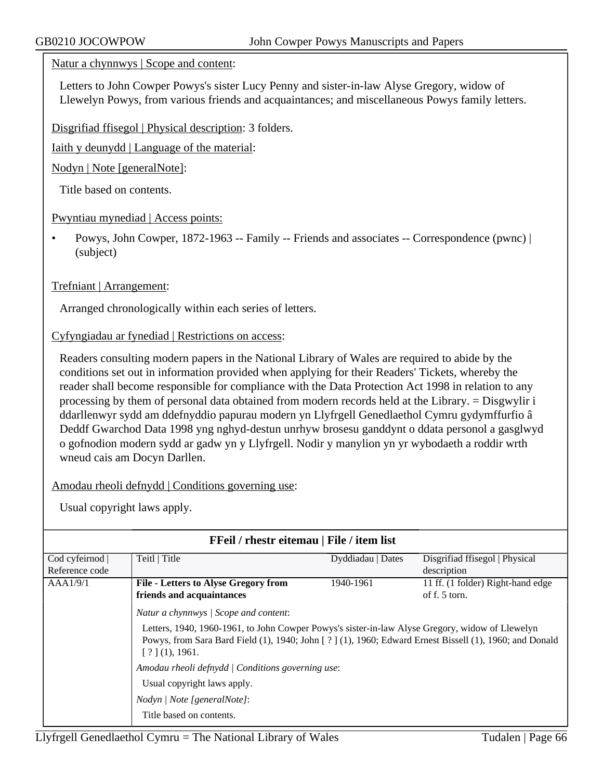#### Natur a chynnwys | Scope and content:

Letters to John Cowper Powys's sister Lucy Penny and sister-in-law Alyse Gregory, widow of Llewelyn Powys, from various friends and acquaintances; and miscellaneous Powys family letters.

Disgrifiad ffisegol | Physical description: 3 folders.

Iaith y deunydd | Language of the material:

Nodyn | Note [generalNote]:

Title based on contents.

Pwyntiau mynediad | Access points:

• Powys, John Cowper, 1872-1963 -- Family -- Friends and associates -- Correspondence (pwnc) | (subject)

### Trefniant | Arrangement:

Arranged chronologically within each series of letters.

#### Cyfyngiadau ar fynediad | Restrictions on access:

Readers consulting modern papers in the National Library of Wales are required to abide by the conditions set out in information provided when applying for their Readers' Tickets, whereby the reader shall become responsible for compliance with the Data Protection Act 1998 in relation to any processing by them of personal data obtained from modern records held at the Library. = Disgwylir i ddarllenwyr sydd am ddefnyddio papurau modern yn Llyfrgell Genedlaethol Cymru gydymffurfio â Deddf Gwarchod Data 1998 yng nghyd-destun unrhyw brosesu ganddynt o ddata personol a gasglwyd o gofnodion modern sydd ar gadw yn y Llyfrgell. Nodir y manylion yn yr wybodaeth a roddir wrth wneud cais am Docyn Darllen.

Amodau rheoli defnydd | Conditions governing use:

| FFeil / rhestr eitemau   File / item list |                                                                                                                                                                                                                                                                                                                                                                                                                    |                   |                                   |  |
|-------------------------------------------|--------------------------------------------------------------------------------------------------------------------------------------------------------------------------------------------------------------------------------------------------------------------------------------------------------------------------------------------------------------------------------------------------------------------|-------------------|-----------------------------------|--|
| Cod cyfeirnod                             | Teitl   Title                                                                                                                                                                                                                                                                                                                                                                                                      | Dyddiadau   Dates | Disgrifiad ffisegol   Physical    |  |
| Reference code                            |                                                                                                                                                                                                                                                                                                                                                                                                                    |                   | description                       |  |
| AAA1/9/1                                  | <b>File - Letters to Alyse Gregory from</b>                                                                                                                                                                                                                                                                                                                                                                        | 1940-1961         | 11 ff. (1 folder) Right-hand edge |  |
|                                           | friends and acquaintances                                                                                                                                                                                                                                                                                                                                                                                          |                   | of $f. 5$ torn.                   |  |
|                                           | Natur a chynnwys / Scope and content:<br>Letters, 1940, 1960-1961, to John Cowper Powys's sister-in-law Alyse Gregory, widow of Llewelyn<br>Powys, from Sara Bard Field (1), 1940; John [?] (1), 1960; Edward Ernest Bissell (1), 1960; and Donald<br>[?](1), 1961.<br>Amodau rheoli defnydd   Conditions governing use:<br>Usual copyright laws apply.<br>Nodyn / Note [generalNote]:<br>Title based on contents. |                   |                                   |  |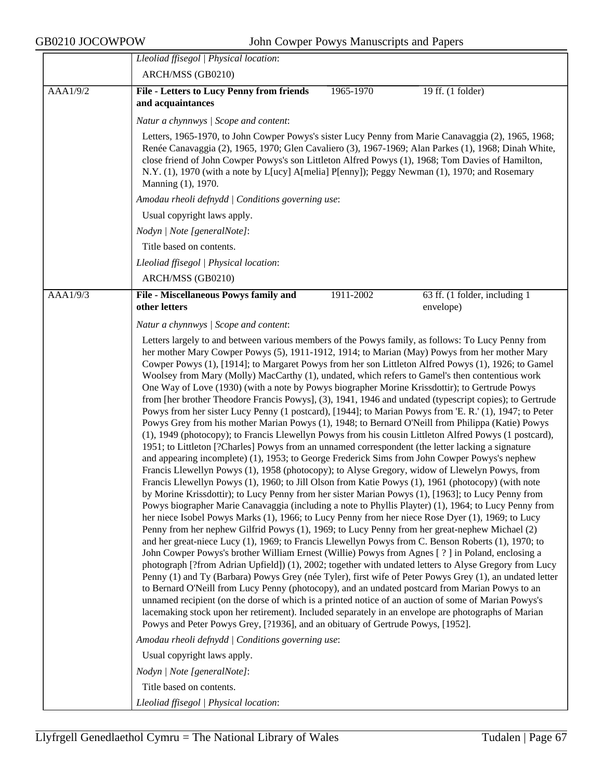$\overline{a}$  and  $\overline{a}$  and  $\overline{a}$  and  $\overline{a}$ 

|          | Lleoliad ffisegol   Physical location:                                                                                                                                                                                                                                                                                                                                                                                                                                                                                                                                                                                                                                                                                                                                                                                                                                                                                                                                                                                                                                                                                                                                                                                                                                                                                                                                                                                                                                                                                                                                                                                                                                                                                                                                                                                                                                                                                                                                                                                                                                                                                                                                                                                                                                                                                                                                                                                                                                                                                                                                                                                                                                                                           |           |                                            |
|----------|------------------------------------------------------------------------------------------------------------------------------------------------------------------------------------------------------------------------------------------------------------------------------------------------------------------------------------------------------------------------------------------------------------------------------------------------------------------------------------------------------------------------------------------------------------------------------------------------------------------------------------------------------------------------------------------------------------------------------------------------------------------------------------------------------------------------------------------------------------------------------------------------------------------------------------------------------------------------------------------------------------------------------------------------------------------------------------------------------------------------------------------------------------------------------------------------------------------------------------------------------------------------------------------------------------------------------------------------------------------------------------------------------------------------------------------------------------------------------------------------------------------------------------------------------------------------------------------------------------------------------------------------------------------------------------------------------------------------------------------------------------------------------------------------------------------------------------------------------------------------------------------------------------------------------------------------------------------------------------------------------------------------------------------------------------------------------------------------------------------------------------------------------------------------------------------------------------------------------------------------------------------------------------------------------------------------------------------------------------------------------------------------------------------------------------------------------------------------------------------------------------------------------------------------------------------------------------------------------------------------------------------------------------------------------------------------------------------|-----------|--------------------------------------------|
| AAA1/9/2 | ARCH/MSS (GB0210)<br><b>File - Letters to Lucy Penny from friends</b>                                                                                                                                                                                                                                                                                                                                                                                                                                                                                                                                                                                                                                                                                                                                                                                                                                                                                                                                                                                                                                                                                                                                                                                                                                                                                                                                                                                                                                                                                                                                                                                                                                                                                                                                                                                                                                                                                                                                                                                                                                                                                                                                                                                                                                                                                                                                                                                                                                                                                                                                                                                                                                            | 1965-1970 | 19 ff. (1 folder)                          |
|          | and acquaintances                                                                                                                                                                                                                                                                                                                                                                                                                                                                                                                                                                                                                                                                                                                                                                                                                                                                                                                                                                                                                                                                                                                                                                                                                                                                                                                                                                                                                                                                                                                                                                                                                                                                                                                                                                                                                                                                                                                                                                                                                                                                                                                                                                                                                                                                                                                                                                                                                                                                                                                                                                                                                                                                                                |           |                                            |
|          | Natur a chynnwys / Scope and content:                                                                                                                                                                                                                                                                                                                                                                                                                                                                                                                                                                                                                                                                                                                                                                                                                                                                                                                                                                                                                                                                                                                                                                                                                                                                                                                                                                                                                                                                                                                                                                                                                                                                                                                                                                                                                                                                                                                                                                                                                                                                                                                                                                                                                                                                                                                                                                                                                                                                                                                                                                                                                                                                            |           |                                            |
|          | Letters, 1965-1970, to John Cowper Powys's sister Lucy Penny from Marie Canavaggia (2), 1965, 1968;<br>Renée Canavaggia (2), 1965, 1970; Glen Cavaliero (3), 1967-1969; Alan Parkes (1), 1968; Dinah White,<br>close friend of John Cowper Powys's son Littleton Alfred Powys (1), 1968; Tom Davies of Hamilton,<br>N.Y. (1), 1970 (with a note by L[ucy] A[melia] P[enny]); Peggy Newman (1), 1970; and Rosemary<br>Manning (1), 1970.                                                                                                                                                                                                                                                                                                                                                                                                                                                                                                                                                                                                                                                                                                                                                                                                                                                                                                                                                                                                                                                                                                                                                                                                                                                                                                                                                                                                                                                                                                                                                                                                                                                                                                                                                                                                                                                                                                                                                                                                                                                                                                                                                                                                                                                                          |           |                                            |
|          | Amodau rheoli defnydd   Conditions governing use:                                                                                                                                                                                                                                                                                                                                                                                                                                                                                                                                                                                                                                                                                                                                                                                                                                                                                                                                                                                                                                                                                                                                                                                                                                                                                                                                                                                                                                                                                                                                                                                                                                                                                                                                                                                                                                                                                                                                                                                                                                                                                                                                                                                                                                                                                                                                                                                                                                                                                                                                                                                                                                                                |           |                                            |
|          | Usual copyright laws apply.                                                                                                                                                                                                                                                                                                                                                                                                                                                                                                                                                                                                                                                                                                                                                                                                                                                                                                                                                                                                                                                                                                                                                                                                                                                                                                                                                                                                                                                                                                                                                                                                                                                                                                                                                                                                                                                                                                                                                                                                                                                                                                                                                                                                                                                                                                                                                                                                                                                                                                                                                                                                                                                                                      |           |                                            |
|          | Nodyn   Note [generalNote]:                                                                                                                                                                                                                                                                                                                                                                                                                                                                                                                                                                                                                                                                                                                                                                                                                                                                                                                                                                                                                                                                                                                                                                                                                                                                                                                                                                                                                                                                                                                                                                                                                                                                                                                                                                                                                                                                                                                                                                                                                                                                                                                                                                                                                                                                                                                                                                                                                                                                                                                                                                                                                                                                                      |           |                                            |
|          | Title based on contents.                                                                                                                                                                                                                                                                                                                                                                                                                                                                                                                                                                                                                                                                                                                                                                                                                                                                                                                                                                                                                                                                                                                                                                                                                                                                                                                                                                                                                                                                                                                                                                                                                                                                                                                                                                                                                                                                                                                                                                                                                                                                                                                                                                                                                                                                                                                                                                                                                                                                                                                                                                                                                                                                                         |           |                                            |
|          | Lleoliad ffisegol   Physical location:                                                                                                                                                                                                                                                                                                                                                                                                                                                                                                                                                                                                                                                                                                                                                                                                                                                                                                                                                                                                                                                                                                                                                                                                                                                                                                                                                                                                                                                                                                                                                                                                                                                                                                                                                                                                                                                                                                                                                                                                                                                                                                                                                                                                                                                                                                                                                                                                                                                                                                                                                                                                                                                                           |           |                                            |
|          | ARCH/MSS (GB0210)                                                                                                                                                                                                                                                                                                                                                                                                                                                                                                                                                                                                                                                                                                                                                                                                                                                                                                                                                                                                                                                                                                                                                                                                                                                                                                                                                                                                                                                                                                                                                                                                                                                                                                                                                                                                                                                                                                                                                                                                                                                                                                                                                                                                                                                                                                                                                                                                                                                                                                                                                                                                                                                                                                |           |                                            |
| AAA1/9/3 | File - Miscellaneous Powys family and<br>other letters                                                                                                                                                                                                                                                                                                                                                                                                                                                                                                                                                                                                                                                                                                                                                                                                                                                                                                                                                                                                                                                                                                                                                                                                                                                                                                                                                                                                                                                                                                                                                                                                                                                                                                                                                                                                                                                                                                                                                                                                                                                                                                                                                                                                                                                                                                                                                                                                                                                                                                                                                                                                                                                           | 1911-2002 | 63 ff. (1 folder, including 1<br>envelope) |
|          | Natur a chynnwys / Scope and content:                                                                                                                                                                                                                                                                                                                                                                                                                                                                                                                                                                                                                                                                                                                                                                                                                                                                                                                                                                                                                                                                                                                                                                                                                                                                                                                                                                                                                                                                                                                                                                                                                                                                                                                                                                                                                                                                                                                                                                                                                                                                                                                                                                                                                                                                                                                                                                                                                                                                                                                                                                                                                                                                            |           |                                            |
|          | her mother Mary Cowper Powys (5), 1911-1912, 1914; to Marian (May) Powys from her mother Mary<br>Cowper Powys (1), [1914]; to Margaret Powys from her son Littleton Alfred Powys (1), 1926; to Gamel<br>Woolsey from Mary (Molly) MacCarthy (1), undated, which refers to Gamel's then contentious work<br>One Way of Love (1930) (with a note by Powys biographer Morine Krissdottir); to Gertrude Powys<br>from [her brother Theodore Francis Powys], (3), 1941, 1946 and undated (typescript copies); to Gertrude<br>Powys from her sister Lucy Penny (1 postcard), [1944]; to Marian Powys from 'E. R.' (1), 1947; to Peter<br>Powys Grey from his mother Marian Powys (1), 1948; to Bernard O'Neill from Philippa (Katie) Powys<br>(1), 1949 (photocopy); to Francis Llewellyn Powys from his cousin Littleton Alfred Powys (1 postcard),<br>1951; to Littleton [?Charles] Powys from an unnamed correspondent (the letter lacking a signature<br>and appearing incomplete) (1), 1953; to George Frederick Sims from John Cowper Powys's nephew<br>Francis Llewellyn Powys (1), 1958 (photocopy); to Alyse Gregory, widow of Llewelyn Powys, from<br>Francis Llewellyn Powys (1), 1960; to Jill Olson from Katie Powys (1), 1961 (photocopy) (with note<br>by Morine Krissdottir); to Lucy Penny from her sister Marian Powys (1), [1963]; to Lucy Penny from<br>Powys biographer Marie Canavaggia (including a note to Phyllis Playter) (1), 1964; to Lucy Penny from<br>her niece Isobel Powys Marks (1), 1966; to Lucy Penny from her niece Rose Dyer (1), 1969; to Lucy<br>Penny from her nephew Gilfrid Powys (1), 1969; to Lucy Penny from her great-nephew Michael (2)<br>and her great-niece Lucy (1), 1969; to Francis Llewellyn Powys from C. Benson Roberts (1), 1970; to<br>John Cowper Powys's brother William Ernest (Willie) Powys from Agnes [?] in Poland, enclosing a<br>photograph [?from Adrian Upfield]) (1), 2002; together with undated letters to Alyse Gregory from Lucy<br>Penny (1) and Ty (Barbara) Powys Grey (née Tyler), first wife of Peter Powys Grey (1), an undated letter<br>to Bernard O'Neill from Lucy Penny (photocopy), and an undated postcard from Marian Powys to an<br>unnamed recipient (on the dorse of which is a printed notice of an auction of some of Marian Powys's<br>lacemaking stock upon her retirement). Included separately in an envelope are photographs of Marian<br>Powys and Peter Powys Grey, [?1936], and an obituary of Gertrude Powys, [1952].<br>Amodau rheoli defnydd   Conditions governing use:<br>Usual copyright laws apply.<br>Nodyn   Note [generalNote]:<br>Title based on contents.<br>Lleoliad ffisegol   Physical location: |           |                                            |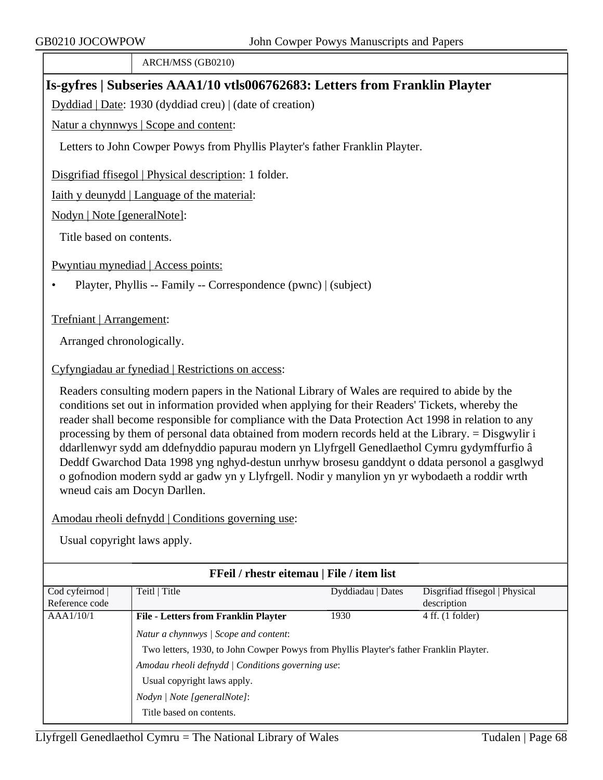ARCH/MSS (GB0210)

## **Is-gyfres | Subseries AAA1/10 vtls006762683: Letters from Franklin Playter**

Dyddiad | Date: 1930 (dyddiad creu) | (date of creation)

Natur a chynnwys | Scope and content:

Letters to John Cowper Powys from Phyllis Playter's father Franklin Playter.

Disgrifiad ffisegol | Physical description: 1 folder.

Iaith y deunydd | Language of the material:

Nodyn | Note [generalNote]:

Title based on contents.

Pwyntiau mynediad | Access points:

• Playter, Phyllis -- Family -- Correspondence (pwnc) | (subject)

Trefniant | Arrangement:

Arranged chronologically.

#### Cyfyngiadau ar fynediad | Restrictions on access:

Readers consulting modern papers in the National Library of Wales are required to abide by the conditions set out in information provided when applying for their Readers' Tickets, whereby the reader shall become responsible for compliance with the Data Protection Act 1998 in relation to any processing by them of personal data obtained from modern records held at the Library. = Disgwylir i ddarllenwyr sydd am ddefnyddio papurau modern yn Llyfrgell Genedlaethol Cymru gydymffurfio â Deddf Gwarchod Data 1998 yng nghyd-destun unrhyw brosesu ganddynt o ddata personol a gasglwyd o gofnodion modern sydd ar gadw yn y Llyfrgell. Nodir y manylion yn yr wybodaeth a roddir wrth wneud cais am Docyn Darllen.

#### Amodau rheoli defnydd | Conditions governing use:

| FFeil / rhestr eitemau   File / item list |                                                                                         |                   |                                |  |  |
|-------------------------------------------|-----------------------------------------------------------------------------------------|-------------------|--------------------------------|--|--|
| Cod cyfeirnod                             | Teitl   Title                                                                           | Dyddiadau   Dates | Disgrifiad ffisegol   Physical |  |  |
| Reference code                            |                                                                                         |                   | description                    |  |  |
| AAA1/10/1                                 | <b>File - Letters from Franklin Playter</b>                                             | 1930              | $4$ ff. $(1$ folder)           |  |  |
|                                           | Natur a chynnwys / Scope and content:                                                   |                   |                                |  |  |
|                                           | Two letters, 1930, to John Cowper Powys from Phyllis Playter's father Franklin Playter. |                   |                                |  |  |
|                                           | Amodau rheoli defnydd   Conditions governing use:                                       |                   |                                |  |  |
|                                           | Usual copyright laws apply.                                                             |                   |                                |  |  |
|                                           | Nodyn   Note [generalNote]:                                                             |                   |                                |  |  |
|                                           | Title based on contents.                                                                |                   |                                |  |  |
|                                           |                                                                                         |                   |                                |  |  |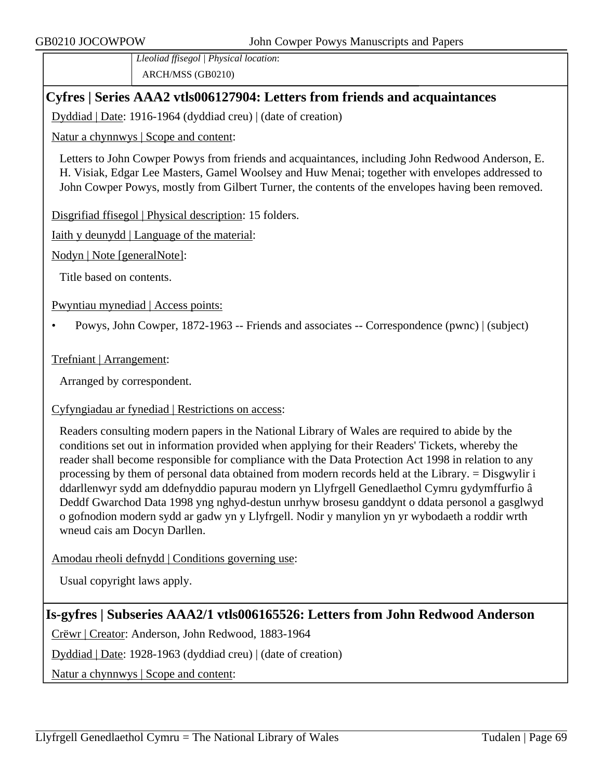*Lleoliad ffisegol | Physical location*: ARCH/MSS (GB0210)

## **Cyfres | Series AAA2 vtls006127904: Letters from friends and acquaintances**

Dyddiad | Date: 1916-1964 (dyddiad creu) | (date of creation)

Natur a chynnwys | Scope and content:

Letters to John Cowper Powys from friends and acquaintances, including John Redwood Anderson, E. H. Visiak, Edgar Lee Masters, Gamel Woolsey and Huw Menai; together with envelopes addressed to John Cowper Powys, mostly from Gilbert Turner, the contents of the envelopes having been removed.

Disgrifiad ffisegol | Physical description: 15 folders.

Iaith y deunydd | Language of the material:

Nodyn | Note [generalNote]:

Title based on contents.

Pwyntiau mynediad | Access points:

• Powys, John Cowper, 1872-1963 -- Friends and associates -- Correspondence (pwnc) | (subject)

#### Trefniant | Arrangement:

Arranged by correspondent.

### Cyfyngiadau ar fynediad | Restrictions on access:

Readers consulting modern papers in the National Library of Wales are required to abide by the conditions set out in information provided when applying for their Readers' Tickets, whereby the reader shall become responsible for compliance with the Data Protection Act 1998 in relation to any processing by them of personal data obtained from modern records held at the Library. = Disgwylir i ddarllenwyr sydd am ddefnyddio papurau modern yn Llyfrgell Genedlaethol Cymru gydymffurfio â Deddf Gwarchod Data 1998 yng nghyd-destun unrhyw brosesu ganddynt o ddata personol a gasglwyd o gofnodion modern sydd ar gadw yn y Llyfrgell. Nodir y manylion yn yr wybodaeth a roddir wrth wneud cais am Docyn Darllen.

### Amodau rheoli defnydd | Conditions governing use:

Usual copyright laws apply.

# **Is-gyfres | Subseries AAA2/1 vtls006165526: Letters from John Redwood Anderson**

Crëwr | Creator: Anderson, John Redwood, 1883-1964

Dyddiad | Date: 1928-1963 (dyddiad creu) | (date of creation)

Natur a chynnwys | Scope and content: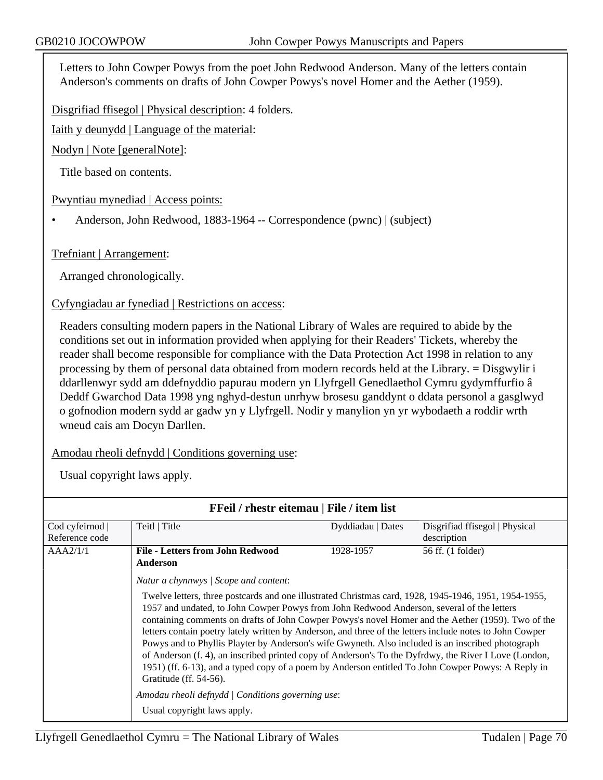Letters to John Cowper Powys from the poet John Redwood Anderson. Many of the letters contain Anderson's comments on drafts of John Cowper Powys's novel Homer and the Aether (1959).

Disgrifiad ffisegol | Physical description: 4 folders.

Iaith y deunydd | Language of the material:

Nodyn | Note [generalNote]:

Title based on contents.

Pwyntiau mynediad | Access points:

• Anderson, John Redwood, 1883-1964 -- Correspondence (pwnc) | (subject)

Trefniant | Arrangement:

Arranged chronologically.

Cyfyngiadau ar fynediad | Restrictions on access:

Readers consulting modern papers in the National Library of Wales are required to abide by the conditions set out in information provided when applying for their Readers' Tickets, whereby the reader shall become responsible for compliance with the Data Protection Act 1998 in relation to any processing by them of personal data obtained from modern records held at the Library. = Disgwylir i ddarllenwyr sydd am ddefnyddio papurau modern yn Llyfrgell Genedlaethol Cymru gydymffurfio â Deddf Gwarchod Data 1998 yng nghyd-destun unrhyw brosesu ganddynt o ddata personol a gasglwyd o gofnodion modern sydd ar gadw yn y Llyfrgell. Nodir y manylion yn yr wybodaeth a roddir wrth wneud cais am Docyn Darllen.

Amodau rheoli defnydd | Conditions governing use:

| FFeil / rhestr eitemau   File / item list |                                                                                                                                                                                                                                                                                                                                                                                                                                                                                                                                                                                                                                                                                                                                                                                                                                                        |                   |                                |  |  |
|-------------------------------------------|--------------------------------------------------------------------------------------------------------------------------------------------------------------------------------------------------------------------------------------------------------------------------------------------------------------------------------------------------------------------------------------------------------------------------------------------------------------------------------------------------------------------------------------------------------------------------------------------------------------------------------------------------------------------------------------------------------------------------------------------------------------------------------------------------------------------------------------------------------|-------------------|--------------------------------|--|--|
| Cod cyfeirnod                             | Teitl   Title                                                                                                                                                                                                                                                                                                                                                                                                                                                                                                                                                                                                                                                                                                                                                                                                                                          | Dyddiadau   Dates | Disgrifiad ffisegol   Physical |  |  |
| Reference code                            |                                                                                                                                                                                                                                                                                                                                                                                                                                                                                                                                                                                                                                                                                                                                                                                                                                                        |                   | description                    |  |  |
| AAA2/1/1                                  | <b>File - Letters from John Redwood</b>                                                                                                                                                                                                                                                                                                                                                                                                                                                                                                                                                                                                                                                                                                                                                                                                                | 1928-1957         | 56 ff. (1 folder)              |  |  |
|                                           | Anderson                                                                                                                                                                                                                                                                                                                                                                                                                                                                                                                                                                                                                                                                                                                                                                                                                                               |                   |                                |  |  |
|                                           | Natur a chynnwys / Scope and content:                                                                                                                                                                                                                                                                                                                                                                                                                                                                                                                                                                                                                                                                                                                                                                                                                  |                   |                                |  |  |
|                                           | Twelve letters, three postcards and one illustrated Christmas card, 1928, 1945-1946, 1951, 1954-1955,<br>1957 and undated, to John Cowper Powys from John Redwood Anderson, several of the letters<br>containing comments on drafts of John Cowper Powys's novel Homer and the Aether (1959). Two of the<br>letters contain poetry lately written by Anderson, and three of the letters include notes to John Cowper<br>Powys and to Phyllis Playter by Anderson's wife Gwyneth. Also included is an inscribed photograph<br>of Anderson (f. 4), an inscribed printed copy of Anderson's To the Dyfrdwy, the River I Love (London,<br>1951) (ff. 6-13), and a typed copy of a poem by Anderson entitled To John Cowper Powys: A Reply in<br>Gratitude (ff. 54-56).<br>Amodau rheoli defnydd   Conditions governing use:<br>Usual copyright laws apply. |                   |                                |  |  |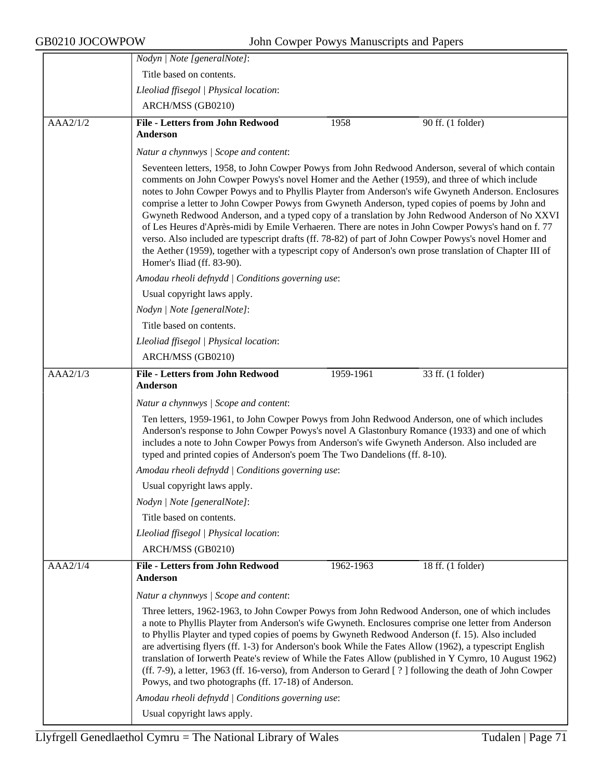|          | Nodyn   Note [generalNote]:                                                                                                                                                                                                                                                                                                                                                                                                                                                                                                                                                                                                                                                                                                                                                                                                                                                |           |                                                                                                        |  |
|----------|----------------------------------------------------------------------------------------------------------------------------------------------------------------------------------------------------------------------------------------------------------------------------------------------------------------------------------------------------------------------------------------------------------------------------------------------------------------------------------------------------------------------------------------------------------------------------------------------------------------------------------------------------------------------------------------------------------------------------------------------------------------------------------------------------------------------------------------------------------------------------|-----------|--------------------------------------------------------------------------------------------------------|--|
|          | Title based on contents.                                                                                                                                                                                                                                                                                                                                                                                                                                                                                                                                                                                                                                                                                                                                                                                                                                                   |           |                                                                                                        |  |
|          | Lleoliad ffisegol   Physical location:                                                                                                                                                                                                                                                                                                                                                                                                                                                                                                                                                                                                                                                                                                                                                                                                                                     |           |                                                                                                        |  |
|          | ARCH/MSS (GB0210)                                                                                                                                                                                                                                                                                                                                                                                                                                                                                                                                                                                                                                                                                                                                                                                                                                                          |           |                                                                                                        |  |
| AAA2/1/2 | <b>File - Letters from John Redwood</b><br>Anderson                                                                                                                                                                                                                                                                                                                                                                                                                                                                                                                                                                                                                                                                                                                                                                                                                        | 1958      | $90$ ff. $(1)$ folder)                                                                                 |  |
|          | Natur a chynnwys / Scope and content:                                                                                                                                                                                                                                                                                                                                                                                                                                                                                                                                                                                                                                                                                                                                                                                                                                      |           |                                                                                                        |  |
|          | Seventeen letters, 1958, to John Cowper Powys from John Redwood Anderson, several of which contain<br>comments on John Cowper Powys's novel Homer and the Aether (1959), and three of which include<br>notes to John Cowper Powys and to Phyllis Playter from Anderson's wife Gwyneth Anderson. Enclosures<br>comprise a letter to John Cowper Powys from Gwyneth Anderson, typed copies of poems by John and<br>Gwyneth Redwood Anderson, and a typed copy of a translation by John Redwood Anderson of No XXVI<br>of Les Heures d'Après-midi by Emile Verhaeren. There are notes in John Cowper Powys's hand on f. 77<br>verso. Also included are typescript drafts (ff. 78-82) of part of John Cowper Powys's novel Homer and<br>the Aether (1959), together with a typescript copy of Anderson's own prose translation of Chapter III of<br>Homer's Iliad (ff. 83-90). |           |                                                                                                        |  |
|          | Amodau rheoli defnydd   Conditions governing use:                                                                                                                                                                                                                                                                                                                                                                                                                                                                                                                                                                                                                                                                                                                                                                                                                          |           |                                                                                                        |  |
|          | Usual copyright laws apply.                                                                                                                                                                                                                                                                                                                                                                                                                                                                                                                                                                                                                                                                                                                                                                                                                                                |           |                                                                                                        |  |
|          | Nodyn   Note [generalNote]:                                                                                                                                                                                                                                                                                                                                                                                                                                                                                                                                                                                                                                                                                                                                                                                                                                                |           |                                                                                                        |  |
|          | Title based on contents.                                                                                                                                                                                                                                                                                                                                                                                                                                                                                                                                                                                                                                                                                                                                                                                                                                                   |           |                                                                                                        |  |
|          | Lleoliad ffisegol   Physical location:                                                                                                                                                                                                                                                                                                                                                                                                                                                                                                                                                                                                                                                                                                                                                                                                                                     |           |                                                                                                        |  |
|          | ARCH/MSS (GB0210)                                                                                                                                                                                                                                                                                                                                                                                                                                                                                                                                                                                                                                                                                                                                                                                                                                                          |           |                                                                                                        |  |
| AAA2/1/3 | <b>File - Letters from John Redwood</b><br>Anderson                                                                                                                                                                                                                                                                                                                                                                                                                                                                                                                                                                                                                                                                                                                                                                                                                        | 1959-1961 | 33 ff. (1 folder)                                                                                      |  |
|          | Natur a chynnwys / Scope and content:                                                                                                                                                                                                                                                                                                                                                                                                                                                                                                                                                                                                                                                                                                                                                                                                                                      |           |                                                                                                        |  |
|          | Ten letters, 1959-1961, to John Cowper Powys from John Redwood Anderson, one of which includes<br>Anderson's response to John Cowper Powys's novel A Glastonbury Romance (1933) and one of which<br>includes a note to John Cowper Powys from Anderson's wife Gwyneth Anderson. Also included are<br>typed and printed copies of Anderson's poem The Two Dandelions (ff. 8-10).                                                                                                                                                                                                                                                                                                                                                                                                                                                                                            |           |                                                                                                        |  |
|          | Amodau rheoli defnydd   Conditions governing use:                                                                                                                                                                                                                                                                                                                                                                                                                                                                                                                                                                                                                                                                                                                                                                                                                          |           |                                                                                                        |  |
|          | Usual copyright laws apply.                                                                                                                                                                                                                                                                                                                                                                                                                                                                                                                                                                                                                                                                                                                                                                                                                                                |           |                                                                                                        |  |
|          | Nodyn   Note [generalNote]:                                                                                                                                                                                                                                                                                                                                                                                                                                                                                                                                                                                                                                                                                                                                                                                                                                                |           |                                                                                                        |  |
|          | Title based on contents.                                                                                                                                                                                                                                                                                                                                                                                                                                                                                                                                                                                                                                                                                                                                                                                                                                                   |           |                                                                                                        |  |
|          | Lleoliad ffisegol   Physical location:                                                                                                                                                                                                                                                                                                                                                                                                                                                                                                                                                                                                                                                                                                                                                                                                                                     |           |                                                                                                        |  |
|          | ARCH/MSS (GB0210)                                                                                                                                                                                                                                                                                                                                                                                                                                                                                                                                                                                                                                                                                                                                                                                                                                                          |           |                                                                                                        |  |
| AAA2/1/4 | <b>File - Letters from John Redwood</b><br>Anderson                                                                                                                                                                                                                                                                                                                                                                                                                                                                                                                                                                                                                                                                                                                                                                                                                        | 1962-1963 | 18 ff. (1 folder)                                                                                      |  |
|          | Natur a chynnwys / Scope and content:                                                                                                                                                                                                                                                                                                                                                                                                                                                                                                                                                                                                                                                                                                                                                                                                                                      |           |                                                                                                        |  |
|          | Three letters, 1962-1963, to John Cowper Powys from John Redwood Anderson, one of which includes<br>a note to Phyllis Playter from Anderson's wife Gwyneth. Enclosures comprise one letter from Anderson<br>to Phyllis Playter and typed copies of poems by Gwyneth Redwood Anderson (f. 15). Also included<br>are advertising flyers (ff. 1-3) for Anderson's book While the Fates Allow (1962), a typescript English<br>(ff. 7-9), a letter, 1963 (ff. 16-verso), from Anderson to Gerard [?] following the death of John Cowper<br>Powys, and two photographs (ff. 17-18) of Anderson.<br>Amodau rheoli defnydd   Conditions governing use:                                                                                                                                                                                                                             |           | translation of Iorwerth Peate's review of While the Fates Allow (published in Y Cymro, 10 August 1962) |  |
|          | Usual copyright laws apply.                                                                                                                                                                                                                                                                                                                                                                                                                                                                                                                                                                                                                                                                                                                                                                                                                                                |           |                                                                                                        |  |
|          |                                                                                                                                                                                                                                                                                                                                                                                                                                                                                                                                                                                                                                                                                                                                                                                                                                                                            |           |                                                                                                        |  |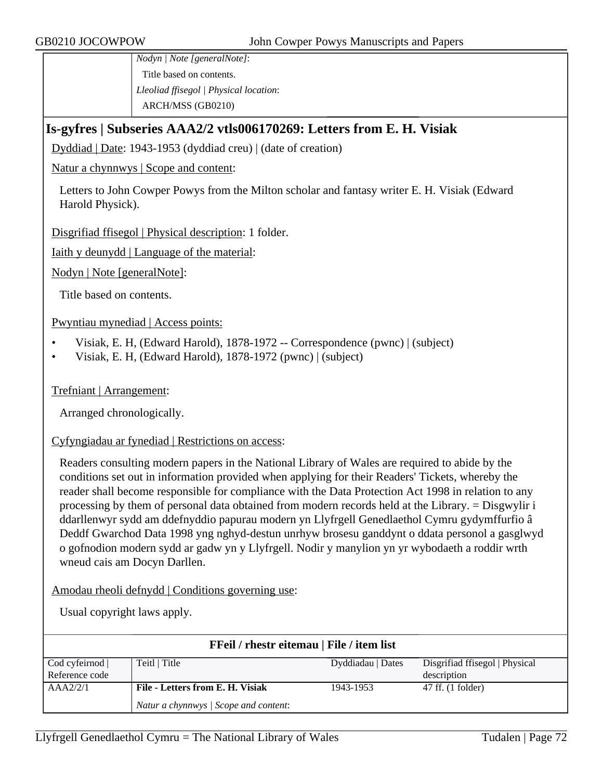*Nodyn | Note [generalNote]*: Title based on contents. *Lleoliad ffisegol | Physical location*: ARCH/MSS (GB0210)

# **Is-gyfres | Subseries AAA2/2 vtls006170269: Letters from E. H. Visiak**

Dyddiad | Date: 1943-1953 (dyddiad creu) | (date of creation)

Natur a chynnwys | Scope and content:

Letters to John Cowper Powys from the Milton scholar and fantasy writer E. H. Visiak (Edward Harold Physick).

Disgrifiad ffisegol | Physical description: 1 folder.

Iaith y deunydd | Language of the material:

Nodyn | Note [generalNote]:

Title based on contents.

Pwyntiau mynediad | Access points:

- Visiak, E. H, (Edward Harold), 1878-1972 -- Correspondence (pwnc) | (subject)
- Visiak, E. H, (Edward Harold), 1878-1972 (pwnc) | (subject)

Trefniant | Arrangement:

Arranged chronologically.

#### Cyfyngiadau ar fynediad | Restrictions on access:

Readers consulting modern papers in the National Library of Wales are required to abide by the conditions set out in information provided when applying for their Readers' Tickets, whereby the reader shall become responsible for compliance with the Data Protection Act 1998 in relation to any processing by them of personal data obtained from modern records held at the Library. = Disgwylir i ddarllenwyr sydd am ddefnyddio papurau modern yn Llyfrgell Genedlaethol Cymru gydymffurfio â Deddf Gwarchod Data 1998 yng nghyd-destun unrhyw brosesu ganddynt o ddata personol a gasglwyd o gofnodion modern sydd ar gadw yn y Llyfrgell. Nodir y manylion yn yr wybodaeth a roddir wrth wneud cais am Docyn Darllen.

Amodau rheoli defnydd | Conditions governing use:

| FFeil / rhestr eitemau   File / item list |                                       |                   |                                |  |
|-------------------------------------------|---------------------------------------|-------------------|--------------------------------|--|
| Cod cyfeirnod                             | Teitl   Title                         | Dyddiadau   Dates | Disgrifiad ffisegol   Physical |  |
| Reference code                            |                                       |                   | description                    |  |
| AAA2/2/1                                  | File - Letters from E. H. Visiak      | 1943-1953         | 47 ff. (1 folder)              |  |
|                                           | Natur a chynnwys / Scope and content: |                   |                                |  |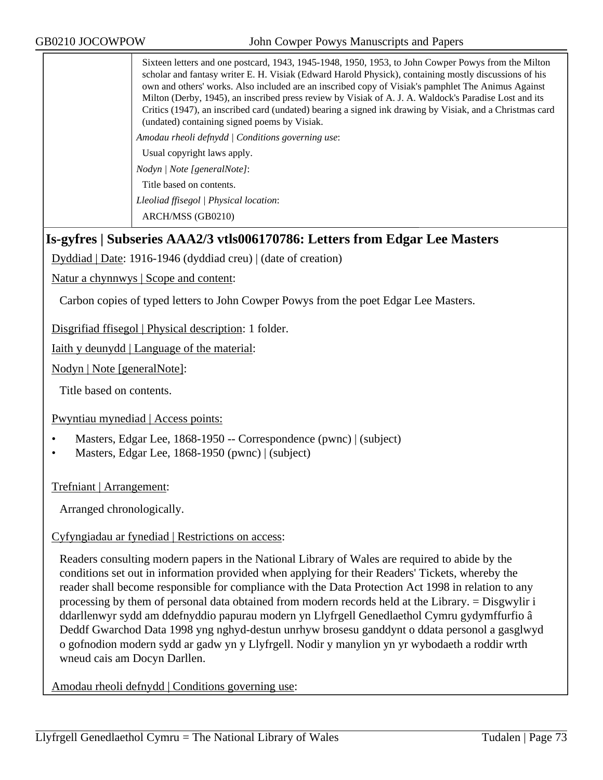Sixteen letters and one postcard, 1943, 1945-1948, 1950, 1953, to John Cowper Powys from the Milton scholar and fantasy writer E. H. Visiak (Edward Harold Physick), containing mostly discussions of his own and others' works. Also included are an inscribed copy of Visiak's pamphlet The Animus Against Milton (Derby, 1945), an inscribed press review by Visiak of A. J. A. Waldock's Paradise Lost and its Critics (1947), an inscribed card (undated) bearing a signed ink drawing by Visiak, and a Christmas card (undated) containing signed poems by Visiak. *Amodau rheoli defnydd | Conditions governing use*: Usual copyright laws apply. *Nodyn | Note [generalNote]*: Title based on contents.

*Lleoliad ffisegol | Physical location*:

ARCH/MSS (GB0210)

## **Is-gyfres | Subseries AAA2/3 vtls006170786: Letters from Edgar Lee Masters**

Dyddiad | Date: 1916-1946 (dyddiad creu) | (date of creation)

Natur a chynnwys | Scope and content:

Carbon copies of typed letters to John Cowper Powys from the poet Edgar Lee Masters.

Disgrifiad ffisegol | Physical description: 1 folder.

Iaith y deunydd | Language of the material:

Nodyn | Note [generalNote]:

Title based on contents.

Pwyntiau mynediad | Access points:

- Masters, Edgar Lee, 1868-1950 -- Correspondence (pwnc) | (subject)
- Masters, Edgar Lee, 1868-1950 (pwnc) | (subject)

Trefniant | Arrangement:

Arranged chronologically.

### Cyfyngiadau ar fynediad | Restrictions on access:

Readers consulting modern papers in the National Library of Wales are required to abide by the conditions set out in information provided when applying for their Readers' Tickets, whereby the reader shall become responsible for compliance with the Data Protection Act 1998 in relation to any processing by them of personal data obtained from modern records held at the Library. = Disgwylir i ddarllenwyr sydd am ddefnyddio papurau modern yn Llyfrgell Genedlaethol Cymru gydymffurfio â Deddf Gwarchod Data 1998 yng nghyd-destun unrhyw brosesu ganddynt o ddata personol a gasglwyd o gofnodion modern sydd ar gadw yn y Llyfrgell. Nodir y manylion yn yr wybodaeth a roddir wrth wneud cais am Docyn Darllen.

Amodau rheoli defnydd | Conditions governing use: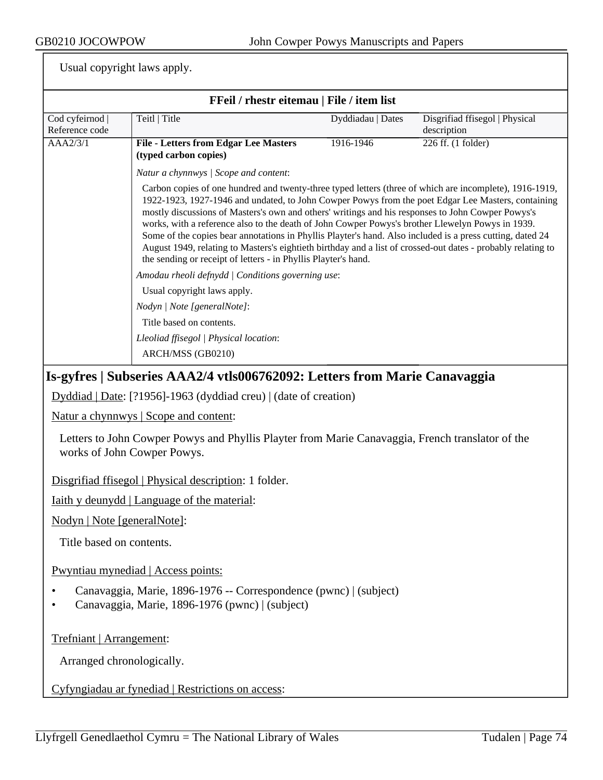|                                 | FFeil / rhestr eitemau   File / item list                                                                                                                                                                                                                                                                                                                                                                                                                                                                                                                                                                                                                                                                             |                   |                                               |  |
|---------------------------------|-----------------------------------------------------------------------------------------------------------------------------------------------------------------------------------------------------------------------------------------------------------------------------------------------------------------------------------------------------------------------------------------------------------------------------------------------------------------------------------------------------------------------------------------------------------------------------------------------------------------------------------------------------------------------------------------------------------------------|-------------------|-----------------------------------------------|--|
| Cod cyfeirnod<br>Reference code | Teitl   Title                                                                                                                                                                                                                                                                                                                                                                                                                                                                                                                                                                                                                                                                                                         | Dyddiadau   Dates | Disgrifiad ffisegol   Physical<br>description |  |
| AAA2/3/1                        | <b>File - Letters from Edgar Lee Masters</b><br>(typed carbon copies)                                                                                                                                                                                                                                                                                                                                                                                                                                                                                                                                                                                                                                                 | 1916-1946         | 226 ff. (1 folder)                            |  |
|                                 | Natur a chynnwys / Scope and content:                                                                                                                                                                                                                                                                                                                                                                                                                                                                                                                                                                                                                                                                                 |                   |                                               |  |
|                                 | Carbon copies of one hundred and twenty-three typed letters (three of which are incomplete), 1916-1919,<br>1922-1923, 1927-1946 and undated, to John Cowper Powys from the poet Edgar Lee Masters, containing<br>mostly discussions of Masters's own and others' writings and his responses to John Cowper Powys's<br>works, with a reference also to the death of John Cowper Powys's brother Llewelyn Powys in 1939.<br>Some of the copies bear annotations in Phyllis Playter's hand. Also included is a press cutting, dated 24<br>August 1949, relating to Masters's eightieth birthday and a list of crossed-out dates - probably relating to<br>the sending or receipt of letters - in Phyllis Playter's hand. |                   |                                               |  |
|                                 | Amodau rheoli defnydd   Conditions governing use:                                                                                                                                                                                                                                                                                                                                                                                                                                                                                                                                                                                                                                                                     |                   |                                               |  |
|                                 | Usual copyright laws apply.                                                                                                                                                                                                                                                                                                                                                                                                                                                                                                                                                                                                                                                                                           |                   |                                               |  |
|                                 | Nodyn   Note [generalNote]:                                                                                                                                                                                                                                                                                                                                                                                                                                                                                                                                                                                                                                                                                           |                   |                                               |  |
|                                 | Title based on contents.                                                                                                                                                                                                                                                                                                                                                                                                                                                                                                                                                                                                                                                                                              |                   |                                               |  |
|                                 | Lleoliad ffisegol   Physical location:                                                                                                                                                                                                                                                                                                                                                                                                                                                                                                                                                                                                                                                                                |                   |                                               |  |
|                                 | ARCH/MSS (GB0210)                                                                                                                                                                                                                                                                                                                                                                                                                                                                                                                                                                                                                                                                                                     |                   |                                               |  |
|                                 | Is-gyfres   Subseries AAA2/4 vtls006762092: Letters from Marie Canavaggia                                                                                                                                                                                                                                                                                                                                                                                                                                                                                                                                                                                                                                             |                   |                                               |  |
|                                 | Dyddiad   Date: [?1956]-1963 (dyddiad creu)   (date of creation)                                                                                                                                                                                                                                                                                                                                                                                                                                                                                                                                                                                                                                                      |                   |                                               |  |
|                                 | Natur a chynnwys   Scope and content:                                                                                                                                                                                                                                                                                                                                                                                                                                                                                                                                                                                                                                                                                 |                   |                                               |  |
|                                 | Letters to John Cowper Powys and Phyllis Playter from Marie Canavaggia, French translator of the<br>works of John Cowper Powys.                                                                                                                                                                                                                                                                                                                                                                                                                                                                                                                                                                                       |                   |                                               |  |
|                                 | Disgrifiad ffisegol   Physical description: 1 folder.                                                                                                                                                                                                                                                                                                                                                                                                                                                                                                                                                                                                                                                                 |                   |                                               |  |
|                                 | <u>Iaith y deunydd   Language of the material:</u>                                                                                                                                                                                                                                                                                                                                                                                                                                                                                                                                                                                                                                                                    |                   |                                               |  |
| Nodyn   Note [generalNote]:     |                                                                                                                                                                                                                                                                                                                                                                                                                                                                                                                                                                                                                                                                                                                       |                   |                                               |  |
| Title based on contents.        |                                                                                                                                                                                                                                                                                                                                                                                                                                                                                                                                                                                                                                                                                                                       |                   |                                               |  |
|                                 | Pwyntiau mynediad   Access points:                                                                                                                                                                                                                                                                                                                                                                                                                                                                                                                                                                                                                                                                                    |                   |                                               |  |
|                                 | Canavaggia, Marie, 1896-1976 -- Correspondence (pwnc)   (subject)<br>Canavaggia, Marie, 1896-1976 (pwnc)   (subject)                                                                                                                                                                                                                                                                                                                                                                                                                                                                                                                                                                                                  |                   |                                               |  |
| Trefniant   Arrangement:        |                                                                                                                                                                                                                                                                                                                                                                                                                                                                                                                                                                                                                                                                                                                       |                   |                                               |  |
|                                 | Arranged chronologically.                                                                                                                                                                                                                                                                                                                                                                                                                                                                                                                                                                                                                                                                                             |                   |                                               |  |
|                                 | Cyfyngiadau ar fynediad   Restrictions on access:                                                                                                                                                                                                                                                                                                                                                                                                                                                                                                                                                                                                                                                                     |                   |                                               |  |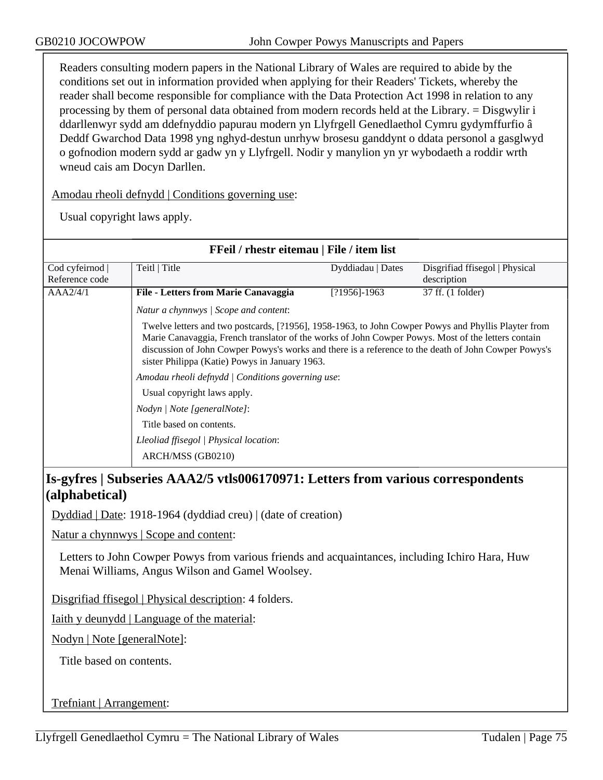Readers consulting modern papers in the National Library of Wales are required to abide by the conditions set out in information provided when applying for their Readers' Tickets, whereby the reader shall become responsible for compliance with the Data Protection Act 1998 in relation to any processing by them of personal data obtained from modern records held at the Library. = Disgwylir i ddarllenwyr sydd am ddefnyddio papurau modern yn Llyfrgell Genedlaethol Cymru gydymffurfio â Deddf Gwarchod Data 1998 yng nghyd-destun unrhyw brosesu ganddynt o ddata personol a gasglwyd o gofnodion modern sydd ar gadw yn y Llyfrgell. Nodir y manylion yn yr wybodaeth a roddir wrth wneud cais am Docyn Darllen.

Amodau rheoli defnydd | Conditions governing use:

Usual copyright laws apply.

| FFeil / rhestr eitemau   File / item list               |                                                                                                                                                                                                                                                                                                                                                                                                                                                         |                   |                                |  |
|---------------------------------------------------------|---------------------------------------------------------------------------------------------------------------------------------------------------------------------------------------------------------------------------------------------------------------------------------------------------------------------------------------------------------------------------------------------------------------------------------------------------------|-------------------|--------------------------------|--|
| Cod cyfeirnod                                           | Teitl   Title                                                                                                                                                                                                                                                                                                                                                                                                                                           | Dyddiadau   Dates | Disgrifiad ffisegol   Physical |  |
| Reference code                                          |                                                                                                                                                                                                                                                                                                                                                                                                                                                         |                   | description                    |  |
| AAA2/4/1                                                | File - Letters from Marie Canavaggia                                                                                                                                                                                                                                                                                                                                                                                                                    | $[?1956] - 1963$  | 37 ff. (1 folder)              |  |
|                                                         | Natur a chynnwys / Scope and content:                                                                                                                                                                                                                                                                                                                                                                                                                   |                   |                                |  |
|                                                         | Twelve letters and two postcards, [?1956], 1958-1963, to John Cowper Powys and Phyllis Playter from<br>Marie Canavaggia, French translator of the works of John Cowper Powys. Most of the letters contain<br>discussion of John Cowper Powys's works and there is a reference to the death of John Cowper Powys's<br>sister Philippa (Katie) Powys in January 1963.<br>Amodau rheoli defnydd   Conditions governing use:<br>Usual copyright laws apply. |                   |                                |  |
|                                                         |                                                                                                                                                                                                                                                                                                                                                                                                                                                         |                   |                                |  |
|                                                         |                                                                                                                                                                                                                                                                                                                                                                                                                                                         |                   |                                |  |
| Nodyn / Note [generalNote]:<br>Title based on contents. |                                                                                                                                                                                                                                                                                                                                                                                                                                                         |                   |                                |  |
|                                                         |                                                                                                                                                                                                                                                                                                                                                                                                                                                         |                   |                                |  |
|                                                         | ARCH/MSS (GB0210)                                                                                                                                                                                                                                                                                                                                                                                                                                       |                   |                                |  |

## **Is-gyfres | Subseries AAA2/5 vtls006170971: Letters from various correspondents (alphabetical)**

Dyddiad | Date: 1918-1964 (dyddiad creu) | (date of creation)

Natur a chynnwys | Scope and content:

Letters to John Cowper Powys from various friends and acquaintances, including Ichiro Hara, Huw Menai Williams, Angus Wilson and Gamel Woolsey.

Disgrifiad ffisegol | Physical description: 4 folders.

Iaith y deunydd | Language of the material:

Nodyn | Note [generalNote]:

Title based on contents.

Trefniant | Arrangement: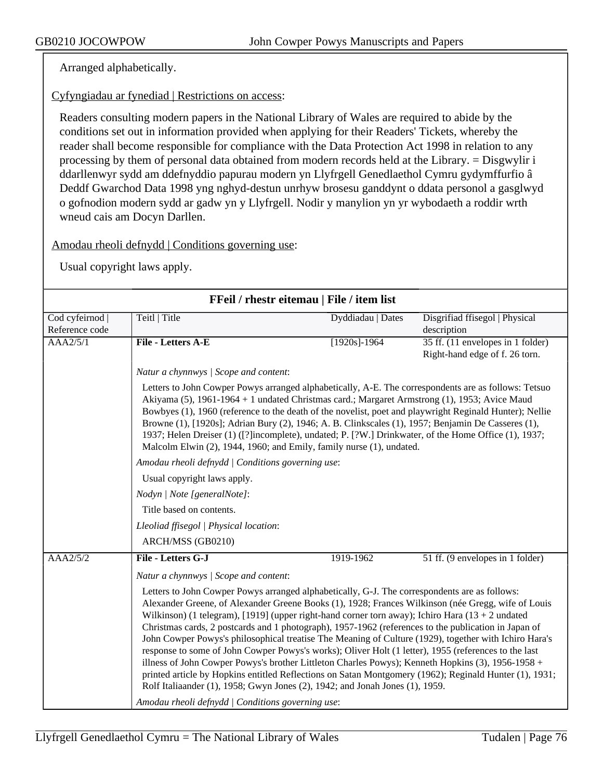Arranged alphabetically.

Cyfyngiadau ar fynediad | Restrictions on access:

Readers consulting modern papers in the National Library of Wales are required to abide by the conditions set out in information provided when applying for their Readers' Tickets, whereby the reader shall become responsible for compliance with the Data Protection Act 1998 in relation to any processing by them of personal data obtained from modern records held at the Library. = Disgwylir i ddarllenwyr sydd am ddefnyddio papurau modern yn Llyfrgell Genedlaethol Cymru gydymffurfio â Deddf Gwarchod Data 1998 yng nghyd-destun unrhyw brosesu ganddynt o ddata personol a gasglwyd o gofnodion modern sydd ar gadw yn y Llyfrgell. Nodir y manylion yn yr wybodaeth a roddir wrth wneud cais am Docyn Darllen.

Amodau rheoli defnydd | Conditions governing use:

| FFeil / rhestr eitemau   File / item list |                                                                                                                                                                                                                                                                                                                                                                                                                                                                                                                                                                                                                                                                                                                                                                                                                                                                                                                                                                                        |                   |                                                                     |  |
|-------------------------------------------|----------------------------------------------------------------------------------------------------------------------------------------------------------------------------------------------------------------------------------------------------------------------------------------------------------------------------------------------------------------------------------------------------------------------------------------------------------------------------------------------------------------------------------------------------------------------------------------------------------------------------------------------------------------------------------------------------------------------------------------------------------------------------------------------------------------------------------------------------------------------------------------------------------------------------------------------------------------------------------------|-------------------|---------------------------------------------------------------------|--|
| Cod cyfeirnod  <br>Reference code         | Teitl   Title                                                                                                                                                                                                                                                                                                                                                                                                                                                                                                                                                                                                                                                                                                                                                                                                                                                                                                                                                                          | Dyddiadau   Dates | Disgrifiad ffisegol   Physical<br>description                       |  |
| AAA2/5/1                                  | File - Letters A-E                                                                                                                                                                                                                                                                                                                                                                                                                                                                                                                                                                                                                                                                                                                                                                                                                                                                                                                                                                     | $[1920s]$ -1964   | 35 ff. (11 envelopes in 1 folder)<br>Right-hand edge of f. 26 torn. |  |
|                                           | Natur a chynnwys / Scope and content:                                                                                                                                                                                                                                                                                                                                                                                                                                                                                                                                                                                                                                                                                                                                                                                                                                                                                                                                                  |                   |                                                                     |  |
|                                           | Letters to John Cowper Powys arranged alphabetically, A-E. The correspondents are as follows: Tetsuo<br>Akiyama (5), 1961-1964 + 1 undated Christmas card.; Margaret Armstrong (1), 1953; Avice Maud<br>Bowbyes (1), 1960 (reference to the death of the novelist, poet and playwright Reginald Hunter); Nellie<br>Browne (1), [1920s]; Adrian Bury (2), 1946; A. B. Clinkscales (1), 1957; Benjamin De Casseres (1),<br>1937; Helen Dreiser (1) ([?]incomplete), undated; P. [?W.] Drinkwater, of the Home Office (1), 1937;<br>Malcolm Elwin (2), 1944, 1960; and Emily, family nurse (1), undated.                                                                                                                                                                                                                                                                                                                                                                                  |                   |                                                                     |  |
|                                           | Amodau rheoli defnydd   Conditions governing use:                                                                                                                                                                                                                                                                                                                                                                                                                                                                                                                                                                                                                                                                                                                                                                                                                                                                                                                                      |                   |                                                                     |  |
|                                           | Usual copyright laws apply.                                                                                                                                                                                                                                                                                                                                                                                                                                                                                                                                                                                                                                                                                                                                                                                                                                                                                                                                                            |                   |                                                                     |  |
|                                           | Nodyn   Note [generalNote]:                                                                                                                                                                                                                                                                                                                                                                                                                                                                                                                                                                                                                                                                                                                                                                                                                                                                                                                                                            |                   |                                                                     |  |
|                                           | Title based on contents.                                                                                                                                                                                                                                                                                                                                                                                                                                                                                                                                                                                                                                                                                                                                                                                                                                                                                                                                                               |                   |                                                                     |  |
|                                           | Lleoliad ffisegol   Physical location:                                                                                                                                                                                                                                                                                                                                                                                                                                                                                                                                                                                                                                                                                                                                                                                                                                                                                                                                                 |                   |                                                                     |  |
|                                           | ARCH/MSS (GB0210)                                                                                                                                                                                                                                                                                                                                                                                                                                                                                                                                                                                                                                                                                                                                                                                                                                                                                                                                                                      |                   |                                                                     |  |
| AAA2/5/2                                  | File - Letters G-J                                                                                                                                                                                                                                                                                                                                                                                                                                                                                                                                                                                                                                                                                                                                                                                                                                                                                                                                                                     | 1919-1962         | 51 ff. (9 envelopes in 1 folder)                                    |  |
|                                           | Natur a chynnwys / Scope and content:                                                                                                                                                                                                                                                                                                                                                                                                                                                                                                                                                                                                                                                                                                                                                                                                                                                                                                                                                  |                   |                                                                     |  |
|                                           | Letters to John Cowper Powys arranged alphabetically, G-J. The correspondents are as follows:<br>Alexander Greene, of Alexander Greene Books (1), 1928; Frances Wilkinson (née Gregg, wife of Louis<br>Wilkinson) (1 telegram), [1919] (upper right-hand corner torn away); Ichiro Hara $(13 + 2$ undated<br>Christmas cards, 2 postcards and 1 photograph), 1957-1962 (references to the publication in Japan of<br>John Cowper Powys's philosophical treatise The Meaning of Culture (1929), together with Ichiro Hara's<br>response to some of John Cowper Powys's works); Oliver Holt (1 letter), 1955 (references to the last<br>illness of John Cowper Powys's brother Littleton Charles Powys); Kenneth Hopkins (3), 1956-1958 +<br>printed article by Hopkins entitled Reflections on Satan Montgomery (1962); Reginald Hunter (1), 1931;<br>Rolf Italiaander (1), 1958; Gwyn Jones (2), 1942; and Jonah Jones (1), 1959.<br>Amodau rheoli defnydd / Conditions governing use: |                   |                                                                     |  |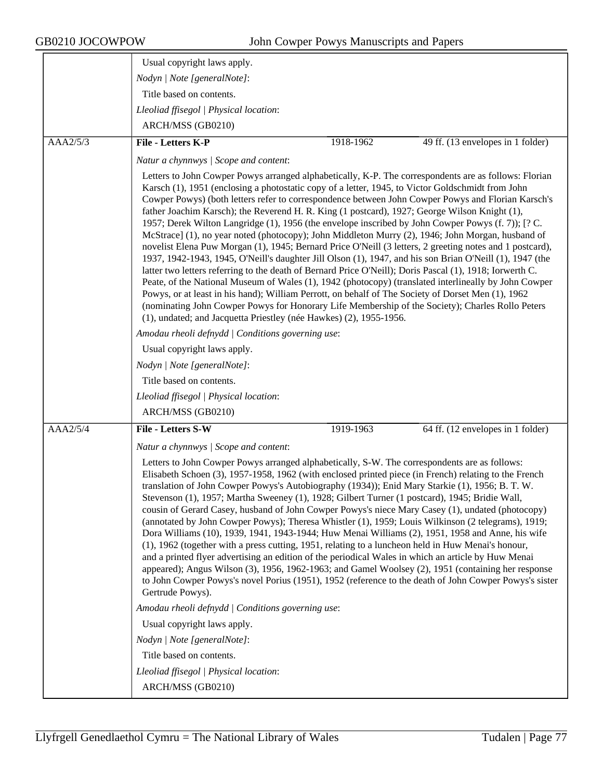|          | Usual copyright laws apply.                                                                                                                                                                                                                                                                                                                                                                                                                                                                                                                                                                                                                                                                                                                                                                                                                                                                                                                                                                                                                                                                                                                                                                                                                      |           |                                   |
|----------|--------------------------------------------------------------------------------------------------------------------------------------------------------------------------------------------------------------------------------------------------------------------------------------------------------------------------------------------------------------------------------------------------------------------------------------------------------------------------------------------------------------------------------------------------------------------------------------------------------------------------------------------------------------------------------------------------------------------------------------------------------------------------------------------------------------------------------------------------------------------------------------------------------------------------------------------------------------------------------------------------------------------------------------------------------------------------------------------------------------------------------------------------------------------------------------------------------------------------------------------------|-----------|-----------------------------------|
|          | Nodyn   Note [generalNote]:                                                                                                                                                                                                                                                                                                                                                                                                                                                                                                                                                                                                                                                                                                                                                                                                                                                                                                                                                                                                                                                                                                                                                                                                                      |           |                                   |
|          | Title based on contents.                                                                                                                                                                                                                                                                                                                                                                                                                                                                                                                                                                                                                                                                                                                                                                                                                                                                                                                                                                                                                                                                                                                                                                                                                         |           |                                   |
|          | Lleoliad ffisegol   Physical location:                                                                                                                                                                                                                                                                                                                                                                                                                                                                                                                                                                                                                                                                                                                                                                                                                                                                                                                                                                                                                                                                                                                                                                                                           |           |                                   |
|          | ARCH/MSS (GB0210)                                                                                                                                                                                                                                                                                                                                                                                                                                                                                                                                                                                                                                                                                                                                                                                                                                                                                                                                                                                                                                                                                                                                                                                                                                |           |                                   |
| AAA2/5/3 | File - Letters K-P                                                                                                                                                                                                                                                                                                                                                                                                                                                                                                                                                                                                                                                                                                                                                                                                                                                                                                                                                                                                                                                                                                                                                                                                                               | 1918-1962 | 49 ff. (13 envelopes in 1 folder) |
|          | Natur a chynnwys / Scope and content:                                                                                                                                                                                                                                                                                                                                                                                                                                                                                                                                                                                                                                                                                                                                                                                                                                                                                                                                                                                                                                                                                                                                                                                                            |           |                                   |
|          | Letters to John Cowper Powys arranged alphabetically, K-P. The correspondents are as follows: Florian                                                                                                                                                                                                                                                                                                                                                                                                                                                                                                                                                                                                                                                                                                                                                                                                                                                                                                                                                                                                                                                                                                                                            |           |                                   |
|          | Karsch (1), 1951 (enclosing a photostatic copy of a letter, 1945, to Victor Goldschmidt from John<br>Cowper Powys) (both letters refer to correspondence between John Cowper Powys and Florian Karsch's<br>father Joachim Karsch); the Reverend H. R. King (1 postcard), 1927; George Wilson Knight (1),<br>1957; Derek Wilton Langridge (1), 1956 (the envelope inscribed by John Cowper Powys (f. 7)); [? C.<br>McStrace] (1), no year noted (photocopy); John Middleton Murry (2), 1946; John Morgan, husband of<br>novelist Elena Puw Morgan (1), 1945; Bernard Price O'Neill (3 letters, 2 greeting notes and 1 postcard),<br>1937, 1942-1943, 1945, O'Neill's daughter Jill Olson (1), 1947, and his son Brian O'Neill (1), 1947 (the<br>latter two letters referring to the death of Bernard Price O'Neill); Doris Pascal (1), 1918; Iorwerth C.<br>Peate, of the National Museum of Wales (1), 1942 (photocopy) (translated interlineally by John Cowper<br>Powys, or at least in his hand); William Perrott, on behalf of The Society of Dorset Men (1), 1962<br>(nominating John Cowper Powys for Honorary Life Membership of the Society); Charles Rollo Peters<br>(1), undated; and Jacquetta Priestley (née Hawkes) (2), 1955-1956. |           |                                   |
|          | Amodau rheoli defnydd / Conditions governing use:                                                                                                                                                                                                                                                                                                                                                                                                                                                                                                                                                                                                                                                                                                                                                                                                                                                                                                                                                                                                                                                                                                                                                                                                |           |                                   |
|          | Usual copyright laws apply.                                                                                                                                                                                                                                                                                                                                                                                                                                                                                                                                                                                                                                                                                                                                                                                                                                                                                                                                                                                                                                                                                                                                                                                                                      |           |                                   |
|          | Nodyn   Note [generalNote]:                                                                                                                                                                                                                                                                                                                                                                                                                                                                                                                                                                                                                                                                                                                                                                                                                                                                                                                                                                                                                                                                                                                                                                                                                      |           |                                   |
|          | Title based on contents.                                                                                                                                                                                                                                                                                                                                                                                                                                                                                                                                                                                                                                                                                                                                                                                                                                                                                                                                                                                                                                                                                                                                                                                                                         |           |                                   |
|          | Lleoliad ffisegol   Physical location:                                                                                                                                                                                                                                                                                                                                                                                                                                                                                                                                                                                                                                                                                                                                                                                                                                                                                                                                                                                                                                                                                                                                                                                                           |           |                                   |
|          | ARCH/MSS (GB0210)                                                                                                                                                                                                                                                                                                                                                                                                                                                                                                                                                                                                                                                                                                                                                                                                                                                                                                                                                                                                                                                                                                                                                                                                                                |           |                                   |
| AAA2/5/4 | <b>File - Letters S-W</b>                                                                                                                                                                                                                                                                                                                                                                                                                                                                                                                                                                                                                                                                                                                                                                                                                                                                                                                                                                                                                                                                                                                                                                                                                        | 1919-1963 | 64 ff. (12 envelopes in 1 folder) |
|          | Natur a chynnwys / Scope and content:                                                                                                                                                                                                                                                                                                                                                                                                                                                                                                                                                                                                                                                                                                                                                                                                                                                                                                                                                                                                                                                                                                                                                                                                            |           |                                   |
|          | Letters to John Cowper Powys arranged alphabetically, S-W. The correspondents are as follows:<br>Elisabeth Schoen (3), 1957-1958, 1962 (with enclosed printed piece (in French) relating to the French<br>translation of John Cowper Powys's Autobiography (1934)); Enid Mary Starkie (1), 1956; B. T. W.<br>Stevenson (1), 1957; Martha Sweeney (1), 1928; Gilbert Turner (1 postcard), 1945; Bridie Wall,<br>cousin of Gerard Casey, husband of John Cowper Powys's niece Mary Casey (1), undated (photocopy)<br>(annotated by John Cowper Powys); Theresa Whistler (1), 1959; Louis Wilkinson (2 telegrams), 1919;<br>Dora Williams (10), 1939, 1941, 1943-1944; Huw Menai Williams (2), 1951, 1958 and Anne, his wife<br>(1), 1962 (together with a press cutting, 1951, relating to a luncheon held in Huw Menai's honour,<br>and a printed flyer advertising an edition of the periodical Wales in which an article by Huw Menai<br>appeared); Angus Wilson (3), 1956, 1962-1963; and Gamel Woolsey (2), 1951 (containing her response<br>to John Cowper Powys's novel Porius (1951), 1952 (reference to the death of John Cowper Powys's sister<br>Gertrude Powys).                                                                       |           |                                   |
|          | Amodau rheoli defnydd / Conditions governing use:                                                                                                                                                                                                                                                                                                                                                                                                                                                                                                                                                                                                                                                                                                                                                                                                                                                                                                                                                                                                                                                                                                                                                                                                |           |                                   |
|          | Usual copyright laws apply.                                                                                                                                                                                                                                                                                                                                                                                                                                                                                                                                                                                                                                                                                                                                                                                                                                                                                                                                                                                                                                                                                                                                                                                                                      |           |                                   |
|          | Nodyn   Note [generalNote]:                                                                                                                                                                                                                                                                                                                                                                                                                                                                                                                                                                                                                                                                                                                                                                                                                                                                                                                                                                                                                                                                                                                                                                                                                      |           |                                   |
|          | Title based on contents.                                                                                                                                                                                                                                                                                                                                                                                                                                                                                                                                                                                                                                                                                                                                                                                                                                                                                                                                                                                                                                                                                                                                                                                                                         |           |                                   |
|          | Lleoliad ffisegol   Physical location:                                                                                                                                                                                                                                                                                                                                                                                                                                                                                                                                                                                                                                                                                                                                                                                                                                                                                                                                                                                                                                                                                                                                                                                                           |           |                                   |
|          | ARCH/MSS (GB0210)                                                                                                                                                                                                                                                                                                                                                                                                                                                                                                                                                                                                                                                                                                                                                                                                                                                                                                                                                                                                                                                                                                                                                                                                                                |           |                                   |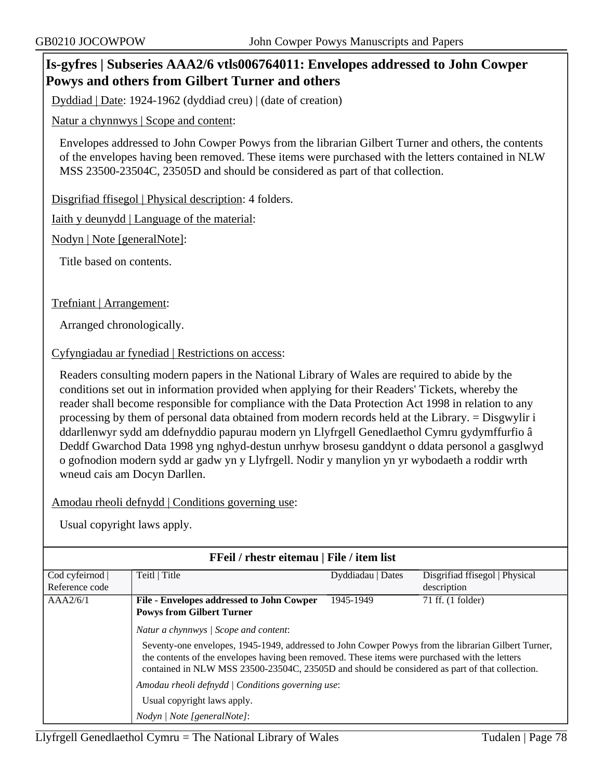## **Is-gyfres | Subseries AAA2/6 vtls006764011: Envelopes addressed to John Cowper Powys and others from Gilbert Turner and others**

Dyddiad | Date: 1924-1962 (dyddiad creu) | (date of creation)

Natur a chynnwys | Scope and content:

Envelopes addressed to John Cowper Powys from the librarian Gilbert Turner and others, the contents of the envelopes having been removed. These items were purchased with the letters contained in NLW MSS 23500-23504C, 23505D and should be considered as part of that collection.

Disgrifiad ffisegol | Physical description: 4 folders.

Iaith y deunydd | Language of the material:

Nodyn | Note [generalNote]:

Title based on contents.

Trefniant | Arrangement:

Arranged chronologically.

Cyfyngiadau ar fynediad | Restrictions on access:

Readers consulting modern papers in the National Library of Wales are required to abide by the conditions set out in information provided when applying for their Readers' Tickets, whereby the reader shall become responsible for compliance with the Data Protection Act 1998 in relation to any processing by them of personal data obtained from modern records held at the Library. = Disgwylir i ddarllenwyr sydd am ddefnyddio papurau modern yn Llyfrgell Genedlaethol Cymru gydymffurfio â Deddf Gwarchod Data 1998 yng nghyd-destun unrhyw brosesu ganddynt o ddata personol a gasglwyd o gofnodion modern sydd ar gadw yn y Llyfrgell. Nodir y manylion yn yr wybodaeth a roddir wrth wneud cais am Docyn Darllen.

Amodau rheoli defnydd | Conditions governing use:

| <b>FFeil</b> / rhestr eitemau   File / item list |                                                                                                                                                                                                                                                                                                                                                  |                   |                                |  |
|--------------------------------------------------|--------------------------------------------------------------------------------------------------------------------------------------------------------------------------------------------------------------------------------------------------------------------------------------------------------------------------------------------------|-------------------|--------------------------------|--|
| Cod cyfeirnod                                    | Teitl   Title                                                                                                                                                                                                                                                                                                                                    | Dyddiadau   Dates | Disgrifiad ffisegol   Physical |  |
| Reference code                                   |                                                                                                                                                                                                                                                                                                                                                  |                   | description                    |  |
| AAA2/6/1                                         | File - Envelopes addressed to John Cowper                                                                                                                                                                                                                                                                                                        | 1945-1949         | 71 ff. (1 folder)              |  |
|                                                  | <b>Powys from Gilbert Turner</b>                                                                                                                                                                                                                                                                                                                 |                   |                                |  |
|                                                  | Natur a chynnwys   Scope and content:<br>Seventy-one envelopes, 1945-1949, addressed to John Cowper Powys from the librarian Gilbert Turner,<br>the contents of the envelopes having been removed. These items were purchased with the letters<br>contained in NLW MSS 23500-23504C, 23505D and should be considered as part of that collection. |                   |                                |  |
|                                                  | Amodau rheoli defnydd   Conditions governing use:                                                                                                                                                                                                                                                                                                |                   |                                |  |
|                                                  | Usual copyright laws apply.                                                                                                                                                                                                                                                                                                                      |                   |                                |  |
|                                                  | Nodyn   Note [generalNote]:                                                                                                                                                                                                                                                                                                                      |                   |                                |  |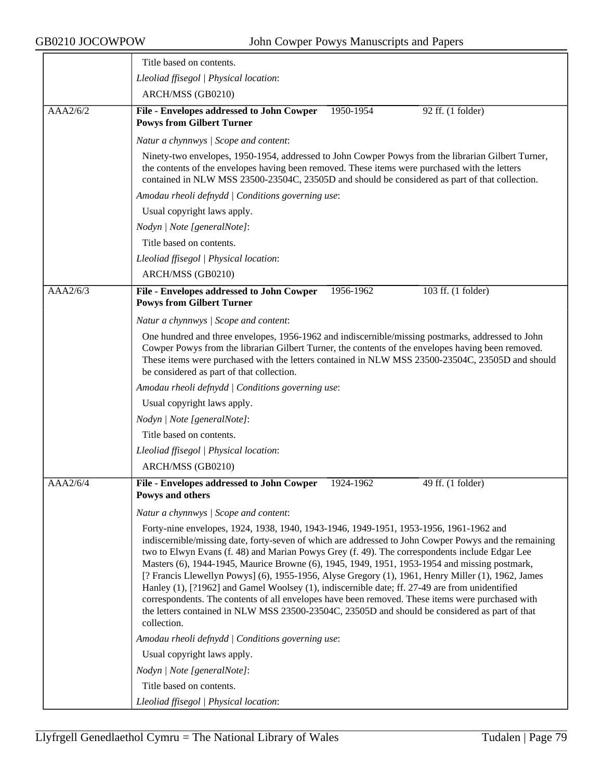|          | Title based on contents.                                                                                                                                                                                                                                                                                                                                                                                                                                                                                                                                                                                                                                                                                                                                                                                                        |
|----------|---------------------------------------------------------------------------------------------------------------------------------------------------------------------------------------------------------------------------------------------------------------------------------------------------------------------------------------------------------------------------------------------------------------------------------------------------------------------------------------------------------------------------------------------------------------------------------------------------------------------------------------------------------------------------------------------------------------------------------------------------------------------------------------------------------------------------------|
|          | Lleoliad ffisegol   Physical location:                                                                                                                                                                                                                                                                                                                                                                                                                                                                                                                                                                                                                                                                                                                                                                                          |
|          | ARCH/MSS (GB0210)                                                                                                                                                                                                                                                                                                                                                                                                                                                                                                                                                                                                                                                                                                                                                                                                               |
| AAA2/6/2 | File - Envelopes addressed to John Cowper<br>1950-1954<br>92 ff. (1 folder)<br><b>Powys from Gilbert Turner</b>                                                                                                                                                                                                                                                                                                                                                                                                                                                                                                                                                                                                                                                                                                                 |
|          | Natur a chynnwys / Scope and content:                                                                                                                                                                                                                                                                                                                                                                                                                                                                                                                                                                                                                                                                                                                                                                                           |
|          | Ninety-two envelopes, 1950-1954, addressed to John Cowper Powys from the librarian Gilbert Turner,<br>the contents of the envelopes having been removed. These items were purchased with the letters<br>contained in NLW MSS 23500-23504C, 23505D and should be considered as part of that collection.                                                                                                                                                                                                                                                                                                                                                                                                                                                                                                                          |
|          | Amodau rheoli defnydd   Conditions governing use:                                                                                                                                                                                                                                                                                                                                                                                                                                                                                                                                                                                                                                                                                                                                                                               |
|          | Usual copyright laws apply.                                                                                                                                                                                                                                                                                                                                                                                                                                                                                                                                                                                                                                                                                                                                                                                                     |
|          | Nodyn   Note [generalNote]:                                                                                                                                                                                                                                                                                                                                                                                                                                                                                                                                                                                                                                                                                                                                                                                                     |
|          | Title based on contents.                                                                                                                                                                                                                                                                                                                                                                                                                                                                                                                                                                                                                                                                                                                                                                                                        |
|          | Lleoliad ffisegol   Physical location:                                                                                                                                                                                                                                                                                                                                                                                                                                                                                                                                                                                                                                                                                                                                                                                          |
|          | ARCH/MSS (GB0210)                                                                                                                                                                                                                                                                                                                                                                                                                                                                                                                                                                                                                                                                                                                                                                                                               |
| AAA2/6/3 | File - Envelopes addressed to John Cowper<br>1956-1962<br>103 ff. (1 folder)<br><b>Powys from Gilbert Turner</b>                                                                                                                                                                                                                                                                                                                                                                                                                                                                                                                                                                                                                                                                                                                |
|          | Natur a chynnwys / Scope and content:                                                                                                                                                                                                                                                                                                                                                                                                                                                                                                                                                                                                                                                                                                                                                                                           |
|          | One hundred and three envelopes, 1956-1962 and indiscernible/missing postmarks, addressed to John<br>Cowper Powys from the librarian Gilbert Turner, the contents of the envelopes having been removed.<br>These items were purchased with the letters contained in NLW MSS 23500-23504C, 23505D and should<br>be considered as part of that collection.                                                                                                                                                                                                                                                                                                                                                                                                                                                                        |
|          | Amodau rheoli defnydd   Conditions governing use:                                                                                                                                                                                                                                                                                                                                                                                                                                                                                                                                                                                                                                                                                                                                                                               |
|          | Usual copyright laws apply.                                                                                                                                                                                                                                                                                                                                                                                                                                                                                                                                                                                                                                                                                                                                                                                                     |
|          | Nodyn   Note [generalNote]:                                                                                                                                                                                                                                                                                                                                                                                                                                                                                                                                                                                                                                                                                                                                                                                                     |
|          | Title based on contents.                                                                                                                                                                                                                                                                                                                                                                                                                                                                                                                                                                                                                                                                                                                                                                                                        |
|          | Lleoliad ffisegol   Physical location:                                                                                                                                                                                                                                                                                                                                                                                                                                                                                                                                                                                                                                                                                                                                                                                          |
|          | ARCH/MSS (GB0210)                                                                                                                                                                                                                                                                                                                                                                                                                                                                                                                                                                                                                                                                                                                                                                                                               |
| AAA2/6/4 | File - Envelopes addressed to John Cowper<br>49 ff. (1 folder)<br>1924-1962<br>Powys and others                                                                                                                                                                                                                                                                                                                                                                                                                                                                                                                                                                                                                                                                                                                                 |
|          | Natur a chynnwys / Scope and content:                                                                                                                                                                                                                                                                                                                                                                                                                                                                                                                                                                                                                                                                                                                                                                                           |
|          | Forty-nine envelopes, 1924, 1938, 1940, 1943-1946, 1949-1951, 1953-1956, 1961-1962 and<br>indiscernible/missing date, forty-seven of which are addressed to John Cowper Powys and the remaining<br>two to Elwyn Evans (f. 48) and Marian Powys Grey (f. 49). The correspondents include Edgar Lee<br>Masters (6), 1944-1945, Maurice Browne (6), 1945, 1949, 1951, 1953-1954 and missing postmark,<br>[? Francis Llewellyn Powys] (6), 1955-1956, Alyse Gregory (1), 1961, Henry Miller (1), 1962, James<br>Hanley (1), [?1962] and Gamel Woolsey (1), indiscernible date; ff. 27-49 are from unidentified<br>correspondents. The contents of all envelopes have been removed. These items were purchased with<br>the letters contained in NLW MSS 23500-23504C, 23505D and should be considered as part of that<br>collection. |
|          | Amodau rheoli defnydd   Conditions governing use:                                                                                                                                                                                                                                                                                                                                                                                                                                                                                                                                                                                                                                                                                                                                                                               |
|          | Usual copyright laws apply.                                                                                                                                                                                                                                                                                                                                                                                                                                                                                                                                                                                                                                                                                                                                                                                                     |
|          | Nodyn   Note [generalNote]:                                                                                                                                                                                                                                                                                                                                                                                                                                                                                                                                                                                                                                                                                                                                                                                                     |
|          | Title based on contents.                                                                                                                                                                                                                                                                                                                                                                                                                                                                                                                                                                                                                                                                                                                                                                                                        |
|          | Lleoliad ffisegol   Physical location:                                                                                                                                                                                                                                                                                                                                                                                                                                                                                                                                                                                                                                                                                                                                                                                          |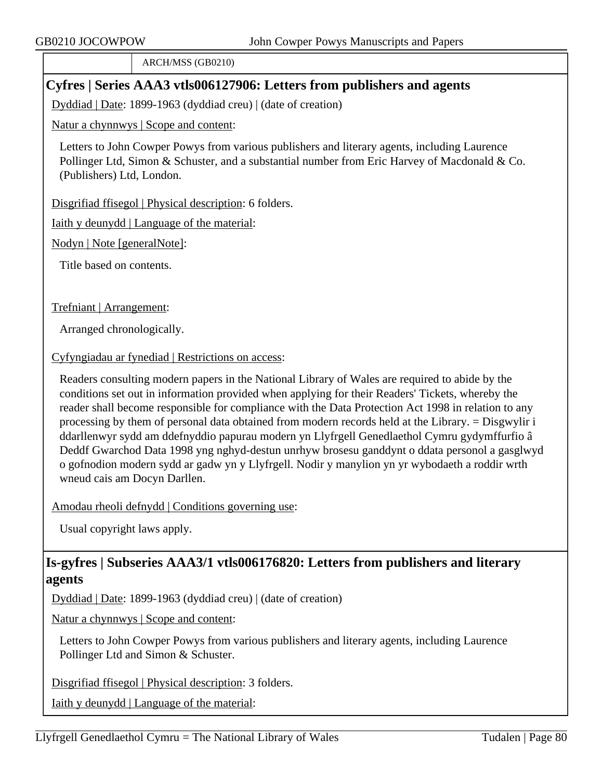ARCH/MSS (GB0210)

# **Cyfres | Series AAA3 vtls006127906: Letters from publishers and agents**

Dyddiad | Date: 1899-1963 (dyddiad creu) | (date of creation)

Natur a chynnwys | Scope and content:

Letters to John Cowper Powys from various publishers and literary agents, including Laurence Pollinger Ltd, Simon & Schuster, and a substantial number from Eric Harvey of Macdonald & Co. (Publishers) Ltd, London.

Disgrifiad ffisegol | Physical description: 6 folders.

Iaith y deunydd | Language of the material:

Nodyn | Note [generalNote]:

Title based on contents.

Trefniant | Arrangement:

Arranged chronologically.

Cyfyngiadau ar fynediad | Restrictions on access:

Readers consulting modern papers in the National Library of Wales are required to abide by the conditions set out in information provided when applying for their Readers' Tickets, whereby the reader shall become responsible for compliance with the Data Protection Act 1998 in relation to any processing by them of personal data obtained from modern records held at the Library. = Disgwylir i ddarllenwyr sydd am ddefnyddio papurau modern yn Llyfrgell Genedlaethol Cymru gydymffurfio â Deddf Gwarchod Data 1998 yng nghyd-destun unrhyw brosesu ganddynt o ddata personol a gasglwyd o gofnodion modern sydd ar gadw yn y Llyfrgell. Nodir y manylion yn yr wybodaeth a roddir wrth wneud cais am Docyn Darllen.

Amodau rheoli defnydd | Conditions governing use:

Usual copyright laws apply.

# **Is-gyfres | Subseries AAA3/1 vtls006176820: Letters from publishers and literary agents**

Dyddiad | Date: 1899-1963 (dyddiad creu) | (date of creation)

Natur a chynnwys | Scope and content:

Letters to John Cowper Powys from various publishers and literary agents, including Laurence Pollinger Ltd and Simon & Schuster.

Disgrifiad ffisegol | Physical description: 3 folders.

Iaith y deunydd | Language of the material: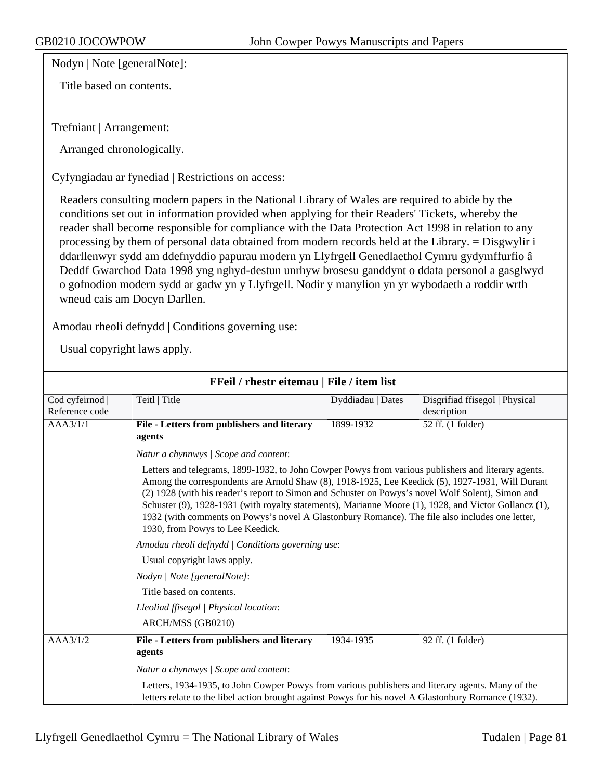Nodyn | Note [generalNote]:

Title based on contents.

Trefniant | Arrangement:

Arranged chronologically.

Cyfyngiadau ar fynediad | Restrictions on access:

Readers consulting modern papers in the National Library of Wales are required to abide by the conditions set out in information provided when applying for their Readers' Tickets, whereby the reader shall become responsible for compliance with the Data Protection Act 1998 in relation to any processing by them of personal data obtained from modern records held at the Library. = Disgwylir i ddarllenwyr sydd am ddefnyddio papurau modern yn Llyfrgell Genedlaethol Cymru gydymffurfio â Deddf Gwarchod Data 1998 yng nghyd-destun unrhyw brosesu ganddynt o ddata personol a gasglwyd o gofnodion modern sydd ar gadw yn y Llyfrgell. Nodir y manylion yn yr wybodaeth a roddir wrth wneud cais am Docyn Darllen.

Amodau rheoli defnydd | Conditions governing use:

| FFeil / rhestr eitemau   File / item list                                                                                                   |                                                                                                                                                                                                                                                                                                                                                                                                                                                                                                                                                              |                   |                                               |          |                                                       |           |                   |
|---------------------------------------------------------------------------------------------------------------------------------------------|--------------------------------------------------------------------------------------------------------------------------------------------------------------------------------------------------------------------------------------------------------------------------------------------------------------------------------------------------------------------------------------------------------------------------------------------------------------------------------------------------------------------------------------------------------------|-------------------|-----------------------------------------------|----------|-------------------------------------------------------|-----------|-------------------|
| Cod cyfeirnod<br>Reference code                                                                                                             | Teitl   Title                                                                                                                                                                                                                                                                                                                                                                                                                                                                                                                                                | Dyddiadau   Dates | Disgrifiad ffisegol   Physical<br>description |          |                                                       |           |                   |
| AAA3/1/1                                                                                                                                    | File - Letters from publishers and literary<br>agents                                                                                                                                                                                                                                                                                                                                                                                                                                                                                                        | 1899-1932         | 52 ff. (1 folder)                             |          |                                                       |           |                   |
|                                                                                                                                             | Natur a chynnwys / Scope and content:                                                                                                                                                                                                                                                                                                                                                                                                                                                                                                                        |                   |                                               |          |                                                       |           |                   |
|                                                                                                                                             | Letters and telegrams, 1899-1932, to John Cowper Powys from various publishers and literary agents.<br>Among the correspondents are Arnold Shaw (8), 1918-1925, Lee Keedick (5), 1927-1931, Will Durant<br>(2) 1928 (with his reader's report to Simon and Schuster on Powys's novel Wolf Solent), Simon and<br>Schuster (9), 1928-1931 (with royalty statements), Marianne Moore (1), 1928, and Victor Gollancz (1),<br>1932 (with comments on Powys's novel A Glastonbury Romance). The file also includes one letter,<br>1930, from Powys to Lee Keedick. |                   |                                               |          |                                                       |           |                   |
| Amodau rheoli defnydd   Conditions governing use:<br>Usual copyright laws apply.<br>Nodyn   Note [generalNote]:<br>Title based on contents. |                                                                                                                                                                                                                                                                                                                                                                                                                                                                                                                                                              |                   |                                               |          |                                                       |           |                   |
|                                                                                                                                             |                                                                                                                                                                                                                                                                                                                                                                                                                                                                                                                                                              |                   |                                               |          | Lleoliad ffisegol   Physical location:                |           |                   |
|                                                                                                                                             |                                                                                                                                                                                                                                                                                                                                                                                                                                                                                                                                                              |                   |                                               |          | ARCH/MSS (GB0210)                                     |           |                   |
|                                                                                                                                             |                                                                                                                                                                                                                                                                                                                                                                                                                                                                                                                                                              |                   |                                               | AAA3/1/2 | File - Letters from publishers and literary<br>agents | 1934-1935 | 92 ff. (1 folder) |
|                                                                                                                                             | Natur a chynnwys / Scope and content:                                                                                                                                                                                                                                                                                                                                                                                                                                                                                                                        |                   |                                               |          |                                                       |           |                   |
|                                                                                                                                             | Letters, 1934-1935, to John Cowper Powys from various publishers and literary agents. Many of the<br>letters relate to the libel action brought against Powys for his novel A Glastonbury Romance (1932).                                                                                                                                                                                                                                                                                                                                                    |                   |                                               |          |                                                       |           |                   |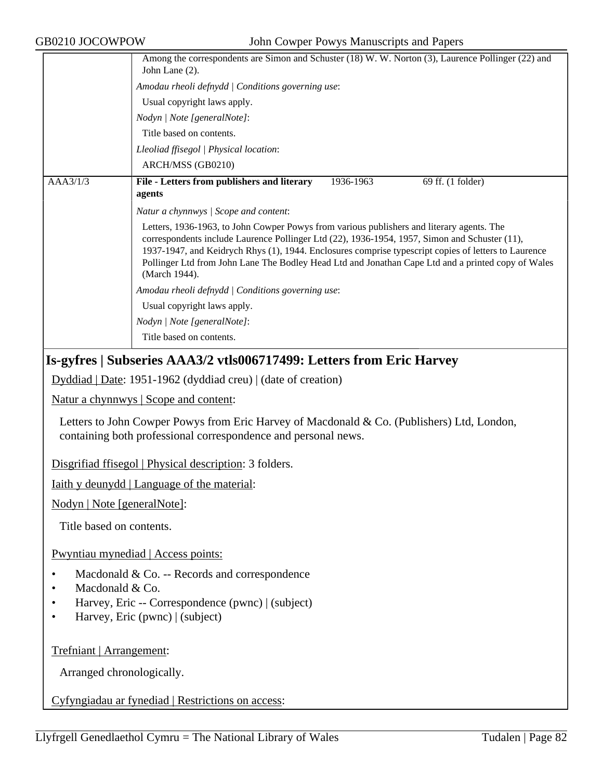|          | Among the correspondents are Simon and Schuster (18) W. W. Norton (3), Laurence Pollinger (22) and<br>John Lane (2).                                                                                                                                                                                                                                                                                                      |  |  |  |
|----------|---------------------------------------------------------------------------------------------------------------------------------------------------------------------------------------------------------------------------------------------------------------------------------------------------------------------------------------------------------------------------------------------------------------------------|--|--|--|
|          | Amodau rheoli defnydd   Conditions governing use:                                                                                                                                                                                                                                                                                                                                                                         |  |  |  |
|          | Usual copyright laws apply.                                                                                                                                                                                                                                                                                                                                                                                               |  |  |  |
|          | Nodyn   Note [generalNote]:                                                                                                                                                                                                                                                                                                                                                                                               |  |  |  |
|          | Title based on contents.                                                                                                                                                                                                                                                                                                                                                                                                  |  |  |  |
|          | Lleoliad ffisegol   Physical location:                                                                                                                                                                                                                                                                                                                                                                                    |  |  |  |
|          | ARCH/MSS (GB0210)                                                                                                                                                                                                                                                                                                                                                                                                         |  |  |  |
| AAA3/1/3 | File - Letters from publishers and literary<br>69 ff. (1 folder)<br>1936-1963<br>agents                                                                                                                                                                                                                                                                                                                                   |  |  |  |
|          | Natur a chynnwys / Scope and content:                                                                                                                                                                                                                                                                                                                                                                                     |  |  |  |
|          | Letters, 1936-1963, to John Cowper Powys from various publishers and literary agents. The<br>correspondents include Laurence Pollinger Ltd (22), 1936-1954, 1957, Simon and Schuster (11),<br>1937-1947, and Keidrych Rhys (1), 1944. Enclosures comprise typescript copies of letters to Laurence<br>Pollinger Ltd from John Lane The Bodley Head Ltd and Jonathan Cape Ltd and a printed copy of Wales<br>(March 1944). |  |  |  |
|          | Amodau rheoli defnydd   Conditions governing use:                                                                                                                                                                                                                                                                                                                                                                         |  |  |  |
|          | Usual copyright laws apply.                                                                                                                                                                                                                                                                                                                                                                                               |  |  |  |
|          | Nodyn   Note [generalNote]:                                                                                                                                                                                                                                                                                                                                                                                               |  |  |  |
|          | Title based on contents.                                                                                                                                                                                                                                                                                                                                                                                                  |  |  |  |

### **Is-gyfres | Subseries AAA3/2 vtls006717499: Letters from Eric Harvey**

Dyddiad | Date: 1951-1962 (dyddiad creu) | (date of creation)

Natur a chynnwys | Scope and content:

Letters to John Cowper Powys from Eric Harvey of Macdonald & Co. (Publishers) Ltd, London, containing both professional correspondence and personal news.

Disgrifiad ffisegol | Physical description: 3 folders.

Iaith y deunydd | Language of the material:

Nodyn | Note [generalNote]:

Title based on contents.

Pwyntiau mynediad | Access points:

- Macdonald & Co. -- Records and correspondence
- Macdonald & Co.
- Harvey, Eric -- Correspondence (pwnc) | (subject)
- Harvey, Eric (pwnc) | (subject)

Trefniant | Arrangement:

Arranged chronologically.

Cyfyngiadau ar fynediad | Restrictions on access: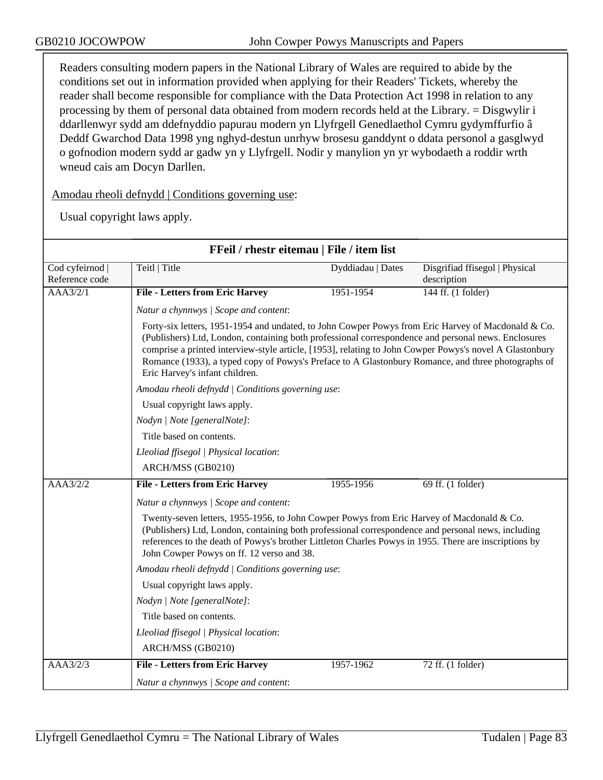Readers consulting modern papers in the National Library of Wales are required to abide by the conditions set out in information provided when applying for their Readers' Tickets, whereby the reader shall become responsible for compliance with the Data Protection Act 1998 in relation to any processing by them of personal data obtained from modern records held at the Library. = Disgwylir i ddarllenwyr sydd am ddefnyddio papurau modern yn Llyfrgell Genedlaethol Cymru gydymffurfio â Deddf Gwarchod Data 1998 yng nghyd-destun unrhyw brosesu ganddynt o ddata personol a gasglwyd o gofnodion modern sydd ar gadw yn y Llyfrgell. Nodir y manylion yn yr wybodaeth a roddir wrth wneud cais am Docyn Darllen.

Amodau rheoli defnydd | Conditions governing use:

| FFeil / rhestr eitemau   File / item list                                                                                                                                                                                                                                                                                                             |                                                                                                                                                                                                                                                                                                                                                                                                                                                              |                   |                                               |  |
|-------------------------------------------------------------------------------------------------------------------------------------------------------------------------------------------------------------------------------------------------------------------------------------------------------------------------------------------------------|--------------------------------------------------------------------------------------------------------------------------------------------------------------------------------------------------------------------------------------------------------------------------------------------------------------------------------------------------------------------------------------------------------------------------------------------------------------|-------------------|-----------------------------------------------|--|
| Cod cyfeirnod  <br>Reference code                                                                                                                                                                                                                                                                                                                     | Teitl   Title                                                                                                                                                                                                                                                                                                                                                                                                                                                | Dyddiadau   Dates | Disgrifiad ffisegol   Physical<br>description |  |
| AAA3/2/1                                                                                                                                                                                                                                                                                                                                              | <b>File - Letters from Eric Harvey</b>                                                                                                                                                                                                                                                                                                                                                                                                                       | 1951-1954         | 144 ff. (1 folder)                            |  |
|                                                                                                                                                                                                                                                                                                                                                       | Natur a chynnwys / Scope and content:                                                                                                                                                                                                                                                                                                                                                                                                                        |                   |                                               |  |
|                                                                                                                                                                                                                                                                                                                                                       | Forty-six letters, 1951-1954 and undated, to John Cowper Powys from Eric Harvey of Macdonald & Co.<br>(Publishers) Ltd, London, containing both professional correspondence and personal news. Enclosures<br>comprise a printed interview-style article, [1953], relating to John Cowper Powys's novel A Glastonbury<br>Romance (1933), a typed copy of Powys's Preface to A Glastonbury Romance, and three photographs of<br>Eric Harvey's infant children. |                   |                                               |  |
|                                                                                                                                                                                                                                                                                                                                                       | Amodau rheoli defnydd   Conditions governing use:                                                                                                                                                                                                                                                                                                                                                                                                            |                   |                                               |  |
|                                                                                                                                                                                                                                                                                                                                                       | Usual copyright laws apply.                                                                                                                                                                                                                                                                                                                                                                                                                                  |                   |                                               |  |
|                                                                                                                                                                                                                                                                                                                                                       | Nodyn   Note [generalNote]:                                                                                                                                                                                                                                                                                                                                                                                                                                  |                   |                                               |  |
|                                                                                                                                                                                                                                                                                                                                                       | Title based on contents.                                                                                                                                                                                                                                                                                                                                                                                                                                     |                   |                                               |  |
|                                                                                                                                                                                                                                                                                                                                                       | Lleoliad ffisegol   Physical location:                                                                                                                                                                                                                                                                                                                                                                                                                       |                   |                                               |  |
|                                                                                                                                                                                                                                                                                                                                                       | ARCH/MSS (GB0210)                                                                                                                                                                                                                                                                                                                                                                                                                                            |                   |                                               |  |
| AAA3/2/2                                                                                                                                                                                                                                                                                                                                              | <b>File - Letters from Eric Harvey</b>                                                                                                                                                                                                                                                                                                                                                                                                                       | 1955-1956         | 69 ff. (1 folder)                             |  |
|                                                                                                                                                                                                                                                                                                                                                       | Natur a chynnwys / Scope and content:                                                                                                                                                                                                                                                                                                                                                                                                                        |                   |                                               |  |
| Twenty-seven letters, 1955-1956, to John Cowper Powys from Eric Harvey of Macdonald & Co.<br>(Publishers) Ltd, London, containing both professional correspondence and personal news, including<br>references to the death of Powys's brother Littleton Charles Powys in 1955. There are inscriptions by<br>John Cowper Powys on ff. 12 verso and 38. |                                                                                                                                                                                                                                                                                                                                                                                                                                                              |                   |                                               |  |
|                                                                                                                                                                                                                                                                                                                                                       | Amodau rheoli defnydd   Conditions governing use:                                                                                                                                                                                                                                                                                                                                                                                                            |                   |                                               |  |
|                                                                                                                                                                                                                                                                                                                                                       | Usual copyright laws apply.                                                                                                                                                                                                                                                                                                                                                                                                                                  |                   |                                               |  |
|                                                                                                                                                                                                                                                                                                                                                       | Nodyn   Note [generalNote]:                                                                                                                                                                                                                                                                                                                                                                                                                                  |                   |                                               |  |
|                                                                                                                                                                                                                                                                                                                                                       | Title based on contents.                                                                                                                                                                                                                                                                                                                                                                                                                                     |                   |                                               |  |
|                                                                                                                                                                                                                                                                                                                                                       | Lleoliad ffisegol   Physical location:                                                                                                                                                                                                                                                                                                                                                                                                                       |                   |                                               |  |
|                                                                                                                                                                                                                                                                                                                                                       | ARCH/MSS (GB0210)                                                                                                                                                                                                                                                                                                                                                                                                                                            |                   |                                               |  |
| $\overline{AAA3/2/3}$                                                                                                                                                                                                                                                                                                                                 | <b>File - Letters from Eric Harvey</b>                                                                                                                                                                                                                                                                                                                                                                                                                       | 1957-1962         | 72 ff. (1 folder)                             |  |
|                                                                                                                                                                                                                                                                                                                                                       | Natur a chynnwys / Scope and content:                                                                                                                                                                                                                                                                                                                                                                                                                        |                   |                                               |  |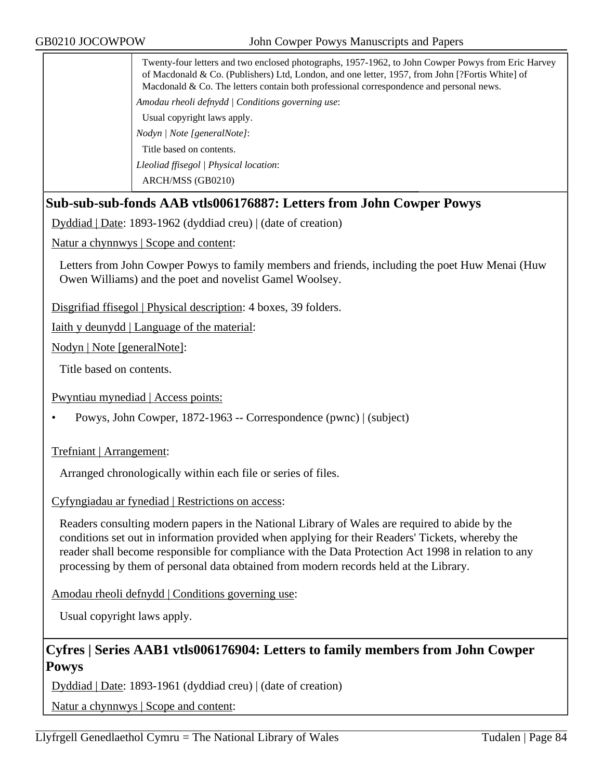Twenty-four letters and two enclosed photographs, 1957-1962, to John Cowper Powys from Eric Harvey of Macdonald & Co. (Publishers) Ltd, London, and one letter, 1957, from John [?Fortis White] of Macdonald & Co. The letters contain both professional correspondence and personal news.

*Amodau rheoli defnydd | Conditions governing use*:

Usual copyright laws apply.

*Nodyn | Note [generalNote]*:

Title based on contents.

*Lleoliad ffisegol | Physical location*:

ARCH/MSS (GB0210)

## **Sub-sub-sub-fonds AAB vtls006176887: Letters from John Cowper Powys**

Dyddiad | Date: 1893-1962 (dyddiad creu) | (date of creation)

Natur a chynnwys | Scope and content:

Letters from John Cowper Powys to family members and friends, including the poet Huw Menai (Huw Owen Williams) and the poet and novelist Gamel Woolsey.

Disgrifiad ffisegol | Physical description: 4 boxes, 39 folders.

Iaith y deunydd | Language of the material:

Nodyn | Note [generalNote]:

Title based on contents.

Pwyntiau mynediad | Access points:

• Powys, John Cowper, 1872-1963 -- Correspondence (pwnc) | (subject)

Trefniant | Arrangement:

Arranged chronologically within each file or series of files.

Cyfyngiadau ar fynediad | Restrictions on access:

Readers consulting modern papers in the National Library of Wales are required to abide by the conditions set out in information provided when applying for their Readers' Tickets, whereby the reader shall become responsible for compliance with the Data Protection Act 1998 in relation to any processing by them of personal data obtained from modern records held at the Library.

Amodau rheoli defnydd | Conditions governing use:

Usual copyright laws apply.

## **Cyfres | Series AAB1 vtls006176904: Letters to family members from John Cowper Powys**

Dyddiad | Date: 1893-1961 (dyddiad creu) | (date of creation)

Natur a chynnwys | Scope and content: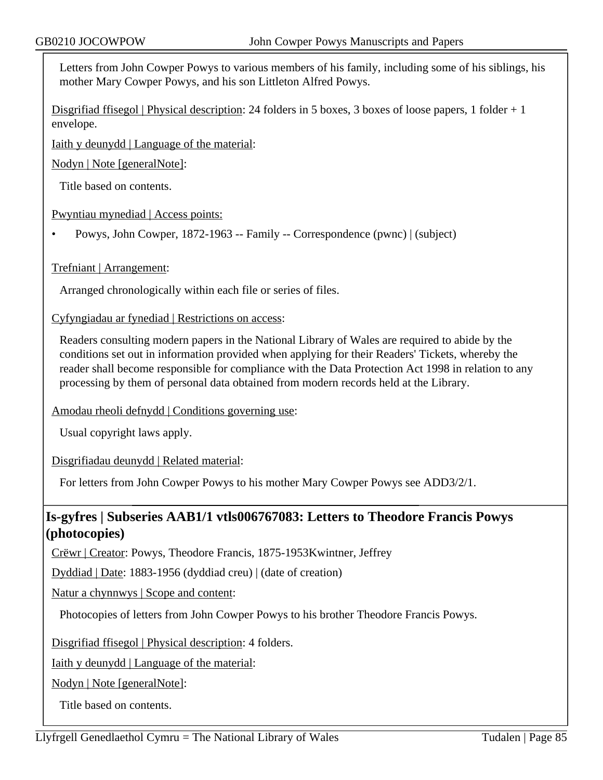Letters from John Cowper Powys to various members of his family, including some of his siblings, his mother Mary Cowper Powys, and his son Littleton Alfred Powys.

Disgrifiad ffisegol | Physical description: 24 folders in 5 boxes, 3 boxes of loose papers, 1 folder  $+1$ envelope.

Iaith y deunydd | Language of the material:

Nodyn | Note [generalNote]:

Title based on contents.

Pwyntiau mynediad | Access points:

• Powys, John Cowper, 1872-1963 -- Family -- Correspondence (pwnc) | (subject)

#### Trefniant | Arrangement:

Arranged chronologically within each file or series of files.

Cyfyngiadau ar fynediad | Restrictions on access:

Readers consulting modern papers in the National Library of Wales are required to abide by the conditions set out in information provided when applying for their Readers' Tickets, whereby the reader shall become responsible for compliance with the Data Protection Act 1998 in relation to any processing by them of personal data obtained from modern records held at the Library.

Amodau rheoli defnydd | Conditions governing use:

Usual copyright laws apply.

Disgrifiadau deunydd | Related material:

For letters from John Cowper Powys to his mother Mary Cowper Powys see ADD3/2/1.

## **Is-gyfres | Subseries AAB1/1 vtls006767083: Letters to Theodore Francis Powys (photocopies)**

Crëwr | Creator: Powys, Theodore Francis, 1875-1953Kwintner, Jeffrey

Dyddiad | Date: 1883-1956 (dyddiad creu) | (date of creation)

Natur a chynnwys | Scope and content:

Photocopies of letters from John Cowper Powys to his brother Theodore Francis Powys.

Disgrifiad ffisegol | Physical description: 4 folders.

Iaith y deunydd | Language of the material:

Nodyn | Note [generalNote]:

Title based on contents.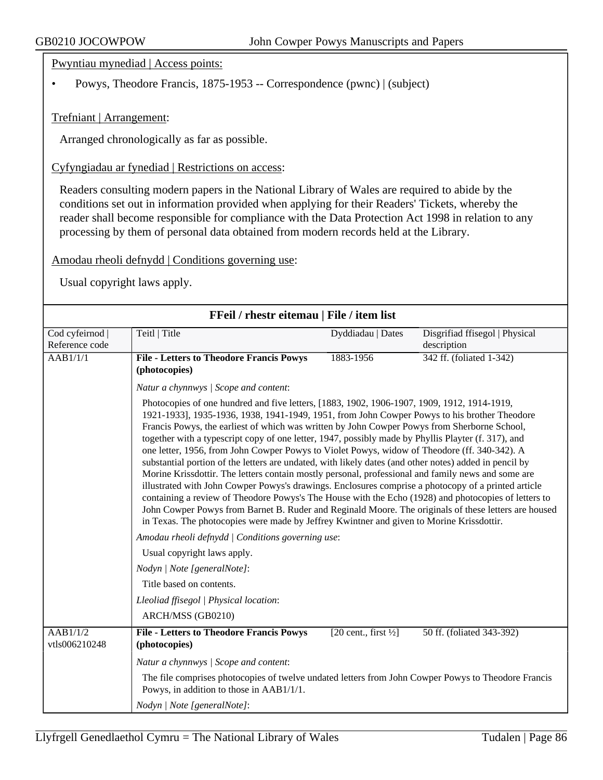Pwyntiau mynediad | Access points:

• Powys, Theodore Francis, 1875-1953 -- Correspondence (pwnc) | (subject)

Trefniant | Arrangement:

Arranged chronologically as far as possible.

Cyfyngiadau ar fynediad | Restrictions on access:

Readers consulting modern papers in the National Library of Wales are required to abide by the conditions set out in information provided when applying for their Readers' Tickets, whereby the reader shall become responsible for compliance with the Data Protection Act 1998 in relation to any processing by them of personal data obtained from modern records held at the Library.

#### Amodau rheoli defnydd | Conditions governing use:

| FFeil / rhestr eitemau   File / item list |                                                                                                                                                                                                                                                                                                                                                                                                                                                                                                                                                                                                                                                                                                                                                                                                                                                                                                                                                                                                                                                                                                                                       |                                  |                                |
|-------------------------------------------|---------------------------------------------------------------------------------------------------------------------------------------------------------------------------------------------------------------------------------------------------------------------------------------------------------------------------------------------------------------------------------------------------------------------------------------------------------------------------------------------------------------------------------------------------------------------------------------------------------------------------------------------------------------------------------------------------------------------------------------------------------------------------------------------------------------------------------------------------------------------------------------------------------------------------------------------------------------------------------------------------------------------------------------------------------------------------------------------------------------------------------------|----------------------------------|--------------------------------|
| Cod cyfeirnod                             | Teitl   Title                                                                                                                                                                                                                                                                                                                                                                                                                                                                                                                                                                                                                                                                                                                                                                                                                                                                                                                                                                                                                                                                                                                         | Dyddiadau   Dates                | Disgrifiad ffisegol   Physical |
| Reference code                            |                                                                                                                                                                                                                                                                                                                                                                                                                                                                                                                                                                                                                                                                                                                                                                                                                                                                                                                                                                                                                                                                                                                                       |                                  | description                    |
| AAB1/1/1                                  | <b>File - Letters to Theodore Francis Powys</b><br>(photocopies)                                                                                                                                                                                                                                                                                                                                                                                                                                                                                                                                                                                                                                                                                                                                                                                                                                                                                                                                                                                                                                                                      | 1883-1956                        | 342 ff. (foliated 1-342)       |
|                                           | Natur a chynnwys / Scope and content:                                                                                                                                                                                                                                                                                                                                                                                                                                                                                                                                                                                                                                                                                                                                                                                                                                                                                                                                                                                                                                                                                                 |                                  |                                |
|                                           | Photocopies of one hundred and five letters, [1883, 1902, 1906-1907, 1909, 1912, 1914-1919,<br>1921-1933], 1935-1936, 1938, 1941-1949, 1951, from John Cowper Powys to his brother Theodore<br>Francis Powys, the earliest of which was written by John Cowper Powys from Sherborne School,<br>together with a typescript copy of one letter, 1947, possibly made by Phyllis Playter (f. 317), and<br>one letter, 1956, from John Cowper Powys to Violet Powys, widow of Theodore (ff. 340-342). A<br>substantial portion of the letters are undated, with likely dates (and other notes) added in pencil by<br>Morine Krissdottir. The letters contain mostly personal, professional and family news and some are<br>illustrated with John Cowper Powys's drawings. Enclosures comprise a photocopy of a printed article<br>containing a review of Theodore Powys's The House with the Echo (1928) and photocopies of letters to<br>John Cowper Powys from Barnet B. Ruder and Reginald Moore. The originals of these letters are housed<br>in Texas. The photocopies were made by Jeffrey Kwintner and given to Morine Krissdottir. |                                  |                                |
|                                           | Amodau rheoli defnydd   Conditions governing use:                                                                                                                                                                                                                                                                                                                                                                                                                                                                                                                                                                                                                                                                                                                                                                                                                                                                                                                                                                                                                                                                                     |                                  |                                |
|                                           | Usual copyright laws apply.                                                                                                                                                                                                                                                                                                                                                                                                                                                                                                                                                                                                                                                                                                                                                                                                                                                                                                                                                                                                                                                                                                           |                                  |                                |
|                                           | Nodyn   Note [generalNote]:                                                                                                                                                                                                                                                                                                                                                                                                                                                                                                                                                                                                                                                                                                                                                                                                                                                                                                                                                                                                                                                                                                           |                                  |                                |
|                                           | Title based on contents.                                                                                                                                                                                                                                                                                                                                                                                                                                                                                                                                                                                                                                                                                                                                                                                                                                                                                                                                                                                                                                                                                                              |                                  |                                |
|                                           | Lleoliad ffisegol   Physical location:<br>ARCH/MSS (GB0210)                                                                                                                                                                                                                                                                                                                                                                                                                                                                                                                                                                                                                                                                                                                                                                                                                                                                                                                                                                                                                                                                           |                                  |                                |
| $\overline{AAB1/1/2}$<br>vtls006210248    | <b>File - Letters to Theodore Francis Powys</b><br>(photocopies)                                                                                                                                                                                                                                                                                                                                                                                                                                                                                                                                                                                                                                                                                                                                                                                                                                                                                                                                                                                                                                                                      | [20 cent., first $\frac{1}{2}$ ] | 50 ff. (foliated 343-392)      |
|                                           | Natur a chynnwys / Scope and content:                                                                                                                                                                                                                                                                                                                                                                                                                                                                                                                                                                                                                                                                                                                                                                                                                                                                                                                                                                                                                                                                                                 |                                  |                                |
|                                           | The file comprises photocopies of twelve undated letters from John Cowper Powys to Theodore Francis<br>Powys, in addition to those in AAB1/1/1.                                                                                                                                                                                                                                                                                                                                                                                                                                                                                                                                                                                                                                                                                                                                                                                                                                                                                                                                                                                       |                                  |                                |
|                                           | Nodyn   Note [generalNote]:                                                                                                                                                                                                                                                                                                                                                                                                                                                                                                                                                                                                                                                                                                                                                                                                                                                                                                                                                                                                                                                                                                           |                                  |                                |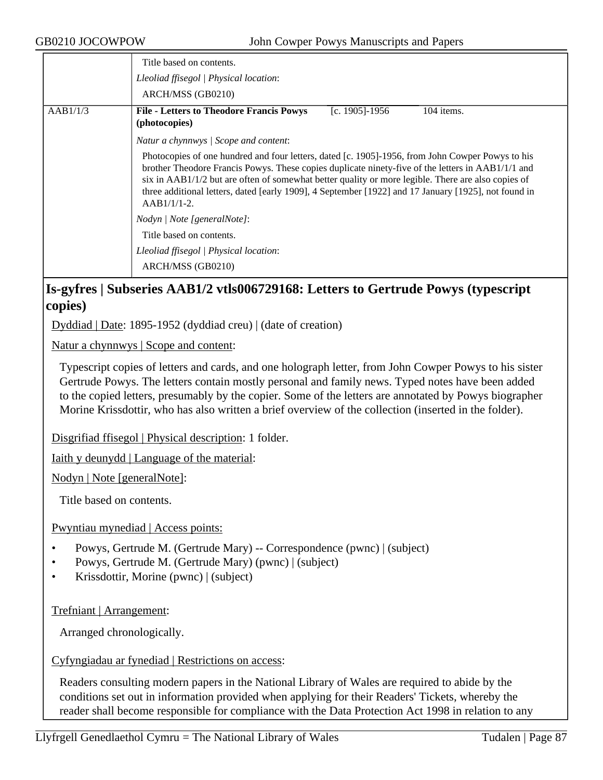|          | Title based on contents.<br>Lleoliad ffisegol   Physical location:<br>ARCH/MSS (GB0210)                                                                                                                                                                                                                                                                                                                                                |
|----------|----------------------------------------------------------------------------------------------------------------------------------------------------------------------------------------------------------------------------------------------------------------------------------------------------------------------------------------------------------------------------------------------------------------------------------------|
| AAB1/1/3 | <b>File - Letters to Theodore Francis Powys</b><br>[c. 1905]-1956<br>104 items.<br>(photocopies)                                                                                                                                                                                                                                                                                                                                       |
|          | Natur a chynnwys / Scope and content:                                                                                                                                                                                                                                                                                                                                                                                                  |
|          | Photocopies of one hundred and four letters, dated [c. 1905]-1956, from John Cowper Powys to his<br>brother Theodore Francis Powys. These copies duplicate ninety-five of the letters in AAB1/1/1 and<br>six in $AAB1/1/2$ but are often of somewhat better quality or more legible. There are also copies of<br>three additional letters, dated [early 1909], 4 September [1922] and 17 January [1925], not found in<br>$AAB1/1/1-2.$ |
|          | Nodyn   Note [generalNote]:                                                                                                                                                                                                                                                                                                                                                                                                            |
|          | Title based on contents.                                                                                                                                                                                                                                                                                                                                                                                                               |
|          | Lleoliad ffisegol   Physical location:                                                                                                                                                                                                                                                                                                                                                                                                 |
|          | ARCH/MSS (GB0210)                                                                                                                                                                                                                                                                                                                                                                                                                      |

## **Is-gyfres | Subseries AAB1/2 vtls006729168: Letters to Gertrude Powys (typescript copies)**

Dyddiad | Date: 1895-1952 (dyddiad creu) | (date of creation)

Natur a chynnwys | Scope and content:

Typescript copies of letters and cards, and one holograph letter, from John Cowper Powys to his sister Gertrude Powys. The letters contain mostly personal and family news. Typed notes have been added to the copied letters, presumably by the copier. Some of the letters are annotated by Powys biographer Morine Krissdottir, who has also written a brief overview of the collection (inserted in the folder).

Disgrifiad ffisegol | Physical description: 1 folder.

Iaith y deunydd | Language of the material:

Nodyn | Note [generalNote]:

Title based on contents.

Pwyntiau mynediad | Access points:

- Powys, Gertrude M. (Gertrude Mary) -- Correspondence (pwnc) | (subject)
- Powys, Gertrude M. (Gertrude Mary) (pwnc) | (subject)
- Krissdottir, Morine (pwnc) | (subject)

Trefniant | Arrangement:

Arranged chronologically.

## Cyfyngiadau ar fynediad | Restrictions on access:

Readers consulting modern papers in the National Library of Wales are required to abide by the conditions set out in information provided when applying for their Readers' Tickets, whereby the reader shall become responsible for compliance with the Data Protection Act 1998 in relation to any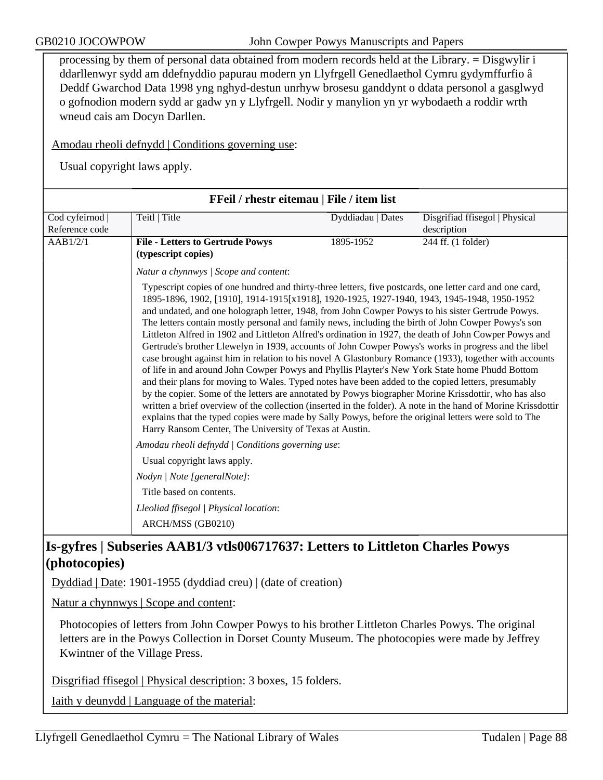processing by them of personal data obtained from modern records held at the Library. = Disgwylir i ddarllenwyr sydd am ddefnyddio papurau modern yn Llyfrgell Genedlaethol Cymru gydymffurfio â Deddf Gwarchod Data 1998 yng nghyd-destun unrhyw brosesu ganddynt o ddata personol a gasglwyd o gofnodion modern sydd ar gadw yn y Llyfrgell. Nodir y manylion yn yr wybodaeth a roddir wrth wneud cais am Docyn Darllen.

Amodau rheoli defnydd | Conditions governing use:

Usual copyright laws apply.

|                | FFeil / rhestr eitemau   File / item list                                                                                                                                                                                                                                                                                                                                                                                                                                                                                                                                                                                                                                                                                                                                                                                                                                                                                                                                                                                                                                                                                                                                                                                                                                                                                                             |                   |                                |  |
|----------------|-------------------------------------------------------------------------------------------------------------------------------------------------------------------------------------------------------------------------------------------------------------------------------------------------------------------------------------------------------------------------------------------------------------------------------------------------------------------------------------------------------------------------------------------------------------------------------------------------------------------------------------------------------------------------------------------------------------------------------------------------------------------------------------------------------------------------------------------------------------------------------------------------------------------------------------------------------------------------------------------------------------------------------------------------------------------------------------------------------------------------------------------------------------------------------------------------------------------------------------------------------------------------------------------------------------------------------------------------------|-------------------|--------------------------------|--|
| Cod cyfeirnod  | Teitl   Title                                                                                                                                                                                                                                                                                                                                                                                                                                                                                                                                                                                                                                                                                                                                                                                                                                                                                                                                                                                                                                                                                                                                                                                                                                                                                                                                         | Dyddiadau   Dates | Disgrifiad ffisegol   Physical |  |
| Reference code |                                                                                                                                                                                                                                                                                                                                                                                                                                                                                                                                                                                                                                                                                                                                                                                                                                                                                                                                                                                                                                                                                                                                                                                                                                                                                                                                                       |                   | description                    |  |
| AAB1/2/1       | <b>File - Letters to Gertrude Powys</b>                                                                                                                                                                                                                                                                                                                                                                                                                                                                                                                                                                                                                                                                                                                                                                                                                                                                                                                                                                                                                                                                                                                                                                                                                                                                                                               | 1895-1952         | 244 ff. (1 folder)             |  |
|                | (typescript copies)                                                                                                                                                                                                                                                                                                                                                                                                                                                                                                                                                                                                                                                                                                                                                                                                                                                                                                                                                                                                                                                                                                                                                                                                                                                                                                                                   |                   |                                |  |
|                | Natur a chynnwys / Scope and content:                                                                                                                                                                                                                                                                                                                                                                                                                                                                                                                                                                                                                                                                                                                                                                                                                                                                                                                                                                                                                                                                                                                                                                                                                                                                                                                 |                   |                                |  |
|                | Typescript copies of one hundred and thirty-three letters, five postcards, one letter card and one card,<br>1895-1896, 1902, [1910], 1914-1915[x1918], 1920-1925, 1927-1940, 1943, 1945-1948, 1950-1952<br>and undated, and one holograph letter, 1948, from John Cowper Powys to his sister Gertrude Powys.<br>The letters contain mostly personal and family news, including the birth of John Cowper Powys's son<br>Littleton Alfred in 1902 and Littleton Alfred's ordination in 1927, the death of John Cowper Powys and<br>Gertrude's brother Llewelyn in 1939, accounts of John Cowper Powys's works in progress and the libel<br>case brought against him in relation to his novel A Glastonbury Romance (1933), together with accounts<br>of life in and around John Cowper Powys and Phyllis Playter's New York State home Phudd Bottom<br>and their plans for moving to Wales. Typed notes have been added to the copied letters, presumably<br>by the copier. Some of the letters are annotated by Powys biographer Morine Krissdottir, who has also<br>written a brief overview of the collection (inserted in the folder). A note in the hand of Morine Krissdottir<br>explains that the typed copies were made by Sally Powys, before the original letters were sold to The<br>Harry Ransom Center, The University of Texas at Austin. |                   |                                |  |
|                | Amodau rheoli defnydd   Conditions governing use:                                                                                                                                                                                                                                                                                                                                                                                                                                                                                                                                                                                                                                                                                                                                                                                                                                                                                                                                                                                                                                                                                                                                                                                                                                                                                                     |                   |                                |  |
|                | Usual copyright laws apply.                                                                                                                                                                                                                                                                                                                                                                                                                                                                                                                                                                                                                                                                                                                                                                                                                                                                                                                                                                                                                                                                                                                                                                                                                                                                                                                           |                   |                                |  |
|                | Nodyn   Note [generalNote]:                                                                                                                                                                                                                                                                                                                                                                                                                                                                                                                                                                                                                                                                                                                                                                                                                                                                                                                                                                                                                                                                                                                                                                                                                                                                                                                           |                   |                                |  |
|                | Title based on contents.                                                                                                                                                                                                                                                                                                                                                                                                                                                                                                                                                                                                                                                                                                                                                                                                                                                                                                                                                                                                                                                                                                                                                                                                                                                                                                                              |                   |                                |  |
|                | Lleoliad ffisegol   Physical location:                                                                                                                                                                                                                                                                                                                                                                                                                                                                                                                                                                                                                                                                                                                                                                                                                                                                                                                                                                                                                                                                                                                                                                                                                                                                                                                |                   |                                |  |
|                | ARCH/MSS (GB0210)                                                                                                                                                                                                                                                                                                                                                                                                                                                                                                                                                                                                                                                                                                                                                                                                                                                                                                                                                                                                                                                                                                                                                                                                                                                                                                                                     |                   |                                |  |

# **Is-gyfres | Subseries AAB1/3 vtls006717637: Letters to Littleton Charles Powys (photocopies)**

Dyddiad | Date: 1901-1955 (dyddiad creu) | (date of creation)

Natur a chynnwys | Scope and content:

Photocopies of letters from John Cowper Powys to his brother Littleton Charles Powys. The original letters are in the Powys Collection in Dorset County Museum. The photocopies were made by Jeffrey Kwintner of the Village Press.

Disgrifiad ffisegol | Physical description: 3 boxes, 15 folders.

Iaith y deunydd | Language of the material: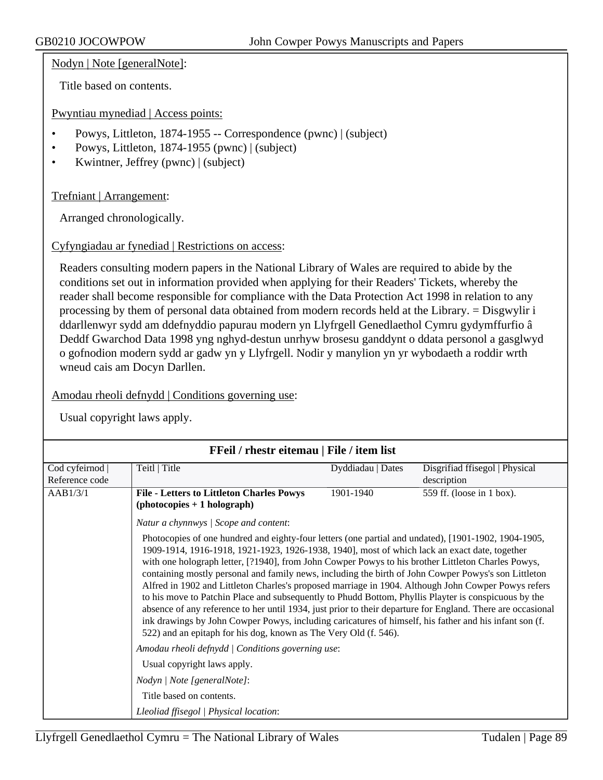Nodyn | Note [generalNote]:

Title based on contents.

Pwyntiau mynediad | Access points:

- Powys, Littleton, 1874-1955 -- Correspondence (pwnc) | (subject)
- Powys, Littleton, 1874-1955 (pwnc) | (subject)
- Kwintner, Jeffrey (pwnc) | (subject)

Trefniant | Arrangement:

Arranged chronologically.

Cyfyngiadau ar fynediad | Restrictions on access:

Readers consulting modern papers in the National Library of Wales are required to abide by the conditions set out in information provided when applying for their Readers' Tickets, whereby the reader shall become responsible for compliance with the Data Protection Act 1998 in relation to any processing by them of personal data obtained from modern records held at the Library. = Disgwylir i ddarllenwyr sydd am ddefnyddio papurau modern yn Llyfrgell Genedlaethol Cymru gydymffurfio â Deddf Gwarchod Data 1998 yng nghyd-destun unrhyw brosesu ganddynt o ddata personol a gasglwyd o gofnodion modern sydd ar gadw yn y Llyfrgell. Nodir y manylion yn yr wybodaeth a roddir wrth wneud cais am Docyn Darllen.

Amodau rheoli defnydd | Conditions governing use:

| FFeil / rhestr eitemau   File / item list |                                                                                                                                                                                                                                                                                                                                                                                                                                                                                                                                                                                                                                                                                                                                                                                                                                                                                                                                                                          |                   |                                               |  |
|-------------------------------------------|--------------------------------------------------------------------------------------------------------------------------------------------------------------------------------------------------------------------------------------------------------------------------------------------------------------------------------------------------------------------------------------------------------------------------------------------------------------------------------------------------------------------------------------------------------------------------------------------------------------------------------------------------------------------------------------------------------------------------------------------------------------------------------------------------------------------------------------------------------------------------------------------------------------------------------------------------------------------------|-------------------|-----------------------------------------------|--|
| Cod cyfeirnod<br>Reference code           | Teitl   Title                                                                                                                                                                                                                                                                                                                                                                                                                                                                                                                                                                                                                                                                                                                                                                                                                                                                                                                                                            | Dyddiadau   Dates | Disgrifiad ffisegol   Physical<br>description |  |
| AAB1/3/1                                  | <b>File - Letters to Littleton Charles Powys</b><br>$(photocopies + 1 holograph)$                                                                                                                                                                                                                                                                                                                                                                                                                                                                                                                                                                                                                                                                                                                                                                                                                                                                                        | 1901-1940         | 559 ff. (loose in 1 box).                     |  |
|                                           | Natur a chynnwys / Scope and content:<br>Photocopies of one hundred and eighty-four letters (one partial and undated), [1901-1902, 1904-1905,<br>1909-1914, 1916-1918, 1921-1923, 1926-1938, 1940], most of which lack an exact date, together<br>with one holograph letter, [?1940], from John Cowper Powys to his brother Littleton Charles Powys,<br>containing mostly personal and family news, including the birth of John Cowper Powys's son Littleton<br>Alfred in 1902 and Littleton Charles's proposed marriage in 1904. Although John Cowper Powys refers<br>to his move to Patchin Place and subsequently to Phudd Bottom, Phyllis Playter is conspicuous by the<br>absence of any reference to her until 1934, just prior to their departure for England. There are occasional<br>ink drawings by John Cowper Powys, including caricatures of himself, his father and his infant son (f.<br>522) and an epitaph for his dog, known as The Very Old (f. 546). |                   |                                               |  |
|                                           | Amodau rheoli defnydd   Conditions governing use:                                                                                                                                                                                                                                                                                                                                                                                                                                                                                                                                                                                                                                                                                                                                                                                                                                                                                                                        |                   |                                               |  |
|                                           | Usual copyright laws apply.<br>Nodyn   Note [generalNote]:                                                                                                                                                                                                                                                                                                                                                                                                                                                                                                                                                                                                                                                                                                                                                                                                                                                                                                               |                   |                                               |  |
|                                           | Title based on contents.<br>Lleoliad ffisegol   Physical location:                                                                                                                                                                                                                                                                                                                                                                                                                                                                                                                                                                                                                                                                                                                                                                                                                                                                                                       |                   |                                               |  |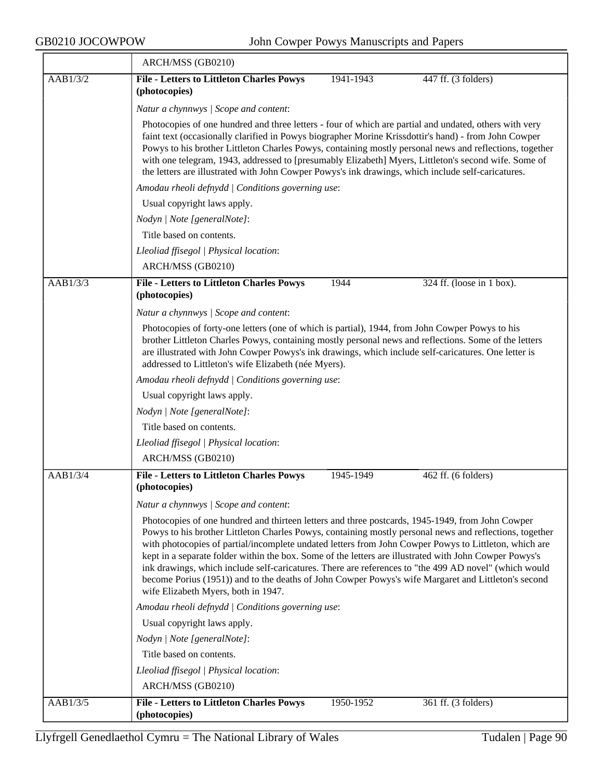|          | ARCH/MSS (GB0210)                                                                                                                                                                                                                                                                                                                                                                                                                                                                                                                                                                                                                                                                     |  |  |  |
|----------|---------------------------------------------------------------------------------------------------------------------------------------------------------------------------------------------------------------------------------------------------------------------------------------------------------------------------------------------------------------------------------------------------------------------------------------------------------------------------------------------------------------------------------------------------------------------------------------------------------------------------------------------------------------------------------------|--|--|--|
| AAB1/3/2 | <b>File - Letters to Littleton Charles Powys</b><br>1941-1943<br>447 ff. (3 folders)<br>(photocopies)                                                                                                                                                                                                                                                                                                                                                                                                                                                                                                                                                                                 |  |  |  |
|          | Natur a chynnwys / Scope and content:                                                                                                                                                                                                                                                                                                                                                                                                                                                                                                                                                                                                                                                 |  |  |  |
|          | Photocopies of one hundred and three letters - four of which are partial and undated, others with very<br>faint text (occasionally clarified in Powys biographer Morine Krissdottir's hand) - from John Cowper<br>Powys to his brother Littleton Charles Powys, containing mostly personal news and reflections, together<br>with one telegram, 1943, addressed to [presumably Elizabeth] Myers, Littleton's second wife. Some of<br>the letters are illustrated with John Cowper Powys's ink drawings, which include self-caricatures.                                                                                                                                               |  |  |  |
|          | Amodau rheoli defnydd   Conditions governing use:                                                                                                                                                                                                                                                                                                                                                                                                                                                                                                                                                                                                                                     |  |  |  |
|          | Usual copyright laws apply.                                                                                                                                                                                                                                                                                                                                                                                                                                                                                                                                                                                                                                                           |  |  |  |
|          | Nodyn   Note [generalNote]:                                                                                                                                                                                                                                                                                                                                                                                                                                                                                                                                                                                                                                                           |  |  |  |
|          | Title based on contents.                                                                                                                                                                                                                                                                                                                                                                                                                                                                                                                                                                                                                                                              |  |  |  |
|          | Lleoliad ffisegol   Physical location:                                                                                                                                                                                                                                                                                                                                                                                                                                                                                                                                                                                                                                                |  |  |  |
|          | ARCH/MSS (GB0210)                                                                                                                                                                                                                                                                                                                                                                                                                                                                                                                                                                                                                                                                     |  |  |  |
| AAB1/3/3 | <b>File - Letters to Littleton Charles Powys</b><br>1944<br>324 ff. (loose in $1$ box).                                                                                                                                                                                                                                                                                                                                                                                                                                                                                                                                                                                               |  |  |  |
|          | (photocopies)                                                                                                                                                                                                                                                                                                                                                                                                                                                                                                                                                                                                                                                                         |  |  |  |
|          | Natur a chynnwys / Scope and content:                                                                                                                                                                                                                                                                                                                                                                                                                                                                                                                                                                                                                                                 |  |  |  |
|          | Photocopies of forty-one letters (one of which is partial), 1944, from John Cowper Powys to his<br>brother Littleton Charles Powys, containing mostly personal news and reflections. Some of the letters<br>are illustrated with John Cowper Powys's ink drawings, which include self-caricatures. One letter is<br>addressed to Littleton's wife Elizabeth (née Myers).                                                                                                                                                                                                                                                                                                              |  |  |  |
|          | Amodau rheoli defnydd   Conditions governing use:                                                                                                                                                                                                                                                                                                                                                                                                                                                                                                                                                                                                                                     |  |  |  |
|          | Usual copyright laws apply.                                                                                                                                                                                                                                                                                                                                                                                                                                                                                                                                                                                                                                                           |  |  |  |
|          | Nodyn   Note [generalNote]:                                                                                                                                                                                                                                                                                                                                                                                                                                                                                                                                                                                                                                                           |  |  |  |
|          | Title based on contents.                                                                                                                                                                                                                                                                                                                                                                                                                                                                                                                                                                                                                                                              |  |  |  |
|          | Lleoliad ffisegol   Physical location:                                                                                                                                                                                                                                                                                                                                                                                                                                                                                                                                                                                                                                                |  |  |  |
|          | ARCH/MSS (GB0210)                                                                                                                                                                                                                                                                                                                                                                                                                                                                                                                                                                                                                                                                     |  |  |  |
| AAB1/3/4 | <b>File - Letters to Littleton Charles Powys</b><br>1945-1949<br>462 ff. (6 folders)<br>(photocopies)                                                                                                                                                                                                                                                                                                                                                                                                                                                                                                                                                                                 |  |  |  |
|          | Natur a chynnwys / Scope and content:                                                                                                                                                                                                                                                                                                                                                                                                                                                                                                                                                                                                                                                 |  |  |  |
|          | Photocopies of one hundred and thirteen letters and three postcards, 1945-1949, from John Cowper<br>Powys to his brother Littleton Charles Powys, containing mostly personal news and reflections, together<br>with photocopies of partial/incomplete undated letters from John Cowper Powys to Littleton, which are<br>kept in a separate folder within the box. Some of the letters are illustrated with John Cowper Powys's<br>ink drawings, which include self-caricatures. There are references to "the 499 AD novel" (which would<br>become Porius (1951)) and to the deaths of John Cowper Powys's wife Margaret and Littleton's second<br>wife Elizabeth Myers, both in 1947. |  |  |  |
|          | Amodau rheoli defnydd   Conditions governing use:                                                                                                                                                                                                                                                                                                                                                                                                                                                                                                                                                                                                                                     |  |  |  |
|          | Usual copyright laws apply.                                                                                                                                                                                                                                                                                                                                                                                                                                                                                                                                                                                                                                                           |  |  |  |
|          | Nodyn   Note [generalNote]:                                                                                                                                                                                                                                                                                                                                                                                                                                                                                                                                                                                                                                                           |  |  |  |
|          | Title based on contents.                                                                                                                                                                                                                                                                                                                                                                                                                                                                                                                                                                                                                                                              |  |  |  |
|          | Lleoliad ffisegol   Physical location:                                                                                                                                                                                                                                                                                                                                                                                                                                                                                                                                                                                                                                                |  |  |  |
|          | ARCH/MSS (GB0210)                                                                                                                                                                                                                                                                                                                                                                                                                                                                                                                                                                                                                                                                     |  |  |  |
| AAB1/3/5 | <b>File - Letters to Littleton Charles Powys</b><br>1950-1952<br>361 ff. (3 folders)<br>(photocopies)                                                                                                                                                                                                                                                                                                                                                                                                                                                                                                                                                                                 |  |  |  |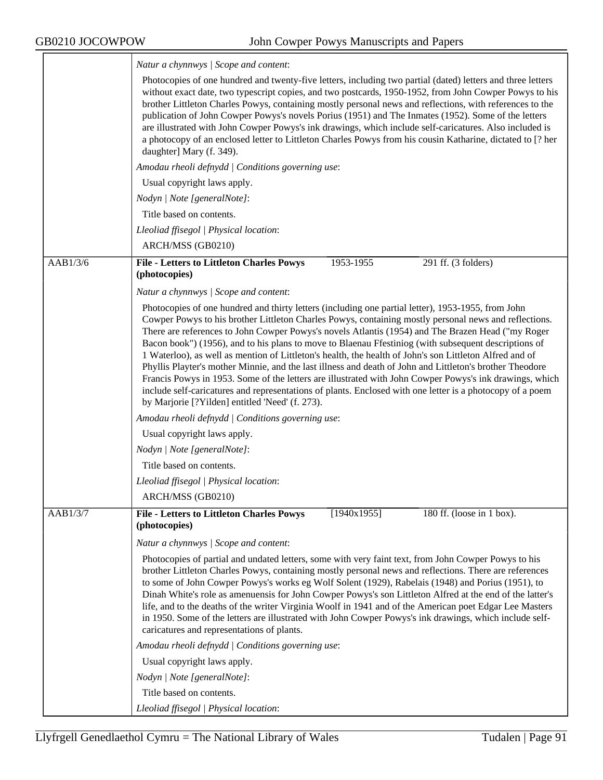<u>and the company of the company of the company of the company of the company of the company of the company of the company of the company of the company of the company of the company of the company of the company of the com</u>

|          | Natur a chynnwys / Scope and content:                                                                                                                                                                                                                                                                                                                                                                                                                                                                                                                                                                                                                                                                                                                                                                                                                                                                                      |  |  |  |  |
|----------|----------------------------------------------------------------------------------------------------------------------------------------------------------------------------------------------------------------------------------------------------------------------------------------------------------------------------------------------------------------------------------------------------------------------------------------------------------------------------------------------------------------------------------------------------------------------------------------------------------------------------------------------------------------------------------------------------------------------------------------------------------------------------------------------------------------------------------------------------------------------------------------------------------------------------|--|--|--|--|
|          | Photocopies of one hundred and twenty-five letters, including two partial (dated) letters and three letters<br>without exact date, two typescript copies, and two postcards, 1950-1952, from John Cowper Powys to his<br>brother Littleton Charles Powys, containing mostly personal news and reflections, with references to the<br>publication of John Cowper Powys's novels Porius (1951) and The Inmates (1952). Some of the letters<br>are illustrated with John Cowper Powys's ink drawings, which include self-caricatures. Also included is<br>a photocopy of an enclosed letter to Littleton Charles Powys from his cousin Katharine, dictated to [? her<br>daughter] Mary (f. 349).                                                                                                                                                                                                                              |  |  |  |  |
|          | Amodau rheoli defnydd   Conditions governing use:<br>Usual copyright laws apply.<br>Nodyn   Note [generalNote]:<br>Title based on contents.                                                                                                                                                                                                                                                                                                                                                                                                                                                                                                                                                                                                                                                                                                                                                                                |  |  |  |  |
|          |                                                                                                                                                                                                                                                                                                                                                                                                                                                                                                                                                                                                                                                                                                                                                                                                                                                                                                                            |  |  |  |  |
|          |                                                                                                                                                                                                                                                                                                                                                                                                                                                                                                                                                                                                                                                                                                                                                                                                                                                                                                                            |  |  |  |  |
|          |                                                                                                                                                                                                                                                                                                                                                                                                                                                                                                                                                                                                                                                                                                                                                                                                                                                                                                                            |  |  |  |  |
|          | Lleoliad ffisegol   Physical location:                                                                                                                                                                                                                                                                                                                                                                                                                                                                                                                                                                                                                                                                                                                                                                                                                                                                                     |  |  |  |  |
|          | ARCH/MSS (GB0210)                                                                                                                                                                                                                                                                                                                                                                                                                                                                                                                                                                                                                                                                                                                                                                                                                                                                                                          |  |  |  |  |
| AAB1/3/6 | <b>File - Letters to Littleton Charles Powys</b><br>291 ff. (3 folders)<br>1953-1955<br>(photocopies)                                                                                                                                                                                                                                                                                                                                                                                                                                                                                                                                                                                                                                                                                                                                                                                                                      |  |  |  |  |
|          | Natur a chynnwys / Scope and content:                                                                                                                                                                                                                                                                                                                                                                                                                                                                                                                                                                                                                                                                                                                                                                                                                                                                                      |  |  |  |  |
|          | Photocopies of one hundred and thirty letters (including one partial letter), 1953-1955, from John<br>Cowper Powys to his brother Littleton Charles Powys, containing mostly personal news and reflections.<br>There are references to John Cowper Powys's novels Atlantis (1954) and The Brazen Head ("my Roger<br>Bacon book") (1956), and to his plans to move to Blaenau Ffestiniog (with subsequent descriptions of<br>1 Waterloo), as well as mention of Littleton's health, the health of John's son Littleton Alfred and of<br>Phyllis Playter's mother Minnie, and the last illness and death of John and Littleton's brother Theodore<br>Francis Powys in 1953. Some of the letters are illustrated with John Cowper Powys's ink drawings, which<br>include self-caricatures and representations of plants. Enclosed with one letter is a photocopy of a poem<br>by Marjorie [?Yilden] entitled 'Need' (f. 273). |  |  |  |  |
|          | Amodau rheoli defnydd   Conditions governing use:                                                                                                                                                                                                                                                                                                                                                                                                                                                                                                                                                                                                                                                                                                                                                                                                                                                                          |  |  |  |  |
|          | Usual copyright laws apply.                                                                                                                                                                                                                                                                                                                                                                                                                                                                                                                                                                                                                                                                                                                                                                                                                                                                                                |  |  |  |  |
|          | Nodyn   Note [generalNote]:                                                                                                                                                                                                                                                                                                                                                                                                                                                                                                                                                                                                                                                                                                                                                                                                                                                                                                |  |  |  |  |
|          | Title based on contents.                                                                                                                                                                                                                                                                                                                                                                                                                                                                                                                                                                                                                                                                                                                                                                                                                                                                                                   |  |  |  |  |
|          | Lleoliad ffisegol   Physical location:                                                                                                                                                                                                                                                                                                                                                                                                                                                                                                                                                                                                                                                                                                                                                                                                                                                                                     |  |  |  |  |
|          | ARCH/MSS (GB0210)                                                                                                                                                                                                                                                                                                                                                                                                                                                                                                                                                                                                                                                                                                                                                                                                                                                                                                          |  |  |  |  |
| AAB1/3/7 | [1940x1955]<br>180 ff. (loose in 1 box).<br><b>File - Letters to Littleton Charles Powys</b><br>(photocopies)                                                                                                                                                                                                                                                                                                                                                                                                                                                                                                                                                                                                                                                                                                                                                                                                              |  |  |  |  |
|          | Natur a chynnwys / Scope and content:                                                                                                                                                                                                                                                                                                                                                                                                                                                                                                                                                                                                                                                                                                                                                                                                                                                                                      |  |  |  |  |
|          | Photocopies of partial and undated letters, some with very faint text, from John Cowper Powys to his<br>brother Littleton Charles Powys, containing mostly personal news and reflections. There are references<br>to some of John Cowper Powys's works eg Wolf Solent (1929), Rabelais (1948) and Porius (1951), to<br>Dinah White's role as amenuensis for John Cowper Powys's son Littleton Alfred at the end of the latter's<br>life, and to the deaths of the writer Virginia Woolf in 1941 and of the American poet Edgar Lee Masters<br>in 1950. Some of the letters are illustrated with John Cowper Powys's ink drawings, which include self-<br>caricatures and representations of plants.                                                                                                                                                                                                                        |  |  |  |  |
|          | Amodau rheoli defnydd   Conditions governing use:                                                                                                                                                                                                                                                                                                                                                                                                                                                                                                                                                                                                                                                                                                                                                                                                                                                                          |  |  |  |  |
|          | Usual copyright laws apply.                                                                                                                                                                                                                                                                                                                                                                                                                                                                                                                                                                                                                                                                                                                                                                                                                                                                                                |  |  |  |  |
|          | Nodyn   Note [generalNote]:                                                                                                                                                                                                                                                                                                                                                                                                                                                                                                                                                                                                                                                                                                                                                                                                                                                                                                |  |  |  |  |
|          | Title based on contents.                                                                                                                                                                                                                                                                                                                                                                                                                                                                                                                                                                                                                                                                                                                                                                                                                                                                                                   |  |  |  |  |
|          | Lleoliad ffisegol   Physical location:                                                                                                                                                                                                                                                                                                                                                                                                                                                                                                                                                                                                                                                                                                                                                                                                                                                                                     |  |  |  |  |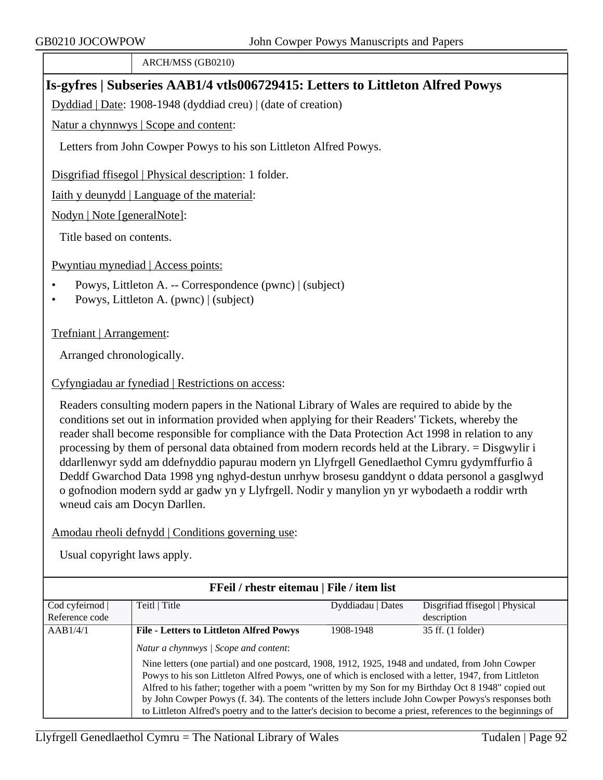ARCH/MSS (GB0210)

## **Is-gyfres | Subseries AAB1/4 vtls006729415: Letters to Littleton Alfred Powys**

Dyddiad | Date: 1908-1948 (dyddiad creu) | (date of creation)

Natur a chynnwys | Scope and content:

Letters from John Cowper Powys to his son Littleton Alfred Powys.

Disgrifiad ffisegol | Physical description: 1 folder.

Iaith y deunydd | Language of the material:

Nodyn | Note [generalNote]:

Title based on contents.

Pwyntiau mynediad | Access points:

- Powys, Littleton A. -- Correspondence (pwnc) | (subject)
- Powys, Littleton A. (pwnc) | (subject)

Trefniant | Arrangement:

Arranged chronologically.

Cyfyngiadau ar fynediad | Restrictions on access:

Readers consulting modern papers in the National Library of Wales are required to abide by the conditions set out in information provided when applying for their Readers' Tickets, whereby the reader shall become responsible for compliance with the Data Protection Act 1998 in relation to any processing by them of personal data obtained from modern records held at the Library. = Disgwylir i ddarllenwyr sydd am ddefnyddio papurau modern yn Llyfrgell Genedlaethol Cymru gydymffurfio â Deddf Gwarchod Data 1998 yng nghyd-destun unrhyw brosesu ganddynt o ddata personol a gasglwyd o gofnodion modern sydd ar gadw yn y Llyfrgell. Nodir y manylion yn yr wybodaeth a roddir wrth wneud cais am Docyn Darllen.

Amodau rheoli defnydd | Conditions governing use:

| FFeil / rhestr eitemau   File / item list |                                                                                                                                                                                                                                                                                                                                                                                                                                                                                                                                                                                      |                   |                                |  |
|-------------------------------------------|--------------------------------------------------------------------------------------------------------------------------------------------------------------------------------------------------------------------------------------------------------------------------------------------------------------------------------------------------------------------------------------------------------------------------------------------------------------------------------------------------------------------------------------------------------------------------------------|-------------------|--------------------------------|--|
| Cod cyfeirnod                             | Teitl   Title                                                                                                                                                                                                                                                                                                                                                                                                                                                                                                                                                                        | Dyddiadau   Dates | Disgrifiad ffisegol   Physical |  |
| Reference code                            |                                                                                                                                                                                                                                                                                                                                                                                                                                                                                                                                                                                      |                   | description                    |  |
| AAB1/4/1                                  | <b>File - Letters to Littleton Alfred Powys</b>                                                                                                                                                                                                                                                                                                                                                                                                                                                                                                                                      | 1908-1948         | 35 ff. (1 folder)              |  |
|                                           | Natur a chynnwys / Scope and content:<br>Nine letters (one partial) and one postcard, 1908, 1912, 1925, 1948 and undated, from John Cowper<br>Powys to his son Littleton Alfred Powys, one of which is enclosed with a letter, 1947, from Littleton<br>Alfred to his father; together with a poem "written by my Son for my Birthday Oct 8 1948" copied out<br>by John Cowper Powys (f. 34). The contents of the letters include John Cowper Powys's responses both<br>to Littleton Alfred's poetry and to the latter's decision to become a priest, references to the beginnings of |                   |                                |  |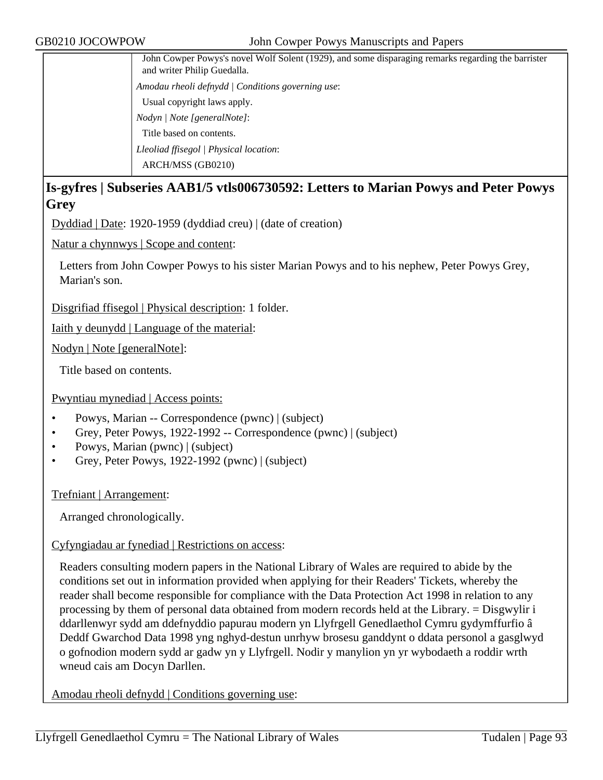| John Cowper Powys's novel Wolf Solent (1929), and some disparaging remarks regarding the barrister<br>and writer Philip Guedalla. |
|-----------------------------------------------------------------------------------------------------------------------------------|
| Amodau rheoli defnydd   Conditions governing use:                                                                                 |
| Usual copyright laws apply.                                                                                                       |
| Nodyn / Note [generalNote]:                                                                                                       |
| Title based on contents.                                                                                                          |
| Lleoliad ffisegol   Physical location:                                                                                            |
| ARCH/MSS (GB0210)                                                                                                                 |

### **Is-gyfres | Subseries AAB1/5 vtls006730592: Letters to Marian Powys and Peter Powys Grey**

Dyddiad | Date: 1920-1959 (dyddiad creu) | (date of creation)

Natur a chynnwys | Scope and content:

Letters from John Cowper Powys to his sister Marian Powys and to his nephew, Peter Powys Grey, Marian's son.

Disgrifiad ffisegol | Physical description: 1 folder.

Iaith y deunydd | Language of the material:

Nodyn | Note [generalNote]:

Title based on contents.

#### Pwyntiau mynediad | Access points:

- Powys, Marian -- Correspondence (pwnc) | (subject)
- Grey, Peter Powys, 1922-1992 -- Correspondence (pwnc) | (subject)
- Powys, Marian (pwnc) | (subject)
- Grey, Peter Powys, 1922-1992 (pwnc) | (subject)

Trefniant | Arrangement:

Arranged chronologically.

#### Cyfyngiadau ar fynediad | Restrictions on access:

Readers consulting modern papers in the National Library of Wales are required to abide by the conditions set out in information provided when applying for their Readers' Tickets, whereby the reader shall become responsible for compliance with the Data Protection Act 1998 in relation to any processing by them of personal data obtained from modern records held at the Library. = Disgwylir i ddarllenwyr sydd am ddefnyddio papurau modern yn Llyfrgell Genedlaethol Cymru gydymffurfio â Deddf Gwarchod Data 1998 yng nghyd-destun unrhyw brosesu ganddynt o ddata personol a gasglwyd o gofnodion modern sydd ar gadw yn y Llyfrgell. Nodir y manylion yn yr wybodaeth a roddir wrth wneud cais am Docyn Darllen.

Amodau rheoli defnydd | Conditions governing use: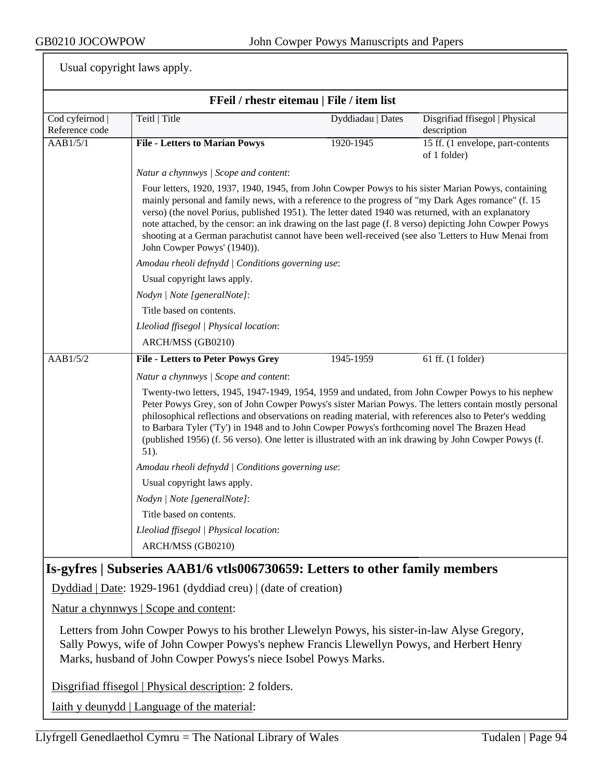Usual copyright laws apply.

| FFeil / rhestr eitemau   File / item list |                                                                                                                                                                                                                                                                                                                                                                                                                                                                                                                                                                                                                                                                                                                                                                                                |                                                                                                                                                                                                                                                                                                                                                                                                                                                                                                                                   |                                                    |  |  |  |  |
|-------------------------------------------|------------------------------------------------------------------------------------------------------------------------------------------------------------------------------------------------------------------------------------------------------------------------------------------------------------------------------------------------------------------------------------------------------------------------------------------------------------------------------------------------------------------------------------------------------------------------------------------------------------------------------------------------------------------------------------------------------------------------------------------------------------------------------------------------|-----------------------------------------------------------------------------------------------------------------------------------------------------------------------------------------------------------------------------------------------------------------------------------------------------------------------------------------------------------------------------------------------------------------------------------------------------------------------------------------------------------------------------------|----------------------------------------------------|--|--|--|--|
| Cod cyfeirnod<br>Reference code           | Teitl   Title                                                                                                                                                                                                                                                                                                                                                                                                                                                                                                                                                                                                                                                                                                                                                                                  | Dyddiadau   Dates                                                                                                                                                                                                                                                                                                                                                                                                                                                                                                                 | Disgrifiad ffisegol   Physical<br>description      |  |  |  |  |
| AAB1/5/1                                  | <b>File - Letters to Marian Powys</b>                                                                                                                                                                                                                                                                                                                                                                                                                                                                                                                                                                                                                                                                                                                                                          | 1920-1945                                                                                                                                                                                                                                                                                                                                                                                                                                                                                                                         | 15 ff. (1 envelope, part-contents)<br>of 1 folder) |  |  |  |  |
|                                           | Natur a chynnwys / Scope and content:                                                                                                                                                                                                                                                                                                                                                                                                                                                                                                                                                                                                                                                                                                                                                          |                                                                                                                                                                                                                                                                                                                                                                                                                                                                                                                                   |                                                    |  |  |  |  |
|                                           | John Cowper Powys' (1940)).                                                                                                                                                                                                                                                                                                                                                                                                                                                                                                                                                                                                                                                                                                                                                                    | Four letters, 1920, 1937, 1940, 1945, from John Cowper Powys to his sister Marian Powys, containing<br>mainly personal and family news, with a reference to the progress of "my Dark Ages romance" (f. 15<br>verso) (the novel Porius, published 1951). The letter dated 1940 was returned, with an explanatory<br>note attached, by the censor: an ink drawing on the last page (f. 8 verso) depicting John Cowper Powys<br>shooting at a German parachutist cannot have been well-received (see also 'Letters to Huw Menai from |                                                    |  |  |  |  |
|                                           | Amodau rheoli defnydd   Conditions governing use:                                                                                                                                                                                                                                                                                                                                                                                                                                                                                                                                                                                                                                                                                                                                              |                                                                                                                                                                                                                                                                                                                                                                                                                                                                                                                                   |                                                    |  |  |  |  |
|                                           | Usual copyright laws apply.                                                                                                                                                                                                                                                                                                                                                                                                                                                                                                                                                                                                                                                                                                                                                                    |                                                                                                                                                                                                                                                                                                                                                                                                                                                                                                                                   |                                                    |  |  |  |  |
|                                           | Nodyn   Note [generalNote]:                                                                                                                                                                                                                                                                                                                                                                                                                                                                                                                                                                                                                                                                                                                                                                    |                                                                                                                                                                                                                                                                                                                                                                                                                                                                                                                                   |                                                    |  |  |  |  |
|                                           | Title based on contents.                                                                                                                                                                                                                                                                                                                                                                                                                                                                                                                                                                                                                                                                                                                                                                       |                                                                                                                                                                                                                                                                                                                                                                                                                                                                                                                                   |                                                    |  |  |  |  |
|                                           | Lleoliad ffisegol   Physical location:                                                                                                                                                                                                                                                                                                                                                                                                                                                                                                                                                                                                                                                                                                                                                         |                                                                                                                                                                                                                                                                                                                                                                                                                                                                                                                                   |                                                    |  |  |  |  |
|                                           | ARCH/MSS (GB0210)                                                                                                                                                                                                                                                                                                                                                                                                                                                                                                                                                                                                                                                                                                                                                                              |                                                                                                                                                                                                                                                                                                                                                                                                                                                                                                                                   |                                                    |  |  |  |  |
| AAB1/5/2                                  | <b>File - Letters to Peter Powys Grey</b>                                                                                                                                                                                                                                                                                                                                                                                                                                                                                                                                                                                                                                                                                                                                                      | 1945-1959                                                                                                                                                                                                                                                                                                                                                                                                                                                                                                                         | $61$ ff. (1 folder)                                |  |  |  |  |
|                                           | Natur a chynnwys / Scope and content:<br>Twenty-two letters, 1945, 1947-1949, 1954, 1959 and undated, from John Cowper Powys to his nephew<br>Peter Powys Grey, son of John Cowper Powys's sister Marian Powys. The letters contain mostly personal<br>philosophical reflections and observations on reading material, with references also to Peter's wedding<br>to Barbara Tyler ('Ty') in 1948 and to John Cowper Powys's forthcoming novel The Brazen Head<br>(published 1956) (f. 56 verso). One letter is illustrated with an ink drawing by John Cowper Powys (f.<br>51).<br>Amodau rheoli defnydd   Conditions governing use:<br>Usual copyright laws apply.<br>Nodyn   Note [generalNote]:<br>Title based on contents.<br>Lleoliad ffisegol   Physical location:<br>ARCH/MSS (GB0210) |                                                                                                                                                                                                                                                                                                                                                                                                                                                                                                                                   |                                                    |  |  |  |  |
|                                           | Is-gyfres   Subseries AAB1/6 vtls006730659: Letters to other family members                                                                                                                                                                                                                                                                                                                                                                                                                                                                                                                                                                                                                                                                                                                    |                                                                                                                                                                                                                                                                                                                                                                                                                                                                                                                                   |                                                    |  |  |  |  |
|                                           | $Dyddiad   Date: 1929-1961 (dyddiad creu)   (date of creation)$                                                                                                                                                                                                                                                                                                                                                                                                                                                                                                                                                                                                                                                                                                                                |                                                                                                                                                                                                                                                                                                                                                                                                                                                                                                                                   |                                                    |  |  |  |  |
|                                           | Natur a chynnwys   Scope and content:                                                                                                                                                                                                                                                                                                                                                                                                                                                                                                                                                                                                                                                                                                                                                          |                                                                                                                                                                                                                                                                                                                                                                                                                                                                                                                                   |                                                    |  |  |  |  |
|                                           | Letters from John Cowper Powys to his brother Llewelyn Powys, his sister-in-law Alyse Gregory,<br>Sally Powys, wife of John Cowper Powys's nephew Francis Llewellyn Powys, and Herbert Henry                                                                                                                                                                                                                                                                                                                                                                                                                                                                                                                                                                                                   |                                                                                                                                                                                                                                                                                                                                                                                                                                                                                                                                   |                                                    |  |  |  |  |

Disgrifiad ffisegol | Physical description: 2 folders.

Iaith y deunydd | Language of the material:

Marks, husband of John Cowper Powys's niece Isobel Powys Marks.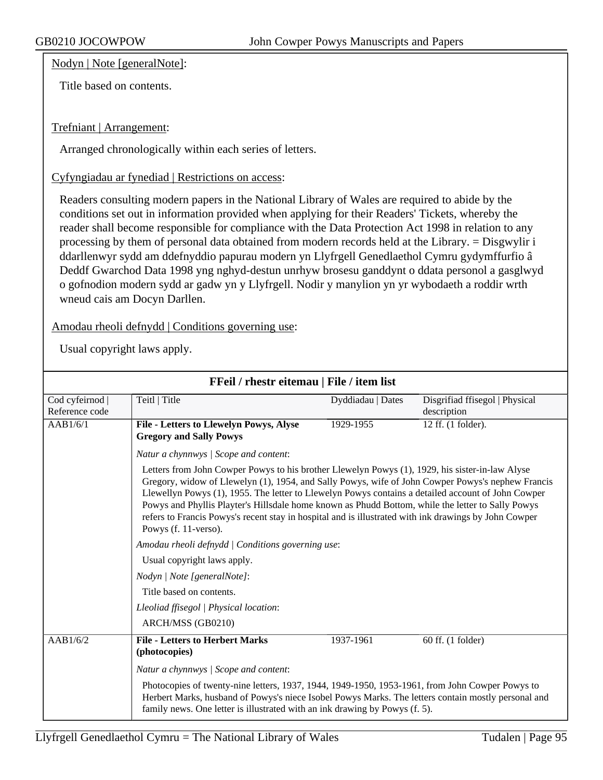Nodyn | Note [generalNote]:

Title based on contents.

#### Trefniant | Arrangement:

Arranged chronologically within each series of letters.

Cyfyngiadau ar fynediad | Restrictions on access:

Readers consulting modern papers in the National Library of Wales are required to abide by the conditions set out in information provided when applying for their Readers' Tickets, whereby the reader shall become responsible for compliance with the Data Protection Act 1998 in relation to any processing by them of personal data obtained from modern records held at the Library. = Disgwylir i ddarllenwyr sydd am ddefnyddio papurau modern yn Llyfrgell Genedlaethol Cymru gydymffurfio â Deddf Gwarchod Data 1998 yng nghyd-destun unrhyw brosesu ganddynt o ddata personol a gasglwyd o gofnodion modern sydd ar gadw yn y Llyfrgell. Nodir y manylion yn yr wybodaeth a roddir wrth wneud cais am Docyn Darllen.

Amodau rheoli defnydd | Conditions governing use:

| FFeil / rhestr eitemau   File / item list |                                                                                                                                                                                                                                                                                                                                                                                                                                                                                                                                                  |                   |                                               |  |  |
|-------------------------------------------|--------------------------------------------------------------------------------------------------------------------------------------------------------------------------------------------------------------------------------------------------------------------------------------------------------------------------------------------------------------------------------------------------------------------------------------------------------------------------------------------------------------------------------------------------|-------------------|-----------------------------------------------|--|--|
| Cod cyfeirnod<br>Reference code           | Teitl   Title                                                                                                                                                                                                                                                                                                                                                                                                                                                                                                                                    | Dyddiadau   Dates | Disgrifiad ffisegol   Physical<br>description |  |  |
| AAB1/6/1                                  | File - Letters to Llewelyn Powys, Alyse<br><b>Gregory and Sally Powys</b>                                                                                                                                                                                                                                                                                                                                                                                                                                                                        | 1929-1955         | 12 ff. (1 folder).                            |  |  |
|                                           | Natur a chynnwys / Scope and content:                                                                                                                                                                                                                                                                                                                                                                                                                                                                                                            |                   |                                               |  |  |
|                                           | Letters from John Cowper Powys to his brother Llewelyn Powys (1), 1929, his sister-in-law Alyse<br>Gregory, widow of Llewelyn (1), 1954, and Sally Powys, wife of John Cowper Powys's nephew Francis<br>Llewellyn Powys (1), 1955. The letter to Llewelyn Powys contains a detailed account of John Cowper<br>Powys and Phyllis Playter's Hillsdale home known as Phudd Bottom, while the letter to Sally Powys<br>refers to Francis Powys's recent stay in hospital and is illustrated with ink drawings by John Cowper<br>Powys (f. 11-verso). |                   |                                               |  |  |
|                                           | Amodau rheoli defnydd   Conditions governing use:                                                                                                                                                                                                                                                                                                                                                                                                                                                                                                |                   |                                               |  |  |
|                                           |                                                                                                                                                                                                                                                                                                                                                                                                                                                                                                                                                  |                   |                                               |  |  |
|                                           |                                                                                                                                                                                                                                                                                                                                                                                                                                                                                                                                                  |                   |                                               |  |  |
|                                           | Title based on contents.                                                                                                                                                                                                                                                                                                                                                                                                                                                                                                                         |                   |                                               |  |  |
|                                           | Lleoliad ffisegol   Physical location:                                                                                                                                                                                                                                                                                                                                                                                                                                                                                                           |                   |                                               |  |  |
|                                           | ARCH/MSS (GB0210)                                                                                                                                                                                                                                                                                                                                                                                                                                                                                                                                |                   |                                               |  |  |
| AAB1/6/2                                  | <b>File - Letters to Herbert Marks</b><br>(photocopies)                                                                                                                                                                                                                                                                                                                                                                                                                                                                                          | 1937-1961         | 60 ff. (1 folder)                             |  |  |
|                                           | Natur a chynnwys / Scope and content:                                                                                                                                                                                                                                                                                                                                                                                                                                                                                                            |                   |                                               |  |  |
|                                           | Photocopies of twenty-nine letters, 1937, 1944, 1949-1950, 1953-1961, from John Cowper Powys to<br>Herbert Marks, husband of Powys's niece Isobel Powys Marks. The letters contain mostly personal and<br>family news. One letter is illustrated with an ink drawing by Powys (f. 5).                                                                                                                                                                                                                                                            |                   |                                               |  |  |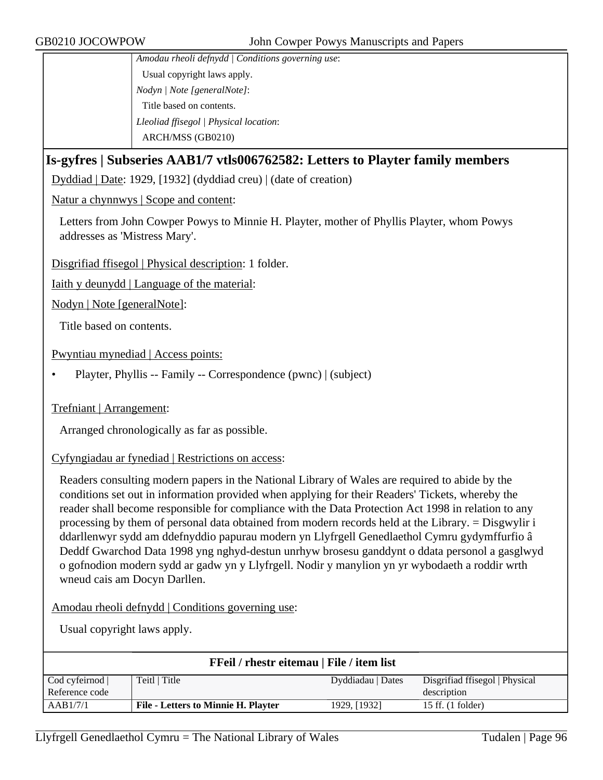*Amodau rheoli defnydd | Conditions governing use*: Usual copyright laws apply. *Nodyn | Note [generalNote]*: Title based on contents. *Lleoliad ffisegol | Physical location*: ARCH/MSS (GB0210)

### **Is-gyfres | Subseries AAB1/7 vtls006762582: Letters to Playter family members**

Dyddiad | Date: 1929, [1932] (dyddiad creu) | (date of creation)

Natur a chynnwys | Scope and content:

Letters from John Cowper Powys to Minnie H. Playter, mother of Phyllis Playter, whom Powys addresses as 'Mistress Mary'.

Disgrifiad ffisegol | Physical description: 1 folder.

Iaith y deunydd | Language of the material:

Nodyn | Note [generalNote]:

Title based on contents.

Pwyntiau mynediad | Access points:

• Playter, Phyllis -- Family -- Correspondence (pwnc) | (subject)

Trefniant | Arrangement:

Arranged chronologically as far as possible.

Cyfyngiadau ar fynediad | Restrictions on access:

Readers consulting modern papers in the National Library of Wales are required to abide by the conditions set out in information provided when applying for their Readers' Tickets, whereby the reader shall become responsible for compliance with the Data Protection Act 1998 in relation to any processing by them of personal data obtained from modern records held at the Library. = Disgwylir i ddarllenwyr sydd am ddefnyddio papurau modern yn Llyfrgell Genedlaethol Cymru gydymffurfio â Deddf Gwarchod Data 1998 yng nghyd-destun unrhyw brosesu ganddynt o ddata personol a gasglwyd o gofnodion modern sydd ar gadw yn y Llyfrgell. Nodir y manylion yn yr wybodaeth a roddir wrth wneud cais am Docyn Darllen.

Amodau rheoli defnydd | Conditions governing use:

| FFeil / rhestr eitemau   File / item list |                                            |                   |                                |
|-------------------------------------------|--------------------------------------------|-------------------|--------------------------------|
| Cod cyfeirnod                             | Teitl   Title                              | Dyddiadau   Dates | Disgrifiad ffisegol   Physical |
| Reference code                            |                                            |                   | description                    |
| AAB1/7/1                                  | <b>File - Letters to Minnie H. Playter</b> | 1929, [1932]      | $15$ ff. $(1$ folder)          |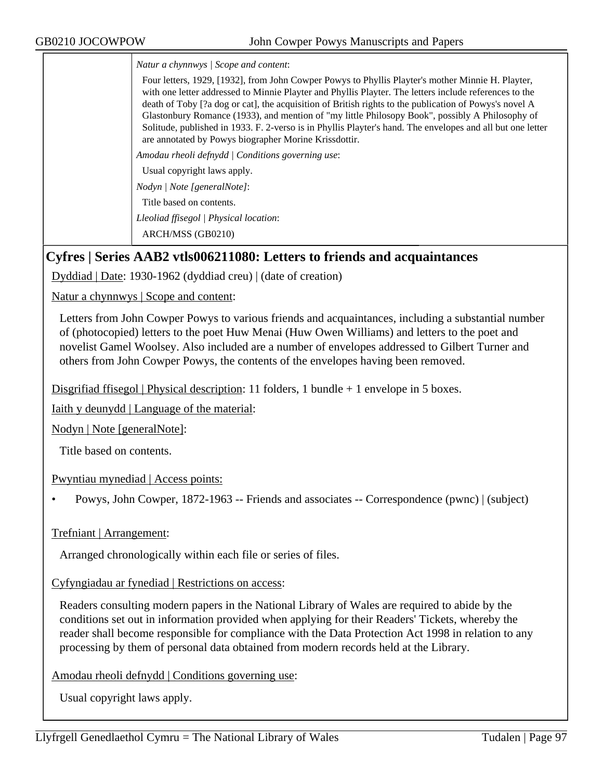*Natur a chynnwys | Scope and content*:

Four letters, 1929, [1932], from John Cowper Powys to Phyllis Playter's mother Minnie H. Playter, with one letter addressed to Minnie Playter and Phyllis Playter. The letters include references to the death of Toby [?a dog or cat], the acquisition of British rights to the publication of Powys's novel A Glastonbury Romance (1933), and mention of "my little Philosopy Book", possibly A Philosophy of Solitude, published in 1933. F. 2-verso is in Phyllis Playter's hand. The envelopes and all but one letter are annotated by Powys biographer Morine Krissdottir.

*Amodau rheoli defnydd | Conditions governing use*:

Usual copyright laws apply.

*Nodyn | Note [generalNote]*:

Title based on contents.

*Lleoliad ffisegol | Physical location*:

ARCH/MSS (GB0210)

## **Cyfres | Series AAB2 vtls006211080: Letters to friends and acquaintances**

Dyddiad | Date: 1930-1962 (dyddiad creu) | (date of creation)

Natur a chynnwys | Scope and content:

Letters from John Cowper Powys to various friends and acquaintances, including a substantial number of (photocopied) letters to the poet Huw Menai (Huw Owen Williams) and letters to the poet and novelist Gamel Woolsey. Also included are a number of envelopes addressed to Gilbert Turner and others from John Cowper Powys, the contents of the envelopes having been removed.

Disgrifiad ffisegol | Physical description: 11 folders, 1 bundle + 1 envelope in 5 boxes.

Iaith y deunydd | Language of the material:

Nodyn | Note [generalNote]:

Title based on contents.

Pwyntiau mynediad | Access points:

• Powys, John Cowper, 1872-1963 -- Friends and associates -- Correspondence (pwnc) | (subject)

Trefniant | Arrangement:

Arranged chronologically within each file or series of files.

Cyfyngiadau ar fynediad | Restrictions on access:

Readers consulting modern papers in the National Library of Wales are required to abide by the conditions set out in information provided when applying for their Readers' Tickets, whereby the reader shall become responsible for compliance with the Data Protection Act 1998 in relation to any processing by them of personal data obtained from modern records held at the Library.

Amodau rheoli defnydd | Conditions governing use: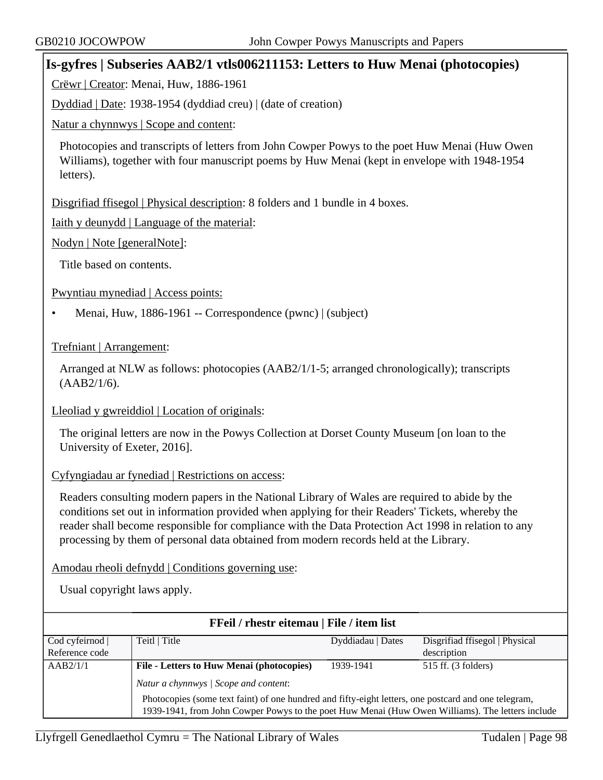### **Is-gyfres | Subseries AAB2/1 vtls006211153: Letters to Huw Menai (photocopies)**

Crëwr | Creator: Menai, Huw, 1886-1961

Dyddiad | Date: 1938-1954 (dyddiad creu) | (date of creation)

Natur a chynnwys | Scope and content:

Photocopies and transcripts of letters from John Cowper Powys to the poet Huw Menai (Huw Owen Williams), together with four manuscript poems by Huw Menai (kept in envelope with 1948-1954 letters).

Disgrifiad ffisegol | Physical description: 8 folders and 1 bundle in 4 boxes.

Iaith y deunydd | Language of the material:

Nodyn | Note [generalNote]:

Title based on contents.

Pwyntiau mynediad | Access points:

• Menai, Huw, 1886-1961 -- Correspondence (pwnc) | (subject)

Trefniant | Arrangement:

Arranged at NLW as follows: photocopies (AAB2/1/1-5; arranged chronologically); transcripts (AAB2/1/6).

Lleoliad y gwreiddiol | Location of originals:

The original letters are now in the Powys Collection at Dorset County Museum [on loan to the University of Exeter, 2016].

#### Cyfyngiadau ar fynediad | Restrictions on access:

Readers consulting modern papers in the National Library of Wales are required to abide by the conditions set out in information provided when applying for their Readers' Tickets, whereby the reader shall become responsible for compliance with the Data Protection Act 1998 in relation to any processing by them of personal data obtained from modern records held at the Library.

Amodau rheoli defnydd | Conditions governing use:

| FFeil / rhestr eitemau   File / item list |                                                                                                                                                                                                          |                   |                                |  |
|-------------------------------------------|----------------------------------------------------------------------------------------------------------------------------------------------------------------------------------------------------------|-------------------|--------------------------------|--|
| Cod cyfeirnod                             | Teitl   Title                                                                                                                                                                                            | Dyddiadau   Dates | Disgrifiad ffisegol   Physical |  |
| Reference code                            |                                                                                                                                                                                                          |                   | description                    |  |
| AAB2/1/1                                  | File - Letters to Huw Menai (photocopies)                                                                                                                                                                | 1939-1941         | 515 ff. (3 folders)            |  |
|                                           | Natur a chynnwys / Scope and content:                                                                                                                                                                    |                   |                                |  |
|                                           | Photocopies (some text faint) of one hundred and fifty-eight letters, one postcard and one telegram,<br>1939-1941, from John Cowper Powys to the poet Huw Menai (Huw Owen Williams). The letters include |                   |                                |  |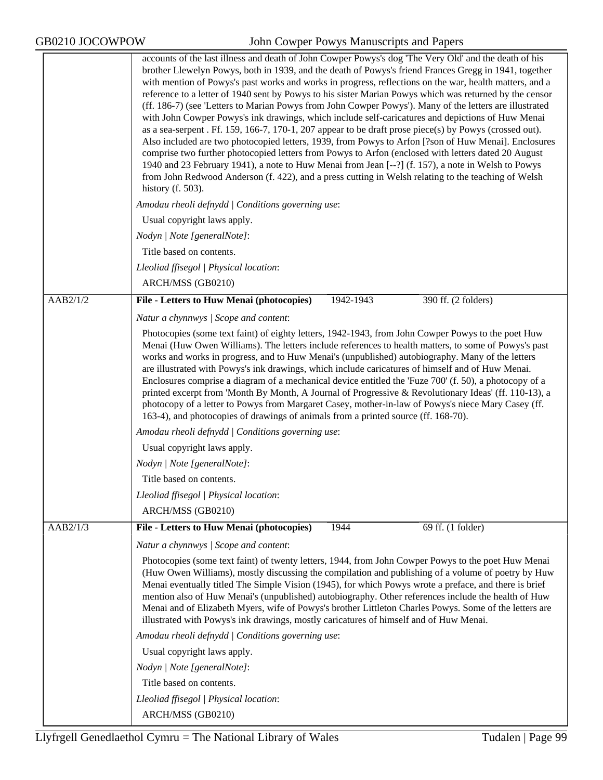|          | accounts of the last illness and death of John Cowper Powys's dog 'The Very Old' and the death of his<br>brother Llewelyn Powys, both in 1939, and the death of Powys's friend Frances Gregg in 1941, together<br>with mention of Powys's past works and works in progress, reflections on the war, health matters, and a<br>reference to a letter of 1940 sent by Powys to his sister Marian Powys which was returned by the censor<br>(ff. 186-7) (see 'Letters to Marian Powys from John Cowper Powys'). Many of the letters are illustrated<br>with John Cowper Powys's ink drawings, which include self-caricatures and depictions of Huw Menai<br>as a sea-serpent . Ff. 159, 166-7, 170-1, 207 appear to be draft prose piece(s) by Powys (crossed out).<br>Also included are two photocopied letters, 1939, from Powys to Arfon [?son of Huw Menai]. Enclosures<br>comprise two further photocopied letters from Powys to Arfon (enclosed with letters dated 20 August<br>1940 and 23 February 1941), a note to Huw Menai from Jean [--?] (f. 157), a note in Welsh to Powys<br>from John Redwood Anderson (f. 422), and a press cutting in Welsh relating to the teaching of Welsh<br>history $(f. 503)$ . |  |  |  |
|----------|---------------------------------------------------------------------------------------------------------------------------------------------------------------------------------------------------------------------------------------------------------------------------------------------------------------------------------------------------------------------------------------------------------------------------------------------------------------------------------------------------------------------------------------------------------------------------------------------------------------------------------------------------------------------------------------------------------------------------------------------------------------------------------------------------------------------------------------------------------------------------------------------------------------------------------------------------------------------------------------------------------------------------------------------------------------------------------------------------------------------------------------------------------------------------------------------------------------------|--|--|--|
|          | Amodau rheoli defnydd   Conditions governing use:                                                                                                                                                                                                                                                                                                                                                                                                                                                                                                                                                                                                                                                                                                                                                                                                                                                                                                                                                                                                                                                                                                                                                                   |  |  |  |
|          | Usual copyright laws apply.                                                                                                                                                                                                                                                                                                                                                                                                                                                                                                                                                                                                                                                                                                                                                                                                                                                                                                                                                                                                                                                                                                                                                                                         |  |  |  |
|          | Nodyn   Note [generalNote]:                                                                                                                                                                                                                                                                                                                                                                                                                                                                                                                                                                                                                                                                                                                                                                                                                                                                                                                                                                                                                                                                                                                                                                                         |  |  |  |
|          | Title based on contents.                                                                                                                                                                                                                                                                                                                                                                                                                                                                                                                                                                                                                                                                                                                                                                                                                                                                                                                                                                                                                                                                                                                                                                                            |  |  |  |
|          | Lleoliad ffisegol   Physical location:                                                                                                                                                                                                                                                                                                                                                                                                                                                                                                                                                                                                                                                                                                                                                                                                                                                                                                                                                                                                                                                                                                                                                                              |  |  |  |
|          | ARCH/MSS (GB0210)                                                                                                                                                                                                                                                                                                                                                                                                                                                                                                                                                                                                                                                                                                                                                                                                                                                                                                                                                                                                                                                                                                                                                                                                   |  |  |  |
| AAB2/1/2 | File - Letters to Huw Menai (photocopies)<br>390 ff. (2 folders)<br>1942-1943                                                                                                                                                                                                                                                                                                                                                                                                                                                                                                                                                                                                                                                                                                                                                                                                                                                                                                                                                                                                                                                                                                                                       |  |  |  |
|          | Natur a chynnwys / Scope and content:                                                                                                                                                                                                                                                                                                                                                                                                                                                                                                                                                                                                                                                                                                                                                                                                                                                                                                                                                                                                                                                                                                                                                                               |  |  |  |
|          | Photocopies (some text faint) of eighty letters, 1942-1943, from John Cowper Powys to the poet Huw<br>Menai (Huw Owen Williams). The letters include references to health matters, to some of Powys's past<br>works and works in progress, and to Huw Menai's (unpublished) autobiography. Many of the letters<br>are illustrated with Powys's ink drawings, which include caricatures of himself and of Huw Menai.<br>Enclosures comprise a diagram of a mechanical device entitled the 'Fuze 700' (f. 50), a photocopy of a<br>printed excerpt from 'Month By Month, A Journal of Progressive & Revolutionary Ideas' (ff. 110-13), a<br>photocopy of a letter to Powys from Margaret Casey, mother-in-law of Powys's niece Mary Casey (ff.<br>163-4), and photocopies of drawings of animals from a printed source (ff. 168-70).                                                                                                                                                                                                                                                                                                                                                                                  |  |  |  |
|          | Amodau rheoli defnydd   Conditions governing use:                                                                                                                                                                                                                                                                                                                                                                                                                                                                                                                                                                                                                                                                                                                                                                                                                                                                                                                                                                                                                                                                                                                                                                   |  |  |  |
|          | Usual copyright laws apply.                                                                                                                                                                                                                                                                                                                                                                                                                                                                                                                                                                                                                                                                                                                                                                                                                                                                                                                                                                                                                                                                                                                                                                                         |  |  |  |
|          | Nodyn   Note [generalNote]:                                                                                                                                                                                                                                                                                                                                                                                                                                                                                                                                                                                                                                                                                                                                                                                                                                                                                                                                                                                                                                                                                                                                                                                         |  |  |  |
|          | Title based on contents.                                                                                                                                                                                                                                                                                                                                                                                                                                                                                                                                                                                                                                                                                                                                                                                                                                                                                                                                                                                                                                                                                                                                                                                            |  |  |  |
|          | Lleoliad ffisegol   Physical location:                                                                                                                                                                                                                                                                                                                                                                                                                                                                                                                                                                                                                                                                                                                                                                                                                                                                                                                                                                                                                                                                                                                                                                              |  |  |  |
|          | ARCH/MSS (GB0210)                                                                                                                                                                                                                                                                                                                                                                                                                                                                                                                                                                                                                                                                                                                                                                                                                                                                                                                                                                                                                                                                                                                                                                                                   |  |  |  |
| AAB2/1/3 | File - Letters to Huw Menai (photocopies)<br>1944<br>69 ff. (1 folder)                                                                                                                                                                                                                                                                                                                                                                                                                                                                                                                                                                                                                                                                                                                                                                                                                                                                                                                                                                                                                                                                                                                                              |  |  |  |
|          | Natur a chynnwys / Scope and content:                                                                                                                                                                                                                                                                                                                                                                                                                                                                                                                                                                                                                                                                                                                                                                                                                                                                                                                                                                                                                                                                                                                                                                               |  |  |  |
|          | Photocopies (some text faint) of twenty letters, 1944, from John Cowper Powys to the poet Huw Menai<br>(Huw Owen Williams), mostly discussing the compilation and publishing of a volume of poetry by Huw<br>Menai eventually titled The Simple Vision (1945), for which Powys wrote a preface, and there is brief<br>mention also of Huw Menai's (unpublished) autobiography. Other references include the health of Huw<br>Menai and of Elizabeth Myers, wife of Powys's brother Littleton Charles Powys. Some of the letters are<br>illustrated with Powys's ink drawings, mostly caricatures of himself and of Huw Menai.                                                                                                                                                                                                                                                                                                                                                                                                                                                                                                                                                                                       |  |  |  |
|          | Amodau rheoli defnydd   Conditions governing use:                                                                                                                                                                                                                                                                                                                                                                                                                                                                                                                                                                                                                                                                                                                                                                                                                                                                                                                                                                                                                                                                                                                                                                   |  |  |  |
|          | Usual copyright laws apply.                                                                                                                                                                                                                                                                                                                                                                                                                                                                                                                                                                                                                                                                                                                                                                                                                                                                                                                                                                                                                                                                                                                                                                                         |  |  |  |
|          | Nodyn   Note [generalNote]:                                                                                                                                                                                                                                                                                                                                                                                                                                                                                                                                                                                                                                                                                                                                                                                                                                                                                                                                                                                                                                                                                                                                                                                         |  |  |  |
|          | Title based on contents.                                                                                                                                                                                                                                                                                                                                                                                                                                                                                                                                                                                                                                                                                                                                                                                                                                                                                                                                                                                                                                                                                                                                                                                            |  |  |  |
|          | Lleoliad ffisegol   Physical location:                                                                                                                                                                                                                                                                                                                                                                                                                                                                                                                                                                                                                                                                                                                                                                                                                                                                                                                                                                                                                                                                                                                                                                              |  |  |  |
|          | ARCH/MSS (GB0210)                                                                                                                                                                                                                                                                                                                                                                                                                                                                                                                                                                                                                                                                                                                                                                                                                                                                                                                                                                                                                                                                                                                                                                                                   |  |  |  |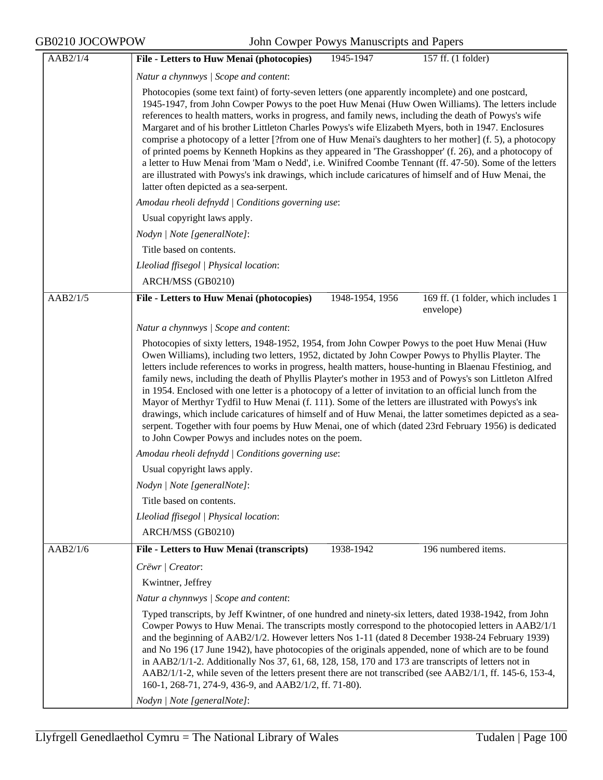GB0210 JOCOWPOW John Cowper Powys Manuscripts and Papers

| AAB2/1/4 | File - Letters to Huw Menai (photocopies)<br>1945-1947<br>157 ff. (1 folder)                                                                                                                                                                                                                                                                                                                                                                                                                                                                                                                                                                                                                                                                                                                                                                                                                                                   |  |  |
|----------|--------------------------------------------------------------------------------------------------------------------------------------------------------------------------------------------------------------------------------------------------------------------------------------------------------------------------------------------------------------------------------------------------------------------------------------------------------------------------------------------------------------------------------------------------------------------------------------------------------------------------------------------------------------------------------------------------------------------------------------------------------------------------------------------------------------------------------------------------------------------------------------------------------------------------------|--|--|
|          | Natur a chynnwys / Scope and content:                                                                                                                                                                                                                                                                                                                                                                                                                                                                                                                                                                                                                                                                                                                                                                                                                                                                                          |  |  |
|          | Photocopies (some text faint) of forty-seven letters (one apparently incomplete) and one postcard,<br>1945-1947, from John Cowper Powys to the poet Huw Menai (Huw Owen Williams). The letters include<br>references to health matters, works in progress, and family news, including the death of Powys's wife<br>Margaret and of his brother Littleton Charles Powys's wife Elizabeth Myers, both in 1947. Enclosures<br>comprise a photocopy of a letter [?from one of Huw Menai's daughters to her mother] (f. 5), a photocopy<br>of printed poems by Kenneth Hopkins as they appeared in 'The Grasshopper' (f. 26), and a photocopy of<br>a letter to Huw Menai from 'Mam o Nedd', i.e. Winifred Coombe Tennant (ff. 47-50). Some of the letters<br>are illustrated with Powys's ink drawings, which include caricatures of himself and of Huw Menai, the<br>latter often depicted as a sea-serpent.                      |  |  |
|          | Amodau rheoli defnydd   Conditions governing use:                                                                                                                                                                                                                                                                                                                                                                                                                                                                                                                                                                                                                                                                                                                                                                                                                                                                              |  |  |
|          | Usual copyright laws apply.                                                                                                                                                                                                                                                                                                                                                                                                                                                                                                                                                                                                                                                                                                                                                                                                                                                                                                    |  |  |
|          | Nodyn   Note [generalNote]:                                                                                                                                                                                                                                                                                                                                                                                                                                                                                                                                                                                                                                                                                                                                                                                                                                                                                                    |  |  |
|          | Title based on contents.                                                                                                                                                                                                                                                                                                                                                                                                                                                                                                                                                                                                                                                                                                                                                                                                                                                                                                       |  |  |
|          | Lleoliad ffisegol   Physical location:                                                                                                                                                                                                                                                                                                                                                                                                                                                                                                                                                                                                                                                                                                                                                                                                                                                                                         |  |  |
|          | ARCH/MSS (GB0210)                                                                                                                                                                                                                                                                                                                                                                                                                                                                                                                                                                                                                                                                                                                                                                                                                                                                                                              |  |  |
| AAB2/1/5 | File - Letters to Huw Menai (photocopies)<br>1948-1954, 1956<br>169 ff. (1 folder, which includes 1<br>envelope)                                                                                                                                                                                                                                                                                                                                                                                                                                                                                                                                                                                                                                                                                                                                                                                                               |  |  |
|          | Natur a chynnwys / Scope and content:                                                                                                                                                                                                                                                                                                                                                                                                                                                                                                                                                                                                                                                                                                                                                                                                                                                                                          |  |  |
|          | Photocopies of sixty letters, 1948-1952, 1954, from John Cowper Powys to the poet Huw Menai (Huw<br>Owen Williams), including two letters, 1952, dictated by John Cowper Powys to Phyllis Playter. The<br>letters include references to works in progress, health matters, house-hunting in Blaenau Ffestiniog, and<br>family news, including the death of Phyllis Playter's mother in 1953 and of Powys's son Littleton Alfred<br>in 1954. Enclosed with one letter is a photocopy of a letter of invitation to an official lunch from the<br>Mayor of Merthyr Tydfil to Huw Menai (f. 111). Some of the letters are illustrated with Powys's ink<br>drawings, which include caricatures of himself and of Huw Menai, the latter sometimes depicted as a sea-<br>serpent. Together with four poems by Huw Menai, one of which (dated 23rd February 1956) is dedicated<br>to John Cowper Powys and includes notes on the poem. |  |  |
|          | Amodau rheoli defnydd   Conditions governing use:                                                                                                                                                                                                                                                                                                                                                                                                                                                                                                                                                                                                                                                                                                                                                                                                                                                                              |  |  |
|          | Usual copyright laws apply.                                                                                                                                                                                                                                                                                                                                                                                                                                                                                                                                                                                                                                                                                                                                                                                                                                                                                                    |  |  |
|          | Nodyn   Note [generalNote]:                                                                                                                                                                                                                                                                                                                                                                                                                                                                                                                                                                                                                                                                                                                                                                                                                                                                                                    |  |  |
|          | Title based on contents.                                                                                                                                                                                                                                                                                                                                                                                                                                                                                                                                                                                                                                                                                                                                                                                                                                                                                                       |  |  |
|          | Lleoliad ffisegol   Physical location:                                                                                                                                                                                                                                                                                                                                                                                                                                                                                                                                                                                                                                                                                                                                                                                                                                                                                         |  |  |
|          | ARCH/MSS (GB0210)                                                                                                                                                                                                                                                                                                                                                                                                                                                                                                                                                                                                                                                                                                                                                                                                                                                                                                              |  |  |
| AAB2/1/6 | File - Letters to Huw Menai (transcripts)<br>1938-1942<br>196 numbered items.                                                                                                                                                                                                                                                                                                                                                                                                                                                                                                                                                                                                                                                                                                                                                                                                                                                  |  |  |
|          | Crëwr   Creator:                                                                                                                                                                                                                                                                                                                                                                                                                                                                                                                                                                                                                                                                                                                                                                                                                                                                                                               |  |  |
|          | Kwintner, Jeffrey                                                                                                                                                                                                                                                                                                                                                                                                                                                                                                                                                                                                                                                                                                                                                                                                                                                                                                              |  |  |
|          | Natur a chynnwys / Scope and content:                                                                                                                                                                                                                                                                                                                                                                                                                                                                                                                                                                                                                                                                                                                                                                                                                                                                                          |  |  |
|          | Typed transcripts, by Jeff Kwintner, of one hundred and ninety-six letters, dated 1938-1942, from John<br>Cowper Powys to Huw Menai. The transcripts mostly correspond to the photocopied letters in AAB2/1/1<br>and the beginning of AAB2/1/2. However letters Nos 1-11 (dated 8 December 1938-24 February 1939)<br>and No 196 (17 June 1942), have photocopies of the originals appended, none of which are to be found<br>in AAB2/1/1-2. Additionally Nos 37, 61, 68, 128, 158, 170 and 173 are transcripts of letters not in<br>AAB2/1/1-2, while seven of the letters present there are not transcribed (see AAB2/1/1, ff. 145-6, 153-4,<br>160-1, 268-71, 274-9, 436-9, and AAB2/1/2, ff. 71-80).<br>Nodyn   Note [generalNote]:                                                                                                                                                                                         |  |  |
|          |                                                                                                                                                                                                                                                                                                                                                                                                                                                                                                                                                                                                                                                                                                                                                                                                                                                                                                                                |  |  |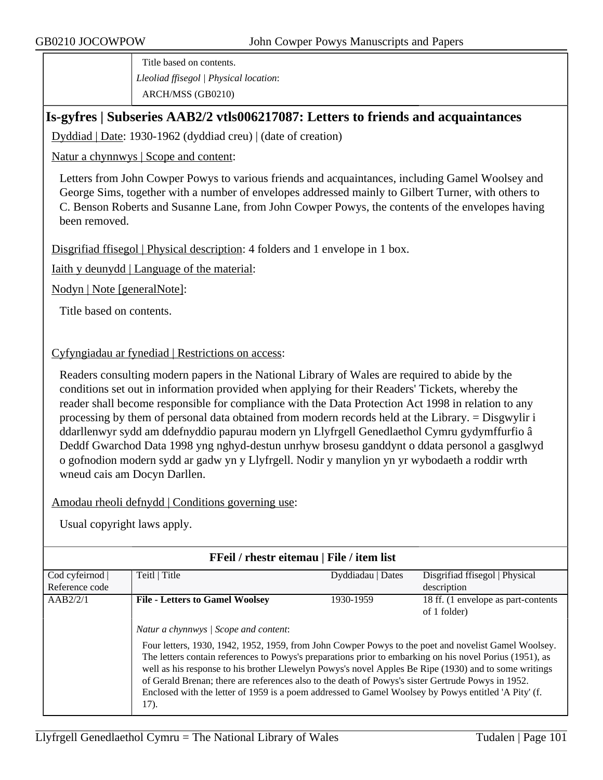Title based on contents. *Lleoliad ffisegol | Physical location*: ARCH/MSS (GB0210)

### **Is-gyfres | Subseries AAB2/2 vtls006217087: Letters to friends and acquaintances**

Dyddiad | Date: 1930-1962 (dyddiad creu) | (date of creation)

Natur a chynnwys | Scope and content:

Letters from John Cowper Powys to various friends and acquaintances, including Gamel Woolsey and George Sims, together with a number of envelopes addressed mainly to Gilbert Turner, with others to C. Benson Roberts and Susanne Lane, from John Cowper Powys, the contents of the envelopes having been removed.

Disgrifiad ffisegol | Physical description: 4 folders and 1 envelope in 1 box.

Iaith y deunydd | Language of the material:

Nodyn | Note [generalNote]:

Title based on contents.

#### Cyfyngiadau ar fynediad | Restrictions on access:

Readers consulting modern papers in the National Library of Wales are required to abide by the conditions set out in information provided when applying for their Readers' Tickets, whereby the reader shall become responsible for compliance with the Data Protection Act 1998 in relation to any processing by them of personal data obtained from modern records held at the Library. = Disgwylir i ddarllenwyr sydd am ddefnyddio papurau modern yn Llyfrgell Genedlaethol Cymru gydymffurfio â Deddf Gwarchod Data 1998 yng nghyd-destun unrhyw brosesu ganddynt o ddata personol a gasglwyd o gofnodion modern sydd ar gadw yn y Llyfrgell. Nodir y manylion yn yr wybodaeth a roddir wrth wneud cais am Docyn Darllen.

Amodau rheoli defnydd | Conditions governing use:

| FFeil / rhestr eitemau   File / item list |                                                                                                                                                                                                                                                                                                                                                                                                                                                                                                                                                                                          |                   |                                     |  |  |
|-------------------------------------------|------------------------------------------------------------------------------------------------------------------------------------------------------------------------------------------------------------------------------------------------------------------------------------------------------------------------------------------------------------------------------------------------------------------------------------------------------------------------------------------------------------------------------------------------------------------------------------------|-------------------|-------------------------------------|--|--|
| Cod cyfeirnod                             | Teitl   Title                                                                                                                                                                                                                                                                                                                                                                                                                                                                                                                                                                            | Dyddiadau   Dates | Disgrifiad ffisegol   Physical      |  |  |
| Reference code                            |                                                                                                                                                                                                                                                                                                                                                                                                                                                                                                                                                                                          |                   | description                         |  |  |
| AAB2/2/1                                  | <b>File - Letters to Gamel Woolsey</b>                                                                                                                                                                                                                                                                                                                                                                                                                                                                                                                                                   | 1930-1959         | 18 ff. (1 envelope as part-contents |  |  |
|                                           |                                                                                                                                                                                                                                                                                                                                                                                                                                                                                                                                                                                          |                   | of 1 folder)                        |  |  |
|                                           | Natur a chynnwys / Scope and content:<br>Four letters, 1930, 1942, 1952, 1959, from John Cowper Powys to the poet and novelist Gamel Woolsey.<br>The letters contain references to Powys's preparations prior to embarking on his novel Porius (1951), as<br>well as his response to his brother Llewelyn Powys's novel Apples Be Ripe (1930) and to some writings<br>of Gerald Brenan; there are references also to the death of Powys's sister Gertrude Powys in 1952.<br>Enclosed with the letter of 1959 is a poem addressed to Gamel Woolsey by Powys entitled 'A Pity' (f.<br>17). |                   |                                     |  |  |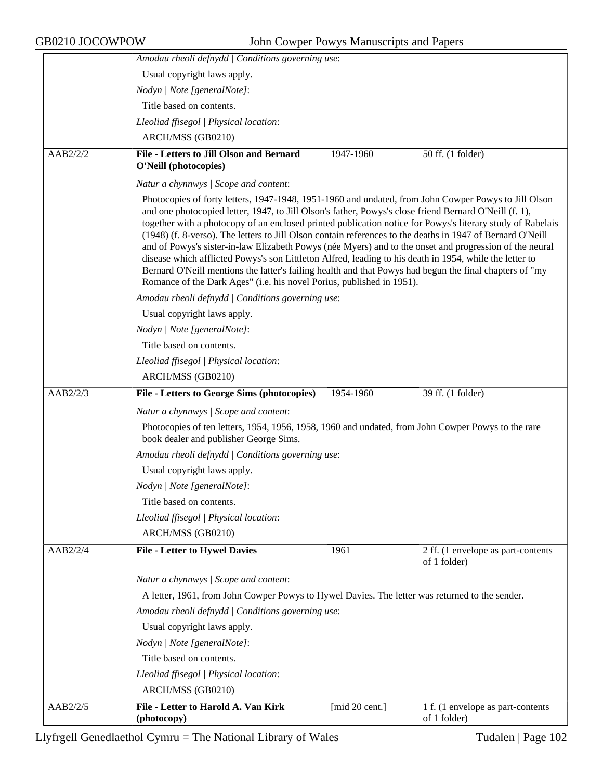|          | Amodau rheoli defnydd   Conditions governing use:                                                                                                                                                                                                                                                                                                                                                                                                                                                                                                                                                                                                                                                                                                                                                                                                    |                |                                    |  |
|----------|------------------------------------------------------------------------------------------------------------------------------------------------------------------------------------------------------------------------------------------------------------------------------------------------------------------------------------------------------------------------------------------------------------------------------------------------------------------------------------------------------------------------------------------------------------------------------------------------------------------------------------------------------------------------------------------------------------------------------------------------------------------------------------------------------------------------------------------------------|----------------|------------------------------------|--|
|          | Usual copyright laws apply.                                                                                                                                                                                                                                                                                                                                                                                                                                                                                                                                                                                                                                                                                                                                                                                                                          |                |                                    |  |
|          | Nodyn   Note [generalNote]:                                                                                                                                                                                                                                                                                                                                                                                                                                                                                                                                                                                                                                                                                                                                                                                                                          |                |                                    |  |
|          | Title based on contents.                                                                                                                                                                                                                                                                                                                                                                                                                                                                                                                                                                                                                                                                                                                                                                                                                             |                |                                    |  |
|          | Lleoliad ffisegol   Physical location:                                                                                                                                                                                                                                                                                                                                                                                                                                                                                                                                                                                                                                                                                                                                                                                                               |                |                                    |  |
|          | ARCH/MSS (GB0210)                                                                                                                                                                                                                                                                                                                                                                                                                                                                                                                                                                                                                                                                                                                                                                                                                                    |                |                                    |  |
| AAB2/2/2 | <b>File - Letters to Jill Olson and Bernard</b>                                                                                                                                                                                                                                                                                                                                                                                                                                                                                                                                                                                                                                                                                                                                                                                                      | 1947-1960      | 50 ff. (1 folder)                  |  |
|          | O'Neill (photocopies)                                                                                                                                                                                                                                                                                                                                                                                                                                                                                                                                                                                                                                                                                                                                                                                                                                |                |                                    |  |
|          | Natur a chynnwys / Scope and content:                                                                                                                                                                                                                                                                                                                                                                                                                                                                                                                                                                                                                                                                                                                                                                                                                |                |                                    |  |
|          | Photocopies of forty letters, 1947-1948, 1951-1960 and undated, from John Cowper Powys to Jill Olson<br>and one photocopied letter, 1947, to Jill Olson's father, Powys's close friend Bernard O'Neill (f. 1),<br>together with a photocopy of an enclosed printed publication notice for Powys's literary study of Rabelais<br>(1948) (f. 8-verso). The letters to Jill Olson contain references to the deaths in 1947 of Bernard O'Neill<br>and of Powys's sister-in-law Elizabeth Powys (née Myers) and to the onset and progression of the neural<br>disease which afflicted Powys's son Littleton Alfred, leading to his death in 1954, while the letter to<br>Bernard O'Neill mentions the latter's failing health and that Powys had begun the final chapters of "my<br>Romance of the Dark Ages" (i.e. his novel Porius, published in 1951). |                |                                    |  |
|          | Amodau rheoli defnydd   Conditions governing use:                                                                                                                                                                                                                                                                                                                                                                                                                                                                                                                                                                                                                                                                                                                                                                                                    |                |                                    |  |
|          | Usual copyright laws apply.                                                                                                                                                                                                                                                                                                                                                                                                                                                                                                                                                                                                                                                                                                                                                                                                                          |                |                                    |  |
|          | Nodyn   Note [generalNote]:                                                                                                                                                                                                                                                                                                                                                                                                                                                                                                                                                                                                                                                                                                                                                                                                                          |                |                                    |  |
|          | Title based on contents.                                                                                                                                                                                                                                                                                                                                                                                                                                                                                                                                                                                                                                                                                                                                                                                                                             |                |                                    |  |
|          | Lleoliad ffisegol   Physical location:                                                                                                                                                                                                                                                                                                                                                                                                                                                                                                                                                                                                                                                                                                                                                                                                               |                |                                    |  |
|          | ARCH/MSS (GB0210)                                                                                                                                                                                                                                                                                                                                                                                                                                                                                                                                                                                                                                                                                                                                                                                                                                    |                |                                    |  |
| AAB2/2/3 | File - Letters to George Sims (photocopies)                                                                                                                                                                                                                                                                                                                                                                                                                                                                                                                                                                                                                                                                                                                                                                                                          | 1954-1960      | 39 ff. (1 folder)                  |  |
|          | Natur a chynnwys / Scope and content:                                                                                                                                                                                                                                                                                                                                                                                                                                                                                                                                                                                                                                                                                                                                                                                                                |                |                                    |  |
|          | Photocopies of ten letters, 1954, 1956, 1958, 1960 and undated, from John Cowper Powys to the rare<br>book dealer and publisher George Sims.                                                                                                                                                                                                                                                                                                                                                                                                                                                                                                                                                                                                                                                                                                         |                |                                    |  |
|          | Amodau rheoli defnydd   Conditions governing use:                                                                                                                                                                                                                                                                                                                                                                                                                                                                                                                                                                                                                                                                                                                                                                                                    |                |                                    |  |
|          | Usual copyright laws apply.                                                                                                                                                                                                                                                                                                                                                                                                                                                                                                                                                                                                                                                                                                                                                                                                                          |                |                                    |  |
|          | Nodyn   Note [generalNote]:                                                                                                                                                                                                                                                                                                                                                                                                                                                                                                                                                                                                                                                                                                                                                                                                                          |                |                                    |  |
|          | Title based on contents.                                                                                                                                                                                                                                                                                                                                                                                                                                                                                                                                                                                                                                                                                                                                                                                                                             |                |                                    |  |
|          | Lleoliad ffisegol   Physical location:                                                                                                                                                                                                                                                                                                                                                                                                                                                                                                                                                                                                                                                                                                                                                                                                               |                |                                    |  |
|          | ARCH/MSS (GB0210)                                                                                                                                                                                                                                                                                                                                                                                                                                                                                                                                                                                                                                                                                                                                                                                                                                    |                |                                    |  |
| AAB2/2/4 | <b>File - Letter to Hywel Davies</b>                                                                                                                                                                                                                                                                                                                                                                                                                                                                                                                                                                                                                                                                                                                                                                                                                 | 1961           | 2 ff. (1 envelope as part-contents |  |
|          |                                                                                                                                                                                                                                                                                                                                                                                                                                                                                                                                                                                                                                                                                                                                                                                                                                                      |                | of 1 folder)                       |  |
|          | Natur a chynnwys / Scope and content:                                                                                                                                                                                                                                                                                                                                                                                                                                                                                                                                                                                                                                                                                                                                                                                                                |                |                                    |  |
|          | A letter, 1961, from John Cowper Powys to Hywel Davies. The letter was returned to the sender.                                                                                                                                                                                                                                                                                                                                                                                                                                                                                                                                                                                                                                                                                                                                                       |                |                                    |  |
|          | Amodau rheoli defnydd   Conditions governing use:                                                                                                                                                                                                                                                                                                                                                                                                                                                                                                                                                                                                                                                                                                                                                                                                    |                |                                    |  |
|          | Usual copyright laws apply.                                                                                                                                                                                                                                                                                                                                                                                                                                                                                                                                                                                                                                                                                                                                                                                                                          |                |                                    |  |
|          | Nodyn   Note [generalNote]:                                                                                                                                                                                                                                                                                                                                                                                                                                                                                                                                                                                                                                                                                                                                                                                                                          |                |                                    |  |
|          | Title based on contents.                                                                                                                                                                                                                                                                                                                                                                                                                                                                                                                                                                                                                                                                                                                                                                                                                             |                |                                    |  |
|          | Lleoliad ffisegol   Physical location:                                                                                                                                                                                                                                                                                                                                                                                                                                                                                                                                                                                                                                                                                                                                                                                                               |                |                                    |  |
|          | ARCH/MSS (GB0210)                                                                                                                                                                                                                                                                                                                                                                                                                                                                                                                                                                                                                                                                                                                                                                                                                                    |                |                                    |  |
| AAB2/2/5 | File - Letter to Harold A. Van Kirk                                                                                                                                                                                                                                                                                                                                                                                                                                                                                                                                                                                                                                                                                                                                                                                                                  | [mid 20 cent.] | 1 f. (1 envelope as part-contents  |  |
|          | (photocopy)                                                                                                                                                                                                                                                                                                                                                                                                                                                                                                                                                                                                                                                                                                                                                                                                                                          |                | of 1 folder)                       |  |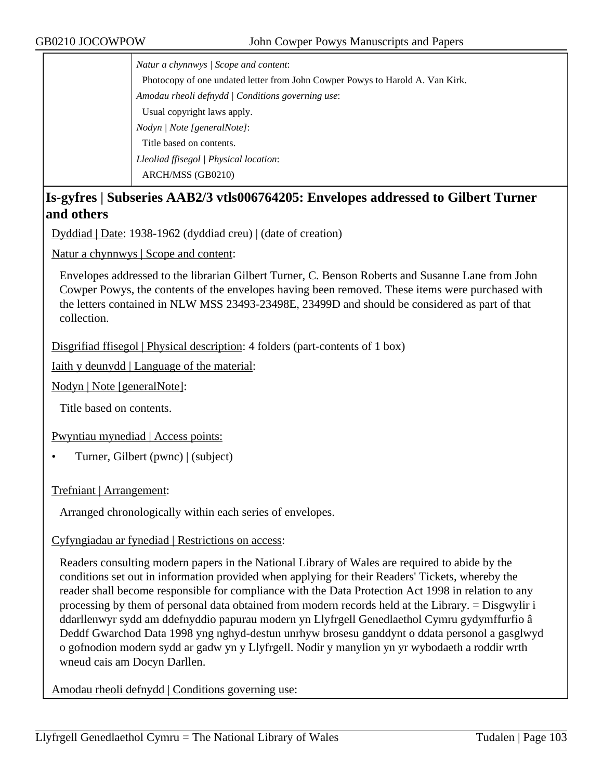*Natur a chynnwys | Scope and content*: Photocopy of one undated letter from John Cowper Powys to Harold A. Van Kirk. *Amodau rheoli defnydd | Conditions governing use*: Usual copyright laws apply. *Nodyn | Note [generalNote]*: Title based on contents. *Lleoliad ffisegol | Physical location*: ARCH/MSS (GB0210)

## **Is-gyfres | Subseries AAB2/3 vtls006764205: Envelopes addressed to Gilbert Turner and others**

Dyddiad | Date: 1938-1962 (dyddiad creu) | (date of creation)

Natur a chynnwys | Scope and content:

Envelopes addressed to the librarian Gilbert Turner, C. Benson Roberts and Susanne Lane from John Cowper Powys, the contents of the envelopes having been removed. These items were purchased with the letters contained in NLW MSS 23493-23498E, 23499D and should be considered as part of that collection.

Disgrifiad ffisegol | Physical description: 4 folders (part-contents of 1 box)

Iaith y deunydd | Language of the material:

Nodyn | Note [generalNote]:

Title based on contents.

Pwyntiau mynediad | Access points:

• Turner, Gilbert (pwnc) | (subject)

Trefniant | Arrangement:

Arranged chronologically within each series of envelopes.

#### Cyfyngiadau ar fynediad | Restrictions on access:

Readers consulting modern papers in the National Library of Wales are required to abide by the conditions set out in information provided when applying for their Readers' Tickets, whereby the reader shall become responsible for compliance with the Data Protection Act 1998 in relation to any processing by them of personal data obtained from modern records held at the Library. = Disgwylir i ddarllenwyr sydd am ddefnyddio papurau modern yn Llyfrgell Genedlaethol Cymru gydymffurfio â Deddf Gwarchod Data 1998 yng nghyd-destun unrhyw brosesu ganddynt o ddata personol a gasglwyd o gofnodion modern sydd ar gadw yn y Llyfrgell. Nodir y manylion yn yr wybodaeth a roddir wrth wneud cais am Docyn Darllen.

Amodau rheoli defnydd | Conditions governing use: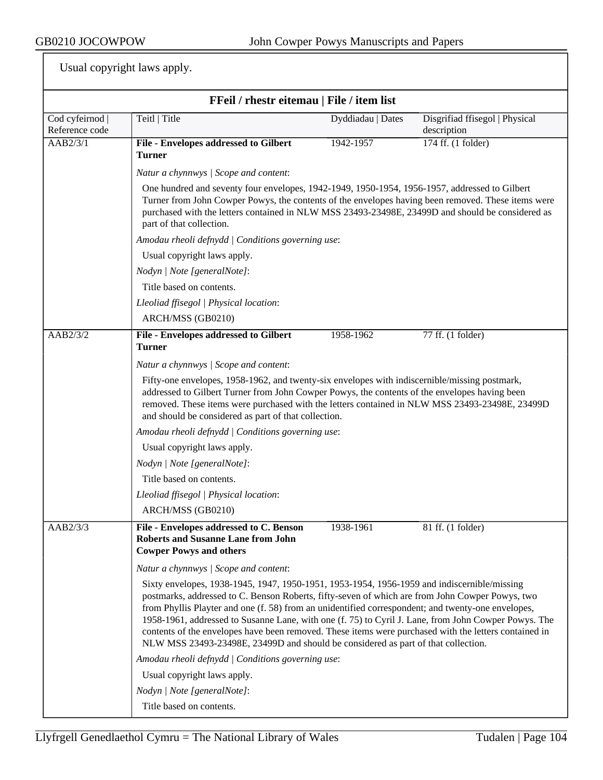| FFeil / rhestr eitemau   File / item list |                                                                                                                                                                                                                                                                                                                                                                                                                                                                                                                                                                                                            |                   |                                               |  |
|-------------------------------------------|------------------------------------------------------------------------------------------------------------------------------------------------------------------------------------------------------------------------------------------------------------------------------------------------------------------------------------------------------------------------------------------------------------------------------------------------------------------------------------------------------------------------------------------------------------------------------------------------------------|-------------------|-----------------------------------------------|--|
| Cod cyfeirnod  <br>Reference code         | Teitl   Title                                                                                                                                                                                                                                                                                                                                                                                                                                                                                                                                                                                              | Dyddiadau   Dates | Disgrifiad ffisegol   Physical<br>description |  |
| $\overline{AB2/3/1}$                      | File - Envelopes addressed to Gilbert<br><b>Turner</b>                                                                                                                                                                                                                                                                                                                                                                                                                                                                                                                                                     | 1942-1957         | 174 ff. (1 folder)                            |  |
|                                           | Natur a chynnwys / Scope and content:                                                                                                                                                                                                                                                                                                                                                                                                                                                                                                                                                                      |                   |                                               |  |
|                                           | One hundred and seventy four envelopes, 1942-1949, 1950-1954, 1956-1957, addressed to Gilbert<br>Turner from John Cowper Powys, the contents of the envelopes having been removed. These items were<br>purchased with the letters contained in NLW MSS 23493-23498E, 23499D and should be considered as<br>part of that collection.                                                                                                                                                                                                                                                                        |                   |                                               |  |
|                                           | Amodau rheoli defnydd   Conditions governing use:                                                                                                                                                                                                                                                                                                                                                                                                                                                                                                                                                          |                   |                                               |  |
|                                           | Usual copyright laws apply.                                                                                                                                                                                                                                                                                                                                                                                                                                                                                                                                                                                |                   |                                               |  |
|                                           | Nodyn   Note [generalNote]:                                                                                                                                                                                                                                                                                                                                                                                                                                                                                                                                                                                |                   |                                               |  |
|                                           | Title based on contents.                                                                                                                                                                                                                                                                                                                                                                                                                                                                                                                                                                                   |                   |                                               |  |
|                                           | Lleoliad ffisegol   Physical location:                                                                                                                                                                                                                                                                                                                                                                                                                                                                                                                                                                     |                   |                                               |  |
|                                           | ARCH/MSS (GB0210)                                                                                                                                                                                                                                                                                                                                                                                                                                                                                                                                                                                          |                   |                                               |  |
| AAB2/3/2                                  | File - Envelopes addressed to Gilbert<br><b>Turner</b>                                                                                                                                                                                                                                                                                                                                                                                                                                                                                                                                                     | 1958-1962         | 77 ff. (1 folder)                             |  |
|                                           | Natur a chynnwys / Scope and content:                                                                                                                                                                                                                                                                                                                                                                                                                                                                                                                                                                      |                   |                                               |  |
|                                           | Fifty-one envelopes, 1958-1962, and twenty-six envelopes with indiscernible/missing postmark,<br>addressed to Gilbert Turner from John Cowper Powys, the contents of the envelopes having been<br>removed. These items were purchased with the letters contained in NLW MSS 23493-23498E, 23499D<br>and should be considered as part of that collection.                                                                                                                                                                                                                                                   |                   |                                               |  |
|                                           | Amodau rheoli defnydd   Conditions governing use:                                                                                                                                                                                                                                                                                                                                                                                                                                                                                                                                                          |                   |                                               |  |
|                                           | Usual copyright laws apply.                                                                                                                                                                                                                                                                                                                                                                                                                                                                                                                                                                                |                   |                                               |  |
|                                           | Nodyn   Note [generalNote]:                                                                                                                                                                                                                                                                                                                                                                                                                                                                                                                                                                                |                   |                                               |  |
|                                           | Title based on contents.                                                                                                                                                                                                                                                                                                                                                                                                                                                                                                                                                                                   |                   |                                               |  |
|                                           | Lleoliad ffisegol   Physical location:                                                                                                                                                                                                                                                                                                                                                                                                                                                                                                                                                                     |                   |                                               |  |
|                                           | ARCH/MSS (GB0210)                                                                                                                                                                                                                                                                                                                                                                                                                                                                                                                                                                                          |                   |                                               |  |
| AAB2/3/3                                  | File - Envelopes addressed to C. Benson<br><b>Roberts and Susanne Lane from John</b><br><b>Cowper Powys and others</b>                                                                                                                                                                                                                                                                                                                                                                                                                                                                                     | 1938-1961         | 81 ff. (1 folder)                             |  |
|                                           | Natur a chynnwys / Scope and content:                                                                                                                                                                                                                                                                                                                                                                                                                                                                                                                                                                      |                   |                                               |  |
|                                           | Sixty envelopes, 1938-1945, 1947, 1950-1951, 1953-1954, 1956-1959 and indiscernible/missing<br>postmarks, addressed to C. Benson Roberts, fifty-seven of which are from John Cowper Powys, two<br>from Phyllis Playter and one (f. 58) from an unidentified correspondent; and twenty-one envelopes,<br>1958-1961, addressed to Susanne Lane, with one (f. 75) to Cyril J. Lane, from John Cowper Powys. The<br>contents of the envelopes have been removed. These items were purchased with the letters contained in<br>NLW MSS 23493-23498E, 23499D and should be considered as part of that collection. |                   |                                               |  |
|                                           | Amodau rheoli defnydd   Conditions governing use:                                                                                                                                                                                                                                                                                                                                                                                                                                                                                                                                                          |                   |                                               |  |
|                                           | Usual copyright laws apply.                                                                                                                                                                                                                                                                                                                                                                                                                                                                                                                                                                                |                   |                                               |  |
|                                           | Nodyn   Note [generalNote]:                                                                                                                                                                                                                                                                                                                                                                                                                                                                                                                                                                                |                   |                                               |  |
|                                           | Title based on contents.                                                                                                                                                                                                                                                                                                                                                                                                                                                                                                                                                                                   |                   |                                               |  |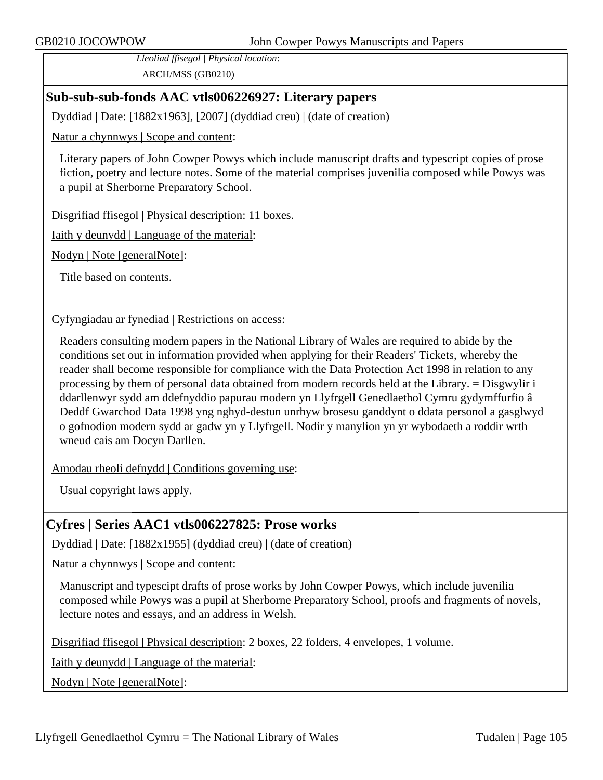*Lleoliad ffisegol | Physical location*: ARCH/MSS (GB0210)

## **Sub-sub-sub-fonds AAC vtls006226927: Literary papers**

Dyddiad | Date: [1882x1963], [2007] (dyddiad creu) | (date of creation)

Natur a chynnwys | Scope and content:

Literary papers of John Cowper Powys which include manuscript drafts and typescript copies of prose fiction, poetry and lecture notes. Some of the material comprises juvenilia composed while Powys was a pupil at Sherborne Preparatory School.

Disgrifiad ffisegol | Physical description: 11 boxes.

Iaith y deunydd | Language of the material:

Nodyn | Note [generalNote]:

Title based on contents.

Cyfyngiadau ar fynediad | Restrictions on access:

Readers consulting modern papers in the National Library of Wales are required to abide by the conditions set out in information provided when applying for their Readers' Tickets, whereby the reader shall become responsible for compliance with the Data Protection Act 1998 in relation to any processing by them of personal data obtained from modern records held at the Library. = Disgwylir i ddarllenwyr sydd am ddefnyddio papurau modern yn Llyfrgell Genedlaethol Cymru gydymffurfio â Deddf Gwarchod Data 1998 yng nghyd-destun unrhyw brosesu ganddynt o ddata personol a gasglwyd o gofnodion modern sydd ar gadw yn y Llyfrgell. Nodir y manylion yn yr wybodaeth a roddir wrth wneud cais am Docyn Darllen.

Amodau rheoli defnydd | Conditions governing use:

Usual copyright laws apply.

## **Cyfres | Series AAC1 vtls006227825: Prose works**

Dyddiad | Date: [1882x1955] (dyddiad creu) | (date of creation)

Natur a chynnwys | Scope and content:

Manuscript and typescipt drafts of prose works by John Cowper Powys, which include juvenilia composed while Powys was a pupil at Sherborne Preparatory School, proofs and fragments of novels, lecture notes and essays, and an address in Welsh.

Disgrifiad ffisegol | Physical description: 2 boxes, 22 folders, 4 envelopes, 1 volume.

Iaith y deunydd | Language of the material:

Nodyn | Note [generalNote]: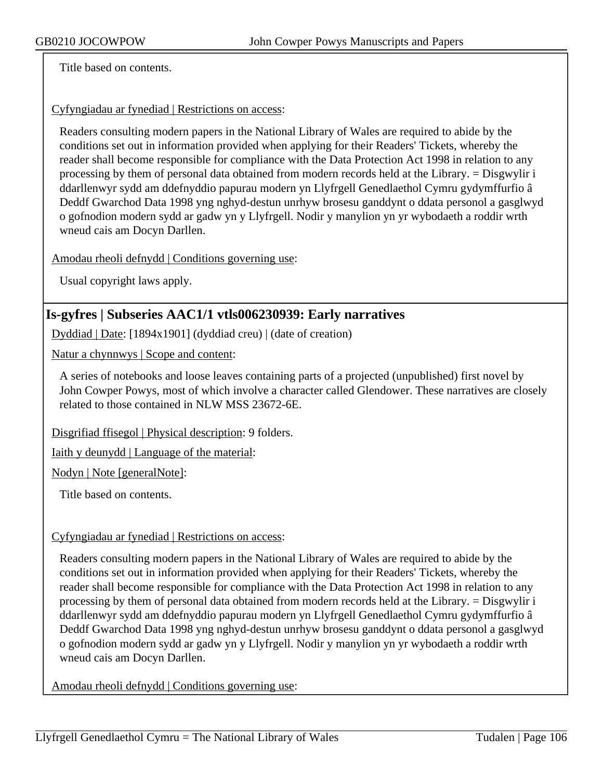Title based on contents.

Cyfyngiadau ar fynediad | Restrictions on access:

Readers consulting modern papers in the National Library of Wales are required to abide by the conditions set out in information provided when applying for their Readers' Tickets, whereby the reader shall become responsible for compliance with the Data Protection Act 1998 in relation to any processing by them of personal data obtained from modern records held at the Library. = Disgwylir i ddarllenwyr sydd am ddefnyddio papurau modern yn Llyfrgell Genedlaethol Cymru gydymffurfio â Deddf Gwarchod Data 1998 yng nghyd-destun unrhyw brosesu ganddynt o ddata personol a gasglwyd o gofnodion modern sydd ar gadw yn y Llyfrgell. Nodir y manylion yn yr wybodaeth a roddir wrth wneud cais am Docyn Darllen.

Amodau rheoli defnydd | Conditions governing use:

Usual copyright laws apply.

### **Is-gyfres | Subseries AAC1/1 vtls006230939: Early narratives**

Dyddiad | Date: [1894x1901] (dyddiad creu) | (date of creation)

Natur a chynnwys | Scope and content:

A series of notebooks and loose leaves containing parts of a projected (unpublished) first novel by John Cowper Powys, most of which involve a character called Glendower. These narratives are closely related to those contained in NLW MSS 23672-6E.

Disgrifiad ffisegol | Physical description: 9 folders.

Iaith y deunydd | Language of the material:

Nodyn | Note [generalNote]:

Title based on contents.

#### Cyfyngiadau ar fynediad | Restrictions on access:

Readers consulting modern papers in the National Library of Wales are required to abide by the conditions set out in information provided when applying for their Readers' Tickets, whereby the reader shall become responsible for compliance with the Data Protection Act 1998 in relation to any processing by them of personal data obtained from modern records held at the Library. = Disgwylir i ddarllenwyr sydd am ddefnyddio papurau modern yn Llyfrgell Genedlaethol Cymru gydymffurfio â Deddf Gwarchod Data 1998 yng nghyd-destun unrhyw brosesu ganddynt o ddata personol a gasglwyd o gofnodion modern sydd ar gadw yn y Llyfrgell. Nodir y manylion yn yr wybodaeth a roddir wrth wneud cais am Docyn Darllen.

Amodau rheoli defnydd | Conditions governing use: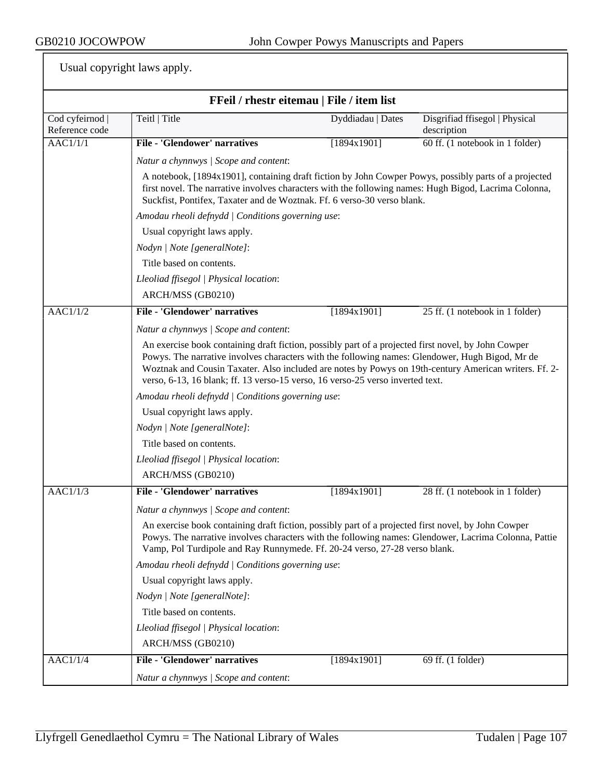| FFeil / rhestr eitemau   File / item list |                                                                                                                                                                                                                                                                                                                                                                                                   |                   |                                               |  |
|-------------------------------------------|---------------------------------------------------------------------------------------------------------------------------------------------------------------------------------------------------------------------------------------------------------------------------------------------------------------------------------------------------------------------------------------------------|-------------------|-----------------------------------------------|--|
| Cod cyfeirnod  <br>Reference code         | Teitl   Title                                                                                                                                                                                                                                                                                                                                                                                     | Dyddiadau   Dates | Disgrifiad ffisegol   Physical<br>description |  |
| $\overline{AAC1/1/1}$                     | <b>File - 'Glendower' narratives</b>                                                                                                                                                                                                                                                                                                                                                              | [1894x1901]       | 60 ff. (1 notebook in 1 folder)               |  |
|                                           | Natur a chynnwys / Scope and content:                                                                                                                                                                                                                                                                                                                                                             |                   |                                               |  |
|                                           | A notebook, [1894x1901], containing draft fiction by John Cowper Powys, possibly parts of a projected<br>first novel. The narrative involves characters with the following names: Hugh Bigod, Lacrima Colonna,<br>Suckfist, Pontifex, Taxater and de Woztnak. Ff. 6 verso-30 verso blank.                                                                                                         |                   |                                               |  |
|                                           | Amodau rheoli defnydd   Conditions governing use:                                                                                                                                                                                                                                                                                                                                                 |                   |                                               |  |
|                                           | Usual copyright laws apply.                                                                                                                                                                                                                                                                                                                                                                       |                   |                                               |  |
|                                           | Nodyn   Note [generalNote]:                                                                                                                                                                                                                                                                                                                                                                       |                   |                                               |  |
|                                           | Title based on contents.                                                                                                                                                                                                                                                                                                                                                                          |                   |                                               |  |
|                                           | Lleoliad ffisegol   Physical location:                                                                                                                                                                                                                                                                                                                                                            |                   |                                               |  |
|                                           | ARCH/MSS (GB0210)                                                                                                                                                                                                                                                                                                                                                                                 |                   |                                               |  |
| AACl/1/2                                  | <b>File - 'Glendower' narratives</b>                                                                                                                                                                                                                                                                                                                                                              | [1894x1901]       | 25 ff. (1 notebook in 1 folder)               |  |
|                                           | Natur a chynnwys / Scope and content:                                                                                                                                                                                                                                                                                                                                                             |                   |                                               |  |
|                                           | An exercise book containing draft fiction, possibly part of a projected first novel, by John Cowper<br>Powys. The narrative involves characters with the following names: Glendower, Hugh Bigod, Mr de<br>Woztnak and Cousin Taxater. Also included are notes by Powys on 19th-century American writers. Ff. 2-<br>verso, 6-13, 16 blank; ff. 13 verso-15 verso, 16 verso-25 verso inverted text. |                   |                                               |  |
|                                           | Amodau rheoli defnydd   Conditions governing use:                                                                                                                                                                                                                                                                                                                                                 |                   |                                               |  |
|                                           | Usual copyright laws apply.                                                                                                                                                                                                                                                                                                                                                                       |                   |                                               |  |
|                                           | Nodyn   Note [generalNote]:                                                                                                                                                                                                                                                                                                                                                                       |                   |                                               |  |
|                                           | Title based on contents.                                                                                                                                                                                                                                                                                                                                                                          |                   |                                               |  |
|                                           | Lleoliad ffisegol   Physical location:                                                                                                                                                                                                                                                                                                                                                            |                   |                                               |  |
|                                           | ARCH/MSS (GB0210)                                                                                                                                                                                                                                                                                                                                                                                 |                   |                                               |  |
| AAC1/1/3                                  | <b>File - 'Glendower' narratives</b>                                                                                                                                                                                                                                                                                                                                                              | [1894x1901]       | 28 ff. (1 notebook in 1 folder)               |  |
|                                           | Natur a chynnwys   Scope and content:                                                                                                                                                                                                                                                                                                                                                             |                   |                                               |  |
|                                           | An exercise book containing draft fiction, possibly part of a projected first novel, by John Cowper<br>Powys. The narrative involves characters with the following names: Glendower, Lacrima Colonna, Pattie<br>Vamp, Pol Turdipole and Ray Runnymede. Ff. 20-24 verso, 27-28 verso blank.                                                                                                        |                   |                                               |  |
|                                           | Amodau rheoli defnydd   Conditions governing use:                                                                                                                                                                                                                                                                                                                                                 |                   |                                               |  |
|                                           | Usual copyright laws apply.                                                                                                                                                                                                                                                                                                                                                                       |                   |                                               |  |
|                                           | Nodyn   Note [generalNote]:                                                                                                                                                                                                                                                                                                                                                                       |                   |                                               |  |
|                                           | Title based on contents.                                                                                                                                                                                                                                                                                                                                                                          |                   |                                               |  |
|                                           | Lleoliad ffisegol   Physical location:                                                                                                                                                                                                                                                                                                                                                            |                   |                                               |  |
|                                           | ARCH/MSS (GB0210)                                                                                                                                                                                                                                                                                                                                                                                 |                   |                                               |  |
| AAC1/1/4                                  | <b>File - 'Glendower' narratives</b>                                                                                                                                                                                                                                                                                                                                                              | [1894x1901]       | 69 ff. (1 folder)                             |  |
|                                           | Natur a chynnwys / Scope and content:                                                                                                                                                                                                                                                                                                                                                             |                   |                                               |  |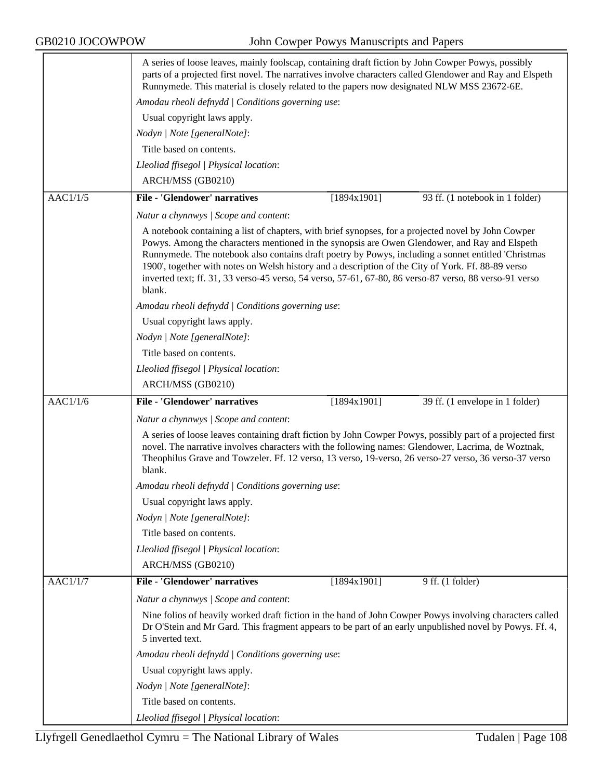GB0210 JOCOWPOW John Cowper Powys Manuscripts and Papers

|                 | A series of loose leaves, mainly foolscap, containing draft fiction by John Cowper Powys, possibly<br>parts of a projected first novel. The narratives involve characters called Glendower and Ray and Elspeth<br>Runnymede. This material is closely related to the papers now designated NLW MSS 23672-6E.                                                                                                                                                                                                                          |  |  |  |
|-----------------|---------------------------------------------------------------------------------------------------------------------------------------------------------------------------------------------------------------------------------------------------------------------------------------------------------------------------------------------------------------------------------------------------------------------------------------------------------------------------------------------------------------------------------------|--|--|--|
|                 | Amodau rheoli defnydd   Conditions governing use:                                                                                                                                                                                                                                                                                                                                                                                                                                                                                     |  |  |  |
|                 | Usual copyright laws apply.                                                                                                                                                                                                                                                                                                                                                                                                                                                                                                           |  |  |  |
|                 | Nodyn   Note [generalNote]:                                                                                                                                                                                                                                                                                                                                                                                                                                                                                                           |  |  |  |
|                 | Title based on contents.                                                                                                                                                                                                                                                                                                                                                                                                                                                                                                              |  |  |  |
|                 | Lleoliad ffisegol   Physical location:                                                                                                                                                                                                                                                                                                                                                                                                                                                                                                |  |  |  |
|                 | ARCH/MSS (GB0210)                                                                                                                                                                                                                                                                                                                                                                                                                                                                                                                     |  |  |  |
|                 | <b>File - 'Glendower' narratives</b>                                                                                                                                                                                                                                                                                                                                                                                                                                                                                                  |  |  |  |
| AAC1/1/5        | [1894x1901]<br>93 ff. (1 notebook in 1 folder)                                                                                                                                                                                                                                                                                                                                                                                                                                                                                        |  |  |  |
|                 | Natur a chynnwys / Scope and content:                                                                                                                                                                                                                                                                                                                                                                                                                                                                                                 |  |  |  |
|                 | A notebook containing a list of chapters, with brief synopses, for a projected novel by John Cowper<br>Powys. Among the characters mentioned in the synopsis are Owen Glendower, and Ray and Elspeth<br>Runnymede. The notebook also contains draft poetry by Powys, including a sonnet entitled 'Christmas<br>1900', together with notes on Welsh history and a description of the City of York. Ff. 88-89 verso<br>inverted text; ff. 31, 33 verso-45 verso, 54 verso, 57-61, 67-80, 86 verso-87 verso, 88 verso-91 verso<br>blank. |  |  |  |
|                 | Amodau rheoli defnydd   Conditions governing use:                                                                                                                                                                                                                                                                                                                                                                                                                                                                                     |  |  |  |
|                 | Usual copyright laws apply.                                                                                                                                                                                                                                                                                                                                                                                                                                                                                                           |  |  |  |
|                 | Nodyn   Note [generalNote]:                                                                                                                                                                                                                                                                                                                                                                                                                                                                                                           |  |  |  |
|                 | Title based on contents.                                                                                                                                                                                                                                                                                                                                                                                                                                                                                                              |  |  |  |
|                 | Lleoliad ffisegol   Physical location:                                                                                                                                                                                                                                                                                                                                                                                                                                                                                                |  |  |  |
|                 | ARCH/MSS (GB0210)                                                                                                                                                                                                                                                                                                                                                                                                                                                                                                                     |  |  |  |
| AAC1/1/6        | <b>File - 'Glendower' narratives</b><br>39 ff. (1 envelope in 1 folder)<br>[1894x1901]                                                                                                                                                                                                                                                                                                                                                                                                                                                |  |  |  |
|                 | Natur a chynnwys / Scope and content:                                                                                                                                                                                                                                                                                                                                                                                                                                                                                                 |  |  |  |
|                 | A series of loose leaves containing draft fiction by John Cowper Powys, possibly part of a projected first<br>novel. The narrative involves characters with the following names: Glendower, Lacrima, de Woztnak,<br>Theophilus Grave and Towzeler. Ff. 12 verso, 13 verso, 19-verso, 26 verso-27 verso, 36 verso-37 verso<br>blank.                                                                                                                                                                                                   |  |  |  |
|                 | Amodau rheoli defnydd   Conditions governing use:                                                                                                                                                                                                                                                                                                                                                                                                                                                                                     |  |  |  |
|                 | Usual copyright laws apply.                                                                                                                                                                                                                                                                                                                                                                                                                                                                                                           |  |  |  |
|                 | Nodyn   Note [generalNote]:                                                                                                                                                                                                                                                                                                                                                                                                                                                                                                           |  |  |  |
|                 | Title based on contents.                                                                                                                                                                                                                                                                                                                                                                                                                                                                                                              |  |  |  |
|                 | Lleoliad ffisegol   Physical location:                                                                                                                                                                                                                                                                                                                                                                                                                                                                                                |  |  |  |
|                 | ARCH/MSS (GB0210)                                                                                                                                                                                                                                                                                                                                                                                                                                                                                                                     |  |  |  |
| <b>AAC1/1/7</b> | <b>File - 'Glendower' narratives</b><br>$9$ ff. $(1$ folder)<br>[1894x1901]                                                                                                                                                                                                                                                                                                                                                                                                                                                           |  |  |  |
|                 | Natur a chynnwys / Scope and content:                                                                                                                                                                                                                                                                                                                                                                                                                                                                                                 |  |  |  |
|                 | Nine folios of heavily worked draft fiction in the hand of John Cowper Powys involving characters called<br>Dr O'Stein and Mr Gard. This fragment appears to be part of an early unpublished novel by Powys. Ff. 4,<br>5 inverted text.                                                                                                                                                                                                                                                                                               |  |  |  |
|                 | Amodau rheoli defnydd   Conditions governing use:                                                                                                                                                                                                                                                                                                                                                                                                                                                                                     |  |  |  |
|                 | Usual copyright laws apply.                                                                                                                                                                                                                                                                                                                                                                                                                                                                                                           |  |  |  |
|                 | Nodyn   Note [generalNote]:                                                                                                                                                                                                                                                                                                                                                                                                                                                                                                           |  |  |  |
|                 | Title based on contents.                                                                                                                                                                                                                                                                                                                                                                                                                                                                                                              |  |  |  |
|                 | Lleoliad ffisegol   Physical location:                                                                                                                                                                                                                                                                                                                                                                                                                                                                                                |  |  |  |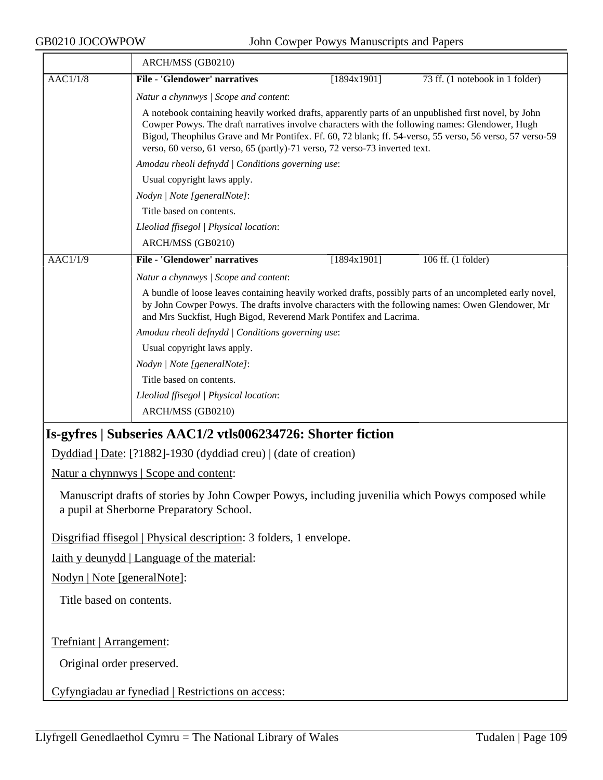|                                                                                                                                               | ARCH/MSS (GB0210)                                                                                                                                                                                                                                                                                                                                                                                  |             |                                 |  |  |
|-----------------------------------------------------------------------------------------------------------------------------------------------|----------------------------------------------------------------------------------------------------------------------------------------------------------------------------------------------------------------------------------------------------------------------------------------------------------------------------------------------------------------------------------------------------|-------------|---------------------------------|--|--|
| $\overline{AAC1/1/8}$                                                                                                                         | <b>File - 'Glendower' narratives</b>                                                                                                                                                                                                                                                                                                                                                               | [1894x1901] | 73 ff. (1 notebook in 1 folder) |  |  |
|                                                                                                                                               | Natur a chynnwys / Scope and content:                                                                                                                                                                                                                                                                                                                                                              |             |                                 |  |  |
|                                                                                                                                               | A notebook containing heavily worked drafts, apparently parts of an unpublished first novel, by John<br>Cowper Powys. The draft narratives involve characters with the following names: Glendower, Hugh<br>Bigod, Theophilus Grave and Mr Pontifex. Ff. 60, 72 blank; ff. 54-verso, 55 verso, 56 verso, 57 verso-59<br>verso, 60 verso, 61 verso, 65 (partly)-71 verso, 72 verso-73 inverted text. |             |                                 |  |  |
|                                                                                                                                               | Amodau rheoli defnydd / Conditions governing use:                                                                                                                                                                                                                                                                                                                                                  |             |                                 |  |  |
|                                                                                                                                               | Usual copyright laws apply.                                                                                                                                                                                                                                                                                                                                                                        |             |                                 |  |  |
|                                                                                                                                               | Nodyn   Note [generalNote]:                                                                                                                                                                                                                                                                                                                                                                        |             |                                 |  |  |
|                                                                                                                                               | Title based on contents.                                                                                                                                                                                                                                                                                                                                                                           |             |                                 |  |  |
|                                                                                                                                               | Lleoliad ffisegol   Physical location:                                                                                                                                                                                                                                                                                                                                                             |             |                                 |  |  |
|                                                                                                                                               | ARCH/MSS (GB0210)                                                                                                                                                                                                                                                                                                                                                                                  |             |                                 |  |  |
| $\overline{AAC1/1/9}$                                                                                                                         | <b>File - 'Glendower' narratives</b>                                                                                                                                                                                                                                                                                                                                                               | [1894x1901] | 106 ff. (1 folder)              |  |  |
|                                                                                                                                               | Natur a chynnwys / Scope and content:                                                                                                                                                                                                                                                                                                                                                              |             |                                 |  |  |
|                                                                                                                                               | A bundle of loose leaves containing heavily worked drafts, possibly parts of an uncompleted early novel,<br>by John Cowper Powys. The drafts involve characters with the following names: Owen Glendower, Mr<br>and Mrs Suckfist, Hugh Bigod, Reverend Mark Pontifex and Lacrima.                                                                                                                  |             |                                 |  |  |
|                                                                                                                                               | Amodau rheoli defnydd   Conditions governing use:<br>Usual copyright laws apply.                                                                                                                                                                                                                                                                                                                   |             |                                 |  |  |
|                                                                                                                                               |                                                                                                                                                                                                                                                                                                                                                                                                    |             |                                 |  |  |
|                                                                                                                                               | Nodyn   Note [generalNote]:                                                                                                                                                                                                                                                                                                                                                                        |             |                                 |  |  |
|                                                                                                                                               | Title based on contents.                                                                                                                                                                                                                                                                                                                                                                           |             |                                 |  |  |
|                                                                                                                                               | Lleoliad ffisegol   Physical location:                                                                                                                                                                                                                                                                                                                                                             |             |                                 |  |  |
|                                                                                                                                               | ARCH/MSS (GB0210)                                                                                                                                                                                                                                                                                                                                                                                  |             |                                 |  |  |
|                                                                                                                                               | Is-gyfres   Subseries AAC1/2 vtls006234726: Shorter fiction                                                                                                                                                                                                                                                                                                                                        |             |                                 |  |  |
|                                                                                                                                               | Dyddiad   Date: [?1882]-1930 (dyddiad creu)   (date of creation)                                                                                                                                                                                                                                                                                                                                   |             |                                 |  |  |
|                                                                                                                                               | Natur a chynnwys   Scope and content:                                                                                                                                                                                                                                                                                                                                                              |             |                                 |  |  |
| Manuscript drafts of stories by John Cowper Powys, including juvenilia which Powys composed while<br>a pupil at Sherborne Preparatory School. |                                                                                                                                                                                                                                                                                                                                                                                                    |             |                                 |  |  |
|                                                                                                                                               | Disgrifiad ffisegol   Physical description: 3 folders, 1 envelope.                                                                                                                                                                                                                                                                                                                                 |             |                                 |  |  |
|                                                                                                                                               | <u>Iaith y deunydd</u>   Language of the material:                                                                                                                                                                                                                                                                                                                                                 |             |                                 |  |  |
|                                                                                                                                               | Nodyn   Note [generalNote]:                                                                                                                                                                                                                                                                                                                                                                        |             |                                 |  |  |
| Title based on contents.                                                                                                                      |                                                                                                                                                                                                                                                                                                                                                                                                    |             |                                 |  |  |
|                                                                                                                                               | Trefniant   Arrangement:                                                                                                                                                                                                                                                                                                                                                                           |             |                                 |  |  |
|                                                                                                                                               | Original order preserved.                                                                                                                                                                                                                                                                                                                                                                          |             |                                 |  |  |
| Cyfyngiadau ar fynediad   Restrictions on access:                                                                                             |                                                                                                                                                                                                                                                                                                                                                                                                    |             |                                 |  |  |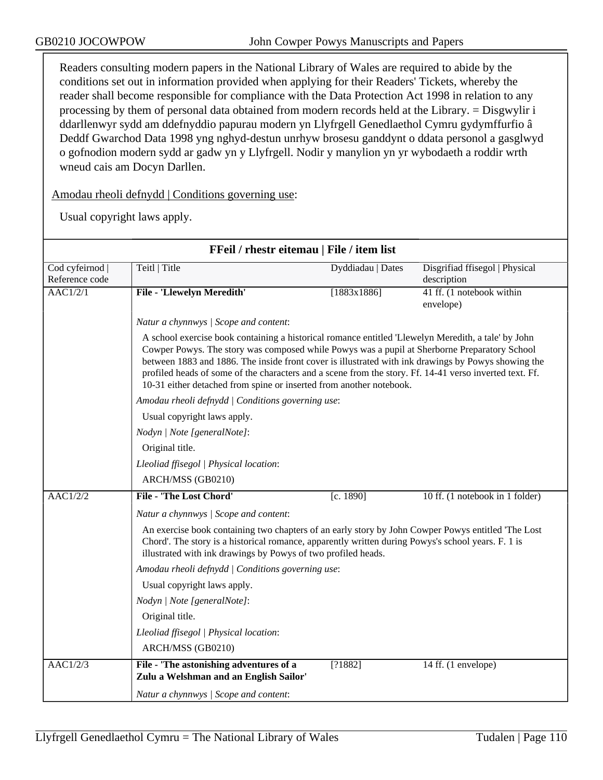Readers consulting modern papers in the National Library of Wales are required to abide by the conditions set out in information provided when applying for their Readers' Tickets, whereby the reader shall become responsible for compliance with the Data Protection Act 1998 in relation to any processing by them of personal data obtained from modern records held at the Library. = Disgwylir i ddarllenwyr sydd am ddefnyddio papurau modern yn Llyfrgell Genedlaethol Cymru gydymffurfio â Deddf Gwarchod Data 1998 yng nghyd-destun unrhyw brosesu ganddynt o ddata personol a gasglwyd o gofnodion modern sydd ar gadw yn y Llyfrgell. Nodir y manylion yn yr wybodaeth a roddir wrth wneud cais am Docyn Darllen.

Amodau rheoli defnydd | Conditions governing use:

| FFeil / rhestr eitemau   File / item list |                                                                                                                                                                                                                                                                                                                                                                                                                                                                                              |                   |                                 |  |  |
|-------------------------------------------|----------------------------------------------------------------------------------------------------------------------------------------------------------------------------------------------------------------------------------------------------------------------------------------------------------------------------------------------------------------------------------------------------------------------------------------------------------------------------------------------|-------------------|---------------------------------|--|--|
| Cod cyfeirnod                             | Teitl   Title                                                                                                                                                                                                                                                                                                                                                                                                                                                                                | Dyddiadau   Dates | Disgrifiad ffisegol   Physical  |  |  |
| Reference code                            |                                                                                                                                                                                                                                                                                                                                                                                                                                                                                              |                   | description                     |  |  |
| AAC1/2/1                                  | File - 'Llewelyn Meredith'                                                                                                                                                                                                                                                                                                                                                                                                                                                                   | [1883x1886]       | 41 ff. (1 notebook within       |  |  |
|                                           |                                                                                                                                                                                                                                                                                                                                                                                                                                                                                              |                   | envelope)                       |  |  |
|                                           | Natur a chynnwys / Scope and content:                                                                                                                                                                                                                                                                                                                                                                                                                                                        |                   |                                 |  |  |
|                                           | A school exercise book containing a historical romance entitled 'Llewelyn Meredith, a tale' by John<br>Cowper Powys. The story was composed while Powys was a pupil at Sherborne Preparatory School<br>between 1883 and 1886. The inside front cover is illustrated with ink drawings by Powys showing the<br>profiled heads of some of the characters and a scene from the story. Ff. 14-41 verso inverted text. Ff.<br>10-31 either detached from spine or inserted from another notebook. |                   |                                 |  |  |
|                                           | Amodau rheoli defnydd   Conditions governing use:                                                                                                                                                                                                                                                                                                                                                                                                                                            |                   |                                 |  |  |
|                                           | Usual copyright laws apply.                                                                                                                                                                                                                                                                                                                                                                                                                                                                  |                   |                                 |  |  |
|                                           | Nodyn   Note [generalNote]:                                                                                                                                                                                                                                                                                                                                                                                                                                                                  |                   |                                 |  |  |
|                                           | Original title.                                                                                                                                                                                                                                                                                                                                                                                                                                                                              |                   |                                 |  |  |
|                                           | Lleoliad ffisegol   Physical location:                                                                                                                                                                                                                                                                                                                                                                                                                                                       |                   |                                 |  |  |
|                                           | ARCH/MSS (GB0210)                                                                                                                                                                                                                                                                                                                                                                                                                                                                            |                   |                                 |  |  |
| $\overline{AAC1/2/2}$                     | <b>File - 'The Lost Chord'</b>                                                                                                                                                                                                                                                                                                                                                                                                                                                               | [c. 1890]         | 10 ff. (1 notebook in 1 folder) |  |  |
|                                           | Natur a chynnwys / Scope and content:                                                                                                                                                                                                                                                                                                                                                                                                                                                        |                   |                                 |  |  |
|                                           | An exercise book containing two chapters of an early story by John Cowper Powys entitled 'The Lost<br>Chord'. The story is a historical romance, apparently written during Powys's school years. F. 1 is<br>illustrated with ink drawings by Powys of two profiled heads.                                                                                                                                                                                                                    |                   |                                 |  |  |
|                                           | Amodau rheoli defnydd   Conditions governing use:                                                                                                                                                                                                                                                                                                                                                                                                                                            |                   |                                 |  |  |
|                                           | Usual copyright laws apply.                                                                                                                                                                                                                                                                                                                                                                                                                                                                  |                   |                                 |  |  |
|                                           | Nodyn   Note [generalNote]:                                                                                                                                                                                                                                                                                                                                                                                                                                                                  |                   |                                 |  |  |
|                                           | Original title.                                                                                                                                                                                                                                                                                                                                                                                                                                                                              |                   |                                 |  |  |
|                                           | Lleoliad ffisegol   Physical location:                                                                                                                                                                                                                                                                                                                                                                                                                                                       |                   |                                 |  |  |
|                                           | ARCH/MSS (GB0210)                                                                                                                                                                                                                                                                                                                                                                                                                                                                            |                   |                                 |  |  |
| $\overline{AAC1/2/3}$                     | File - 'The astonishing adventures of a<br>Zulu a Welshman and an English Sailor'                                                                                                                                                                                                                                                                                                                                                                                                            | [?1882]           | 14 ff. (1 envelope)             |  |  |
|                                           | Natur a chynnwys / Scope and content:                                                                                                                                                                                                                                                                                                                                                                                                                                                        |                   |                                 |  |  |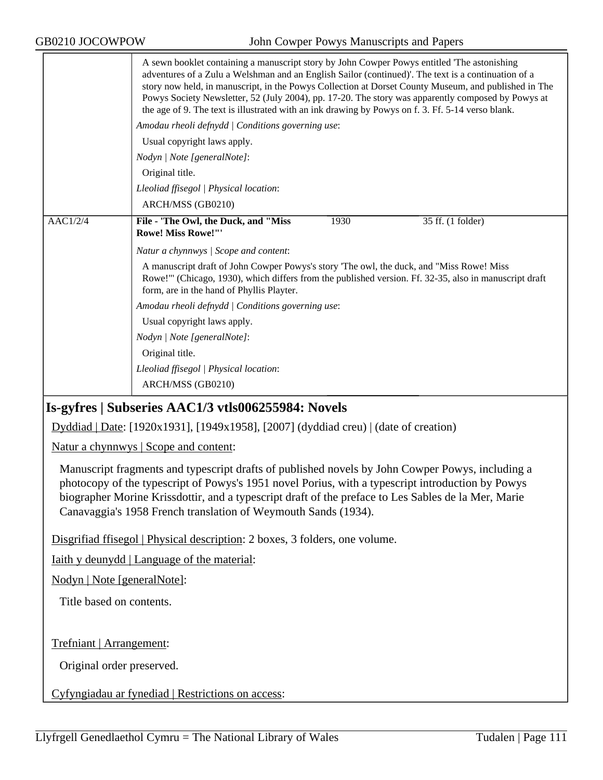|          | A sewn booklet containing a manuscript story by John Cowper Powys entitled 'The astonishing<br>adventures of a Zulu a Welshman and an English Sailor (continued)'. The text is a continuation of a<br>story now held, in manuscript, in the Powys Collection at Dorset County Museum, and published in The<br>Powys Society Newsletter, 52 (July 2004), pp. 17-20. The story was apparently composed by Powys at<br>the age of 9. The text is illustrated with an ink drawing by Powys on f. 3. Ff. 5-14 verso blank. |  |  |  |
|----------|-----------------------------------------------------------------------------------------------------------------------------------------------------------------------------------------------------------------------------------------------------------------------------------------------------------------------------------------------------------------------------------------------------------------------------------------------------------------------------------------------------------------------|--|--|--|
|          | Amodau rheoli defnydd   Conditions governing use:                                                                                                                                                                                                                                                                                                                                                                                                                                                                     |  |  |  |
|          | Usual copyright laws apply.                                                                                                                                                                                                                                                                                                                                                                                                                                                                                           |  |  |  |
|          | Nodyn   Note [generalNote]:                                                                                                                                                                                                                                                                                                                                                                                                                                                                                           |  |  |  |
|          | Original title.                                                                                                                                                                                                                                                                                                                                                                                                                                                                                                       |  |  |  |
|          | Lleoliad ffisegol   Physical location:                                                                                                                                                                                                                                                                                                                                                                                                                                                                                |  |  |  |
|          | ARCH/MSS (GB0210)                                                                                                                                                                                                                                                                                                                                                                                                                                                                                                     |  |  |  |
| AACl/2/4 | 1930<br>File - 'The Owl, the Duck, and "Miss<br>35 ff. (1 folder)<br><b>Rowe! Miss Rowe!""</b>                                                                                                                                                                                                                                                                                                                                                                                                                        |  |  |  |
|          | Natur a chynnwys   Scope and content:                                                                                                                                                                                                                                                                                                                                                                                                                                                                                 |  |  |  |
|          | A manuscript draft of John Cowper Powys's story 'The owl, the duck, and "Miss Rowe! Miss<br>Rowe!" (Chicago, 1930), which differs from the published version. Ff. 32-35, also in manuscript draft<br>form, are in the hand of Phyllis Playter.                                                                                                                                                                                                                                                                        |  |  |  |
|          | Amodau rheoli defnydd   Conditions governing use:                                                                                                                                                                                                                                                                                                                                                                                                                                                                     |  |  |  |
|          | Usual copyright laws apply.                                                                                                                                                                                                                                                                                                                                                                                                                                                                                           |  |  |  |
|          | Nodyn   Note [generalNote]:                                                                                                                                                                                                                                                                                                                                                                                                                                                                                           |  |  |  |
|          | Original title.                                                                                                                                                                                                                                                                                                                                                                                                                                                                                                       |  |  |  |
|          | Lleoliad ffisegol   Physical location:                                                                                                                                                                                                                                                                                                                                                                                                                                                                                |  |  |  |
|          | ARCH/MSS (GB0210)                                                                                                                                                                                                                                                                                                                                                                                                                                                                                                     |  |  |  |

# **Is-gyfres | Subseries AAC1/3 vtls006255984: Novels**

Dyddiad | Date: [1920x1931], [1949x1958], [2007] (dyddiad creu) | (date of creation)

Natur a chynnwys | Scope and content:

Manuscript fragments and typescript drafts of published novels by John Cowper Powys, including a photocopy of the typescript of Powys's 1951 novel Porius, with a typescript introduction by Powys biographer Morine Krissdottir, and a typescript draft of the preface to Les Sables de la Mer, Marie Canavaggia's 1958 French translation of Weymouth Sands (1934).

Disgrifiad ffisegol | Physical description: 2 boxes, 3 folders, one volume.

Iaith y deunydd | Language of the material:

Nodyn | Note [generalNote]:

Title based on contents.

Trefniant | Arrangement:

Original order preserved.

Cyfyngiadau ar fynediad | Restrictions on access: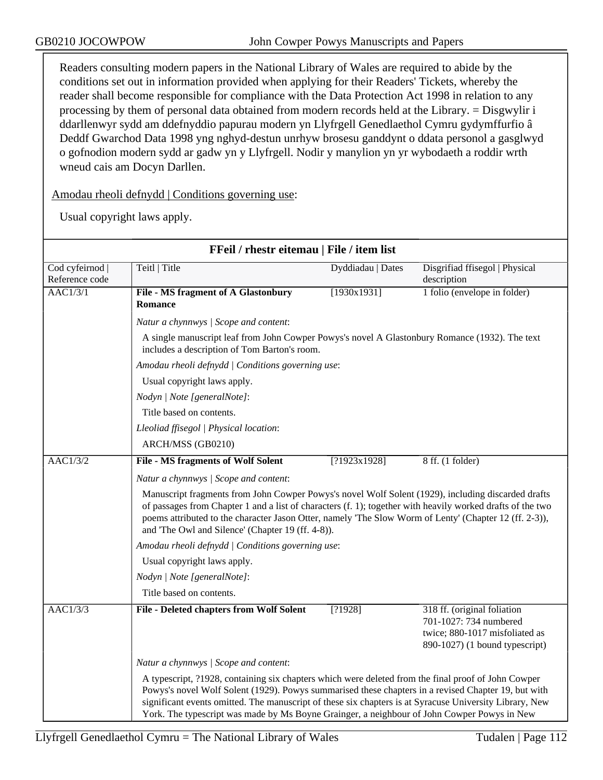Readers consulting modern papers in the National Library of Wales are required to abide by the conditions set out in information provided when applying for their Readers' Tickets, whereby the reader shall become responsible for compliance with the Data Protection Act 1998 in relation to any processing by them of personal data obtained from modern records held at the Library. = Disgwylir i ddarllenwyr sydd am ddefnyddio papurau modern yn Llyfrgell Genedlaethol Cymru gydymffurfio â Deddf Gwarchod Data 1998 yng nghyd-destun unrhyw brosesu ganddynt o ddata personol a gasglwyd o gofnodion modern sydd ar gadw yn y Llyfrgell. Nodir y manylion yn yr wybodaeth a roddir wrth wneud cais am Docyn Darllen.

Amodau rheoli defnydd | Conditions governing use:

| FFeil / rhestr eitemau   File / item list |                                                                                                                                                                                                                                                                                                                                                                                                                      |                                                   |                                                                                                                           |  |  |
|-------------------------------------------|----------------------------------------------------------------------------------------------------------------------------------------------------------------------------------------------------------------------------------------------------------------------------------------------------------------------------------------------------------------------------------------------------------------------|---------------------------------------------------|---------------------------------------------------------------------------------------------------------------------------|--|--|
| Cod cyfeirnod  <br>Reference code         | Teitl   Title                                                                                                                                                                                                                                                                                                                                                                                                        | Dyddiadau   Dates                                 | Disgrifiad ffisegol   Physical<br>description                                                                             |  |  |
| <b>AAC1/3/1</b>                           | <b>File - MS fragment of A Glastonbury</b><br><b>Romance</b>                                                                                                                                                                                                                                                                                                                                                         | [1930x1931]                                       | 1 folio (envelope in folder)                                                                                              |  |  |
|                                           | Natur a chynnwys / Scope and content:                                                                                                                                                                                                                                                                                                                                                                                |                                                   |                                                                                                                           |  |  |
|                                           | A single manuscript leaf from John Cowper Powys's novel A Glastonbury Romance (1932). The text<br>includes a description of Tom Barton's room.                                                                                                                                                                                                                                                                       |                                                   |                                                                                                                           |  |  |
|                                           |                                                                                                                                                                                                                                                                                                                                                                                                                      | Amodau rheoli defnydd   Conditions governing use: |                                                                                                                           |  |  |
|                                           | Usual copyright laws apply.                                                                                                                                                                                                                                                                                                                                                                                          |                                                   |                                                                                                                           |  |  |
|                                           | Nodyn   Note [generalNote]:                                                                                                                                                                                                                                                                                                                                                                                          |                                                   |                                                                                                                           |  |  |
|                                           | Title based on contents.                                                                                                                                                                                                                                                                                                                                                                                             |                                                   |                                                                                                                           |  |  |
|                                           | Lleoliad ffisegol   Physical location:                                                                                                                                                                                                                                                                                                                                                                               |                                                   |                                                                                                                           |  |  |
|                                           | ARCH/MSS (GB0210)                                                                                                                                                                                                                                                                                                                                                                                                    |                                                   |                                                                                                                           |  |  |
| <b>AAC1/3/2</b>                           | <b>File - MS fragments of Wolf Solent</b>                                                                                                                                                                                                                                                                                                                                                                            | [?1923x1928]                                      | 8 ff. (1 folder)                                                                                                          |  |  |
|                                           | Natur a chynnwys / Scope and content:                                                                                                                                                                                                                                                                                                                                                                                |                                                   |                                                                                                                           |  |  |
|                                           | Manuscript fragments from John Cowper Powys's novel Wolf Solent (1929), including discarded drafts<br>of passages from Chapter 1 and a list of characters (f. 1); together with heavily worked drafts of the two<br>poems attributed to the character Jason Otter, namely 'The Slow Worm of Lenty' (Chapter 12 (ff. 2-3)),<br>and 'The Owl and Silence' (Chapter 19 (ff. 4-8)).                                      |                                                   |                                                                                                                           |  |  |
|                                           |                                                                                                                                                                                                                                                                                                                                                                                                                      | Amodau rheoli defnydd   Conditions governing use: |                                                                                                                           |  |  |
|                                           | Usual copyright laws apply.                                                                                                                                                                                                                                                                                                                                                                                          |                                                   |                                                                                                                           |  |  |
|                                           | Nodyn   Note [generalNote]:                                                                                                                                                                                                                                                                                                                                                                                          |                                                   |                                                                                                                           |  |  |
|                                           | Title based on contents.                                                                                                                                                                                                                                                                                                                                                                                             |                                                   |                                                                                                                           |  |  |
| AAC1/3/3                                  | <b>File - Deleted chapters from Wolf Solent</b>                                                                                                                                                                                                                                                                                                                                                                      | [?1928]                                           | 318 ff. (original foliation<br>701-1027: 734 numbered<br>twice; 880-1017 misfoliated as<br>890-1027) (1 bound typescript) |  |  |
|                                           | Natur a chynnwys / Scope and content:                                                                                                                                                                                                                                                                                                                                                                                |                                                   |                                                                                                                           |  |  |
|                                           | A typescript, 21928, containing six chapters which were deleted from the final proof of John Cowper<br>Powys's novel Wolf Solent (1929). Powys summarised these chapters in a revised Chapter 19, but with<br>significant events omitted. The manuscript of these six chapters is at Syracuse University Library, New<br>York. The typescript was made by Ms Boyne Grainger, a neighbour of John Cowper Powys in New |                                                   |                                                                                                                           |  |  |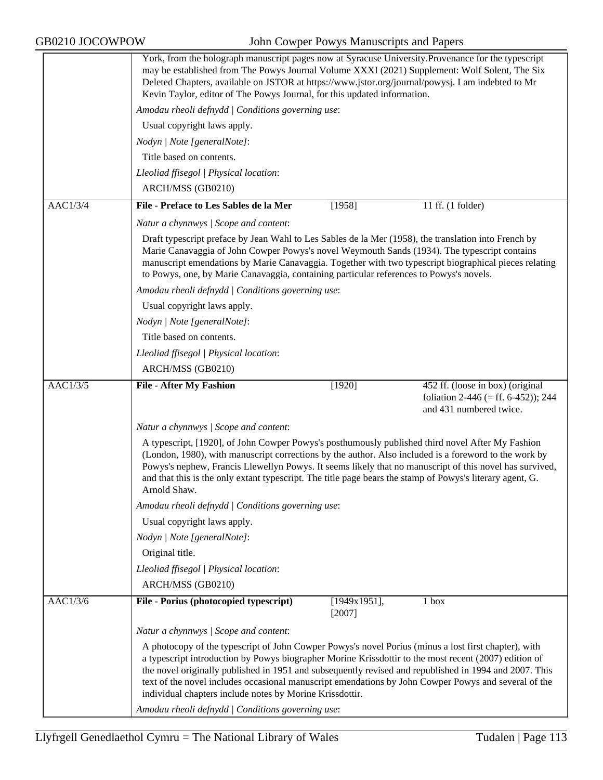|          | York, from the holograph manuscript pages now at Syracuse University. Provenance for the typescript<br>may be established from The Powys Journal Volume XXXI (2021) Supplement: Wolf Solent, The Six<br>Deleted Chapters, available on JSTOR at https://www.jstor.org/journal/powysj. I am indebted to Mr<br>Kevin Taylor, editor of The Powys Journal, for this updated information.                                                                                                                                                            |  |  |  |
|----------|--------------------------------------------------------------------------------------------------------------------------------------------------------------------------------------------------------------------------------------------------------------------------------------------------------------------------------------------------------------------------------------------------------------------------------------------------------------------------------------------------------------------------------------------------|--|--|--|
|          | Amodau rheoli defnydd   Conditions governing use:                                                                                                                                                                                                                                                                                                                                                                                                                                                                                                |  |  |  |
|          | Usual copyright laws apply.                                                                                                                                                                                                                                                                                                                                                                                                                                                                                                                      |  |  |  |
|          | Nodyn   Note [generalNote]:                                                                                                                                                                                                                                                                                                                                                                                                                                                                                                                      |  |  |  |
|          | Title based on contents.                                                                                                                                                                                                                                                                                                                                                                                                                                                                                                                         |  |  |  |
|          | Lleoliad ffisegol   Physical location:                                                                                                                                                                                                                                                                                                                                                                                                                                                                                                           |  |  |  |
|          | ARCH/MSS (GB0210)                                                                                                                                                                                                                                                                                                                                                                                                                                                                                                                                |  |  |  |
| AAC1/3/4 | File - Preface to Les Sables de la Mer<br>$11$ ff. $(1$ folder)<br>[1958]                                                                                                                                                                                                                                                                                                                                                                                                                                                                        |  |  |  |
|          | Natur a chynnwys / Scope and content:                                                                                                                                                                                                                                                                                                                                                                                                                                                                                                            |  |  |  |
|          | Draft typescript preface by Jean Wahl to Les Sables de la Mer (1958), the translation into French by<br>Marie Canavaggia of John Cowper Powys's novel Weymouth Sands (1934). The typescript contains<br>manuscript emendations by Marie Canavaggia. Together with two typescript biographical pieces relating<br>to Powys, one, by Marie Canavaggia, containing particular references to Powys's novels.                                                                                                                                         |  |  |  |
|          | Amodau rheoli defnydd   Conditions governing use:                                                                                                                                                                                                                                                                                                                                                                                                                                                                                                |  |  |  |
|          | Usual copyright laws apply.                                                                                                                                                                                                                                                                                                                                                                                                                                                                                                                      |  |  |  |
|          | Nodyn   Note [generalNote]:                                                                                                                                                                                                                                                                                                                                                                                                                                                                                                                      |  |  |  |
|          | Title based on contents.                                                                                                                                                                                                                                                                                                                                                                                                                                                                                                                         |  |  |  |
|          | Lleoliad ffisegol   Physical location:                                                                                                                                                                                                                                                                                                                                                                                                                                                                                                           |  |  |  |
|          | ARCH/MSS (GB0210)                                                                                                                                                                                                                                                                                                                                                                                                                                                                                                                                |  |  |  |
| AAC1/3/5 | <b>File - After My Fashion</b><br>[1920]<br>452 ff. (loose in box) (original<br>foliation 2-446 (= ff. 6-452)); 244<br>and 431 numbered twice.                                                                                                                                                                                                                                                                                                                                                                                                   |  |  |  |
|          | Natur a chynnwys / Scope and content:                                                                                                                                                                                                                                                                                                                                                                                                                                                                                                            |  |  |  |
|          | A typescript, [1920], of John Cowper Powys's posthumously published third novel After My Fashion<br>(London, 1980), with manuscript corrections by the author. Also included is a foreword to the work by<br>Powys's nephew, Francis Llewellyn Powys. It seems likely that no manuscript of this novel has survived,<br>and that this is the only extant typescript. The title page bears the stamp of Powys's literary agent, G.<br>Arnold Shaw.                                                                                                |  |  |  |
|          | Amodau rheoli defnydd   Conditions governing use:                                                                                                                                                                                                                                                                                                                                                                                                                                                                                                |  |  |  |
|          | Usual copyright laws apply.                                                                                                                                                                                                                                                                                                                                                                                                                                                                                                                      |  |  |  |
|          | Nodyn   Note [generalNote]:                                                                                                                                                                                                                                                                                                                                                                                                                                                                                                                      |  |  |  |
|          | Original title.                                                                                                                                                                                                                                                                                                                                                                                                                                                                                                                                  |  |  |  |
|          | Lleoliad ffisegol   Physical location:                                                                                                                                                                                                                                                                                                                                                                                                                                                                                                           |  |  |  |
|          | ARCH/MSS (GB0210)                                                                                                                                                                                                                                                                                                                                                                                                                                                                                                                                |  |  |  |
| AAC1/3/6 | File - Porius (photocopied typescript)<br>1 box<br>[1949x1951],<br>[2007]                                                                                                                                                                                                                                                                                                                                                                                                                                                                        |  |  |  |
|          | Natur a chynnwys / Scope and content:                                                                                                                                                                                                                                                                                                                                                                                                                                                                                                            |  |  |  |
|          | A photocopy of the typescript of John Cowper Powys's novel Porius (minus a lost first chapter), with<br>a typescript introduction by Powys biographer Morine Krissdottir to the most recent (2007) edition of<br>the novel originally published in 1951 and subsequently revised and republished in 1994 and 2007. This<br>text of the novel includes occasional manuscript emendations by John Cowper Powys and several of the<br>individual chapters include notes by Morine Krissdottir.<br>Amodau rheoli defnydd   Conditions governing use: |  |  |  |
|          |                                                                                                                                                                                                                                                                                                                                                                                                                                                                                                                                                  |  |  |  |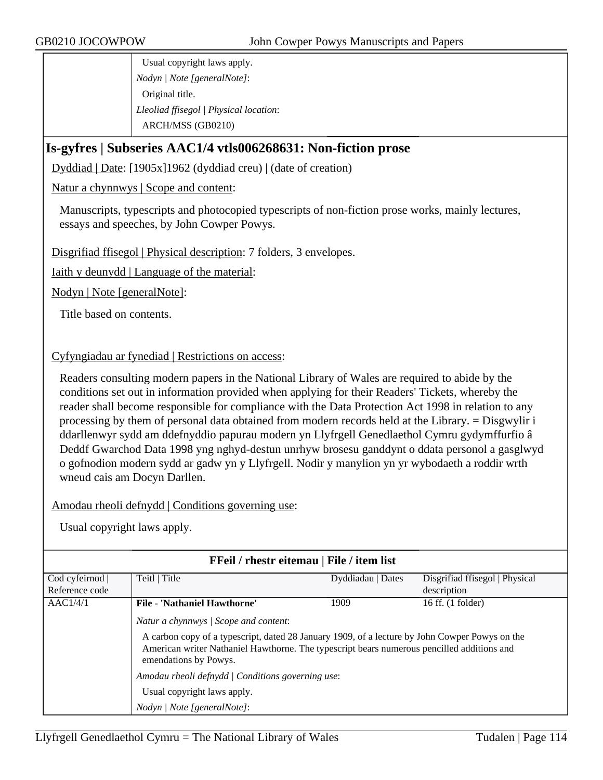Usual copyright laws apply. *Nodyn | Note [generalNote]*: Original title. *Lleoliad ffisegol | Physical location*: ARCH/MSS (GB0210)

# **Is-gyfres | Subseries AAC1/4 vtls006268631: Non-fiction prose**

Dyddiad | Date: [1905x]1962 (dyddiad creu) | (date of creation)

Natur a chynnwys | Scope and content:

Manuscripts, typescripts and photocopied typescripts of non-fiction prose works, mainly lectures, essays and speeches, by John Cowper Powys.

Disgrifiad ffisegol | Physical description: 7 folders, 3 envelopes.

Iaith y deunydd | Language of the material:

Nodyn | Note [generalNote]:

Title based on contents.

Cyfyngiadau ar fynediad | Restrictions on access:

Readers consulting modern papers in the National Library of Wales are required to abide by the conditions set out in information provided when applying for their Readers' Tickets, whereby the reader shall become responsible for compliance with the Data Protection Act 1998 in relation to any processing by them of personal data obtained from modern records held at the Library. = Disgwylir i ddarllenwyr sydd am ddefnyddio papurau modern yn Llyfrgell Genedlaethol Cymru gydymffurfio â Deddf Gwarchod Data 1998 yng nghyd-destun unrhyw brosesu ganddynt o ddata personol a gasglwyd o gofnodion modern sydd ar gadw yn y Llyfrgell. Nodir y manylion yn yr wybodaeth a roddir wrth wneud cais am Docyn Darllen.

Amodau rheoli defnydd | Conditions governing use:

| FFeil / rhestr eitemau   File / item list |                                                                                                                                                                                                                                                                |                   |                                |  |
|-------------------------------------------|----------------------------------------------------------------------------------------------------------------------------------------------------------------------------------------------------------------------------------------------------------------|-------------------|--------------------------------|--|
| Cod cyfeirnod                             | Teitl   Title                                                                                                                                                                                                                                                  | Dyddiadau   Dates | Disgrifiad ffisegol   Physical |  |
| Reference code                            |                                                                                                                                                                                                                                                                |                   | description                    |  |
| AACl/4/1                                  | <b>File - 'Nathaniel Hawthorne'</b>                                                                                                                                                                                                                            | 1909              | 16 ff. (1 folder)              |  |
|                                           | Natur a chynnwys / Scope and content:<br>A carbon copy of a typescript, dated 28 January 1909, of a lecture by John Cowper Powys on the<br>American writer Nathaniel Hawthorne. The typescript bears numerous pencilled additions and<br>emendations by Powys. |                   |                                |  |
|                                           | Amodau rheoli defnydd   Conditions governing use:                                                                                                                                                                                                              |                   |                                |  |
|                                           | Usual copyright laws apply.                                                                                                                                                                                                                                    |                   |                                |  |
|                                           | Nodyn   Note [generalNote]:                                                                                                                                                                                                                                    |                   |                                |  |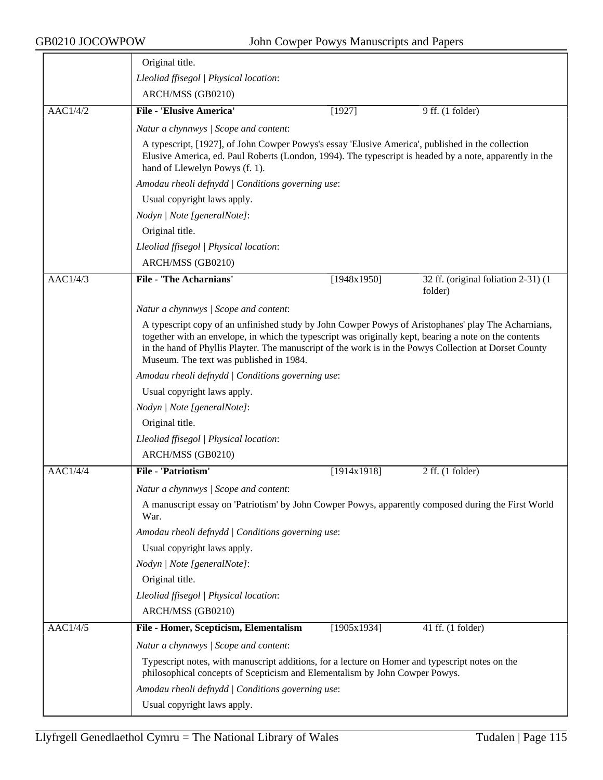|                 | Original title.                                                                                                                                                                                                                                                                                                                                                                                                         |             |                                                |  |  |
|-----------------|-------------------------------------------------------------------------------------------------------------------------------------------------------------------------------------------------------------------------------------------------------------------------------------------------------------------------------------------------------------------------------------------------------------------------|-------------|------------------------------------------------|--|--|
|                 | Lleoliad ffisegol   Physical location:                                                                                                                                                                                                                                                                                                                                                                                  |             |                                                |  |  |
|                 | ARCH/MSS (GB0210)                                                                                                                                                                                                                                                                                                                                                                                                       |             |                                                |  |  |
| AAC1/4/2        | <b>File - 'Elusive America'</b>                                                                                                                                                                                                                                                                                                                                                                                         | [1927]      | $9$ ff. (1 folder)                             |  |  |
|                 | Natur a chynnwys / Scope and content:                                                                                                                                                                                                                                                                                                                                                                                   |             |                                                |  |  |
|                 | A typescript, [1927], of John Cowper Powys's essay 'Elusive America', published in the collection<br>Elusive America, ed. Paul Roberts (London, 1994). The typescript is headed by a note, apparently in the<br>hand of Llewelyn Powys (f. 1).                                                                                                                                                                          |             |                                                |  |  |
|                 | Amodau rheoli defnydd   Conditions governing use:                                                                                                                                                                                                                                                                                                                                                                       |             |                                                |  |  |
|                 | Usual copyright laws apply.                                                                                                                                                                                                                                                                                                                                                                                             |             |                                                |  |  |
|                 | Nodyn   Note [generalNote]:                                                                                                                                                                                                                                                                                                                                                                                             |             |                                                |  |  |
|                 | Original title.                                                                                                                                                                                                                                                                                                                                                                                                         |             |                                                |  |  |
|                 | Lleoliad ffisegol   Physical location:                                                                                                                                                                                                                                                                                                                                                                                  |             |                                                |  |  |
|                 | ARCH/MSS (GB0210)                                                                                                                                                                                                                                                                                                                                                                                                       |             |                                                |  |  |
| AAC1/4/3        | <b>File - 'The Acharnians'</b>                                                                                                                                                                                                                                                                                                                                                                                          | [1948x1950] | 32 ff. (original foliation 2-31) (1<br>folder) |  |  |
|                 | Natur a chynnwys / Scope and content:                                                                                                                                                                                                                                                                                                                                                                                   |             |                                                |  |  |
|                 | A typescript copy of an unfinished study by John Cowper Powys of Aristophanes' play The Acharnians,<br>together with an envelope, in which the typescript was originally kept, bearing a note on the contents<br>in the hand of Phyllis Playter. The manuscript of the work is in the Powys Collection at Dorset County<br>Museum. The text was published in 1984.<br>Amodau rheoli defnydd / Conditions governing use: |             |                                                |  |  |
|                 |                                                                                                                                                                                                                                                                                                                                                                                                                         |             |                                                |  |  |
|                 |                                                                                                                                                                                                                                                                                                                                                                                                                         |             |                                                |  |  |
|                 | Nodyn   Note [generalNote]:                                                                                                                                                                                                                                                                                                                                                                                             |             |                                                |  |  |
| Original title. |                                                                                                                                                                                                                                                                                                                                                                                                                         |             |                                                |  |  |
|                 | Lleoliad ffisegol   Physical location:                                                                                                                                                                                                                                                                                                                                                                                  |             |                                                |  |  |
|                 | ARCH/MSS (GB0210)                                                                                                                                                                                                                                                                                                                                                                                                       |             |                                                |  |  |
| AAC1/4/4        | <b>File - 'Patriotism'</b>                                                                                                                                                                                                                                                                                                                                                                                              | [1914x1918] | $2$ ff. $(1$ folder)                           |  |  |
|                 | Natur a chynnwys / Scope and content:                                                                                                                                                                                                                                                                                                                                                                                   |             |                                                |  |  |
|                 | A manuscript essay on 'Patriotism' by John Cowper Powys, apparently composed during the First World<br>War.                                                                                                                                                                                                                                                                                                             |             |                                                |  |  |
|                 | Amodau rheoli defnydd   Conditions governing use:                                                                                                                                                                                                                                                                                                                                                                       |             |                                                |  |  |
|                 | Usual copyright laws apply.                                                                                                                                                                                                                                                                                                                                                                                             |             |                                                |  |  |
|                 | Nodyn   Note [generalNote]:                                                                                                                                                                                                                                                                                                                                                                                             |             |                                                |  |  |
|                 | Original title.                                                                                                                                                                                                                                                                                                                                                                                                         |             |                                                |  |  |
|                 | Lleoliad ffisegol   Physical location:                                                                                                                                                                                                                                                                                                                                                                                  |             |                                                |  |  |
|                 | ARCH/MSS (GB0210)                                                                                                                                                                                                                                                                                                                                                                                                       |             |                                                |  |  |
| <b>AAC1/4/5</b> | File - Homer, Scepticism, Elementalism                                                                                                                                                                                                                                                                                                                                                                                  | [1905x1934] | 41 ff. (1 folder)                              |  |  |
|                 | Natur a chynnwys / Scope and content:                                                                                                                                                                                                                                                                                                                                                                                   |             |                                                |  |  |
|                 | Typescript notes, with manuscript additions, for a lecture on Homer and typescript notes on the<br>philosophical concepts of Scepticism and Elementalism by John Cowper Powys.                                                                                                                                                                                                                                          |             |                                                |  |  |
|                 | Amodau rheoli defnydd   Conditions governing use:                                                                                                                                                                                                                                                                                                                                                                       |             |                                                |  |  |
|                 | Usual copyright laws apply.                                                                                                                                                                                                                                                                                                                                                                                             |             |                                                |  |  |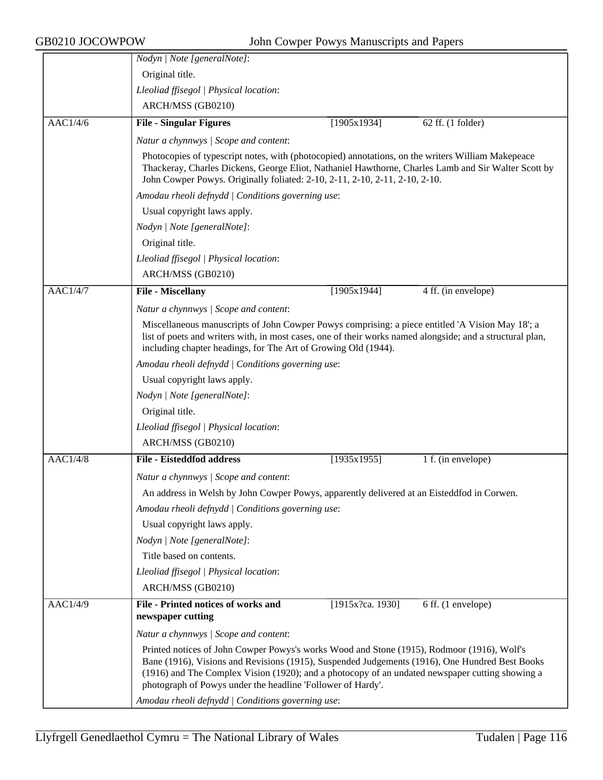|                 | Nodyn   Note [generalNote]:                                                                                                                                                                                                                                                                                                                                    |                  |                     |  |
|-----------------|----------------------------------------------------------------------------------------------------------------------------------------------------------------------------------------------------------------------------------------------------------------------------------------------------------------------------------------------------------------|------------------|---------------------|--|
|                 | Original title.                                                                                                                                                                                                                                                                                                                                                |                  |                     |  |
|                 | Lleoliad ffisegol   Physical location:                                                                                                                                                                                                                                                                                                                         |                  |                     |  |
|                 | ARCH/MSS (GB0210)                                                                                                                                                                                                                                                                                                                                              |                  |                     |  |
| AACl/4/6        | <b>File - Singular Figures</b>                                                                                                                                                                                                                                                                                                                                 | [1905x1934]      | 62 ff. (1 folder)   |  |
|                 | Natur a chynnwys / Scope and content:                                                                                                                                                                                                                                                                                                                          |                  |                     |  |
|                 | Photocopies of typescript notes, with (photocopied) annotations, on the writers William Makepeace<br>Thackeray, Charles Dickens, George Eliot, Nathaniel Hawthorne, Charles Lamb and Sir Walter Scott by<br>John Cowper Powys. Originally foliated: 2-10, 2-11, 2-10, 2-11, 2-10, 2-10.                                                                        |                  |                     |  |
|                 | Amodau rheoli defnydd   Conditions governing use:                                                                                                                                                                                                                                                                                                              |                  |                     |  |
|                 | Usual copyright laws apply.                                                                                                                                                                                                                                                                                                                                    |                  |                     |  |
|                 | Nodyn   Note [generalNote]:                                                                                                                                                                                                                                                                                                                                    |                  |                     |  |
|                 | Original title.                                                                                                                                                                                                                                                                                                                                                |                  |                     |  |
|                 | Lleoliad ffisegol   Physical location:                                                                                                                                                                                                                                                                                                                         |                  |                     |  |
|                 | ARCH/MSS (GB0210)                                                                                                                                                                                                                                                                                                                                              |                  |                     |  |
| <b>AAC1/4/7</b> | <b>File - Miscellany</b>                                                                                                                                                                                                                                                                                                                                       | [1905x1944]      | 4 ff. (in envelope) |  |
|                 | Natur a chynnwys / Scope and content:                                                                                                                                                                                                                                                                                                                          |                  |                     |  |
|                 | Miscellaneous manuscripts of John Cowper Powys comprising: a piece entitled 'A Vision May 18'; a<br>list of poets and writers with, in most cases, one of their works named alongside; and a structural plan,<br>including chapter headings, for The Art of Growing Old (1944).                                                                                |                  |                     |  |
|                 | Amodau rheoli defnydd   Conditions governing use:                                                                                                                                                                                                                                                                                                              |                  |                     |  |
|                 | Usual copyright laws apply.                                                                                                                                                                                                                                                                                                                                    |                  |                     |  |
|                 | Nodyn   Note [generalNote]:                                                                                                                                                                                                                                                                                                                                    |                  |                     |  |
|                 | Original title.                                                                                                                                                                                                                                                                                                                                                |                  |                     |  |
|                 | Lleoliad ffisegol   Physical location:                                                                                                                                                                                                                                                                                                                         |                  |                     |  |
|                 | ARCH/MSS (GB0210)                                                                                                                                                                                                                                                                                                                                              |                  |                     |  |
| <b>AAC1/4/8</b> | <b>File - Eisteddfod address</b>                                                                                                                                                                                                                                                                                                                               | [1935x1955]      | 1 f. (in envelope)  |  |
|                 | Natur a chynnwys / Scope and content:                                                                                                                                                                                                                                                                                                                          |                  |                     |  |
|                 | An address in Welsh by John Cowper Powys, apparently delivered at an Eisteddfod in Corwen.                                                                                                                                                                                                                                                                     |                  |                     |  |
|                 | Amodau rheoli defnydd   Conditions governing use:                                                                                                                                                                                                                                                                                                              |                  |                     |  |
|                 | Usual copyright laws apply.                                                                                                                                                                                                                                                                                                                                    |                  |                     |  |
|                 | Nodyn   Note [generalNote]:                                                                                                                                                                                                                                                                                                                                    |                  |                     |  |
|                 | Title based on contents.                                                                                                                                                                                                                                                                                                                                       |                  |                     |  |
|                 | Lleoliad ffisegol   Physical location:                                                                                                                                                                                                                                                                                                                         |                  |                     |  |
|                 | ARCH/MSS (GB0210)                                                                                                                                                                                                                                                                                                                                              |                  |                     |  |
| AAC1/4/9        | <b>File - Printed notices of works and</b><br>newspaper cutting                                                                                                                                                                                                                                                                                                | [1915x?ca. 1930] | 6 ff. (1 envelope)  |  |
|                 | Natur a chynnwys / Scope and content:                                                                                                                                                                                                                                                                                                                          |                  |                     |  |
|                 | Printed notices of John Cowper Powys's works Wood and Stone (1915), Rodmoor (1916), Wolf's<br>Bane (1916), Visions and Revisions (1915), Suspended Judgements (1916), One Hundred Best Books<br>(1916) and The Complex Vision (1920); and a photocopy of an undated newspaper cutting showing a<br>photograph of Powys under the headline 'Follower of Hardy'. |                  |                     |  |
|                 | Amodau rheoli defnydd   Conditions governing use:                                                                                                                                                                                                                                                                                                              |                  |                     |  |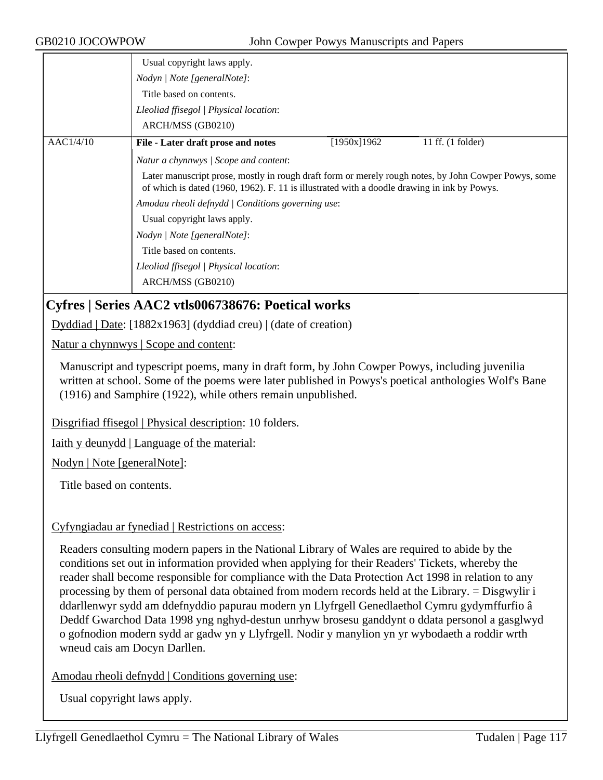|           | Usual copyright laws apply.                                                                                                                                                                         |             |                     |
|-----------|-----------------------------------------------------------------------------------------------------------------------------------------------------------------------------------------------------|-------------|---------------------|
|           | Nodyn / Note [generalNote]:                                                                                                                                                                         |             |                     |
|           | Title based on contents.                                                                                                                                                                            |             |                     |
|           | Lleoliad ffisegol   Physical location:                                                                                                                                                              |             |                     |
|           | ARCH/MSS (GB0210)                                                                                                                                                                                   |             |                     |
| AACl/4/10 | File - Later draft prose and notes                                                                                                                                                                  | [1950x]1962 | 11 ff. $(1$ folder) |
|           | Natur a chynnwys / Scope and content:                                                                                                                                                               |             |                     |
|           | Later manuscript prose, mostly in rough draft form or merely rough notes, by John Cowper Powys, some<br>of which is dated (1960, 1962). F. 11 is illustrated with a doodle drawing in ink by Powys. |             |                     |
|           | Amodau rheoli defnydd   Conditions governing use:                                                                                                                                                   |             |                     |
|           | Usual copyright laws apply.                                                                                                                                                                         |             |                     |
|           | Nodyn / Note [generalNote]:                                                                                                                                                                         |             |                     |
|           | Title based on contents.                                                                                                                                                                            |             |                     |
|           | Lleoliad ffisegol   Physical location:                                                                                                                                                              |             |                     |
|           | ARCH/MSS (GB0210)                                                                                                                                                                                   |             |                     |

# **Cyfres | Series AAC2 vtls006738676: Poetical works**

Dyddiad | Date: [1882x1963] (dyddiad creu) | (date of creation)

Natur a chynnwys | Scope and content:

Manuscript and typescript poems, many in draft form, by John Cowper Powys, including juvenilia written at school. Some of the poems were later published in Powys's poetical anthologies Wolf's Bane (1916) and Samphire (1922), while others remain unpublished.

Disgrifiad ffisegol | Physical description: 10 folders.

Iaith y deunydd | Language of the material:

Nodyn | Note [generalNote]:

Title based on contents.

### Cyfyngiadau ar fynediad | Restrictions on access:

Readers consulting modern papers in the National Library of Wales are required to abide by the conditions set out in information provided when applying for their Readers' Tickets, whereby the reader shall become responsible for compliance with the Data Protection Act 1998 in relation to any processing by them of personal data obtained from modern records held at the Library. = Disgwylir i ddarllenwyr sydd am ddefnyddio papurau modern yn Llyfrgell Genedlaethol Cymru gydymffurfio â Deddf Gwarchod Data 1998 yng nghyd-destun unrhyw brosesu ganddynt o ddata personol a gasglwyd o gofnodion modern sydd ar gadw yn y Llyfrgell. Nodir y manylion yn yr wybodaeth a roddir wrth wneud cais am Docyn Darllen.

Amodau rheoli defnydd | Conditions governing use: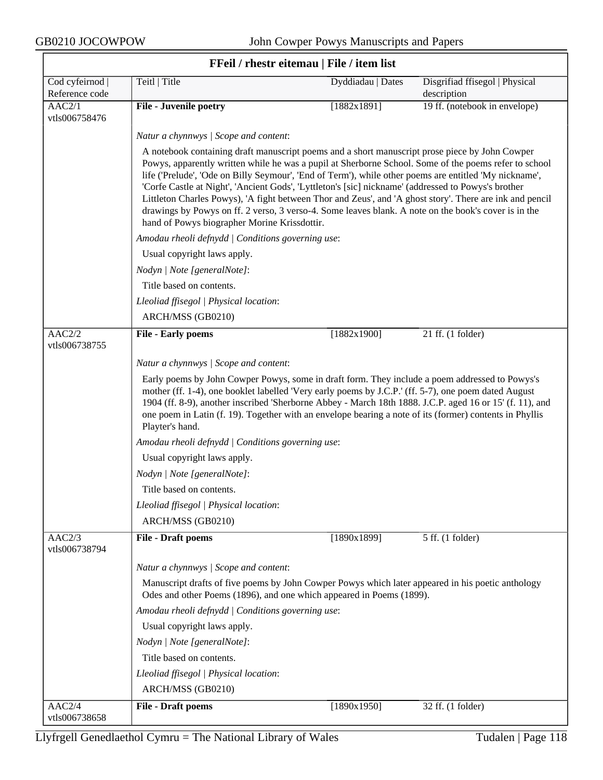| FFeil / rhestr eitemau   File / item list |                                                                                                                                                                                                                                                                                                                                                                                                                                                  |                                                                                                                                                                                                                                                                                                                                                                                                                                                                                                                                                                                                                                                                                              |                                               |  |  |
|-------------------------------------------|--------------------------------------------------------------------------------------------------------------------------------------------------------------------------------------------------------------------------------------------------------------------------------------------------------------------------------------------------------------------------------------------------------------------------------------------------|----------------------------------------------------------------------------------------------------------------------------------------------------------------------------------------------------------------------------------------------------------------------------------------------------------------------------------------------------------------------------------------------------------------------------------------------------------------------------------------------------------------------------------------------------------------------------------------------------------------------------------------------------------------------------------------------|-----------------------------------------------|--|--|
| Cod cyfeirnod<br>Reference code           | Teitl   Title                                                                                                                                                                                                                                                                                                                                                                                                                                    | Dyddiadau   Dates                                                                                                                                                                                                                                                                                                                                                                                                                                                                                                                                                                                                                                                                            | Disgrifiad ffisegol   Physical<br>description |  |  |
| $\overline{AAC2/1}$<br>vtls006758476      | <b>File - Juvenile poetry</b>                                                                                                                                                                                                                                                                                                                                                                                                                    | [1882x1891]                                                                                                                                                                                                                                                                                                                                                                                                                                                                                                                                                                                                                                                                                  | 19 ff. (notebook in envelope)                 |  |  |
|                                           | Natur a chynnwys / Scope and content:                                                                                                                                                                                                                                                                                                                                                                                                            |                                                                                                                                                                                                                                                                                                                                                                                                                                                                                                                                                                                                                                                                                              |                                               |  |  |
|                                           |                                                                                                                                                                                                                                                                                                                                                                                                                                                  | A notebook containing draft manuscript poems and a short manuscript prose piece by John Cowper<br>Powys, apparently written while he was a pupil at Sherborne School. Some of the poems refer to school<br>life ('Prelude', 'Ode on Billy Seymour', 'End of Term'), while other poems are entitled 'My nickname',<br>'Corfe Castle at Night', 'Ancient Gods', 'Lyttleton's [sic] nickname' (addressed to Powys's brother<br>Littleton Charles Powys), 'A fight between Thor and Zeus', and 'A ghost story'. There are ink and pencil<br>drawings by Powys on ff. 2 verso, 3 verso-4. Some leaves blank. A note on the book's cover is in the<br>hand of Powys biographer Morine Krissdottir. |                                               |  |  |
|                                           | Amodau rheoli defnydd   Conditions governing use:                                                                                                                                                                                                                                                                                                                                                                                                |                                                                                                                                                                                                                                                                                                                                                                                                                                                                                                                                                                                                                                                                                              |                                               |  |  |
|                                           | Usual copyright laws apply.                                                                                                                                                                                                                                                                                                                                                                                                                      |                                                                                                                                                                                                                                                                                                                                                                                                                                                                                                                                                                                                                                                                                              |                                               |  |  |
|                                           | Nodyn   Note [generalNote]:                                                                                                                                                                                                                                                                                                                                                                                                                      |                                                                                                                                                                                                                                                                                                                                                                                                                                                                                                                                                                                                                                                                                              |                                               |  |  |
|                                           | Title based on contents.                                                                                                                                                                                                                                                                                                                                                                                                                         |                                                                                                                                                                                                                                                                                                                                                                                                                                                                                                                                                                                                                                                                                              |                                               |  |  |
|                                           | Lleoliad ffisegol   Physical location:                                                                                                                                                                                                                                                                                                                                                                                                           |                                                                                                                                                                                                                                                                                                                                                                                                                                                                                                                                                                                                                                                                                              |                                               |  |  |
|                                           | ARCH/MSS (GB0210)                                                                                                                                                                                                                                                                                                                                                                                                                                |                                                                                                                                                                                                                                                                                                                                                                                                                                                                                                                                                                                                                                                                                              |                                               |  |  |
| AAC2/2<br>vtls006738755                   | <b>File - Early poems</b>                                                                                                                                                                                                                                                                                                                                                                                                                        | [1882x1900]                                                                                                                                                                                                                                                                                                                                                                                                                                                                                                                                                                                                                                                                                  | 21 ff. (1 folder)                             |  |  |
|                                           | Natur a chynnwys / Scope and content:                                                                                                                                                                                                                                                                                                                                                                                                            |                                                                                                                                                                                                                                                                                                                                                                                                                                                                                                                                                                                                                                                                                              |                                               |  |  |
|                                           | Early poems by John Cowper Powys, some in draft form. They include a poem addressed to Powys's<br>mother (ff. 1-4), one booklet labelled 'Very early poems by J.C.P.' (ff. 5-7), one poem dated August<br>1904 (ff. 8-9), another inscribed 'Sherborne Abbey - March 18th 1888. J.C.P. aged 16 or 15' (f. 11), and<br>one poem in Latin (f. 19). Together with an envelope bearing a note of its (former) contents in Phyllis<br>Playter's hand. |                                                                                                                                                                                                                                                                                                                                                                                                                                                                                                                                                                                                                                                                                              |                                               |  |  |
|                                           | Amodau rheoli defnydd   Conditions governing use:                                                                                                                                                                                                                                                                                                                                                                                                |                                                                                                                                                                                                                                                                                                                                                                                                                                                                                                                                                                                                                                                                                              |                                               |  |  |
|                                           | Usual copyright laws apply.                                                                                                                                                                                                                                                                                                                                                                                                                      |                                                                                                                                                                                                                                                                                                                                                                                                                                                                                                                                                                                                                                                                                              |                                               |  |  |
|                                           | Nodyn   Note [generalNote]:                                                                                                                                                                                                                                                                                                                                                                                                                      |                                                                                                                                                                                                                                                                                                                                                                                                                                                                                                                                                                                                                                                                                              |                                               |  |  |
|                                           | Title based on contents.                                                                                                                                                                                                                                                                                                                                                                                                                         |                                                                                                                                                                                                                                                                                                                                                                                                                                                                                                                                                                                                                                                                                              |                                               |  |  |
|                                           | Lleoliad ffisegol   Physical location:                                                                                                                                                                                                                                                                                                                                                                                                           |                                                                                                                                                                                                                                                                                                                                                                                                                                                                                                                                                                                                                                                                                              |                                               |  |  |
|                                           | ARCH/MSS (GB0210)                                                                                                                                                                                                                                                                                                                                                                                                                                |                                                                                                                                                                                                                                                                                                                                                                                                                                                                                                                                                                                                                                                                                              |                                               |  |  |
| AAC2/3<br>vtls006738794                   | <b>File - Draft poems</b>                                                                                                                                                                                                                                                                                                                                                                                                                        | [1890x1899]                                                                                                                                                                                                                                                                                                                                                                                                                                                                                                                                                                                                                                                                                  | 5 ff. (1 folder)                              |  |  |
|                                           | Natur a chynnwys / Scope and content:                                                                                                                                                                                                                                                                                                                                                                                                            |                                                                                                                                                                                                                                                                                                                                                                                                                                                                                                                                                                                                                                                                                              |                                               |  |  |
|                                           | Manuscript drafts of five poems by John Cowper Powys which later appeared in his poetic anthology<br>Odes and other Poems (1896), and one which appeared in Poems (1899).                                                                                                                                                                                                                                                                        |                                                                                                                                                                                                                                                                                                                                                                                                                                                                                                                                                                                                                                                                                              |                                               |  |  |
|                                           | Amodau rheoli defnydd   Conditions governing use:                                                                                                                                                                                                                                                                                                                                                                                                |                                                                                                                                                                                                                                                                                                                                                                                                                                                                                                                                                                                                                                                                                              |                                               |  |  |
|                                           | Usual copyright laws apply.                                                                                                                                                                                                                                                                                                                                                                                                                      |                                                                                                                                                                                                                                                                                                                                                                                                                                                                                                                                                                                                                                                                                              |                                               |  |  |
|                                           | Nodyn   Note [generalNote]:                                                                                                                                                                                                                                                                                                                                                                                                                      |                                                                                                                                                                                                                                                                                                                                                                                                                                                                                                                                                                                                                                                                                              |                                               |  |  |
|                                           | Title based on contents.                                                                                                                                                                                                                                                                                                                                                                                                                         |                                                                                                                                                                                                                                                                                                                                                                                                                                                                                                                                                                                                                                                                                              |                                               |  |  |
|                                           | Lleoliad ffisegol   Physical location:                                                                                                                                                                                                                                                                                                                                                                                                           |                                                                                                                                                                                                                                                                                                                                                                                                                                                                                                                                                                                                                                                                                              |                                               |  |  |
|                                           | ARCH/MSS (GB0210)                                                                                                                                                                                                                                                                                                                                                                                                                                |                                                                                                                                                                                                                                                                                                                                                                                                                                                                                                                                                                                                                                                                                              |                                               |  |  |
| AAC2/4<br>vtls006738658                   | <b>File - Draft poems</b>                                                                                                                                                                                                                                                                                                                                                                                                                        | [1890x1950]                                                                                                                                                                                                                                                                                                                                                                                                                                                                                                                                                                                                                                                                                  | 32 ff. (1 folder)                             |  |  |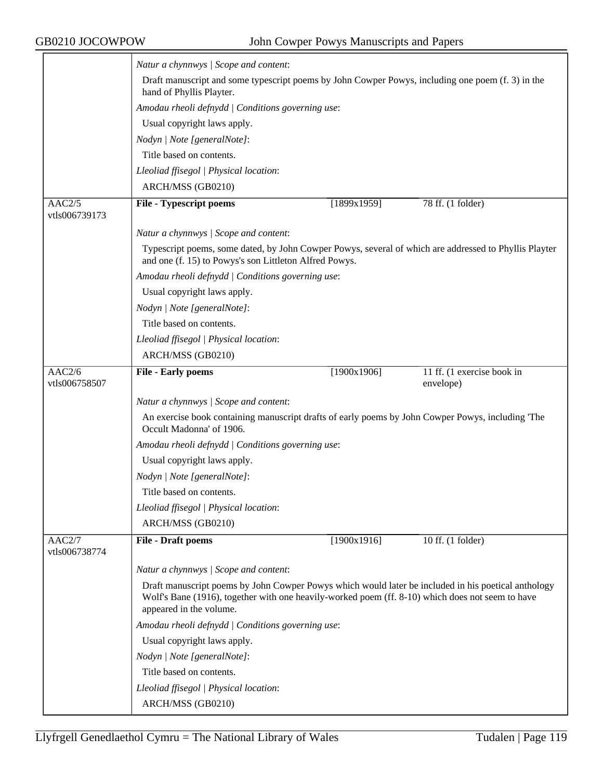|                         | Natur a chynnwys / Scope and content:                                                                                                                                                                                              |             |                                         |  |
|-------------------------|------------------------------------------------------------------------------------------------------------------------------------------------------------------------------------------------------------------------------------|-------------|-----------------------------------------|--|
|                         | Draft manuscript and some typescript poems by John Cowper Powys, including one poem (f. 3) in the<br>hand of Phyllis Playter.                                                                                                      |             |                                         |  |
|                         | Amodau rheoli defnydd   Conditions governing use:                                                                                                                                                                                  |             |                                         |  |
|                         | Usual copyright laws apply.                                                                                                                                                                                                        |             |                                         |  |
|                         | Nodyn   Note [generalNote]:                                                                                                                                                                                                        |             |                                         |  |
|                         | Title based on contents.                                                                                                                                                                                                           |             |                                         |  |
|                         | Lleoliad ffisegol   Physical location:                                                                                                                                                                                             |             |                                         |  |
|                         | ARCH/MSS (GB0210)                                                                                                                                                                                                                  |             |                                         |  |
| AAC2/5<br>vtls006739173 | <b>File - Typescript poems</b>                                                                                                                                                                                                     | [1899x1959] | 78 ff. (1 folder)                       |  |
|                         | Natur a chynnwys / Scope and content:                                                                                                                                                                                              |             |                                         |  |
|                         | Typescript poems, some dated, by John Cowper Powys, several of which are addressed to Phyllis Playter<br>and one (f. 15) to Powys's son Littleton Alfred Powys.                                                                    |             |                                         |  |
|                         | Amodau rheoli defnydd   Conditions governing use:                                                                                                                                                                                  |             |                                         |  |
|                         | Usual copyright laws apply.                                                                                                                                                                                                        |             |                                         |  |
|                         | Nodyn   Note [generalNote]:                                                                                                                                                                                                        |             |                                         |  |
|                         | Title based on contents.                                                                                                                                                                                                           |             |                                         |  |
|                         | Lleoliad ffisegol   Physical location:                                                                                                                                                                                             |             |                                         |  |
|                         | ARCH/MSS (GB0210)                                                                                                                                                                                                                  |             |                                         |  |
| AAC2/6<br>vtls006758507 | <b>File - Early poems</b>                                                                                                                                                                                                          | [1900x1906] | 11 ff. (1 exercise book in<br>envelope) |  |
|                         | Natur a chynnwys / Scope and content:                                                                                                                                                                                              |             |                                         |  |
|                         | An exercise book containing manuscript drafts of early poems by John Cowper Powys, including 'The<br>Occult Madonna' of 1906.                                                                                                      |             |                                         |  |
|                         | Amodau rheoli defnydd   Conditions governing use:                                                                                                                                                                                  |             |                                         |  |
|                         | Usual copyright laws apply.                                                                                                                                                                                                        |             |                                         |  |
|                         | Nodyn   Note [generalNote]:                                                                                                                                                                                                        |             |                                         |  |
|                         | Title based on contents.                                                                                                                                                                                                           |             |                                         |  |
|                         | Lleoliad ffisegol   Physical location:                                                                                                                                                                                             |             |                                         |  |
|                         | ARCH/MSS (GB0210)                                                                                                                                                                                                                  |             |                                         |  |
| AAC2/7                  | <b>File - Draft poems</b>                                                                                                                                                                                                          | [1900x1916] | 10 ff. (1 folder)                       |  |
| vtls006738774           |                                                                                                                                                                                                                                    |             |                                         |  |
|                         | Natur a chynnwys / Scope and content:                                                                                                                                                                                              |             |                                         |  |
|                         | Draft manuscript poems by John Cowper Powys which would later be included in his poetical anthology<br>Wolf's Bane (1916), together with one heavily-worked poem (ff. 8-10) which does not seem to have<br>appeared in the volume. |             |                                         |  |
|                         | Amodau rheoli defnydd   Conditions governing use:                                                                                                                                                                                  |             |                                         |  |
|                         | Usual copyright laws apply.                                                                                                                                                                                                        |             |                                         |  |
|                         | Nodyn   Note [generalNote]:                                                                                                                                                                                                        |             |                                         |  |
|                         | Title based on contents.                                                                                                                                                                                                           |             |                                         |  |
|                         | Lleoliad ffisegol   Physical location:                                                                                                                                                                                             |             |                                         |  |
|                         | ARCH/MSS (GB0210)                                                                                                                                                                                                                  |             |                                         |  |
|                         |                                                                                                                                                                                                                                    |             |                                         |  |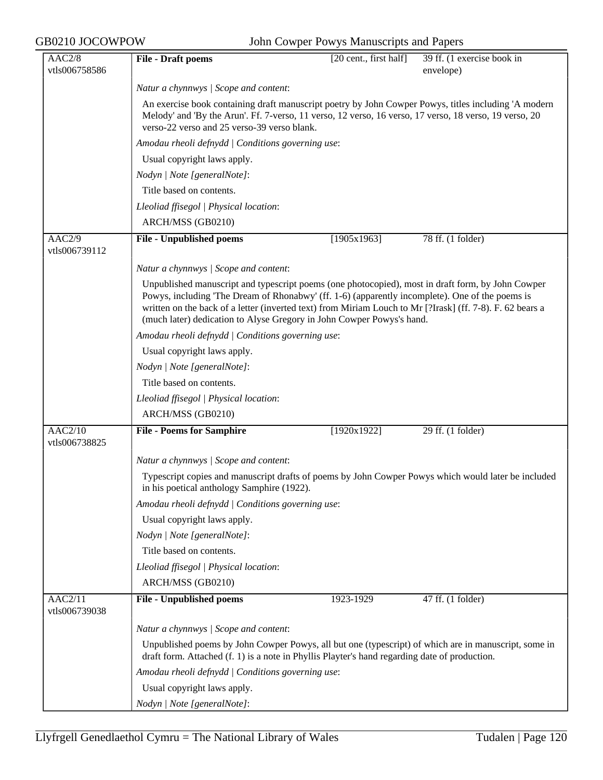| AAC2/8                                | <b>File - Draft poems</b>                                                                                                                                                                                                                                                                                                                                                                  | [20 cent., first half] | 39 ff. (1 exercise book in |
|---------------------------------------|--------------------------------------------------------------------------------------------------------------------------------------------------------------------------------------------------------------------------------------------------------------------------------------------------------------------------------------------------------------------------------------------|------------------------|----------------------------|
| vtls006758586                         |                                                                                                                                                                                                                                                                                                                                                                                            |                        | envelope)                  |
|                                       | Natur a chynnwys / Scope and content:                                                                                                                                                                                                                                                                                                                                                      |                        |                            |
|                                       | An exercise book containing draft manuscript poetry by John Cowper Powys, titles including 'A modern<br>Melody' and 'By the Arun'. Ff. 7-verso, 11 verso, 12 verso, 16 verso, 17 verso, 18 verso, 19 verso, 20<br>verso-22 verso and 25 verso-39 verso blank.                                                                                                                              |                        |                            |
|                                       | Amodau rheoli defnydd   Conditions governing use:                                                                                                                                                                                                                                                                                                                                          |                        |                            |
|                                       | Usual copyright laws apply.                                                                                                                                                                                                                                                                                                                                                                |                        |                            |
|                                       | Nodyn   Note [generalNote]:                                                                                                                                                                                                                                                                                                                                                                |                        |                            |
|                                       | Title based on contents.                                                                                                                                                                                                                                                                                                                                                                   |                        |                            |
|                                       | Lleoliad ffisegol   Physical location:                                                                                                                                                                                                                                                                                                                                                     |                        |                            |
|                                       | ARCH/MSS (GB0210)                                                                                                                                                                                                                                                                                                                                                                          |                        |                            |
| AAC2/9<br>vtls006739112               | <b>File - Unpublished poems</b>                                                                                                                                                                                                                                                                                                                                                            | [1905x1963]            | 78 ff. (1 folder)          |
|                                       | Natur a chynnwys / Scope and content:                                                                                                                                                                                                                                                                                                                                                      |                        |                            |
|                                       | Unpublished manuscript and typescript poems (one photocopied), most in draft form, by John Cowper<br>Powys, including 'The Dream of Rhonabwy' (ff. 1-6) (apparently incomplete). One of the poems is<br>written on the back of a letter (inverted text) from Miriam Louch to Mr [?Irask] (ff. 7-8). F. 62 bears a<br>(much later) dedication to Alyse Gregory in John Cowper Powys's hand. |                        |                            |
|                                       | Amodau rheoli defnydd   Conditions governing use:                                                                                                                                                                                                                                                                                                                                          |                        |                            |
|                                       | Usual copyright laws apply.                                                                                                                                                                                                                                                                                                                                                                |                        |                            |
|                                       | Nodyn   Note [generalNote]:                                                                                                                                                                                                                                                                                                                                                                |                        |                            |
|                                       | Title based on contents.                                                                                                                                                                                                                                                                                                                                                                   |                        |                            |
|                                       | Lleoliad ffisegol   Physical location:                                                                                                                                                                                                                                                                                                                                                     |                        |                            |
|                                       | ARCH/MSS (GB0210)                                                                                                                                                                                                                                                                                                                                                                          |                        |                            |
| $\overline{AAC2/10}$<br>vtls006738825 | <b>File - Poems for Samphire</b>                                                                                                                                                                                                                                                                                                                                                           | [1920x1922]            | 29 ff. (1 folder)          |
|                                       | Natur a chynnwys / Scope and content:                                                                                                                                                                                                                                                                                                                                                      |                        |                            |
|                                       | Typescript copies and manuscript drafts of poems by John Cowper Powys which would later be included<br>in his poetical anthology Samphire (1922).                                                                                                                                                                                                                                          |                        |                            |
|                                       | Amodau rheoli defnydd   Conditions governing use:                                                                                                                                                                                                                                                                                                                                          |                        |                            |
|                                       | Usual copyright laws apply.                                                                                                                                                                                                                                                                                                                                                                |                        |                            |
|                                       | Nodyn   Note [generalNote]:                                                                                                                                                                                                                                                                                                                                                                |                        |                            |
|                                       | Title based on contents.                                                                                                                                                                                                                                                                                                                                                                   |                        |                            |
|                                       | Lleoliad ffisegol   Physical location:                                                                                                                                                                                                                                                                                                                                                     |                        |                            |
|                                       | ARCH/MSS (GB0210)                                                                                                                                                                                                                                                                                                                                                                          |                        |                            |
| AAC2/11<br>vtls006739038              | <b>File - Unpublished poems</b>                                                                                                                                                                                                                                                                                                                                                            | 1923-1929              | 47 ff. (1 folder)          |
|                                       | Natur a chynnwys / Scope and content:                                                                                                                                                                                                                                                                                                                                                      |                        |                            |
|                                       | Unpublished poems by John Cowper Powys, all but one (typescript) of which are in manuscript, some in<br>draft form. Attached (f. 1) is a note in Phyllis Playter's hand regarding date of production.                                                                                                                                                                                      |                        |                            |
|                                       | Amodau rheoli defnydd   Conditions governing use:                                                                                                                                                                                                                                                                                                                                          |                        |                            |
|                                       | Usual copyright laws apply.                                                                                                                                                                                                                                                                                                                                                                |                        |                            |
|                                       | Nodyn   Note [generalNote]:                                                                                                                                                                                                                                                                                                                                                                |                        |                            |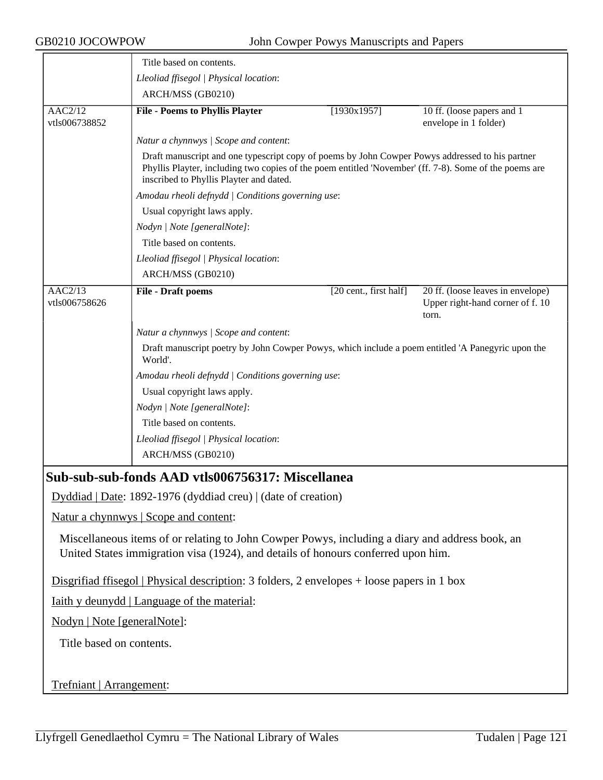|                                                                                                                                                                                      | Title based on contents.                                                                                                                                                                                                                             |                        |                                                                                |  |  |
|--------------------------------------------------------------------------------------------------------------------------------------------------------------------------------------|------------------------------------------------------------------------------------------------------------------------------------------------------------------------------------------------------------------------------------------------------|------------------------|--------------------------------------------------------------------------------|--|--|
|                                                                                                                                                                                      | Lleoliad ffisegol   Physical location:                                                                                                                                                                                                               |                        |                                                                                |  |  |
|                                                                                                                                                                                      | ARCH/MSS (GB0210)                                                                                                                                                                                                                                    |                        |                                                                                |  |  |
| AAC2/12<br>vtls006738852                                                                                                                                                             | <b>File - Poems to Phyllis Playter</b>                                                                                                                                                                                                               | [1930x1957]            | 10 ff. (loose papers and 1)<br>envelope in 1 folder)                           |  |  |
|                                                                                                                                                                                      | Natur a chynnwys / Scope and content:                                                                                                                                                                                                                |                        |                                                                                |  |  |
|                                                                                                                                                                                      | Draft manuscript and one typescript copy of poems by John Cowper Powys addressed to his partner<br>Phyllis Playter, including two copies of the poem entitled 'November' (ff. 7-8). Some of the poems are<br>inscribed to Phyllis Playter and dated. |                        |                                                                                |  |  |
|                                                                                                                                                                                      | Amodau rheoli defnydd   Conditions governing use:                                                                                                                                                                                                    |                        |                                                                                |  |  |
|                                                                                                                                                                                      | Usual copyright laws apply.                                                                                                                                                                                                                          |                        |                                                                                |  |  |
|                                                                                                                                                                                      | Nodyn   Note [generalNote]:                                                                                                                                                                                                                          |                        |                                                                                |  |  |
|                                                                                                                                                                                      | Title based on contents.                                                                                                                                                                                                                             |                        |                                                                                |  |  |
|                                                                                                                                                                                      | Lleoliad ffisegol   Physical location:                                                                                                                                                                                                               |                        |                                                                                |  |  |
|                                                                                                                                                                                      | ARCH/MSS (GB0210)                                                                                                                                                                                                                                    |                        |                                                                                |  |  |
| AAC2/13<br>vtls006758626                                                                                                                                                             | File - Draft poems                                                                                                                                                                                                                                   | [20 cent., first half] | 20 ff. (loose leaves in envelope)<br>Upper right-hand corner of f. 10<br>torn. |  |  |
|                                                                                                                                                                                      | Natur a chynnwys / Scope and content:                                                                                                                                                                                                                |                        |                                                                                |  |  |
|                                                                                                                                                                                      |                                                                                                                                                                                                                                                      |                        |                                                                                |  |  |
|                                                                                                                                                                                      | Draft manuscript poetry by John Cowper Powys, which include a poem entitled 'A Panegyric upon the<br>World'.                                                                                                                                         |                        |                                                                                |  |  |
|                                                                                                                                                                                      | Amodau rheoli defnydd   Conditions governing use:                                                                                                                                                                                                    |                        |                                                                                |  |  |
|                                                                                                                                                                                      | Usual copyright laws apply.                                                                                                                                                                                                                          |                        |                                                                                |  |  |
|                                                                                                                                                                                      | Nodyn   Note [generalNote]:                                                                                                                                                                                                                          |                        |                                                                                |  |  |
|                                                                                                                                                                                      | Title based on contents.                                                                                                                                                                                                                             |                        |                                                                                |  |  |
|                                                                                                                                                                                      | Lleoliad ffisegol   Physical location:                                                                                                                                                                                                               |                        |                                                                                |  |  |
|                                                                                                                                                                                      | ARCH/MSS (GB0210)                                                                                                                                                                                                                                    |                        |                                                                                |  |  |
|                                                                                                                                                                                      | Sub-sub-sub-fonds AAD vtls006756317: Miscellanea                                                                                                                                                                                                     |                        |                                                                                |  |  |
|                                                                                                                                                                                      | Dyddiad   Date: 1892-1976 (dyddiad creu)   (date of creation)                                                                                                                                                                                        |                        |                                                                                |  |  |
| Natur a chynnwys   Scope and content:                                                                                                                                                |                                                                                                                                                                                                                                                      |                        |                                                                                |  |  |
| Miscellaneous items of or relating to John Cowper Powys, including a diary and address book, an<br>United States immigration visa (1924), and details of honours conferred upon him. |                                                                                                                                                                                                                                                      |                        |                                                                                |  |  |
| Disgrifiad ffisegol   Physical description: 3 folders, 2 envelopes $+$ loose papers in 1 box                                                                                         |                                                                                                                                                                                                                                                      |                        |                                                                                |  |  |
| <u>Iaith y deunydd</u>   Language of the material:                                                                                                                                   |                                                                                                                                                                                                                                                      |                        |                                                                                |  |  |
| Nodyn   Note [generalNote]:                                                                                                                                                          |                                                                                                                                                                                                                                                      |                        |                                                                                |  |  |
| Title based on contents.                                                                                                                                                             |                                                                                                                                                                                                                                                      |                        |                                                                                |  |  |
|                                                                                                                                                                                      |                                                                                                                                                                                                                                                      |                        |                                                                                |  |  |
|                                                                                                                                                                                      |                                                                                                                                                                                                                                                      |                        |                                                                                |  |  |
| Trefniant   Arrangement:                                                                                                                                                             |                                                                                                                                                                                                                                                      |                        |                                                                                |  |  |

Llyfrgell Genedlaethol Cymru = The National Library of Wales Tudalen | Page 121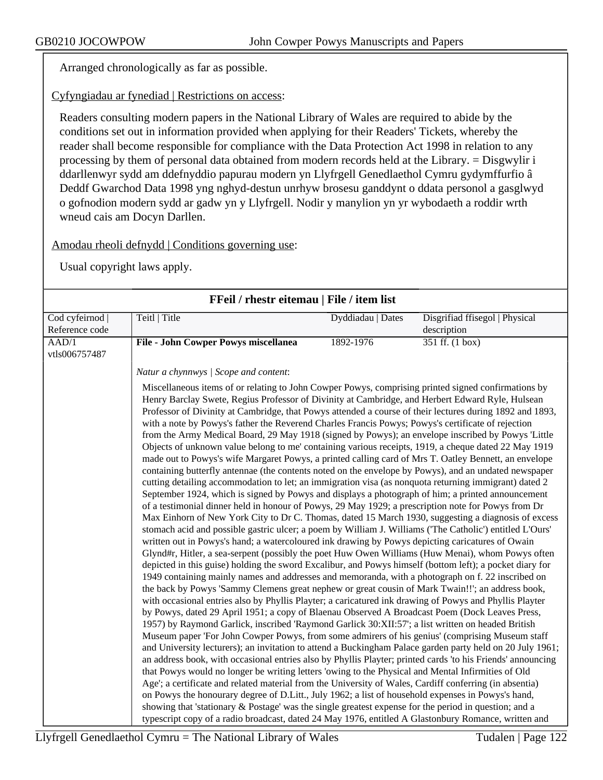Arranged chronologically as far as possible.

Cyfyngiadau ar fynediad | Restrictions on access:

Readers consulting modern papers in the National Library of Wales are required to abide by the conditions set out in information provided when applying for their Readers' Tickets, whereby the reader shall become responsible for compliance with the Data Protection Act 1998 in relation to any processing by them of personal data obtained from modern records held at the Library. = Disgwylir i ddarllenwyr sydd am ddefnyddio papurau modern yn Llyfrgell Genedlaethol Cymru gydymffurfio â Deddf Gwarchod Data 1998 yng nghyd-destun unrhyw brosesu ganddynt o ddata personol a gasglwyd o gofnodion modern sydd ar gadw yn y Llyfrgell. Nodir y manylion yn yr wybodaeth a roddir wrth wneud cais am Docyn Darllen.

Amodau rheoli defnydd | Conditions governing use:

| FFeil / rhestr eitemau   File / item list |                                                                                                                                                                                                                                                                                                                                                                                                                                                                                                                                                                                                                                                                                                                                                                                                                                                                                                                                                                                                                                                                                                                                                                                                                                                                                                                                                                                                                                                                                                                                                                                                                                                                                                                                                                                                                                                                                                                                                                                                                                                                                                                                                                                                                                                                                                                                                                                                                                                                                                                                                                                                                                                                                                                                                                                                                                                                                                                                                                                                                                                                                                                          |                   |                                |
|-------------------------------------------|--------------------------------------------------------------------------------------------------------------------------------------------------------------------------------------------------------------------------------------------------------------------------------------------------------------------------------------------------------------------------------------------------------------------------------------------------------------------------------------------------------------------------------------------------------------------------------------------------------------------------------------------------------------------------------------------------------------------------------------------------------------------------------------------------------------------------------------------------------------------------------------------------------------------------------------------------------------------------------------------------------------------------------------------------------------------------------------------------------------------------------------------------------------------------------------------------------------------------------------------------------------------------------------------------------------------------------------------------------------------------------------------------------------------------------------------------------------------------------------------------------------------------------------------------------------------------------------------------------------------------------------------------------------------------------------------------------------------------------------------------------------------------------------------------------------------------------------------------------------------------------------------------------------------------------------------------------------------------------------------------------------------------------------------------------------------------------------------------------------------------------------------------------------------------------------------------------------------------------------------------------------------------------------------------------------------------------------------------------------------------------------------------------------------------------------------------------------------------------------------------------------------------------------------------------------------------------------------------------------------------------------------------------------------------------------------------------------------------------------------------------------------------------------------------------------------------------------------------------------------------------------------------------------------------------------------------------------------------------------------------------------------------------------------------------------------------------------------------------------------------|-------------------|--------------------------------|
| Cod cyfeirnod                             | Teitl   Title                                                                                                                                                                                                                                                                                                                                                                                                                                                                                                                                                                                                                                                                                                                                                                                                                                                                                                                                                                                                                                                                                                                                                                                                                                                                                                                                                                                                                                                                                                                                                                                                                                                                                                                                                                                                                                                                                                                                                                                                                                                                                                                                                                                                                                                                                                                                                                                                                                                                                                                                                                                                                                                                                                                                                                                                                                                                                                                                                                                                                                                                                                            | Dyddiadau   Dates | Disgrifiad ffisegol   Physical |
| Reference code                            |                                                                                                                                                                                                                                                                                                                                                                                                                                                                                                                                                                                                                                                                                                                                                                                                                                                                                                                                                                                                                                                                                                                                                                                                                                                                                                                                                                                                                                                                                                                                                                                                                                                                                                                                                                                                                                                                                                                                                                                                                                                                                                                                                                                                                                                                                                                                                                                                                                                                                                                                                                                                                                                                                                                                                                                                                                                                                                                                                                                                                                                                                                                          |                   | description                    |
| AAD/1                                     | <b>File - John Cowper Powys miscellanea</b>                                                                                                                                                                                                                                                                                                                                                                                                                                                                                                                                                                                                                                                                                                                                                                                                                                                                                                                                                                                                                                                                                                                                                                                                                                                                                                                                                                                                                                                                                                                                                                                                                                                                                                                                                                                                                                                                                                                                                                                                                                                                                                                                                                                                                                                                                                                                                                                                                                                                                                                                                                                                                                                                                                                                                                                                                                                                                                                                                                                                                                                                              | 1892-1976         | $351$ ff. (1 box)              |
| vtls006757487                             |                                                                                                                                                                                                                                                                                                                                                                                                                                                                                                                                                                                                                                                                                                                                                                                                                                                                                                                                                                                                                                                                                                                                                                                                                                                                                                                                                                                                                                                                                                                                                                                                                                                                                                                                                                                                                                                                                                                                                                                                                                                                                                                                                                                                                                                                                                                                                                                                                                                                                                                                                                                                                                                                                                                                                                                                                                                                                                                                                                                                                                                                                                                          |                   |                                |
|                                           | Natur a chynnwys / Scope and content:                                                                                                                                                                                                                                                                                                                                                                                                                                                                                                                                                                                                                                                                                                                                                                                                                                                                                                                                                                                                                                                                                                                                                                                                                                                                                                                                                                                                                                                                                                                                                                                                                                                                                                                                                                                                                                                                                                                                                                                                                                                                                                                                                                                                                                                                                                                                                                                                                                                                                                                                                                                                                                                                                                                                                                                                                                                                                                                                                                                                                                                                                    |                   |                                |
|                                           | Miscellaneous items of or relating to John Cowper Powys, comprising printed signed confirmations by<br>Henry Barclay Swete, Regius Professor of Divinity at Cambridge, and Herbert Edward Ryle, Hulsean<br>Professor of Divinity at Cambridge, that Powys attended a course of their lectures during 1892 and 1893,<br>with a note by Powys's father the Reverend Charles Francis Powys; Powys's certificate of rejection<br>from the Army Medical Board, 29 May 1918 (signed by Powys); an envelope inscribed by Powys 'Little<br>Objects of unknown value belong to me' containing various receipts, 1919, a cheque dated 22 May 1919<br>made out to Powys's wife Margaret Powys, a printed calling card of Mrs T. Oatley Bennett, an envelope<br>containing butterfly antennae (the contents noted on the envelope by Powys), and an undated newspaper<br>cutting detailing accommodation to let; an immigration visa (as nonquota returning immigrant) dated 2<br>September 1924, which is signed by Powys and displays a photograph of him; a printed announcement<br>of a testimonial dinner held in honour of Powys, 29 May 1929; a prescription note for Powys from Dr<br>Max Einhorn of New York City to Dr C. Thomas, dated 15 March 1930, suggesting a diagnosis of excess<br>stomach acid and possible gastric ulcer; a poem by William J. Williams ('The Catholic') entitled L'Ours'<br>written out in Powys's hand; a watercoloured ink drawing by Powys depicting caricatures of Owain<br>Glynd#r, Hitler, a sea-serpent (possibly the poet Huw Owen Williams (Huw Menai), whom Powys often<br>depicted in this guise) holding the sword Excalibur, and Powys himself (bottom left); a pocket diary for<br>1949 containing mainly names and addresses and memoranda, with a photograph on f. 22 inscribed on<br>the back by Powys 'Sammy Clemens great nephew or great cousin of Mark Twain!!'; an address book,<br>with occasional entries also by Phyllis Playter; a caricatured ink drawing of Powys and Phyllis Playter<br>by Powys, dated 29 April 1951; a copy of Blaenau Observed A Broadcast Poem (Dock Leaves Press,<br>1957) by Raymond Garlick, inscribed 'Raymond Garlick 30:XII:57'; a list written on headed British<br>Museum paper 'For John Cowper Powys, from some admirers of his genius' (comprising Museum staff<br>and University lecturers); an invitation to attend a Buckingham Palace garden party held on 20 July 1961;<br>an address book, with occasional entries also by Phyllis Playter; printed cards 'to his Friends' announcing<br>that Powys would no longer be writing letters 'owing to the Physical and Mental Infirmities of Old<br>Age'; a certificate and related material from the University of Wales, Cardiff conferring (in absentia)<br>on Powys the honourary degree of D.Litt., July 1962; a list of household expenses in Powys's hand,<br>showing that 'stationary & Postage' was the single greatest expense for the period in question; and a<br>typescript copy of a radio broadcast, dated 24 May 1976, entitled A Glastonbury Romance, written and |                   |                                |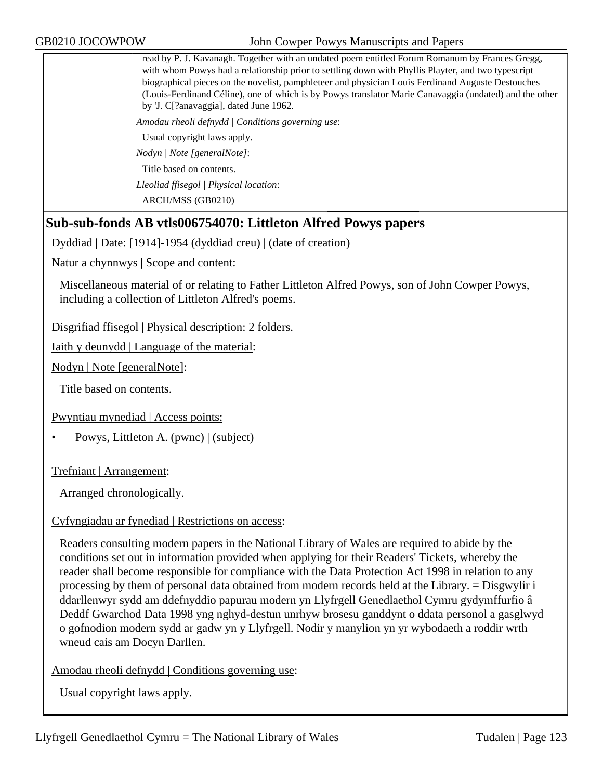read by P. J. Kavanagh. Together with an undated poem entitled Forum Romanum by Frances Gregg, with whom Powys had a relationship prior to settling down with Phyllis Playter, and two typescript biographical pieces on the novelist, pamphleteer and physician Louis Ferdinand Auguste Destouches (Louis-Ferdinand Céline), one of which is by Powys translator Marie Canavaggia (undated) and the other by 'J. C[?anavaggia], dated June 1962. *Amodau rheoli defnydd | Conditions governing use*: Usual copyright laws apply. *Nodyn | Note [generalNote]*: Title based on contents. *Lleoliad ffisegol | Physical location*: ARCH/MSS (GB0210)

## **Sub-sub-fonds AB vtls006754070: Littleton Alfred Powys papers**

Dyddiad | Date: [1914]-1954 (dyddiad creu) | (date of creation)

Natur a chynnwys | Scope and content:

Miscellaneous material of or relating to Father Littleton Alfred Powys, son of John Cowper Powys, including a collection of Littleton Alfred's poems.

Disgrifiad ffisegol | Physical description: 2 folders.

Iaith y deunydd | Language of the material:

Nodyn | Note [generalNote]:

Title based on contents.

Pwyntiau mynediad | Access points:

• Powys, Littleton A. (pwnc) | (subject)

Trefniant | Arrangement:

Arranged chronologically.

#### Cyfyngiadau ar fynediad | Restrictions on access:

Readers consulting modern papers in the National Library of Wales are required to abide by the conditions set out in information provided when applying for their Readers' Tickets, whereby the reader shall become responsible for compliance with the Data Protection Act 1998 in relation to any processing by them of personal data obtained from modern records held at the Library. = Disgwylir i ddarllenwyr sydd am ddefnyddio papurau modern yn Llyfrgell Genedlaethol Cymru gydymffurfio â Deddf Gwarchod Data 1998 yng nghyd-destun unrhyw brosesu ganddynt o ddata personol a gasglwyd o gofnodion modern sydd ar gadw yn y Llyfrgell. Nodir y manylion yn yr wybodaeth a roddir wrth wneud cais am Docyn Darllen.

Amodau rheoli defnydd | Conditions governing use: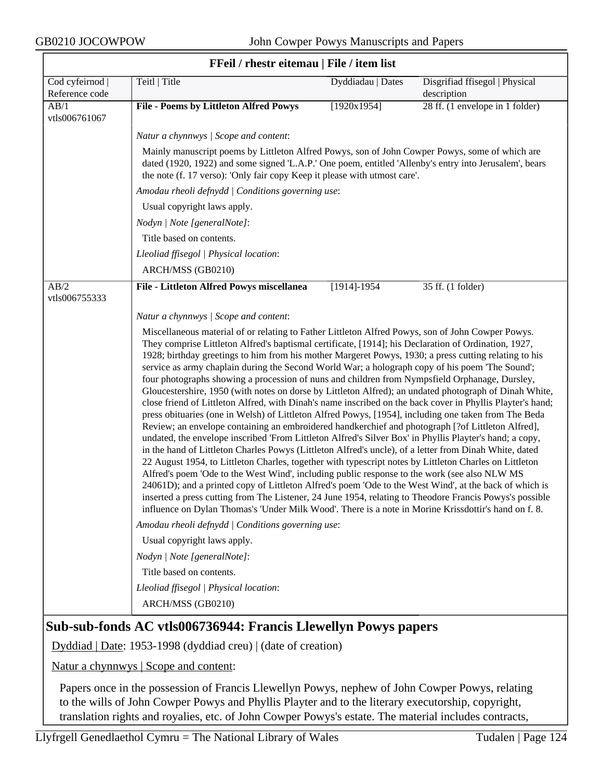$\overline{\phantom{a}}$ 

| FFeil / rhestr eitemau   File / item list |                                                                                                                                                                                                                                                                                                                                                                                                                                                                                                                                                                                                                                                                                                                                                                                                                                                                                                                                                                                                                                                                                                                                                                                                                                                                                                                                                                                                                                                                                                                                                                                                                                                                                                                          |                   |                                               |  |
|-------------------------------------------|--------------------------------------------------------------------------------------------------------------------------------------------------------------------------------------------------------------------------------------------------------------------------------------------------------------------------------------------------------------------------------------------------------------------------------------------------------------------------------------------------------------------------------------------------------------------------------------------------------------------------------------------------------------------------------------------------------------------------------------------------------------------------------------------------------------------------------------------------------------------------------------------------------------------------------------------------------------------------------------------------------------------------------------------------------------------------------------------------------------------------------------------------------------------------------------------------------------------------------------------------------------------------------------------------------------------------------------------------------------------------------------------------------------------------------------------------------------------------------------------------------------------------------------------------------------------------------------------------------------------------------------------------------------------------------------------------------------------------|-------------------|-----------------------------------------------|--|
| Cod cyfeirnod  <br>Reference code         | Teitl   Title                                                                                                                                                                                                                                                                                                                                                                                                                                                                                                                                                                                                                                                                                                                                                                                                                                                                                                                                                                                                                                                                                                                                                                                                                                                                                                                                                                                                                                                                                                                                                                                                                                                                                                            | Dyddiadau   Dates | Disgrifiad ffisegol   Physical<br>description |  |
| AB/1<br>vtls006761067                     | <b>File - Poems by Littleton Alfred Powys</b>                                                                                                                                                                                                                                                                                                                                                                                                                                                                                                                                                                                                                                                                                                                                                                                                                                                                                                                                                                                                                                                                                                                                                                                                                                                                                                                                                                                                                                                                                                                                                                                                                                                                            | [1920x1954]       | 28 ff. (1 envelope in 1 folder)               |  |
|                                           | Natur a chynnwys / Scope and content:                                                                                                                                                                                                                                                                                                                                                                                                                                                                                                                                                                                                                                                                                                                                                                                                                                                                                                                                                                                                                                                                                                                                                                                                                                                                                                                                                                                                                                                                                                                                                                                                                                                                                    |                   |                                               |  |
|                                           | Mainly manuscript poems by Littleton Alfred Powys, son of John Cowper Powys, some of which are<br>dated (1920, 1922) and some signed 'L.A.P.' One poem, entitled 'Allenby's entry into Jerusalem', bears<br>the note (f. 17 verso): 'Only fair copy Keep it please with utmost care'.                                                                                                                                                                                                                                                                                                                                                                                                                                                                                                                                                                                                                                                                                                                                                                                                                                                                                                                                                                                                                                                                                                                                                                                                                                                                                                                                                                                                                                    |                   |                                               |  |
|                                           | Amodau rheoli defnydd   Conditions governing use:                                                                                                                                                                                                                                                                                                                                                                                                                                                                                                                                                                                                                                                                                                                                                                                                                                                                                                                                                                                                                                                                                                                                                                                                                                                                                                                                                                                                                                                                                                                                                                                                                                                                        |                   |                                               |  |
|                                           | Usual copyright laws apply.                                                                                                                                                                                                                                                                                                                                                                                                                                                                                                                                                                                                                                                                                                                                                                                                                                                                                                                                                                                                                                                                                                                                                                                                                                                                                                                                                                                                                                                                                                                                                                                                                                                                                              |                   |                                               |  |
|                                           | Nodyn   Note [generalNote]:                                                                                                                                                                                                                                                                                                                                                                                                                                                                                                                                                                                                                                                                                                                                                                                                                                                                                                                                                                                                                                                                                                                                                                                                                                                                                                                                                                                                                                                                                                                                                                                                                                                                                              |                   |                                               |  |
|                                           | Title based on contents.                                                                                                                                                                                                                                                                                                                                                                                                                                                                                                                                                                                                                                                                                                                                                                                                                                                                                                                                                                                                                                                                                                                                                                                                                                                                                                                                                                                                                                                                                                                                                                                                                                                                                                 |                   |                                               |  |
|                                           | Lleoliad ffisegol   Physical location:                                                                                                                                                                                                                                                                                                                                                                                                                                                                                                                                                                                                                                                                                                                                                                                                                                                                                                                                                                                                                                                                                                                                                                                                                                                                                                                                                                                                                                                                                                                                                                                                                                                                                   |                   |                                               |  |
|                                           | ARCH/MSS (GB0210)                                                                                                                                                                                                                                                                                                                                                                                                                                                                                                                                                                                                                                                                                                                                                                                                                                                                                                                                                                                                                                                                                                                                                                                                                                                                                                                                                                                                                                                                                                                                                                                                                                                                                                        |                   |                                               |  |
| AB/2                                      | File - Littleton Alfred Powys miscellanea                                                                                                                                                                                                                                                                                                                                                                                                                                                                                                                                                                                                                                                                                                                                                                                                                                                                                                                                                                                                                                                                                                                                                                                                                                                                                                                                                                                                                                                                                                                                                                                                                                                                                | $[1914] - 1954$   | 35 ff. (1 folder)                             |  |
| vtls006755333                             |                                                                                                                                                                                                                                                                                                                                                                                                                                                                                                                                                                                                                                                                                                                                                                                                                                                                                                                                                                                                                                                                                                                                                                                                                                                                                                                                                                                                                                                                                                                                                                                                                                                                                                                          |                   |                                               |  |
|                                           | Natur a chynnwys / Scope and content:                                                                                                                                                                                                                                                                                                                                                                                                                                                                                                                                                                                                                                                                                                                                                                                                                                                                                                                                                                                                                                                                                                                                                                                                                                                                                                                                                                                                                                                                                                                                                                                                                                                                                    |                   |                                               |  |
|                                           | Miscellaneous material of or relating to Father Littleton Alfred Powys, son of John Cowper Powys.<br>They comprise Littleton Alfred's baptismal certificate, [1914]; his Declaration of Ordination, 1927,<br>1928; birthday greetings to him from his mother Margeret Powys, 1930; a press cutting relating to his<br>service as army chaplain during the Second World War; a holograph copy of his poem 'The Sound';<br>four photographs showing a procession of nuns and children from Nympsfield Orphanage, Dursley,<br>Gloucestershire, 1950 (with notes on dorse by Littleton Alfred); an undated photograph of Dinah White,<br>close friend of Littleton Alfred, with Dinah's name inscribed on the back cover in Phyllis Playter's hand;<br>press obituaries (one in Welsh) of Littleton Alfred Powys, [1954], including one taken from The Beda<br>Review; an envelope containing an embroidered handkerchief and photograph [?of Littleton Alfred],<br>undated, the envelope inscribed 'From Littleton Alfred's Silver Box' in Phyllis Playter's hand; a copy,<br>in the hand of Littleton Charles Powys (Littleton Alfred's uncle), of a letter from Dinah White, dated<br>22 August 1954, to Littleton Charles, together with typescript notes by Littleton Charles on Littleton<br>Alfred's poem 'Ode to the West Wind', including public response to the work (see also NLW MS<br>24061D); and a printed copy of Littleton Alfred's poem 'Ode to the West Wind', at the back of which is<br>inserted a press cutting from The Listener, 24 June 1954, relating to Theodore Francis Powys's possible<br>influence on Dylan Thomas's 'Under Milk Wood'. There is a note in Morine Krissdottir's hand on f. 8. |                   |                                               |  |
|                                           | Amodau rheoli defnydd   Conditions governing use:                                                                                                                                                                                                                                                                                                                                                                                                                                                                                                                                                                                                                                                                                                                                                                                                                                                                                                                                                                                                                                                                                                                                                                                                                                                                                                                                                                                                                                                                                                                                                                                                                                                                        |                   |                                               |  |
|                                           | Usual copyright laws apply.                                                                                                                                                                                                                                                                                                                                                                                                                                                                                                                                                                                                                                                                                                                                                                                                                                                                                                                                                                                                                                                                                                                                                                                                                                                                                                                                                                                                                                                                                                                                                                                                                                                                                              |                   |                                               |  |
|                                           | Nodyn   Note [generalNote]:                                                                                                                                                                                                                                                                                                                                                                                                                                                                                                                                                                                                                                                                                                                                                                                                                                                                                                                                                                                                                                                                                                                                                                                                                                                                                                                                                                                                                                                                                                                                                                                                                                                                                              |                   |                                               |  |
|                                           | Title based on contents.                                                                                                                                                                                                                                                                                                                                                                                                                                                                                                                                                                                                                                                                                                                                                                                                                                                                                                                                                                                                                                                                                                                                                                                                                                                                                                                                                                                                                                                                                                                                                                                                                                                                                                 |                   |                                               |  |
|                                           | Lleoliad ffisegol   Physical location:                                                                                                                                                                                                                                                                                                                                                                                                                                                                                                                                                                                                                                                                                                                                                                                                                                                                                                                                                                                                                                                                                                                                                                                                                                                                                                                                                                                                                                                                                                                                                                                                                                                                                   |                   |                                               |  |
|                                           | ARCH/MSS (GB0210)                                                                                                                                                                                                                                                                                                                                                                                                                                                                                                                                                                                                                                                                                                                                                                                                                                                                                                                                                                                                                                                                                                                                                                                                                                                                                                                                                                                                                                                                                                                                                                                                                                                                                                        |                   |                                               |  |

### **FFeil / rhestr eitemau | File / item list**

## **Sub-sub-fonds AC vtls006736944: Francis Llewellyn Powys papers**

Dyddiad | Date: 1953-1998 (dyddiad creu) | (date of creation)

Natur a chynnwys | Scope and content:

Papers once in the possession of Francis Llewellyn Powys, nephew of John Cowper Powys, relating to the wills of John Cowper Powys and Phyllis Playter and to the literary executorship, copyright, translation rights and royalies, etc. of John Cowper Powys's estate. The material includes contracts,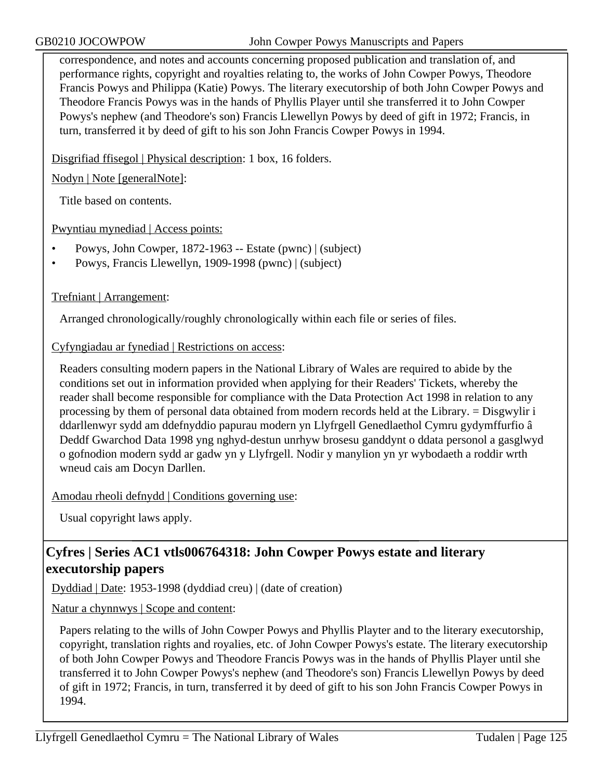correspondence, and notes and accounts concerning proposed publication and translation of, and performance rights, copyright and royalties relating to, the works of John Cowper Powys, Theodore Francis Powys and Philippa (Katie) Powys. The literary executorship of both John Cowper Powys and Theodore Francis Powys was in the hands of Phyllis Player until she transferred it to John Cowper Powys's nephew (and Theodore's son) Francis Llewellyn Powys by deed of gift in 1972; Francis, in turn, transferred it by deed of gift to his son John Francis Cowper Powys in 1994.

Disgrifiad ffisegol | Physical description: 1 box, 16 folders.

Nodyn | Note [generalNote]:

Title based on contents.

Pwyntiau mynediad | Access points:

- Powys, John Cowper, 1872-1963 -- Estate (pwnc) | (subject)
- Powys, Francis Llewellyn, 1909-1998 (pwnc) | (subject)

## Trefniant | Arrangement:

Arranged chronologically/roughly chronologically within each file or series of files.

Cyfyngiadau ar fynediad | Restrictions on access:

Readers consulting modern papers in the National Library of Wales are required to abide by the conditions set out in information provided when applying for their Readers' Tickets, whereby the reader shall become responsible for compliance with the Data Protection Act 1998 in relation to any processing by them of personal data obtained from modern records held at the Library. = Disgwylir i ddarllenwyr sydd am ddefnyddio papurau modern yn Llyfrgell Genedlaethol Cymru gydymffurfio â Deddf Gwarchod Data 1998 yng nghyd-destun unrhyw brosesu ganddynt o ddata personol a gasglwyd o gofnodion modern sydd ar gadw yn y Llyfrgell. Nodir y manylion yn yr wybodaeth a roddir wrth wneud cais am Docyn Darllen.

Amodau rheoli defnydd | Conditions governing use:

Usual copyright laws apply.

# **Cyfres | Series AC1 vtls006764318: John Cowper Powys estate and literary executorship papers**

Dyddiad | Date: 1953-1998 (dyddiad creu) | (date of creation)

Natur a chynnwys | Scope and content:

Papers relating to the wills of John Cowper Powys and Phyllis Playter and to the literary executorship, copyright, translation rights and royalies, etc. of John Cowper Powys's estate. The literary executorship of both John Cowper Powys and Theodore Francis Powys was in the hands of Phyllis Player until she transferred it to John Cowper Powys's nephew (and Theodore's son) Francis Llewellyn Powys by deed of gift in 1972; Francis, in turn, transferred it by deed of gift to his son John Francis Cowper Powys in 1994.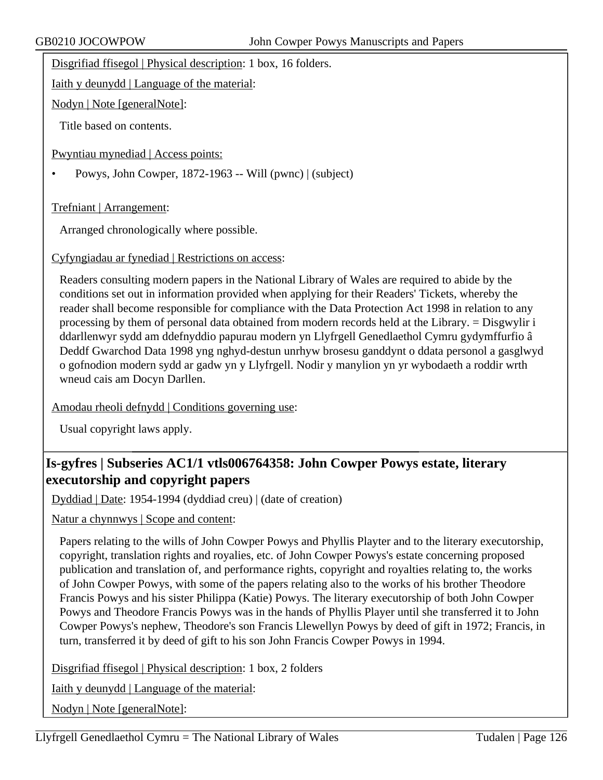Disgrifiad ffisegol | Physical description: 1 box, 16 folders.

Iaith y deunydd | Language of the material:

Nodyn | Note [generalNote]:

Title based on contents.

Pwyntiau mynediad | Access points:

• Powys, John Cowper, 1872-1963 -- Will (pwnc) | (subject)

Trefniant | Arrangement:

Arranged chronologically where possible.

Cyfyngiadau ar fynediad | Restrictions on access:

Readers consulting modern papers in the National Library of Wales are required to abide by the conditions set out in information provided when applying for their Readers' Tickets, whereby the reader shall become responsible for compliance with the Data Protection Act 1998 in relation to any processing by them of personal data obtained from modern records held at the Library. = Disgwylir i ddarllenwyr sydd am ddefnyddio papurau modern yn Llyfrgell Genedlaethol Cymru gydymffurfio â Deddf Gwarchod Data 1998 yng nghyd-destun unrhyw brosesu ganddynt o ddata personol a gasglwyd o gofnodion modern sydd ar gadw yn y Llyfrgell. Nodir y manylion yn yr wybodaeth a roddir wrth wneud cais am Docyn Darllen.

Amodau rheoli defnydd | Conditions governing use:

Usual copyright laws apply.

# **Is-gyfres | Subseries AC1/1 vtls006764358: John Cowper Powys estate, literary executorship and copyright papers**

Dyddiad | Date: 1954-1994 (dyddiad creu) | (date of creation)

Natur a chynnwys | Scope and content:

Papers relating to the wills of John Cowper Powys and Phyllis Playter and to the literary executorship, copyright, translation rights and royalies, etc. of John Cowper Powys's estate concerning proposed publication and translation of, and performance rights, copyright and royalties relating to, the works of John Cowper Powys, with some of the papers relating also to the works of his brother Theodore Francis Powys and his sister Philippa (Katie) Powys. The literary executorship of both John Cowper Powys and Theodore Francis Powys was in the hands of Phyllis Player until she transferred it to John Cowper Powys's nephew, Theodore's son Francis Llewellyn Powys by deed of gift in 1972; Francis, in turn, transferred it by deed of gift to his son John Francis Cowper Powys in 1994.

Disgrifiad ffisegol | Physical description: 1 box, 2 folders

Iaith y deunydd | Language of the material:

Nodyn | Note [generalNote]: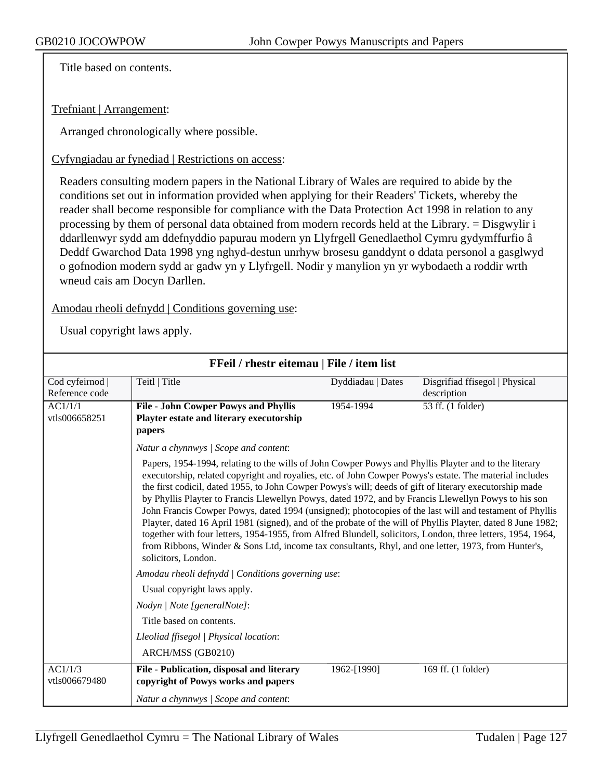Title based on contents.

### Trefniant | Arrangement:

Arranged chronologically where possible.

#### Cyfyngiadau ar fynediad | Restrictions on access:

Readers consulting modern papers in the National Library of Wales are required to abide by the conditions set out in information provided when applying for their Readers' Tickets, whereby the reader shall become responsible for compliance with the Data Protection Act 1998 in relation to any processing by them of personal data obtained from modern records held at the Library. = Disgwylir i ddarllenwyr sydd am ddefnyddio papurau modern yn Llyfrgell Genedlaethol Cymru gydymffurfio â Deddf Gwarchod Data 1998 yng nghyd-destun unrhyw brosesu ganddynt o ddata personol a gasglwyd o gofnodion modern sydd ar gadw yn y Llyfrgell. Nodir y manylion yn yr wybodaeth a roddir wrth wneud cais am Docyn Darllen.

### Amodau rheoli defnydd | Conditions governing use:

| FFeil / rhestr eitemau   File / item list |                                                                                                                                                                                                                                                                                                                                                                                                                                                                                                                                                                                                                                                                                                                                                                                                                                                                                                             |                   |                                |  |  |
|-------------------------------------------|-------------------------------------------------------------------------------------------------------------------------------------------------------------------------------------------------------------------------------------------------------------------------------------------------------------------------------------------------------------------------------------------------------------------------------------------------------------------------------------------------------------------------------------------------------------------------------------------------------------------------------------------------------------------------------------------------------------------------------------------------------------------------------------------------------------------------------------------------------------------------------------------------------------|-------------------|--------------------------------|--|--|
| Cod cyfeirnod                             | Teitl   Title                                                                                                                                                                                                                                                                                                                                                                                                                                                                                                                                                                                                                                                                                                                                                                                                                                                                                               | Dyddiadau   Dates | Disgrifiad ffisegol   Physical |  |  |
| Reference code                            |                                                                                                                                                                                                                                                                                                                                                                                                                                                                                                                                                                                                                                                                                                                                                                                                                                                                                                             |                   | description                    |  |  |
| AC1/1/1                                   | <b>File - John Cowper Powys and Phyllis</b>                                                                                                                                                                                                                                                                                                                                                                                                                                                                                                                                                                                                                                                                                                                                                                                                                                                                 | 1954-1994         | 53 ff. (1 folder)              |  |  |
| vtls006658251                             | Playter estate and literary executorship                                                                                                                                                                                                                                                                                                                                                                                                                                                                                                                                                                                                                                                                                                                                                                                                                                                                    |                   |                                |  |  |
|                                           | papers                                                                                                                                                                                                                                                                                                                                                                                                                                                                                                                                                                                                                                                                                                                                                                                                                                                                                                      |                   |                                |  |  |
|                                           | Natur a chynnwys / Scope and content:                                                                                                                                                                                                                                                                                                                                                                                                                                                                                                                                                                                                                                                                                                                                                                                                                                                                       |                   |                                |  |  |
|                                           | Papers, 1954-1994, relating to the wills of John Cowper Powys and Phyllis Playter and to the literary<br>executorship, related copyright and royalies, etc. of John Cowper Powys's estate. The material includes<br>the first codicil, dated 1955, to John Cowper Powys's will; deeds of gift of literary executorship made<br>by Phyllis Playter to Francis Llewellyn Powys, dated 1972, and by Francis Llewellyn Powys to his son<br>John Francis Cowper Powys, dated 1994 (unsigned); photocopies of the last will and testament of Phyllis<br>Playter, dated 16 April 1981 (signed), and of the probate of the will of Phyllis Playter, dated 8 June 1982;<br>together with four letters, 1954-1955, from Alfred Blundell, solicitors, London, three letters, 1954, 1964,<br>from Ribbons, Winder & Sons Ltd, income tax consultants, Rhyl, and one letter, 1973, from Hunter's,<br>solicitors, London. |                   |                                |  |  |
|                                           | Amodau rheoli defnydd   Conditions governing use:                                                                                                                                                                                                                                                                                                                                                                                                                                                                                                                                                                                                                                                                                                                                                                                                                                                           |                   |                                |  |  |
|                                           | Usual copyright laws apply.                                                                                                                                                                                                                                                                                                                                                                                                                                                                                                                                                                                                                                                                                                                                                                                                                                                                                 |                   |                                |  |  |
|                                           | Nodyn   Note [generalNote]:<br>Title based on contents.<br>Lleoliad ffisegol   Physical location:                                                                                                                                                                                                                                                                                                                                                                                                                                                                                                                                                                                                                                                                                                                                                                                                           |                   |                                |  |  |
|                                           |                                                                                                                                                                                                                                                                                                                                                                                                                                                                                                                                                                                                                                                                                                                                                                                                                                                                                                             |                   |                                |  |  |
|                                           |                                                                                                                                                                                                                                                                                                                                                                                                                                                                                                                                                                                                                                                                                                                                                                                                                                                                                                             |                   |                                |  |  |
|                                           | ARCH/MSS (GB0210)                                                                                                                                                                                                                                                                                                                                                                                                                                                                                                                                                                                                                                                                                                                                                                                                                                                                                           |                   |                                |  |  |
| AC1/1/3<br>vtls006679480                  | File - Publication, disposal and literary<br>copyright of Powys works and papers                                                                                                                                                                                                                                                                                                                                                                                                                                                                                                                                                                                                                                                                                                                                                                                                                            | 1962-[1990]       | 169 ff. (1 folder)             |  |  |
|                                           | Natur a chynnwys / Scope and content:                                                                                                                                                                                                                                                                                                                                                                                                                                                                                                                                                                                                                                                                                                                                                                                                                                                                       |                   |                                |  |  |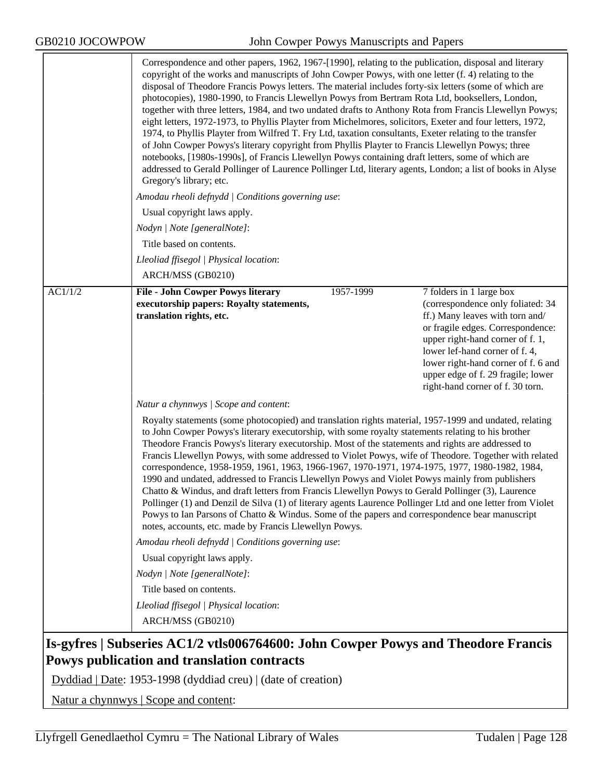|         | Correspondence and other papers, 1962, 1967-[1990], relating to the publication, disposal and literary<br>copyright of the works and manuscripts of John Cowper Powys, with one letter (f. 4) relating to the<br>disposal of Theodore Francis Powys letters. The material includes forty-six letters (some of which are<br>photocopies), 1980-1990, to Francis Llewellyn Powys from Bertram Rota Ltd, booksellers, London,<br>together with three letters, 1984, and two undated drafts to Anthony Rota from Francis Llewellyn Powys;<br>eight letters, 1972-1973, to Phyllis Playter from Michelmores, solicitors, Exeter and four letters, 1972,<br>1974, to Phyllis Playter from Wilfred T. Fry Ltd, taxation consultants, Exeter relating to the transfer<br>of John Cowper Powys's literary copyright from Phyllis Playter to Francis Llewellyn Powys; three<br>notebooks, [1980s-1990s], of Francis Llewellyn Powys containing draft letters, some of which are<br>addressed to Gerald Pollinger of Laurence Pollinger Ltd, literary agents, London; a list of books in Alyse<br>Gregory's library; etc. |                                                                                                                                                                                                                                                                                                                              |  |  |
|---------|----------------------------------------------------------------------------------------------------------------------------------------------------------------------------------------------------------------------------------------------------------------------------------------------------------------------------------------------------------------------------------------------------------------------------------------------------------------------------------------------------------------------------------------------------------------------------------------------------------------------------------------------------------------------------------------------------------------------------------------------------------------------------------------------------------------------------------------------------------------------------------------------------------------------------------------------------------------------------------------------------------------------------------------------------------------------------------------------------------------|------------------------------------------------------------------------------------------------------------------------------------------------------------------------------------------------------------------------------------------------------------------------------------------------------------------------------|--|--|
|         | Amodau rheoli defnydd   Conditions governing use:                                                                                                                                                                                                                                                                                                                                                                                                                                                                                                                                                                                                                                                                                                                                                                                                                                                                                                                                                                                                                                                              |                                                                                                                                                                                                                                                                                                                              |  |  |
|         | Usual copyright laws apply.                                                                                                                                                                                                                                                                                                                                                                                                                                                                                                                                                                                                                                                                                                                                                                                                                                                                                                                                                                                                                                                                                    |                                                                                                                                                                                                                                                                                                                              |  |  |
|         | Nodyn   Note [generalNote]:                                                                                                                                                                                                                                                                                                                                                                                                                                                                                                                                                                                                                                                                                                                                                                                                                                                                                                                                                                                                                                                                                    |                                                                                                                                                                                                                                                                                                                              |  |  |
|         | Title based on contents.                                                                                                                                                                                                                                                                                                                                                                                                                                                                                                                                                                                                                                                                                                                                                                                                                                                                                                                                                                                                                                                                                       |                                                                                                                                                                                                                                                                                                                              |  |  |
|         | Lleoliad ffisegol   Physical location:                                                                                                                                                                                                                                                                                                                                                                                                                                                                                                                                                                                                                                                                                                                                                                                                                                                                                                                                                                                                                                                                         |                                                                                                                                                                                                                                                                                                                              |  |  |
|         | ARCH/MSS (GB0210)                                                                                                                                                                                                                                                                                                                                                                                                                                                                                                                                                                                                                                                                                                                                                                                                                                                                                                                                                                                                                                                                                              |                                                                                                                                                                                                                                                                                                                              |  |  |
| AC1/1/2 | 1957-1999<br><b>File - John Cowper Powys literary</b><br>executorship papers: Royalty statements,<br>translation rights, etc.                                                                                                                                                                                                                                                                                                                                                                                                                                                                                                                                                                                                                                                                                                                                                                                                                                                                                                                                                                                  | 7 folders in 1 large box<br>(correspondence only foliated: 34<br>ff.) Many leaves with torn and/<br>or fragile edges. Correspondence:<br>upper right-hand corner of f. 1,<br>lower lef-hand corner of f. 4,<br>lower right-hand corner of f. 6 and<br>upper edge of f. 29 fragile; lower<br>right-hand corner of f. 30 torn. |  |  |
|         | Natur a chynnwys / Scope and content:                                                                                                                                                                                                                                                                                                                                                                                                                                                                                                                                                                                                                                                                                                                                                                                                                                                                                                                                                                                                                                                                          |                                                                                                                                                                                                                                                                                                                              |  |  |
|         | Royalty statements (some photocopied) and translation rights material, 1957-1999 and undated, relating<br>to John Cowper Powys's literary executorship, with some royalty statements relating to his brother<br>Theodore Francis Powys's literary executorship. Most of the statements and rights are addressed to<br>Francis Llewellyn Powys, with some addressed to Violet Powys, wife of Theodore. Together with related<br>correspondence, 1958-1959, 1961, 1963, 1966-1967, 1970-1971, 1974-1975, 1977, 1980-1982, 1984,<br>1990 and undated, addressed to Francis Llewellyn Powys and Violet Powys mainly from publishers<br>Chatto & Windus, and draft letters from Francis Llewellyn Powys to Gerald Pollinger (3), Laurence<br>Pollinger (1) and Denzil de Silva (1) of literary agents Laurence Pollinger Ltd and one letter from Violet<br>Powys to Ian Parsons of Chatto & Windus. Some of the papers and correspondence bear manuscript<br>notes, accounts, etc. made by Francis Llewellyn Powys.                                                                                                 |                                                                                                                                                                                                                                                                                                                              |  |  |
|         | Amodau rheoli defnydd   Conditions governing use:                                                                                                                                                                                                                                                                                                                                                                                                                                                                                                                                                                                                                                                                                                                                                                                                                                                                                                                                                                                                                                                              |                                                                                                                                                                                                                                                                                                                              |  |  |
|         | Usual copyright laws apply.                                                                                                                                                                                                                                                                                                                                                                                                                                                                                                                                                                                                                                                                                                                                                                                                                                                                                                                                                                                                                                                                                    |                                                                                                                                                                                                                                                                                                                              |  |  |
|         | Nodyn   Note [generalNote]:                                                                                                                                                                                                                                                                                                                                                                                                                                                                                                                                                                                                                                                                                                                                                                                                                                                                                                                                                                                                                                                                                    |                                                                                                                                                                                                                                                                                                                              |  |  |
|         | Title based on contents.                                                                                                                                                                                                                                                                                                                                                                                                                                                                                                                                                                                                                                                                                                                                                                                                                                                                                                                                                                                                                                                                                       |                                                                                                                                                                                                                                                                                                                              |  |  |
|         | Lleoliad ffisegol   Physical location:                                                                                                                                                                                                                                                                                                                                                                                                                                                                                                                                                                                                                                                                                                                                                                                                                                                                                                                                                                                                                                                                         |                                                                                                                                                                                                                                                                                                                              |  |  |
|         | ARCH/MSS (GB0210)                                                                                                                                                                                                                                                                                                                                                                                                                                                                                                                                                                                                                                                                                                                                                                                                                                                                                                                                                                                                                                                                                              |                                                                                                                                                                                                                                                                                                                              |  |  |
|         | Is-gyfres   Subseries AC1/2 vtls006764600: John Cowper Powys and Theodore Francis                                                                                                                                                                                                                                                                                                                                                                                                                                                                                                                                                                                                                                                                                                                                                                                                                                                                                                                                                                                                                              |                                                                                                                                                                                                                                                                                                                              |  |  |

# **Powys publication and translation contracts**

Dyddiad | Date: 1953-1998 (dyddiad creu) | (date of creation)

Natur a chynnwys | Scope and content: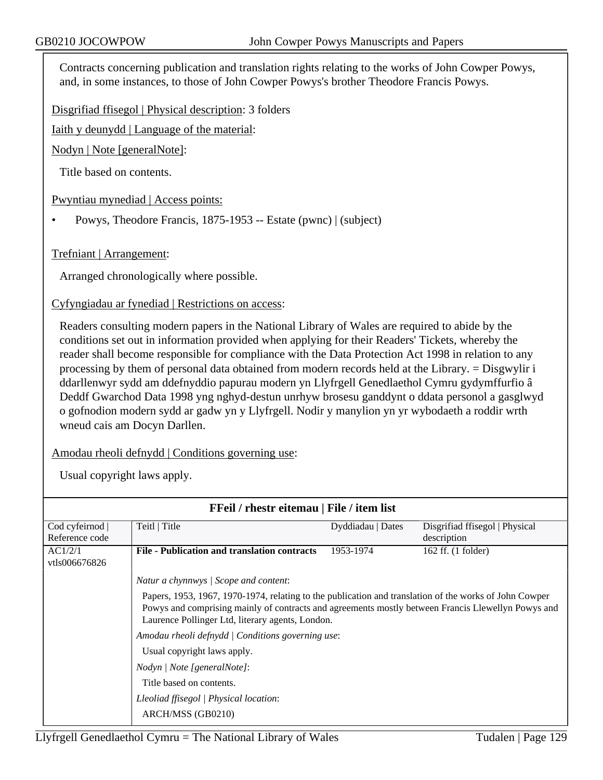Contracts concerning publication and translation rights relating to the works of John Cowper Powys, and, in some instances, to those of John Cowper Powys's brother Theodore Francis Powys.

Disgrifiad ffisegol | Physical description: 3 folders

Iaith y deunydd | Language of the material:

Nodyn | Note [generalNote]:

Title based on contents.

Pwyntiau mynediad | Access points:

• Powys, Theodore Francis, 1875-1953 -- Estate (pwnc) | (subject)

Trefniant | Arrangement:

Arranged chronologically where possible.

Cyfyngiadau ar fynediad | Restrictions on access:

Readers consulting modern papers in the National Library of Wales are required to abide by the conditions set out in information provided when applying for their Readers' Tickets, whereby the reader shall become responsible for compliance with the Data Protection Act 1998 in relation to any processing by them of personal data obtained from modern records held at the Library. = Disgwylir i ddarllenwyr sydd am ddefnyddio papurau modern yn Llyfrgell Genedlaethol Cymru gydymffurfio â Deddf Gwarchod Data 1998 yng nghyd-destun unrhyw brosesu ganddynt o ddata personol a gasglwyd o gofnodion modern sydd ar gadw yn y Llyfrgell. Nodir y manylion yn yr wybodaeth a roddir wrth wneud cais am Docyn Darllen.

Amodau rheoli defnydd | Conditions governing use:

| FFeil / rhestr eitemau   File / item list |                                                                                                                                                                                                                                                                  |                   |                                |  |
|-------------------------------------------|------------------------------------------------------------------------------------------------------------------------------------------------------------------------------------------------------------------------------------------------------------------|-------------------|--------------------------------|--|
| Cod cyfeirnod                             | Teitl   Title                                                                                                                                                                                                                                                    | Dyddiadau   Dates | Disgrifiad ffisegol   Physical |  |
| Reference code                            |                                                                                                                                                                                                                                                                  |                   | description                    |  |
| AC1/2/1<br>vtls006676826                  | File - Publication and translation contracts                                                                                                                                                                                                                     | 1953-1974         | 162 ff. (1 folder)             |  |
|                                           | Natur a chynnwys / Scope and content:                                                                                                                                                                                                                            |                   |                                |  |
|                                           | Papers, 1953, 1967, 1970-1974, relating to the publication and translation of the works of John Cowper<br>Powys and comprising mainly of contracts and agreements mostly between Francis Llewellyn Powys and<br>Laurence Pollinger Ltd, literary agents, London. |                   |                                |  |
|                                           | Amodau rheoli defnydd   Conditions governing use:                                                                                                                                                                                                                |                   |                                |  |
|                                           | Usual copyright laws apply.                                                                                                                                                                                                                                      |                   |                                |  |
|                                           | Nodyn / Note [generalNote]:                                                                                                                                                                                                                                      |                   |                                |  |
|                                           | Title based on contents.                                                                                                                                                                                                                                         |                   |                                |  |
|                                           | Lleoliad ffisegol   Physical location:                                                                                                                                                                                                                           |                   |                                |  |
|                                           | ARCH/MSS (GB0210)                                                                                                                                                                                                                                                |                   |                                |  |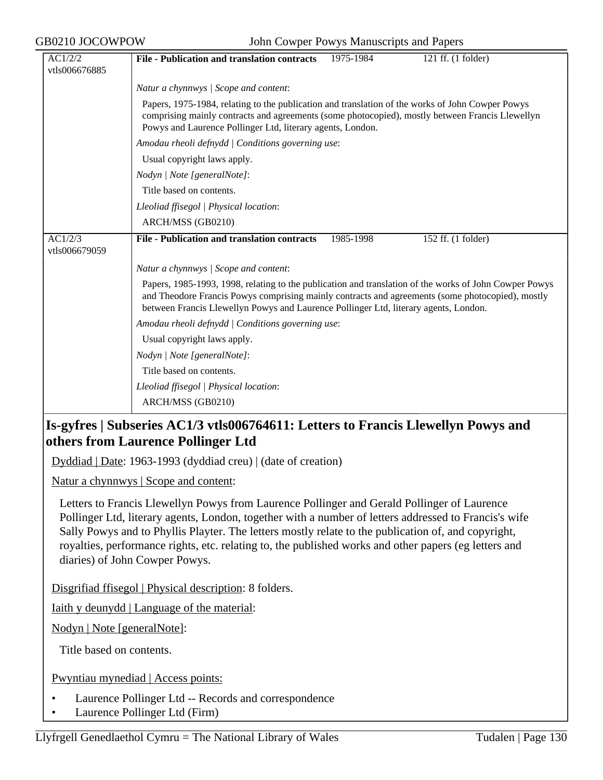| AC1/2/2                  | <b>File - Publication and translation contracts</b><br>1975-1984<br>121 ff. (1 folder)                                                                                                                                                                                                             |  |  |  |
|--------------------------|----------------------------------------------------------------------------------------------------------------------------------------------------------------------------------------------------------------------------------------------------------------------------------------------------|--|--|--|
| vtls006676885            |                                                                                                                                                                                                                                                                                                    |  |  |  |
|                          | Natur a chynnwys / Scope and content:                                                                                                                                                                                                                                                              |  |  |  |
|                          | Papers, 1975-1984, relating to the publication and translation of the works of John Cowper Powys<br>comprising mainly contracts and agreements (some photocopied), mostly between Francis Llewellyn<br>Powys and Laurence Pollinger Ltd, literary agents, London.                                  |  |  |  |
|                          | Amodau rheoli defnydd   Conditions governing use:                                                                                                                                                                                                                                                  |  |  |  |
|                          | Usual copyright laws apply.                                                                                                                                                                                                                                                                        |  |  |  |
|                          | Nodyn   Note [generalNote]:                                                                                                                                                                                                                                                                        |  |  |  |
|                          | Title based on contents.                                                                                                                                                                                                                                                                           |  |  |  |
|                          | Lleoliad ffisegol   Physical location:                                                                                                                                                                                                                                                             |  |  |  |
|                          | ARCH/MSS (GB0210)                                                                                                                                                                                                                                                                                  |  |  |  |
| AC1/2/3<br>vtls006679059 | <b>File - Publication and translation contracts</b><br>152 ff. (1 folder)<br>1985-1998                                                                                                                                                                                                             |  |  |  |
|                          | Natur a chynnwys / Scope and content:                                                                                                                                                                                                                                                              |  |  |  |
|                          | Papers, 1985-1993, 1998, relating to the publication and translation of the works of John Cowper Powys<br>and Theodore Francis Powys comprising mainly contracts and agreements (some photocopied), mostly<br>between Francis Llewellyn Powys and Laurence Pollinger Ltd, literary agents, London. |  |  |  |
|                          | Amodau rheoli defnydd   Conditions governing use:                                                                                                                                                                                                                                                  |  |  |  |
|                          | Usual copyright laws apply.                                                                                                                                                                                                                                                                        |  |  |  |
|                          | Nodyn   Note [generalNote]:                                                                                                                                                                                                                                                                        |  |  |  |
|                          | Title based on contents.                                                                                                                                                                                                                                                                           |  |  |  |
|                          | Lleoliad ffisegol   Physical location:                                                                                                                                                                                                                                                             |  |  |  |
|                          | ARCH/MSS (GB0210)                                                                                                                                                                                                                                                                                  |  |  |  |

# **Is-gyfres | Subseries AC1/3 vtls006764611: Letters to Francis Llewellyn Powys and others from Laurence Pollinger Ltd**

Dyddiad | Date: 1963-1993 (dyddiad creu) | (date of creation)

Natur a chynnwys | Scope and content:

Letters to Francis Llewellyn Powys from Laurence Pollinger and Gerald Pollinger of Laurence Pollinger Ltd, literary agents, London, together with a number of letters addressed to Francis's wife Sally Powys and to Phyllis Playter. The letters mostly relate to the publication of, and copyright, royalties, performance rights, etc. relating to, the published works and other papers (eg letters and diaries) of John Cowper Powys.

Disgrifiad ffisegol | Physical description: 8 folders.

Iaith y deunydd | Language of the material:

Nodyn | Note [generalNote]:

Title based on contents.

Pwyntiau mynediad | Access points:

- Laurence Pollinger Ltd -- Records and correspondence
- Laurence Pollinger Ltd (Firm)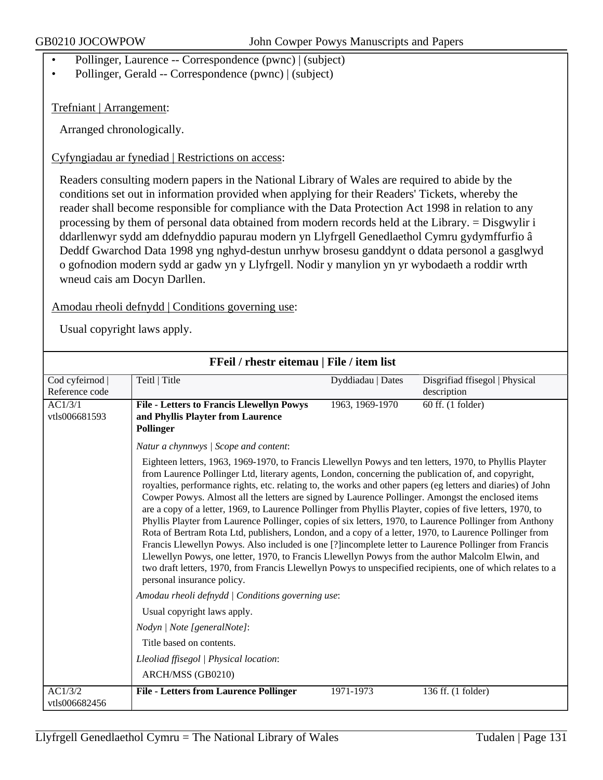- Pollinger, Laurence -- Correspondence (pwnc) | (subject)
- Pollinger, Gerald -- Correspondence (pwnc) | (subject)

Trefniant | Arrangement:

Arranged chronologically.

Cyfyngiadau ar fynediad | Restrictions on access:

Readers consulting modern papers in the National Library of Wales are required to abide by the conditions set out in information provided when applying for their Readers' Tickets, whereby the reader shall become responsible for compliance with the Data Protection Act 1998 in relation to any processing by them of personal data obtained from modern records held at the Library. = Disgwylir i ddarllenwyr sydd am ddefnyddio papurau modern yn Llyfrgell Genedlaethol Cymru gydymffurfio â Deddf Gwarchod Data 1998 yng nghyd-destun unrhyw brosesu ganddynt o ddata personol a gasglwyd o gofnodion modern sydd ar gadw yn y Llyfrgell. Nodir y manylion yn yr wybodaeth a roddir wrth wneud cais am Docyn Darllen.

Amodau rheoli defnydd | Conditions governing use:

| FFeil / rhestr eitemau   File / item list |                                                                                                                                                                                                                                                                                                                                                                                                                                                                                                                                                                                                                                                                                                                                                                                                                                                                                                                                                                                                                                                                                                                                                                                       |                   |                                               |  |
|-------------------------------------------|---------------------------------------------------------------------------------------------------------------------------------------------------------------------------------------------------------------------------------------------------------------------------------------------------------------------------------------------------------------------------------------------------------------------------------------------------------------------------------------------------------------------------------------------------------------------------------------------------------------------------------------------------------------------------------------------------------------------------------------------------------------------------------------------------------------------------------------------------------------------------------------------------------------------------------------------------------------------------------------------------------------------------------------------------------------------------------------------------------------------------------------------------------------------------------------|-------------------|-----------------------------------------------|--|
| Cod cyfeirnod  <br>Reference code         | Teitl   Title                                                                                                                                                                                                                                                                                                                                                                                                                                                                                                                                                                                                                                                                                                                                                                                                                                                                                                                                                                                                                                                                                                                                                                         | Dyddiadau   Dates | Disgrifiad ffisegol   Physical<br>description |  |
| AC1/3/1<br>vtls006681593                  | <b>File - Letters to Francis Llewellyn Powys</b><br>and Phyllis Playter from Laurence<br>Pollinger                                                                                                                                                                                                                                                                                                                                                                                                                                                                                                                                                                                                                                                                                                                                                                                                                                                                                                                                                                                                                                                                                    | 1963, 1969-1970   | 60 ff. (1 folder)                             |  |
|                                           | Natur a chynnwys / Scope and content:                                                                                                                                                                                                                                                                                                                                                                                                                                                                                                                                                                                                                                                                                                                                                                                                                                                                                                                                                                                                                                                                                                                                                 |                   |                                               |  |
|                                           | Eighteen letters, 1963, 1969-1970, to Francis Llewellyn Powys and ten letters, 1970, to Phyllis Playter<br>from Laurence Pollinger Ltd, literary agents, London, concerning the publication of, and copyright,<br>royalties, performance rights, etc. relating to, the works and other papers (eg letters and diaries) of John<br>Cowper Powys. Almost all the letters are signed by Laurence Pollinger. Amongst the enclosed items<br>are a copy of a letter, 1969, to Laurence Pollinger from Phyllis Playter, copies of five letters, 1970, to<br>Phyllis Playter from Laurence Pollinger, copies of six letters, 1970, to Laurence Pollinger from Anthony<br>Rota of Bertram Rota Ltd, publishers, London, and a copy of a letter, 1970, to Laurence Pollinger from<br>Francis Llewellyn Powys. Also included is one [?]incomplete letter to Laurence Pollinger from Francis<br>Llewellyn Powys, one letter, 1970, to Francis Llewellyn Powys from the author Malcolm Elwin, and<br>two draft letters, 1970, from Francis Llewellyn Powys to unspecified recipients, one of which relates to a<br>personal insurance policy.<br>Amodau rheoli defnydd   Conditions governing use: |                   |                                               |  |
|                                           |                                                                                                                                                                                                                                                                                                                                                                                                                                                                                                                                                                                                                                                                                                                                                                                                                                                                                                                                                                                                                                                                                                                                                                                       |                   |                                               |  |
|                                           | Usual copyright laws apply.                                                                                                                                                                                                                                                                                                                                                                                                                                                                                                                                                                                                                                                                                                                                                                                                                                                                                                                                                                                                                                                                                                                                                           |                   |                                               |  |
|                                           | Nodyn   Note [generalNote]:                                                                                                                                                                                                                                                                                                                                                                                                                                                                                                                                                                                                                                                                                                                                                                                                                                                                                                                                                                                                                                                                                                                                                           |                   |                                               |  |
|                                           | Title based on contents.                                                                                                                                                                                                                                                                                                                                                                                                                                                                                                                                                                                                                                                                                                                                                                                                                                                                                                                                                                                                                                                                                                                                                              |                   |                                               |  |
|                                           | Lleoliad ffisegol   Physical location:<br>ARCH/MSS (GB0210)                                                                                                                                                                                                                                                                                                                                                                                                                                                                                                                                                                                                                                                                                                                                                                                                                                                                                                                                                                                                                                                                                                                           |                   |                                               |  |
| AC1/3/2<br>vtls006682456                  | <b>File - Letters from Laurence Pollinger</b>                                                                                                                                                                                                                                                                                                                                                                                                                                                                                                                                                                                                                                                                                                                                                                                                                                                                                                                                                                                                                                                                                                                                         | 1971-1973         | 136 ff. (1 folder)                            |  |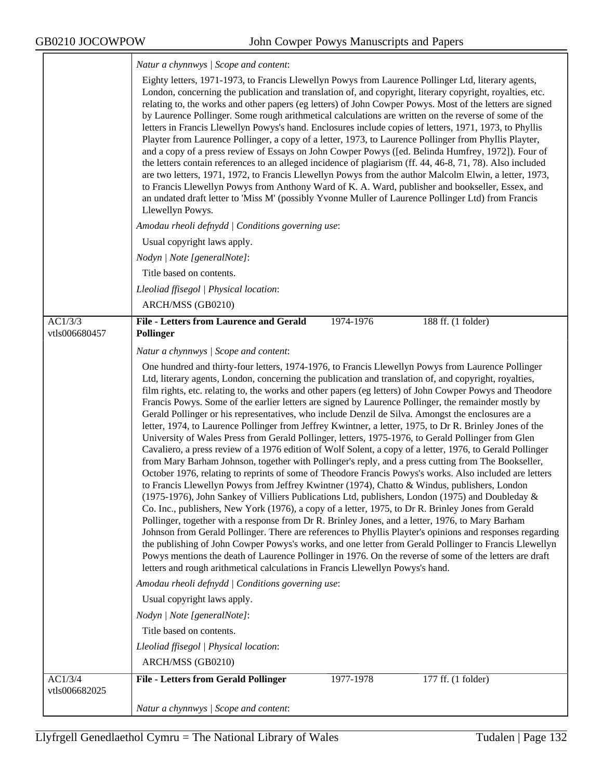|                          | Natur a chynnwys / Scope and content:                                                                                                                                                                                                                                                                                                                                                                                                                                                                                                                                                                                                                                                                                                                                                                                                                                                                                                                                                                                                                                                                                                                                                                                                                                                                                                                                                                                                                                                                                                                                                                                                                                                                                                                                                                                                                                                                                                                                                                                                                                                                               |  |  |
|--------------------------|---------------------------------------------------------------------------------------------------------------------------------------------------------------------------------------------------------------------------------------------------------------------------------------------------------------------------------------------------------------------------------------------------------------------------------------------------------------------------------------------------------------------------------------------------------------------------------------------------------------------------------------------------------------------------------------------------------------------------------------------------------------------------------------------------------------------------------------------------------------------------------------------------------------------------------------------------------------------------------------------------------------------------------------------------------------------------------------------------------------------------------------------------------------------------------------------------------------------------------------------------------------------------------------------------------------------------------------------------------------------------------------------------------------------------------------------------------------------------------------------------------------------------------------------------------------------------------------------------------------------------------------------------------------------------------------------------------------------------------------------------------------------------------------------------------------------------------------------------------------------------------------------------------------------------------------------------------------------------------------------------------------------------------------------------------------------------------------------------------------------|--|--|
|                          | Eighty letters, 1971-1973, to Francis Llewellyn Powys from Laurence Pollinger Ltd, literary agents,<br>London, concerning the publication and translation of, and copyright, literary copyright, royalties, etc.<br>relating to, the works and other papers (eg letters) of John Cowper Powys. Most of the letters are signed<br>by Laurence Pollinger. Some rough arithmetical calculations are written on the reverse of some of the<br>letters in Francis Llewellyn Powys's hand. Enclosures include copies of letters, 1971, 1973, to Phyllis<br>Playter from Laurence Pollinger, a copy of a letter, 1973, to Laurence Pollinger from Phyllis Playter,<br>and a copy of a press review of Essays on John Cowper Powys ([ed. Belinda Humfrey, 1972]). Four of<br>the letters contain references to an alleged incidence of plagiarism (ff. 44, 46-8, 71, 78). Also included<br>are two letters, 1971, 1972, to Francis Llewellyn Powys from the author Malcolm Elwin, a letter, 1973,<br>to Francis Llewellyn Powys from Anthony Ward of K. A. Ward, publisher and bookseller, Essex, and<br>an undated draft letter to 'Miss M' (possibly Yvonne Muller of Laurence Pollinger Ltd) from Francis<br>Llewellyn Powys.                                                                                                                                                                                                                                                                                                                                                                                                                                                                                                                                                                                                                                                                                                                                                                                                                                                                                            |  |  |
|                          | Amodau rheoli defnydd   Conditions governing use:                                                                                                                                                                                                                                                                                                                                                                                                                                                                                                                                                                                                                                                                                                                                                                                                                                                                                                                                                                                                                                                                                                                                                                                                                                                                                                                                                                                                                                                                                                                                                                                                                                                                                                                                                                                                                                                                                                                                                                                                                                                                   |  |  |
|                          | Usual copyright laws apply.                                                                                                                                                                                                                                                                                                                                                                                                                                                                                                                                                                                                                                                                                                                                                                                                                                                                                                                                                                                                                                                                                                                                                                                                                                                                                                                                                                                                                                                                                                                                                                                                                                                                                                                                                                                                                                                                                                                                                                                                                                                                                         |  |  |
|                          | Nodyn   Note [generalNote]:                                                                                                                                                                                                                                                                                                                                                                                                                                                                                                                                                                                                                                                                                                                                                                                                                                                                                                                                                                                                                                                                                                                                                                                                                                                                                                                                                                                                                                                                                                                                                                                                                                                                                                                                                                                                                                                                                                                                                                                                                                                                                         |  |  |
|                          | Title based on contents.                                                                                                                                                                                                                                                                                                                                                                                                                                                                                                                                                                                                                                                                                                                                                                                                                                                                                                                                                                                                                                                                                                                                                                                                                                                                                                                                                                                                                                                                                                                                                                                                                                                                                                                                                                                                                                                                                                                                                                                                                                                                                            |  |  |
|                          | Lleoliad ffisegol   Physical location:                                                                                                                                                                                                                                                                                                                                                                                                                                                                                                                                                                                                                                                                                                                                                                                                                                                                                                                                                                                                                                                                                                                                                                                                                                                                                                                                                                                                                                                                                                                                                                                                                                                                                                                                                                                                                                                                                                                                                                                                                                                                              |  |  |
|                          | ARCH/MSS (GB0210)                                                                                                                                                                                                                                                                                                                                                                                                                                                                                                                                                                                                                                                                                                                                                                                                                                                                                                                                                                                                                                                                                                                                                                                                                                                                                                                                                                                                                                                                                                                                                                                                                                                                                                                                                                                                                                                                                                                                                                                                                                                                                                   |  |  |
| AC1/3/3<br>vtls006680457 | <b>File - Letters from Laurence and Gerald</b><br>1974-1976<br>188 ff. (1 folder)<br>Pollinger                                                                                                                                                                                                                                                                                                                                                                                                                                                                                                                                                                                                                                                                                                                                                                                                                                                                                                                                                                                                                                                                                                                                                                                                                                                                                                                                                                                                                                                                                                                                                                                                                                                                                                                                                                                                                                                                                                                                                                                                                      |  |  |
|                          | Natur a chynnwys   Scope and content:                                                                                                                                                                                                                                                                                                                                                                                                                                                                                                                                                                                                                                                                                                                                                                                                                                                                                                                                                                                                                                                                                                                                                                                                                                                                                                                                                                                                                                                                                                                                                                                                                                                                                                                                                                                                                                                                                                                                                                                                                                                                               |  |  |
|                          | One hundred and thirty-four letters, 1974-1976, to Francis Llewellyn Powys from Laurence Pollinger<br>Ltd, literary agents, London, concerning the publication and translation of, and copyright, royalties,<br>film rights, etc. relating to, the works and other papers (eg letters) of John Cowper Powys and Theodore<br>Francis Powys. Some of the earlier letters are signed by Laurence Pollinger, the remainder mostly by<br>Gerald Pollinger or his representatives, who include Denzil de Silva. Amongst the enclosures are a<br>letter, 1974, to Laurence Pollinger from Jeffrey Kwintner, a letter, 1975, to Dr R. Brinley Jones of the<br>University of Wales Press from Gerald Pollinger, letters, 1975-1976, to Gerald Pollinger from Glen<br>Cavaliero, a press review of a 1976 edition of Wolf Solent, a copy of a letter, 1976, to Gerald Pollinger<br>from Mary Barham Johnson, together with Pollinger's reply, and a press cutting from The Bookseller,<br>October 1976, relating to reprints of some of Theodore Francis Powys's works. Also included are letters<br>to Francis Llewellyn Powys from Jeffrey Kwintner (1974), Chatto & Windus, publishers, London<br>(1975-1976), John Sankey of Villiers Publications Ltd, publishers, London (1975) and Doubleday &<br>Co. Inc., publishers, New York (1976), a copy of a letter, 1975, to Dr R. Brinley Jones from Gerald<br>Pollinger, together with a response from Dr R. Brinley Jones, and a letter, 1976, to Mary Barham<br>Johnson from Gerald Pollinger. There are references to Phyllis Playter's opinions and responses regarding<br>the publishing of John Cowper Powys's works, and one letter from Gerald Pollinger to Francis Llewellyn<br>Powys mentions the death of Laurence Pollinger in 1976. On the reverse of some of the letters are draft<br>letters and rough arithmetical calculations in Francis Llewellyn Powys's hand.<br>Amodau rheoli defnydd   Conditions governing use:<br>Usual copyright laws apply.<br>Nodyn   Note [generalNote]:<br>Title based on contents.<br>Lleoliad ffisegol   Physical location: |  |  |
|                          | ARCH/MSS (GB0210)                                                                                                                                                                                                                                                                                                                                                                                                                                                                                                                                                                                                                                                                                                                                                                                                                                                                                                                                                                                                                                                                                                                                                                                                                                                                                                                                                                                                                                                                                                                                                                                                                                                                                                                                                                                                                                                                                                                                                                                                                                                                                                   |  |  |
| AC1/3/4<br>vtls006682025 | <b>File - Letters from Gerald Pollinger</b><br>1977-1978<br>177 ff. (1 folder)                                                                                                                                                                                                                                                                                                                                                                                                                                                                                                                                                                                                                                                                                                                                                                                                                                                                                                                                                                                                                                                                                                                                                                                                                                                                                                                                                                                                                                                                                                                                                                                                                                                                                                                                                                                                                                                                                                                                                                                                                                      |  |  |
|                          | Natur a chynnwys / Scope and content:                                                                                                                                                                                                                                                                                                                                                                                                                                                                                                                                                                                                                                                                                                                                                                                                                                                                                                                                                                                                                                                                                                                                                                                                                                                                                                                                                                                                                                                                                                                                                                                                                                                                                                                                                                                                                                                                                                                                                                                                                                                                               |  |  |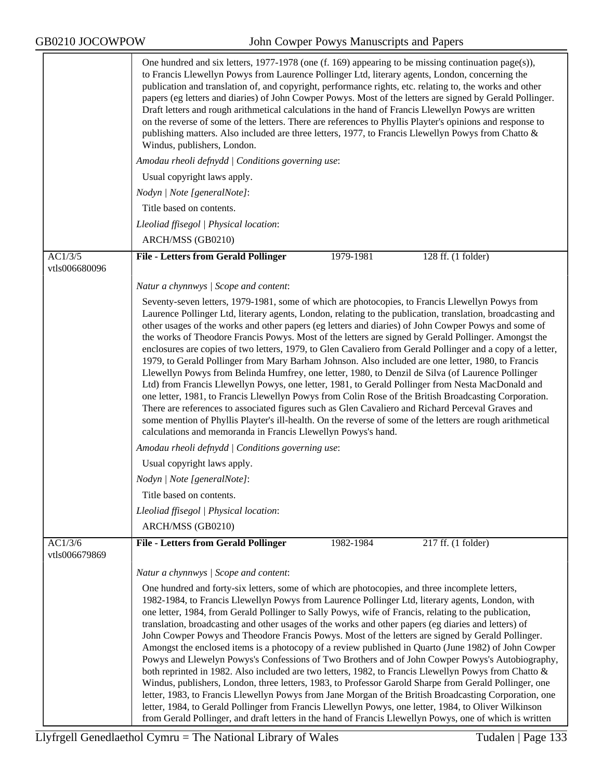|                          | One hundred and six letters, 1977-1978 (one (f. 169) appearing to be missing continuation page(s)),<br>to Francis Llewellyn Powys from Laurence Pollinger Ltd, literary agents, London, concerning the<br>publication and translation of, and copyright, performance rights, etc. relating to, the works and other<br>papers (eg letters and diaries) of John Cowper Powys. Most of the letters are signed by Gerald Pollinger.<br>Draft letters and rough arithmetical calculations in the hand of Francis Llewellyn Powys are written<br>on the reverse of some of the letters. There are references to Phyllis Playter's opinions and response to<br>publishing matters. Also included are three letters, 1977, to Francis Llewellyn Powys from Chatto &<br>Windus, publishers, London.                                                                                                                                                                                                                                                                                                                                                                                                                                                                                              |  |  |  |  |
|--------------------------|-----------------------------------------------------------------------------------------------------------------------------------------------------------------------------------------------------------------------------------------------------------------------------------------------------------------------------------------------------------------------------------------------------------------------------------------------------------------------------------------------------------------------------------------------------------------------------------------------------------------------------------------------------------------------------------------------------------------------------------------------------------------------------------------------------------------------------------------------------------------------------------------------------------------------------------------------------------------------------------------------------------------------------------------------------------------------------------------------------------------------------------------------------------------------------------------------------------------------------------------------------------------------------------------|--|--|--|--|
|                          | Amodau rheoli defnydd   Conditions governing use:                                                                                                                                                                                                                                                                                                                                                                                                                                                                                                                                                                                                                                                                                                                                                                                                                                                                                                                                                                                                                                                                                                                                                                                                                                       |  |  |  |  |
|                          | Usual copyright laws apply.                                                                                                                                                                                                                                                                                                                                                                                                                                                                                                                                                                                                                                                                                                                                                                                                                                                                                                                                                                                                                                                                                                                                                                                                                                                             |  |  |  |  |
|                          | Nodyn   Note [generalNote]:                                                                                                                                                                                                                                                                                                                                                                                                                                                                                                                                                                                                                                                                                                                                                                                                                                                                                                                                                                                                                                                                                                                                                                                                                                                             |  |  |  |  |
|                          | Title based on contents.                                                                                                                                                                                                                                                                                                                                                                                                                                                                                                                                                                                                                                                                                                                                                                                                                                                                                                                                                                                                                                                                                                                                                                                                                                                                |  |  |  |  |
|                          | Lleoliad ffisegol   Physical location:                                                                                                                                                                                                                                                                                                                                                                                                                                                                                                                                                                                                                                                                                                                                                                                                                                                                                                                                                                                                                                                                                                                                                                                                                                                  |  |  |  |  |
|                          | ARCH/MSS (GB0210)                                                                                                                                                                                                                                                                                                                                                                                                                                                                                                                                                                                                                                                                                                                                                                                                                                                                                                                                                                                                                                                                                                                                                                                                                                                                       |  |  |  |  |
| AC1/3/5<br>vtls006680096 | <b>File - Letters from Gerald Pollinger</b><br>128 ff. (1 folder)<br>1979-1981                                                                                                                                                                                                                                                                                                                                                                                                                                                                                                                                                                                                                                                                                                                                                                                                                                                                                                                                                                                                                                                                                                                                                                                                          |  |  |  |  |
|                          | Natur a chynnwys / Scope and content:                                                                                                                                                                                                                                                                                                                                                                                                                                                                                                                                                                                                                                                                                                                                                                                                                                                                                                                                                                                                                                                                                                                                                                                                                                                   |  |  |  |  |
|                          | Seventy-seven letters, 1979-1981, some of which are photocopies, to Francis Llewellyn Powys from<br>Laurence Pollinger Ltd, literary agents, London, relating to the publication, translation, broadcasting and<br>other usages of the works and other papers (eg letters and diaries) of John Cowper Powys and some of<br>the works of Theodore Francis Powys. Most of the letters are signed by Gerald Pollinger. Amongst the<br>enclosures are copies of two letters, 1979, to Glen Cavaliero from Gerald Pollinger and a copy of a letter,<br>1979, to Gerald Pollinger from Mary Barham Johnson. Also included are one letter, 1980, to Francis<br>Llewellyn Powys from Belinda Humfrey, one letter, 1980, to Denzil de Silva (of Laurence Pollinger<br>Ltd) from Francis Llewellyn Powys, one letter, 1981, to Gerald Pollinger from Nesta MacDonald and<br>one letter, 1981, to Francis Llewellyn Powys from Colin Rose of the British Broadcasting Corporation.<br>There are references to associated figures such as Glen Cavaliero and Richard Perceval Graves and<br>some mention of Phyllis Playter's ill-health. On the reverse of some of the letters are rough arithmetical<br>calculations and memoranda in Francis Llewellyn Powys's hand.                             |  |  |  |  |
|                          | Amodau rheoli defnydd   Conditions governing use:                                                                                                                                                                                                                                                                                                                                                                                                                                                                                                                                                                                                                                                                                                                                                                                                                                                                                                                                                                                                                                                                                                                                                                                                                                       |  |  |  |  |
|                          | Usual copyright laws apply.                                                                                                                                                                                                                                                                                                                                                                                                                                                                                                                                                                                                                                                                                                                                                                                                                                                                                                                                                                                                                                                                                                                                                                                                                                                             |  |  |  |  |
|                          | Nodyn   Note [generalNote]:                                                                                                                                                                                                                                                                                                                                                                                                                                                                                                                                                                                                                                                                                                                                                                                                                                                                                                                                                                                                                                                                                                                                                                                                                                                             |  |  |  |  |
|                          | Title based on contents.                                                                                                                                                                                                                                                                                                                                                                                                                                                                                                                                                                                                                                                                                                                                                                                                                                                                                                                                                                                                                                                                                                                                                                                                                                                                |  |  |  |  |
|                          | Lleoliad ffisegol   Physical location:                                                                                                                                                                                                                                                                                                                                                                                                                                                                                                                                                                                                                                                                                                                                                                                                                                                                                                                                                                                                                                                                                                                                                                                                                                                  |  |  |  |  |
|                          | ARCH/MSS (GB0210)                                                                                                                                                                                                                                                                                                                                                                                                                                                                                                                                                                                                                                                                                                                                                                                                                                                                                                                                                                                                                                                                                                                                                                                                                                                                       |  |  |  |  |
| AC1/3/6<br>vtls006679869 | <b>File - Letters from Gerald Pollinger</b><br>$217$ ff. (1 folder)<br>1982-1984                                                                                                                                                                                                                                                                                                                                                                                                                                                                                                                                                                                                                                                                                                                                                                                                                                                                                                                                                                                                                                                                                                                                                                                                        |  |  |  |  |
|                          | Natur a chynnwys / Scope and content:                                                                                                                                                                                                                                                                                                                                                                                                                                                                                                                                                                                                                                                                                                                                                                                                                                                                                                                                                                                                                                                                                                                                                                                                                                                   |  |  |  |  |
|                          | One hundred and forty-six letters, some of which are photocopies, and three incomplete letters,<br>1982-1984, to Francis Llewellyn Powys from Laurence Pollinger Ltd, literary agents, London, with<br>one letter, 1984, from Gerald Pollinger to Sally Powys, wife of Francis, relating to the publication,<br>translation, broadcasting and other usages of the works and other papers (eg diaries and letters) of<br>John Cowper Powys and Theodore Francis Powys. Most of the letters are signed by Gerald Pollinger.<br>Amongst the enclosed items is a photocopy of a review published in Quarto (June 1982) of John Cowper<br>Powys and Llewelyn Powys's Confessions of Two Brothers and of John Cowper Powys's Autobiography,<br>both reprinted in 1982. Also included are two letters, 1982, to Francis Llewellyn Powys from Chatto &<br>Windus, publishers, London, three letters, 1983, to Professor Garold Sharpe from Gerald Pollinger, one<br>letter, 1983, to Francis Llewellyn Powys from Jane Morgan of the British Broadcasting Corporation, one<br>letter, 1984, to Gerald Pollinger from Francis Llewellyn Powys, one letter, 1984, to Oliver Wilkinson<br>from Gerald Pollinger, and draft letters in the hand of Francis Llewellyn Powys, one of which is written |  |  |  |  |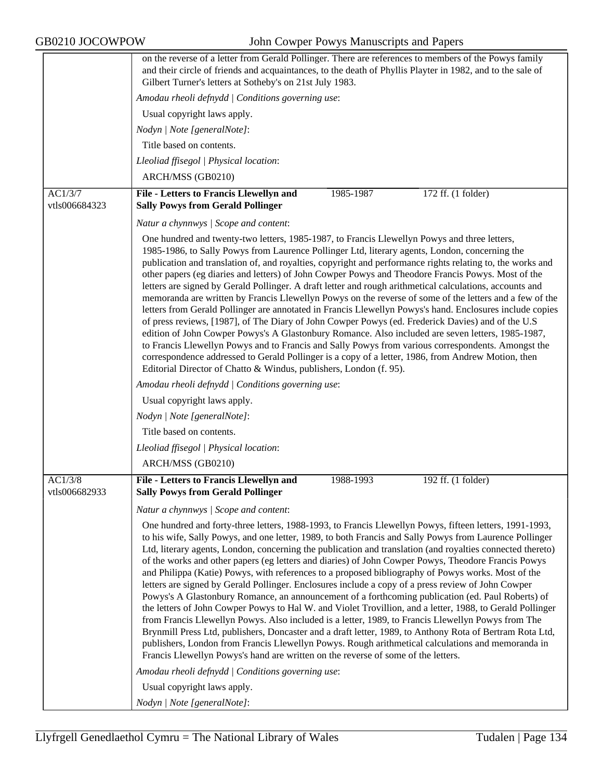|                          | on the reverse of a letter from Gerald Pollinger. There are references to members of the Powys family<br>and their circle of friends and acquaintances, to the death of Phyllis Playter in 1982, and to the sale of<br>Gilbert Turner's letters at Sotheby's on 21st July 1983.                                                                                                                                                                                                                                                                                                                                                                                                                                                                                                                                                                                                                                                                                                                                                                                                                                                                                                                                                                                                                                                                                                                                                                                  |  |  |  |
|--------------------------|------------------------------------------------------------------------------------------------------------------------------------------------------------------------------------------------------------------------------------------------------------------------------------------------------------------------------------------------------------------------------------------------------------------------------------------------------------------------------------------------------------------------------------------------------------------------------------------------------------------------------------------------------------------------------------------------------------------------------------------------------------------------------------------------------------------------------------------------------------------------------------------------------------------------------------------------------------------------------------------------------------------------------------------------------------------------------------------------------------------------------------------------------------------------------------------------------------------------------------------------------------------------------------------------------------------------------------------------------------------------------------------------------------------------------------------------------------------|--|--|--|
|                          | Amodau rheoli defnydd   Conditions governing use:                                                                                                                                                                                                                                                                                                                                                                                                                                                                                                                                                                                                                                                                                                                                                                                                                                                                                                                                                                                                                                                                                                                                                                                                                                                                                                                                                                                                                |  |  |  |
|                          | Usual copyright laws apply.                                                                                                                                                                                                                                                                                                                                                                                                                                                                                                                                                                                                                                                                                                                                                                                                                                                                                                                                                                                                                                                                                                                                                                                                                                                                                                                                                                                                                                      |  |  |  |
|                          | Nodyn   Note [generalNote]:                                                                                                                                                                                                                                                                                                                                                                                                                                                                                                                                                                                                                                                                                                                                                                                                                                                                                                                                                                                                                                                                                                                                                                                                                                                                                                                                                                                                                                      |  |  |  |
|                          | Title based on contents.                                                                                                                                                                                                                                                                                                                                                                                                                                                                                                                                                                                                                                                                                                                                                                                                                                                                                                                                                                                                                                                                                                                                                                                                                                                                                                                                                                                                                                         |  |  |  |
|                          | Lleoliad ffisegol   Physical location:                                                                                                                                                                                                                                                                                                                                                                                                                                                                                                                                                                                                                                                                                                                                                                                                                                                                                                                                                                                                                                                                                                                                                                                                                                                                                                                                                                                                                           |  |  |  |
|                          | ARCH/MSS (GB0210)                                                                                                                                                                                                                                                                                                                                                                                                                                                                                                                                                                                                                                                                                                                                                                                                                                                                                                                                                                                                                                                                                                                                                                                                                                                                                                                                                                                                                                                |  |  |  |
| AC1/3/7<br>vtls006684323 | File - Letters to Francis Llewellyn and<br>1985-1987<br>172 ff. (1 folder)<br><b>Sally Powys from Gerald Pollinger</b>                                                                                                                                                                                                                                                                                                                                                                                                                                                                                                                                                                                                                                                                                                                                                                                                                                                                                                                                                                                                                                                                                                                                                                                                                                                                                                                                           |  |  |  |
|                          | Natur a chynnwys / Scope and content:                                                                                                                                                                                                                                                                                                                                                                                                                                                                                                                                                                                                                                                                                                                                                                                                                                                                                                                                                                                                                                                                                                                                                                                                                                                                                                                                                                                                                            |  |  |  |
|                          | One hundred and twenty-two letters, 1985-1987, to Francis Llewellyn Powys and three letters,<br>1985-1986, to Sally Powys from Laurence Pollinger Ltd, literary agents, London, concerning the<br>publication and translation of, and royalties, copyright and performance rights relating to, the works and<br>other papers (eg diaries and letters) of John Cowper Powys and Theodore Francis Powys. Most of the<br>letters are signed by Gerald Pollinger. A draft letter and rough arithmetical calculations, accounts and<br>memoranda are written by Francis Llewellyn Powys on the reverse of some of the letters and a few of the<br>letters from Gerald Pollinger are annotated in Francis Llewellyn Powys's hand. Enclosures include copies<br>of press reviews, [1987], of The Diary of John Cowper Powys (ed. Frederick Davies) and of the U.S.<br>edition of John Cowper Powys's A Glastonbury Romance. Also included are seven letters, 1985-1987,<br>to Francis Llewellyn Powys and to Francis and Sally Powys from various correspondents. Amongst the<br>correspondence addressed to Gerald Pollinger is a copy of a letter, 1986, from Andrew Motion, then<br>Editorial Director of Chatto & Windus, publishers, London (f. 95).<br>Amodau rheoli defnydd   Conditions governing use:<br>Usual copyright laws apply.<br>Nodyn   Note [generalNote]:<br>Title based on contents.<br>Lleoliad ffisegol   Physical location:<br>ARCH/MSS (GB0210) |  |  |  |
| AC1/3/8                  | File - Letters to Francis Llewellyn and<br>192 ff. (1 folder)<br>1988-1993                                                                                                                                                                                                                                                                                                                                                                                                                                                                                                                                                                                                                                                                                                                                                                                                                                                                                                                                                                                                                                                                                                                                                                                                                                                                                                                                                                                       |  |  |  |
| vtls006682933            | <b>Sally Powys from Gerald Pollinger</b>                                                                                                                                                                                                                                                                                                                                                                                                                                                                                                                                                                                                                                                                                                                                                                                                                                                                                                                                                                                                                                                                                                                                                                                                                                                                                                                                                                                                                         |  |  |  |
|                          | Natur a chynnwys / Scope and content:                                                                                                                                                                                                                                                                                                                                                                                                                                                                                                                                                                                                                                                                                                                                                                                                                                                                                                                                                                                                                                                                                                                                                                                                                                                                                                                                                                                                                            |  |  |  |
|                          | One hundred and forty-three letters, 1988-1993, to Francis Llewellyn Powys, fifteen letters, 1991-1993,<br>to his wife, Sally Powys, and one letter, 1989, to both Francis and Sally Powys from Laurence Pollinger<br>Ltd, literary agents, London, concerning the publication and translation (and royalties connected thereto)<br>of the works and other papers (eg letters and diaries) of John Cowper Powys, Theodore Francis Powys<br>and Philippa (Katie) Powys, with references to a proposed bibliography of Powys works. Most of the<br>letters are signed by Gerald Pollinger. Enclosures include a copy of a press review of John Cowper<br>Powys's A Glastonbury Romance, an announcement of a forthcoming publication (ed. Paul Roberts) of<br>the letters of John Cowper Powys to Hal W. and Violet Trovillion, and a letter, 1988, to Gerald Pollinger<br>from Francis Llewellyn Powys. Also included is a letter, 1989, to Francis Llewellyn Powys from The<br>Brynmill Press Ltd, publishers, Doncaster and a draft letter, 1989, to Anthony Rota of Bertram Rota Ltd,<br>publishers, London from Francis Llewellyn Powys. Rough arithmetical calculations and memoranda in<br>Francis Llewellyn Powys's hand are written on the reverse of some of the letters.<br>Amodau rheoli defnydd   Conditions governing use:<br>Usual copyright laws apply.                                                                                            |  |  |  |
|                          | Nodyn   Note [generalNote]:                                                                                                                                                                                                                                                                                                                                                                                                                                                                                                                                                                                                                                                                                                                                                                                                                                                                                                                                                                                                                                                                                                                                                                                                                                                                                                                                                                                                                                      |  |  |  |
|                          |                                                                                                                                                                                                                                                                                                                                                                                                                                                                                                                                                                                                                                                                                                                                                                                                                                                                                                                                                                                                                                                                                                                                                                                                                                                                                                                                                                                                                                                                  |  |  |  |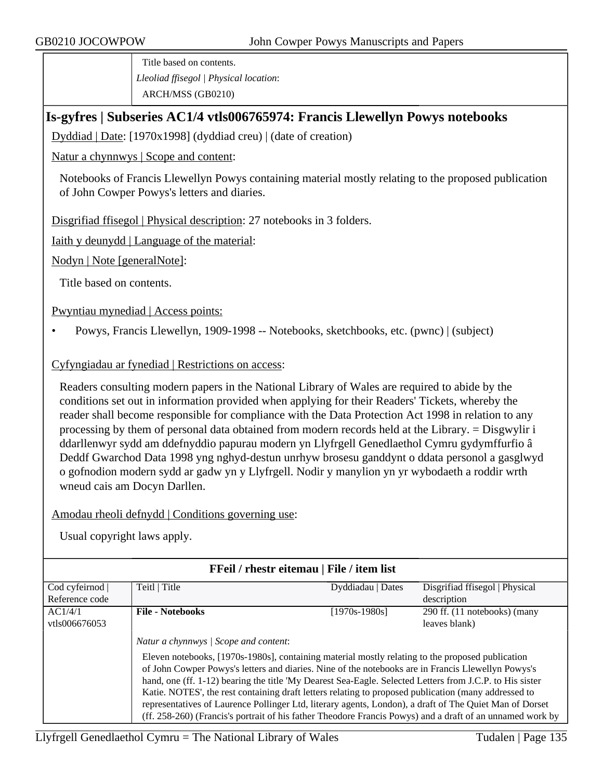Title based on contents. *Lleoliad ffisegol | Physical location*: ARCH/MSS (GB0210)

## **Is-gyfres | Subseries AC1/4 vtls006765974: Francis Llewellyn Powys notebooks**

Dyddiad | Date: [1970x1998] (dyddiad creu) | (date of creation)

Natur a chynnwys | Scope and content:

Notebooks of Francis Llewellyn Powys containing material mostly relating to the proposed publication of John Cowper Powys's letters and diaries.

Disgrifiad ffisegol | Physical description: 27 notebooks in 3 folders.

Iaith y deunydd | Language of the material:

Nodyn | Note [generalNote]:

Title based on contents.

Pwyntiau mynediad | Access points:

• Powys, Francis Llewellyn, 1909-1998 -- Notebooks, sketchbooks, etc. (pwnc) | (subject)

#### Cyfyngiadau ar fynediad | Restrictions on access:

Readers consulting modern papers in the National Library of Wales are required to abide by the conditions set out in information provided when applying for their Readers' Tickets, whereby the reader shall become responsible for compliance with the Data Protection Act 1998 in relation to any processing by them of personal data obtained from modern records held at the Library. = Disgwylir i ddarllenwyr sydd am ddefnyddio papurau modern yn Llyfrgell Genedlaethol Cymru gydymffurfio â Deddf Gwarchod Data 1998 yng nghyd-destun unrhyw brosesu ganddynt o ddata personol a gasglwyd o gofnodion modern sydd ar gadw yn y Llyfrgell. Nodir y manylion yn yr wybodaeth a roddir wrth wneud cais am Docyn Darllen.

Amodau rheoli defnydd | Conditions governing use:

| <b>FFeil</b> / rhestr eitemau   File / item list |                                                                                                                                                                                                                                                                                                                                                                                                                                                                                                                                                                                                                                                                                             |                   |                                |  |
|--------------------------------------------------|---------------------------------------------------------------------------------------------------------------------------------------------------------------------------------------------------------------------------------------------------------------------------------------------------------------------------------------------------------------------------------------------------------------------------------------------------------------------------------------------------------------------------------------------------------------------------------------------------------------------------------------------------------------------------------------------|-------------------|--------------------------------|--|
| Cod cyfeirnod                                    | Teitl   Title                                                                                                                                                                                                                                                                                                                                                                                                                                                                                                                                                                                                                                                                               | Dyddiadau   Dates | Disgrifiad ffisegol   Physical |  |
| Reference code                                   |                                                                                                                                                                                                                                                                                                                                                                                                                                                                                                                                                                                                                                                                                             |                   | description                    |  |
| AC1/4/1                                          | <b>File - Notebooks</b>                                                                                                                                                                                                                                                                                                                                                                                                                                                                                                                                                                                                                                                                     | $[1970s-1980s]$   | 290 ff. (11 notebooks) (many   |  |
| vtls006676053                                    |                                                                                                                                                                                                                                                                                                                                                                                                                                                                                                                                                                                                                                                                                             |                   | leaves blank)                  |  |
|                                                  | Natur a chynnwys / Scope and content:<br>Eleven notebooks, [1970s-1980s], containing material mostly relating to the proposed publication<br>of John Cowper Powys's letters and diaries. Nine of the notebooks are in Francis Llewellyn Powys's<br>hand, one (ff. 1-12) bearing the title 'My Dearest Sea-Eagle. Selected Letters from J.C.P. to His sister<br>Katie. NOTES', the rest containing draft letters relating to proposed publication (many addressed to<br>representatives of Laurence Pollinger Ltd, literary agents, London), a draft of The Quiet Man of Dorset<br>(ff. 258-260) (Francis's portrait of his father Theodore Francis Powys) and a draft of an unnamed work by |                   |                                |  |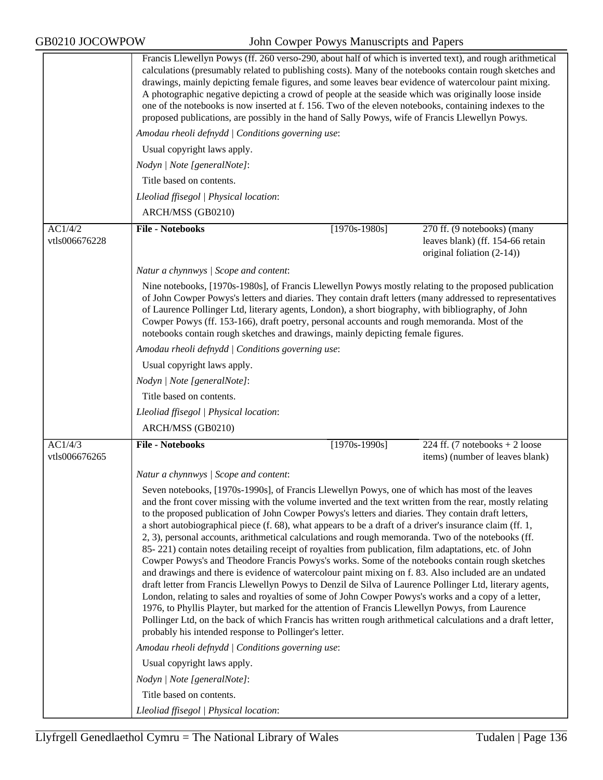|                          | Francis Llewellyn Powys (ff. 260 verso-290, about half of which is inverted text), and rough arithmetical<br>calculations (presumably related to publishing costs). Many of the notebooks contain rough sketches and<br>drawings, mainly depicting female figures, and some leaves bear evidence of watercolour paint mixing.<br>A photographic negative depicting a crowd of people at the seaside which was originally loose inside<br>one of the notebooks is now inserted at f. 156. Two of the eleven notebooks, containing indexes to the<br>proposed publications, are possibly in the hand of Sally Powys, wife of Francis Llewellyn Powys.                                                                                                                                                                                                                                                                                                                                                                                                                                                                                                                                                                                                                                                                                                       |                 |                                                                   |
|--------------------------|-----------------------------------------------------------------------------------------------------------------------------------------------------------------------------------------------------------------------------------------------------------------------------------------------------------------------------------------------------------------------------------------------------------------------------------------------------------------------------------------------------------------------------------------------------------------------------------------------------------------------------------------------------------------------------------------------------------------------------------------------------------------------------------------------------------------------------------------------------------------------------------------------------------------------------------------------------------------------------------------------------------------------------------------------------------------------------------------------------------------------------------------------------------------------------------------------------------------------------------------------------------------------------------------------------------------------------------------------------------|-----------------|-------------------------------------------------------------------|
|                          | Amodau rheoli defnydd   Conditions governing use:                                                                                                                                                                                                                                                                                                                                                                                                                                                                                                                                                                                                                                                                                                                                                                                                                                                                                                                                                                                                                                                                                                                                                                                                                                                                                                         |                 |                                                                   |
|                          | Usual copyright laws apply.                                                                                                                                                                                                                                                                                                                                                                                                                                                                                                                                                                                                                                                                                                                                                                                                                                                                                                                                                                                                                                                                                                                                                                                                                                                                                                                               |                 |                                                                   |
|                          | Nodyn   Note [generalNote]:                                                                                                                                                                                                                                                                                                                                                                                                                                                                                                                                                                                                                                                                                                                                                                                                                                                                                                                                                                                                                                                                                                                                                                                                                                                                                                                               |                 |                                                                   |
|                          | Title based on contents.                                                                                                                                                                                                                                                                                                                                                                                                                                                                                                                                                                                                                                                                                                                                                                                                                                                                                                                                                                                                                                                                                                                                                                                                                                                                                                                                  |                 |                                                                   |
|                          | Lleoliad ffisegol   Physical location:                                                                                                                                                                                                                                                                                                                                                                                                                                                                                                                                                                                                                                                                                                                                                                                                                                                                                                                                                                                                                                                                                                                                                                                                                                                                                                                    |                 |                                                                   |
|                          | ARCH/MSS (GB0210)                                                                                                                                                                                                                                                                                                                                                                                                                                                                                                                                                                                                                                                                                                                                                                                                                                                                                                                                                                                                                                                                                                                                                                                                                                                                                                                                         |                 |                                                                   |
| AC1/4/2                  | <b>File - Notebooks</b>                                                                                                                                                                                                                                                                                                                                                                                                                                                                                                                                                                                                                                                                                                                                                                                                                                                                                                                                                                                                                                                                                                                                                                                                                                                                                                                                   | $[1970s-1980s]$ | 270 ff. (9 notebooks) (many                                       |
| vtls006676228            |                                                                                                                                                                                                                                                                                                                                                                                                                                                                                                                                                                                                                                                                                                                                                                                                                                                                                                                                                                                                                                                                                                                                                                                                                                                                                                                                                           |                 | leaves blank) (ff. 154-66 retain<br>original foliation (2-14))    |
|                          | Natur a chynnwys / Scope and content:                                                                                                                                                                                                                                                                                                                                                                                                                                                                                                                                                                                                                                                                                                                                                                                                                                                                                                                                                                                                                                                                                                                                                                                                                                                                                                                     |                 |                                                                   |
|                          | Nine notebooks, [1970s-1980s], of Francis Llewellyn Powys mostly relating to the proposed publication<br>of John Cowper Powys's letters and diaries. They contain draft letters (many addressed to representatives<br>of Laurence Pollinger Ltd, literary agents, London), a short biography, with bibliography, of John<br>Cowper Powys (ff. 153-166), draft poetry, personal accounts and rough memoranda. Most of the<br>notebooks contain rough sketches and drawings, mainly depicting female figures.                                                                                                                                                                                                                                                                                                                                                                                                                                                                                                                                                                                                                                                                                                                                                                                                                                               |                 |                                                                   |
|                          | Amodau rheoli defnydd   Conditions governing use:                                                                                                                                                                                                                                                                                                                                                                                                                                                                                                                                                                                                                                                                                                                                                                                                                                                                                                                                                                                                                                                                                                                                                                                                                                                                                                         |                 |                                                                   |
|                          | Usual copyright laws apply.                                                                                                                                                                                                                                                                                                                                                                                                                                                                                                                                                                                                                                                                                                                                                                                                                                                                                                                                                                                                                                                                                                                                                                                                                                                                                                                               |                 |                                                                   |
|                          | Nodyn   Note [generalNote]:                                                                                                                                                                                                                                                                                                                                                                                                                                                                                                                                                                                                                                                                                                                                                                                                                                                                                                                                                                                                                                                                                                                                                                                                                                                                                                                               |                 |                                                                   |
|                          | Title based on contents.                                                                                                                                                                                                                                                                                                                                                                                                                                                                                                                                                                                                                                                                                                                                                                                                                                                                                                                                                                                                                                                                                                                                                                                                                                                                                                                                  |                 |                                                                   |
|                          | Lleoliad ffisegol   Physical location:                                                                                                                                                                                                                                                                                                                                                                                                                                                                                                                                                                                                                                                                                                                                                                                                                                                                                                                                                                                                                                                                                                                                                                                                                                                                                                                    |                 |                                                                   |
|                          | ARCH/MSS (GB0210)                                                                                                                                                                                                                                                                                                                                                                                                                                                                                                                                                                                                                                                                                                                                                                                                                                                                                                                                                                                                                                                                                                                                                                                                                                                                                                                                         |                 |                                                                   |
| AC1/4/3<br>vtls006676265 | <b>File - Notebooks</b>                                                                                                                                                                                                                                                                                                                                                                                                                                                                                                                                                                                                                                                                                                                                                                                                                                                                                                                                                                                                                                                                                                                                                                                                                                                                                                                                   | $[1970s-1990s]$ | 224 ff. (7 notebooks + 2 loose<br>items) (number of leaves blank) |
|                          | Natur a chynnwys / Scope and content:                                                                                                                                                                                                                                                                                                                                                                                                                                                                                                                                                                                                                                                                                                                                                                                                                                                                                                                                                                                                                                                                                                                                                                                                                                                                                                                     |                 |                                                                   |
|                          | Seven notebooks, [1970s-1990s], of Francis Llewellyn Powys, one of which has most of the leaves<br>and the front cover missing with the volume inverted and the text written from the rear, mostly relating<br>to the proposed publication of John Cowper Powys's letters and diaries. They contain draft letters,<br>a short autobiographical piece (f. 68), what appears to be a draft of a driver's insurance claim (ff. 1,<br>2, 3), personal accounts, arithmetical calculations and rough memoranda. Two of the notebooks (ff.<br>85-221) contain notes detailing receipt of royalties from publication, film adaptations, etc. of John<br>Cowper Powys's and Theodore Francis Powys's works. Some of the notebooks contain rough sketches<br>and drawings and there is evidence of watercolour paint mixing on f. 83. Also included are an undated<br>draft letter from Francis Llewellyn Powys to Denzil de Silva of Laurence Pollinger Ltd, literary agents,<br>London, relating to sales and royalties of some of John Cowper Powys's works and a copy of a letter,<br>1976, to Phyllis Playter, but marked for the attention of Francis Llewellyn Powys, from Laurence<br>Pollinger Ltd, on the back of which Francis has written rough arithmetical calculations and a draft letter,<br>probably his intended response to Pollinger's letter. |                 |                                                                   |
|                          | Amodau rheoli defnydd   Conditions governing use:                                                                                                                                                                                                                                                                                                                                                                                                                                                                                                                                                                                                                                                                                                                                                                                                                                                                                                                                                                                                                                                                                                                                                                                                                                                                                                         |                 |                                                                   |
|                          | Usual copyright laws apply.                                                                                                                                                                                                                                                                                                                                                                                                                                                                                                                                                                                                                                                                                                                                                                                                                                                                                                                                                                                                                                                                                                                                                                                                                                                                                                                               |                 |                                                                   |
|                          | Nodyn   Note [generalNote]:                                                                                                                                                                                                                                                                                                                                                                                                                                                                                                                                                                                                                                                                                                                                                                                                                                                                                                                                                                                                                                                                                                                                                                                                                                                                                                                               |                 |                                                                   |
|                          | Title based on contents.                                                                                                                                                                                                                                                                                                                                                                                                                                                                                                                                                                                                                                                                                                                                                                                                                                                                                                                                                                                                                                                                                                                                                                                                                                                                                                                                  |                 |                                                                   |
|                          | Lleoliad ffisegol   Physical location:                                                                                                                                                                                                                                                                                                                                                                                                                                                                                                                                                                                                                                                                                                                                                                                                                                                                                                                                                                                                                                                                                                                                                                                                                                                                                                                    |                 |                                                                   |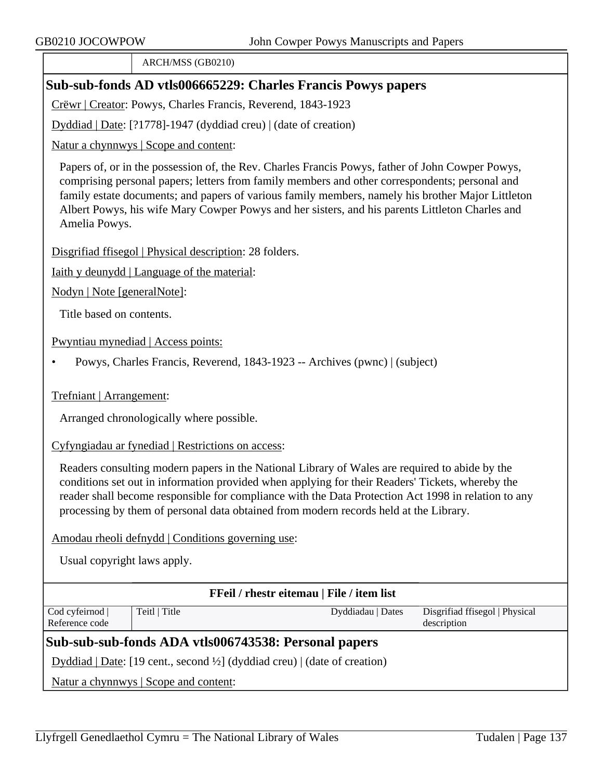ARCH/MSS (GB0210)

# **Sub-sub-fonds AD vtls006665229: Charles Francis Powys papers**

Crëwr | Creator: Powys, Charles Francis, Reverend, 1843-1923

Dyddiad | Date: [?1778]-1947 (dyddiad creu) | (date of creation)

Natur a chynnwys | Scope and content:

Papers of, or in the possession of, the Rev. Charles Francis Powys, father of John Cowper Powys, comprising personal papers; letters from family members and other correspondents; personal and family estate documents; and papers of various family members, namely his brother Major Littleton Albert Powys, his wife Mary Cowper Powys and her sisters, and his parents Littleton Charles and Amelia Powys.

Disgrifiad ffisegol | Physical description: 28 folders.

Iaith y deunydd | Language of the material:

Nodyn | Note [generalNote]:

Title based on contents.

Pwyntiau mynediad | Access points:

• Powys, Charles Francis, Reverend, 1843-1923 -- Archives (pwnc) | (subject)

Trefniant | Arrangement:

Arranged chronologically where possible.

Cyfyngiadau ar fynediad | Restrictions on access:

Readers consulting modern papers in the National Library of Wales are required to abide by the conditions set out in information provided when applying for their Readers' Tickets, whereby the reader shall become responsible for compliance with the Data Protection Act 1998 in relation to any processing by them of personal data obtained from modern records held at the Library.

Amodau rheoli defnydd | Conditions governing use:

Usual copyright laws apply.

| FFeil / rhestr eitemau   File / item list                                                                                       |               |                   |                                |
|---------------------------------------------------------------------------------------------------------------------------------|---------------|-------------------|--------------------------------|
| Cod cyfeirnod                                                                                                                   | Teitl   Title | Dyddiadau   Dates | Disgrifiad ffisegol   Physical |
| Reference code                                                                                                                  |               |                   | description                    |
| Sub-sub-sub-fonds ADA vtls006743538: Personal papers                                                                            |               |                   |                                |
| Dyddiad   Date: [19 cent., second $\frac{1}{2}$ ] (dyddiad creu)   (date of creation)                                           |               |                   |                                |
| $\mathbf{M}_{\text{other}}$ . Hence a serve that $\mathbf{M}_{\text{other}}$ is a set of the set of $\mathbf{M}_{\text{other}}$ |               |                   |                                |

Natur a chynnwys | Scope and content: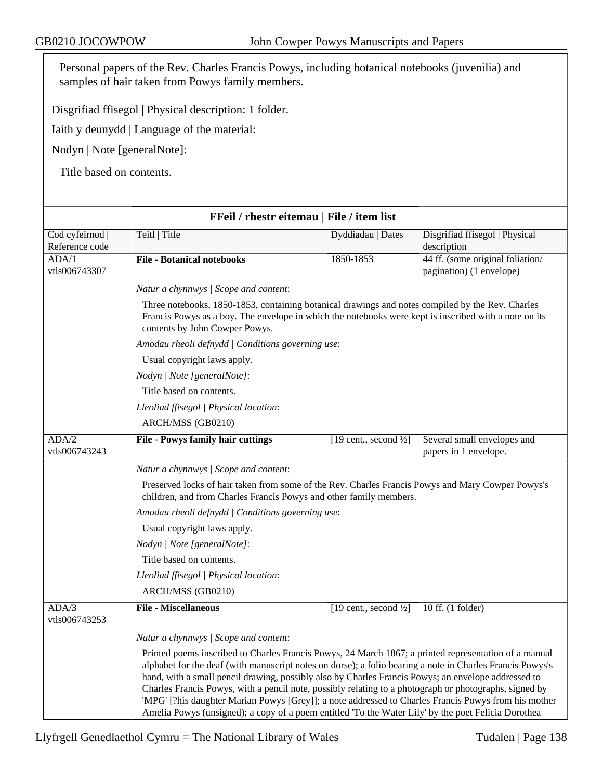Personal papers of the Rev. Charles Francis Powys, including botanical notebooks (juvenilia) and samples of hair taken from Powys family members.

Disgrifiad ffisegol | Physical description: 1 folder.

Iaith y deunydd | Language of the material:

Nodyn | Note [generalNote]:

Title based on contents.

| FFeil / rhestr eitemau   File / item list |                                                                                                                                                                                                                                                                                                                                                                                                                                                                                                                                                                                                                                                    |                                   |                                                              |  |
|-------------------------------------------|----------------------------------------------------------------------------------------------------------------------------------------------------------------------------------------------------------------------------------------------------------------------------------------------------------------------------------------------------------------------------------------------------------------------------------------------------------------------------------------------------------------------------------------------------------------------------------------------------------------------------------------------------|-----------------------------------|--------------------------------------------------------------|--|
| Cod cyfeirnod  <br>Reference code         | Teitl   Title                                                                                                                                                                                                                                                                                                                                                                                                                                                                                                                                                                                                                                      | Dyddiadau   Dates                 | Disgrifiad ffisegol   Physical<br>description                |  |
| ADA/1<br>vtls006743307                    | <b>File - Botanical notebooks</b>                                                                                                                                                                                                                                                                                                                                                                                                                                                                                                                                                                                                                  | 1850-1853                         | 44 ff. (some original foliation/<br>pagination) (1 envelope) |  |
|                                           | Natur a chynnwys / Scope and content:                                                                                                                                                                                                                                                                                                                                                                                                                                                                                                                                                                                                              |                                   |                                                              |  |
|                                           | Three notebooks, 1850-1853, containing botanical drawings and notes compiled by the Rev. Charles<br>Francis Powys as a boy. The envelope in which the notebooks were kept is inscribed with a note on its<br>contents by John Cowper Powys.<br>Amodau rheoli defnydd   Conditions governing use:<br>Usual copyright laws apply.                                                                                                                                                                                                                                                                                                                    |                                   |                                                              |  |
|                                           |                                                                                                                                                                                                                                                                                                                                                                                                                                                                                                                                                                                                                                                    |                                   |                                                              |  |
|                                           |                                                                                                                                                                                                                                                                                                                                                                                                                                                                                                                                                                                                                                                    |                                   |                                                              |  |
|                                           | Nodyn   Note [generalNote]:                                                                                                                                                                                                                                                                                                                                                                                                                                                                                                                                                                                                                        |                                   |                                                              |  |
|                                           | Title based on contents.                                                                                                                                                                                                                                                                                                                                                                                                                                                                                                                                                                                                                           |                                   |                                                              |  |
|                                           | Lleoliad ffisegol   Physical location:                                                                                                                                                                                                                                                                                                                                                                                                                                                                                                                                                                                                             |                                   |                                                              |  |
|                                           | ARCH/MSS (GB0210)                                                                                                                                                                                                                                                                                                                                                                                                                                                                                                                                                                                                                                  |                                   |                                                              |  |
| ADA/2<br>vtls006743243                    | <b>File - Powys family hair cuttings</b>                                                                                                                                                                                                                                                                                                                                                                                                                                                                                                                                                                                                           | [19 cent., second $\frac{1}{2}$ ] | Several small envelopes and<br>papers in 1 envelope.         |  |
|                                           | Natur a chynnwys / Scope and content:                                                                                                                                                                                                                                                                                                                                                                                                                                                                                                                                                                                                              |                                   |                                                              |  |
|                                           | Preserved locks of hair taken from some of the Rev. Charles Francis Powys and Mary Cowper Powys's<br>children, and from Charles Francis Powys and other family members.                                                                                                                                                                                                                                                                                                                                                                                                                                                                            |                                   |                                                              |  |
|                                           | Amodau rheoli defnydd   Conditions governing use:                                                                                                                                                                                                                                                                                                                                                                                                                                                                                                                                                                                                  |                                   |                                                              |  |
|                                           | Usual copyright laws apply.                                                                                                                                                                                                                                                                                                                                                                                                                                                                                                                                                                                                                        |                                   |                                                              |  |
|                                           | Nodyn   Note [generalNote]:                                                                                                                                                                                                                                                                                                                                                                                                                                                                                                                                                                                                                        |                                   |                                                              |  |
|                                           | Title based on contents.                                                                                                                                                                                                                                                                                                                                                                                                                                                                                                                                                                                                                           |                                   |                                                              |  |
|                                           | Lleoliad ffisegol   Physical location:                                                                                                                                                                                                                                                                                                                                                                                                                                                                                                                                                                                                             |                                   |                                                              |  |
|                                           | ARCH/MSS (GB0210)                                                                                                                                                                                                                                                                                                                                                                                                                                                                                                                                                                                                                                  |                                   |                                                              |  |
| ADA/3<br>vtls006743253                    | <b>File - Miscellaneous</b>                                                                                                                                                                                                                                                                                                                                                                                                                                                                                                                                                                                                                        | [19 cent., second $\frac{1}{2}$ ] | 10 ff. (1 folder)                                            |  |
|                                           | Natur a chynnwys / Scope and content:                                                                                                                                                                                                                                                                                                                                                                                                                                                                                                                                                                                                              |                                   |                                                              |  |
|                                           | Printed poems inscribed to Charles Francis Powys, 24 March 1867; a printed representation of a manual<br>alphabet for the deaf (with manuscript notes on dorse); a folio bearing a note in Charles Francis Powys's<br>hand, with a small pencil drawing, possibly also by Charles Francis Powys; an envelope addressed to<br>Charles Francis Powys, with a pencil note, possibly relating to a photograph or photographs, signed by<br>'MPG' [?his daughter Marian Powys [Grey]]; a note addressed to Charles Francis Powys from his mother<br>Amelia Powys (unsigned); a copy of a poem entitled 'To the Water Lily' by the poet Felicia Dorothea |                                   |                                                              |  |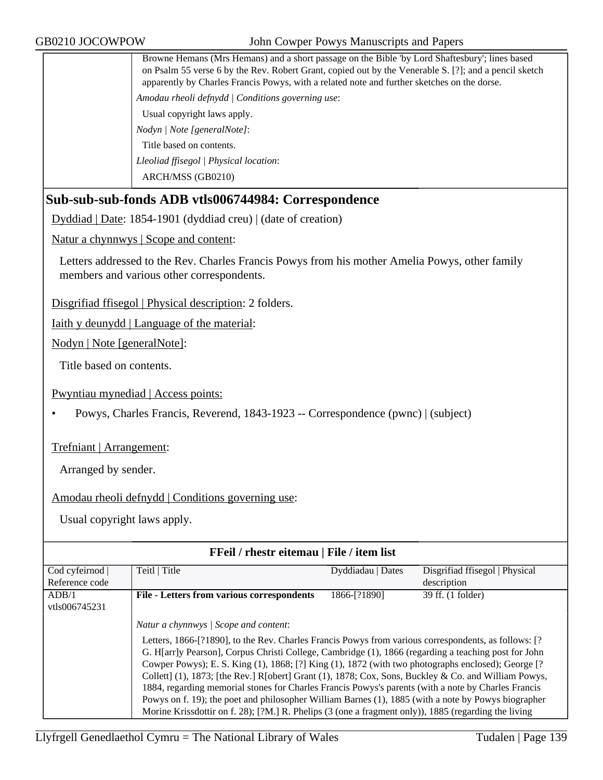Browne Hemans (Mrs Hemans) and a short passage on the Bible 'by Lord Shaftesbury'; lines based on Psalm 55 verse 6 by the Rev. Robert Grant, copied out by the Venerable S. [?]; and a pencil sketch apparently by Charles Francis Powys, with a related note and further sketches on the dorse.

*Amodau rheoli defnydd | Conditions governing use*:

Usual copyright laws apply.

*Nodyn | Note [generalNote]*:

Title based on contents.

*Lleoliad ffisegol | Physical location*:

ARCH/MSS (GB0210)

# **Sub-sub-sub-fonds ADB vtls006744984: Correspondence**

Dyddiad | Date: 1854-1901 (dyddiad creu) | (date of creation)

Natur a chynnwys | Scope and content:

Letters addressed to the Rev. Charles Francis Powys from his mother Amelia Powys, other family members and various other correspondents.

Disgrifiad ffisegol | Physical description: 2 folders.

Iaith y deunydd | Language of the material:

Nodyn | Note [generalNote]:

Title based on contents.

Pwyntiau mynediad | Access points:

• Powys, Charles Francis, Reverend, 1843-1923 -- Correspondence (pwnc) | (subject)

Trefniant | Arrangement:

Arranged by sender.

Amodau rheoli defnydd | Conditions governing use:

| FFeil / rhestr eitemau   File / item list |                                                                                                                                                                                                                                                                                                                          |                   |                                |
|-------------------------------------------|--------------------------------------------------------------------------------------------------------------------------------------------------------------------------------------------------------------------------------------------------------------------------------------------------------------------------|-------------------|--------------------------------|
| Cod cyfeirnod                             | Teitl   Title                                                                                                                                                                                                                                                                                                            | Dyddiadau   Dates | Disgrifiad ffisegol   Physical |
| Reference code                            |                                                                                                                                                                                                                                                                                                                          |                   | description                    |
| ADB/1<br>vtls006745231                    | <b>File - Letters from various correspondents</b>                                                                                                                                                                                                                                                                        | 1866-[?1890]      | 39 ff. (1 folder)              |
|                                           | Natur a chynnwys   Scope and content:<br>Letters, 1866-[?1890], to the Rev. Charles Francis Powys from various correspondents, as follows: [?                                                                                                                                                                            |                   |                                |
|                                           | G. H[arr]y Pearson], Corpus Christi College, Cambridge (1), 1866 (regarding a teaching post for John<br>Cowper Powys); E. S. King (1), 1868; [?] King (1), 1872 (with two photographs enclosed); George [?<br>Collett] $(1)$ , 1873; [the Rev.] R[obert] Grant $(1)$ , 1878; Cox, Sons, Buckley & Co. and William Powys, |                   |                                |
|                                           | 1884, regarding memorial stones for Charles Francis Powys's parents (with a note by Charles Francis<br>Powys on f. 19); the poet and philosopher William Barnes (1), 1885 (with a note by Powys biographer<br>Morine Krissdottir on f. 28); [?M.] R. Phelips (3 (one a fragment only)), 1885 (regarding the living       |                   |                                |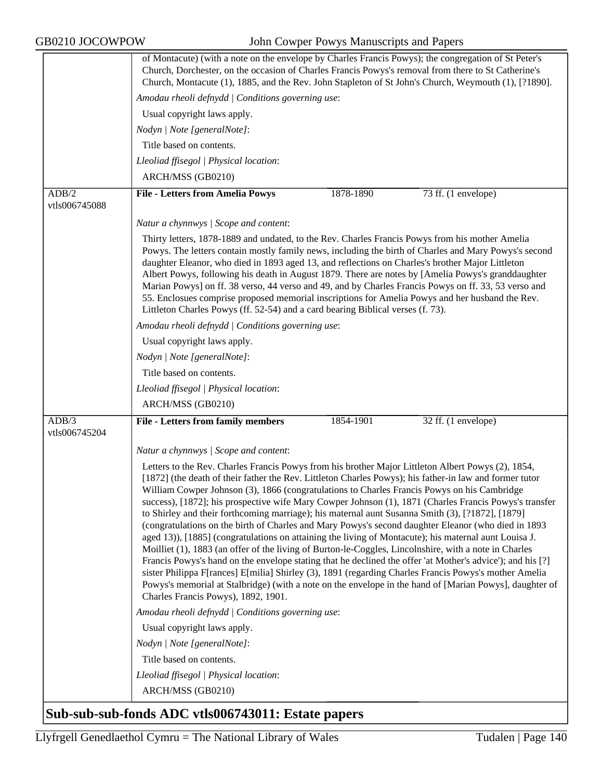|                        | of Montacute) (with a note on the envelope by Charles Francis Powys); the congregation of St Peter's                                                                                                                                                                                                                                                                                                                                                                                                                                                                                                                                                                                                                                                                                                                                                                                                                                                                                                                                                                                                                                                                                                                         |  |  |  |
|------------------------|------------------------------------------------------------------------------------------------------------------------------------------------------------------------------------------------------------------------------------------------------------------------------------------------------------------------------------------------------------------------------------------------------------------------------------------------------------------------------------------------------------------------------------------------------------------------------------------------------------------------------------------------------------------------------------------------------------------------------------------------------------------------------------------------------------------------------------------------------------------------------------------------------------------------------------------------------------------------------------------------------------------------------------------------------------------------------------------------------------------------------------------------------------------------------------------------------------------------------|--|--|--|
|                        | Church, Dorchester, on the occasion of Charles Francis Powys's removal from there to St Catherine's<br>Church, Montacute (1), 1885, and the Rev. John Stapleton of St John's Church, Weymouth (1), [?1890].                                                                                                                                                                                                                                                                                                                                                                                                                                                                                                                                                                                                                                                                                                                                                                                                                                                                                                                                                                                                                  |  |  |  |
|                        | Amodau rheoli defnydd   Conditions governing use:                                                                                                                                                                                                                                                                                                                                                                                                                                                                                                                                                                                                                                                                                                                                                                                                                                                                                                                                                                                                                                                                                                                                                                            |  |  |  |
|                        | Usual copyright laws apply.                                                                                                                                                                                                                                                                                                                                                                                                                                                                                                                                                                                                                                                                                                                                                                                                                                                                                                                                                                                                                                                                                                                                                                                                  |  |  |  |
|                        | Nodyn   Note [generalNote]:                                                                                                                                                                                                                                                                                                                                                                                                                                                                                                                                                                                                                                                                                                                                                                                                                                                                                                                                                                                                                                                                                                                                                                                                  |  |  |  |
|                        | Title based on contents.                                                                                                                                                                                                                                                                                                                                                                                                                                                                                                                                                                                                                                                                                                                                                                                                                                                                                                                                                                                                                                                                                                                                                                                                     |  |  |  |
|                        | Lleoliad ffisegol   Physical location:                                                                                                                                                                                                                                                                                                                                                                                                                                                                                                                                                                                                                                                                                                                                                                                                                                                                                                                                                                                                                                                                                                                                                                                       |  |  |  |
|                        | ARCH/MSS (GB0210)                                                                                                                                                                                                                                                                                                                                                                                                                                                                                                                                                                                                                                                                                                                                                                                                                                                                                                                                                                                                                                                                                                                                                                                                            |  |  |  |
| ADB/2                  | 1878-1890<br><b>File - Letters from Amelia Powys</b><br>73 ff. (1 envelope)                                                                                                                                                                                                                                                                                                                                                                                                                                                                                                                                                                                                                                                                                                                                                                                                                                                                                                                                                                                                                                                                                                                                                  |  |  |  |
| vtls006745088          |                                                                                                                                                                                                                                                                                                                                                                                                                                                                                                                                                                                                                                                                                                                                                                                                                                                                                                                                                                                                                                                                                                                                                                                                                              |  |  |  |
|                        | Natur a chynnwys / Scope and content:                                                                                                                                                                                                                                                                                                                                                                                                                                                                                                                                                                                                                                                                                                                                                                                                                                                                                                                                                                                                                                                                                                                                                                                        |  |  |  |
|                        | Thirty letters, 1878-1889 and undated, to the Rev. Charles Francis Powys from his mother Amelia                                                                                                                                                                                                                                                                                                                                                                                                                                                                                                                                                                                                                                                                                                                                                                                                                                                                                                                                                                                                                                                                                                                              |  |  |  |
|                        | Powys. The letters contain mostly family news, including the birth of Charles and Mary Powys's second<br>daughter Eleanor, who died in 1893 aged 13, and reflections on Charles's brother Major Littleton<br>Albert Powys, following his death in August 1879. There are notes by [Amelia Powys's granddaughter<br>Marian Powys] on ff. 38 verso, 44 verso and 49, and by Charles Francis Powys on ff. 33, 53 verso and<br>55. Enclosues comprise proposed memorial inscriptions for Amelia Powys and her husband the Rev.<br>Littleton Charles Powys (ff. 52-54) and a card bearing Biblical verses (f. 73).                                                                                                                                                                                                                                                                                                                                                                                                                                                                                                                                                                                                                |  |  |  |
|                        | Amodau rheoli defnydd   Conditions governing use:                                                                                                                                                                                                                                                                                                                                                                                                                                                                                                                                                                                                                                                                                                                                                                                                                                                                                                                                                                                                                                                                                                                                                                            |  |  |  |
|                        | Usual copyright laws apply.                                                                                                                                                                                                                                                                                                                                                                                                                                                                                                                                                                                                                                                                                                                                                                                                                                                                                                                                                                                                                                                                                                                                                                                                  |  |  |  |
|                        | Nodyn   Note [generalNote]:                                                                                                                                                                                                                                                                                                                                                                                                                                                                                                                                                                                                                                                                                                                                                                                                                                                                                                                                                                                                                                                                                                                                                                                                  |  |  |  |
|                        | Title based on contents.                                                                                                                                                                                                                                                                                                                                                                                                                                                                                                                                                                                                                                                                                                                                                                                                                                                                                                                                                                                                                                                                                                                                                                                                     |  |  |  |
|                        | Lleoliad ffisegol   Physical location:                                                                                                                                                                                                                                                                                                                                                                                                                                                                                                                                                                                                                                                                                                                                                                                                                                                                                                                                                                                                                                                                                                                                                                                       |  |  |  |
|                        | ARCH/MSS (GB0210)                                                                                                                                                                                                                                                                                                                                                                                                                                                                                                                                                                                                                                                                                                                                                                                                                                                                                                                                                                                                                                                                                                                                                                                                            |  |  |  |
| ADB/3<br>vtls006745204 | <b>File - Letters from family members</b><br>1854-1901<br>32 ff. (1 envelope)                                                                                                                                                                                                                                                                                                                                                                                                                                                                                                                                                                                                                                                                                                                                                                                                                                                                                                                                                                                                                                                                                                                                                |  |  |  |
|                        | Natur a chynnwys / Scope and content:                                                                                                                                                                                                                                                                                                                                                                                                                                                                                                                                                                                                                                                                                                                                                                                                                                                                                                                                                                                                                                                                                                                                                                                        |  |  |  |
|                        | Letters to the Rev. Charles Francis Powys from his brother Major Littleton Albert Powys (2), 1854,<br>[1872] (the death of their father the Rev. Littleton Charles Powys); his father-in law and former tutor<br>William Cowper Johnson (3), 1866 (congratulations to Charles Francis Powys on his Cambridge<br>success), [1872]; his prospective wife Mary Cowper Johnson (1), 1871 (Charles Francis Powys's transfer<br>to Shirley and their forthcoming marriage); his maternal aunt Susanna Smith (3), [?1872], [1879]<br>(congratulations on the birth of Charles and Mary Powys's second daughter Eleanor (who died in 1893<br>aged 13)), [1885] (congratulations on attaining the living of Montacute); his maternal aunt Louisa J.<br>Moilliet (1), 1883 (an offer of the living of Burton-le-Coggles, Lincolnshire, with a note in Charles<br>Francis Powys's hand on the envelope stating that he declined the offer 'at Mother's advice'); and his [?]<br>sister Philippa F[rances] E[milia] Shirley (3), 1891 (regarding Charles Francis Powys's mother Amelia<br>Powys's memorial at Stalbridge) (with a note on the envelope in the hand of [Marian Powys], daughter of<br>Charles Francis Powys), 1892, 1901. |  |  |  |
|                        | Amodau rheoli defnydd   Conditions governing use:                                                                                                                                                                                                                                                                                                                                                                                                                                                                                                                                                                                                                                                                                                                                                                                                                                                                                                                                                                                                                                                                                                                                                                            |  |  |  |
|                        | Usual copyright laws apply.                                                                                                                                                                                                                                                                                                                                                                                                                                                                                                                                                                                                                                                                                                                                                                                                                                                                                                                                                                                                                                                                                                                                                                                                  |  |  |  |
|                        | Nodyn   Note [generalNote]:                                                                                                                                                                                                                                                                                                                                                                                                                                                                                                                                                                                                                                                                                                                                                                                                                                                                                                                                                                                                                                                                                                                                                                                                  |  |  |  |
|                        | Title based on contents.                                                                                                                                                                                                                                                                                                                                                                                                                                                                                                                                                                                                                                                                                                                                                                                                                                                                                                                                                                                                                                                                                                                                                                                                     |  |  |  |
|                        | Lleoliad ffisegol   Physical location:                                                                                                                                                                                                                                                                                                                                                                                                                                                                                                                                                                                                                                                                                                                                                                                                                                                                                                                                                                                                                                                                                                                                                                                       |  |  |  |
|                        | ARCH/MSS (GB0210)                                                                                                                                                                                                                                                                                                                                                                                                                                                                                                                                                                                                                                                                                                                                                                                                                                                                                                                                                                                                                                                                                                                                                                                                            |  |  |  |
|                        | $1.007712011$ D                                                                                                                                                                                                                                                                                                                                                                                                                                                                                                                                                                                                                                                                                                                                                                                                                                                                                                                                                                                                                                                                                                                                                                                                              |  |  |  |

# **Sub-sub-sub-fonds ADC vtls006743011: Estate papers**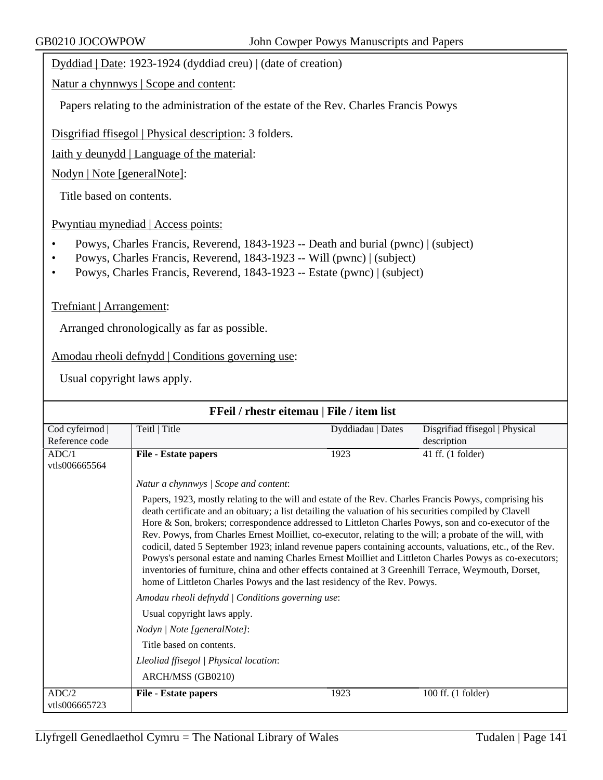Dyddiad | Date: 1923-1924 (dyddiad creu) | (date of creation)

Natur a chynnwys | Scope and content:

Papers relating to the administration of the estate of the Rev. Charles Francis Powys

Disgrifiad ffisegol | Physical description: 3 folders.

Iaith y deunydd | Language of the material:

Nodyn | Note [generalNote]:

Title based on contents.

Pwyntiau mynediad | Access points:

- Powys, Charles Francis, Reverend, 1843-1923 -- Death and burial (pwnc) | (subject)
- Powys, Charles Francis, Reverend, 1843-1923 -- Will (pwnc) | (subject)
- Powys, Charles Francis, Reverend, 1843-1923 -- Estate (pwnc) | (subject)

#### Trefniant | Arrangement:

Arranged chronologically as far as possible.

Amodau rheoli defnydd | Conditions governing use:

| FFeil / rhestr eitemau   File / item list |                                                                                                                                                                                                                                                                                                                                                                                                                                                                                                                                                                                                                                                                                                                                                                                                                                                     |                   |                                |  |
|-------------------------------------------|-----------------------------------------------------------------------------------------------------------------------------------------------------------------------------------------------------------------------------------------------------------------------------------------------------------------------------------------------------------------------------------------------------------------------------------------------------------------------------------------------------------------------------------------------------------------------------------------------------------------------------------------------------------------------------------------------------------------------------------------------------------------------------------------------------------------------------------------------------|-------------------|--------------------------------|--|
| Cod cyfeirnod                             | Teitl   Title                                                                                                                                                                                                                                                                                                                                                                                                                                                                                                                                                                                                                                                                                                                                                                                                                                       | Dyddiadau   Dates | Disgrifiad ffisegol   Physical |  |
| Reference code                            |                                                                                                                                                                                                                                                                                                                                                                                                                                                                                                                                                                                                                                                                                                                                                                                                                                                     |                   | description                    |  |
| ADC/1                                     | File - Estate papers                                                                                                                                                                                                                                                                                                                                                                                                                                                                                                                                                                                                                                                                                                                                                                                                                                | 1923              | 41 ff. (1 folder)              |  |
| vtls006665564                             |                                                                                                                                                                                                                                                                                                                                                                                                                                                                                                                                                                                                                                                                                                                                                                                                                                                     |                   |                                |  |
|                                           | Natur a chynnwys / Scope and content:                                                                                                                                                                                                                                                                                                                                                                                                                                                                                                                                                                                                                                                                                                                                                                                                               |                   |                                |  |
|                                           | Papers, 1923, mostly relating to the will and estate of the Rev. Charles Francis Powys, comprising his<br>death certificate and an obituary; a list detailing the valuation of his securities compiled by Clavell<br>Hore & Son, brokers; correspondence addressed to Littleton Charles Powys, son and co-executor of the<br>Rev. Powys, from Charles Ernest Moilliet, co-executor, relating to the will; a probate of the will, with<br>codicil, dated 5 September 1923; inland revenue papers containing accounts, valuations, etc., of the Rev.<br>Powys's personal estate and naming Charles Ernest Moilliet and Littleton Charles Powys as co-executors;<br>inventories of furniture, china and other effects contained at 3 Greenhill Terrace, Weymouth, Dorset,<br>home of Littleton Charles Powys and the last residency of the Rev. Powys. |                   |                                |  |
|                                           | Amodau rheoli defnydd   Conditions governing use:                                                                                                                                                                                                                                                                                                                                                                                                                                                                                                                                                                                                                                                                                                                                                                                                   |                   |                                |  |
|                                           | Usual copyright laws apply.                                                                                                                                                                                                                                                                                                                                                                                                                                                                                                                                                                                                                                                                                                                                                                                                                         |                   |                                |  |
|                                           | Nodyn   Note [generalNote]:                                                                                                                                                                                                                                                                                                                                                                                                                                                                                                                                                                                                                                                                                                                                                                                                                         |                   |                                |  |
|                                           | Title based on contents.                                                                                                                                                                                                                                                                                                                                                                                                                                                                                                                                                                                                                                                                                                                                                                                                                            |                   |                                |  |
|                                           | Lleoliad ffisegol   Physical location:                                                                                                                                                                                                                                                                                                                                                                                                                                                                                                                                                                                                                                                                                                                                                                                                              |                   |                                |  |
|                                           | ARCH/MSS (GB0210)                                                                                                                                                                                                                                                                                                                                                                                                                                                                                                                                                                                                                                                                                                                                                                                                                                   |                   |                                |  |
| ADC/2<br>vtls006665723                    | File - Estate papers                                                                                                                                                                                                                                                                                                                                                                                                                                                                                                                                                                                                                                                                                                                                                                                                                                | 1923              | 100 ff. (1 folder)             |  |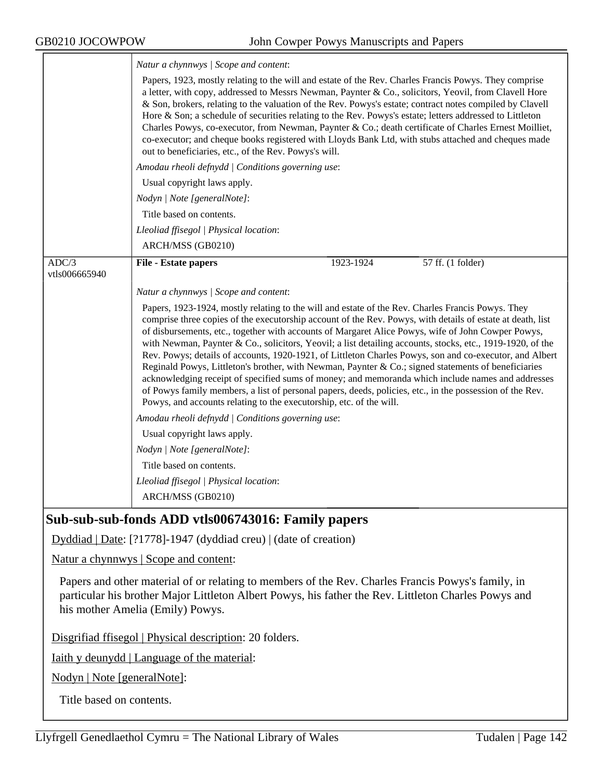ᅮ

|                        | Natur a chynnwys / Scope and content:                                                                                                                                                                                                                                                                                                                                                                                                                                                                                                                                                                                                                                                                                                                                |  |  |  |
|------------------------|----------------------------------------------------------------------------------------------------------------------------------------------------------------------------------------------------------------------------------------------------------------------------------------------------------------------------------------------------------------------------------------------------------------------------------------------------------------------------------------------------------------------------------------------------------------------------------------------------------------------------------------------------------------------------------------------------------------------------------------------------------------------|--|--|--|
|                        | Papers, 1923, mostly relating to the will and estate of the Rev. Charles Francis Powys. They comprise<br>a letter, with copy, addressed to Messrs Newman, Paynter & Co., solicitors, Yeovil, from Clavell Hore<br>& Son, brokers, relating to the valuation of the Rev. Powys's estate; contract notes compiled by Clavell<br>Hore & Son; a schedule of securities relating to the Rev. Powys's estate; letters addressed to Littleton<br>Charles Powys, co-executor, from Newman, Paynter & Co.; death certificate of Charles Ernest Moilliet,<br>co-executor; and cheque books registered with Lloyds Bank Ltd, with stubs attached and cheques made<br>out to beneficiaries, etc., of the Rev. Powys's will.<br>Amodau rheoli defnydd   Conditions governing use: |  |  |  |
|                        |                                                                                                                                                                                                                                                                                                                                                                                                                                                                                                                                                                                                                                                                                                                                                                      |  |  |  |
|                        | Usual copyright laws apply.                                                                                                                                                                                                                                                                                                                                                                                                                                                                                                                                                                                                                                                                                                                                          |  |  |  |
|                        | Nodyn   Note [generalNote]:                                                                                                                                                                                                                                                                                                                                                                                                                                                                                                                                                                                                                                                                                                                                          |  |  |  |
|                        | Title based on contents.                                                                                                                                                                                                                                                                                                                                                                                                                                                                                                                                                                                                                                                                                                                                             |  |  |  |
|                        | Lleoliad ffisegol   Physical location:                                                                                                                                                                                                                                                                                                                                                                                                                                                                                                                                                                                                                                                                                                                               |  |  |  |
|                        | ARCH/MSS (GB0210)                                                                                                                                                                                                                                                                                                                                                                                                                                                                                                                                                                                                                                                                                                                                                    |  |  |  |
| ADC/3<br>vtls006665940 | 1923-1924<br>57 ff. (1 folder)<br><b>File - Estate papers</b>                                                                                                                                                                                                                                                                                                                                                                                                                                                                                                                                                                                                                                                                                                        |  |  |  |
|                        | Natur a chynnwys / Scope and content:                                                                                                                                                                                                                                                                                                                                                                                                                                                                                                                                                                                                                                                                                                                                |  |  |  |
|                        | Papers, 1923-1924, mostly relating to the will and estate of the Rev. Charles Francis Powys. They<br>comprise three copies of the executorship account of the Rev. Powys, with details of estate at death, list<br>of disbursements, etc., together with accounts of Margaret Alice Powys, wife of John Cowper Powys,<br>with Newman, Paynter & Co., solicitors, Yeovil; a list detailing accounts, stocks, etc., 1919-1920, of the<br>Rev. Powys; details of accounts, 1920-1921, of Littleton Charles Powys, son and co-executor, and Albert<br>Reginald Powys, Littleton's brother, with Newman, Paynter & Co.; signed statements of beneficiaries<br>acknowledging receipt of specified sums of money; and memoranda which include names and addresses           |  |  |  |
|                        | of Powys family members, a list of personal papers, deeds, policies, etc., in the possession of the Rev.<br>Powys, and accounts relating to the executorship, etc. of the will.                                                                                                                                                                                                                                                                                                                                                                                                                                                                                                                                                                                      |  |  |  |
|                        | Amodau rheoli defnydd / Conditions governing use:                                                                                                                                                                                                                                                                                                                                                                                                                                                                                                                                                                                                                                                                                                                    |  |  |  |
|                        | Usual copyright laws apply.                                                                                                                                                                                                                                                                                                                                                                                                                                                                                                                                                                                                                                                                                                                                          |  |  |  |
|                        | Nodyn   Note [generalNote]:                                                                                                                                                                                                                                                                                                                                                                                                                                                                                                                                                                                                                                                                                                                                          |  |  |  |
|                        | Title based on contents.                                                                                                                                                                                                                                                                                                                                                                                                                                                                                                                                                                                                                                                                                                                                             |  |  |  |
|                        | Lleoliad ffisegol   Physical location:                                                                                                                                                                                                                                                                                                                                                                                                                                                                                                                                                                                                                                                                                                                               |  |  |  |

## **Sub-sub-sub-fonds ADD vtls006743016: Family papers**

Dyddiad | Date: [?1778]-1947 (dyddiad creu) | (date of creation)

Natur a chynnwys | Scope and content:

Papers and other material of or relating to members of the Rev. Charles Francis Powys's family, in particular his brother Major Littleton Albert Powys, his father the Rev. Littleton Charles Powys and his mother Amelia (Emily) Powys.

Disgrifiad ffisegol | Physical description: 20 folders.

Iaith y deunydd | Language of the material:

Nodyn | Note [generalNote]:

Title based on contents.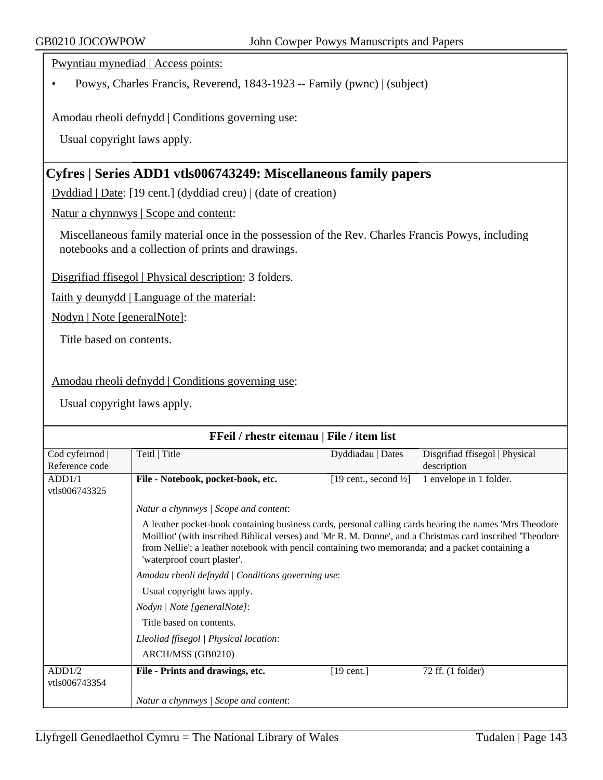Pwyntiau mynediad | Access points:

• Powys, Charles Francis, Reverend, 1843-1923 -- Family (pwnc) | (subject)

Amodau rheoli defnydd | Conditions governing use:

Usual copyright laws apply.

## **Cyfres | Series ADD1 vtls006743249: Miscellaneous family papers**

Dyddiad | Date: [19 cent.] (dyddiad creu) | (date of creation)

Natur a chynnwys | Scope and content:

Miscellaneous family material once in the possession of the Rev. Charles Francis Powys, including notebooks and a collection of prints and drawings.

Disgrifiad ffisegol | Physical description: 3 folders.

Iaith y deunydd | Language of the material:

Nodyn | Note [generalNote]:

Title based on contents.

Amodau rheoli defnydd | Conditions governing use:

| FFeil / rhestr eitemau   File / item list |                                                                                                                                                                                                                                                                                                                                                          |                                   |                                |
|-------------------------------------------|----------------------------------------------------------------------------------------------------------------------------------------------------------------------------------------------------------------------------------------------------------------------------------------------------------------------------------------------------------|-----------------------------------|--------------------------------|
| Cod cyfeirnod                             | Teitl   Title                                                                                                                                                                                                                                                                                                                                            | Dyddiadau   Dates                 | Disgrifiad ffisegol   Physical |
| Reference code                            |                                                                                                                                                                                                                                                                                                                                                          |                                   | description                    |
| ADD1/1                                    | File - Notebook, pocket-book, etc.                                                                                                                                                                                                                                                                                                                       | [19 cent., second $\frac{1}{2}$ ] | 1 envelope in 1 folder.        |
| vtls006743325                             |                                                                                                                                                                                                                                                                                                                                                          |                                   |                                |
|                                           | Natur a chynnwys / Scope and content:                                                                                                                                                                                                                                                                                                                    |                                   |                                |
|                                           | A leather pocket-book containing business cards, personal calling cards bearing the names 'Mrs Theodore'<br>Moilliot' (with inscribed Biblical verses) and 'Mr R. M. Donne', and a Christmas card inscribed 'Theodore<br>from Nellie'; a leather notebook with pencil containing two memoranda; and a packet containing a<br>'waterproof court plaster'. |                                   |                                |
|                                           | Amodau rheoli defnydd   Conditions governing use:                                                                                                                                                                                                                                                                                                        |                                   |                                |
|                                           | Usual copyright laws apply.                                                                                                                                                                                                                                                                                                                              |                                   |                                |
|                                           | Nodyn   Note [generalNote]:                                                                                                                                                                                                                                                                                                                              |                                   |                                |
|                                           | Title based on contents.                                                                                                                                                                                                                                                                                                                                 |                                   |                                |
|                                           | Lleoliad ffisegol   Physical location:                                                                                                                                                                                                                                                                                                                   |                                   |                                |
|                                           | ARCH/MSS (GB0210)                                                                                                                                                                                                                                                                                                                                        |                                   |                                |
| ADD1/2<br>vtls006743354                   | File - Prints and drawings, etc.                                                                                                                                                                                                                                                                                                                         | $[19 \text{ cent.}]$              | 72 ff. (1 folder)              |
|                                           | Natur a chynnwys / Scope and content:                                                                                                                                                                                                                                                                                                                    |                                   |                                |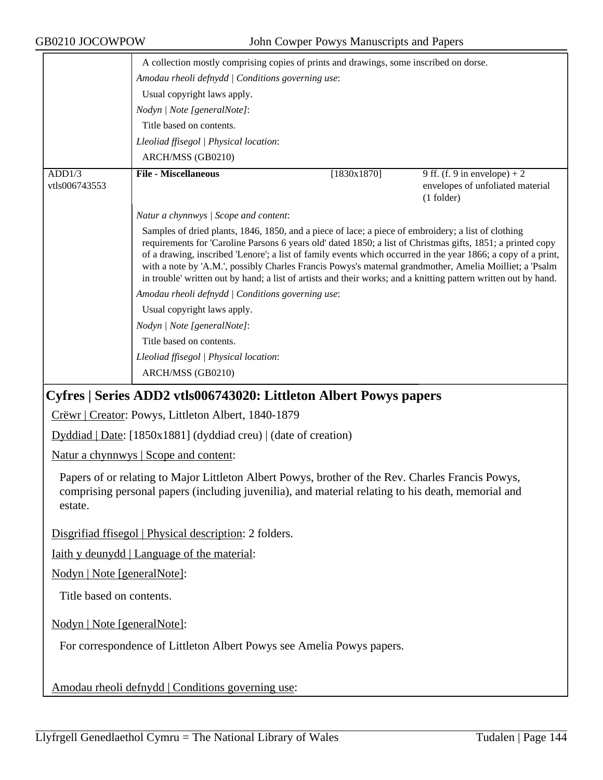|                         | A collection mostly comprising copies of prints and drawings, some inscribed on dorse.                                                                                                                                                                                                                                                                                                                                                                                                                                                                            |             |                                                                                  |
|-------------------------|-------------------------------------------------------------------------------------------------------------------------------------------------------------------------------------------------------------------------------------------------------------------------------------------------------------------------------------------------------------------------------------------------------------------------------------------------------------------------------------------------------------------------------------------------------------------|-------------|----------------------------------------------------------------------------------|
|                         | Amodau rheoli defnydd   Conditions governing use:                                                                                                                                                                                                                                                                                                                                                                                                                                                                                                                 |             |                                                                                  |
|                         | Usual copyright laws apply.                                                                                                                                                                                                                                                                                                                                                                                                                                                                                                                                       |             |                                                                                  |
|                         | Nodyn   Note [generalNote]:                                                                                                                                                                                                                                                                                                                                                                                                                                                                                                                                       |             |                                                                                  |
|                         | Title based on contents.                                                                                                                                                                                                                                                                                                                                                                                                                                                                                                                                          |             |                                                                                  |
|                         | Lleoliad ffisegol   Physical location:                                                                                                                                                                                                                                                                                                                                                                                                                                                                                                                            |             |                                                                                  |
|                         | ARCH/MSS (GB0210)                                                                                                                                                                                                                                                                                                                                                                                                                                                                                                                                                 |             |                                                                                  |
| ADD1/3<br>vtls006743553 | <b>File - Miscellaneous</b>                                                                                                                                                                                                                                                                                                                                                                                                                                                                                                                                       | [1830x1870] | 9 ff. (f. 9 in envelope) + 2<br>envelopes of unfoliated material<br>$(1$ folder) |
|                         | Natur a chynnwys / Scope and content:                                                                                                                                                                                                                                                                                                                                                                                                                                                                                                                             |             |                                                                                  |
|                         | Samples of dried plants, 1846, 1850, and a piece of lace; a piece of embroidery; a list of clothing<br>requirements for 'Caroline Parsons 6 years old' dated 1850; a list of Christmas gifts, 1851; a printed copy<br>of a drawing, inscribed 'Lenore'; a list of family events which occurred in the year 1866; a copy of a print,<br>with a note by 'A.M.', possibly Charles Francis Powys's maternal grandmother, Amelia Moilliet; a 'Psalm<br>in trouble' written out by hand; a list of artists and their works; and a knitting pattern written out by hand. |             |                                                                                  |
|                         | Amodau rheoli defnydd   Conditions governing use:<br>Usual copyright laws apply.<br>Nodyn   Note [generalNote]:                                                                                                                                                                                                                                                                                                                                                                                                                                                   |             |                                                                                  |
|                         |                                                                                                                                                                                                                                                                                                                                                                                                                                                                                                                                                                   |             |                                                                                  |
|                         |                                                                                                                                                                                                                                                                                                                                                                                                                                                                                                                                                                   |             |                                                                                  |
|                         | Title based on contents.                                                                                                                                                                                                                                                                                                                                                                                                                                                                                                                                          |             |                                                                                  |
|                         | Lleoliad ffisegol   Physical location:                                                                                                                                                                                                                                                                                                                                                                                                                                                                                                                            |             |                                                                                  |
|                         | ARCH/MSS (GB0210)                                                                                                                                                                                                                                                                                                                                                                                                                                                                                                                                                 |             |                                                                                  |
|                         | Cyfres   Series ADD2 ytls006743020: Littleton Albert Powys papers                                                                                                                                                                                                                                                                                                                                                                                                                                                                                                 |             |                                                                                  |

## **Cyfres | Series ADD2 vtls006743020: Littleton Albert Powys papers**

Crëwr | Creator: Powys, Littleton Albert, 1840-1879

Dyddiad | Date: [1850x1881] (dyddiad creu) | (date of creation)

Natur a chynnwys | Scope and content:

Papers of or relating to Major Littleton Albert Powys, brother of the Rev. Charles Francis Powys, comprising personal papers (including juvenilia), and material relating to his death, memorial and estate.

Disgrifiad ffisegol | Physical description: 2 folders.

Iaith y deunydd | Language of the material:

Nodyn | Note [generalNote]:

Title based on contents.

Nodyn | Note [generalNote]:

For correspondence of Littleton Albert Powys see Amelia Powys papers.

Amodau rheoli defnydd | Conditions governing use: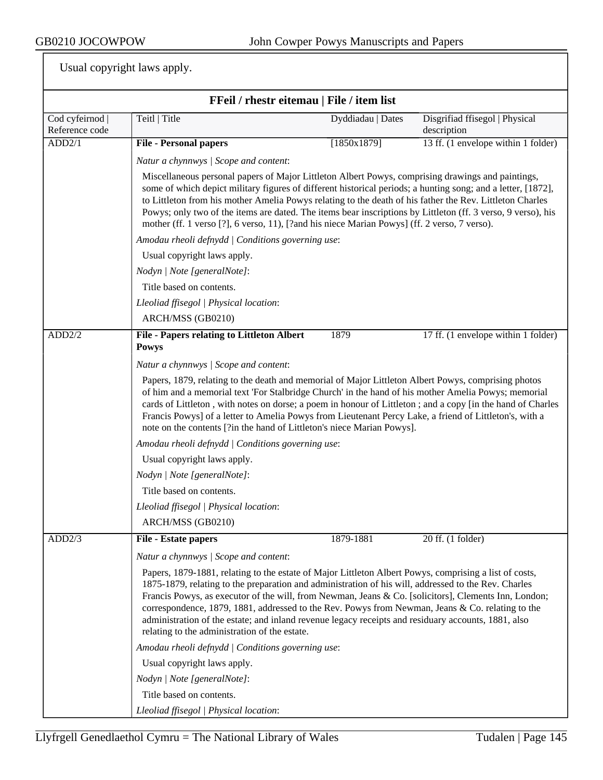|                                   | FFeil / rhestr eitemau   File / item list                                                                                                                                                                                                                                                                                                                                                                                                                                                                                                                                          |                                                                                                                                                                                                                                                                                                                                                                                                                                                                                                                                               |                                               |  |  |
|-----------------------------------|------------------------------------------------------------------------------------------------------------------------------------------------------------------------------------------------------------------------------------------------------------------------------------------------------------------------------------------------------------------------------------------------------------------------------------------------------------------------------------------------------------------------------------------------------------------------------------|-----------------------------------------------------------------------------------------------------------------------------------------------------------------------------------------------------------------------------------------------------------------------------------------------------------------------------------------------------------------------------------------------------------------------------------------------------------------------------------------------------------------------------------------------|-----------------------------------------------|--|--|
| Cod cyfeirnod  <br>Reference code | Teitl   Title                                                                                                                                                                                                                                                                                                                                                                                                                                                                                                                                                                      | Dyddiadau   Dates                                                                                                                                                                                                                                                                                                                                                                                                                                                                                                                             | Disgrifiad ffisegol   Physical<br>description |  |  |
| ADD2/1                            | <b>File - Personal papers</b>                                                                                                                                                                                                                                                                                                                                                                                                                                                                                                                                                      | [1850x1879]                                                                                                                                                                                                                                                                                                                                                                                                                                                                                                                                   | 13 ff. (1 envelope within 1 folder)           |  |  |
|                                   | Natur a chynnwys / Scope and content:                                                                                                                                                                                                                                                                                                                                                                                                                                                                                                                                              |                                                                                                                                                                                                                                                                                                                                                                                                                                                                                                                                               |                                               |  |  |
|                                   |                                                                                                                                                                                                                                                                                                                                                                                                                                                                                                                                                                                    | Miscellaneous personal papers of Major Littleton Albert Powys, comprising drawings and paintings,<br>some of which depict military figures of different historical periods; a hunting song; and a letter, [1872],<br>to Littleton from his mother Amelia Powys relating to the death of his father the Rev. Littleton Charles<br>Powys; only two of the items are dated. The items bear inscriptions by Littleton (ff. 3 verso, 9 verso), his<br>mother (ff. 1 verso [?], 6 verso, 11), [?and his niece Marian Powys] (ff. 2 verso, 7 verso). |                                               |  |  |
|                                   | Amodau rheoli defnydd   Conditions governing use:                                                                                                                                                                                                                                                                                                                                                                                                                                                                                                                                  |                                                                                                                                                                                                                                                                                                                                                                                                                                                                                                                                               |                                               |  |  |
|                                   | Usual copyright laws apply.                                                                                                                                                                                                                                                                                                                                                                                                                                                                                                                                                        |                                                                                                                                                                                                                                                                                                                                                                                                                                                                                                                                               |                                               |  |  |
|                                   | Nodyn   Note [generalNote]:                                                                                                                                                                                                                                                                                                                                                                                                                                                                                                                                                        |                                                                                                                                                                                                                                                                                                                                                                                                                                                                                                                                               |                                               |  |  |
|                                   | Title based on contents.                                                                                                                                                                                                                                                                                                                                                                                                                                                                                                                                                           |                                                                                                                                                                                                                                                                                                                                                                                                                                                                                                                                               |                                               |  |  |
|                                   | Lleoliad ffisegol   Physical location:                                                                                                                                                                                                                                                                                                                                                                                                                                                                                                                                             |                                                                                                                                                                                                                                                                                                                                                                                                                                                                                                                                               |                                               |  |  |
|                                   | ARCH/MSS (GB0210)                                                                                                                                                                                                                                                                                                                                                                                                                                                                                                                                                                  |                                                                                                                                                                                                                                                                                                                                                                                                                                                                                                                                               |                                               |  |  |
| ADD2/2                            | <b>File - Papers relating to Littleton Albert</b><br><b>Powys</b>                                                                                                                                                                                                                                                                                                                                                                                                                                                                                                                  | 1879                                                                                                                                                                                                                                                                                                                                                                                                                                                                                                                                          | 17 ff. (1 envelope within 1 folder)           |  |  |
|                                   | Natur a chynnwys / Scope and content:                                                                                                                                                                                                                                                                                                                                                                                                                                                                                                                                              |                                                                                                                                                                                                                                                                                                                                                                                                                                                                                                                                               |                                               |  |  |
|                                   | Papers, 1879, relating to the death and memorial of Major Littleton Albert Powys, comprising photos<br>of him and a memorial text 'For Stalbridge Church' in the hand of his mother Amelia Powys; memorial<br>cards of Littleton, with notes on dorse; a poem in honour of Littleton; and a copy [in the hand of Charles<br>Francis Powys] of a letter to Amelia Powys from Lieutenant Percy Lake, a friend of Littleton's, with a<br>note on the contents [?in the hand of Littleton's niece Marian Powys].                                                                       |                                                                                                                                                                                                                                                                                                                                                                                                                                                                                                                                               |                                               |  |  |
|                                   | Amodau rheoli defnydd   Conditions governing use:                                                                                                                                                                                                                                                                                                                                                                                                                                                                                                                                  |                                                                                                                                                                                                                                                                                                                                                                                                                                                                                                                                               |                                               |  |  |
|                                   | Usual copyright laws apply.                                                                                                                                                                                                                                                                                                                                                                                                                                                                                                                                                        |                                                                                                                                                                                                                                                                                                                                                                                                                                                                                                                                               |                                               |  |  |
|                                   | Nodyn   Note [generalNote]:                                                                                                                                                                                                                                                                                                                                                                                                                                                                                                                                                        |                                                                                                                                                                                                                                                                                                                                                                                                                                                                                                                                               |                                               |  |  |
|                                   | Title based on contents.                                                                                                                                                                                                                                                                                                                                                                                                                                                                                                                                                           |                                                                                                                                                                                                                                                                                                                                                                                                                                                                                                                                               |                                               |  |  |
|                                   | Lleoliad ffisegol   Physical location:                                                                                                                                                                                                                                                                                                                                                                                                                                                                                                                                             |                                                                                                                                                                                                                                                                                                                                                                                                                                                                                                                                               |                                               |  |  |
|                                   | ARCH/MSS (GB0210)                                                                                                                                                                                                                                                                                                                                                                                                                                                                                                                                                                  |                                                                                                                                                                                                                                                                                                                                                                                                                                                                                                                                               |                                               |  |  |
| ADD2/3                            | <b>File - Estate papers</b>                                                                                                                                                                                                                                                                                                                                                                                                                                                                                                                                                        | 1879-1881                                                                                                                                                                                                                                                                                                                                                                                                                                                                                                                                     | 20 ff. (1 folder)                             |  |  |
|                                   | Natur a chynnwys / Scope and content:                                                                                                                                                                                                                                                                                                                                                                                                                                                                                                                                              |                                                                                                                                                                                                                                                                                                                                                                                                                                                                                                                                               |                                               |  |  |
|                                   | Papers, 1879-1881, relating to the estate of Major Littleton Albert Powys, comprising a list of costs,<br>1875-1879, relating to the preparation and administration of his will, addressed to the Rev. Charles<br>Francis Powys, as executor of the will, from Newman, Jeans & Co. [solicitors], Clements Inn, London;<br>correspondence, 1879, 1881, addressed to the Rev. Powys from Newman, Jeans & Co. relating to the<br>administration of the estate; and inland revenue legacy receipts and residuary accounts, 1881, also<br>relating to the administration of the estate. |                                                                                                                                                                                                                                                                                                                                                                                                                                                                                                                                               |                                               |  |  |
|                                   | Amodau rheoli defnydd   Conditions governing use:                                                                                                                                                                                                                                                                                                                                                                                                                                                                                                                                  |                                                                                                                                                                                                                                                                                                                                                                                                                                                                                                                                               |                                               |  |  |
|                                   | Usual copyright laws apply.                                                                                                                                                                                                                                                                                                                                                                                                                                                                                                                                                        |                                                                                                                                                                                                                                                                                                                                                                                                                                                                                                                                               |                                               |  |  |
|                                   | Nodyn   Note [generalNote]:                                                                                                                                                                                                                                                                                                                                                                                                                                                                                                                                                        |                                                                                                                                                                                                                                                                                                                                                                                                                                                                                                                                               |                                               |  |  |
|                                   | Title based on contents.                                                                                                                                                                                                                                                                                                                                                                                                                                                                                                                                                           |                                                                                                                                                                                                                                                                                                                                                                                                                                                                                                                                               |                                               |  |  |
|                                   | Lleoliad ffisegol   Physical location:                                                                                                                                                                                                                                                                                                                                                                                                                                                                                                                                             |                                                                                                                                                                                                                                                                                                                                                                                                                                                                                                                                               |                                               |  |  |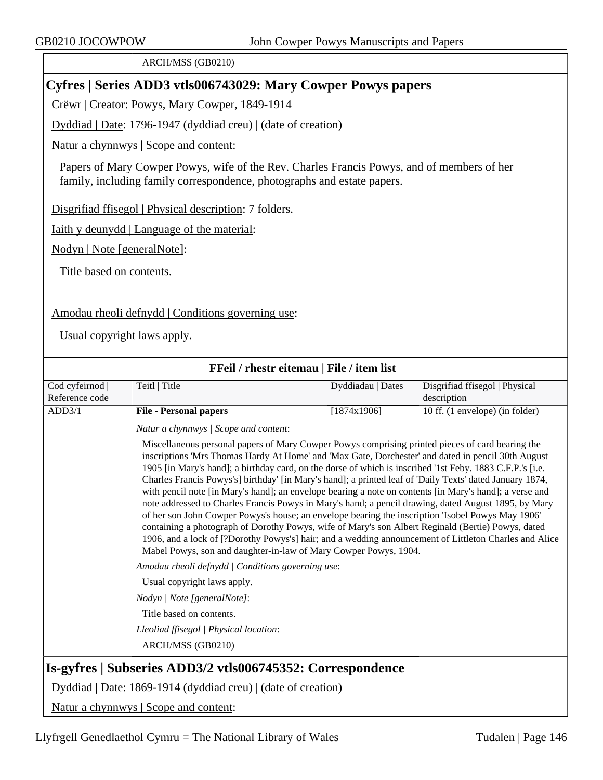ARCH/MSS (GB0210)

# **Cyfres | Series ADD3 vtls006743029: Mary Cowper Powys papers**

Crëwr | Creator: Powys, Mary Cowper, 1849-1914

Dyddiad | Date: 1796-1947 (dyddiad creu) | (date of creation)

Natur a chynnwys | Scope and content:

Papers of Mary Cowper Powys, wife of the Rev. Charles Francis Powys, and of members of her family, including family correspondence, photographs and estate papers.

Disgrifiad ffisegol | Physical description: 7 folders.

Iaith y deunydd | Language of the material:

Nodyn | Note [generalNote]:

Title based on contents.

#### Amodau rheoli defnydd | Conditions governing use:

Usual copyright laws apply.

| FFeil / rhestr eitemau   File / item list                  |                                                                                                                                                                                                                                                                                                                                                                                                                                                                                                                                                                                                                                                                                                                                                                                                                                                                                                                                                                                                                                             |                   |                                               |  |
|------------------------------------------------------------|---------------------------------------------------------------------------------------------------------------------------------------------------------------------------------------------------------------------------------------------------------------------------------------------------------------------------------------------------------------------------------------------------------------------------------------------------------------------------------------------------------------------------------------------------------------------------------------------------------------------------------------------------------------------------------------------------------------------------------------------------------------------------------------------------------------------------------------------------------------------------------------------------------------------------------------------------------------------------------------------------------------------------------------------|-------------------|-----------------------------------------------|--|
| Cod cyfeirnod  <br>Reference code                          | Teitl   Title                                                                                                                                                                                                                                                                                                                                                                                                                                                                                                                                                                                                                                                                                                                                                                                                                                                                                                                                                                                                                               | Dyddiadau   Dates | Disgrifiad ffisegol   Physical<br>description |  |
| ADD3/1                                                     | <b>File - Personal papers</b>                                                                                                                                                                                                                                                                                                                                                                                                                                                                                                                                                                                                                                                                                                                                                                                                                                                                                                                                                                                                               | [1874x1906]       | 10 ff. (1 envelope) (in folder)               |  |
|                                                            | Natur a chynnwys / Scope and content:                                                                                                                                                                                                                                                                                                                                                                                                                                                                                                                                                                                                                                                                                                                                                                                                                                                                                                                                                                                                       |                   |                                               |  |
|                                                            | Miscellaneous personal papers of Mary Cowper Powys comprising printed pieces of card bearing the<br>inscriptions 'Mrs Thomas Hardy At Home' and 'Max Gate, Dorchester' and dated in pencil 30th August<br>1905 [in Mary's hand]; a birthday card, on the dorse of which is inscribed '1st Feby. 1883 C.F.P.'s [i.e.<br>Charles Francis Powys's] birthday' [in Mary's hand]; a printed leaf of 'Daily Texts' dated January 1874,<br>with pencil note [in Mary's hand]; an envelope bearing a note on contents [in Mary's hand]; a verse and<br>note addressed to Charles Francis Powys in Mary's hand; a pencil drawing, dated August 1895, by Mary<br>of her son John Cowper Powys's house; an envelope bearing the inscription 'Isobel Powys May 1906'<br>containing a photograph of Dorothy Powys, wife of Mary's son Albert Reginald (Bertie) Powys, dated<br>1906, and a lock of [?Dorothy Powys's] hair; and a wedding announcement of Littleton Charles and Alice<br>Mabel Powys, son and daughter-in-law of Mary Cowper Powys, 1904. |                   |                                               |  |
|                                                            | Amodau rheoli defnydd   Conditions governing use:                                                                                                                                                                                                                                                                                                                                                                                                                                                                                                                                                                                                                                                                                                                                                                                                                                                                                                                                                                                           |                   |                                               |  |
|                                                            | Usual copyright laws apply.                                                                                                                                                                                                                                                                                                                                                                                                                                                                                                                                                                                                                                                                                                                                                                                                                                                                                                                                                                                                                 |                   |                                               |  |
|                                                            | Nodyn   Note [generalNote]:                                                                                                                                                                                                                                                                                                                                                                                                                                                                                                                                                                                                                                                                                                                                                                                                                                                                                                                                                                                                                 |                   |                                               |  |
|                                                            | Title based on contents.                                                                                                                                                                                                                                                                                                                                                                                                                                                                                                                                                                                                                                                                                                                                                                                                                                                                                                                                                                                                                    |                   |                                               |  |
|                                                            | Lleoliad ffisegol   Physical location:                                                                                                                                                                                                                                                                                                                                                                                                                                                                                                                                                                                                                                                                                                                                                                                                                                                                                                                                                                                                      |                   |                                               |  |
|                                                            | ARCH/MSS (GB0210)                                                                                                                                                                                                                                                                                                                                                                                                                                                                                                                                                                                                                                                                                                                                                                                                                                                                                                                                                                                                                           |                   |                                               |  |
| Is-gyfres   Subseries ADD3/2 vtls006745352: Correspondence |                                                                                                                                                                                                                                                                                                                                                                                                                                                                                                                                                                                                                                                                                                                                                                                                                                                                                                                                                                                                                                             |                   |                                               |  |
|                                                            | Dyddiad   Date: 1869-1914 (dyddiad creu)   (date of creation)                                                                                                                                                                                                                                                                                                                                                                                                                                                                                                                                                                                                                                                                                                                                                                                                                                                                                                                                                                               |                   |                                               |  |
| Natur a chynnwys   Scope and content:                      |                                                                                                                                                                                                                                                                                                                                                                                                                                                                                                                                                                                                                                                                                                                                                                                                                                                                                                                                                                                                                                             |                   |                                               |  |

Llyfrgell Genedlaethol Cymru = The National Library of Wales Tudalen | Page  $146$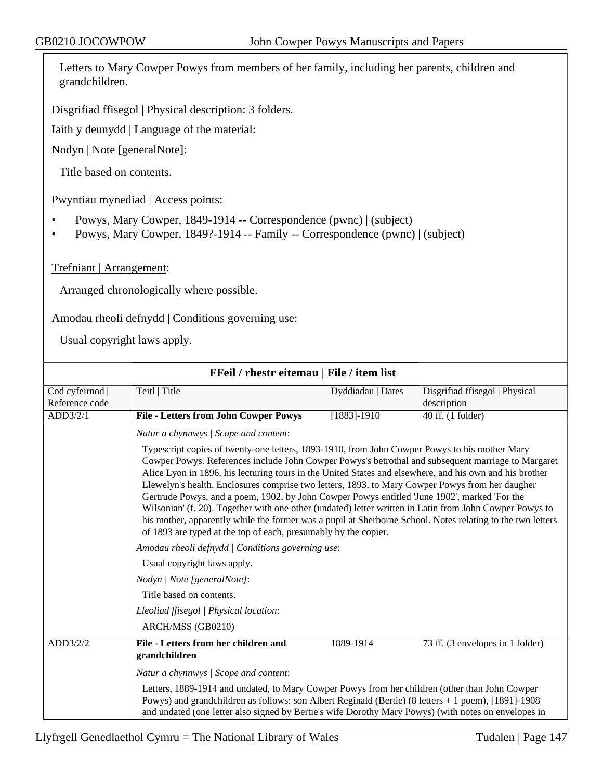Letters to Mary Cowper Powys from members of her family, including her parents, children and grandchildren.

Disgrifiad ffisegol | Physical description: 3 folders.

Iaith y deunydd | Language of the material:

Nodyn | Note [generalNote]:

Title based on contents.

Pwyntiau mynediad | Access points:

- Powys, Mary Cowper, 1849-1914 -- Correspondence (pwnc) | (subject)
- Powys, Mary Cowper, 1849?-1914 -- Family -- Correspondence (pwnc) | (subject)

Trefniant | Arrangement:

Arranged chronologically where possible.

Amodau rheoli defnydd | Conditions governing use:

| FFeil / rhestr eitemau   File / item list                                              |                                                                                                                                                                                                                                                                                                                                                                                                                                                                                                                                                                                                                                                                                                                                                                                                               |                   |                                               |
|----------------------------------------------------------------------------------------|---------------------------------------------------------------------------------------------------------------------------------------------------------------------------------------------------------------------------------------------------------------------------------------------------------------------------------------------------------------------------------------------------------------------------------------------------------------------------------------------------------------------------------------------------------------------------------------------------------------------------------------------------------------------------------------------------------------------------------------------------------------------------------------------------------------|-------------------|-----------------------------------------------|
| Cod cyfeirnod  <br>Reference code                                                      | Teitl   Title                                                                                                                                                                                                                                                                                                                                                                                                                                                                                                                                                                                                                                                                                                                                                                                                 | Dyddiadau   Dates | Disgrifiad ffisegol   Physical<br>description |
| ADD3/2/1                                                                               | <b>File - Letters from John Cowper Powys</b>                                                                                                                                                                                                                                                                                                                                                                                                                                                                                                                                                                                                                                                                                                                                                                  | $[1883] - 1910$   | 40 ff. (1 folder)                             |
|                                                                                        | Natur a chynnwys / Scope and content:                                                                                                                                                                                                                                                                                                                                                                                                                                                                                                                                                                                                                                                                                                                                                                         |                   |                                               |
|                                                                                        | Typescript copies of twenty-one letters, 1893-1910, from John Cowper Powys to his mother Mary<br>Cowper Powys. References include John Cowper Powys's betrothal and subsequent marriage to Margaret<br>Alice Lyon in 1896, his lecturing tours in the United States and elsewhere, and his own and his brother<br>Llewelyn's health. Enclosures comprise two letters, 1893, to Mary Cowper Powys from her daugher<br>Gertrude Powys, and a poem, 1902, by John Cowper Powys entitled 'June 1902', marked 'For the<br>Wilsonian' (f. 20). Together with one other (undated) letter written in Latin from John Cowper Powys to<br>his mother, apparently while the former was a pupil at Sherborne School. Notes relating to the two letters<br>of 1893 are typed at the top of each, presumably by the copier. |                   |                                               |
|                                                                                        | Amodau rheoli defnydd   Conditions governing use:                                                                                                                                                                                                                                                                                                                                                                                                                                                                                                                                                                                                                                                                                                                                                             |                   |                                               |
| Usual copyright laws apply.<br>Nodyn   Note [generalNote]:<br>Title based on contents. |                                                                                                                                                                                                                                                                                                                                                                                                                                                                                                                                                                                                                                                                                                                                                                                                               |                   |                                               |
|                                                                                        |                                                                                                                                                                                                                                                                                                                                                                                                                                                                                                                                                                                                                                                                                                                                                                                                               |                   |                                               |
|                                                                                        |                                                                                                                                                                                                                                                                                                                                                                                                                                                                                                                                                                                                                                                                                                                                                                                                               |                   |                                               |
|                                                                                        | Lleoliad ffisegol   Physical location:                                                                                                                                                                                                                                                                                                                                                                                                                                                                                                                                                                                                                                                                                                                                                                        |                   |                                               |
|                                                                                        | ARCH/MSS (GB0210)                                                                                                                                                                                                                                                                                                                                                                                                                                                                                                                                                                                                                                                                                                                                                                                             |                   |                                               |
| ADD3/2/2                                                                               | File - Letters from her children and<br>grandchildren                                                                                                                                                                                                                                                                                                                                                                                                                                                                                                                                                                                                                                                                                                                                                         | 1889-1914         | 73 ff. (3 envelopes in 1 folder)              |
|                                                                                        | Natur a chynnwys / Scope and content:                                                                                                                                                                                                                                                                                                                                                                                                                                                                                                                                                                                                                                                                                                                                                                         |                   |                                               |
|                                                                                        | Letters, 1889-1914 and undated, to Mary Cowper Powys from her children (other than John Cowper<br>Powys) and grandchildren as follows: son Albert Reginald (Bertie) (8 letters + 1 poem), [1891]-1908<br>and undated (one letter also signed by Bertie's wife Dorothy Mary Powys) (with notes on envelopes in                                                                                                                                                                                                                                                                                                                                                                                                                                                                                                 |                   |                                               |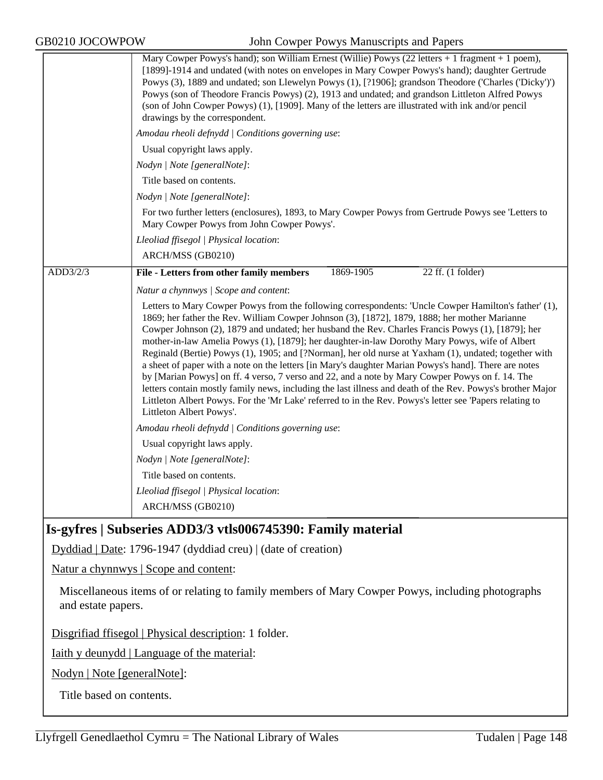| GB0210 JOCOWPOW    | John Cowper Powys Manuscripts and Papers                                                                                                                                                                                                                                                                                                                                                                                                                                                                                                                                                                                                                                                                                                                                                                                                                                                                                                                                                 |
|--------------------|------------------------------------------------------------------------------------------------------------------------------------------------------------------------------------------------------------------------------------------------------------------------------------------------------------------------------------------------------------------------------------------------------------------------------------------------------------------------------------------------------------------------------------------------------------------------------------------------------------------------------------------------------------------------------------------------------------------------------------------------------------------------------------------------------------------------------------------------------------------------------------------------------------------------------------------------------------------------------------------|
|                    | Mary Cowper Powys's hand); son William Ernest (Willie) Powys (22 letters + 1 fragment + 1 poem),<br>[1899]-1914 and undated (with notes on envelopes in Mary Cowper Powys's hand); daughter Gertrude<br>Powys (3), 1889 and undated; son Llewelyn Powys (1), [?1906]; grandson Theodore ('Charles ('Dicky')')<br>Powys (son of Theodore Francis Powys) (2), 1913 and undated; and grandson Littleton Alfred Powys<br>(son of John Cowper Powys) (1), [1909]. Many of the letters are illustrated with ink and/or pencil<br>drawings by the correspondent.                                                                                                                                                                                                                                                                                                                                                                                                                                |
|                    | Amodau rheoli defnydd   Conditions governing use:                                                                                                                                                                                                                                                                                                                                                                                                                                                                                                                                                                                                                                                                                                                                                                                                                                                                                                                                        |
|                    | Usual copyright laws apply.                                                                                                                                                                                                                                                                                                                                                                                                                                                                                                                                                                                                                                                                                                                                                                                                                                                                                                                                                              |
|                    | Nodyn   Note [generalNote]:                                                                                                                                                                                                                                                                                                                                                                                                                                                                                                                                                                                                                                                                                                                                                                                                                                                                                                                                                              |
|                    | Title based on contents.                                                                                                                                                                                                                                                                                                                                                                                                                                                                                                                                                                                                                                                                                                                                                                                                                                                                                                                                                                 |
|                    | Nodyn   Note [generalNote]:                                                                                                                                                                                                                                                                                                                                                                                                                                                                                                                                                                                                                                                                                                                                                                                                                                                                                                                                                              |
|                    | For two further letters (enclosures), 1893, to Mary Cowper Powys from Gertrude Powys see 'Letters to<br>Mary Cowper Powys from John Cowper Powys'.                                                                                                                                                                                                                                                                                                                                                                                                                                                                                                                                                                                                                                                                                                                                                                                                                                       |
|                    | Lleoliad ffisegol   Physical location:                                                                                                                                                                                                                                                                                                                                                                                                                                                                                                                                                                                                                                                                                                                                                                                                                                                                                                                                                   |
|                    | ARCH/MSS (GB0210)                                                                                                                                                                                                                                                                                                                                                                                                                                                                                                                                                                                                                                                                                                                                                                                                                                                                                                                                                                        |
| ADD3/2/3           | <b>File - Letters from other family members</b><br>$22$ ff. (1 folder)<br>1869-1905                                                                                                                                                                                                                                                                                                                                                                                                                                                                                                                                                                                                                                                                                                                                                                                                                                                                                                      |
|                    | Natur a chynnwys / Scope and content:                                                                                                                                                                                                                                                                                                                                                                                                                                                                                                                                                                                                                                                                                                                                                                                                                                                                                                                                                    |
|                    | Letters to Mary Cowper Powys from the following correspondents: 'Uncle Cowper Hamilton's father' (1),<br>1869; her father the Rev. William Cowper Johnson (3), [1872], 1879, 1888; her mother Marianne<br>Cowper Johnson (2), 1879 and undated; her husband the Rev. Charles Francis Powys (1), [1879]; her<br>mother-in-law Amelia Powys (1), [1879]; her daughter-in-law Dorothy Mary Powys, wife of Albert<br>Reginald (Bertie) Powys (1), 1905; and [?Norman], her old nurse at Yaxham (1), undated; together with<br>a sheet of paper with a note on the letters [in Mary's daughter Marian Powys's hand]. There are notes<br>by [Marian Powys] on ff. 4 verso, 7 verso and 22, and a note by Mary Cowper Powys on f. 14. The<br>letters contain mostly family news, including the last illness and death of the Rev. Powys's brother Major<br>Littleton Albert Powys. For the 'Mr Lake' referred to in the Rev. Powys's letter see 'Papers relating to<br>Littleton Albert Powys'. |
|                    | Amodau rheoli defnydd   Conditions governing use:                                                                                                                                                                                                                                                                                                                                                                                                                                                                                                                                                                                                                                                                                                                                                                                                                                                                                                                                        |
|                    | Usual copyright laws apply.                                                                                                                                                                                                                                                                                                                                                                                                                                                                                                                                                                                                                                                                                                                                                                                                                                                                                                                                                              |
|                    | Nodyn   Note [generalNote]:                                                                                                                                                                                                                                                                                                                                                                                                                                                                                                                                                                                                                                                                                                                                                                                                                                                                                                                                                              |
|                    | Title based on contents.                                                                                                                                                                                                                                                                                                                                                                                                                                                                                                                                                                                                                                                                                                                                                                                                                                                                                                                                                                 |
|                    | Lleoliad ffisegol   Physical location:                                                                                                                                                                                                                                                                                                                                                                                                                                                                                                                                                                                                                                                                                                                                                                                                                                                                                                                                                   |
|                    | ARCH/MSS (GB0210)                                                                                                                                                                                                                                                                                                                                                                                                                                                                                                                                                                                                                                                                                                                                                                                                                                                                                                                                                                        |
|                    | Is-gyfres   Subseries ADD3/3 vtls006745390: Family material                                                                                                                                                                                                                                                                                                                                                                                                                                                                                                                                                                                                                                                                                                                                                                                                                                                                                                                              |
|                    | Dyddiad   Date: 1796-1947 (dyddiad creu)   (date of creation)                                                                                                                                                                                                                                                                                                                                                                                                                                                                                                                                                                                                                                                                                                                                                                                                                                                                                                                            |
|                    | Natur a chynnwys   Scope and content:                                                                                                                                                                                                                                                                                                                                                                                                                                                                                                                                                                                                                                                                                                                                                                                                                                                                                                                                                    |
| and estate papers. | Miscellaneous items of or relating to family members of Mary Cowper Powys, including photographs                                                                                                                                                                                                                                                                                                                                                                                                                                                                                                                                                                                                                                                                                                                                                                                                                                                                                         |
|                    | Disgrifiad ffisegol   Physical description: 1 folder.                                                                                                                                                                                                                                                                                                                                                                                                                                                                                                                                                                                                                                                                                                                                                                                                                                                                                                                                    |
|                    |                                                                                                                                                                                                                                                                                                                                                                                                                                                                                                                                                                                                                                                                                                                                                                                                                                                                                                                                                                                          |

Iaith y deunydd | Language of the material:

Nodyn | Note [generalNote]:

Title based on contents.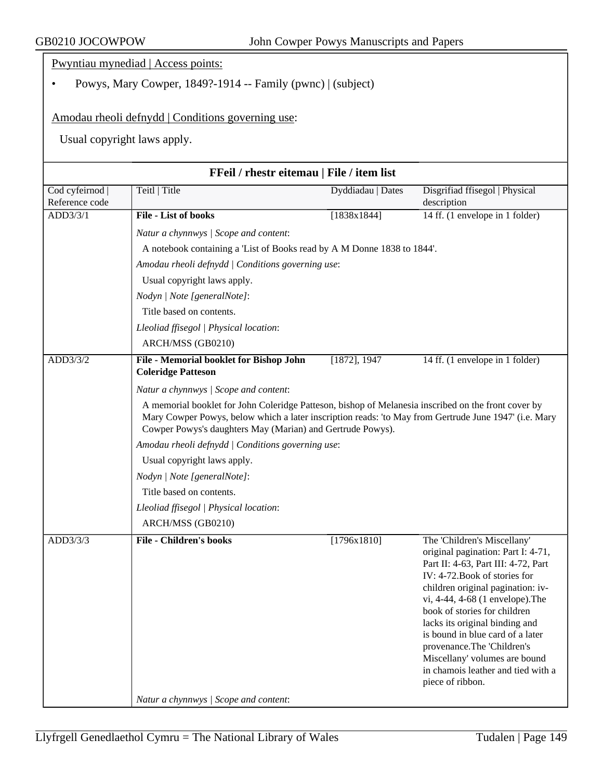Pwyntiau mynediad | Access points:

• Powys, Mary Cowper, 1849?-1914 -- Family (pwnc) | (subject)

Amodau rheoli defnydd | Conditions governing use:

|                                   | FFeil / rhestr eitemau   File / item list                                                                                                                                                                                                                                  |                   |                                                                                                                                                                                                                                                                                                                                                                                                                                                   |  |  |
|-----------------------------------|----------------------------------------------------------------------------------------------------------------------------------------------------------------------------------------------------------------------------------------------------------------------------|-------------------|---------------------------------------------------------------------------------------------------------------------------------------------------------------------------------------------------------------------------------------------------------------------------------------------------------------------------------------------------------------------------------------------------------------------------------------------------|--|--|
| Cod cyfeirnod  <br>Reference code | Teitl   Title                                                                                                                                                                                                                                                              | Dyddiadau   Dates | Disgrifiad ffisegol   Physical<br>description                                                                                                                                                                                                                                                                                                                                                                                                     |  |  |
| ADD3/3/1                          | File - List of books                                                                                                                                                                                                                                                       | [1838x1844]       | 14 ff. (1 envelope in 1 folder)                                                                                                                                                                                                                                                                                                                                                                                                                   |  |  |
|                                   | Natur a chynnwys / Scope and content:                                                                                                                                                                                                                                      |                   |                                                                                                                                                                                                                                                                                                                                                                                                                                                   |  |  |
|                                   | A notebook containing a 'List of Books read by A M Donne 1838 to 1844'.                                                                                                                                                                                                    |                   |                                                                                                                                                                                                                                                                                                                                                                                                                                                   |  |  |
|                                   | Amodau rheoli defnydd / Conditions governing use:                                                                                                                                                                                                                          |                   |                                                                                                                                                                                                                                                                                                                                                                                                                                                   |  |  |
|                                   | Usual copyright laws apply.                                                                                                                                                                                                                                                |                   |                                                                                                                                                                                                                                                                                                                                                                                                                                                   |  |  |
|                                   | Nodyn   Note [generalNote]:                                                                                                                                                                                                                                                |                   |                                                                                                                                                                                                                                                                                                                                                                                                                                                   |  |  |
|                                   | Title based on contents.                                                                                                                                                                                                                                                   |                   |                                                                                                                                                                                                                                                                                                                                                                                                                                                   |  |  |
|                                   | Lleoliad ffisegol   Physical location:                                                                                                                                                                                                                                     |                   |                                                                                                                                                                                                                                                                                                                                                                                                                                                   |  |  |
|                                   | ARCH/MSS (GB0210)                                                                                                                                                                                                                                                          |                   |                                                                                                                                                                                                                                                                                                                                                                                                                                                   |  |  |
| ADD3/3/2                          | File - Memorial booklet for Bishop John<br><b>Coleridge Patteson</b>                                                                                                                                                                                                       | [1872], 1947      | 14 ff. (1 envelope in 1 folder)                                                                                                                                                                                                                                                                                                                                                                                                                   |  |  |
|                                   | Natur a chynnwys / Scope and content:                                                                                                                                                                                                                                      |                   |                                                                                                                                                                                                                                                                                                                                                                                                                                                   |  |  |
|                                   | A memorial booklet for John Coleridge Patteson, bishop of Melanesia inscribed on the front cover by<br>Mary Cowper Powys, below which a later inscription reads: 'to May from Gertrude June 1947' (i.e. Mary<br>Cowper Powys's daughters May (Marian) and Gertrude Powys). |                   |                                                                                                                                                                                                                                                                                                                                                                                                                                                   |  |  |
|                                   | Amodau rheoli defnydd   Conditions governing use:                                                                                                                                                                                                                          |                   |                                                                                                                                                                                                                                                                                                                                                                                                                                                   |  |  |
|                                   | Usual copyright laws apply.                                                                                                                                                                                                                                                |                   |                                                                                                                                                                                                                                                                                                                                                                                                                                                   |  |  |
|                                   | Nodyn   Note [generalNote]:                                                                                                                                                                                                                                                |                   |                                                                                                                                                                                                                                                                                                                                                                                                                                                   |  |  |
|                                   | Title based on contents.                                                                                                                                                                                                                                                   |                   |                                                                                                                                                                                                                                                                                                                                                                                                                                                   |  |  |
|                                   | Lleoliad ffisegol   Physical location:                                                                                                                                                                                                                                     |                   |                                                                                                                                                                                                                                                                                                                                                                                                                                                   |  |  |
|                                   | ARCH/MSS (GB0210)                                                                                                                                                                                                                                                          |                   |                                                                                                                                                                                                                                                                                                                                                                                                                                                   |  |  |
| ADD3/3/3                          | <b>File - Children's books</b>                                                                                                                                                                                                                                             | [1796x1810]       | The 'Children's Miscellany'<br>original pagination: Part I: 4-71,<br>Part II: 4-63, Part III: 4-72, Part<br>IV: 4-72. Book of stories for<br>children original pagination: iv-<br>vi, 4-44, 4-68 (1 envelope). The<br>book of stories for children<br>lacks its original binding and<br>is bound in blue card of a later<br>provenance.The 'Children's<br>Miscellany' volumes are bound<br>in chamois leather and tied with a<br>piece of ribbon. |  |  |
|                                   | Natur a chynnwys / Scope and content:                                                                                                                                                                                                                                      |                   |                                                                                                                                                                                                                                                                                                                                                                                                                                                   |  |  |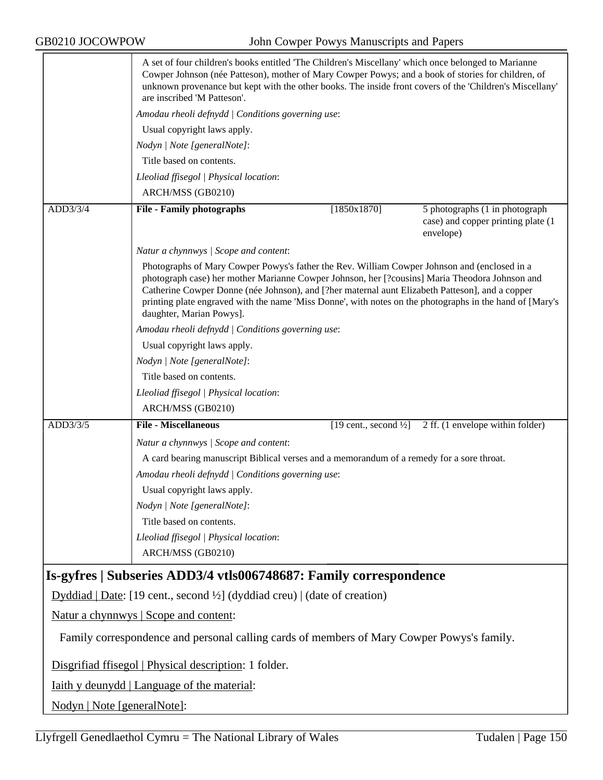|          | A set of four children's books entitled 'The Children's Miscellany' which once belonged to Marianne<br>Cowper Johnson (née Patteson), mother of Mary Cowper Powys; and a book of stories for children, of<br>unknown provenance but kept with the other books. The inside front covers of the 'Children's Miscellany'<br>are inscribed 'M Patteson'.                                                                                      |                                   |                                                 |
|----------|-------------------------------------------------------------------------------------------------------------------------------------------------------------------------------------------------------------------------------------------------------------------------------------------------------------------------------------------------------------------------------------------------------------------------------------------|-----------------------------------|-------------------------------------------------|
|          | Amodau rheoli defnydd   Conditions governing use:                                                                                                                                                                                                                                                                                                                                                                                         |                                   |                                                 |
|          | Usual copyright laws apply.                                                                                                                                                                                                                                                                                                                                                                                                               |                                   |                                                 |
|          | Nodyn   Note [generalNote]:                                                                                                                                                                                                                                                                                                                                                                                                               |                                   |                                                 |
|          | Title based on contents.                                                                                                                                                                                                                                                                                                                                                                                                                  |                                   |                                                 |
|          | Lleoliad ffisegol   Physical location:                                                                                                                                                                                                                                                                                                                                                                                                    |                                   |                                                 |
|          | ARCH/MSS (GB0210)                                                                                                                                                                                                                                                                                                                                                                                                                         |                                   |                                                 |
| ADD3/3/4 | <b>File - Family photographs</b>                                                                                                                                                                                                                                                                                                                                                                                                          | [1850x1870]                       | 5 photographs (1 in photograph                  |
|          |                                                                                                                                                                                                                                                                                                                                                                                                                                           |                                   | case) and copper printing plate (1<br>envelope) |
|          | Natur a chynnwys / Scope and content:                                                                                                                                                                                                                                                                                                                                                                                                     |                                   |                                                 |
|          | Photographs of Mary Cowper Powys's father the Rev. William Cowper Johnson and (enclosed in a<br>photograph case) her mother Marianne Cowper Johnson, her [?cousins] Maria Theodora Johnson and<br>Catherine Cowper Donne (née Johnson), and [?her maternal aunt Elizabeth Patteson], and a copper<br>printing plate engraved with the name 'Miss Donne', with notes on the photographs in the hand of [Mary's<br>daughter, Marian Powys]. |                                   |                                                 |
|          | Amodau rheoli defnydd   Conditions governing use:                                                                                                                                                                                                                                                                                                                                                                                         |                                   |                                                 |
|          | Usual copyright laws apply.                                                                                                                                                                                                                                                                                                                                                                                                               |                                   |                                                 |
|          | Nodyn   Note [generalNote]:                                                                                                                                                                                                                                                                                                                                                                                                               |                                   |                                                 |
|          | Title based on contents.                                                                                                                                                                                                                                                                                                                                                                                                                  |                                   |                                                 |
|          | Lleoliad ffisegol   Physical location:                                                                                                                                                                                                                                                                                                                                                                                                    |                                   |                                                 |
|          | ARCH/MSS (GB0210)                                                                                                                                                                                                                                                                                                                                                                                                                         |                                   |                                                 |
| ADD3/3/5 | <b>File - Miscellaneous</b>                                                                                                                                                                                                                                                                                                                                                                                                               | [19 cent., second $\frac{1}{2}$ ] | 2 ff. (1 envelope within folder)                |
|          | Natur a chynnwys / Scope and content:                                                                                                                                                                                                                                                                                                                                                                                                     |                                   |                                                 |
|          | A card bearing manuscript Biblical verses and a memorandum of a remedy for a sore throat.                                                                                                                                                                                                                                                                                                                                                 |                                   |                                                 |
|          | Amodau rheoli defnydd   Conditions governing use:                                                                                                                                                                                                                                                                                                                                                                                         |                                   |                                                 |
|          | Usual copyright laws apply.                                                                                                                                                                                                                                                                                                                                                                                                               |                                   |                                                 |
|          | Nodyn   Note [generalNote]:                                                                                                                                                                                                                                                                                                                                                                                                               |                                   |                                                 |
|          | Title based on contents.                                                                                                                                                                                                                                                                                                                                                                                                                  |                                   |                                                 |
|          | Lleoliad ffisegol   Physical location:                                                                                                                                                                                                                                                                                                                                                                                                    |                                   |                                                 |
|          | ARCH/MSS (GB0210)                                                                                                                                                                                                                                                                                                                                                                                                                         |                                   |                                                 |
|          | Is-gyfres   Subseries ADD3/4 vtls006748687: Family correspondence                                                                                                                                                                                                                                                                                                                                                                         |                                   |                                                 |
|          | Dyddiad   Date: [19 cent., second $\frac{1}{2}$ ] (dyddiad creu)   (date of creation)                                                                                                                                                                                                                                                                                                                                                     |                                   |                                                 |
|          | <u>Natur a chynnwys</u>   Scope and content:                                                                                                                                                                                                                                                                                                                                                                                              |                                   |                                                 |
|          | Family correspondence and personal calling cards of members of Mary Cowper Powys's family.                                                                                                                                                                                                                                                                                                                                                |                                   |                                                 |
|          | Disgrifiad ffisegol   Physical description: 1 folder.                                                                                                                                                                                                                                                                                                                                                                                     |                                   |                                                 |
|          | <u>Iaith y deunydd   Language of the material:</u>                                                                                                                                                                                                                                                                                                                                                                                        |                                   |                                                 |
|          | Nodyn   Note [generalNote]:                                                                                                                                                                                                                                                                                                                                                                                                               |                                   |                                                 |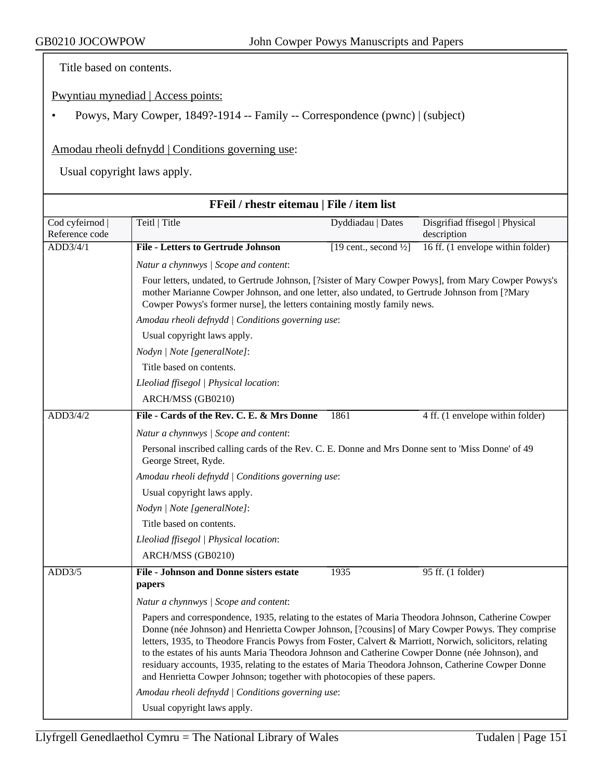Title based on contents.

Pwyntiau mynediad | Access points:

• Powys, Mary Cowper, 1849?-1914 -- Family -- Correspondence (pwnc) | (subject)

Amodau rheoli defnydd | Conditions governing use:

|                                 |                                                                                                                                                                                                                                                                                                                                                                                                                                                                                                                                                                                                            | FFeil / rhestr eitemau   File / item list                                                                                                                                                                                                                                         |                                               |  |  |
|---------------------------------|------------------------------------------------------------------------------------------------------------------------------------------------------------------------------------------------------------------------------------------------------------------------------------------------------------------------------------------------------------------------------------------------------------------------------------------------------------------------------------------------------------------------------------------------------------------------------------------------------------|-----------------------------------------------------------------------------------------------------------------------------------------------------------------------------------------------------------------------------------------------------------------------------------|-----------------------------------------------|--|--|
| Cod cyfeirnod<br>Reference code | Teitl   Title                                                                                                                                                                                                                                                                                                                                                                                                                                                                                                                                                                                              | Dyddiadau   Dates                                                                                                                                                                                                                                                                 | Disgrifiad ffisegol   Physical<br>description |  |  |
| ADD3/4/1                        | <b>File - Letters to Gertrude Johnson</b>                                                                                                                                                                                                                                                                                                                                                                                                                                                                                                                                                                  | [19 cent., second $\frac{1}{2}$ ]                                                                                                                                                                                                                                                 | 16 ff. (1 envelope within folder)             |  |  |
|                                 | Natur a chynnwys / Scope and content:                                                                                                                                                                                                                                                                                                                                                                                                                                                                                                                                                                      |                                                                                                                                                                                                                                                                                   |                                               |  |  |
|                                 |                                                                                                                                                                                                                                                                                                                                                                                                                                                                                                                                                                                                            | Four letters, undated, to Gertrude Johnson, [?sister of Mary Cowper Powys], from Mary Cowper Powys's<br>mother Marianne Cowper Johnson, and one letter, also undated, to Gertrude Johnson from [?Mary<br>Cowper Powys's former nurse], the letters containing mostly family news. |                                               |  |  |
|                                 | Amodau rheoli defnydd   Conditions governing use:                                                                                                                                                                                                                                                                                                                                                                                                                                                                                                                                                          |                                                                                                                                                                                                                                                                                   |                                               |  |  |
|                                 | Usual copyright laws apply.                                                                                                                                                                                                                                                                                                                                                                                                                                                                                                                                                                                |                                                                                                                                                                                                                                                                                   |                                               |  |  |
|                                 | Nodyn   Note [generalNote]:                                                                                                                                                                                                                                                                                                                                                                                                                                                                                                                                                                                |                                                                                                                                                                                                                                                                                   |                                               |  |  |
|                                 | Title based on contents.                                                                                                                                                                                                                                                                                                                                                                                                                                                                                                                                                                                   |                                                                                                                                                                                                                                                                                   |                                               |  |  |
|                                 | Lleoliad ffisegol   Physical location:                                                                                                                                                                                                                                                                                                                                                                                                                                                                                                                                                                     |                                                                                                                                                                                                                                                                                   |                                               |  |  |
|                                 | ARCH/MSS (GB0210)                                                                                                                                                                                                                                                                                                                                                                                                                                                                                                                                                                                          |                                                                                                                                                                                                                                                                                   |                                               |  |  |
| ADD3/4/2                        | File - Cards of the Rev. C. E. & Mrs Donne                                                                                                                                                                                                                                                                                                                                                                                                                                                                                                                                                                 | 1861                                                                                                                                                                                                                                                                              | 4 ff. (1 envelope within folder)              |  |  |
|                                 | Natur a chynnwys / Scope and content:                                                                                                                                                                                                                                                                                                                                                                                                                                                                                                                                                                      |                                                                                                                                                                                                                                                                                   |                                               |  |  |
|                                 | Personal inscribed calling cards of the Rev. C. E. Donne and Mrs Donne sent to 'Miss Donne' of 49<br>George Street, Ryde.                                                                                                                                                                                                                                                                                                                                                                                                                                                                                  |                                                                                                                                                                                                                                                                                   |                                               |  |  |
|                                 | Amodau rheoli defnydd   Conditions governing use:                                                                                                                                                                                                                                                                                                                                                                                                                                                                                                                                                          |                                                                                                                                                                                                                                                                                   |                                               |  |  |
|                                 | Usual copyright laws apply.                                                                                                                                                                                                                                                                                                                                                                                                                                                                                                                                                                                |                                                                                                                                                                                                                                                                                   |                                               |  |  |
|                                 | Nodyn   Note [generalNote]:                                                                                                                                                                                                                                                                                                                                                                                                                                                                                                                                                                                |                                                                                                                                                                                                                                                                                   |                                               |  |  |
|                                 | Title based on contents.                                                                                                                                                                                                                                                                                                                                                                                                                                                                                                                                                                                   |                                                                                                                                                                                                                                                                                   |                                               |  |  |
|                                 | Lleoliad ffisegol   Physical location:                                                                                                                                                                                                                                                                                                                                                                                                                                                                                                                                                                     |                                                                                                                                                                                                                                                                                   |                                               |  |  |
|                                 | ARCH/MSS (GB0210)                                                                                                                                                                                                                                                                                                                                                                                                                                                                                                                                                                                          |                                                                                                                                                                                                                                                                                   |                                               |  |  |
| ADD3/5                          | <b>File - Johnson and Donne sisters estate</b><br>papers                                                                                                                                                                                                                                                                                                                                                                                                                                                                                                                                                   | 1935                                                                                                                                                                                                                                                                              | 95 ff. (1 folder)                             |  |  |
|                                 | Natur a chynnwys / Scope and content:                                                                                                                                                                                                                                                                                                                                                                                                                                                                                                                                                                      |                                                                                                                                                                                                                                                                                   |                                               |  |  |
|                                 | Papers and correspondence, 1935, relating to the estates of Maria Theodora Johnson, Catherine Cowper<br>Donne (née Johnson) and Henrietta Cowper Johnson, [?cousins] of Mary Cowper Powys. They comprise<br>letters, 1935, to Theodore Francis Powys from Foster, Calvert & Marriott, Norwich, solicitors, relating<br>to the estates of his aunts Maria Theodora Johnson and Catherine Cowper Donne (née Johnson), and<br>residuary accounts, 1935, relating to the estates of Maria Theodora Johnson, Catherine Cowper Donne<br>and Henrietta Cowper Johnson; together with photocopies of these papers. |                                                                                                                                                                                                                                                                                   |                                               |  |  |
|                                 | Amodau rheoli defnydd   Conditions governing use:                                                                                                                                                                                                                                                                                                                                                                                                                                                                                                                                                          |                                                                                                                                                                                                                                                                                   |                                               |  |  |
|                                 | Usual copyright laws apply.                                                                                                                                                                                                                                                                                                                                                                                                                                                                                                                                                                                |                                                                                                                                                                                                                                                                                   |                                               |  |  |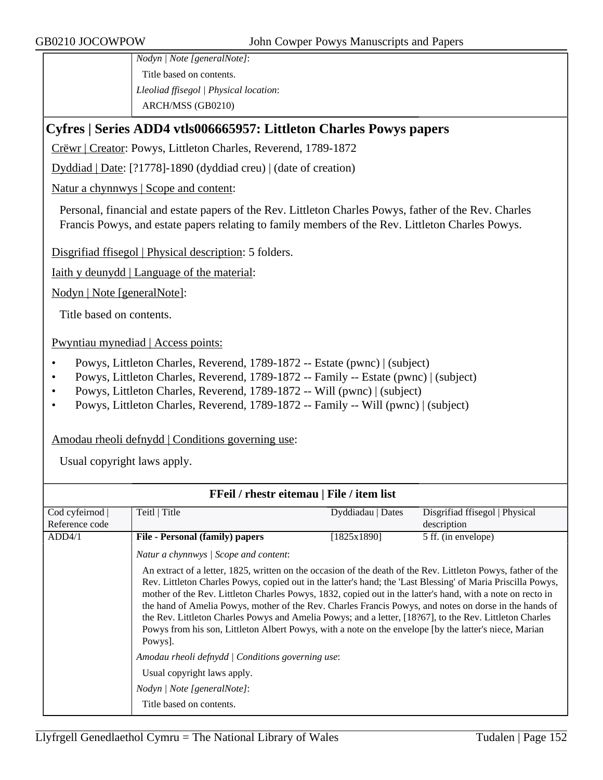*Nodyn | Note [generalNote]*: Title based on contents. *Lleoliad ffisegol | Physical location*: ARCH/MSS (GB0210)

# **Cyfres | Series ADD4 vtls006665957: Littleton Charles Powys papers**

Crëwr | Creator: Powys, Littleton Charles, Reverend, 1789-1872

Dyddiad | Date: [?1778]-1890 (dyddiad creu) | (date of creation)

Natur a chynnwys | Scope and content:

Personal, financial and estate papers of the Rev. Littleton Charles Powys, father of the Rev. Charles Francis Powys, and estate papers relating to family members of the Rev. Littleton Charles Powys.

Disgrifiad ffisegol | Physical description: 5 folders.

Iaith y deunydd | Language of the material:

Nodyn | Note [generalNote]:

Title based on contents.

Pwyntiau mynediad | Access points:

- Powys, Littleton Charles, Reverend, 1789-1872 -- Estate (pwnc) | (subject)
- Powys, Littleton Charles, Reverend, 1789-1872 -- Family -- Estate (pwnc) | (subject)
- Powys, Littleton Charles, Reverend, 1789-1872 -- Will (pwnc) | (subject)
- Powys, Littleton Charles, Reverend, 1789-1872 -- Family -- Will (pwnc) | (subject)

#### Amodau rheoli defnydd | Conditions governing use:

| <b>FFeil</b> / rhestr eitemau   File / item list |                                                                                                                                                                                                                                                                                                                                                                                                                                                                                                                                                                                                                                                                                      |                   |                                |
|--------------------------------------------------|--------------------------------------------------------------------------------------------------------------------------------------------------------------------------------------------------------------------------------------------------------------------------------------------------------------------------------------------------------------------------------------------------------------------------------------------------------------------------------------------------------------------------------------------------------------------------------------------------------------------------------------------------------------------------------------|-------------------|--------------------------------|
| Cod cyfeirnod                                    | Teitl   Title                                                                                                                                                                                                                                                                                                                                                                                                                                                                                                                                                                                                                                                                        | Dyddiadau   Dates | Disgrifiad ffisegol   Physical |
| Reference code                                   |                                                                                                                                                                                                                                                                                                                                                                                                                                                                                                                                                                                                                                                                                      |                   | description                    |
| ADD4/1                                           | <b>File - Personal (family) papers</b>                                                                                                                                                                                                                                                                                                                                                                                                                                                                                                                                                                                                                                               | [1825x1890]       | 5 ff. (in envelope)            |
|                                                  | Natur a chynnwys   Scope and content:                                                                                                                                                                                                                                                                                                                                                                                                                                                                                                                                                                                                                                                |                   |                                |
|                                                  | An extract of a letter, 1825, written on the occasion of the death of the Rev. Littleton Powys, father of the<br>Rev. Littleton Charles Powys, copied out in the latter's hand; the 'Last Blessing' of Maria Priscilla Powys,<br>mother of the Rev. Littleton Charles Powys, 1832, copied out in the latter's hand, with a note on recto in<br>the hand of Amelia Powys, mother of the Rev. Charles Francis Powys, and notes on dorse in the hands of<br>the Rev. Littleton Charles Powys and Amelia Powys; and a letter, [18?67], to the Rev. Littleton Charles<br>Powys from his son, Littleton Albert Powys, with a note on the envelope [by the latter's niece, Marian<br>Powys. |                   |                                |
|                                                  | Amodau rheoli defnydd   Conditions governing use:                                                                                                                                                                                                                                                                                                                                                                                                                                                                                                                                                                                                                                    |                   |                                |
|                                                  | Usual copyright laws apply.                                                                                                                                                                                                                                                                                                                                                                                                                                                                                                                                                                                                                                                          |                   |                                |
|                                                  | Nodyn   Note [generalNote]:                                                                                                                                                                                                                                                                                                                                                                                                                                                                                                                                                                                                                                                          |                   |                                |
|                                                  | Title based on contents.                                                                                                                                                                                                                                                                                                                                                                                                                                                                                                                                                                                                                                                             |                   |                                |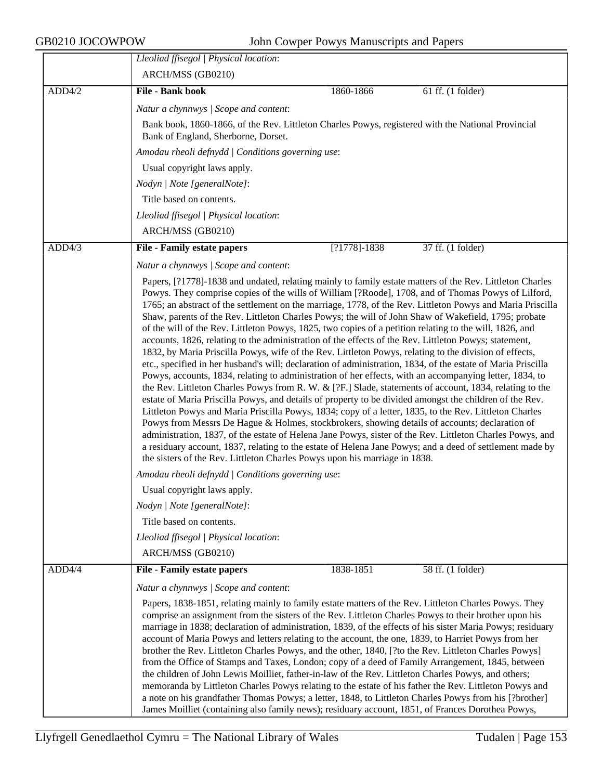|        | Lleoliad ffisegol   Physical location:                                                                                                                                                                                                                                                                                                                                                                                                                                                                                                                                                                                                                                                                                                                                                                                                                                                                                                                                                                                                                                                                                                                                                                                                                                                                                                                                                                                                                                                                                                                                                                                                                                                                                                  |
|--------|-----------------------------------------------------------------------------------------------------------------------------------------------------------------------------------------------------------------------------------------------------------------------------------------------------------------------------------------------------------------------------------------------------------------------------------------------------------------------------------------------------------------------------------------------------------------------------------------------------------------------------------------------------------------------------------------------------------------------------------------------------------------------------------------------------------------------------------------------------------------------------------------------------------------------------------------------------------------------------------------------------------------------------------------------------------------------------------------------------------------------------------------------------------------------------------------------------------------------------------------------------------------------------------------------------------------------------------------------------------------------------------------------------------------------------------------------------------------------------------------------------------------------------------------------------------------------------------------------------------------------------------------------------------------------------------------------------------------------------------------|
|        | ARCH/MSS (GB0210)                                                                                                                                                                                                                                                                                                                                                                                                                                                                                                                                                                                                                                                                                                                                                                                                                                                                                                                                                                                                                                                                                                                                                                                                                                                                                                                                                                                                                                                                                                                                                                                                                                                                                                                       |
| ADD4/2 | <b>File - Bank book</b><br>1860-1866<br>61 ff. (1 folder)                                                                                                                                                                                                                                                                                                                                                                                                                                                                                                                                                                                                                                                                                                                                                                                                                                                                                                                                                                                                                                                                                                                                                                                                                                                                                                                                                                                                                                                                                                                                                                                                                                                                               |
|        | Natur a chynnwys / Scope and content:                                                                                                                                                                                                                                                                                                                                                                                                                                                                                                                                                                                                                                                                                                                                                                                                                                                                                                                                                                                                                                                                                                                                                                                                                                                                                                                                                                                                                                                                                                                                                                                                                                                                                                   |
|        | Bank book, 1860-1866, of the Rev. Littleton Charles Powys, registered with the National Provincial<br>Bank of England, Sherborne, Dorset.                                                                                                                                                                                                                                                                                                                                                                                                                                                                                                                                                                                                                                                                                                                                                                                                                                                                                                                                                                                                                                                                                                                                                                                                                                                                                                                                                                                                                                                                                                                                                                                               |
|        | Amodau rheoli defnydd   Conditions governing use:                                                                                                                                                                                                                                                                                                                                                                                                                                                                                                                                                                                                                                                                                                                                                                                                                                                                                                                                                                                                                                                                                                                                                                                                                                                                                                                                                                                                                                                                                                                                                                                                                                                                                       |
|        | Usual copyright laws apply.                                                                                                                                                                                                                                                                                                                                                                                                                                                                                                                                                                                                                                                                                                                                                                                                                                                                                                                                                                                                                                                                                                                                                                                                                                                                                                                                                                                                                                                                                                                                                                                                                                                                                                             |
|        | Nodyn   Note [generalNote]:                                                                                                                                                                                                                                                                                                                                                                                                                                                                                                                                                                                                                                                                                                                                                                                                                                                                                                                                                                                                                                                                                                                                                                                                                                                                                                                                                                                                                                                                                                                                                                                                                                                                                                             |
|        | Title based on contents.                                                                                                                                                                                                                                                                                                                                                                                                                                                                                                                                                                                                                                                                                                                                                                                                                                                                                                                                                                                                                                                                                                                                                                                                                                                                                                                                                                                                                                                                                                                                                                                                                                                                                                                |
|        | Lleoliad ffisegol   Physical location:                                                                                                                                                                                                                                                                                                                                                                                                                                                                                                                                                                                                                                                                                                                                                                                                                                                                                                                                                                                                                                                                                                                                                                                                                                                                                                                                                                                                                                                                                                                                                                                                                                                                                                  |
|        | ARCH/MSS (GB0210)                                                                                                                                                                                                                                                                                                                                                                                                                                                                                                                                                                                                                                                                                                                                                                                                                                                                                                                                                                                                                                                                                                                                                                                                                                                                                                                                                                                                                                                                                                                                                                                                                                                                                                                       |
| ADD4/3 | $[?1778]-1838$<br>37 ff. (1 folder)<br><b>File - Family estate papers</b>                                                                                                                                                                                                                                                                                                                                                                                                                                                                                                                                                                                                                                                                                                                                                                                                                                                                                                                                                                                                                                                                                                                                                                                                                                                                                                                                                                                                                                                                                                                                                                                                                                                               |
|        | Natur a chynnwys / Scope and content:                                                                                                                                                                                                                                                                                                                                                                                                                                                                                                                                                                                                                                                                                                                                                                                                                                                                                                                                                                                                                                                                                                                                                                                                                                                                                                                                                                                                                                                                                                                                                                                                                                                                                                   |
|        | Papers, [?1778]-1838 and undated, relating mainly to family estate matters of the Rev. Littleton Charles<br>Powys. They comprise copies of the wills of William [?Roode], 1708, and of Thomas Powys of Lilford,<br>1765; an abstract of the settlement on the marriage, 1778, of the Rev. Littleton Powys and Maria Priscilla<br>Shaw, parents of the Rev. Littleton Charles Powys; the will of John Shaw of Wakefield, 1795; probate<br>of the will of the Rev. Littleton Powys, 1825, two copies of a petition relating to the will, 1826, and<br>accounts, 1826, relating to the administration of the effects of the Rev. Littleton Powys; statement,<br>1832, by Maria Priscilla Powys, wife of the Rev. Littleton Powys, relating to the division of effects,<br>etc., specified in her husband's will; declaration of administration, 1834, of the estate of Maria Priscilla<br>Powys, accounts, 1834, relating to administration of her effects, with an accompanying letter, 1834, to<br>the Rev. Littleton Charles Powys from R. W. & [?F.] Slade, statements of account, 1834, relating to the<br>estate of Maria Priscilla Powys, and details of property to be divided amongst the children of the Rev.<br>Littleton Powys and Maria Priscilla Powys, 1834; copy of a letter, 1835, to the Rev. Littleton Charles<br>Powys from Messrs De Hague & Holmes, stockbrokers, showing details of accounts; declaration of<br>administration, 1837, of the estate of Helena Jane Powys, sister of the Rev. Littleton Charles Powys, and<br>a residuary account, 1837, relating to the estate of Helena Jane Powys; and a deed of settlement made by<br>the sisters of the Rev. Littleton Charles Powys upon his marriage in 1838. |
|        | Amodau rheoli defnydd   Conditions governing use:                                                                                                                                                                                                                                                                                                                                                                                                                                                                                                                                                                                                                                                                                                                                                                                                                                                                                                                                                                                                                                                                                                                                                                                                                                                                                                                                                                                                                                                                                                                                                                                                                                                                                       |
|        | Usual copyright laws apply.                                                                                                                                                                                                                                                                                                                                                                                                                                                                                                                                                                                                                                                                                                                                                                                                                                                                                                                                                                                                                                                                                                                                                                                                                                                                                                                                                                                                                                                                                                                                                                                                                                                                                                             |
|        | Nodyn   Note [generalNote]:                                                                                                                                                                                                                                                                                                                                                                                                                                                                                                                                                                                                                                                                                                                                                                                                                                                                                                                                                                                                                                                                                                                                                                                                                                                                                                                                                                                                                                                                                                                                                                                                                                                                                                             |
|        | Title based on contents.                                                                                                                                                                                                                                                                                                                                                                                                                                                                                                                                                                                                                                                                                                                                                                                                                                                                                                                                                                                                                                                                                                                                                                                                                                                                                                                                                                                                                                                                                                                                                                                                                                                                                                                |
|        | Lleoliad ffisegol   Physical location:                                                                                                                                                                                                                                                                                                                                                                                                                                                                                                                                                                                                                                                                                                                                                                                                                                                                                                                                                                                                                                                                                                                                                                                                                                                                                                                                                                                                                                                                                                                                                                                                                                                                                                  |
|        | ARCH/MSS (GB0210)                                                                                                                                                                                                                                                                                                                                                                                                                                                                                                                                                                                                                                                                                                                                                                                                                                                                                                                                                                                                                                                                                                                                                                                                                                                                                                                                                                                                                                                                                                                                                                                                                                                                                                                       |
| ADD4/4 | 1838-1851<br>58 ff. (1 folder)<br><b>File - Family estate papers</b>                                                                                                                                                                                                                                                                                                                                                                                                                                                                                                                                                                                                                                                                                                                                                                                                                                                                                                                                                                                                                                                                                                                                                                                                                                                                                                                                                                                                                                                                                                                                                                                                                                                                    |
|        | Natur a chynnwys / Scope and content:<br>Papers, 1838-1851, relating mainly to family estate matters of the Rev. Littleton Charles Powys. They<br>comprise an assignment from the sisters of the Rev. Littleton Charles Powys to their brother upon his<br>marriage in 1838; declaration of administration, 1839, of the effects of his sister Maria Powys; residuary<br>account of Maria Powys and letters relating to the account, the one, 1839, to Harriet Powys from her<br>brother the Rev. Littleton Charles Powys, and the other, 1840, [?to the Rev. Littleton Charles Powys]<br>from the Office of Stamps and Taxes, London; copy of a deed of Family Arrangement, 1845, between<br>the children of John Lewis Moilliet, father-in-law of the Rev. Littleton Charles Powys, and others;<br>memoranda by Littleton Charles Powys relating to the estate of his father the Rev. Littleton Powys and<br>a note on his grandfather Thomas Powys; a letter, 1848, to Littleton Charles Powys from his [?brother]<br>James Moilliet (containing also family news); residuary account, 1851, of Frances Dorothea Powys,                                                                                                                                                                                                                                                                                                                                                                                                                                                                                                                                                                                                              |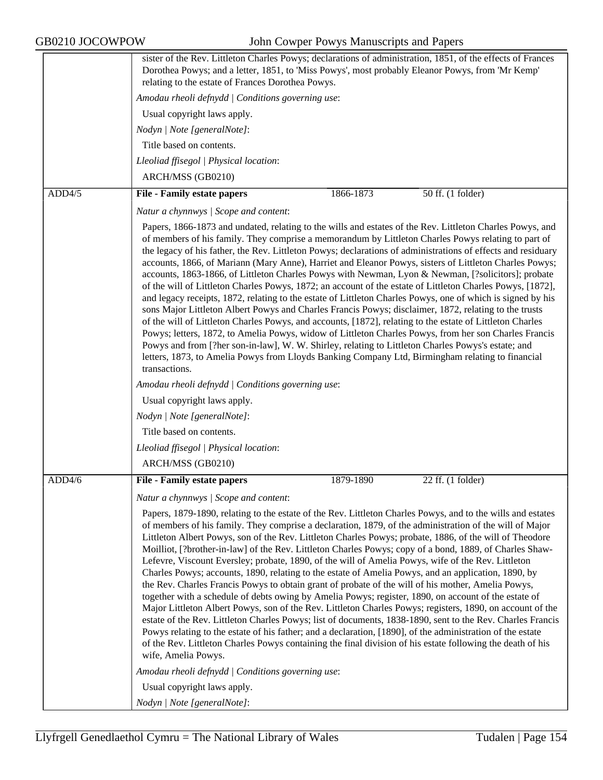|        | sister of the Rev. Littleton Charles Powys; declarations of administration, 1851, of the effects of Frances<br>Dorothea Powys; and a letter, 1851, to 'Miss Powys', most probably Eleanor Powys, from 'Mr Kemp'<br>relating to the estate of Frances Dorothea Powys.                                                                                                                                                                                                                                                                                                                                                                                                                                                                                                                                                                                                                                                                                                                                                                                                                                                                                                                                                                                                                                                                                                                                       |
|--------|------------------------------------------------------------------------------------------------------------------------------------------------------------------------------------------------------------------------------------------------------------------------------------------------------------------------------------------------------------------------------------------------------------------------------------------------------------------------------------------------------------------------------------------------------------------------------------------------------------------------------------------------------------------------------------------------------------------------------------------------------------------------------------------------------------------------------------------------------------------------------------------------------------------------------------------------------------------------------------------------------------------------------------------------------------------------------------------------------------------------------------------------------------------------------------------------------------------------------------------------------------------------------------------------------------------------------------------------------------------------------------------------------------|
|        | Amodau rheoli defnydd   Conditions governing use:                                                                                                                                                                                                                                                                                                                                                                                                                                                                                                                                                                                                                                                                                                                                                                                                                                                                                                                                                                                                                                                                                                                                                                                                                                                                                                                                                          |
|        | Usual copyright laws apply.                                                                                                                                                                                                                                                                                                                                                                                                                                                                                                                                                                                                                                                                                                                                                                                                                                                                                                                                                                                                                                                                                                                                                                                                                                                                                                                                                                                |
|        | Nodyn   Note [generalNote]:                                                                                                                                                                                                                                                                                                                                                                                                                                                                                                                                                                                                                                                                                                                                                                                                                                                                                                                                                                                                                                                                                                                                                                                                                                                                                                                                                                                |
|        | Title based on contents.                                                                                                                                                                                                                                                                                                                                                                                                                                                                                                                                                                                                                                                                                                                                                                                                                                                                                                                                                                                                                                                                                                                                                                                                                                                                                                                                                                                   |
|        | Lleoliad ffisegol   Physical location:                                                                                                                                                                                                                                                                                                                                                                                                                                                                                                                                                                                                                                                                                                                                                                                                                                                                                                                                                                                                                                                                                                                                                                                                                                                                                                                                                                     |
|        | ARCH/MSS (GB0210)                                                                                                                                                                                                                                                                                                                                                                                                                                                                                                                                                                                                                                                                                                                                                                                                                                                                                                                                                                                                                                                                                                                                                                                                                                                                                                                                                                                          |
| ADD4/5 | 50 ff. (1 folder)<br><b>File - Family estate papers</b><br>1866-1873                                                                                                                                                                                                                                                                                                                                                                                                                                                                                                                                                                                                                                                                                                                                                                                                                                                                                                                                                                                                                                                                                                                                                                                                                                                                                                                                       |
|        | Natur a chynnwys / Scope and content:                                                                                                                                                                                                                                                                                                                                                                                                                                                                                                                                                                                                                                                                                                                                                                                                                                                                                                                                                                                                                                                                                                                                                                                                                                                                                                                                                                      |
|        | Papers, 1866-1873 and undated, relating to the wills and estates of the Rev. Littleton Charles Powys, and<br>of members of his family. They comprise a memorandum by Littleton Charles Powys relating to part of<br>the legacy of his father, the Rev. Littleton Powys; declarations of administrations of effects and residuary<br>accounts, 1866, of Mariann (Mary Anne), Harriet and Eleanor Powys, sisters of Littleton Charles Powys;<br>accounts, 1863-1866, of Littleton Charles Powys with Newman, Lyon & Newman, [?solicitors]; probate<br>of the will of Littleton Charles Powys, 1872; an account of the estate of Littleton Charles Powys, [1872],<br>and legacy receipts, 1872, relating to the estate of Littleton Charles Powys, one of which is signed by his<br>sons Major Littleton Albert Powys and Charles Francis Powys; disclaimer, 1872, relating to the trusts<br>of the will of Littleton Charles Powys, and accounts, [1872], relating to the estate of Littleton Charles<br>Powys; letters, 1872, to Amelia Powys, widow of Littleton Charles Powys, from her son Charles Francis<br>Powys and from [?her son-in-law], W. W. Shirley, relating to Littleton Charles Powys's estate; and<br>letters, 1873, to Amelia Powys from Lloyds Banking Company Ltd, Birmingham relating to financial<br>transactions.<br>Amodau rheoli defnydd   Conditions governing use:               |
|        | Usual copyright laws apply.                                                                                                                                                                                                                                                                                                                                                                                                                                                                                                                                                                                                                                                                                                                                                                                                                                                                                                                                                                                                                                                                                                                                                                                                                                                                                                                                                                                |
|        | Nodyn   Note [generalNote]:                                                                                                                                                                                                                                                                                                                                                                                                                                                                                                                                                                                                                                                                                                                                                                                                                                                                                                                                                                                                                                                                                                                                                                                                                                                                                                                                                                                |
|        | Title based on contents.                                                                                                                                                                                                                                                                                                                                                                                                                                                                                                                                                                                                                                                                                                                                                                                                                                                                                                                                                                                                                                                                                                                                                                                                                                                                                                                                                                                   |
|        | Lleoliad ffisegol   Physical location:                                                                                                                                                                                                                                                                                                                                                                                                                                                                                                                                                                                                                                                                                                                                                                                                                                                                                                                                                                                                                                                                                                                                                                                                                                                                                                                                                                     |
|        | ARCH/MSS (GB0210)                                                                                                                                                                                                                                                                                                                                                                                                                                                                                                                                                                                                                                                                                                                                                                                                                                                                                                                                                                                                                                                                                                                                                                                                                                                                                                                                                                                          |
| ADD4/6 | <b>File - Family estate papers</b><br>$22$ ff. $(1$ folder)<br>1879-1890                                                                                                                                                                                                                                                                                                                                                                                                                                                                                                                                                                                                                                                                                                                                                                                                                                                                                                                                                                                                                                                                                                                                                                                                                                                                                                                                   |
|        | Natur a chynnwys / Scope and content:                                                                                                                                                                                                                                                                                                                                                                                                                                                                                                                                                                                                                                                                                                                                                                                                                                                                                                                                                                                                                                                                                                                                                                                                                                                                                                                                                                      |
|        | Papers, 1879-1890, relating to the estate of the Rev. Littleton Charles Powys, and to the wills and estates<br>of members of his family. They comprise a declaration, 1879, of the administration of the will of Major<br>Littleton Albert Powys, son of the Rev. Littleton Charles Powys; probate, 1886, of the will of Theodore<br>Moilliot, [?brother-in-law] of the Rev. Littleton Charles Powys; copy of a bond, 1889, of Charles Shaw-<br>Lefevre, Viscount Eversley; probate, 1890, of the will of Amelia Powys, wife of the Rev. Littleton<br>Charles Powys; accounts, 1890, relating to the estate of Amelia Powys, and an application, 1890, by<br>the Rev. Charles Francis Powys to obtain grant of probate of the will of his mother, Amelia Powys,<br>together with a schedule of debts owing by Amelia Powys; register, 1890, on account of the estate of<br>Major Littleton Albert Powys, son of the Rev. Littleton Charles Powys; registers, 1890, on account of the<br>estate of the Rev. Littleton Charles Powys; list of documents, 1838-1890, sent to the Rev. Charles Francis<br>Powys relating to the estate of his father; and a declaration, [1890], of the administration of the estate<br>of the Rev. Littleton Charles Powys containing the final division of his estate following the death of his<br>wife, Amelia Powys.<br>Amodau rheoli defnydd   Conditions governing use: |
|        | Usual copyright laws apply.                                                                                                                                                                                                                                                                                                                                                                                                                                                                                                                                                                                                                                                                                                                                                                                                                                                                                                                                                                                                                                                                                                                                                                                                                                                                                                                                                                                |
|        | Nodyn   Note [generalNote]:                                                                                                                                                                                                                                                                                                                                                                                                                                                                                                                                                                                                                                                                                                                                                                                                                                                                                                                                                                                                                                                                                                                                                                                                                                                                                                                                                                                |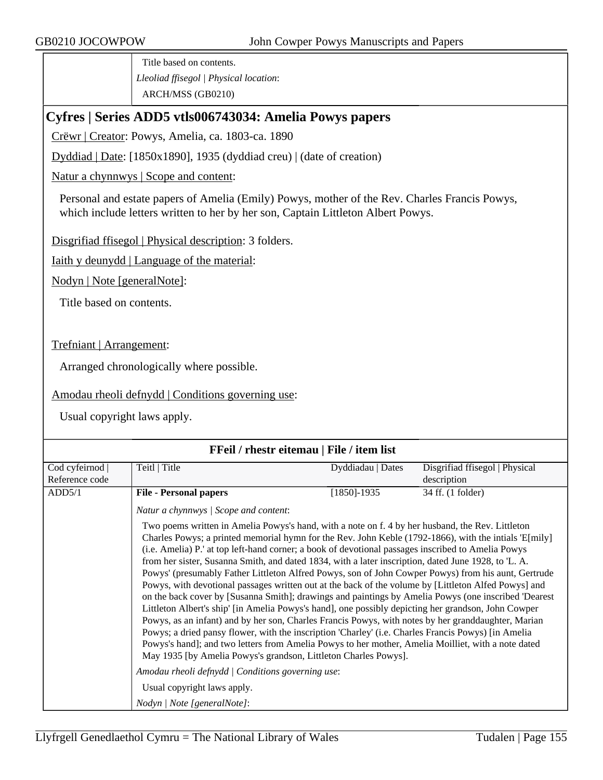Title based on contents. *Lleoliad ffisegol | Physical location*: ARCH/MSS (GB0210)

# **Cyfres | Series ADD5 vtls006743034: Amelia Powys papers**

Crëwr | Creator: Powys, Amelia, ca. 1803-ca. 1890

Dyddiad | Date: [1850x1890], 1935 (dyddiad creu) | (date of creation)

Natur a chynnwys | Scope and content:

Personal and estate papers of Amelia (Emily) Powys, mother of the Rev. Charles Francis Powys, which include letters written to her by her son, Captain Littleton Albert Powys.

Disgrifiad ffisegol | Physical description: 3 folders.

Iaith y deunydd | Language of the material:

Nodyn | Note [generalNote]:

Title based on contents.

Trefniant | Arrangement:

Arranged chronologically where possible.

Amodau rheoli defnydd | Conditions governing use:

Usual copyright laws apply.

### **FFeil / rhestr eitemau | File / item list**

| Cod cyfeirnod  | Teitl   Title                                                                                                                                                                                                                                                                                                                                                                                                                                                                                                                                                                                                                                                                                                                                                                                                                                                                                                                                                                                                                                                                                                                                                                                                                                | Dyddiadau   Dates | Disgrifiad ffisegol   Physical |
|----------------|----------------------------------------------------------------------------------------------------------------------------------------------------------------------------------------------------------------------------------------------------------------------------------------------------------------------------------------------------------------------------------------------------------------------------------------------------------------------------------------------------------------------------------------------------------------------------------------------------------------------------------------------------------------------------------------------------------------------------------------------------------------------------------------------------------------------------------------------------------------------------------------------------------------------------------------------------------------------------------------------------------------------------------------------------------------------------------------------------------------------------------------------------------------------------------------------------------------------------------------------|-------------------|--------------------------------|
| Reference code |                                                                                                                                                                                                                                                                                                                                                                                                                                                                                                                                                                                                                                                                                                                                                                                                                                                                                                                                                                                                                                                                                                                                                                                                                                              |                   | description                    |
| ADD5/1         | <b>File - Personal papers</b>                                                                                                                                                                                                                                                                                                                                                                                                                                                                                                                                                                                                                                                                                                                                                                                                                                                                                                                                                                                                                                                                                                                                                                                                                | $[1850] - 1935$   | 34 ff. (1 folder)              |
|                | Natur a chynnwys / Scope and content:                                                                                                                                                                                                                                                                                                                                                                                                                                                                                                                                                                                                                                                                                                                                                                                                                                                                                                                                                                                                                                                                                                                                                                                                        |                   |                                |
|                | Two poems written in Amelia Powys's hand, with a note on f. 4 by her husband, the Rev. Littleton<br>Charles Powys; a printed memorial hymn for the Rev. John Keble (1792-1866), with the intials 'E[mily]<br>(i.e. Amelia) P.' at top left-hand corner; a book of devotional passages inscribed to Amelia Powys<br>from her sister, Susanna Smith, and dated 1834, with a later inscription, dated June 1928, to 'L. A.<br>Powys' (presumably Father Littleton Alfred Powys, son of John Cowper Powys) from his aunt, Gertrude<br>Powys, with devotional passages written out at the back of the volume by [Littleton Alfed Powys] and<br>on the back cover by [Susanna Smith]; drawings and paintings by Amelia Powys (one inscribed 'Dearest<br>Littleton Albert's ship' [in Amelia Powys's hand], one possibly depicting her grandson, John Cowper<br>Powys, as an infant) and by her son, Charles Francis Powys, with notes by her granddaughter, Marian<br>Powys; a dried pansy flower, with the inscription 'Charley' (i.e. Charles Francis Powys) [in Amelia<br>Powys's hand]; and two letters from Amelia Powys to her mother, Amelia Moilliet, with a note dated<br>May 1935 [by Amelia Powys's grandson, Littleton Charles Powys]. |                   |                                |
|                | Amodau rheoli defnydd   Conditions governing use:                                                                                                                                                                                                                                                                                                                                                                                                                                                                                                                                                                                                                                                                                                                                                                                                                                                                                                                                                                                                                                                                                                                                                                                            |                   |                                |
|                | Usual copyright laws apply.                                                                                                                                                                                                                                                                                                                                                                                                                                                                                                                                                                                                                                                                                                                                                                                                                                                                                                                                                                                                                                                                                                                                                                                                                  |                   |                                |
|                | Nodyn   Note [generalNote]:                                                                                                                                                                                                                                                                                                                                                                                                                                                                                                                                                                                                                                                                                                                                                                                                                                                                                                                                                                                                                                                                                                                                                                                                                  |                   |                                |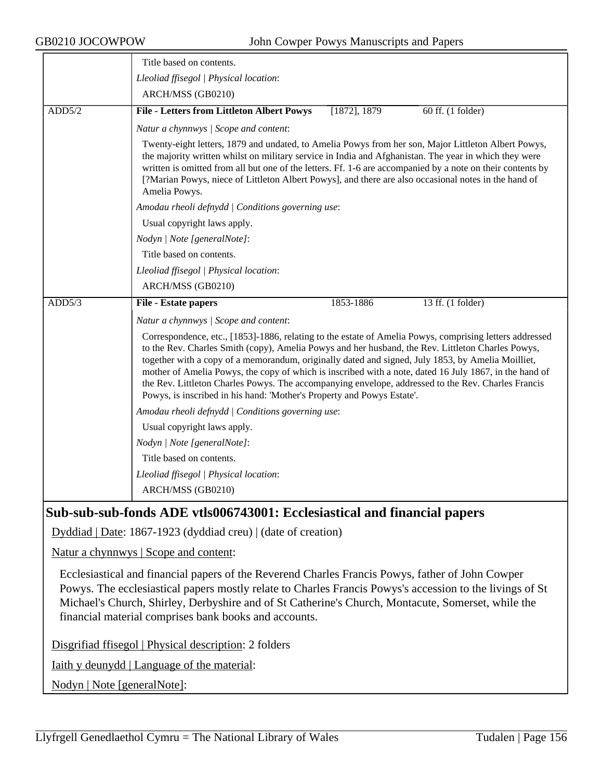|        | Title based on contents.                                                                                                                                                                                                                                                                                                                                                                                                                                                                                                                                                                                    |  |  |  |
|--------|-------------------------------------------------------------------------------------------------------------------------------------------------------------------------------------------------------------------------------------------------------------------------------------------------------------------------------------------------------------------------------------------------------------------------------------------------------------------------------------------------------------------------------------------------------------------------------------------------------------|--|--|--|
|        | Lleoliad ffisegol   Physical location:                                                                                                                                                                                                                                                                                                                                                                                                                                                                                                                                                                      |  |  |  |
|        | ARCH/MSS (GB0210)                                                                                                                                                                                                                                                                                                                                                                                                                                                                                                                                                                                           |  |  |  |
| ADD5/2 | [1872], 1879<br><b>File - Letters from Littleton Albert Powys</b><br>60 ff. (1 folder)                                                                                                                                                                                                                                                                                                                                                                                                                                                                                                                      |  |  |  |
|        | Natur a chynnwys / Scope and content:                                                                                                                                                                                                                                                                                                                                                                                                                                                                                                                                                                       |  |  |  |
|        | Twenty-eight letters, 1879 and undated, to Amelia Powys from her son, Major Littleton Albert Powys,<br>the majority written whilst on military service in India and Afghanistan. The year in which they were<br>written is omitted from all but one of the letters. Ff. 1-6 are accompanied by a note on their contents by<br>[?Marian Powys, niece of Littleton Albert Powys], and there are also occasional notes in the hand of<br>Amelia Powys.                                                                                                                                                         |  |  |  |
|        | Amodau rheoli defnydd   Conditions governing use:                                                                                                                                                                                                                                                                                                                                                                                                                                                                                                                                                           |  |  |  |
|        | Usual copyright laws apply.                                                                                                                                                                                                                                                                                                                                                                                                                                                                                                                                                                                 |  |  |  |
|        | Nodyn   Note [generalNote]:                                                                                                                                                                                                                                                                                                                                                                                                                                                                                                                                                                                 |  |  |  |
|        | Title based on contents.                                                                                                                                                                                                                                                                                                                                                                                                                                                                                                                                                                                    |  |  |  |
|        | Lleoliad ffisegol   Physical location:                                                                                                                                                                                                                                                                                                                                                                                                                                                                                                                                                                      |  |  |  |
|        | ARCH/MSS (GB0210)                                                                                                                                                                                                                                                                                                                                                                                                                                                                                                                                                                                           |  |  |  |
| ADD5/3 | 13 ff. (1 folder)<br>File - Estate papers<br>1853-1886                                                                                                                                                                                                                                                                                                                                                                                                                                                                                                                                                      |  |  |  |
|        | Natur a chynnwys / Scope and content:                                                                                                                                                                                                                                                                                                                                                                                                                                                                                                                                                                       |  |  |  |
|        | Correspondence, etc., [1853]-1886, relating to the estate of Amelia Powys, comprising letters addressed<br>to the Rev. Charles Smith (copy), Amelia Powys and her husband, the Rev. Littleton Charles Powys,<br>together with a copy of a memorandum, originally dated and signed, July 1853, by Amelia Moilliet,<br>mother of Amelia Powys, the copy of which is inscribed with a note, dated 16 July 1867, in the hand of<br>the Rev. Littleton Charles Powys. The accompanying envelope, addressed to the Rev. Charles Francis<br>Powys, is inscribed in his hand: 'Mother's Property and Powys Estate'. |  |  |  |
|        | Amodau rheoli defnydd   Conditions governing use:                                                                                                                                                                                                                                                                                                                                                                                                                                                                                                                                                           |  |  |  |
|        | Usual copyright laws apply.                                                                                                                                                                                                                                                                                                                                                                                                                                                                                                                                                                                 |  |  |  |
|        | Nodyn   Note [generalNote]:                                                                                                                                                                                                                                                                                                                                                                                                                                                                                                                                                                                 |  |  |  |
|        | Title based on contents.                                                                                                                                                                                                                                                                                                                                                                                                                                                                                                                                                                                    |  |  |  |
|        | Lleoliad ffisegol   Physical location:                                                                                                                                                                                                                                                                                                                                                                                                                                                                                                                                                                      |  |  |  |
|        | ARCH/MSS (GB0210)                                                                                                                                                                                                                                                                                                                                                                                                                                                                                                                                                                                           |  |  |  |
|        |                                                                                                                                                                                                                                                                                                                                                                                                                                                                                                                                                                                                             |  |  |  |

# **Sub-sub-sub-fonds ADE vtls006743001: Ecclesiastical and financial papers**

Dyddiad | Date: 1867-1923 (dyddiad creu) | (date of creation)

Natur a chynnwys | Scope and content:

Ecclesiastical and financial papers of the Reverend Charles Francis Powys, father of John Cowper Powys. The ecclesiastical papers mostly relate to Charles Francis Powys's accession to the livings of St Michael's Church, Shirley, Derbyshire and of St Catherine's Church, Montacute, Somerset, while the financial material comprises bank books and accounts.

Disgrifiad ffisegol | Physical description: 2 folders

Iaith y deunydd | Language of the material:

Nodyn | Note [generalNote]: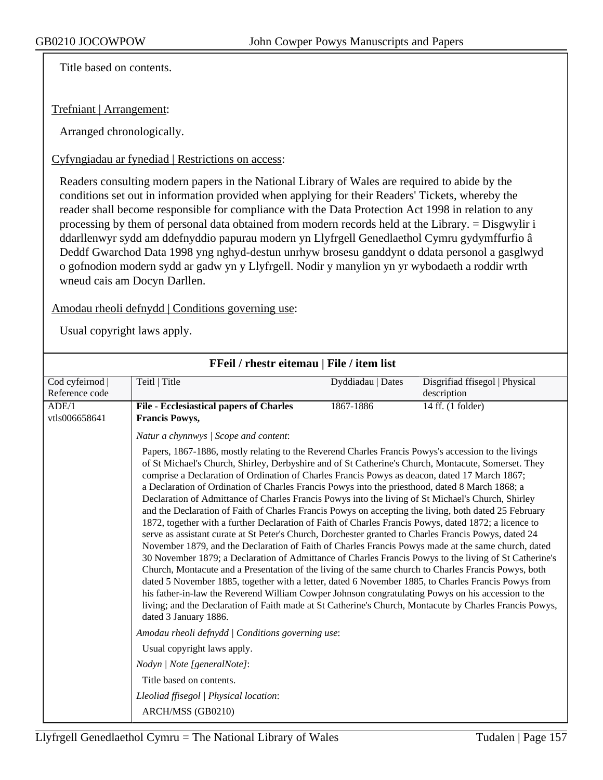Title based on contents.

Trefniant | Arrangement:

Arranged chronologically.

Cyfyngiadau ar fynediad | Restrictions on access:

Readers consulting modern papers in the National Library of Wales are required to abide by the conditions set out in information provided when applying for their Readers' Tickets, whereby the reader shall become responsible for compliance with the Data Protection Act 1998 in relation to any processing by them of personal data obtained from modern records held at the Library. = Disgwylir i ddarllenwyr sydd am ddefnyddio papurau modern yn Llyfrgell Genedlaethol Cymru gydymffurfio â Deddf Gwarchod Data 1998 yng nghyd-destun unrhyw brosesu ganddynt o ddata personol a gasglwyd o gofnodion modern sydd ar gadw yn y Llyfrgell. Nodir y manylion yn yr wybodaeth a roddir wrth wneud cais am Docyn Darllen.

Amodau rheoli defnydd | Conditions governing use:

|                | FFeil / rhestr eitemau   File / item list                                                                                                                                                                                                                                                                                                                                                                                                                                                                                                                                                                                                                                                                                                                                                                                                                                                                                                                                                                                                                                                                                                                                                                                                                                                                                                                                                                                                                                                                                 |                   |                                |
|----------------|---------------------------------------------------------------------------------------------------------------------------------------------------------------------------------------------------------------------------------------------------------------------------------------------------------------------------------------------------------------------------------------------------------------------------------------------------------------------------------------------------------------------------------------------------------------------------------------------------------------------------------------------------------------------------------------------------------------------------------------------------------------------------------------------------------------------------------------------------------------------------------------------------------------------------------------------------------------------------------------------------------------------------------------------------------------------------------------------------------------------------------------------------------------------------------------------------------------------------------------------------------------------------------------------------------------------------------------------------------------------------------------------------------------------------------------------------------------------------------------------------------------------------|-------------------|--------------------------------|
| Cod cyfeirnod  | Teitl   Title                                                                                                                                                                                                                                                                                                                                                                                                                                                                                                                                                                                                                                                                                                                                                                                                                                                                                                                                                                                                                                                                                                                                                                                                                                                                                                                                                                                                                                                                                                             | Dyddiadau   Dates | Disgrifiad ffisegol   Physical |
| Reference code |                                                                                                                                                                                                                                                                                                                                                                                                                                                                                                                                                                                                                                                                                                                                                                                                                                                                                                                                                                                                                                                                                                                                                                                                                                                                                                                                                                                                                                                                                                                           |                   | description                    |
| ADE/1          | <b>File - Ecclesiastical papers of Charles</b>                                                                                                                                                                                                                                                                                                                                                                                                                                                                                                                                                                                                                                                                                                                                                                                                                                                                                                                                                                                                                                                                                                                                                                                                                                                                                                                                                                                                                                                                            | 1867-1886         | 14 ff. (1 folder)              |
| vtls006658641  | <b>Francis Powys,</b>                                                                                                                                                                                                                                                                                                                                                                                                                                                                                                                                                                                                                                                                                                                                                                                                                                                                                                                                                                                                                                                                                                                                                                                                                                                                                                                                                                                                                                                                                                     |                   |                                |
|                | Natur a chynnwys / Scope and content:                                                                                                                                                                                                                                                                                                                                                                                                                                                                                                                                                                                                                                                                                                                                                                                                                                                                                                                                                                                                                                                                                                                                                                                                                                                                                                                                                                                                                                                                                     |                   |                                |
|                | Papers, 1867-1886, mostly relating to the Reverend Charles Francis Powys's accession to the livings<br>of St Michael's Church, Shirley, Derbyshire and of St Catherine's Church, Montacute, Somerset. They<br>comprise a Declaration of Ordination of Charles Francis Powys as deacon, dated 17 March 1867;<br>a Declaration of Ordination of Charles Francis Powys into the priesthood, dated 8 March 1868; a<br>Declaration of Admittance of Charles Francis Powys into the living of St Michael's Church, Shirley<br>and the Declaration of Faith of Charles Francis Powys on accepting the living, both dated 25 February<br>1872, together with a further Declaration of Faith of Charles Francis Powys, dated 1872; a licence to<br>serve as assistant curate at St Peter's Church, Dorchester granted to Charles Francis Powys, dated 24<br>November 1879, and the Declaration of Faith of Charles Francis Powys made at the same church, dated<br>30 November 1879; a Declaration of Admittance of Charles Francis Powys to the living of St Catherine's<br>Church, Montacute and a Presentation of the living of the same church to Charles Francis Powys, both<br>dated 5 November 1885, together with a letter, dated 6 November 1885, to Charles Francis Powys from<br>his father-in-law the Reverend William Cowper Johnson congratulating Powys on his accession to the<br>living; and the Declaration of Faith made at St Catherine's Church, Montacute by Charles Francis Powys,<br>dated 3 January 1886. |                   |                                |
|                | Amodau rheoli defnydd   Conditions governing use:                                                                                                                                                                                                                                                                                                                                                                                                                                                                                                                                                                                                                                                                                                                                                                                                                                                                                                                                                                                                                                                                                                                                                                                                                                                                                                                                                                                                                                                                         |                   |                                |
|                | Usual copyright laws apply.                                                                                                                                                                                                                                                                                                                                                                                                                                                                                                                                                                                                                                                                                                                                                                                                                                                                                                                                                                                                                                                                                                                                                                                                                                                                                                                                                                                                                                                                                               |                   |                                |
|                | Nodyn   Note [generalNote]:                                                                                                                                                                                                                                                                                                                                                                                                                                                                                                                                                                                                                                                                                                                                                                                                                                                                                                                                                                                                                                                                                                                                                                                                                                                                                                                                                                                                                                                                                               |                   |                                |
|                | Title based on contents.                                                                                                                                                                                                                                                                                                                                                                                                                                                                                                                                                                                                                                                                                                                                                                                                                                                                                                                                                                                                                                                                                                                                                                                                                                                                                                                                                                                                                                                                                                  |                   |                                |
|                | Lleoliad ffisegol   Physical location:                                                                                                                                                                                                                                                                                                                                                                                                                                                                                                                                                                                                                                                                                                                                                                                                                                                                                                                                                                                                                                                                                                                                                                                                                                                                                                                                                                                                                                                                                    |                   |                                |
|                | ARCH/MSS (GB0210)                                                                                                                                                                                                                                                                                                                                                                                                                                                                                                                                                                                                                                                                                                                                                                                                                                                                                                                                                                                                                                                                                                                                                                                                                                                                                                                                                                                                                                                                                                         |                   |                                |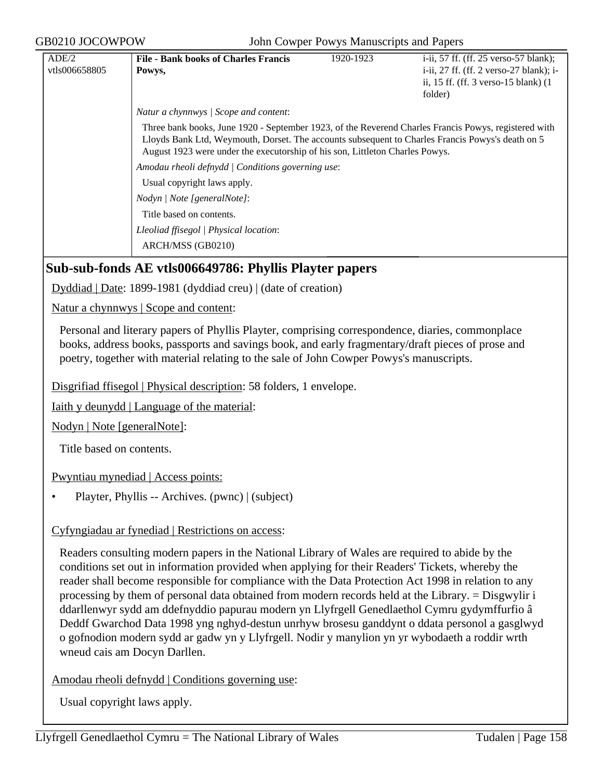| ADE/2         | <b>File - Bank books of Charles Francis</b>                                                                                                                                                                                                                                              | 1920-1923 | i-ii, 57 ff. (ff. 25 verso-57 blank);        |
|---------------|------------------------------------------------------------------------------------------------------------------------------------------------------------------------------------------------------------------------------------------------------------------------------------------|-----------|----------------------------------------------|
| vtls006658805 | Powys,                                                                                                                                                                                                                                                                                   |           | i-ii, $27$ ff. (ff. 2 verso- $27$ blank); i- |
|               |                                                                                                                                                                                                                                                                                          |           | ii, 15 ff. (ff. $3$ verso-15 blank) $(1)$    |
|               |                                                                                                                                                                                                                                                                                          |           | folder)                                      |
|               | Natur a chynnwys   Scope and content:                                                                                                                                                                                                                                                    |           |                                              |
|               | Three bank books, June 1920 - September 1923, of the Reverend Charles Francis Powys, registered with<br>Lloyds Bank Ltd, Weymouth, Dorset. The accounts subsequent to Charles Francis Powys's death on 5<br>August 1923 were under the executorship of his son, Littleton Charles Powys. |           |                                              |
|               | Amodau rheoli defnydd   Conditions governing use:                                                                                                                                                                                                                                        |           |                                              |
|               | Usual copyright laws apply.                                                                                                                                                                                                                                                              |           |                                              |
|               | Nodyn / Note [generalNote]:                                                                                                                                                                                                                                                              |           |                                              |
|               | Title based on contents.                                                                                                                                                                                                                                                                 |           |                                              |
|               | Lleoliad ffisegol   Physical location:                                                                                                                                                                                                                                                   |           |                                              |
|               | ARCH/MSS (GB0210)                                                                                                                                                                                                                                                                        |           |                                              |

## **Sub-sub-fonds AE vtls006649786: Phyllis Playter papers**

Dyddiad | Date: 1899-1981 (dyddiad creu) | (date of creation)

Natur a chynnwys | Scope and content:

Personal and literary papers of Phyllis Playter, comprising correspondence, diaries, commonplace books, address books, passports and savings book, and early fragmentary/draft pieces of prose and poetry, together with material relating to the sale of John Cowper Powys's manuscripts.

Disgrifiad ffisegol | Physical description: 58 folders, 1 envelope.

Iaith y deunydd | Language of the material:

Nodyn | Note [generalNote]:

Title based on contents.

Pwyntiau mynediad | Access points:

• Playter, Phyllis -- Archives. (pwnc) | (subject)

#### Cyfyngiadau ar fynediad | Restrictions on access:

Readers consulting modern papers in the National Library of Wales are required to abide by the conditions set out in information provided when applying for their Readers' Tickets, whereby the reader shall become responsible for compliance with the Data Protection Act 1998 in relation to any processing by them of personal data obtained from modern records held at the Library. = Disgwylir i ddarllenwyr sydd am ddefnyddio papurau modern yn Llyfrgell Genedlaethol Cymru gydymffurfio â Deddf Gwarchod Data 1998 yng nghyd-destun unrhyw brosesu ganddynt o ddata personol a gasglwyd o gofnodion modern sydd ar gadw yn y Llyfrgell. Nodir y manylion yn yr wybodaeth a roddir wrth wneud cais am Docyn Darllen.

Amodau rheoli defnydd | Conditions governing use: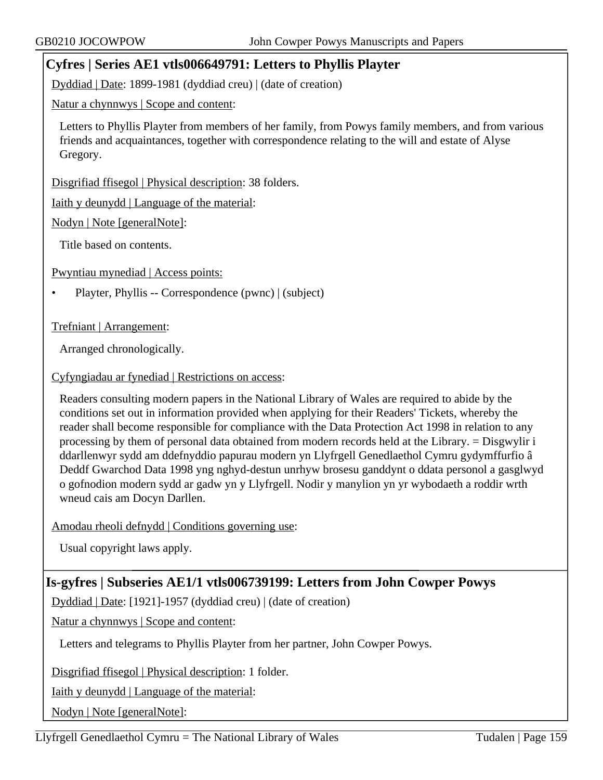# **Cyfres | Series AE1 vtls006649791: Letters to Phyllis Playter**

Dyddiad | Date: 1899-1981 (dyddiad creu) | (date of creation)

Natur a chynnwys | Scope and content:

Letters to Phyllis Playter from members of her family, from Powys family members, and from various friends and acquaintances, together with correspondence relating to the will and estate of Alyse Gregory.

Disgrifiad ffisegol | Physical description: 38 folders.

Iaith y deunydd | Language of the material:

Nodyn | Note [generalNote]:

Title based on contents.

Pwyntiau mynediad | Access points:

• Playter, Phyllis -- Correspondence (pwnc) | (subject)

Trefniant | Arrangement:

Arranged chronologically.

Cyfyngiadau ar fynediad | Restrictions on access:

Readers consulting modern papers in the National Library of Wales are required to abide by the conditions set out in information provided when applying for their Readers' Tickets, whereby the reader shall become responsible for compliance with the Data Protection Act 1998 in relation to any processing by them of personal data obtained from modern records held at the Library. = Disgwylir i ddarllenwyr sydd am ddefnyddio papurau modern yn Llyfrgell Genedlaethol Cymru gydymffurfio â Deddf Gwarchod Data 1998 yng nghyd-destun unrhyw brosesu ganddynt o ddata personol a gasglwyd o gofnodion modern sydd ar gadw yn y Llyfrgell. Nodir y manylion yn yr wybodaeth a roddir wrth wneud cais am Docyn Darllen.

Amodau rheoli defnydd | Conditions governing use:

Usual copyright laws apply.

## **Is-gyfres | Subseries AE1/1 vtls006739199: Letters from John Cowper Powys**

Dyddiad | Date: [1921]-1957 (dyddiad creu) | (date of creation)

Natur a chynnwys | Scope and content:

Letters and telegrams to Phyllis Playter from her partner, John Cowper Powys.

Disgrifiad ffisegol | Physical description: 1 folder.

Iaith y deunydd | Language of the material:

Nodyn | Note [generalNote]: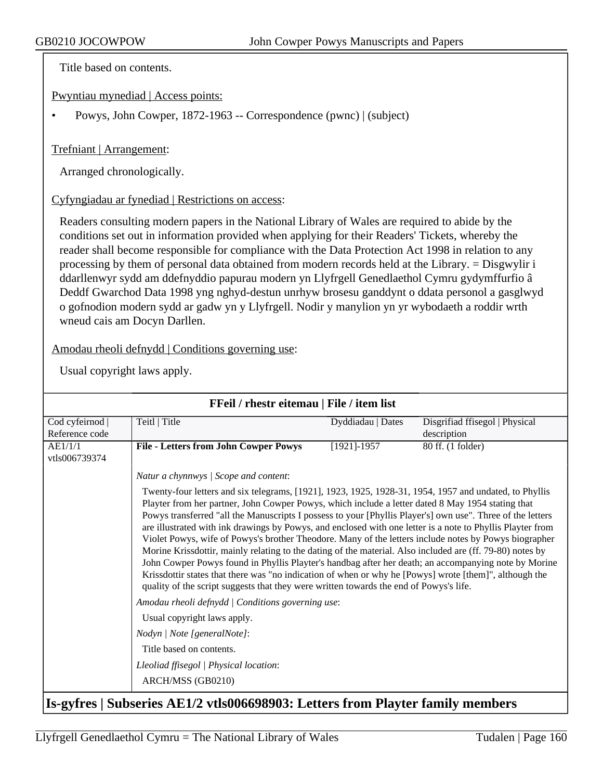Title based on contents.

Pwyntiau mynediad | Access points:

• Powys, John Cowper, 1872-1963 -- Correspondence (pwnc) | (subject)

#### Trefniant | Arrangement:

Arranged chronologically.

#### Cyfyngiadau ar fynediad | Restrictions on access:

Readers consulting modern papers in the National Library of Wales are required to abide by the conditions set out in information provided when applying for their Readers' Tickets, whereby the reader shall become responsible for compliance with the Data Protection Act 1998 in relation to any processing by them of personal data obtained from modern records held at the Library. = Disgwylir i ddarllenwyr sydd am ddefnyddio papurau modern yn Llyfrgell Genedlaethol Cymru gydymffurfio â Deddf Gwarchod Data 1998 yng nghyd-destun unrhyw brosesu ganddynt o ddata personol a gasglwyd o gofnodion modern sydd ar gadw yn y Llyfrgell. Nodir y manylion yn yr wybodaeth a roddir wrth wneud cais am Docyn Darllen.

Amodau rheoli defnydd | Conditions governing use:

| Cod cyfeirnod  <br>Reference code | Teitl   Title                                                                                                                                                                                                                                                                                                                                                                                                                                                                                                                                                                                                                                                                                                                                                                                                                                                                                                                                                             | Dyddiadau   Dates | Disgrifiad ffisegol   Physical<br>description |  |
|-----------------------------------|---------------------------------------------------------------------------------------------------------------------------------------------------------------------------------------------------------------------------------------------------------------------------------------------------------------------------------------------------------------------------------------------------------------------------------------------------------------------------------------------------------------------------------------------------------------------------------------------------------------------------------------------------------------------------------------------------------------------------------------------------------------------------------------------------------------------------------------------------------------------------------------------------------------------------------------------------------------------------|-------------------|-----------------------------------------------|--|
| AE1/1/1<br>vtls006739374          | <b>File - Letters from John Cowper Powys</b>                                                                                                                                                                                                                                                                                                                                                                                                                                                                                                                                                                                                                                                                                                                                                                                                                                                                                                                              | $[1921] - 1957$   | 80 ff. (1 folder)                             |  |
|                                   | Natur a chynnwys / Scope and content:                                                                                                                                                                                                                                                                                                                                                                                                                                                                                                                                                                                                                                                                                                                                                                                                                                                                                                                                     |                   |                                               |  |
|                                   | Twenty-four letters and six telegrams, [1921], 1923, 1925, 1928-31, 1954, 1957 and undated, to Phyllis<br>Playter from her partner, John Cowper Powys, which include a letter dated 8 May 1954 stating that<br>Powys transferred "all the Manuscripts I possess to your [Phyllis Player's] own use". Three of the letters<br>are illustrated with ink drawings by Powys, and enclosed with one letter is a note to Phyllis Playter from<br>Violet Powys, wife of Powys's brother Theodore. Many of the letters include notes by Powys biographer<br>Morine Krissdottir, mainly relating to the dating of the material. Also included are (ff. 79-80) notes by<br>John Cowper Powys found in Phyllis Playter's handbag after her death; an accompanying note by Morine<br>Krissdottir states that there was "no indication of when or why he [Powys] wrote [them]", although the<br>quality of the script suggests that they were written towards the end of Powys's life. |                   |                                               |  |
|                                   | Amodau rheoli defnydd   Conditions governing use:                                                                                                                                                                                                                                                                                                                                                                                                                                                                                                                                                                                                                                                                                                                                                                                                                                                                                                                         |                   |                                               |  |
|                                   | Usual copyright laws apply.                                                                                                                                                                                                                                                                                                                                                                                                                                                                                                                                                                                                                                                                                                                                                                                                                                                                                                                                               |                   |                                               |  |
|                                   | Nodyn   Note [generalNote]:                                                                                                                                                                                                                                                                                                                                                                                                                                                                                                                                                                                                                                                                                                                                                                                                                                                                                                                                               |                   |                                               |  |
|                                   | Title based on contents.                                                                                                                                                                                                                                                                                                                                                                                                                                                                                                                                                                                                                                                                                                                                                                                                                                                                                                                                                  |                   |                                               |  |
|                                   | Lleoliad ffisegol   Physical location:                                                                                                                                                                                                                                                                                                                                                                                                                                                                                                                                                                                                                                                                                                                                                                                                                                                                                                                                    |                   |                                               |  |
|                                   | ARCH/MSS (GB0210)                                                                                                                                                                                                                                                                                                                                                                                                                                                                                                                                                                                                                                                                                                                                                                                                                                                                                                                                                         |                   |                                               |  |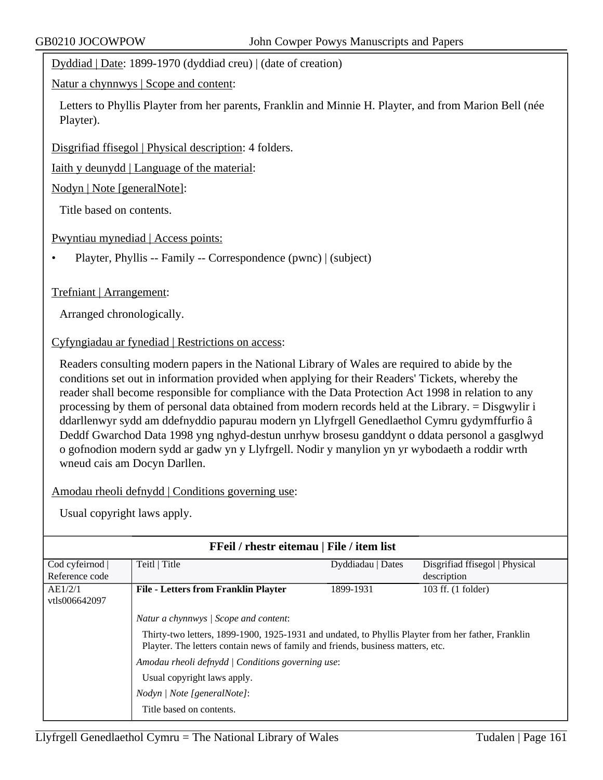Dyddiad | Date: 1899-1970 (dyddiad creu) | (date of creation)

Natur a chynnwys | Scope and content:

Letters to Phyllis Playter from her parents, Franklin and Minnie H. Playter, and from Marion Bell (née Playter).

Disgrifiad ffisegol | Physical description: 4 folders.

Iaith y deunydd | Language of the material:

Nodyn | Note [generalNote]:

Title based on contents.

Pwyntiau mynediad | Access points:

• Playter, Phyllis -- Family -- Correspondence (pwnc) | (subject)

#### Trefniant | Arrangement:

Arranged chronologically.

#### Cyfyngiadau ar fynediad | Restrictions on access:

Readers consulting modern papers in the National Library of Wales are required to abide by the conditions set out in information provided when applying for their Readers' Tickets, whereby the reader shall become responsible for compliance with the Data Protection Act 1998 in relation to any processing by them of personal data obtained from modern records held at the Library. = Disgwylir i ddarllenwyr sydd am ddefnyddio papurau modern yn Llyfrgell Genedlaethol Cymru gydymffurfio â Deddf Gwarchod Data 1998 yng nghyd-destun unrhyw brosesu ganddynt o ddata personol a gasglwyd o gofnodion modern sydd ar gadw yn y Llyfrgell. Nodir y manylion yn yr wybodaeth a roddir wrth wneud cais am Docyn Darllen.

Amodau rheoli defnydd | Conditions governing use:

|                          | FFeil / rhestr eitemau   File / item list                                                                                                                                             |                   |                                |
|--------------------------|---------------------------------------------------------------------------------------------------------------------------------------------------------------------------------------|-------------------|--------------------------------|
| Cod cyfeirnod            | Teitl   Title                                                                                                                                                                         | Dyddiadau   Dates | Disgrifiad ffisegol   Physical |
| Reference code           |                                                                                                                                                                                       |                   | description                    |
| AE1/2/1<br>vtls006642097 | <b>File - Letters from Franklin Playter</b>                                                                                                                                           | 1899-1931         | 103 ff. (1 folder)             |
|                          |                                                                                                                                                                                       |                   |                                |
|                          | Natur a chynnwys / Scope and content:                                                                                                                                                 |                   |                                |
|                          | Thirty-two letters, 1899-1900, 1925-1931 and undated, to Phyllis Playter from her father, Franklin<br>Playter. The letters contain news of family and friends, business matters, etc. |                   |                                |
|                          | Amodau rheoli defnydd   Conditions governing use:                                                                                                                                     |                   |                                |
|                          | Usual copyright laws apply.                                                                                                                                                           |                   |                                |
|                          | Nodyn   Note [generalNote]:                                                                                                                                                           |                   |                                |
|                          | Title based on contents.                                                                                                                                                              |                   |                                |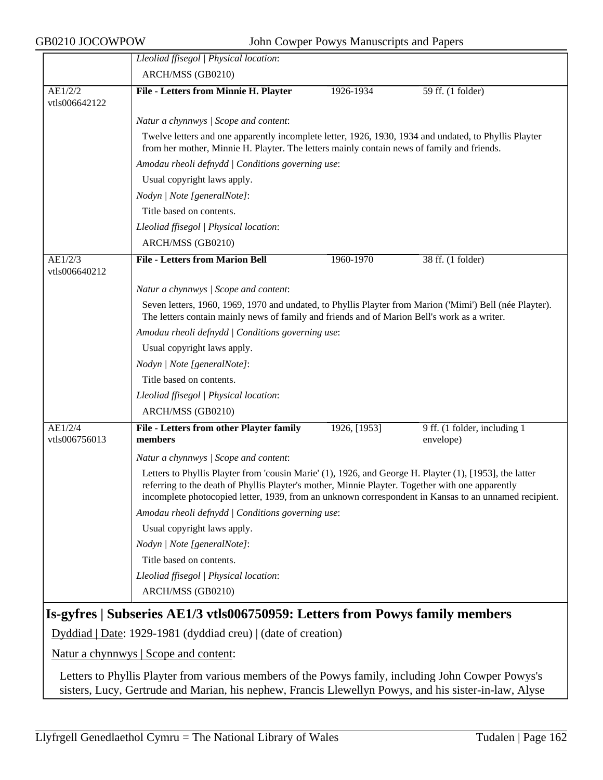|               | Lleoliad ffisegol   Physical location:                                                                                                                                                                                                                                                                               |              |                              |  |
|---------------|----------------------------------------------------------------------------------------------------------------------------------------------------------------------------------------------------------------------------------------------------------------------------------------------------------------------|--------------|------------------------------|--|
|               | ARCH/MSS (GB0210)                                                                                                                                                                                                                                                                                                    |              |                              |  |
| AE1/2/2       | File - Letters from Minnie H. Playter                                                                                                                                                                                                                                                                                | 1926-1934    | 59 ff. (1 folder)            |  |
| vtls006642122 |                                                                                                                                                                                                                                                                                                                      |              |                              |  |
|               | Natur a chynnwys / Scope and content:                                                                                                                                                                                                                                                                                |              |                              |  |
|               | Twelve letters and one apparently incomplete letter, 1926, 1930, 1934 and undated, to Phyllis Playter<br>from her mother, Minnie H. Playter. The letters mainly contain news of family and friends.                                                                                                                  |              |                              |  |
|               | Amodau rheoli defnydd   Conditions governing use:                                                                                                                                                                                                                                                                    |              |                              |  |
|               | Usual copyright laws apply.                                                                                                                                                                                                                                                                                          |              |                              |  |
|               | Nodyn   Note [generalNote]:                                                                                                                                                                                                                                                                                          |              |                              |  |
|               | Title based on contents.                                                                                                                                                                                                                                                                                             |              |                              |  |
|               | Lleoliad ffisegol   Physical location:                                                                                                                                                                                                                                                                               |              |                              |  |
|               | ARCH/MSS (GB0210)                                                                                                                                                                                                                                                                                                    |              |                              |  |
| AE1/2/3       | <b>File - Letters from Marion Bell</b>                                                                                                                                                                                                                                                                               | 1960-1970    | 38 ff. (1 folder)            |  |
| vtls006640212 |                                                                                                                                                                                                                                                                                                                      |              |                              |  |
|               | Natur a chynnwys / Scope and content:                                                                                                                                                                                                                                                                                |              |                              |  |
|               | Seven letters, 1960, 1969, 1970 and undated, to Phyllis Playter from Marion ('Mimi') Bell (née Playter).<br>The letters contain mainly news of family and friends and of Marion Bell's work as a writer.                                                                                                             |              |                              |  |
|               | Amodau rheoli defnydd   Conditions governing use:                                                                                                                                                                                                                                                                    |              |                              |  |
|               | Usual copyright laws apply.                                                                                                                                                                                                                                                                                          |              |                              |  |
|               | Nodyn   Note [generalNote]:                                                                                                                                                                                                                                                                                          |              |                              |  |
|               | Title based on contents.                                                                                                                                                                                                                                                                                             |              |                              |  |
|               | Lleoliad ffisegol   Physical location:                                                                                                                                                                                                                                                                               |              |                              |  |
|               | ARCH/MSS (GB0210)                                                                                                                                                                                                                                                                                                    |              |                              |  |
| AE1/2/4       | File - Letters from other Playter family                                                                                                                                                                                                                                                                             | 1926, [1953] | 9 ff. (1 folder, including 1 |  |
| vtls006756013 | members                                                                                                                                                                                                                                                                                                              |              | envelope)                    |  |
|               | Natur a chynnwys / Scope and content:                                                                                                                                                                                                                                                                                |              |                              |  |
|               | Letters to Phyllis Playter from 'cousin Marie' (1), 1926, and George H. Playter (1), [1953], the latter<br>referring to the death of Phyllis Playter's mother, Minnie Playter. Together with one apparently<br>incomplete photocopied letter, 1939, from an unknown correspondent in Kansas to an unnamed recipient. |              |                              |  |
|               | Amodau rheoli defnydd   Conditions governing use:                                                                                                                                                                                                                                                                    |              |                              |  |
|               | Usual copyright laws apply.                                                                                                                                                                                                                                                                                          |              |                              |  |
|               | Nodyn   Note [generalNote]:                                                                                                                                                                                                                                                                                          |              |                              |  |
|               | Title based on contents.                                                                                                                                                                                                                                                                                             |              |                              |  |
|               | Lleoliad ffisegol   Physical location:                                                                                                                                                                                                                                                                               |              |                              |  |
|               | ARCH/MSS (GB0210)                                                                                                                                                                                                                                                                                                    |              |                              |  |
|               | Is-gyfres   Subseries AE1/3 vtls006750959: Letters from Powys family members                                                                                                                                                                                                                                         |              |                              |  |
|               | Dyddiad   Date: 1929-1981 (dyddiad creu)   (date of creation)                                                                                                                                                                                                                                                        |              |                              |  |
|               | <u>Natur a chynnwys</u>   Scope and content:                                                                                                                                                                                                                                                                         |              |                              |  |
|               | Letters to Phyllis Playter from various members of the Powys family, including John Cowper Powys's                                                                                                                                                                                                                   |              |                              |  |

sisters, Lucy, Gertrude and Marian, his nephew, Francis Llewellyn Powys, and his sister-in-law, Alyse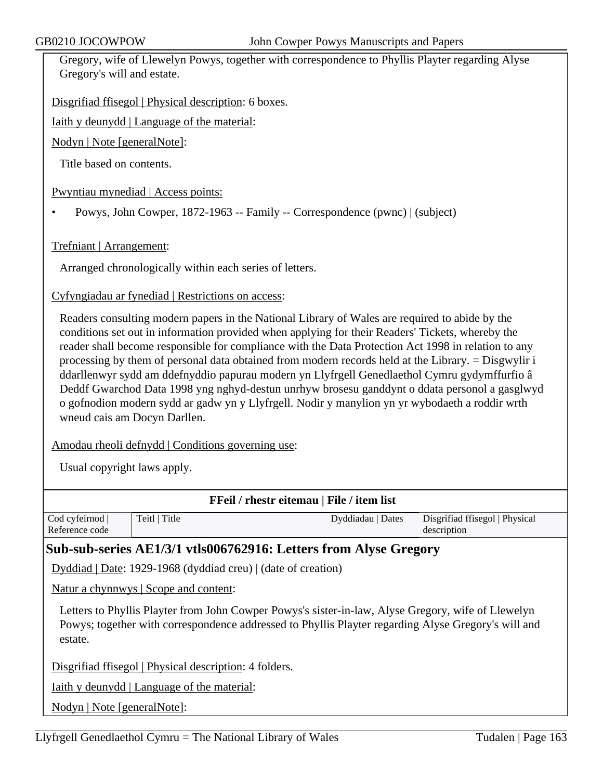Gregory, wife of Llewelyn Powys, together with correspondence to Phyllis Playter regarding Alyse Gregory's will and estate.

Disgrifiad ffisegol | Physical description: 6 boxes.

Iaith y deunydd | Language of the material:

Nodyn | Note [generalNote]:

Title based on contents.

Pwyntiau mynediad | Access points:

• Powys, John Cowper, 1872-1963 -- Family -- Correspondence (pwnc) | (subject)

Trefniant | Arrangement:

Arranged chronologically within each series of letters.

Cyfyngiadau ar fynediad | Restrictions on access:

Readers consulting modern papers in the National Library of Wales are required to abide by the conditions set out in information provided when applying for their Readers' Tickets, whereby the reader shall become responsible for compliance with the Data Protection Act 1998 in relation to any processing by them of personal data obtained from modern records held at the Library. = Disgwylir i ddarllenwyr sydd am ddefnyddio papurau modern yn Llyfrgell Genedlaethol Cymru gydymffurfio â Deddf Gwarchod Data 1998 yng nghyd-destun unrhyw brosesu ganddynt o ddata personol a gasglwyd o gofnodion modern sydd ar gadw yn y Llyfrgell. Nodir y manylion yn yr wybodaeth a roddir wrth wneud cais am Docyn Darllen.

Amodau rheoli defnydd | Conditions governing use:

Usual copyright laws apply.

|                |                                                        | FFeil / rhestr eitemau   File / item list                                                           |                                |
|----------------|--------------------------------------------------------|-----------------------------------------------------------------------------------------------------|--------------------------------|
| Cod cyfeirnod  | Teitl   Title                                          | Dyddiadau   Dates                                                                                   | Disgrifiad ffisegol   Physical |
| Reference code |                                                        |                                                                                                     | description                    |
|                |                                                        | Sub-sub-series AE1/3/1 vtls006762916: Letters from Alyse Gregory                                    |                                |
|                |                                                        | Dyddiad   Date: 1929-1968 (dyddiad creu)   (date of creation)                                       |                                |
|                | <u>Natur a chynnwys</u>   Scope and content:           |                                                                                                     |                                |
|                |                                                        | Letters to Phyllis Playter from John Cowper Powys's sister-in-law, Alyse Gregory, wife of Llewelyn  |                                |
| estate.        |                                                        | Powys; together with correspondence addressed to Phyllis Playter regarding Alyse Gregory's will and |                                |
|                | $Disorified$ fiseral   Physical description: 4 folders |                                                                                                     |                                |

ad f<u>fisegol | Physical description</u>:

Iaith y deunydd | Language of the material:

Nodyn | Note [generalNote]: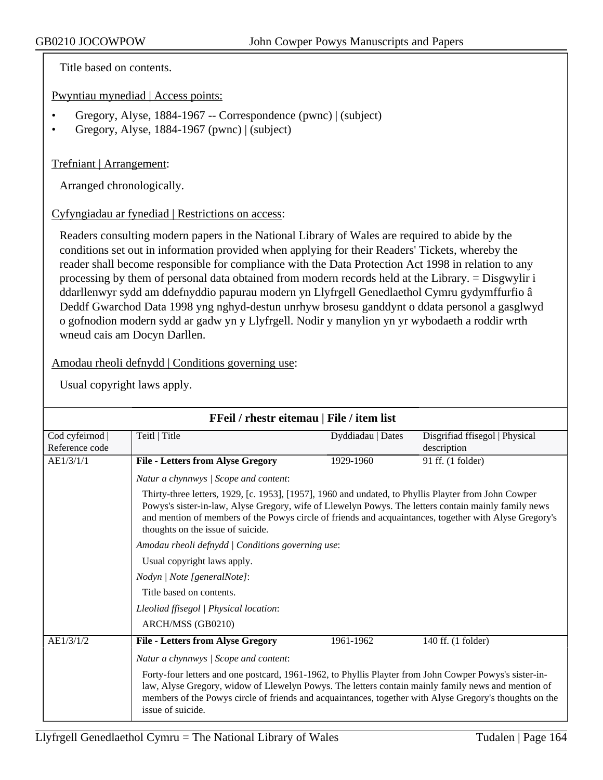Title based on contents.

Pwyntiau mynediad | Access points:

- Gregory, Alyse, 1884-1967 -- Correspondence (pwnc) | (subject)
- Gregory, Alyse, 1884-1967 (pwnc) | (subject)

#### Trefniant | Arrangement:

Arranged chronologically.

Cyfyngiadau ar fynediad | Restrictions on access:

Readers consulting modern papers in the National Library of Wales are required to abide by the conditions set out in information provided when applying for their Readers' Tickets, whereby the reader shall become responsible for compliance with the Data Protection Act 1998 in relation to any processing by them of personal data obtained from modern records held at the Library. = Disgwylir i ddarllenwyr sydd am ddefnyddio papurau modern yn Llyfrgell Genedlaethol Cymru gydymffurfio â Deddf Gwarchod Data 1998 yng nghyd-destun unrhyw brosesu ganddynt o ddata personol a gasglwyd o gofnodion modern sydd ar gadw yn y Llyfrgell. Nodir y manylion yn yr wybodaeth a roddir wrth wneud cais am Docyn Darllen.

Amodau rheoli defnydd | Conditions governing use:

|                                 | FFeil / rhestr eitemau   File / item list                                                                                                                                                                                                                                                                                                                                             |                   |                                               |  |
|---------------------------------|---------------------------------------------------------------------------------------------------------------------------------------------------------------------------------------------------------------------------------------------------------------------------------------------------------------------------------------------------------------------------------------|-------------------|-----------------------------------------------|--|
| Cod cyfeirnod<br>Reference code | Teitl   Title                                                                                                                                                                                                                                                                                                                                                                         | Dyddiadau   Dates | Disgrifiad ffisegol   Physical<br>description |  |
| AE1/3/1/1                       | <b>File - Letters from Alyse Gregory</b>                                                                                                                                                                                                                                                                                                                                              | 1929-1960         | 91 ff. (1 folder)                             |  |
|                                 | Natur a chynnwys / Scope and content:                                                                                                                                                                                                                                                                                                                                                 |                   |                                               |  |
|                                 | Thirty-three letters, 1929, [c. 1953], [1957], 1960 and undated, to Phyllis Playter from John Cowper<br>Powys's sister-in-law, Alyse Gregory, wife of Llewelyn Powys. The letters contain mainly family news<br>and mention of members of the Powys circle of friends and acquaintances, together with Alyse Gregory's<br>thoughts on the issue of suicide.                           |                   |                                               |  |
|                                 | Amodau rheoli defnydd   Conditions governing use:                                                                                                                                                                                                                                                                                                                                     |                   |                                               |  |
|                                 | Usual copyright laws apply.                                                                                                                                                                                                                                                                                                                                                           |                   |                                               |  |
|                                 | Nodyn   Note [generalNote]:                                                                                                                                                                                                                                                                                                                                                           |                   |                                               |  |
|                                 | Title based on contents.                                                                                                                                                                                                                                                                                                                                                              |                   |                                               |  |
|                                 | Lleoliad ffisegol   Physical location:                                                                                                                                                                                                                                                                                                                                                |                   |                                               |  |
|                                 | ARCH/MSS (GB0210)                                                                                                                                                                                                                                                                                                                                                                     |                   |                                               |  |
| AE1/3/1/2                       | <b>File - Letters from Alyse Gregory</b>                                                                                                                                                                                                                                                                                                                                              | 1961-1962         | 140 ff. (1 folder)                            |  |
|                                 | Natur a chynnwys / Scope and content:<br>Forty-four letters and one postcard, 1961-1962, to Phyllis Playter from John Cowper Powys's sister-in-<br>law, Alyse Gregory, widow of Llewelyn Powys. The letters contain mainly family news and mention of<br>members of the Powys circle of friends and acquaintances, together with Alyse Gregory's thoughts on the<br>issue of suicide. |                   |                                               |  |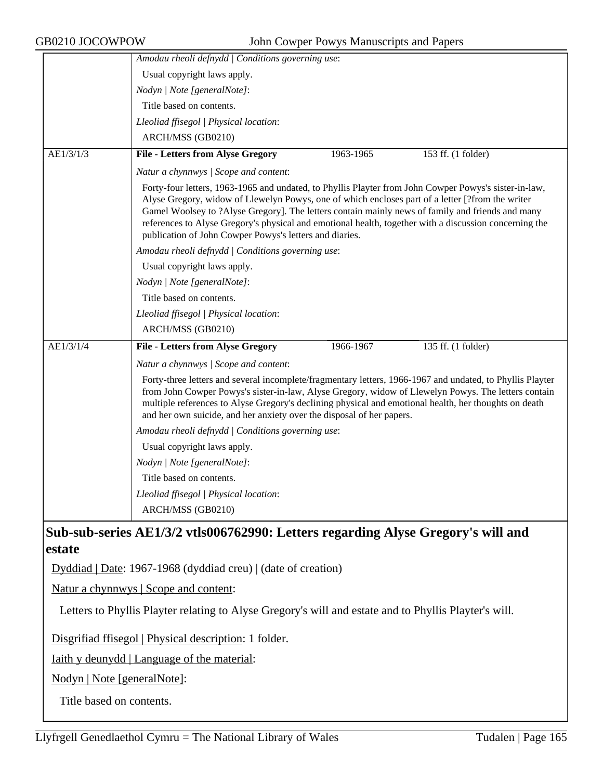|                             | Amodau rheoli defnydd   Conditions governing use:                                                                                                                                                                                                                                                                                                                                                                                                                                  |
|-----------------------------|------------------------------------------------------------------------------------------------------------------------------------------------------------------------------------------------------------------------------------------------------------------------------------------------------------------------------------------------------------------------------------------------------------------------------------------------------------------------------------|
|                             | Usual copyright laws apply.                                                                                                                                                                                                                                                                                                                                                                                                                                                        |
|                             | Nodyn   Note [generalNote]:                                                                                                                                                                                                                                                                                                                                                                                                                                                        |
|                             | Title based on contents.                                                                                                                                                                                                                                                                                                                                                                                                                                                           |
|                             | Lleoliad ffisegol   Physical location:                                                                                                                                                                                                                                                                                                                                                                                                                                             |
|                             | ARCH/MSS (GB0210)                                                                                                                                                                                                                                                                                                                                                                                                                                                                  |
| AE1/3/1/3                   | <b>File - Letters from Alyse Gregory</b><br>153 ff. (1 folder)<br>1963-1965                                                                                                                                                                                                                                                                                                                                                                                                        |
|                             | Natur a chynnwys / Scope and content:                                                                                                                                                                                                                                                                                                                                                                                                                                              |
|                             | Forty-four letters, 1963-1965 and undated, to Phyllis Playter from John Cowper Powys's sister-in-law,<br>Alyse Gregory, widow of Llewelyn Powys, one of which encloses part of a letter [?from the writer<br>Gamel Woolsey to ?Alyse Gregory]. The letters contain mainly news of family and friends and many<br>references to Alyse Gregory's physical and emotional health, together with a discussion concerning the<br>publication of John Cowper Powys's letters and diaries. |
|                             | Amodau rheoli defnydd   Conditions governing use:                                                                                                                                                                                                                                                                                                                                                                                                                                  |
|                             | Usual copyright laws apply.                                                                                                                                                                                                                                                                                                                                                                                                                                                        |
|                             | Nodyn   Note [generalNote]:                                                                                                                                                                                                                                                                                                                                                                                                                                                        |
|                             | Title based on contents.                                                                                                                                                                                                                                                                                                                                                                                                                                                           |
|                             | Lleoliad ffisegol   Physical location:                                                                                                                                                                                                                                                                                                                                                                                                                                             |
|                             | ARCH/MSS (GB0210)                                                                                                                                                                                                                                                                                                                                                                                                                                                                  |
| AE1/3/1/4                   | <b>File - Letters from Alyse Gregory</b><br>1966-1967<br>135 ff. (1 folder)                                                                                                                                                                                                                                                                                                                                                                                                        |
|                             | Natur a chynnwys / Scope and content:                                                                                                                                                                                                                                                                                                                                                                                                                                              |
|                             | Forty-three letters and several incomplete/fragmentary letters, 1966-1967 and undated, to Phyllis Playter<br>from John Cowper Powys's sister-in-law, Alyse Gregory, widow of Llewelyn Powys. The letters contain<br>multiple references to Alyse Gregory's declining physical and emotional health, her thoughts on death<br>and her own suicide, and her anxiety over the disposal of her papers.                                                                                 |
|                             | Amodau rheoli defnydd   Conditions governing use:                                                                                                                                                                                                                                                                                                                                                                                                                                  |
|                             | Usual copyright laws apply.                                                                                                                                                                                                                                                                                                                                                                                                                                                        |
|                             | Nodyn   Note [generalNote]:                                                                                                                                                                                                                                                                                                                                                                                                                                                        |
|                             | Title based on contents.                                                                                                                                                                                                                                                                                                                                                                                                                                                           |
|                             | Lleoliad ffisegol   Physical location:                                                                                                                                                                                                                                                                                                                                                                                                                                             |
|                             | ARCH/MSS (GB0210)                                                                                                                                                                                                                                                                                                                                                                                                                                                                  |
| estate                      | Sub-sub-series AE1/3/2 vtls006762990: Letters regarding Alyse Gregory's will and                                                                                                                                                                                                                                                                                                                                                                                                   |
|                             | Dyddiad   Date: 1967-1968 (dyddiad creu)   (date of creation)                                                                                                                                                                                                                                                                                                                                                                                                                      |
|                             | Natur a chynnwys   Scope and content:                                                                                                                                                                                                                                                                                                                                                                                                                                              |
|                             | Letters to Phyllis Playter relating to Alyse Gregory's will and estate and to Phyllis Playter's will.                                                                                                                                                                                                                                                                                                                                                                              |
|                             | Disgrifiad ffisegol   Physical description: 1 folder.                                                                                                                                                                                                                                                                                                                                                                                                                              |
|                             | <u>Iaith y deunydd   Language of the material:</u>                                                                                                                                                                                                                                                                                                                                                                                                                                 |
| Nodyn   Note [generalNote]: |                                                                                                                                                                                                                                                                                                                                                                                                                                                                                    |

Title based on contents.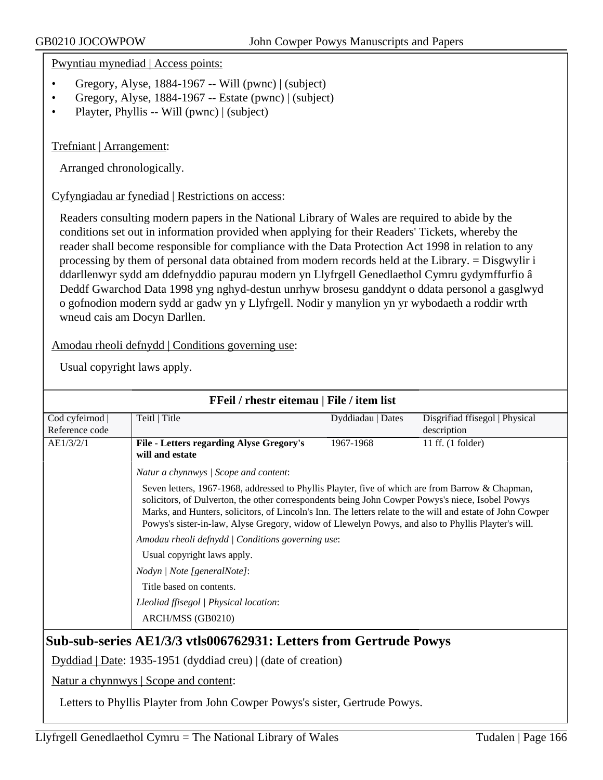Pwyntiau mynediad | Access points:

- Gregory, Alyse, 1884-1967 -- Will (pwnc) | (subject)
- Gregory, Alyse, 1884-1967 -- Estate (pwnc) | (subject)
- Playter, Phyllis -- Will (pwnc) | (subject)

Trefniant | Arrangement:

Arranged chronologically.

#### Cyfyngiadau ar fynediad | Restrictions on access:

Readers consulting modern papers in the National Library of Wales are required to abide by the conditions set out in information provided when applying for their Readers' Tickets, whereby the reader shall become responsible for compliance with the Data Protection Act 1998 in relation to any processing by them of personal data obtained from modern records held at the Library. = Disgwylir i ddarllenwyr sydd am ddefnyddio papurau modern yn Llyfrgell Genedlaethol Cymru gydymffurfio â Deddf Gwarchod Data 1998 yng nghyd-destun unrhyw brosesu ganddynt o ddata personol a gasglwyd o gofnodion modern sydd ar gadw yn y Llyfrgell. Nodir y manylion yn yr wybodaeth a roddir wrth wneud cais am Docyn Darllen.

Amodau rheoli defnydd | Conditions governing use:

Usual copyright laws apply.

| Cod cyfeirnod  | Teitl   Title                                                                                                                                                                                                                                                                                                                                                                                                            | Dyddiadau   Dates                                 | Disgrifiad ffisegol   Physical |  |
|----------------|--------------------------------------------------------------------------------------------------------------------------------------------------------------------------------------------------------------------------------------------------------------------------------------------------------------------------------------------------------------------------------------------------------------------------|---------------------------------------------------|--------------------------------|--|
| Reference code |                                                                                                                                                                                                                                                                                                                                                                                                                          |                                                   | description                    |  |
| AE1/3/2/1      | File - Letters regarding Alyse Gregory's<br>will and estate                                                                                                                                                                                                                                                                                                                                                              | 1967-1968                                         | 11 ff. $(1$ folder)            |  |
|                | Natur a chynnwys   Scope and content:                                                                                                                                                                                                                                                                                                                                                                                    |                                                   |                                |  |
|                | Seven letters, 1967-1968, addressed to Phyllis Playter, five of which are from Barrow & Chapman,<br>solicitors, of Dulverton, the other correspondents being John Cowper Powys's niece, Isobel Powys<br>Marks, and Hunters, solicitors, of Lincoln's Inn. The letters relate to the will and estate of John Cowper<br>Powys's sister-in-law, Alyse Gregory, widow of Llewelyn Powys, and also to Phyllis Playter's will. |                                                   |                                |  |
|                |                                                                                                                                                                                                                                                                                                                                                                                                                          | Amodau rheoli defnydd   Conditions governing use: |                                |  |
|                | Usual copyright laws apply.                                                                                                                                                                                                                                                                                                                                                                                              |                                                   |                                |  |
|                | Nodyn   Note [generalNote]:                                                                                                                                                                                                                                                                                                                                                                                              |                                                   |                                |  |
|                | Title based on contents.                                                                                                                                                                                                                                                                                                                                                                                                 |                                                   |                                |  |
|                | Lleoliad ffisegol   Physical location:                                                                                                                                                                                                                                                                                                                                                                                   |                                                   |                                |  |
|                | ARCH/MSS (GB0210)                                                                                                                                                                                                                                                                                                                                                                                                        |                                                   |                                |  |

Dyddiad | Date: 1935-1951 (dyddiad creu) | (date of creation)

Natur a chynnwys | Scope and content:

Letters to Phyllis Playter from John Cowper Powys's sister, Gertrude Powys.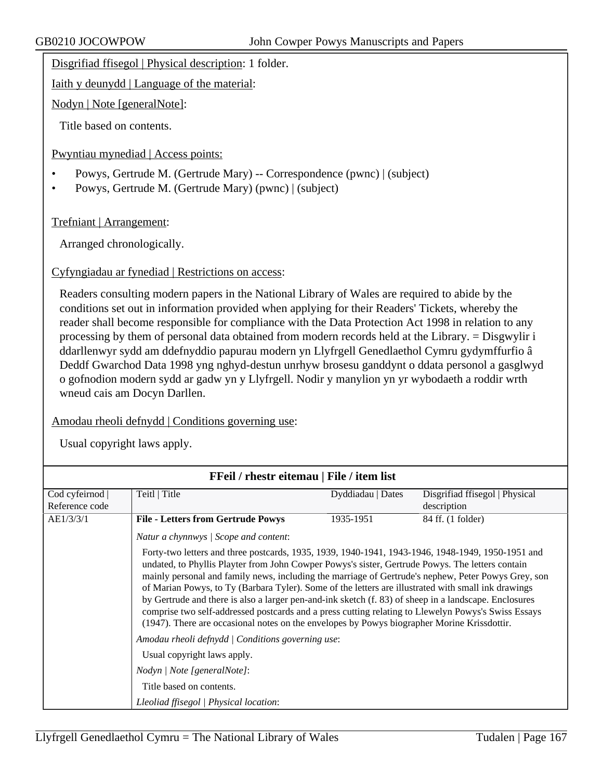Disgrifiad ffisegol | Physical description: 1 folder.

Iaith y deunydd | Language of the material:

Nodyn | Note [generalNote]:

Title based on contents.

Pwyntiau mynediad | Access points:

- Powys, Gertrude M. (Gertrude Mary) -- Correspondence (pwnc) | (subject)
- Powys, Gertrude M. (Gertrude Mary) (pwnc) | (subject)

Trefniant | Arrangement:

Arranged chronologically.

Cyfyngiadau ar fynediad | Restrictions on access:

Readers consulting modern papers in the National Library of Wales are required to abide by the conditions set out in information provided when applying for their Readers' Tickets, whereby the reader shall become responsible for compliance with the Data Protection Act 1998 in relation to any processing by them of personal data obtained from modern records held at the Library. = Disgwylir i ddarllenwyr sydd am ddefnyddio papurau modern yn Llyfrgell Genedlaethol Cymru gydymffurfio â Deddf Gwarchod Data 1998 yng nghyd-destun unrhyw brosesu ganddynt o ddata personol a gasglwyd o gofnodion modern sydd ar gadw yn y Llyfrgell. Nodir y manylion yn yr wybodaeth a roddir wrth wneud cais am Docyn Darllen.

Amodau rheoli defnydd | Conditions governing use:

|                | FFeil / rhestr eitemau   File / item list                                                                                                                                                                                                                                                                                                                                                                                                                                                                                                                                                                                                                                                                                          |                   |                                |
|----------------|------------------------------------------------------------------------------------------------------------------------------------------------------------------------------------------------------------------------------------------------------------------------------------------------------------------------------------------------------------------------------------------------------------------------------------------------------------------------------------------------------------------------------------------------------------------------------------------------------------------------------------------------------------------------------------------------------------------------------------|-------------------|--------------------------------|
| Cod cyfeirnod  | Teitl   Title                                                                                                                                                                                                                                                                                                                                                                                                                                                                                                                                                                                                                                                                                                                      | Dyddiadau   Dates | Disgrifiad ffisegol   Physical |
| Reference code |                                                                                                                                                                                                                                                                                                                                                                                                                                                                                                                                                                                                                                                                                                                                    |                   | description                    |
| AE1/3/3/1      | <b>File - Letters from Gertrude Powys</b>                                                                                                                                                                                                                                                                                                                                                                                                                                                                                                                                                                                                                                                                                          | 1935-1951         | 84 ff. (1 folder)              |
|                | Natur a chynnwys / Scope and content:                                                                                                                                                                                                                                                                                                                                                                                                                                                                                                                                                                                                                                                                                              |                   |                                |
|                | Forty-two letters and three postcards, 1935, 1939, 1940-1941, 1943-1946, 1948-1949, 1950-1951 and<br>undated, to Phyllis Playter from John Cowper Powys's sister, Gertrude Powys. The letters contain<br>mainly personal and family news, including the marriage of Gertrude's nephew, Peter Powys Grey, son<br>of Marian Powys, to Ty (Barbara Tyler). Some of the letters are illustrated with small ink drawings<br>by Gertrude and there is also a larger pen-and-ink sketch (f. 83) of sheep in a landscape. Enclosures<br>comprise two self-addressed postcards and a press cutting relating to Llewelyn Powys's Swiss Essays<br>(1947). There are occasional notes on the envelopes by Powys biographer Morine Krissdottir. |                   |                                |
|                | Amodau rheoli defnydd   Conditions governing use:                                                                                                                                                                                                                                                                                                                                                                                                                                                                                                                                                                                                                                                                                  |                   |                                |
|                | Usual copyright laws apply.                                                                                                                                                                                                                                                                                                                                                                                                                                                                                                                                                                                                                                                                                                        |                   |                                |
|                | Nodyn   Note [generalNote]:                                                                                                                                                                                                                                                                                                                                                                                                                                                                                                                                                                                                                                                                                                        |                   |                                |
|                | Title based on contents.                                                                                                                                                                                                                                                                                                                                                                                                                                                                                                                                                                                                                                                                                                           |                   |                                |
|                | Lleoliad ffisegol   Physical location:                                                                                                                                                                                                                                                                                                                                                                                                                                                                                                                                                                                                                                                                                             |                   |                                |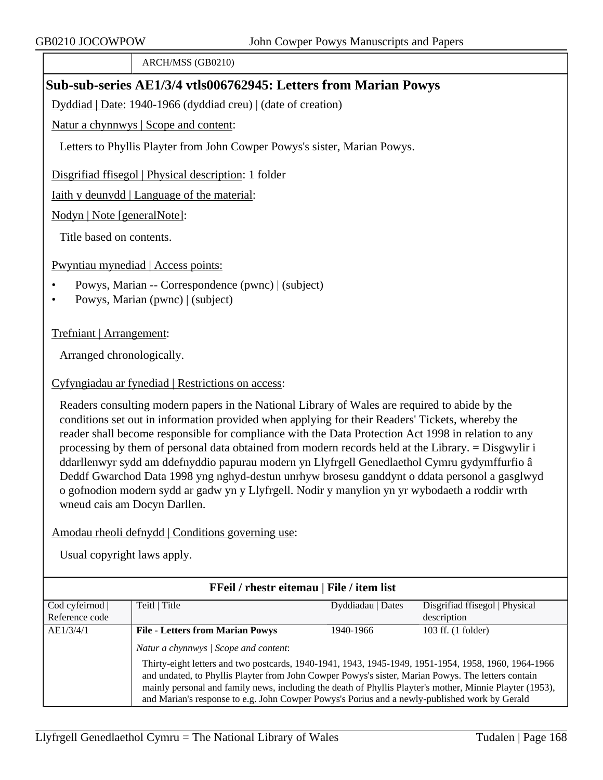ARCH/MSS (GB0210)

# **Sub-sub-series AE1/3/4 vtls006762945: Letters from Marian Powys**

Dyddiad | Date: 1940-1966 (dyddiad creu) | (date of creation)

Natur a chynnwys | Scope and content:

Letters to Phyllis Playter from John Cowper Powys's sister, Marian Powys.

Disgrifiad ffisegol | Physical description: 1 folder

Iaith y deunydd | Language of the material:

Nodyn | Note [generalNote]:

Title based on contents.

Pwyntiau mynediad | Access points:

- Powys, Marian -- Correspondence (pwnc) | (subject)
- Powys, Marian (pwnc) | (subject)

Trefniant | Arrangement:

Arranged chronologically.

Cyfyngiadau ar fynediad | Restrictions on access:

Readers consulting modern papers in the National Library of Wales are required to abide by the conditions set out in information provided when applying for their Readers' Tickets, whereby the reader shall become responsible for compliance with the Data Protection Act 1998 in relation to any processing by them of personal data obtained from modern records held at the Library. = Disgwylir i ddarllenwyr sydd am ddefnyddio papurau modern yn Llyfrgell Genedlaethol Cymru gydymffurfio â Deddf Gwarchod Data 1998 yng nghyd-destun unrhyw brosesu ganddynt o ddata personol a gasglwyd o gofnodion modern sydd ar gadw yn y Llyfrgell. Nodir y manylion yn yr wybodaeth a roddir wrth wneud cais am Docyn Darllen.

# Amodau rheoli defnydd | Conditions governing use:

|                | <b>FFeil</b> / rhestr eitemau   File / item list                                                                                                                                                                                                                                                                                                                                                                        |                   |                                |
|----------------|-------------------------------------------------------------------------------------------------------------------------------------------------------------------------------------------------------------------------------------------------------------------------------------------------------------------------------------------------------------------------------------------------------------------------|-------------------|--------------------------------|
| Cod cyfeirnod  | Teitl   Title                                                                                                                                                                                                                                                                                                                                                                                                           | Dyddiadau   Dates | Disgrifiad ffisegol   Physical |
| Reference code |                                                                                                                                                                                                                                                                                                                                                                                                                         |                   | description                    |
| AE1/3/4/1      | <b>File - Letters from Marian Powys</b>                                                                                                                                                                                                                                                                                                                                                                                 | 1940-1966         | 103 ff. (1 folder)             |
|                | Natur a chynnwys / Scope and content:                                                                                                                                                                                                                                                                                                                                                                                   |                   |                                |
|                | Thirty-eight letters and two postcards, 1940-1941, 1943, 1945-1949, 1951-1954, 1958, 1960, 1964-1966<br>and undated, to Phyllis Playter from John Cowper Powys's sister, Marian Powys. The letters contain<br>mainly personal and family news, including the death of Phyllis Playter's mother, Minnie Playter (1953),<br>and Marian's response to e.g. John Cowper Powys's Porius and a newly-published work by Gerald |                   |                                |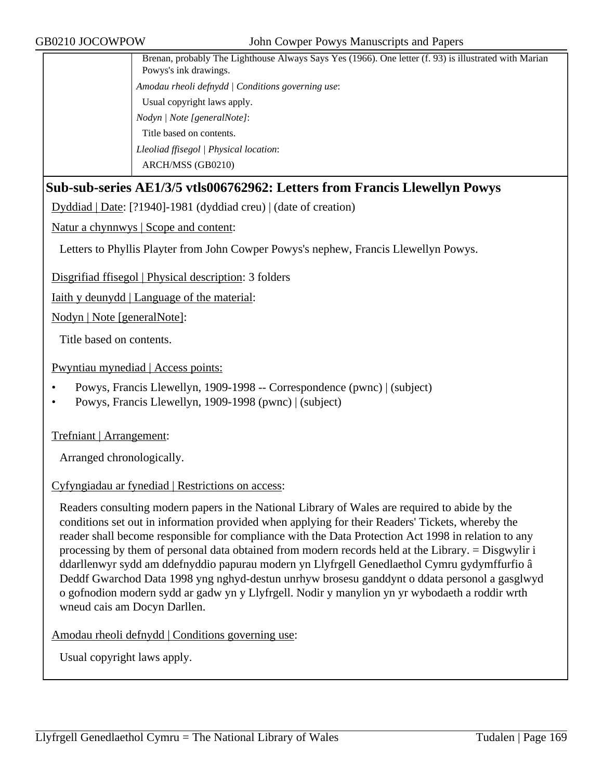| Brenan, probably The Lighthouse Always Says Yes (1966). One letter (f. 93) is illustrated with Marian<br>Powys's ink drawings. |
|--------------------------------------------------------------------------------------------------------------------------------|
| Amodau rheoli defnydd   Conditions governing use:                                                                              |
| Usual copyright laws apply.                                                                                                    |
| Nodyn / Note [generalNote]:                                                                                                    |
| Title based on contents.                                                                                                       |
| Lleoliad ffisegol   Physical location:                                                                                         |
| ARCH/MSS (GB0210)                                                                                                              |

## **Sub-sub-series AE1/3/5 vtls006762962: Letters from Francis Llewellyn Powys**

Dyddiad | Date: [?1940]-1981 (dyddiad creu) | (date of creation)

Natur a chynnwys | Scope and content:

Letters to Phyllis Playter from John Cowper Powys's nephew, Francis Llewellyn Powys.

Disgrifiad ffisegol | Physical description: 3 folders

Iaith y deunydd | Language of the material:

Nodyn | Note [generalNote]:

Title based on contents.

Pwyntiau mynediad | Access points:

- Powys, Francis Llewellyn, 1909-1998 -- Correspondence (pwnc) | (subject)
- Powys, Francis Llewellyn, 1909-1998 (pwnc) | (subject)

Trefniant | Arrangement:

Arranged chronologically.

#### Cyfyngiadau ar fynediad | Restrictions on access:

Readers consulting modern papers in the National Library of Wales are required to abide by the conditions set out in information provided when applying for their Readers' Tickets, whereby the reader shall become responsible for compliance with the Data Protection Act 1998 in relation to any processing by them of personal data obtained from modern records held at the Library. = Disgwylir i ddarllenwyr sydd am ddefnyddio papurau modern yn Llyfrgell Genedlaethol Cymru gydymffurfio â Deddf Gwarchod Data 1998 yng nghyd-destun unrhyw brosesu ganddynt o ddata personol a gasglwyd o gofnodion modern sydd ar gadw yn y Llyfrgell. Nodir y manylion yn yr wybodaeth a roddir wrth wneud cais am Docyn Darllen.

Amodau rheoli defnydd | Conditions governing use: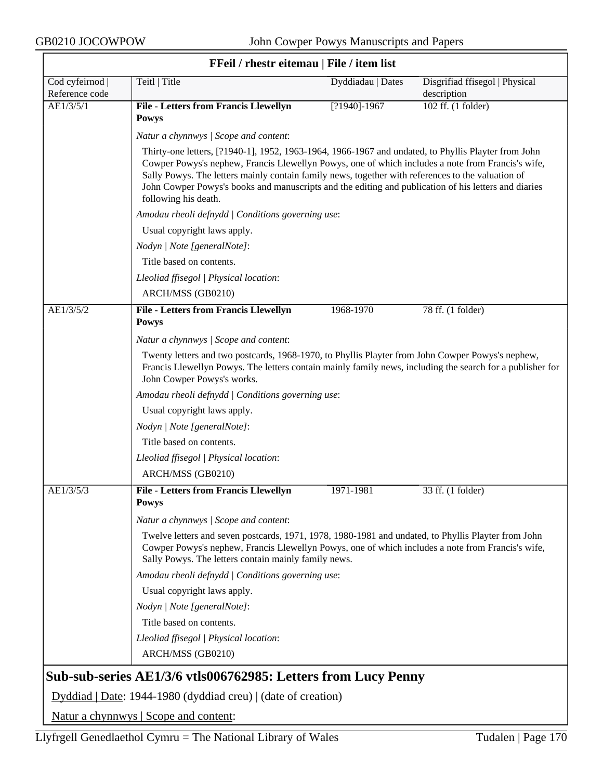$\overline{\phantom{a}}$ 

| FFeil / rhestr eitemau   File / item list |                                                                                                                                                                                                                                                                                                                                                                                                                                               |                   |                                               |  |
|-------------------------------------------|-----------------------------------------------------------------------------------------------------------------------------------------------------------------------------------------------------------------------------------------------------------------------------------------------------------------------------------------------------------------------------------------------------------------------------------------------|-------------------|-----------------------------------------------|--|
| Cod cyfeirnod  <br>Reference code         | Teitl   Title                                                                                                                                                                                                                                                                                                                                                                                                                                 | Dyddiadau   Dates | Disgrifiad ffisegol   Physical<br>description |  |
| AE1/3/5/1                                 | <b>File - Letters from Francis Llewellyn</b><br><b>Powys</b>                                                                                                                                                                                                                                                                                                                                                                                  | $[?1940] - 1967$  | 102 ff. (1 folder)                            |  |
|                                           | Natur a chynnwys / Scope and content:                                                                                                                                                                                                                                                                                                                                                                                                         |                   |                                               |  |
|                                           | Thirty-one letters, [?1940-1], 1952, 1963-1964, 1966-1967 and undated, to Phyllis Playter from John<br>Cowper Powys's nephew, Francis Llewellyn Powys, one of which includes a note from Francis's wife,<br>Sally Powys. The letters mainly contain family news, together with references to the valuation of<br>John Cowper Powys's books and manuscripts and the editing and publication of his letters and diaries<br>following his death. |                   |                                               |  |
|                                           | Amodau rheoli defnydd   Conditions governing use:                                                                                                                                                                                                                                                                                                                                                                                             |                   |                                               |  |
|                                           | Usual copyright laws apply.                                                                                                                                                                                                                                                                                                                                                                                                                   |                   |                                               |  |
|                                           | Nodyn   Note [generalNote]:                                                                                                                                                                                                                                                                                                                                                                                                                   |                   |                                               |  |
|                                           | Title based on contents.                                                                                                                                                                                                                                                                                                                                                                                                                      |                   |                                               |  |
|                                           | Lleoliad ffisegol   Physical location:<br>ARCH/MSS (GB0210)                                                                                                                                                                                                                                                                                                                                                                                   |                   |                                               |  |
| AE1/3/5/2                                 | <b>File - Letters from Francis Llewellyn</b><br><b>Powys</b>                                                                                                                                                                                                                                                                                                                                                                                  | 1968-1970         | 78 ff. (1 folder)                             |  |
|                                           | Natur a chynnwys / Scope and content:                                                                                                                                                                                                                                                                                                                                                                                                         |                   |                                               |  |
|                                           | Twenty letters and two postcards, 1968-1970, to Phyllis Playter from John Cowper Powys's nephew,<br>Francis Llewellyn Powys. The letters contain mainly family news, including the search for a publisher for<br>John Cowper Powys's works.                                                                                                                                                                                                   |                   |                                               |  |
|                                           | Amodau rheoli defnydd   Conditions governing use:                                                                                                                                                                                                                                                                                                                                                                                             |                   |                                               |  |
|                                           | Usual copyright laws apply.                                                                                                                                                                                                                                                                                                                                                                                                                   |                   |                                               |  |
|                                           | Nodyn   Note [generalNote]:                                                                                                                                                                                                                                                                                                                                                                                                                   |                   |                                               |  |
|                                           | Title based on contents.                                                                                                                                                                                                                                                                                                                                                                                                                      |                   |                                               |  |
|                                           | Lleoliad ffisegol   Physical location:                                                                                                                                                                                                                                                                                                                                                                                                        |                   |                                               |  |
|                                           | ARCH/MSS (GB0210)                                                                                                                                                                                                                                                                                                                                                                                                                             |                   |                                               |  |
| AE1/3/5/3                                 | <b>File - Letters from Francis Llewellyn</b><br><b>Powys</b>                                                                                                                                                                                                                                                                                                                                                                                  | 1971-1981         | 33 ff. (1 folder)                             |  |
|                                           | Natur a chynnwys / Scope and content:                                                                                                                                                                                                                                                                                                                                                                                                         |                   |                                               |  |
|                                           | Twelve letters and seven postcards, 1971, 1978, 1980-1981 and undated, to Phyllis Playter from John<br>Cowper Powys's nephew, Francis Llewellyn Powys, one of which includes a note from Francis's wife,<br>Sally Powys. The letters contain mainly family news.                                                                                                                                                                              |                   |                                               |  |
|                                           | Amodau rheoli defnydd   Conditions governing use:                                                                                                                                                                                                                                                                                                                                                                                             |                   |                                               |  |
|                                           | Usual copyright laws apply.                                                                                                                                                                                                                                                                                                                                                                                                                   |                   |                                               |  |
|                                           | Nodyn   Note [generalNote]:                                                                                                                                                                                                                                                                                                                                                                                                                   |                   |                                               |  |
|                                           | Title based on contents.                                                                                                                                                                                                                                                                                                                                                                                                                      |                   |                                               |  |
|                                           | Lleoliad ffisegol   Physical location:                                                                                                                                                                                                                                                                                                                                                                                                        |                   |                                               |  |
|                                           | ARCH/MSS (GB0210)                                                                                                                                                                                                                                                                                                                                                                                                                             |                   |                                               |  |
|                                           | Sub-sub-series AE1/3/6 vtls006762985: Letters from Lucy Penny                                                                                                                                                                                                                                                                                                                                                                                 |                   |                                               |  |
|                                           | Dyddiad   Date: 1944-1980 (dyddiad creu)   (date of creation)                                                                                                                                                                                                                                                                                                                                                                                 |                   |                                               |  |

Natur a chynnwys | Scope and content: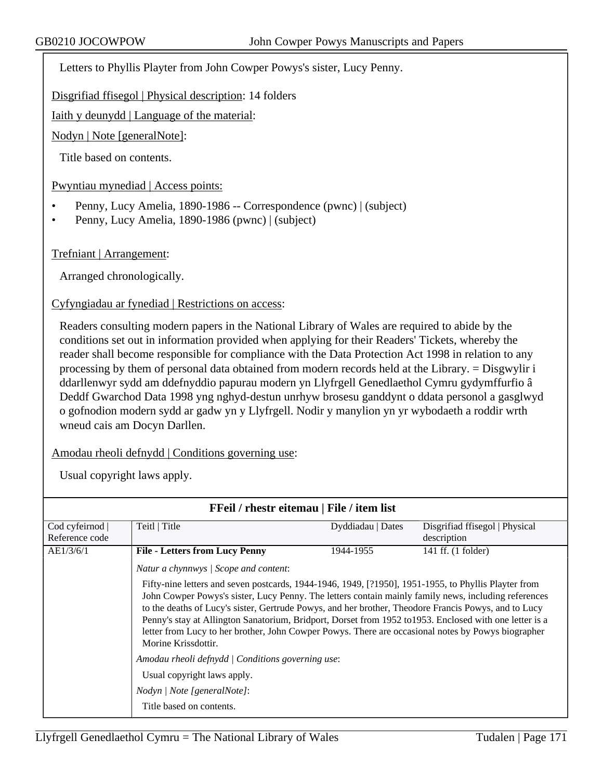Letters to Phyllis Playter from John Cowper Powys's sister, Lucy Penny.

Disgrifiad ffisegol | Physical description: 14 folders

Iaith y deunydd | Language of the material:

Nodyn | Note [generalNote]:

Title based on contents.

Pwyntiau mynediad | Access points:

- Penny, Lucy Amelia, 1890-1986 -- Correspondence (pwnc) | (subject)
- Penny, Lucy Amelia, 1890-1986 (pwnc) | (subject)

Trefniant | Arrangement:

Arranged chronologically.

Cyfyngiadau ar fynediad | Restrictions on access:

Readers consulting modern papers in the National Library of Wales are required to abide by the conditions set out in information provided when applying for their Readers' Tickets, whereby the reader shall become responsible for compliance with the Data Protection Act 1998 in relation to any processing by them of personal data obtained from modern records held at the Library. = Disgwylir i ddarllenwyr sydd am ddefnyddio papurau modern yn Llyfrgell Genedlaethol Cymru gydymffurfio â Deddf Gwarchod Data 1998 yng nghyd-destun unrhyw brosesu ganddynt o ddata personol a gasglwyd o gofnodion modern sydd ar gadw yn y Llyfrgell. Nodir y manylion yn yr wybodaeth a roddir wrth wneud cais am Docyn Darllen.

Amodau rheoli defnydd | Conditions governing use:

| FFeil / rhestr eitemau   File / item list                                                                                                                                                                                                                                                                                                                                                                                                                                                                                                                                                                                                                                                      |                                                                                                                                             |                   |                                               |
|------------------------------------------------------------------------------------------------------------------------------------------------------------------------------------------------------------------------------------------------------------------------------------------------------------------------------------------------------------------------------------------------------------------------------------------------------------------------------------------------------------------------------------------------------------------------------------------------------------------------------------------------------------------------------------------------|---------------------------------------------------------------------------------------------------------------------------------------------|-------------------|-----------------------------------------------|
| Cod cyfeirnod<br>Reference code                                                                                                                                                                                                                                                                                                                                                                                                                                                                                                                                                                                                                                                                | Teitl   Title                                                                                                                               | Dyddiadau   Dates | Disgrifiad ffisegol   Physical<br>description |
| AE1/3/6/1<br><b>File - Letters from Lucy Penny</b><br>141 ff. (1 folder)<br>1944-1955<br>Natur a chynnwys / Scope and content:<br>Fifty-nine letters and seven postcards, 1944-1946, 1949, [?1950], 1951-1955, to Phyllis Playter from<br>John Cowper Powys's sister, Lucy Penny. The letters contain mainly family news, including references<br>to the deaths of Lucy's sister, Gertrude Powys, and her brother, Theodore Francis Powys, and to Lucy<br>Penny's stay at Allington Sanatorium, Bridport, Dorset from 1952 to 1953. Enclosed with one letter is a<br>letter from Lucy to her brother, John Cowper Powys. There are occasional notes by Powys biographer<br>Morine Krissdottir. |                                                                                                                                             |                   |                                               |
|                                                                                                                                                                                                                                                                                                                                                                                                                                                                                                                                                                                                                                                                                                | Amodau rheoli defnydd   Conditions governing use:<br>Usual copyright laws apply.<br>Nodyn / Note [generalNote]:<br>Title based on contents. |                   |                                               |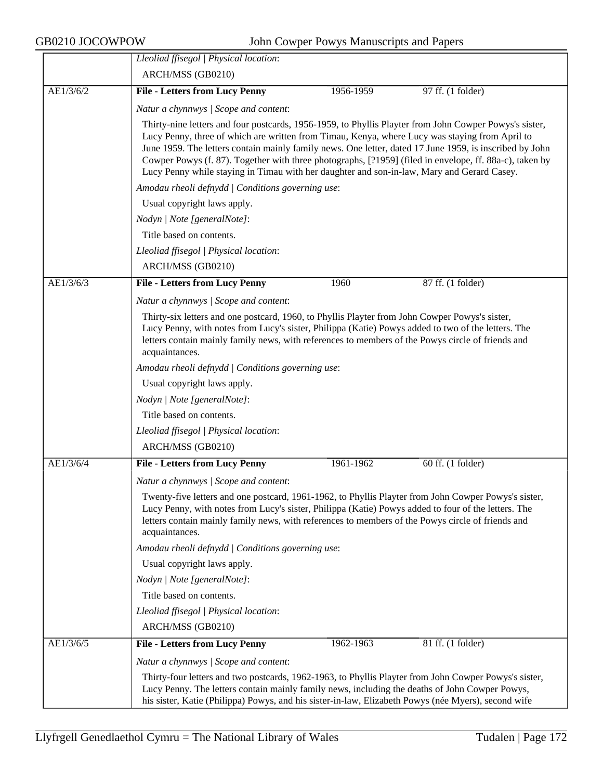|           | Lleoliad ffisegol   Physical location:                                                                                                                                                                                                                                                                                             |                                                                                                                                                                                                                                                                                                                                                                                                                                                                                                                              |                   |  |
|-----------|------------------------------------------------------------------------------------------------------------------------------------------------------------------------------------------------------------------------------------------------------------------------------------------------------------------------------------|------------------------------------------------------------------------------------------------------------------------------------------------------------------------------------------------------------------------------------------------------------------------------------------------------------------------------------------------------------------------------------------------------------------------------------------------------------------------------------------------------------------------------|-------------------|--|
|           | ARCH/MSS (GB0210)                                                                                                                                                                                                                                                                                                                  |                                                                                                                                                                                                                                                                                                                                                                                                                                                                                                                              |                   |  |
| AE1/3/6/2 | <b>File - Letters from Lucy Penny</b>                                                                                                                                                                                                                                                                                              | 1956-1959                                                                                                                                                                                                                                                                                                                                                                                                                                                                                                                    | 97 ff. (1 folder) |  |
|           | Natur a chynnwys / Scope and content:                                                                                                                                                                                                                                                                                              |                                                                                                                                                                                                                                                                                                                                                                                                                                                                                                                              |                   |  |
|           |                                                                                                                                                                                                                                                                                                                                    | Thirty-nine letters and four postcards, 1956-1959, to Phyllis Playter from John Cowper Powys's sister,<br>Lucy Penny, three of which are written from Timau, Kenya, where Lucy was staying from April to<br>June 1959. The letters contain mainly family news. One letter, dated 17 June 1959, is inscribed by John<br>Cowper Powys (f. 87). Together with three photographs, [?1959] (filed in envelope, ff. 88a-c), taken by<br>Lucy Penny while staying in Timau with her daughter and son-in-law, Mary and Gerard Casey. |                   |  |
|           | Amodau rheoli defnydd   Conditions governing use:                                                                                                                                                                                                                                                                                  |                                                                                                                                                                                                                                                                                                                                                                                                                                                                                                                              |                   |  |
|           | Usual copyright laws apply.                                                                                                                                                                                                                                                                                                        |                                                                                                                                                                                                                                                                                                                                                                                                                                                                                                                              |                   |  |
|           | Nodyn   Note [generalNote]:                                                                                                                                                                                                                                                                                                        |                                                                                                                                                                                                                                                                                                                                                                                                                                                                                                                              |                   |  |
|           | Title based on contents.                                                                                                                                                                                                                                                                                                           |                                                                                                                                                                                                                                                                                                                                                                                                                                                                                                                              |                   |  |
|           | Lleoliad ffisegol   Physical location:                                                                                                                                                                                                                                                                                             |                                                                                                                                                                                                                                                                                                                                                                                                                                                                                                                              |                   |  |
|           | ARCH/MSS (GB0210)                                                                                                                                                                                                                                                                                                                  |                                                                                                                                                                                                                                                                                                                                                                                                                                                                                                                              |                   |  |
| AE1/3/6/3 | <b>File - Letters from Lucy Penny</b>                                                                                                                                                                                                                                                                                              | 1960                                                                                                                                                                                                                                                                                                                                                                                                                                                                                                                         | 87 ff. (1 folder) |  |
|           | Natur a chynnwys / Scope and content:                                                                                                                                                                                                                                                                                              |                                                                                                                                                                                                                                                                                                                                                                                                                                                                                                                              |                   |  |
|           | Thirty-six letters and one postcard, 1960, to Phyllis Playter from John Cowper Powys's sister,<br>Lucy Penny, with notes from Lucy's sister, Philippa (Katie) Powys added to two of the letters. The<br>letters contain mainly family news, with references to members of the Powys circle of friends and<br>acquaintances.        |                                                                                                                                                                                                                                                                                                                                                                                                                                                                                                                              |                   |  |
|           | Amodau rheoli defnydd   Conditions governing use:                                                                                                                                                                                                                                                                                  |                                                                                                                                                                                                                                                                                                                                                                                                                                                                                                                              |                   |  |
|           | Usual copyright laws apply.                                                                                                                                                                                                                                                                                                        |                                                                                                                                                                                                                                                                                                                                                                                                                                                                                                                              |                   |  |
|           | Nodyn   Note [generalNote]:                                                                                                                                                                                                                                                                                                        |                                                                                                                                                                                                                                                                                                                                                                                                                                                                                                                              |                   |  |
|           | Title based on contents.                                                                                                                                                                                                                                                                                                           |                                                                                                                                                                                                                                                                                                                                                                                                                                                                                                                              |                   |  |
|           | Lleoliad ffisegol   Physical location:                                                                                                                                                                                                                                                                                             |                                                                                                                                                                                                                                                                                                                                                                                                                                                                                                                              |                   |  |
|           | ARCH/MSS (GB0210)                                                                                                                                                                                                                                                                                                                  |                                                                                                                                                                                                                                                                                                                                                                                                                                                                                                                              |                   |  |
| AE1/3/6/4 | <b>File - Letters from Lucy Penny</b>                                                                                                                                                                                                                                                                                              | 1961-1962                                                                                                                                                                                                                                                                                                                                                                                                                                                                                                                    | 60 ff. (1 folder) |  |
|           | Natur a chynnwys / Scope and content:                                                                                                                                                                                                                                                                                              |                                                                                                                                                                                                                                                                                                                                                                                                                                                                                                                              |                   |  |
|           | Twenty-five letters and one postcard, 1961-1962, to Phyllis Playter from John Cowper Powys's sister,<br>Lucy Penny, with notes from Lucy's sister, Philippa (Katie) Powys added to four of the letters. The<br>letters contain mainly family news, with references to members of the Powys circle of friends and<br>acquaintances. |                                                                                                                                                                                                                                                                                                                                                                                                                                                                                                                              |                   |  |
|           | Amodau rheoli defnydd   Conditions governing use:                                                                                                                                                                                                                                                                                  |                                                                                                                                                                                                                                                                                                                                                                                                                                                                                                                              |                   |  |
|           | Usual copyright laws apply.                                                                                                                                                                                                                                                                                                        |                                                                                                                                                                                                                                                                                                                                                                                                                                                                                                                              |                   |  |
|           | Nodyn   Note [generalNote]:                                                                                                                                                                                                                                                                                                        |                                                                                                                                                                                                                                                                                                                                                                                                                                                                                                                              |                   |  |
|           | Title based on contents.                                                                                                                                                                                                                                                                                                           |                                                                                                                                                                                                                                                                                                                                                                                                                                                                                                                              |                   |  |
|           | Lleoliad ffisegol   Physical location:                                                                                                                                                                                                                                                                                             |                                                                                                                                                                                                                                                                                                                                                                                                                                                                                                                              |                   |  |
|           | ARCH/MSS (GB0210)                                                                                                                                                                                                                                                                                                                  |                                                                                                                                                                                                                                                                                                                                                                                                                                                                                                                              |                   |  |
| AE1/3/6/5 | <b>File - Letters from Lucy Penny</b>                                                                                                                                                                                                                                                                                              | 1962-1963                                                                                                                                                                                                                                                                                                                                                                                                                                                                                                                    | 81 ff. (1 folder) |  |
|           | Natur a chynnwys / Scope and content:                                                                                                                                                                                                                                                                                              |                                                                                                                                                                                                                                                                                                                                                                                                                                                                                                                              |                   |  |
|           | Thirty-four letters and two postcards, 1962-1963, to Phyllis Playter from John Cowper Powys's sister,<br>Lucy Penny. The letters contain mainly family news, including the deaths of John Cowper Powys,<br>his sister, Katie (Philippa) Powys, and his sister-in-law, Elizabeth Powys (née Myers), second wife                     |                                                                                                                                                                                                                                                                                                                                                                                                                                                                                                                              |                   |  |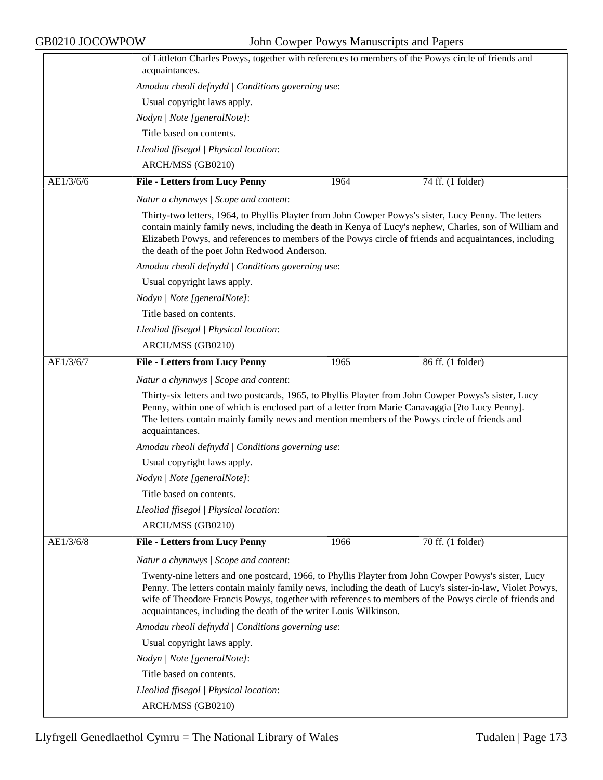|           | of Littleton Charles Powys, together with references to members of the Powys circle of friends and<br>acquaintances.                                                                                                                                                                                                                                                                             |
|-----------|--------------------------------------------------------------------------------------------------------------------------------------------------------------------------------------------------------------------------------------------------------------------------------------------------------------------------------------------------------------------------------------------------|
|           | Amodau rheoli defnydd   Conditions governing use:                                                                                                                                                                                                                                                                                                                                                |
|           | Usual copyright laws apply.                                                                                                                                                                                                                                                                                                                                                                      |
|           |                                                                                                                                                                                                                                                                                                                                                                                                  |
|           | Nodyn   Note [generalNote]:                                                                                                                                                                                                                                                                                                                                                                      |
|           | Title based on contents.                                                                                                                                                                                                                                                                                                                                                                         |
|           | Lleoliad ffisegol   Physical location:                                                                                                                                                                                                                                                                                                                                                           |
|           | ARCH/MSS (GB0210)                                                                                                                                                                                                                                                                                                                                                                                |
| AE1/3/6/6 | <b>File - Letters from Lucy Penny</b><br>1964<br>74 ff. (1 folder)                                                                                                                                                                                                                                                                                                                               |
|           | Natur a chynnwys / Scope and content:                                                                                                                                                                                                                                                                                                                                                            |
|           | Thirty-two letters, 1964, to Phyllis Playter from John Cowper Powys's sister, Lucy Penny. The letters<br>contain mainly family news, including the death in Kenya of Lucy's nephew, Charles, son of William and<br>Elizabeth Powys, and references to members of the Powys circle of friends and acquaintances, including<br>the death of the poet John Redwood Anderson.                        |
|           | Amodau rheoli defnydd   Conditions governing use:                                                                                                                                                                                                                                                                                                                                                |
|           | Usual copyright laws apply.                                                                                                                                                                                                                                                                                                                                                                      |
|           | Nodyn   Note [generalNote]:                                                                                                                                                                                                                                                                                                                                                                      |
|           | Title based on contents.                                                                                                                                                                                                                                                                                                                                                                         |
|           | Lleoliad ffisegol   Physical location:                                                                                                                                                                                                                                                                                                                                                           |
|           | ARCH/MSS (GB0210)                                                                                                                                                                                                                                                                                                                                                                                |
| AE1/3/6/7 | <b>File - Letters from Lucy Penny</b><br>1965<br>86 ff. (1 folder)                                                                                                                                                                                                                                                                                                                               |
|           | Natur a chynnwys / Scope and content:                                                                                                                                                                                                                                                                                                                                                            |
|           | Thirty-six letters and two postcards, 1965, to Phyllis Playter from John Cowper Powys's sister, Lucy<br>Penny, within one of which is enclosed part of a letter from Marie Canavaggia [?to Lucy Penny].<br>The letters contain mainly family news and mention members of the Powys circle of friends and<br>acquaintances.                                                                       |
|           | Amodau rheoli defnydd   Conditions governing use:                                                                                                                                                                                                                                                                                                                                                |
|           | Usual copyright laws apply.                                                                                                                                                                                                                                                                                                                                                                      |
|           | Nodyn   Note [generalNote]:                                                                                                                                                                                                                                                                                                                                                                      |
|           | Title based on contents.                                                                                                                                                                                                                                                                                                                                                                         |
|           | Lleoliad ffisegol   Physical location:                                                                                                                                                                                                                                                                                                                                                           |
|           | ARCH/MSS (GB0210)                                                                                                                                                                                                                                                                                                                                                                                |
| AE1/3/6/8 | <b>File - Letters from Lucy Penny</b><br>70 ff. (1 folder)<br>1966                                                                                                                                                                                                                                                                                                                               |
|           | Natur a chynnwys / Scope and content:                                                                                                                                                                                                                                                                                                                                                            |
|           | Twenty-nine letters and one postcard, 1966, to Phyllis Playter from John Cowper Powys's sister, Lucy<br>Penny. The letters contain mainly family news, including the death of Lucy's sister-in-law, Violet Powys,<br>wife of Theodore Francis Powys, together with references to members of the Powys circle of friends and<br>acquaintances, including the death of the writer Louis Wilkinson. |
|           | Amodau rheoli defnydd   Conditions governing use:                                                                                                                                                                                                                                                                                                                                                |
|           | Usual copyright laws apply.                                                                                                                                                                                                                                                                                                                                                                      |
|           | Nodyn   Note [generalNote]:                                                                                                                                                                                                                                                                                                                                                                      |
|           | Title based on contents.                                                                                                                                                                                                                                                                                                                                                                         |
|           | Lleoliad ffisegol   Physical location:                                                                                                                                                                                                                                                                                                                                                           |
|           | ARCH/MSS (GB0210)                                                                                                                                                                                                                                                                                                                                                                                |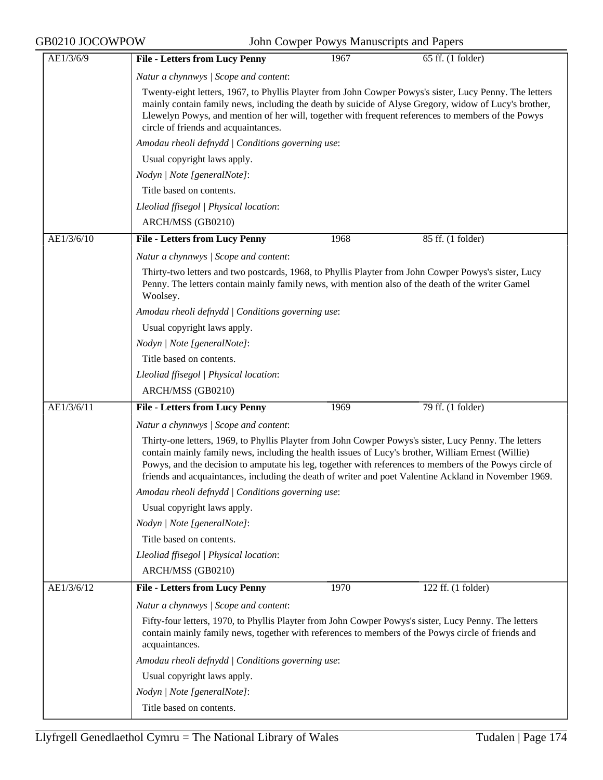| AE1/3/6/9  | <b>File - Letters from Lucy Penny</b><br>1967<br>65 ff. (1 folder)                                                                                                                                                                                                                                                                                                                                                              |
|------------|---------------------------------------------------------------------------------------------------------------------------------------------------------------------------------------------------------------------------------------------------------------------------------------------------------------------------------------------------------------------------------------------------------------------------------|
|            | Natur a chynnwys / Scope and content:                                                                                                                                                                                                                                                                                                                                                                                           |
|            | Twenty-eight letters, 1967, to Phyllis Playter from John Cowper Powys's sister, Lucy Penny. The letters<br>mainly contain family news, including the death by suicide of Alyse Gregory, widow of Lucy's brother,<br>Llewelyn Powys, and mention of her will, together with frequent references to members of the Powys<br>circle of friends and acquaintances.                                                                  |
|            | Amodau rheoli defnydd   Conditions governing use:                                                                                                                                                                                                                                                                                                                                                                               |
|            | Usual copyright laws apply.                                                                                                                                                                                                                                                                                                                                                                                                     |
|            | Nodyn   Note [generalNote]:                                                                                                                                                                                                                                                                                                                                                                                                     |
|            | Title based on contents.                                                                                                                                                                                                                                                                                                                                                                                                        |
|            | Lleoliad ffisegol   Physical location:                                                                                                                                                                                                                                                                                                                                                                                          |
|            | ARCH/MSS (GB0210)                                                                                                                                                                                                                                                                                                                                                                                                               |
| AE1/3/6/10 | <b>File - Letters from Lucy Penny</b><br>85 ff. (1 folder)<br>1968                                                                                                                                                                                                                                                                                                                                                              |
|            | Natur a chynnwys / Scope and content:                                                                                                                                                                                                                                                                                                                                                                                           |
|            | Thirty-two letters and two postcards, 1968, to Phyllis Playter from John Cowper Powys's sister, Lucy<br>Penny. The letters contain mainly family news, with mention also of the death of the writer Gamel<br>Woolsey.                                                                                                                                                                                                           |
|            | Amodau rheoli defnydd / Conditions governing use:                                                                                                                                                                                                                                                                                                                                                                               |
|            | Usual copyright laws apply.                                                                                                                                                                                                                                                                                                                                                                                                     |
|            | Nodyn   Note [generalNote]:                                                                                                                                                                                                                                                                                                                                                                                                     |
|            | Title based on contents.                                                                                                                                                                                                                                                                                                                                                                                                        |
|            | Lleoliad ffisegol   Physical location:                                                                                                                                                                                                                                                                                                                                                                                          |
|            | ARCH/MSS (GB0210)                                                                                                                                                                                                                                                                                                                                                                                                               |
| AE1/3/6/11 | <b>File - Letters from Lucy Penny</b><br>79 ff. (1 folder)<br>1969                                                                                                                                                                                                                                                                                                                                                              |
|            | Natur a chynnwys / Scope and content:                                                                                                                                                                                                                                                                                                                                                                                           |
|            | Thirty-one letters, 1969, to Phyllis Playter from John Cowper Powys's sister, Lucy Penny. The letters<br>contain mainly family news, including the health issues of Lucy's brother, William Ernest (Willie)<br>Powys, and the decision to amputate his leg, together with references to members of the Powys circle of<br>friends and acquaintances, including the death of writer and poet Valentine Ackland in November 1969. |
|            | Amodau rheoli defnydd   Conditions governing use:                                                                                                                                                                                                                                                                                                                                                                               |
|            | Usual copyright laws apply.                                                                                                                                                                                                                                                                                                                                                                                                     |
|            | Nodyn   Note [generalNote]:                                                                                                                                                                                                                                                                                                                                                                                                     |
|            | Title based on contents.                                                                                                                                                                                                                                                                                                                                                                                                        |
|            | Lleoliad ffisegol   Physical location:                                                                                                                                                                                                                                                                                                                                                                                          |
|            | ARCH/MSS (GB0210)                                                                                                                                                                                                                                                                                                                                                                                                               |
| AE1/3/6/12 | <b>File - Letters from Lucy Penny</b><br>1970<br>122 ff. (1 folder)                                                                                                                                                                                                                                                                                                                                                             |
|            | Natur a chynnwys / Scope and content:                                                                                                                                                                                                                                                                                                                                                                                           |
|            | Fifty-four letters, 1970, to Phyllis Playter from John Cowper Powys's sister, Lucy Penny. The letters<br>contain mainly family news, together with references to members of the Powys circle of friends and<br>acquaintances.                                                                                                                                                                                                   |
|            | Amodau rheoli defnydd   Conditions governing use:                                                                                                                                                                                                                                                                                                                                                                               |
|            | Usual copyright laws apply.                                                                                                                                                                                                                                                                                                                                                                                                     |
|            | Nodyn   Note [generalNote]:                                                                                                                                                                                                                                                                                                                                                                                                     |
|            | Title based on contents.                                                                                                                                                                                                                                                                                                                                                                                                        |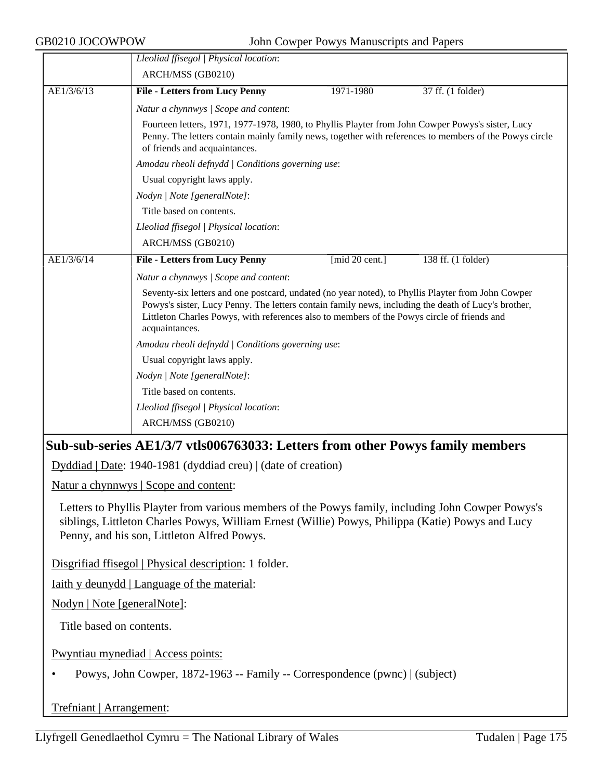|            | Lleoliad ffisegol   Physical location:                                                                                                                                                                                                                                                                                     |                |                    |
|------------|----------------------------------------------------------------------------------------------------------------------------------------------------------------------------------------------------------------------------------------------------------------------------------------------------------------------------|----------------|--------------------|
|            | ARCH/MSS (GB0210)                                                                                                                                                                                                                                                                                                          |                |                    |
| AE1/3/6/13 | <b>File - Letters from Lucy Penny</b>                                                                                                                                                                                                                                                                                      | 1971-1980      | 37 ff. (1 folder)  |
|            | Natur a chynnwys / Scope and content:                                                                                                                                                                                                                                                                                      |                |                    |
|            | Fourteen letters, 1971, 1977-1978, 1980, to Phyllis Playter from John Cowper Powys's sister, Lucy<br>Penny. The letters contain mainly family news, together with references to members of the Powys circle<br>of friends and acquaintances.                                                                               |                |                    |
|            | Amodau rheoli defnydd / Conditions governing use:                                                                                                                                                                                                                                                                          |                |                    |
|            | Usual copyright laws apply.                                                                                                                                                                                                                                                                                                |                |                    |
|            | Nodyn   Note [generalNote]:                                                                                                                                                                                                                                                                                                |                |                    |
|            | Title based on contents.                                                                                                                                                                                                                                                                                                   |                |                    |
|            | Lleoliad ffisegol   Physical location:                                                                                                                                                                                                                                                                                     |                |                    |
|            | ARCH/MSS (GB0210)                                                                                                                                                                                                                                                                                                          |                |                    |
| AE1/3/6/14 | <b>File - Letters from Lucy Penny</b>                                                                                                                                                                                                                                                                                      | [mid 20 cent.] | 138 ff. (1 folder) |
|            | Natur a chynnwys / Scope and content:                                                                                                                                                                                                                                                                                      |                |                    |
|            | Seventy-six letters and one postcard, undated (no year noted), to Phyllis Playter from John Cowper<br>Powys's sister, Lucy Penny. The letters contain family news, including the death of Lucy's brother,<br>Littleton Charles Powys, with references also to members of the Powys circle of friends and<br>acquaintances. |                |                    |
|            | Amodau rheoli defnydd   Conditions governing use:                                                                                                                                                                                                                                                                          |                |                    |
|            | Usual copyright laws apply.                                                                                                                                                                                                                                                                                                |                |                    |
|            | Nodyn   Note [generalNote]:                                                                                                                                                                                                                                                                                                |                |                    |
|            | Title based on contents.                                                                                                                                                                                                                                                                                                   |                |                    |
|            | Lleoliad ffisegol   Physical location:                                                                                                                                                                                                                                                                                     |                |                    |
|            | ARCH/MSS (GB0210)                                                                                                                                                                                                                                                                                                          |                |                    |
|            | Sub-sub-series AE1/3/7 vtls006763033: Letters from other Powys family members                                                                                                                                                                                                                                              |                |                    |
|            | Dyddiad   Date: 1940-1981 (dyddiad creu)   (date of creation)                                                                                                                                                                                                                                                              |                |                    |
|            | <u>Natur a chynnwys</u>   Scope and content:                                                                                                                                                                                                                                                                               |                |                    |
|            | --------                                                                                                                                                                                                                                                                                                                   |                |                    |

Letters to Phyllis Playter from various members of the Powys family, including John Cowper Powys's siblings, Littleton Charles Powys, William Ernest (Willie) Powys, Philippa (Katie) Powys and Lucy Penny, and his son, Littleton Alfred Powys.

Disgrifiad ffisegol | Physical description: 1 folder.

Iaith y deunydd | Language of the material:

Nodyn | Note [generalNote]:

Title based on contents.

Pwyntiau mynediad | Access points:

• Powys, John Cowper, 1872-1963 -- Family -- Correspondence (pwnc) | (subject)

Trefniant | Arrangement: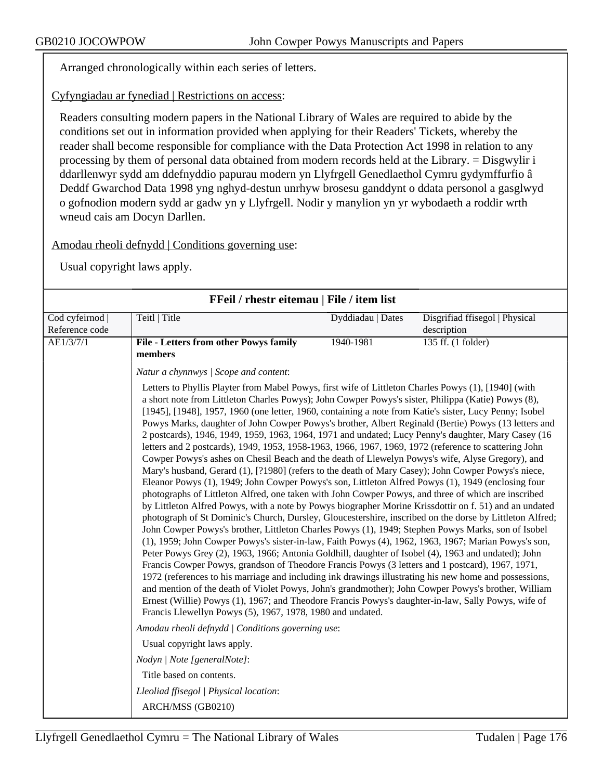Arranged chronologically within each series of letters.

Cyfyngiadau ar fynediad | Restrictions on access:

Readers consulting modern papers in the National Library of Wales are required to abide by the conditions set out in information provided when applying for their Readers' Tickets, whereby the reader shall become responsible for compliance with the Data Protection Act 1998 in relation to any processing by them of personal data obtained from modern records held at the Library. = Disgwylir i ddarllenwyr sydd am ddefnyddio papurau modern yn Llyfrgell Genedlaethol Cymru gydymffurfio â Deddf Gwarchod Data 1998 yng nghyd-destun unrhyw brosesu ganddynt o ddata personol a gasglwyd o gofnodion modern sydd ar gadw yn y Llyfrgell. Nodir y manylion yn yr wybodaeth a roddir wrth wneud cais am Docyn Darllen.

Amodau rheoli defnydd | Conditions governing use:

| FFeil / rhestr eitemau   File / item list |                                                                                                                                                                                                                                                                                                                                                                                                                                                                                                                                                                                                                                                                                                                                                                                                                                                                                                                                                                                                                                                                                                                                                                                                                                                                                                                                                                                                                                                                                                                                                                                                                                                                                                                                                                                                                                                                                                                                                                                                                                                                                                                                                                                                                                                            |                   |                                |
|-------------------------------------------|------------------------------------------------------------------------------------------------------------------------------------------------------------------------------------------------------------------------------------------------------------------------------------------------------------------------------------------------------------------------------------------------------------------------------------------------------------------------------------------------------------------------------------------------------------------------------------------------------------------------------------------------------------------------------------------------------------------------------------------------------------------------------------------------------------------------------------------------------------------------------------------------------------------------------------------------------------------------------------------------------------------------------------------------------------------------------------------------------------------------------------------------------------------------------------------------------------------------------------------------------------------------------------------------------------------------------------------------------------------------------------------------------------------------------------------------------------------------------------------------------------------------------------------------------------------------------------------------------------------------------------------------------------------------------------------------------------------------------------------------------------------------------------------------------------------------------------------------------------------------------------------------------------------------------------------------------------------------------------------------------------------------------------------------------------------------------------------------------------------------------------------------------------------------------------------------------------------------------------------------------------|-------------------|--------------------------------|
| Cod cyfeirnod                             | Teitl   Title                                                                                                                                                                                                                                                                                                                                                                                                                                                                                                                                                                                                                                                                                                                                                                                                                                                                                                                                                                                                                                                                                                                                                                                                                                                                                                                                                                                                                                                                                                                                                                                                                                                                                                                                                                                                                                                                                                                                                                                                                                                                                                                                                                                                                                              | Dyddiadau   Dates | Disgrifiad ffisegol   Physical |
| Reference code                            |                                                                                                                                                                                                                                                                                                                                                                                                                                                                                                                                                                                                                                                                                                                                                                                                                                                                                                                                                                                                                                                                                                                                                                                                                                                                                                                                                                                                                                                                                                                                                                                                                                                                                                                                                                                                                                                                                                                                                                                                                                                                                                                                                                                                                                                            |                   | description                    |
| AE1/3/7/1                                 | <b>File - Letters from other Powys family</b>                                                                                                                                                                                                                                                                                                                                                                                                                                                                                                                                                                                                                                                                                                                                                                                                                                                                                                                                                                                                                                                                                                                                                                                                                                                                                                                                                                                                                                                                                                                                                                                                                                                                                                                                                                                                                                                                                                                                                                                                                                                                                                                                                                                                              | 1940-1981         | $135$ ff. (1 folder)           |
|                                           | members                                                                                                                                                                                                                                                                                                                                                                                                                                                                                                                                                                                                                                                                                                                                                                                                                                                                                                                                                                                                                                                                                                                                                                                                                                                                                                                                                                                                                                                                                                                                                                                                                                                                                                                                                                                                                                                                                                                                                                                                                                                                                                                                                                                                                                                    |                   |                                |
|                                           | Natur a chynnwys / Scope and content:                                                                                                                                                                                                                                                                                                                                                                                                                                                                                                                                                                                                                                                                                                                                                                                                                                                                                                                                                                                                                                                                                                                                                                                                                                                                                                                                                                                                                                                                                                                                                                                                                                                                                                                                                                                                                                                                                                                                                                                                                                                                                                                                                                                                                      |                   |                                |
|                                           | Letters to Phyllis Playter from Mabel Powys, first wife of Littleton Charles Powys (1), [1940] (with<br>a short note from Littleton Charles Powys); John Cowper Powys's sister, Philippa (Katie) Powys (8),<br>[1945], [1948], 1957, 1960 (one letter, 1960, containing a note from Katie's sister, Lucy Penny; Isobel<br>Powys Marks, daughter of John Cowper Powys's brother, Albert Reginald (Bertie) Powys (13 letters and<br>2 postcards), 1946, 1949, 1959, 1963, 1964, 1971 and undated; Lucy Penny's daughter, Mary Casey (16<br>letters and 2 postcards), 1949, 1953, 1958-1963, 1966, 1967, 1969, 1972 (reference to scattering John<br>Cowper Powys's ashes on Chesil Beach and the death of Llewelyn Powys's wife, Alyse Gregory), and<br>Mary's husband, Gerard (1), [?1980] (refers to the death of Mary Casey); John Cowper Powys's niece,<br>Eleanor Powys (1), 1949; John Cowper Powys's son, Littleton Alfred Powys (1), 1949 (enclosing four<br>photographs of Littleton Alfred, one taken with John Cowper Powys, and three of which are inscribed<br>by Littleton Alfred Powys, with a note by Powys biographer Morine Krissdottir on f. 51) and an undated<br>photograph of St Dominic's Church, Dursley, Gloucestershire, inscribed on the dorse by Littleton Alfred;<br>John Cowper Powys's brother, Littleton Charles Powys (1), 1949; Stephen Powys Marks, son of Isobel<br>(1), 1959; John Cowper Powys's sister-in-law, Faith Powys (4), 1962, 1963, 1967; Marian Powys's son,<br>Peter Powys Grey (2), 1963, 1966; Antonia Goldhill, daughter of Isobel (4), 1963 and undated); John<br>Francis Cowper Powys, grandson of Theodore Francis Powys (3 letters and 1 postcard), 1967, 1971,<br>1972 (references to his marriage and including ink drawings illustrating his new home and possessions,<br>and mention of the death of Violet Powys, John's grandmother); John Cowper Powys's brother, William<br>Ernest (Willie) Powys (1), 1967; and Theodore Francis Powys's daughter-in-law, Sally Powys, wife of<br>Francis Llewellyn Powys (5), 1967, 1978, 1980 and undated.<br>Amodau rheoli defnydd   Conditions governing use:<br>Usual copyright laws apply.<br>Nodyn   Note [generalNote]:<br>Title based on contents. |                   |                                |
|                                           | Lleoliad ffisegol   Physical location:                                                                                                                                                                                                                                                                                                                                                                                                                                                                                                                                                                                                                                                                                                                                                                                                                                                                                                                                                                                                                                                                                                                                                                                                                                                                                                                                                                                                                                                                                                                                                                                                                                                                                                                                                                                                                                                                                                                                                                                                                                                                                                                                                                                                                     |                   |                                |
|                                           | ARCH/MSS (GB0210)                                                                                                                                                                                                                                                                                                                                                                                                                                                                                                                                                                                                                                                                                                                                                                                                                                                                                                                                                                                                                                                                                                                                                                                                                                                                                                                                                                                                                                                                                                                                                                                                                                                                                                                                                                                                                                                                                                                                                                                                                                                                                                                                                                                                                                          |                   |                                |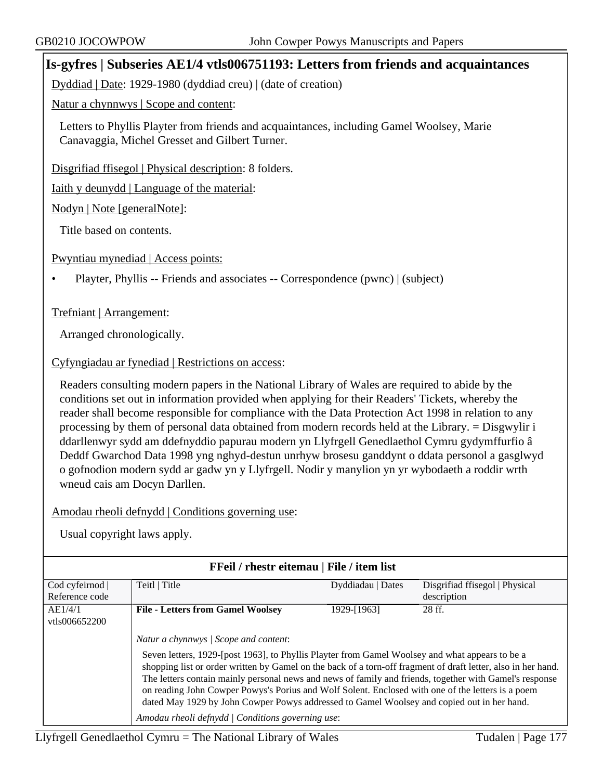# **Is-gyfres | Subseries AE1/4 vtls006751193: Letters from friends and acquaintances**

Dyddiad | Date: 1929-1980 (dyddiad creu) | (date of creation)

Natur a chynnwys | Scope and content:

Letters to Phyllis Playter from friends and acquaintances, including Gamel Woolsey, Marie Canavaggia, Michel Gresset and Gilbert Turner.

Disgrifiad ffisegol | Physical description: 8 folders.

Iaith y deunydd | Language of the material:

Nodyn | Note [generalNote]:

Title based on contents.

Pwyntiau mynediad | Access points:

• Playter, Phyllis -- Friends and associates -- Correspondence (pwnc) | (subject)

#### Trefniant | Arrangement:

Arranged chronologically.

#### Cyfyngiadau ar fynediad | Restrictions on access:

Readers consulting modern papers in the National Library of Wales are required to abide by the conditions set out in information provided when applying for their Readers' Tickets, whereby the reader shall become responsible for compliance with the Data Protection Act 1998 in relation to any processing by them of personal data obtained from modern records held at the Library. = Disgwylir i ddarllenwyr sydd am ddefnyddio papurau modern yn Llyfrgell Genedlaethol Cymru gydymffurfio â Deddf Gwarchod Data 1998 yng nghyd-destun unrhyw brosesu ganddynt o ddata personol a gasglwyd o gofnodion modern sydd ar gadw yn y Llyfrgell. Nodir y manylion yn yr wybodaeth a roddir wrth wneud cais am Docyn Darllen.

Amodau rheoli defnydd | Conditions governing use:

| FFeil / rhestr eitemau   File / item list |                                                                                                                                                                                                                                                                                                                                                                                                                                                                                                                                                                                                                              |                   |                                |
|-------------------------------------------|------------------------------------------------------------------------------------------------------------------------------------------------------------------------------------------------------------------------------------------------------------------------------------------------------------------------------------------------------------------------------------------------------------------------------------------------------------------------------------------------------------------------------------------------------------------------------------------------------------------------------|-------------------|--------------------------------|
| Cod cyfeirnod                             | Teitl   Title                                                                                                                                                                                                                                                                                                                                                                                                                                                                                                                                                                                                                | Dyddiadau   Dates | Disgrifiad ffisegol   Physical |
| Reference code                            |                                                                                                                                                                                                                                                                                                                                                                                                                                                                                                                                                                                                                              |                   | description                    |
| AE1/4/1                                   | <b>File - Letters from Gamel Woolsey</b>                                                                                                                                                                                                                                                                                                                                                                                                                                                                                                                                                                                     | 1929-[1963]       | 28 ff.                         |
| vtls006652200                             |                                                                                                                                                                                                                                                                                                                                                                                                                                                                                                                                                                                                                              |                   |                                |
|                                           | Natur a chynnwys / Scope and content:<br>Seven letters, 1929-[post 1963], to Phyllis Playter from Gamel Woolsey and what appears to be a<br>shopping list or order written by Gamel on the back of a torn-off fragment of draft letter, also in her hand.<br>The letters contain mainly personal news and news of family and friends, together with Gamel's response<br>on reading John Cowper Powys's Porius and Wolf Solent. Enclosed with one of the letters is a poem<br>dated May 1929 by John Cowper Powys addressed to Gamel Woolsey and copied out in her hand.<br>Amodau rheoli defnydd   Conditions governing use: |                   |                                |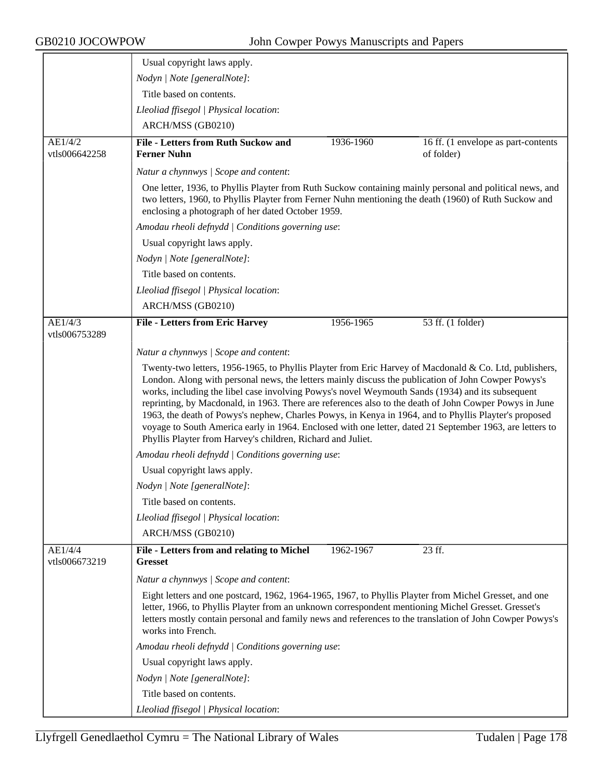|                          | Usual copyright laws apply.                                                                                                                                                                                                                                                                                                                                                                                                                                                                                                                                                                                                                                                                                     |           |                                                   |
|--------------------------|-----------------------------------------------------------------------------------------------------------------------------------------------------------------------------------------------------------------------------------------------------------------------------------------------------------------------------------------------------------------------------------------------------------------------------------------------------------------------------------------------------------------------------------------------------------------------------------------------------------------------------------------------------------------------------------------------------------------|-----------|---------------------------------------------------|
|                          | Nodyn   Note [generalNote]:                                                                                                                                                                                                                                                                                                                                                                                                                                                                                                                                                                                                                                                                                     |           |                                                   |
|                          | Title based on contents.                                                                                                                                                                                                                                                                                                                                                                                                                                                                                                                                                                                                                                                                                        |           |                                                   |
|                          | Lleoliad ffisegol   Physical location:                                                                                                                                                                                                                                                                                                                                                                                                                                                                                                                                                                                                                                                                          |           |                                                   |
|                          | ARCH/MSS (GB0210)                                                                                                                                                                                                                                                                                                                                                                                                                                                                                                                                                                                                                                                                                               |           |                                                   |
| AE1/4/2<br>vtls006642258 | <b>File - Letters from Ruth Suckow and</b><br><b>Ferner Nuhn</b>                                                                                                                                                                                                                                                                                                                                                                                                                                                                                                                                                                                                                                                | 1936-1960 | 16 ff. (1 envelope as part-contents<br>of folder) |
|                          | Natur a chynnwys / Scope and content:                                                                                                                                                                                                                                                                                                                                                                                                                                                                                                                                                                                                                                                                           |           |                                                   |
|                          | One letter, 1936, to Phyllis Playter from Ruth Suckow containing mainly personal and political news, and<br>two letters, 1960, to Phyllis Playter from Ferner Nuhn mentioning the death (1960) of Ruth Suckow and<br>enclosing a photograph of her dated October 1959.                                                                                                                                                                                                                                                                                                                                                                                                                                          |           |                                                   |
|                          | Amodau rheoli defnydd   Conditions governing use:                                                                                                                                                                                                                                                                                                                                                                                                                                                                                                                                                                                                                                                               |           |                                                   |
|                          | Usual copyright laws apply.                                                                                                                                                                                                                                                                                                                                                                                                                                                                                                                                                                                                                                                                                     |           |                                                   |
|                          | Nodyn   Note [generalNote]:                                                                                                                                                                                                                                                                                                                                                                                                                                                                                                                                                                                                                                                                                     |           |                                                   |
|                          | Title based on contents.                                                                                                                                                                                                                                                                                                                                                                                                                                                                                                                                                                                                                                                                                        |           |                                                   |
|                          | Lleoliad ffisegol   Physical location:                                                                                                                                                                                                                                                                                                                                                                                                                                                                                                                                                                                                                                                                          |           |                                                   |
|                          | ARCH/MSS (GB0210)                                                                                                                                                                                                                                                                                                                                                                                                                                                                                                                                                                                                                                                                                               |           |                                                   |
| AE1/4/3                  | <b>File - Letters from Eric Harvey</b>                                                                                                                                                                                                                                                                                                                                                                                                                                                                                                                                                                                                                                                                          | 1956-1965 | 53 ff. (1 folder)                                 |
| vtls006753289            |                                                                                                                                                                                                                                                                                                                                                                                                                                                                                                                                                                                                                                                                                                                 |           |                                                   |
|                          | Natur a chynnwys / Scope and content:                                                                                                                                                                                                                                                                                                                                                                                                                                                                                                                                                                                                                                                                           |           |                                                   |
|                          | Twenty-two letters, 1956-1965, to Phyllis Playter from Eric Harvey of Macdonald & Co. Ltd, publishers,<br>London. Along with personal news, the letters mainly discuss the publication of John Cowper Powys's<br>works, including the libel case involving Powys's novel Weymouth Sands (1934) and its subsequent<br>reprinting, by Macdonald, in 1963. There are references also to the death of John Cowper Powys in June<br>1963, the death of Powys's nephew, Charles Powys, in Kenya in 1964, and to Phyllis Playter's proposed<br>voyage to South America early in 1964. Enclosed with one letter, dated 21 September 1963, are letters to<br>Phyllis Playter from Harvey's children, Richard and Juliet. |           |                                                   |
|                          | Amodau rheoli defnydd   Conditions governing use:                                                                                                                                                                                                                                                                                                                                                                                                                                                                                                                                                                                                                                                               |           |                                                   |
|                          | Usual copyright laws apply.                                                                                                                                                                                                                                                                                                                                                                                                                                                                                                                                                                                                                                                                                     |           |                                                   |
|                          | Nodyn   Note [generalNote]:                                                                                                                                                                                                                                                                                                                                                                                                                                                                                                                                                                                                                                                                                     |           |                                                   |
|                          | Title based on contents.                                                                                                                                                                                                                                                                                                                                                                                                                                                                                                                                                                                                                                                                                        |           |                                                   |
|                          | Lleoliad ffisegol   Physical location:                                                                                                                                                                                                                                                                                                                                                                                                                                                                                                                                                                                                                                                                          |           |                                                   |
|                          | ARCH/MSS (GB0210)                                                                                                                                                                                                                                                                                                                                                                                                                                                                                                                                                                                                                                                                                               |           |                                                   |
| AE1/4/4<br>vtls006673219 | File - Letters from and relating to Michel<br><b>Gresset</b>                                                                                                                                                                                                                                                                                                                                                                                                                                                                                                                                                                                                                                                    | 1962-1967 | 23 ff.                                            |
|                          | Natur a chynnwys / Scope and content:                                                                                                                                                                                                                                                                                                                                                                                                                                                                                                                                                                                                                                                                           |           |                                                   |
|                          | Eight letters and one postcard, 1962, 1964-1965, 1967, to Phyllis Playter from Michel Gresset, and one<br>letter, 1966, to Phyllis Playter from an unknown correspondent mentioning Michel Gresset. Gresset's<br>letters mostly contain personal and family news and references to the translation of John Cowper Powys's<br>works into French.                                                                                                                                                                                                                                                                                                                                                                 |           |                                                   |
|                          | Amodau rheoli defnydd   Conditions governing use:                                                                                                                                                                                                                                                                                                                                                                                                                                                                                                                                                                                                                                                               |           |                                                   |
|                          | Usual copyright laws apply.                                                                                                                                                                                                                                                                                                                                                                                                                                                                                                                                                                                                                                                                                     |           |                                                   |
|                          | Nodyn   Note [generalNote]:                                                                                                                                                                                                                                                                                                                                                                                                                                                                                                                                                                                                                                                                                     |           |                                                   |
|                          | Title based on contents.                                                                                                                                                                                                                                                                                                                                                                                                                                                                                                                                                                                                                                                                                        |           |                                                   |
|                          | Lleoliad ffisegol   Physical location:                                                                                                                                                                                                                                                                                                                                                                                                                                                                                                                                                                                                                                                                          |           |                                                   |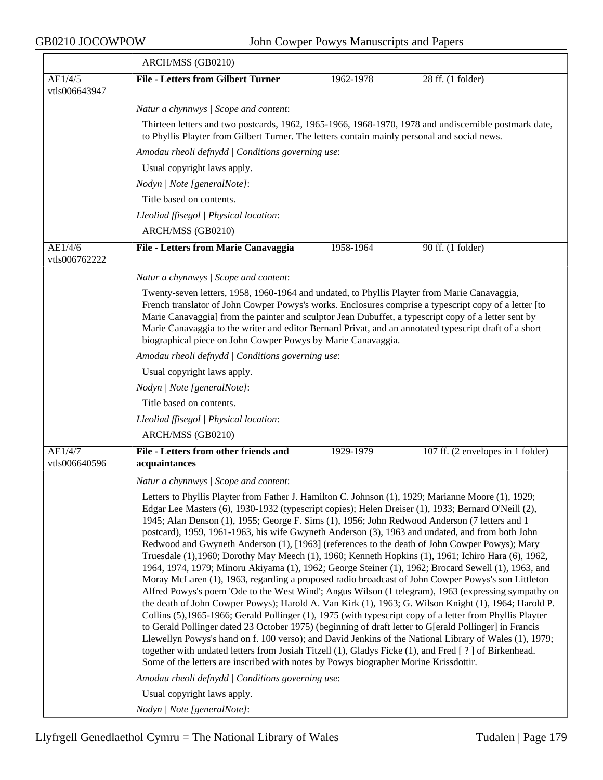|                          | ARCH/MSS (GB0210)                                                                                                                                                                                                                                                                                                                                                                                                                                                                                                                                                                                                                                                                                                                                                                                                                                                                                                                                                                                                                                                                                                                                                                                                                                                                                                                                                                                                                                                                                                                                                                                                                                                      |  |  |
|--------------------------|------------------------------------------------------------------------------------------------------------------------------------------------------------------------------------------------------------------------------------------------------------------------------------------------------------------------------------------------------------------------------------------------------------------------------------------------------------------------------------------------------------------------------------------------------------------------------------------------------------------------------------------------------------------------------------------------------------------------------------------------------------------------------------------------------------------------------------------------------------------------------------------------------------------------------------------------------------------------------------------------------------------------------------------------------------------------------------------------------------------------------------------------------------------------------------------------------------------------------------------------------------------------------------------------------------------------------------------------------------------------------------------------------------------------------------------------------------------------------------------------------------------------------------------------------------------------------------------------------------------------------------------------------------------------|--|--|
| AE1/4/5                  | <b>File - Letters from Gilbert Turner</b><br>1962-1978<br>28 ff. (1 folder)                                                                                                                                                                                                                                                                                                                                                                                                                                                                                                                                                                                                                                                                                                                                                                                                                                                                                                                                                                                                                                                                                                                                                                                                                                                                                                                                                                                                                                                                                                                                                                                            |  |  |
| vtls006643947            |                                                                                                                                                                                                                                                                                                                                                                                                                                                                                                                                                                                                                                                                                                                                                                                                                                                                                                                                                                                                                                                                                                                                                                                                                                                                                                                                                                                                                                                                                                                                                                                                                                                                        |  |  |
|                          | Natur a chynnwys / Scope and content:                                                                                                                                                                                                                                                                                                                                                                                                                                                                                                                                                                                                                                                                                                                                                                                                                                                                                                                                                                                                                                                                                                                                                                                                                                                                                                                                                                                                                                                                                                                                                                                                                                  |  |  |
|                          | Thirteen letters and two postcards, 1962, 1965-1966, 1968-1970, 1978 and undiscernible postmark date,<br>to Phyllis Playter from Gilbert Turner. The letters contain mainly personal and social news.                                                                                                                                                                                                                                                                                                                                                                                                                                                                                                                                                                                                                                                                                                                                                                                                                                                                                                                                                                                                                                                                                                                                                                                                                                                                                                                                                                                                                                                                  |  |  |
|                          | Amodau rheoli defnydd / Conditions governing use:                                                                                                                                                                                                                                                                                                                                                                                                                                                                                                                                                                                                                                                                                                                                                                                                                                                                                                                                                                                                                                                                                                                                                                                                                                                                                                                                                                                                                                                                                                                                                                                                                      |  |  |
|                          | Usual copyright laws apply.                                                                                                                                                                                                                                                                                                                                                                                                                                                                                                                                                                                                                                                                                                                                                                                                                                                                                                                                                                                                                                                                                                                                                                                                                                                                                                                                                                                                                                                                                                                                                                                                                                            |  |  |
|                          | Nodyn   Note [generalNote]:                                                                                                                                                                                                                                                                                                                                                                                                                                                                                                                                                                                                                                                                                                                                                                                                                                                                                                                                                                                                                                                                                                                                                                                                                                                                                                                                                                                                                                                                                                                                                                                                                                            |  |  |
|                          | Title based on contents.                                                                                                                                                                                                                                                                                                                                                                                                                                                                                                                                                                                                                                                                                                                                                                                                                                                                                                                                                                                                                                                                                                                                                                                                                                                                                                                                                                                                                                                                                                                                                                                                                                               |  |  |
|                          | Lleoliad ffisegol   Physical location:                                                                                                                                                                                                                                                                                                                                                                                                                                                                                                                                                                                                                                                                                                                                                                                                                                                                                                                                                                                                                                                                                                                                                                                                                                                                                                                                                                                                                                                                                                                                                                                                                                 |  |  |
|                          | ARCH/MSS (GB0210)                                                                                                                                                                                                                                                                                                                                                                                                                                                                                                                                                                                                                                                                                                                                                                                                                                                                                                                                                                                                                                                                                                                                                                                                                                                                                                                                                                                                                                                                                                                                                                                                                                                      |  |  |
| AE1/4/6<br>vtls006762222 | 90 ff. (1 folder)<br>File - Letters from Marie Canavaggia<br>1958-1964                                                                                                                                                                                                                                                                                                                                                                                                                                                                                                                                                                                                                                                                                                                                                                                                                                                                                                                                                                                                                                                                                                                                                                                                                                                                                                                                                                                                                                                                                                                                                                                                 |  |  |
|                          | Natur a chynnwys / Scope and content:                                                                                                                                                                                                                                                                                                                                                                                                                                                                                                                                                                                                                                                                                                                                                                                                                                                                                                                                                                                                                                                                                                                                                                                                                                                                                                                                                                                                                                                                                                                                                                                                                                  |  |  |
|                          | Twenty-seven letters, 1958, 1960-1964 and undated, to Phyllis Playter from Marie Canavaggia,<br>French translator of John Cowper Powys's works. Enclosures comprise a typescript copy of a letter [to<br>Marie Canavaggia] from the painter and sculptor Jean Dubuffet, a typescript copy of a letter sent by<br>Marie Canavaggia to the writer and editor Bernard Privat, and an annotated typescript draft of a short<br>biographical piece on John Cowper Powys by Marie Canavaggia.                                                                                                                                                                                                                                                                                                                                                                                                                                                                                                                                                                                                                                                                                                                                                                                                                                                                                                                                                                                                                                                                                                                                                                                |  |  |
|                          | Amodau rheoli defnydd   Conditions governing use:                                                                                                                                                                                                                                                                                                                                                                                                                                                                                                                                                                                                                                                                                                                                                                                                                                                                                                                                                                                                                                                                                                                                                                                                                                                                                                                                                                                                                                                                                                                                                                                                                      |  |  |
|                          | Usual copyright laws apply.                                                                                                                                                                                                                                                                                                                                                                                                                                                                                                                                                                                                                                                                                                                                                                                                                                                                                                                                                                                                                                                                                                                                                                                                                                                                                                                                                                                                                                                                                                                                                                                                                                            |  |  |
|                          | Nodyn   Note [generalNote]:                                                                                                                                                                                                                                                                                                                                                                                                                                                                                                                                                                                                                                                                                                                                                                                                                                                                                                                                                                                                                                                                                                                                                                                                                                                                                                                                                                                                                                                                                                                                                                                                                                            |  |  |
|                          | Title based on contents.                                                                                                                                                                                                                                                                                                                                                                                                                                                                                                                                                                                                                                                                                                                                                                                                                                                                                                                                                                                                                                                                                                                                                                                                                                                                                                                                                                                                                                                                                                                                                                                                                                               |  |  |
|                          | Lleoliad ffisegol   Physical location:                                                                                                                                                                                                                                                                                                                                                                                                                                                                                                                                                                                                                                                                                                                                                                                                                                                                                                                                                                                                                                                                                                                                                                                                                                                                                                                                                                                                                                                                                                                                                                                                                                 |  |  |
|                          | ARCH/MSS (GB0210)                                                                                                                                                                                                                                                                                                                                                                                                                                                                                                                                                                                                                                                                                                                                                                                                                                                                                                                                                                                                                                                                                                                                                                                                                                                                                                                                                                                                                                                                                                                                                                                                                                                      |  |  |
| AE1/4/7                  | File - Letters from other friends and<br>1929-1979<br>107 ff. (2 envelopes in 1 folder)                                                                                                                                                                                                                                                                                                                                                                                                                                                                                                                                                                                                                                                                                                                                                                                                                                                                                                                                                                                                                                                                                                                                                                                                                                                                                                                                                                                                                                                                                                                                                                                |  |  |
| vtls006640596            | acquaintances                                                                                                                                                                                                                                                                                                                                                                                                                                                                                                                                                                                                                                                                                                                                                                                                                                                                                                                                                                                                                                                                                                                                                                                                                                                                                                                                                                                                                                                                                                                                                                                                                                                          |  |  |
|                          | Natur a chynnwys / Scope and content:                                                                                                                                                                                                                                                                                                                                                                                                                                                                                                                                                                                                                                                                                                                                                                                                                                                                                                                                                                                                                                                                                                                                                                                                                                                                                                                                                                                                                                                                                                                                                                                                                                  |  |  |
|                          | Letters to Phyllis Playter from Father J. Hamilton C. Johnson (1), 1929; Marianne Moore (1), 1929;<br>Edgar Lee Masters (6), 1930-1932 (typescript copies); Helen Dreiser (1), 1933; Bernard O'Neill (2),<br>1945; Alan Denson (1), 1955; George F. Sims (1), 1956; John Redwood Anderson (7 letters and 1<br>postcard), 1959, 1961-1963, his wife Gwyneth Anderson (3), 1963 and undated, and from both John<br>Redwood and Gwyneth Anderson (1), [1963] (references to the death of John Cowper Powys); Mary<br>Truesdale (1), 1960; Dorothy May Meech (1), 1960; Kenneth Hopkins (1), 1961; Ichiro Hara (6), 1962,<br>1964, 1974, 1979; Minoru Akiyama (1), 1962; George Steiner (1), 1962; Brocard Sewell (1), 1963, and<br>Moray McLaren (1), 1963, regarding a proposed radio broadcast of John Cowper Powys's son Littleton<br>Alfred Powys's poem 'Ode to the West Wind'; Angus Wilson (1 telegram), 1963 (expressing sympathy on<br>the death of John Cowper Powys); Harold A. Van Kirk (1), 1963; G. Wilson Knight (1), 1964; Harold P.<br>Collins (5), 1965-1966; Gerald Pollinger (1), 1975 (with typescript copy of a letter from Phyllis Playter<br>to Gerald Pollinger dated 23 October 1975) (beginning of draft letter to G[erald Pollinger] in Francis<br>Llewellyn Powys's hand on f. 100 verso); and David Jenkins of the National Library of Wales (1), 1979;<br>together with undated letters from Josiah Titzell (1), Gladys Ficke (1), and Fred [?] of Birkenhead.<br>Some of the letters are inscribed with notes by Powys biographer Morine Krissdottir.<br>Amodau rheoli defnydd   Conditions governing use:<br>Usual copyright laws apply. |  |  |
|                          | Nodyn   Note [generalNote]:                                                                                                                                                                                                                                                                                                                                                                                                                                                                                                                                                                                                                                                                                                                                                                                                                                                                                                                                                                                                                                                                                                                                                                                                                                                                                                                                                                                                                                                                                                                                                                                                                                            |  |  |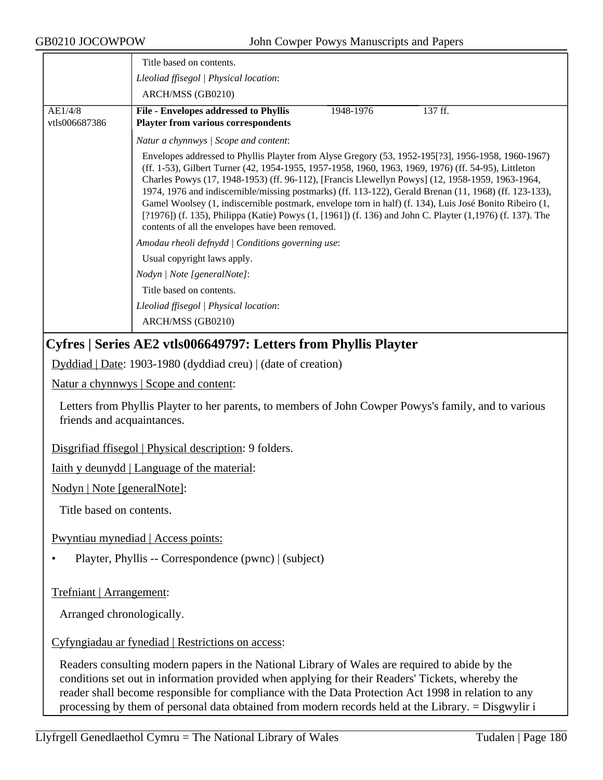| JBUZIU JUUU W PU W         | John Cowper Powys Manuscripts and Papers                                                                                                                                                                                                                                                                                                                                                                                                                                                                                                                                                                                                                                                                  |  |  |
|----------------------------|-----------------------------------------------------------------------------------------------------------------------------------------------------------------------------------------------------------------------------------------------------------------------------------------------------------------------------------------------------------------------------------------------------------------------------------------------------------------------------------------------------------------------------------------------------------------------------------------------------------------------------------------------------------------------------------------------------------|--|--|
|                            | Title based on contents.                                                                                                                                                                                                                                                                                                                                                                                                                                                                                                                                                                                                                                                                                  |  |  |
|                            | Lleoliad ffisegol   Physical location:                                                                                                                                                                                                                                                                                                                                                                                                                                                                                                                                                                                                                                                                    |  |  |
|                            | ARCH/MSS (GB0210)                                                                                                                                                                                                                                                                                                                                                                                                                                                                                                                                                                                                                                                                                         |  |  |
| AE1/4/8<br>vtls006687386   | <b>File - Envelopes addressed to Phyllis</b><br>1948-1976<br>137 ff.<br><b>Playter from various correspondents</b>                                                                                                                                                                                                                                                                                                                                                                                                                                                                                                                                                                                        |  |  |
|                            | Natur a chynnwys / Scope and content:                                                                                                                                                                                                                                                                                                                                                                                                                                                                                                                                                                                                                                                                     |  |  |
|                            | Envelopes addressed to Phyllis Playter from Alyse Gregory (53, 1952-195[?3], 1956-1958, 1960-1967)<br>(ff. 1-53), Gilbert Turner (42, 1954-1955, 1957-1958, 1960, 1963, 1969, 1976) (ff. 54-95), Littleton<br>Charles Powys (17, 1948-1953) (ff. 96-112), [Francis Llewellyn Powys] (12, 1958-1959, 1963-1964,<br>1974, 1976 and indiscernible/missing postmarks) (ff. 113-122), Gerald Brenan (11, 1968) (ff. 123-133),<br>Gamel Woolsey (1, indiscernible postmark, envelope torn in half) (f. 134), Luis José Bonito Ribeiro (1,<br>[?1976]) (f. 135), Philippa (Katie) Powys $(1, [1961])$ (f. 136) and John C. Playter $(1, 1976)$ (f. 137). The<br>contents of all the envelopes have been removed. |  |  |
|                            | Amodau rheoli defnydd   Conditions governing use:                                                                                                                                                                                                                                                                                                                                                                                                                                                                                                                                                                                                                                                         |  |  |
|                            | Usual copyright laws apply.                                                                                                                                                                                                                                                                                                                                                                                                                                                                                                                                                                                                                                                                               |  |  |
|                            | Nodyn   Note [generalNote]:                                                                                                                                                                                                                                                                                                                                                                                                                                                                                                                                                                                                                                                                               |  |  |
|                            | Title based on contents.                                                                                                                                                                                                                                                                                                                                                                                                                                                                                                                                                                                                                                                                                  |  |  |
|                            | Lleoliad ffisegol   Physical location:                                                                                                                                                                                                                                                                                                                                                                                                                                                                                                                                                                                                                                                                    |  |  |
|                            | ARCH/MSS (GB0210)                                                                                                                                                                                                                                                                                                                                                                                                                                                                                                                                                                                                                                                                                         |  |  |
|                            | Cyfres   Series AE2 vtls006649797: Letters from Phyllis Playter                                                                                                                                                                                                                                                                                                                                                                                                                                                                                                                                                                                                                                           |  |  |
|                            | Dyddiad   Date: 1903-1980 (dyddiad creu)   (date of creation)                                                                                                                                                                                                                                                                                                                                                                                                                                                                                                                                                                                                                                             |  |  |
|                            | Natur a chynnwys   Scope and content:                                                                                                                                                                                                                                                                                                                                                                                                                                                                                                                                                                                                                                                                     |  |  |
| friends and acquaintances. | Letters from Phyllis Playter to her parents, to members of John Cowper Powys's family, and to various                                                                                                                                                                                                                                                                                                                                                                                                                                                                                                                                                                                                     |  |  |
|                            | Disgrifiad ffisegol   Physical description: 9 folders.                                                                                                                                                                                                                                                                                                                                                                                                                                                                                                                                                                                                                                                    |  |  |
|                            | <u>Iaith y deunydd</u>   Language of the material:                                                                                                                                                                                                                                                                                                                                                                                                                                                                                                                                                                                                                                                        |  |  |
|                            | Nodyn   Note [generalNote]:                                                                                                                                                                                                                                                                                                                                                                                                                                                                                                                                                                                                                                                                               |  |  |
| Title based on contents.   |                                                                                                                                                                                                                                                                                                                                                                                                                                                                                                                                                                                                                                                                                                           |  |  |
|                            | Pwyntiau mynediad   Access points:                                                                                                                                                                                                                                                                                                                                                                                                                                                                                                                                                                                                                                                                        |  |  |
|                            | Playter, Phyllis -- Correspondence (pwnc)   (subject)                                                                                                                                                                                                                                                                                                                                                                                                                                                                                                                                                                                                                                                     |  |  |
| Trefniant   Arrangement:   |                                                                                                                                                                                                                                                                                                                                                                                                                                                                                                                                                                                                                                                                                                           |  |  |
| Arranged chronologically.  |                                                                                                                                                                                                                                                                                                                                                                                                                                                                                                                                                                                                                                                                                                           |  |  |
|                            | Cyfyngiadau ar fynediad   Restrictions on access:                                                                                                                                                                                                                                                                                                                                                                                                                                                                                                                                                                                                                                                         |  |  |
|                            | Readers consulting modern papers in the National Library of Wales are required to abide by the<br>conditions set out in information provided when applying for their Readers' Tickets, whereby the<br>reader shall become responsible for compliance with the Data Protection Act 1998 in relation to any                                                                                                                                                                                                                                                                                                                                                                                                 |  |  |

processing by them of personal data obtained from modern records held at the Library. = Disgwylir i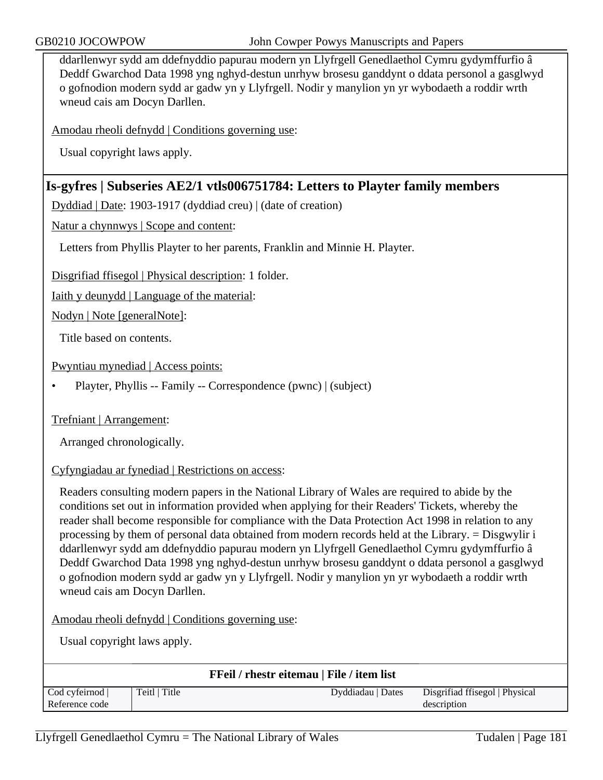ddarllenwyr sydd am ddefnyddio papurau modern yn Llyfrgell Genedlaethol Cymru gydymffurfio â Deddf Gwarchod Data 1998 yng nghyd-destun unrhyw brosesu ganddynt o ddata personol a gasglwyd o gofnodion modern sydd ar gadw yn y Llyfrgell. Nodir y manylion yn yr wybodaeth a roddir wrth wneud cais am Docyn Darllen.

Amodau rheoli defnydd | Conditions governing use:

Usual copyright laws apply.

## **Is-gyfres | Subseries AE2/1 vtls006751784: Letters to Playter family members**

Dyddiad | Date: 1903-1917 (dyddiad creu) | (date of creation)

Natur a chynnwys | Scope and content:

Letters from Phyllis Playter to her parents, Franklin and Minnie H. Playter.

Disgrifiad ffisegol | Physical description: 1 folder.

Iaith y deunydd | Language of the material:

Nodyn | Note [generalNote]:

Title based on contents.

Pwyntiau mynediad | Access points:

• Playter, Phyllis -- Family -- Correspondence (pwnc) | (subject)

Trefniant | Arrangement:

Arranged chronologically.

### Cyfyngiadau ar fynediad | Restrictions on access:

Readers consulting modern papers in the National Library of Wales are required to abide by the conditions set out in information provided when applying for their Readers' Tickets, whereby the reader shall become responsible for compliance with the Data Protection Act 1998 in relation to any processing by them of personal data obtained from modern records held at the Library. = Disgwylir i ddarllenwyr sydd am ddefnyddio papurau modern yn Llyfrgell Genedlaethol Cymru gydymffurfio â Deddf Gwarchod Data 1998 yng nghyd-destun unrhyw brosesu ganddynt o ddata personol a gasglwyd o gofnodion modern sydd ar gadw yn y Llyfrgell. Nodir y manylion yn yr wybodaeth a roddir wrth wneud cais am Docyn Darllen.

Amodau rheoli defnydd | Conditions governing use:

| <b>FFeil / rhestr eitemau   File / item list</b> |               |                   |                                |  |  |
|--------------------------------------------------|---------------|-------------------|--------------------------------|--|--|
| Cod cyfeirnod                                    | Teitl   Title | Dyddiadau   Dates | Disgrifiad ffisegol   Physical |  |  |
| Reference code<br>description                    |               |                   |                                |  |  |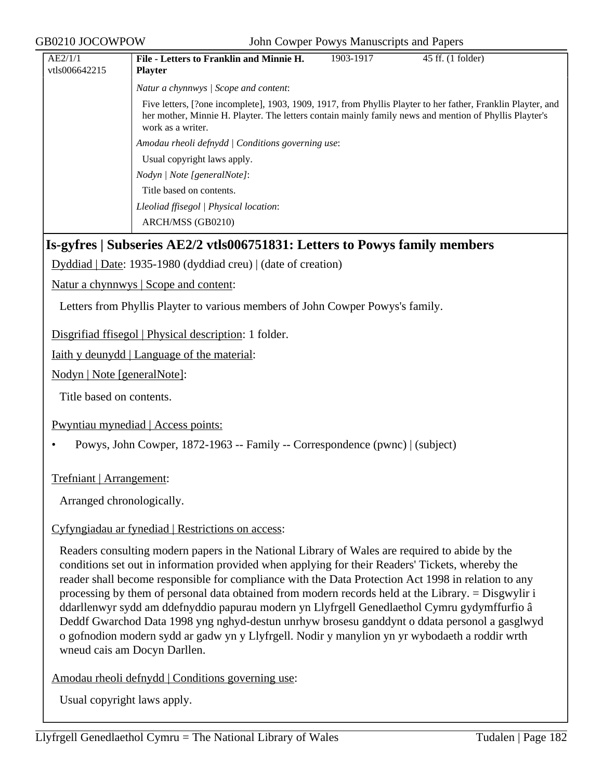GB0210 JOCOWPOW John Cowper Powys Manuscripts and Papers

| AE2/1/1                                               | File - Letters to Franklin and Minnie H.                                                                                                                                                                                                    | 1903-1917 | 45 ff. (1 folder) |  |
|-------------------------------------------------------|---------------------------------------------------------------------------------------------------------------------------------------------------------------------------------------------------------------------------------------------|-----------|-------------------|--|
| vtls006642215                                         | <b>Playter</b>                                                                                                                                                                                                                              |           |                   |  |
|                                                       | Natur a chynnwys / Scope and content:                                                                                                                                                                                                       |           |                   |  |
|                                                       | Five letters, [?one incomplete], 1903, 1909, 1917, from Phyllis Playter to her father, Franklin Playter, and<br>her mother, Minnie H. Playter. The letters contain mainly family news and mention of Phyllis Playter's<br>work as a writer. |           |                   |  |
|                                                       | Amodau rheoli defnydd   Conditions governing use:                                                                                                                                                                                           |           |                   |  |
|                                                       | Usual copyright laws apply.                                                                                                                                                                                                                 |           |                   |  |
|                                                       | Nodyn   Note [generalNote]:                                                                                                                                                                                                                 |           |                   |  |
|                                                       | Title based on contents.                                                                                                                                                                                                                    |           |                   |  |
|                                                       | Lleoliad ffisegol   Physical location:                                                                                                                                                                                                      |           |                   |  |
|                                                       | ARCH/MSS (GB0210)                                                                                                                                                                                                                           |           |                   |  |
|                                                       | Is-gyfres   Subseries AE2/2 vtls006751831: Letters to Powys family members                                                                                                                                                                  |           |                   |  |
|                                                       | $Dyddiad   Date: 1935-1980 (dyddiad creu)   (date of creation)$                                                                                                                                                                             |           |                   |  |
| <u>Natur a chynnwys</u>   Scope and content:          |                                                                                                                                                                                                                                             |           |                   |  |
|                                                       | Letters from Phyllis Playter to various members of John Cowper Powys's family.                                                                                                                                                              |           |                   |  |
| Disgrifiad ffisegol   Physical description: 1 folder. |                                                                                                                                                                                                                                             |           |                   |  |

Iaith y deunydd | Language of the material:

Nodyn | Note [generalNote]:

Title based on contents.

Pwyntiau mynediad | Access points:

• Powys, John Cowper, 1872-1963 -- Family -- Correspondence (pwnc) | (subject)

Trefniant | Arrangement:

Arranged chronologically.

### Cyfyngiadau ar fynediad | Restrictions on access:

Readers consulting modern papers in the National Library of Wales are required to abide by the conditions set out in information provided when applying for their Readers' Tickets, whereby the reader shall become responsible for compliance with the Data Protection Act 1998 in relation to any processing by them of personal data obtained from modern records held at the Library. = Disgwylir i ddarllenwyr sydd am ddefnyddio papurau modern yn Llyfrgell Genedlaethol Cymru gydymffurfio â Deddf Gwarchod Data 1998 yng nghyd-destun unrhyw brosesu ganddynt o ddata personol a gasglwyd o gofnodion modern sydd ar gadw yn y Llyfrgell. Nodir y manylion yn yr wybodaeth a roddir wrth wneud cais am Docyn Darllen.

Amodau rheoli defnydd | Conditions governing use: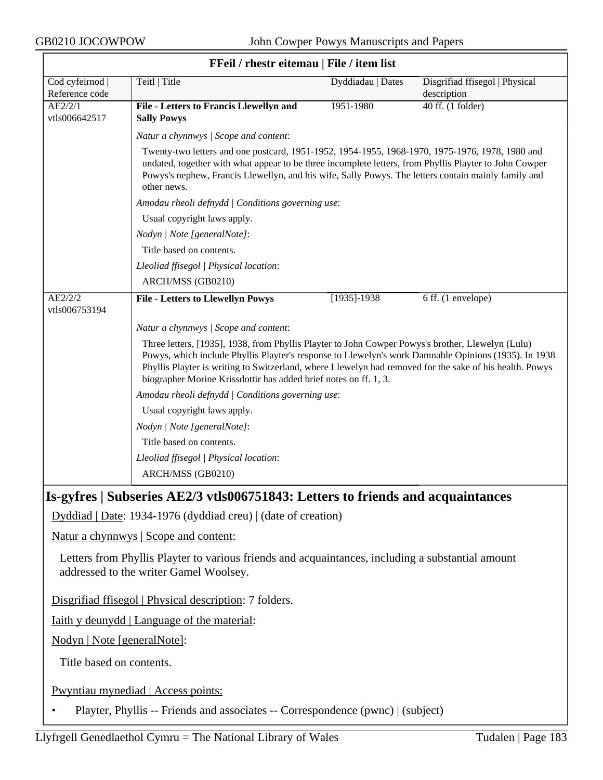$\overline{\phantom{a}}$ 

|                                   | FFeil / rhestr eitemau   File / item list                                                                                                                                                                                                                                                                                                                                                                                                                                                         |                   |                                               |
|-----------------------------------|---------------------------------------------------------------------------------------------------------------------------------------------------------------------------------------------------------------------------------------------------------------------------------------------------------------------------------------------------------------------------------------------------------------------------------------------------------------------------------------------------|-------------------|-----------------------------------------------|
| Cod cyfeirnod  <br>Reference code | Teitl   Title                                                                                                                                                                                                                                                                                                                                                                                                                                                                                     | Dyddiadau   Dates | Disgrifiad ffisegol   Physical<br>description |
| AE2/2/1<br>vtls006642517          | File - Letters to Francis Llewellyn and<br><b>Sally Powys</b>                                                                                                                                                                                                                                                                                                                                                                                                                                     | 1951-1980         | 40 ff. (1 folder)                             |
|                                   | Natur a chynnwys / Scope and content:                                                                                                                                                                                                                                                                                                                                                                                                                                                             |                   |                                               |
|                                   | Twenty-two letters and one postcard, 1951-1952, 1954-1955, 1968-1970, 1975-1976, 1978, 1980 and<br>undated, together with what appear to be three incomplete letters, from Phyllis Playter to John Cowper<br>Powys's nephew, Francis Llewellyn, and his wife, Sally Powys. The letters contain mainly family and<br>other news.                                                                                                                                                                   |                   |                                               |
|                                   | Amodau rheoli defnydd   Conditions governing use:                                                                                                                                                                                                                                                                                                                                                                                                                                                 |                   |                                               |
|                                   | Usual copyright laws apply.                                                                                                                                                                                                                                                                                                                                                                                                                                                                       |                   |                                               |
|                                   | Nodyn   Note [generalNote]:                                                                                                                                                                                                                                                                                                                                                                                                                                                                       |                   |                                               |
|                                   | Title based on contents.                                                                                                                                                                                                                                                                                                                                                                                                                                                                          |                   |                                               |
|                                   | Lleoliad ffisegol   Physical location:                                                                                                                                                                                                                                                                                                                                                                                                                                                            |                   |                                               |
|                                   | ARCH/MSS (GB0210)                                                                                                                                                                                                                                                                                                                                                                                                                                                                                 |                   |                                               |
| AE2/2/2<br>vtls006753194          | <b>File - Letters to Llewellyn Powys</b>                                                                                                                                                                                                                                                                                                                                                                                                                                                          | $[1935] - 1938$   | 6 ff. (1 envelope)                            |
|                                   | Natur a chynnwys / Scope and content:                                                                                                                                                                                                                                                                                                                                                                                                                                                             |                   |                                               |
|                                   | Powys, which include Phyllis Playter's response to Llewelyn's work Damnable Opinions (1935). In 1938<br>Phyllis Playter is writing to Switzerland, where Llewelyn had removed for the sake of his health. Powys<br>biographer Morine Krissdottir has added brief notes on ff. 1, 3.<br>Amodau rheoli defnydd   Conditions governing use:<br>Usual copyright laws apply.<br>Nodyn   Note [generalNote]:<br>Title based on contents.<br>Lleoliad ffisegol   Physical location:<br>ARCH/MSS (GB0210) |                   |                                               |
|                                   | Is-gyfres   Subseries AE2/3 vtls006751843: Letters to friends and acquaintances                                                                                                                                                                                                                                                                                                                                                                                                                   |                   |                                               |
|                                   | Dyddiad   Date: 1934-1976 (dyddiad creu)   (date of creation)                                                                                                                                                                                                                                                                                                                                                                                                                                     |                   |                                               |
|                                   | Natur a chynnwys   Scope and content:                                                                                                                                                                                                                                                                                                                                                                                                                                                             |                   |                                               |
|                                   | Letters from Phyllis Playter to various friends and acquaintances, including a substantial amount<br>addressed to the writer Gamel Woolsey.                                                                                                                                                                                                                                                                                                                                                       |                   |                                               |
|                                   | Disgrifiad ffisegol   Physical description: 7 folders.                                                                                                                                                                                                                                                                                                                                                                                                                                            |                   |                                               |
|                                   | <u>Iaith y deunydd</u>   Language of the material:                                                                                                                                                                                                                                                                                                                                                                                                                                                |                   |                                               |
| Nodyn   Note [generalNote]:       |                                                                                                                                                                                                                                                                                                                                                                                                                                                                                                   |                   |                                               |
| Title based on contents.          |                                                                                                                                                                                                                                                                                                                                                                                                                                                                                                   |                   |                                               |
|                                   | Pwyntiau mynediad   Access points:                                                                                                                                                                                                                                                                                                                                                                                                                                                                |                   |                                               |

• Playter, Phyllis -- Friends and associates -- Correspondence (pwnc) | (subject)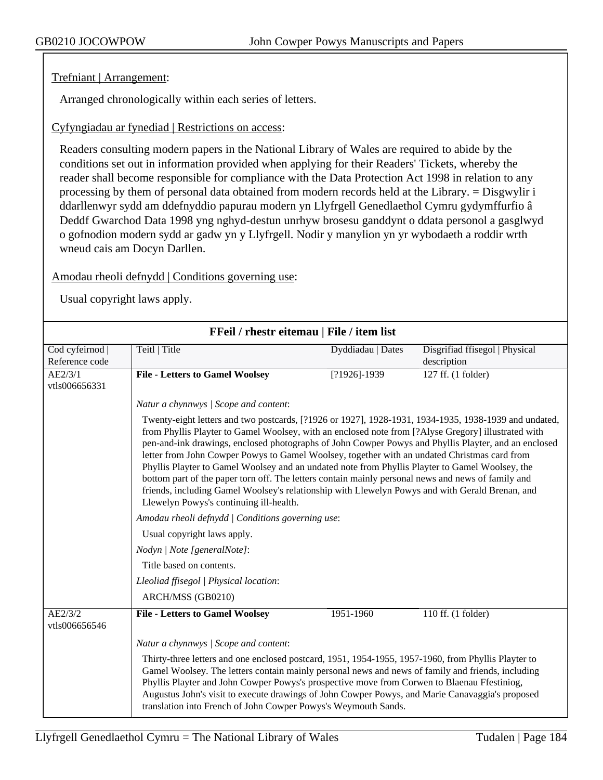## Trefniant | Arrangement:

Arranged chronologically within each series of letters.

## Cyfyngiadau ar fynediad | Restrictions on access:

Readers consulting modern papers in the National Library of Wales are required to abide by the conditions set out in information provided when applying for their Readers' Tickets, whereby the reader shall become responsible for compliance with the Data Protection Act 1998 in relation to any processing by them of personal data obtained from modern records held at the Library. = Disgwylir i ddarllenwyr sydd am ddefnyddio papurau modern yn Llyfrgell Genedlaethol Cymru gydymffurfio â Deddf Gwarchod Data 1998 yng nghyd-destun unrhyw brosesu ganddynt o ddata personol a gasglwyd o gofnodion modern sydd ar gadw yn y Llyfrgell. Nodir y manylion yn yr wybodaeth a roddir wrth wneud cais am Docyn Darllen.

## Amodau rheoli defnydd | Conditions governing use:

| FFeil / rhestr eitemau   File / item list |                                                                                                                                                                                                                                                                                                                                                                                                                                                                                                                                                                                                                                                                                                                                                                                                                                                                                                                                                                      |                   |                                |  |
|-------------------------------------------|----------------------------------------------------------------------------------------------------------------------------------------------------------------------------------------------------------------------------------------------------------------------------------------------------------------------------------------------------------------------------------------------------------------------------------------------------------------------------------------------------------------------------------------------------------------------------------------------------------------------------------------------------------------------------------------------------------------------------------------------------------------------------------------------------------------------------------------------------------------------------------------------------------------------------------------------------------------------|-------------------|--------------------------------|--|
| Cod cyfeirnod                             | Teitl   Title                                                                                                                                                                                                                                                                                                                                                                                                                                                                                                                                                                                                                                                                                                                                                                                                                                                                                                                                                        | Dyddiadau   Dates | Disgrifiad ffisegol   Physical |  |
| Reference code                            |                                                                                                                                                                                                                                                                                                                                                                                                                                                                                                                                                                                                                                                                                                                                                                                                                                                                                                                                                                      |                   | description                    |  |
| AE2/3/1                                   | <b>File - Letters to Gamel Woolsey</b>                                                                                                                                                                                                                                                                                                                                                                                                                                                                                                                                                                                                                                                                                                                                                                                                                                                                                                                               | $[?1926] - 1939$  | 127 ff. (1 folder)             |  |
| vtls006656331                             |                                                                                                                                                                                                                                                                                                                                                                                                                                                                                                                                                                                                                                                                                                                                                                                                                                                                                                                                                                      |                   |                                |  |
|                                           | Natur a chynnwys / Scope and content:                                                                                                                                                                                                                                                                                                                                                                                                                                                                                                                                                                                                                                                                                                                                                                                                                                                                                                                                |                   |                                |  |
|                                           | Twenty-eight letters and two postcards, [?1926 or 1927], 1928-1931, 1934-1935, 1938-1939 and undated,<br>from Phyllis Playter to Gamel Woolsey, with an enclosed note from [?Alyse Gregory] illustrated with<br>pen-and-ink drawings, enclosed photographs of John Cowper Powys and Phyllis Playter, and an enclosed<br>letter from John Cowper Powys to Gamel Woolsey, together with an undated Christmas card from<br>Phyllis Playter to Gamel Woolsey and an undated note from Phyllis Playter to Gamel Woolsey, the<br>bottom part of the paper torn off. The letters contain mainly personal news and news of family and<br>friends, including Gamel Woolsey's relationship with Llewelyn Powys and with Gerald Brenan, and<br>Llewelyn Powys's continuing ill-health.<br>Amodau rheoli defnydd   Conditions governing use:<br>Usual copyright laws apply.<br>Nodyn   Note [generalNote]:<br>Title based on contents.<br>Lleoliad ffisegol   Physical location: |                   |                                |  |
|                                           |                                                                                                                                                                                                                                                                                                                                                                                                                                                                                                                                                                                                                                                                                                                                                                                                                                                                                                                                                                      |                   |                                |  |
|                                           |                                                                                                                                                                                                                                                                                                                                                                                                                                                                                                                                                                                                                                                                                                                                                                                                                                                                                                                                                                      |                   |                                |  |
|                                           |                                                                                                                                                                                                                                                                                                                                                                                                                                                                                                                                                                                                                                                                                                                                                                                                                                                                                                                                                                      |                   |                                |  |
|                                           |                                                                                                                                                                                                                                                                                                                                                                                                                                                                                                                                                                                                                                                                                                                                                                                                                                                                                                                                                                      |                   |                                |  |
|                                           |                                                                                                                                                                                                                                                                                                                                                                                                                                                                                                                                                                                                                                                                                                                                                                                                                                                                                                                                                                      |                   |                                |  |
|                                           | ARCH/MSS (GB0210)                                                                                                                                                                                                                                                                                                                                                                                                                                                                                                                                                                                                                                                                                                                                                                                                                                                                                                                                                    |                   |                                |  |
| AE2/3/2<br>vtls006656546                  | <b>File - Letters to Gamel Woolsey</b>                                                                                                                                                                                                                                                                                                                                                                                                                                                                                                                                                                                                                                                                                                                                                                                                                                                                                                                               | 1951-1960         | 110 ff. (1 folder)             |  |
|                                           | Natur a chynnwys / Scope and content:                                                                                                                                                                                                                                                                                                                                                                                                                                                                                                                                                                                                                                                                                                                                                                                                                                                                                                                                |                   |                                |  |
|                                           | Thirty-three letters and one enclosed postcard, 1951, 1954-1955, 1957-1960, from Phyllis Playter to<br>Gamel Woolsey. The letters contain mainly personal news and news of family and friends, including<br>Phyllis Playter and John Cowper Powys's prospective move from Corwen to Blaenau Ffestiniog,<br>Augustus John's visit to execute drawings of John Cowper Powys, and Marie Canavaggia's proposed<br>translation into French of John Cowper Powys's Weymouth Sands.                                                                                                                                                                                                                                                                                                                                                                                                                                                                                         |                   |                                |  |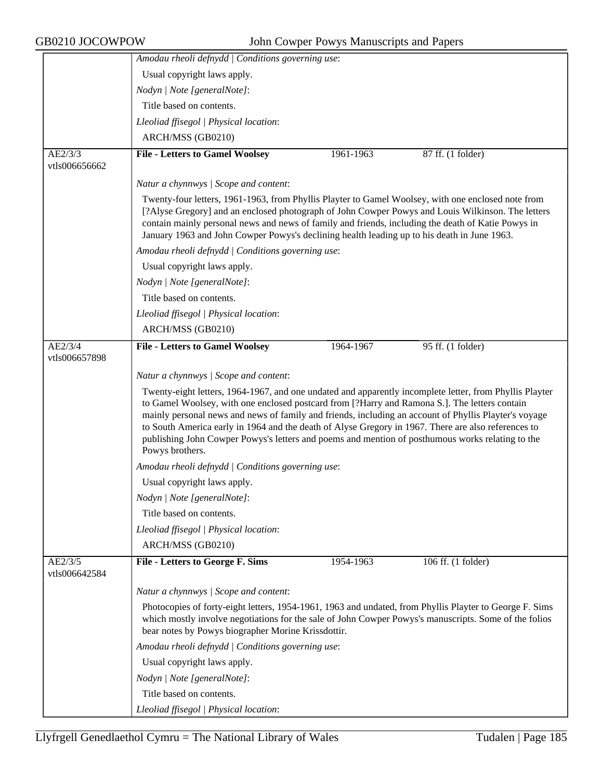|                          | Amodau rheoli defnydd   Conditions governing use:                                                                                                                                                                                                                                                                                                                                                                                                                                                                                               |                                                   |                    |  |  |  |
|--------------------------|-------------------------------------------------------------------------------------------------------------------------------------------------------------------------------------------------------------------------------------------------------------------------------------------------------------------------------------------------------------------------------------------------------------------------------------------------------------------------------------------------------------------------------------------------|---------------------------------------------------|--------------------|--|--|--|
|                          | Usual copyright laws apply.                                                                                                                                                                                                                                                                                                                                                                                                                                                                                                                     |                                                   |                    |  |  |  |
|                          | Nodyn   Note [generalNote]:                                                                                                                                                                                                                                                                                                                                                                                                                                                                                                                     |                                                   |                    |  |  |  |
|                          | Title based on contents.                                                                                                                                                                                                                                                                                                                                                                                                                                                                                                                        |                                                   |                    |  |  |  |
|                          | Lleoliad ffisegol   Physical location:                                                                                                                                                                                                                                                                                                                                                                                                                                                                                                          |                                                   |                    |  |  |  |
|                          | ARCH/MSS (GB0210)                                                                                                                                                                                                                                                                                                                                                                                                                                                                                                                               |                                                   |                    |  |  |  |
| AE2/3/3                  | <b>File - Letters to Gamel Woolsey</b>                                                                                                                                                                                                                                                                                                                                                                                                                                                                                                          | 1961-1963                                         | 87 ff. (1 folder)  |  |  |  |
| vtls006656662            |                                                                                                                                                                                                                                                                                                                                                                                                                                                                                                                                                 |                                                   |                    |  |  |  |
|                          | Natur a chynnwys / Scope and content:                                                                                                                                                                                                                                                                                                                                                                                                                                                                                                           |                                                   |                    |  |  |  |
|                          | Twenty-four letters, 1961-1963, from Phyllis Playter to Gamel Woolsey, with one enclosed note from<br>[?Alyse Gregory] and an enclosed photograph of John Cowper Powys and Louis Wilkinson. The letters<br>contain mainly personal news and news of family and friends, including the death of Katie Powys in<br>January 1963 and John Cowper Powys's declining health leading up to his death in June 1963.                                                                                                                                    |                                                   |                    |  |  |  |
|                          | Amodau rheoli defnydd   Conditions governing use:                                                                                                                                                                                                                                                                                                                                                                                                                                                                                               |                                                   |                    |  |  |  |
|                          | Usual copyright laws apply.                                                                                                                                                                                                                                                                                                                                                                                                                                                                                                                     |                                                   |                    |  |  |  |
|                          | Nodyn   Note [generalNote]:                                                                                                                                                                                                                                                                                                                                                                                                                                                                                                                     |                                                   |                    |  |  |  |
|                          | Title based on contents.                                                                                                                                                                                                                                                                                                                                                                                                                                                                                                                        |                                                   |                    |  |  |  |
|                          | Lleoliad ffisegol   Physical location:                                                                                                                                                                                                                                                                                                                                                                                                                                                                                                          |                                                   |                    |  |  |  |
|                          | ARCH/MSS (GB0210)                                                                                                                                                                                                                                                                                                                                                                                                                                                                                                                               |                                                   |                    |  |  |  |
| AE2/3/4<br>vtls006657898 | <b>File - Letters to Gamel Woolsey</b>                                                                                                                                                                                                                                                                                                                                                                                                                                                                                                          | 1964-1967                                         | 95 ff. (1 folder)  |  |  |  |
|                          | Natur a chynnwys / Scope and content:                                                                                                                                                                                                                                                                                                                                                                                                                                                                                                           |                                                   |                    |  |  |  |
|                          | Twenty-eight letters, 1964-1967, and one undated and apparently incomplete letter, from Phyllis Playter<br>to Gamel Woolsey, with one enclosed postcard from [?Harry and Ramona S.]. The letters contain<br>mainly personal news and news of family and friends, including an account of Phyllis Playter's voyage<br>to South America early in 1964 and the death of Alyse Gregory in 1967. There are also references to<br>publishing John Cowper Powys's letters and poems and mention of posthumous works relating to the<br>Powys brothers. |                                                   |                    |  |  |  |
|                          |                                                                                                                                                                                                                                                                                                                                                                                                                                                                                                                                                 | Amodau rheoli defnydd   Conditions governing use: |                    |  |  |  |
|                          | Usual copyright laws apply.                                                                                                                                                                                                                                                                                                                                                                                                                                                                                                                     |                                                   |                    |  |  |  |
|                          | Nodyn   Note [generalNote]:                                                                                                                                                                                                                                                                                                                                                                                                                                                                                                                     |                                                   |                    |  |  |  |
|                          | Title based on contents.                                                                                                                                                                                                                                                                                                                                                                                                                                                                                                                        |                                                   |                    |  |  |  |
|                          | Lleoliad ffisegol   Physical location:                                                                                                                                                                                                                                                                                                                                                                                                                                                                                                          |                                                   |                    |  |  |  |
|                          | ARCH/MSS (GB0210)                                                                                                                                                                                                                                                                                                                                                                                                                                                                                                                               |                                                   |                    |  |  |  |
| AE2/3/5<br>vtls006642584 | <b>File - Letters to George F. Sims</b>                                                                                                                                                                                                                                                                                                                                                                                                                                                                                                         | 1954-1963                                         | 106 ff. (1 folder) |  |  |  |
|                          | Natur a chynnwys / Scope and content:                                                                                                                                                                                                                                                                                                                                                                                                                                                                                                           |                                                   |                    |  |  |  |
|                          | Photocopies of forty-eight letters, 1954-1961, 1963 and undated, from Phyllis Playter to George F. Sims<br>which mostly involve negotiations for the sale of John Cowper Powys's manuscripts. Some of the folios<br>bear notes by Powys biographer Morine Krissdottir.                                                                                                                                                                                                                                                                          |                                                   |                    |  |  |  |
|                          | Amodau rheoli defnydd   Conditions governing use:                                                                                                                                                                                                                                                                                                                                                                                                                                                                                               |                                                   |                    |  |  |  |
|                          | Usual copyright laws apply.                                                                                                                                                                                                                                                                                                                                                                                                                                                                                                                     |                                                   |                    |  |  |  |
|                          | Nodyn   Note [generalNote]:                                                                                                                                                                                                                                                                                                                                                                                                                                                                                                                     |                                                   |                    |  |  |  |
|                          | Title based on contents.                                                                                                                                                                                                                                                                                                                                                                                                                                                                                                                        |                                                   |                    |  |  |  |
|                          | Lleoliad ffisegol   Physical location:                                                                                                                                                                                                                                                                                                                                                                                                                                                                                                          |                                                   |                    |  |  |  |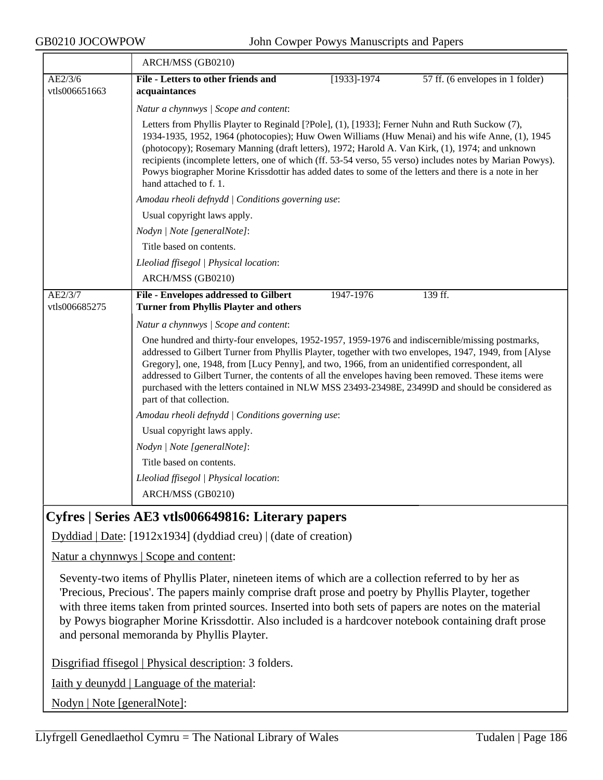|                          | ARCH/MSS (GB0210)                                                                                                                                                                                                                                                                                                                                                                                                                                                                                                                                     |                 |                                  |  |  |
|--------------------------|-------------------------------------------------------------------------------------------------------------------------------------------------------------------------------------------------------------------------------------------------------------------------------------------------------------------------------------------------------------------------------------------------------------------------------------------------------------------------------------------------------------------------------------------------------|-----------------|----------------------------------|--|--|
| AE2/3/6<br>vtls006651663 | File - Letters to other friends and<br>acquaintances                                                                                                                                                                                                                                                                                                                                                                                                                                                                                                  | $[1933] - 1974$ | 57 ff. (6 envelopes in 1 folder) |  |  |
|                          | Natur a chynnwys / Scope and content:                                                                                                                                                                                                                                                                                                                                                                                                                                                                                                                 |                 |                                  |  |  |
|                          | Letters from Phyllis Playter to Reginald [?Pole], (1), [1933]; Ferner Nuhn and Ruth Suckow (7),<br>1934-1935, 1952, 1964 (photocopies); Huw Owen Williams (Huw Menai) and his wife Anne, (1), 1945<br>(photocopy); Rosemary Manning (draft letters), 1972; Harold A. Van Kirk, (1), 1974; and unknown<br>recipients (incomplete letters, one of which (ff. 53-54 verso, 55 verso) includes notes by Marian Powys).<br>Powys biographer Morine Krissdottir has added dates to some of the letters and there is a note in her<br>hand attached to f. 1. |                 |                                  |  |  |
|                          | Amodau rheoli defnydd   Conditions governing use:<br>Usual copyright laws apply.<br>Nodyn   Note [generalNote]:                                                                                                                                                                                                                                                                                                                                                                                                                                       |                 |                                  |  |  |
|                          |                                                                                                                                                                                                                                                                                                                                                                                                                                                                                                                                                       |                 |                                  |  |  |
|                          |                                                                                                                                                                                                                                                                                                                                                                                                                                                                                                                                                       |                 |                                  |  |  |
|                          | Title based on contents.                                                                                                                                                                                                                                                                                                                                                                                                                                                                                                                              |                 |                                  |  |  |
|                          | Lleoliad ffisegol   Physical location:                                                                                                                                                                                                                                                                                                                                                                                                                                                                                                                |                 |                                  |  |  |
|                          | ARCH/MSS (GB0210)                                                                                                                                                                                                                                                                                                                                                                                                                                                                                                                                     |                 |                                  |  |  |
| AE2/3/7<br>vtls006685275 | <b>File - Envelopes addressed to Gilbert</b><br><b>Turner from Phyllis Playter and others</b>                                                                                                                                                                                                                                                                                                                                                                                                                                                         | 1947-1976       | 139 ff.                          |  |  |
|                          | Natur a chynnwys / Scope and content:                                                                                                                                                                                                                                                                                                                                                                                                                                                                                                                 |                 |                                  |  |  |
|                          | One hundred and thirty-four envelopes, 1952-1957, 1959-1976 and indiscernible/missing postmarks,<br>addressed to Gilbert Turner from Phyllis Playter, together with two envelopes, 1947, 1949, from [Alyse<br>Gregory], one, 1948, from [Lucy Penny], and two, 1966, from an unidentified correspondent, all<br>addressed to Gilbert Turner, the contents of all the envelopes having been removed. These items were<br>purchased with the letters contained in NLW MSS 23493-23498E, 23499D and should be considered as<br>part of that collection.  |                 |                                  |  |  |
|                          | Amodau rheoli defnydd   Conditions governing use:                                                                                                                                                                                                                                                                                                                                                                                                                                                                                                     |                 |                                  |  |  |
|                          | Usual copyright laws apply.                                                                                                                                                                                                                                                                                                                                                                                                                                                                                                                           |                 |                                  |  |  |
|                          | Nodyn   Note [generalNote]:                                                                                                                                                                                                                                                                                                                                                                                                                                                                                                                           |                 |                                  |  |  |
|                          | Title based on contents.                                                                                                                                                                                                                                                                                                                                                                                                                                                                                                                              |                 |                                  |  |  |
|                          | Lleoliad ffisegol   Physical location:                                                                                                                                                                                                                                                                                                                                                                                                                                                                                                                |                 |                                  |  |  |
|                          | ARCH/MSS (GB0210)                                                                                                                                                                                                                                                                                                                                                                                                                                                                                                                                     |                 |                                  |  |  |

# **Cyfres | Series AE3 vtls006649816: Literary papers**

Dyddiad | Date: [1912x1934] (dyddiad creu) | (date of creation)

Natur a chynnwys | Scope and content:

Seventy-two items of Phyllis Plater, nineteen items of which are a collection referred to by her as 'Precious, Precious'. The papers mainly comprise draft prose and poetry by Phyllis Playter, together with three items taken from printed sources. Inserted into both sets of papers are notes on the material by Powys biographer Morine Krissdottir. Also included is a hardcover notebook containing draft prose and personal memoranda by Phyllis Playter.

Disgrifiad ffisegol | Physical description: 3 folders.

Iaith y deunydd | Language of the material:

Nodyn | Note [generalNote]: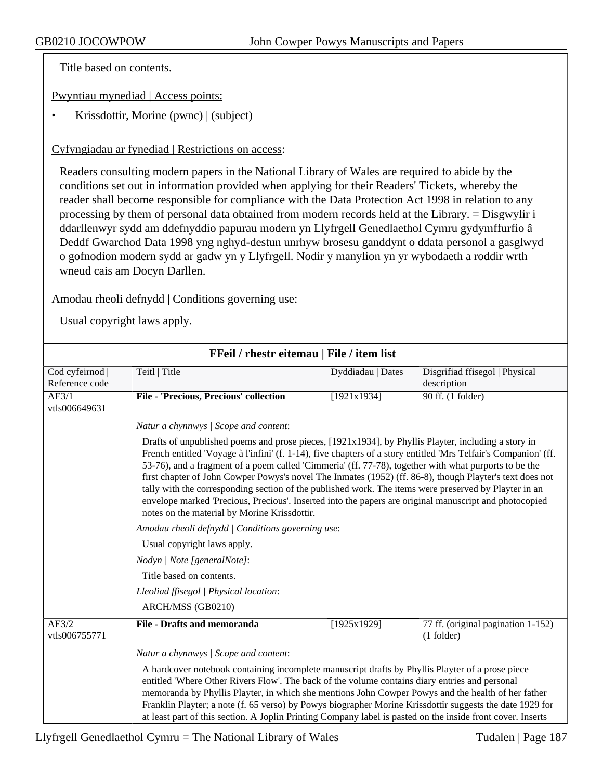Title based on contents.

Pwyntiau mynediad | Access points:

• Krissdottir, Morine (pwnc) | (subject)

## Cyfyngiadau ar fynediad | Restrictions on access:

Readers consulting modern papers in the National Library of Wales are required to abide by the conditions set out in information provided when applying for their Readers' Tickets, whereby the reader shall become responsible for compliance with the Data Protection Act 1998 in relation to any processing by them of personal data obtained from modern records held at the Library. = Disgwylir i ddarllenwyr sydd am ddefnyddio papurau modern yn Llyfrgell Genedlaethol Cymru gydymffurfio â Deddf Gwarchod Data 1998 yng nghyd-destun unrhyw brosesu ganddynt o ddata personol a gasglwyd o gofnodion modern sydd ar gadw yn y Llyfrgell. Nodir y manylion yn yr wybodaeth a roddir wrth wneud cais am Docyn Darllen.

## Amodau rheoli defnydd | Conditions governing use:

| FFeil / rhestr eitemau   File / item list |                                                                                                                                                                                                                                                                                                                                                                                                                                                                                                                                                                                                                                                                                                                |                   |                                                    |  |
|-------------------------------------------|----------------------------------------------------------------------------------------------------------------------------------------------------------------------------------------------------------------------------------------------------------------------------------------------------------------------------------------------------------------------------------------------------------------------------------------------------------------------------------------------------------------------------------------------------------------------------------------------------------------------------------------------------------------------------------------------------------------|-------------------|----------------------------------------------------|--|
| Cod cyfeirnod<br>Reference code           | Teitl   Title                                                                                                                                                                                                                                                                                                                                                                                                                                                                                                                                                                                                                                                                                                  | Dyddiadau   Dates | Disgrifiad ffisegol   Physical<br>description      |  |
| AE3/1<br>vtls006649631                    | File - 'Precious, Precious' collection                                                                                                                                                                                                                                                                                                                                                                                                                                                                                                                                                                                                                                                                         | [1921x1934]       | 90 ff. (1 folder)                                  |  |
|                                           | Natur a chynnwys / Scope and content:                                                                                                                                                                                                                                                                                                                                                                                                                                                                                                                                                                                                                                                                          |                   |                                                    |  |
|                                           | Drafts of unpublished poems and prose pieces, [1921x1934], by Phyllis Playter, including a story in<br>French entitled 'Voyage à l'infini' (f. 1-14), five chapters of a story entitled 'Mrs Telfair's Companion' (ff.<br>53-76), and a fragment of a poem called 'Cimmeria' (ff. 77-78), together with what purports to be the<br>first chapter of John Cowper Powys's novel The Inmates (1952) (ff. 86-8), though Playter's text does not<br>tally with the corresponding section of the published work. The items were preserved by Playter in an<br>envelope marked 'Precious, Precious'. Inserted into the papers are original manuscript and photocopied<br>notes on the material by Morine Krissdottir. |                   |                                                    |  |
|                                           | Amodau rheoli defnydd   Conditions governing use:                                                                                                                                                                                                                                                                                                                                                                                                                                                                                                                                                                                                                                                              |                   |                                                    |  |
|                                           | Usual copyright laws apply.                                                                                                                                                                                                                                                                                                                                                                                                                                                                                                                                                                                                                                                                                    |                   |                                                    |  |
|                                           | Nodyn   Note [generalNote]:                                                                                                                                                                                                                                                                                                                                                                                                                                                                                                                                                                                                                                                                                    |                   |                                                    |  |
|                                           | Title based on contents.                                                                                                                                                                                                                                                                                                                                                                                                                                                                                                                                                                                                                                                                                       |                   |                                                    |  |
|                                           | Lleoliad ffisegol   Physical location:                                                                                                                                                                                                                                                                                                                                                                                                                                                                                                                                                                                                                                                                         |                   |                                                    |  |
|                                           | ARCH/MSS (GB0210)                                                                                                                                                                                                                                                                                                                                                                                                                                                                                                                                                                                                                                                                                              |                   |                                                    |  |
| AE3/2<br>vtls006755771                    | <b>File - Drafts and memoranda</b>                                                                                                                                                                                                                                                                                                                                                                                                                                                                                                                                                                                                                                                                             | [1925x1929]       | 77 ff. (original pagination 1-152)<br>$(1$ folder) |  |
|                                           | Natur a chynnwys / Scope and content:                                                                                                                                                                                                                                                                                                                                                                                                                                                                                                                                                                                                                                                                          |                   |                                                    |  |
|                                           | A hardcover notebook containing incomplete manuscript drafts by Phyllis Playter of a prose piece<br>entitled 'Where Other Rivers Flow'. The back of the volume contains diary entries and personal<br>memoranda by Phyllis Playter, in which she mentions John Cowper Powys and the health of her father<br>Franklin Playter; a note (f. 65 verso) by Powys biographer Morine Krissdottir suggests the date 1929 for<br>at least part of this section. A Joplin Printing Company label is pasted on the inside front cover. Inserts                                                                                                                                                                            |                   |                                                    |  |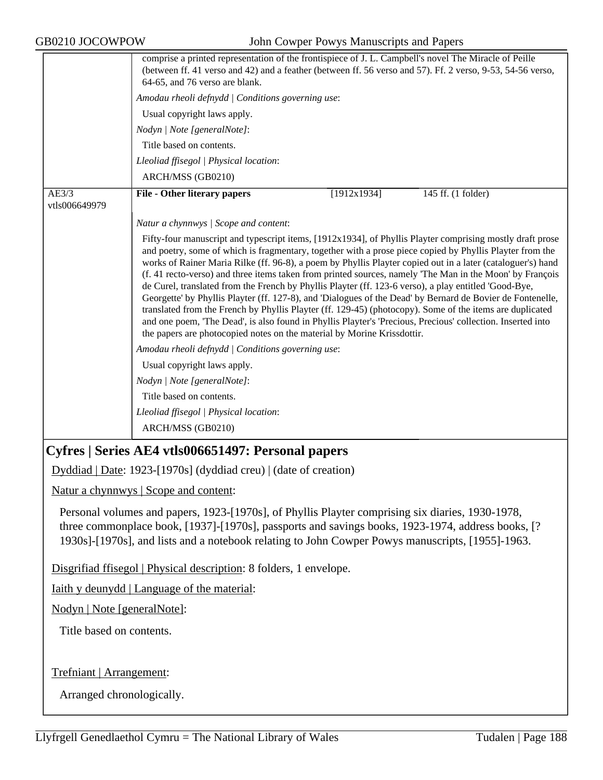| GB0210 JOCOWPOW                                                                                                                                                                                                                                                                                           | John Cowper Powys Manuscripts and Papers                                                                                                                                                                                                                                                                                                                                                                                                                                                                                                                                                                                                                                                                                                                                                                                                                                                                                                                                      |  |  |
|-----------------------------------------------------------------------------------------------------------------------------------------------------------------------------------------------------------------------------------------------------------------------------------------------------------|-------------------------------------------------------------------------------------------------------------------------------------------------------------------------------------------------------------------------------------------------------------------------------------------------------------------------------------------------------------------------------------------------------------------------------------------------------------------------------------------------------------------------------------------------------------------------------------------------------------------------------------------------------------------------------------------------------------------------------------------------------------------------------------------------------------------------------------------------------------------------------------------------------------------------------------------------------------------------------|--|--|
|                                                                                                                                                                                                                                                                                                           | comprise a printed representation of the frontispiece of J. L. Campbell's novel The Miracle of Peille<br>(between ff. 41 verso and 42) and a feather (between ff. 56 verso and 57). Ff. 2 verso, 9-53, 54-56 verso,<br>64-65, and 76 verso are blank.                                                                                                                                                                                                                                                                                                                                                                                                                                                                                                                                                                                                                                                                                                                         |  |  |
|                                                                                                                                                                                                                                                                                                           | Amodau rheoli defnydd   Conditions governing use:                                                                                                                                                                                                                                                                                                                                                                                                                                                                                                                                                                                                                                                                                                                                                                                                                                                                                                                             |  |  |
|                                                                                                                                                                                                                                                                                                           | Usual copyright laws apply.                                                                                                                                                                                                                                                                                                                                                                                                                                                                                                                                                                                                                                                                                                                                                                                                                                                                                                                                                   |  |  |
|                                                                                                                                                                                                                                                                                                           | Nodyn   Note [generalNote]:                                                                                                                                                                                                                                                                                                                                                                                                                                                                                                                                                                                                                                                                                                                                                                                                                                                                                                                                                   |  |  |
|                                                                                                                                                                                                                                                                                                           | Title based on contents.                                                                                                                                                                                                                                                                                                                                                                                                                                                                                                                                                                                                                                                                                                                                                                                                                                                                                                                                                      |  |  |
|                                                                                                                                                                                                                                                                                                           | Lleoliad ffisegol   Physical location:                                                                                                                                                                                                                                                                                                                                                                                                                                                                                                                                                                                                                                                                                                                                                                                                                                                                                                                                        |  |  |
|                                                                                                                                                                                                                                                                                                           | ARCH/MSS (GB0210)                                                                                                                                                                                                                                                                                                                                                                                                                                                                                                                                                                                                                                                                                                                                                                                                                                                                                                                                                             |  |  |
| AE3/3<br>vtls006649979                                                                                                                                                                                                                                                                                    | <b>File - Other literary papers</b><br>[1912x1934]<br>145 ff. (1 folder)                                                                                                                                                                                                                                                                                                                                                                                                                                                                                                                                                                                                                                                                                                                                                                                                                                                                                                      |  |  |
|                                                                                                                                                                                                                                                                                                           | Natur a chynnwys / Scope and content:                                                                                                                                                                                                                                                                                                                                                                                                                                                                                                                                                                                                                                                                                                                                                                                                                                                                                                                                         |  |  |
|                                                                                                                                                                                                                                                                                                           | Fifty-four manuscript and typescript items, [1912x1934], of Phyllis Playter comprising mostly draft prose<br>and poetry, some of which is fragmentary, together with a prose piece copied by Phyllis Playter from the<br>works of Rainer Maria Rilke (ff. 96-8), a poem by Phyllis Playter copied out in a later (cataloguer's) hand<br>(f. 41 recto-verso) and three items taken from printed sources, namely 'The Man in the Moon' by François<br>de Curel, translated from the French by Phyllis Playter (ff. 123-6 verso), a play entitled 'Good-Bye,<br>Georgette' by Phyllis Playter (ff. 127-8), and 'Dialogues of the Dead' by Bernard de Bovier de Fontenelle,<br>translated from the French by Phyllis Playter (ff. 129-45) (photocopy). Some of the items are duplicated<br>and one poem, 'The Dead', is also found in Phyllis Playter's 'Precious, Precious' collection. Inserted into<br>the papers are photocopied notes on the material by Morine Krissdottir. |  |  |
|                                                                                                                                                                                                                                                                                                           | Amodau rheoli defnydd   Conditions governing use:                                                                                                                                                                                                                                                                                                                                                                                                                                                                                                                                                                                                                                                                                                                                                                                                                                                                                                                             |  |  |
|                                                                                                                                                                                                                                                                                                           | Usual copyright laws apply.                                                                                                                                                                                                                                                                                                                                                                                                                                                                                                                                                                                                                                                                                                                                                                                                                                                                                                                                                   |  |  |
|                                                                                                                                                                                                                                                                                                           | Nodyn   Note [generalNote]:                                                                                                                                                                                                                                                                                                                                                                                                                                                                                                                                                                                                                                                                                                                                                                                                                                                                                                                                                   |  |  |
|                                                                                                                                                                                                                                                                                                           | Title based on contents.                                                                                                                                                                                                                                                                                                                                                                                                                                                                                                                                                                                                                                                                                                                                                                                                                                                                                                                                                      |  |  |
|                                                                                                                                                                                                                                                                                                           | Lleoliad ffisegol   Physical location:                                                                                                                                                                                                                                                                                                                                                                                                                                                                                                                                                                                                                                                                                                                                                                                                                                                                                                                                        |  |  |
|                                                                                                                                                                                                                                                                                                           | ARCH/MSS (GB0210)                                                                                                                                                                                                                                                                                                                                                                                                                                                                                                                                                                                                                                                                                                                                                                                                                                                                                                                                                             |  |  |
|                                                                                                                                                                                                                                                                                                           | Cyfres   Series AE4 vtls006651497: Personal papers                                                                                                                                                                                                                                                                                                                                                                                                                                                                                                                                                                                                                                                                                                                                                                                                                                                                                                                            |  |  |
|                                                                                                                                                                                                                                                                                                           | Dyddiad   Date: 1923-[1970s] (dyddiad creu)   (date of creation)                                                                                                                                                                                                                                                                                                                                                                                                                                                                                                                                                                                                                                                                                                                                                                                                                                                                                                              |  |  |
|                                                                                                                                                                                                                                                                                                           | Natur a chynnwys   Scope and content:                                                                                                                                                                                                                                                                                                                                                                                                                                                                                                                                                                                                                                                                                                                                                                                                                                                                                                                                         |  |  |
| Personal volumes and papers, 1923-[1970s], of Phyllis Playter comprising six diaries, 1930-1978,<br>three commonplace book, [1937]-[1970s], passports and savings books, 1923-1974, address books, [?<br>1930s]-[1970s], and lists and a notebook relating to John Cowper Powys manuscripts, [1955]-1963. |                                                                                                                                                                                                                                                                                                                                                                                                                                                                                                                                                                                                                                                                                                                                                                                                                                                                                                                                                                               |  |  |
|                                                                                                                                                                                                                                                                                                           | Disgrifiad ffisegol   Physical description: 8 folders, 1 envelope.                                                                                                                                                                                                                                                                                                                                                                                                                                                                                                                                                                                                                                                                                                                                                                                                                                                                                                            |  |  |
|                                                                                                                                                                                                                                                                                                           | <u>Iaith y deunydd   Language of the material:</u>                                                                                                                                                                                                                                                                                                                                                                                                                                                                                                                                                                                                                                                                                                                                                                                                                                                                                                                            |  |  |
| Nodyn   Note [generalNote]:                                                                                                                                                                                                                                                                               |                                                                                                                                                                                                                                                                                                                                                                                                                                                                                                                                                                                                                                                                                                                                                                                                                                                                                                                                                                               |  |  |
| Title based on contents.                                                                                                                                                                                                                                                                                  |                                                                                                                                                                                                                                                                                                                                                                                                                                                                                                                                                                                                                                                                                                                                                                                                                                                                                                                                                                               |  |  |
| Trefniant   Arrangement:                                                                                                                                                                                                                                                                                  |                                                                                                                                                                                                                                                                                                                                                                                                                                                                                                                                                                                                                                                                                                                                                                                                                                                                                                                                                                               |  |  |
|                                                                                                                                                                                                                                                                                                           |                                                                                                                                                                                                                                                                                                                                                                                                                                                                                                                                                                                                                                                                                                                                                                                                                                                                                                                                                                               |  |  |
| Arranged chronologically.                                                                                                                                                                                                                                                                                 |                                                                                                                                                                                                                                                                                                                                                                                                                                                                                                                                                                                                                                                                                                                                                                                                                                                                                                                                                                               |  |  |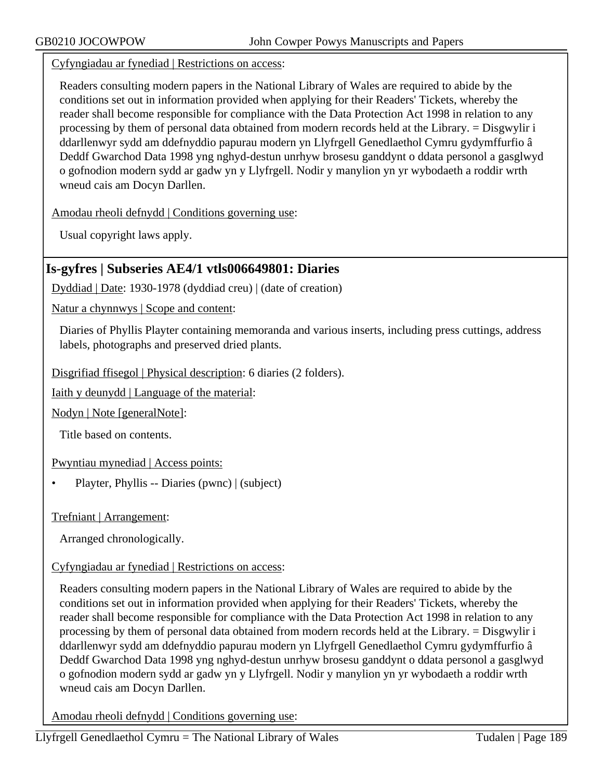Cyfyngiadau ar fynediad | Restrictions on access:

Readers consulting modern papers in the National Library of Wales are required to abide by the conditions set out in information provided when applying for their Readers' Tickets, whereby the reader shall become responsible for compliance with the Data Protection Act 1998 in relation to any processing by them of personal data obtained from modern records held at the Library. = Disgwylir i ddarllenwyr sydd am ddefnyddio papurau modern yn Llyfrgell Genedlaethol Cymru gydymffurfio â Deddf Gwarchod Data 1998 yng nghyd-destun unrhyw brosesu ganddynt o ddata personol a gasglwyd o gofnodion modern sydd ar gadw yn y Llyfrgell. Nodir y manylion yn yr wybodaeth a roddir wrth wneud cais am Docyn Darllen.

Amodau rheoli defnydd | Conditions governing use:

Usual copyright laws apply.

# **Is-gyfres | Subseries AE4/1 vtls006649801: Diaries**

Dyddiad | Date: 1930-1978 (dyddiad creu) | (date of creation)

Natur a chynnwys | Scope and content:

Diaries of Phyllis Playter containing memoranda and various inserts, including press cuttings, address labels, photographs and preserved dried plants.

Disgrifiad ffisegol | Physical description: 6 diaries (2 folders).

Iaith y deunydd | Language of the material:

Nodyn | Note [generalNote]:

Title based on contents.

Pwyntiau mynediad | Access points:

• Playter, Phyllis -- Diaries (pwnc) | (subject)

Trefniant | Arrangement:

Arranged chronologically.

## Cyfyngiadau ar fynediad | Restrictions on access:

Readers consulting modern papers in the National Library of Wales are required to abide by the conditions set out in information provided when applying for their Readers' Tickets, whereby the reader shall become responsible for compliance with the Data Protection Act 1998 in relation to any processing by them of personal data obtained from modern records held at the Library. = Disgwylir i ddarllenwyr sydd am ddefnyddio papurau modern yn Llyfrgell Genedlaethol Cymru gydymffurfio â Deddf Gwarchod Data 1998 yng nghyd-destun unrhyw brosesu ganddynt o ddata personol a gasglwyd o gofnodion modern sydd ar gadw yn y Llyfrgell. Nodir y manylion yn yr wybodaeth a roddir wrth wneud cais am Docyn Darllen.

Amodau rheoli defnydd | Conditions governing use: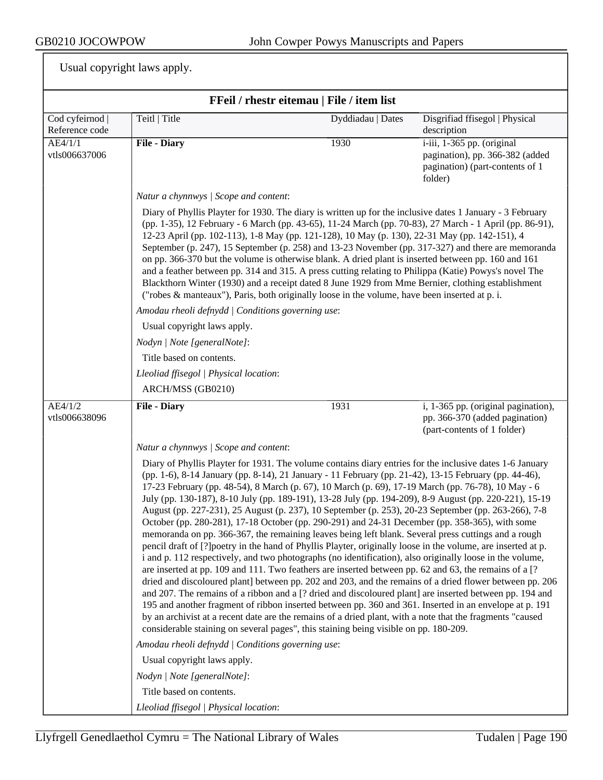| FFeil / rhestr eitemau   File / item list |                                                                                                                                                                                                                                                                                                                                                                                                                                                                                                                                                                                                                                                                                                                                                                                                                                                   |                                                                                                                                                                                                                                                                                                                                                                                                                                                                                                                                                                                                                                                                                                                                                                                                                                                                                                                                                                                                                                                                                                                                                                                                                                                                                                                                                                                                                                                                                                                   |                                                                                                             |  |  |
|-------------------------------------------|---------------------------------------------------------------------------------------------------------------------------------------------------------------------------------------------------------------------------------------------------------------------------------------------------------------------------------------------------------------------------------------------------------------------------------------------------------------------------------------------------------------------------------------------------------------------------------------------------------------------------------------------------------------------------------------------------------------------------------------------------------------------------------------------------------------------------------------------------|-------------------------------------------------------------------------------------------------------------------------------------------------------------------------------------------------------------------------------------------------------------------------------------------------------------------------------------------------------------------------------------------------------------------------------------------------------------------------------------------------------------------------------------------------------------------------------------------------------------------------------------------------------------------------------------------------------------------------------------------------------------------------------------------------------------------------------------------------------------------------------------------------------------------------------------------------------------------------------------------------------------------------------------------------------------------------------------------------------------------------------------------------------------------------------------------------------------------------------------------------------------------------------------------------------------------------------------------------------------------------------------------------------------------------------------------------------------------------------------------------------------------|-------------------------------------------------------------------------------------------------------------|--|--|
| Cod cyfeirnod  <br>Reference code         | Teitl   Title                                                                                                                                                                                                                                                                                                                                                                                                                                                                                                                                                                                                                                                                                                                                                                                                                                     | Dyddiadau   Dates                                                                                                                                                                                                                                                                                                                                                                                                                                                                                                                                                                                                                                                                                                                                                                                                                                                                                                                                                                                                                                                                                                                                                                                                                                                                                                                                                                                                                                                                                                 | Disgrifiad ffisegol   Physical<br>description                                                               |  |  |
| AE4/1/1<br>vtls006637006                  | <b>File - Diary</b>                                                                                                                                                                                                                                                                                                                                                                                                                                                                                                                                                                                                                                                                                                                                                                                                                               | 1930                                                                                                                                                                                                                                                                                                                                                                                                                                                                                                                                                                                                                                                                                                                                                                                                                                                                                                                                                                                                                                                                                                                                                                                                                                                                                                                                                                                                                                                                                                              | i-iii, 1-365 pp. (original<br>pagination), pp. 366-382 (added<br>pagination) (part-contents of 1<br>folder) |  |  |
|                                           | Natur a chynnwys / Scope and content:                                                                                                                                                                                                                                                                                                                                                                                                                                                                                                                                                                                                                                                                                                                                                                                                             |                                                                                                                                                                                                                                                                                                                                                                                                                                                                                                                                                                                                                                                                                                                                                                                                                                                                                                                                                                                                                                                                                                                                                                                                                                                                                                                                                                                                                                                                                                                   |                                                                                                             |  |  |
|                                           | Diary of Phyllis Playter for 1930. The diary is written up for the inclusive dates 1 January - 3 February<br>(pp. 1-35), 12 February - 6 March (pp. 43-65), 11-24 March (pp. 70-83), 27 March - 1 April (pp. 86-91),<br>12-23 April (pp. 102-113), 1-8 May (pp. 121-128), 10 May (p. 130), 22-31 May (pp. 142-151), 4<br>September (p. 247), 15 September (p. 258) and 13-23 November (pp. 317-327) and there are memoranda<br>on pp. 366-370 but the volume is otherwise blank. A dried plant is inserted between pp. 160 and 161<br>and a feather between pp. 314 and 315. A press cutting relating to Philippa (Katie) Powys's novel The<br>Blackthorn Winter (1930) and a receipt dated 8 June 1929 from Mme Bernier, clothing establishment<br>("robes & manteaux"), Paris, both originally loose in the volume, have been inserted at p. i. |                                                                                                                                                                                                                                                                                                                                                                                                                                                                                                                                                                                                                                                                                                                                                                                                                                                                                                                                                                                                                                                                                                                                                                                                                                                                                                                                                                                                                                                                                                                   |                                                                                                             |  |  |
|                                           | Amodau rheoli defnydd   Conditions governing use:                                                                                                                                                                                                                                                                                                                                                                                                                                                                                                                                                                                                                                                                                                                                                                                                 |                                                                                                                                                                                                                                                                                                                                                                                                                                                                                                                                                                                                                                                                                                                                                                                                                                                                                                                                                                                                                                                                                                                                                                                                                                                                                                                                                                                                                                                                                                                   |                                                                                                             |  |  |
|                                           | Usual copyright laws apply.                                                                                                                                                                                                                                                                                                                                                                                                                                                                                                                                                                                                                                                                                                                                                                                                                       |                                                                                                                                                                                                                                                                                                                                                                                                                                                                                                                                                                                                                                                                                                                                                                                                                                                                                                                                                                                                                                                                                                                                                                                                                                                                                                                                                                                                                                                                                                                   |                                                                                                             |  |  |
|                                           | Nodyn   Note [generalNote]:                                                                                                                                                                                                                                                                                                                                                                                                                                                                                                                                                                                                                                                                                                                                                                                                                       |                                                                                                                                                                                                                                                                                                                                                                                                                                                                                                                                                                                                                                                                                                                                                                                                                                                                                                                                                                                                                                                                                                                                                                                                                                                                                                                                                                                                                                                                                                                   |                                                                                                             |  |  |
|                                           | Title based on contents.                                                                                                                                                                                                                                                                                                                                                                                                                                                                                                                                                                                                                                                                                                                                                                                                                          |                                                                                                                                                                                                                                                                                                                                                                                                                                                                                                                                                                                                                                                                                                                                                                                                                                                                                                                                                                                                                                                                                                                                                                                                                                                                                                                                                                                                                                                                                                                   |                                                                                                             |  |  |
|                                           | Lleoliad ffisegol   Physical location:                                                                                                                                                                                                                                                                                                                                                                                                                                                                                                                                                                                                                                                                                                                                                                                                            |                                                                                                                                                                                                                                                                                                                                                                                                                                                                                                                                                                                                                                                                                                                                                                                                                                                                                                                                                                                                                                                                                                                                                                                                                                                                                                                                                                                                                                                                                                                   |                                                                                                             |  |  |
|                                           | ARCH/MSS (GB0210)                                                                                                                                                                                                                                                                                                                                                                                                                                                                                                                                                                                                                                                                                                                                                                                                                                 |                                                                                                                                                                                                                                                                                                                                                                                                                                                                                                                                                                                                                                                                                                                                                                                                                                                                                                                                                                                                                                                                                                                                                                                                                                                                                                                                                                                                                                                                                                                   |                                                                                                             |  |  |
| AE4/1/2<br>vtls006638096                  | <b>File - Diary</b>                                                                                                                                                                                                                                                                                                                                                                                                                                                                                                                                                                                                                                                                                                                                                                                                                               | 1931                                                                                                                                                                                                                                                                                                                                                                                                                                                                                                                                                                                                                                                                                                                                                                                                                                                                                                                                                                                                                                                                                                                                                                                                                                                                                                                                                                                                                                                                                                              | i, 1-365 pp. (original pagination),<br>pp. 366-370 (added pagination)<br>(part-contents of 1 folder)        |  |  |
|                                           | Natur a chynnwys / Scope and content:                                                                                                                                                                                                                                                                                                                                                                                                                                                                                                                                                                                                                                                                                                                                                                                                             |                                                                                                                                                                                                                                                                                                                                                                                                                                                                                                                                                                                                                                                                                                                                                                                                                                                                                                                                                                                                                                                                                                                                                                                                                                                                                                                                                                                                                                                                                                                   |                                                                                                             |  |  |
|                                           |                                                                                                                                                                                                                                                                                                                                                                                                                                                                                                                                                                                                                                                                                                                                                                                                                                                   | Diary of Phyllis Playter for 1931. The volume contains diary entries for the inclusive dates 1-6 January<br>(pp. 1-6), 8-14 January (pp. 8-14), 21 January - 11 February (pp. 21-42), 13-15 February (pp. 44-46),<br>17-23 February (pp. 48-54), 8 March (p. 67), 10 March (p. 69), 17-19 March (pp. 76-78), 10 May - 6<br>July (pp. 130-187), 8-10 July (pp. 189-191), 13-28 July (pp. 194-209), 8-9 August (pp. 220-221), 15-19<br>August (pp. 227-231), 25 August (p. 237), 10 September (p. 253), 20-23 September (pp. 263-266), 7-8<br>October (pp. 280-281), 17-18 October (pp. 290-291) and 24-31 December (pp. 358-365), with some<br>memoranda on pp. 366-367, the remaining leaves being left blank. Several press cuttings and a rough<br>pencil draft of [?] poetry in the hand of Phyllis Playter, originally loose in the volume, are inserted at p.<br>i and p. 112 respectively, and two photographs (no identification), also originally loose in the volume,<br>are inserted at pp. 109 and 111. Two feathers are inserted between pp. 62 and 63, the remains of a [?<br>and 207. The remains of a ribbon and a [? dried and discoloured plant] are inserted between pp. 194 and<br>195 and another fragment of ribbon inserted between pp. 360 and 361. Inserted in an envelope at p. 191<br>by an archivist at a recent date are the remains of a dried plant, with a note that the fragments "caused<br>considerable staining on several pages", this staining being visible on pp. 180-209. | dried and discoloured plant] between pp. 202 and 203, and the remains of a dried flower between pp. 206     |  |  |
|                                           |                                                                                                                                                                                                                                                                                                                                                                                                                                                                                                                                                                                                                                                                                                                                                                                                                                                   | Amodau rheoli defnydd   Conditions governing use:                                                                                                                                                                                                                                                                                                                                                                                                                                                                                                                                                                                                                                                                                                                                                                                                                                                                                                                                                                                                                                                                                                                                                                                                                                                                                                                                                                                                                                                                 |                                                                                                             |  |  |
|                                           | Usual copyright laws apply.                                                                                                                                                                                                                                                                                                                                                                                                                                                                                                                                                                                                                                                                                                                                                                                                                       |                                                                                                                                                                                                                                                                                                                                                                                                                                                                                                                                                                                                                                                                                                                                                                                                                                                                                                                                                                                                                                                                                                                                                                                                                                                                                                                                                                                                                                                                                                                   |                                                                                                             |  |  |
|                                           | Nodyn   Note [generalNote]:                                                                                                                                                                                                                                                                                                                                                                                                                                                                                                                                                                                                                                                                                                                                                                                                                       |                                                                                                                                                                                                                                                                                                                                                                                                                                                                                                                                                                                                                                                                                                                                                                                                                                                                                                                                                                                                                                                                                                                                                                                                                                                                                                                                                                                                                                                                                                                   |                                                                                                             |  |  |
|                                           | Title based on contents.                                                                                                                                                                                                                                                                                                                                                                                                                                                                                                                                                                                                                                                                                                                                                                                                                          |                                                                                                                                                                                                                                                                                                                                                                                                                                                                                                                                                                                                                                                                                                                                                                                                                                                                                                                                                                                                                                                                                                                                                                                                                                                                                                                                                                                                                                                                                                                   |                                                                                                             |  |  |
|                                           |                                                                                                                                                                                                                                                                                                                                                                                                                                                                                                                                                                                                                                                                                                                                                                                                                                                   |                                                                                                                                                                                                                                                                                                                                                                                                                                                                                                                                                                                                                                                                                                                                                                                                                                                                                                                                                                                                                                                                                                                                                                                                                                                                                                                                                                                                                                                                                                                   | Lleoliad ffisegol   Physical location:                                                                      |  |  |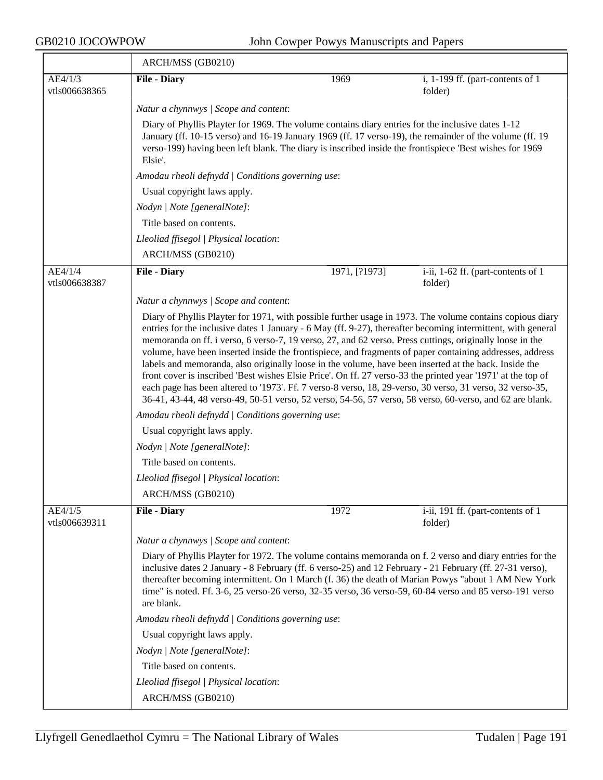|                          | ARCH/MSS (GB0210)                                                                                                                                                                                                                                                                                                                                                                                                                                                                                                                                                                                                                                                                                                                                                                                                                                                                                   |               |                                               |  |  |
|--------------------------|-----------------------------------------------------------------------------------------------------------------------------------------------------------------------------------------------------------------------------------------------------------------------------------------------------------------------------------------------------------------------------------------------------------------------------------------------------------------------------------------------------------------------------------------------------------------------------------------------------------------------------------------------------------------------------------------------------------------------------------------------------------------------------------------------------------------------------------------------------------------------------------------------------|---------------|-----------------------------------------------|--|--|
| AE4/1/3                  | <b>File - Diary</b>                                                                                                                                                                                                                                                                                                                                                                                                                                                                                                                                                                                                                                                                                                                                                                                                                                                                                 | 1969          | i, 1-199 ff. (part-contents of 1              |  |  |
| vtls006638365            |                                                                                                                                                                                                                                                                                                                                                                                                                                                                                                                                                                                                                                                                                                                                                                                                                                                                                                     |               | folder)                                       |  |  |
|                          | Natur a chynnwys / Scope and content:                                                                                                                                                                                                                                                                                                                                                                                                                                                                                                                                                                                                                                                                                                                                                                                                                                                               |               |                                               |  |  |
|                          | Diary of Phyllis Playter for 1969. The volume contains diary entries for the inclusive dates 1-12<br>January (ff. 10-15 verso) and 16-19 January 1969 (ff. 17 verso-19), the remainder of the volume (ff. 19<br>verso-199) having been left blank. The diary is inscribed inside the frontispiece 'Best wishes for 1969<br>Elsie'.                                                                                                                                                                                                                                                                                                                                                                                                                                                                                                                                                                  |               |                                               |  |  |
|                          | Amodau rheoli defnydd   Conditions governing use:                                                                                                                                                                                                                                                                                                                                                                                                                                                                                                                                                                                                                                                                                                                                                                                                                                                   |               |                                               |  |  |
|                          | Usual copyright laws apply.                                                                                                                                                                                                                                                                                                                                                                                                                                                                                                                                                                                                                                                                                                                                                                                                                                                                         |               |                                               |  |  |
|                          | Nodyn   Note [generalNote]:<br>Title based on contents.                                                                                                                                                                                                                                                                                                                                                                                                                                                                                                                                                                                                                                                                                                                                                                                                                                             |               |                                               |  |  |
|                          |                                                                                                                                                                                                                                                                                                                                                                                                                                                                                                                                                                                                                                                                                                                                                                                                                                                                                                     |               |                                               |  |  |
|                          | Lleoliad ffisegol   Physical location:                                                                                                                                                                                                                                                                                                                                                                                                                                                                                                                                                                                                                                                                                                                                                                                                                                                              |               |                                               |  |  |
|                          | ARCH/MSS (GB0210)                                                                                                                                                                                                                                                                                                                                                                                                                                                                                                                                                                                                                                                                                                                                                                                                                                                                                   |               |                                               |  |  |
| AE4/1/4<br>vtls006638387 | <b>File - Diary</b>                                                                                                                                                                                                                                                                                                                                                                                                                                                                                                                                                                                                                                                                                                                                                                                                                                                                                 | 1971, [?1973] | i-ii, 1-62 ff. (part-contents of 1<br>folder) |  |  |
|                          | Natur a chynnwys / Scope and content:                                                                                                                                                                                                                                                                                                                                                                                                                                                                                                                                                                                                                                                                                                                                                                                                                                                               |               |                                               |  |  |
|                          | Diary of Phyllis Playter for 1971, with possible further usage in 1973. The volume contains copious diary<br>entries for the inclusive dates 1 January - 6 May (ff. 9-27), thereafter becoming intermittent, with general<br>memoranda on ff. i verso, 6 verso-7, 19 verso, 27, and 62 verso. Press cuttings, originally loose in the<br>volume, have been inserted inside the frontispiece, and fragments of paper containing addresses, address<br>labels and memoranda, also originally loose in the volume, have been inserted at the back. Inside the<br>front cover is inscribed 'Best wishes Elsie Price'. On ff. 27 verso-33 the printed year '1971' at the top of<br>each page has been altered to '1973'. Ff. 7 verso-8 verso, 18, 29-verso, 30 verso, 31 verso, 32 verso-35,<br>36-41, 43-44, 48 verso-49, 50-51 verso, 52 verso, 54-56, 57 verso, 58 verso, 60-verso, and 62 are blank. |               |                                               |  |  |
|                          | Amodau rheoli defnydd / Conditions governing use:                                                                                                                                                                                                                                                                                                                                                                                                                                                                                                                                                                                                                                                                                                                                                                                                                                                   |               |                                               |  |  |
|                          | Usual copyright laws apply.                                                                                                                                                                                                                                                                                                                                                                                                                                                                                                                                                                                                                                                                                                                                                                                                                                                                         |               |                                               |  |  |
|                          | Nodyn   Note [generalNote]:                                                                                                                                                                                                                                                                                                                                                                                                                                                                                                                                                                                                                                                                                                                                                                                                                                                                         |               |                                               |  |  |
|                          | Title based on contents.                                                                                                                                                                                                                                                                                                                                                                                                                                                                                                                                                                                                                                                                                                                                                                                                                                                                            |               |                                               |  |  |
|                          | Lleoliad ffisegol   Physical location:                                                                                                                                                                                                                                                                                                                                                                                                                                                                                                                                                                                                                                                                                                                                                                                                                                                              |               |                                               |  |  |
|                          | ARCH/MSS (GB0210)                                                                                                                                                                                                                                                                                                                                                                                                                                                                                                                                                                                                                                                                                                                                                                                                                                                                                   |               |                                               |  |  |
| AE4/1/5<br>vtls006639311 | <b>File - Diary</b>                                                                                                                                                                                                                                                                                                                                                                                                                                                                                                                                                                                                                                                                                                                                                                                                                                                                                 | 1972          | i-ii, 191 ff. (part-contents of 1<br>folder)  |  |  |
|                          | Natur a chynnwys / Scope and content:                                                                                                                                                                                                                                                                                                                                                                                                                                                                                                                                                                                                                                                                                                                                                                                                                                                               |               |                                               |  |  |
|                          | Diary of Phyllis Playter for 1972. The volume contains memoranda on f. 2 verso and diary entries for the<br>inclusive dates 2 January - 8 February (ff. 6 verso-25) and 12 February - 21 February (ff. 27-31 verso),<br>thereafter becoming intermittent. On 1 March (f. 36) the death of Marian Powys "about 1 AM New York<br>time" is noted. Ff. 3-6, 25 verso-26 verso, 32-35 verso, 36 verso-59, 60-84 verso and 85 verso-191 verso<br>are blank.                                                                                                                                                                                                                                                                                                                                                                                                                                               |               |                                               |  |  |
|                          | Amodau rheoli defnydd   Conditions governing use:                                                                                                                                                                                                                                                                                                                                                                                                                                                                                                                                                                                                                                                                                                                                                                                                                                                   |               |                                               |  |  |
|                          | Usual copyright laws apply.                                                                                                                                                                                                                                                                                                                                                                                                                                                                                                                                                                                                                                                                                                                                                                                                                                                                         |               |                                               |  |  |
|                          | Nodyn   Note [generalNote]:                                                                                                                                                                                                                                                                                                                                                                                                                                                                                                                                                                                                                                                                                                                                                                                                                                                                         |               |                                               |  |  |
|                          | Title based on contents.                                                                                                                                                                                                                                                                                                                                                                                                                                                                                                                                                                                                                                                                                                                                                                                                                                                                            |               |                                               |  |  |
|                          | Lleoliad ffisegol   Physical location:                                                                                                                                                                                                                                                                                                                                                                                                                                                                                                                                                                                                                                                                                                                                                                                                                                                              |               |                                               |  |  |
|                          | ARCH/MSS (GB0210)                                                                                                                                                                                                                                                                                                                                                                                                                                                                                                                                                                                                                                                                                                                                                                                                                                                                                   |               |                                               |  |  |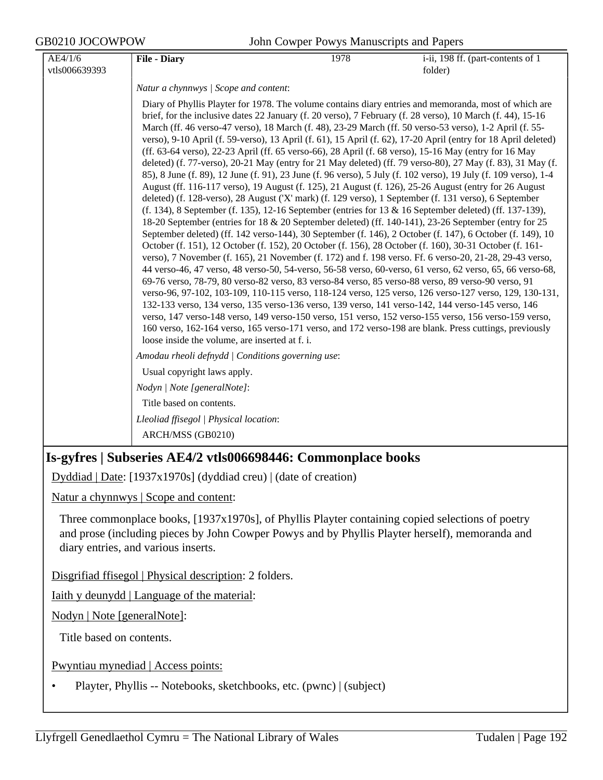GB0210 JOCOWPOW John Cowper Powys Manuscripts and Papers

| AE4/1/6       | <b>File - Diary</b>                                                                                                                                                                                                                                                                                                                                                                                                                                                                                                                                                                                                                                                                                                                                                                                                                                                                                                                                                                                                                                                                                                                                                                                                                                                                                                                                                                                                                                                                                                                                                                                                                                                                                                                                                                                                                                                                                                                                                                                                                                                                                                                                                                                                       | 1978 | i-ii, 198 ff. (part-contents of 1 |
|---------------|---------------------------------------------------------------------------------------------------------------------------------------------------------------------------------------------------------------------------------------------------------------------------------------------------------------------------------------------------------------------------------------------------------------------------------------------------------------------------------------------------------------------------------------------------------------------------------------------------------------------------------------------------------------------------------------------------------------------------------------------------------------------------------------------------------------------------------------------------------------------------------------------------------------------------------------------------------------------------------------------------------------------------------------------------------------------------------------------------------------------------------------------------------------------------------------------------------------------------------------------------------------------------------------------------------------------------------------------------------------------------------------------------------------------------------------------------------------------------------------------------------------------------------------------------------------------------------------------------------------------------------------------------------------------------------------------------------------------------------------------------------------------------------------------------------------------------------------------------------------------------------------------------------------------------------------------------------------------------------------------------------------------------------------------------------------------------------------------------------------------------------------------------------------------------------------------------------------------------|------|-----------------------------------|
| vtls006639393 |                                                                                                                                                                                                                                                                                                                                                                                                                                                                                                                                                                                                                                                                                                                                                                                                                                                                                                                                                                                                                                                                                                                                                                                                                                                                                                                                                                                                                                                                                                                                                                                                                                                                                                                                                                                                                                                                                                                                                                                                                                                                                                                                                                                                                           |      | folder)                           |
|               | Natur a chynnwys / Scope and content:                                                                                                                                                                                                                                                                                                                                                                                                                                                                                                                                                                                                                                                                                                                                                                                                                                                                                                                                                                                                                                                                                                                                                                                                                                                                                                                                                                                                                                                                                                                                                                                                                                                                                                                                                                                                                                                                                                                                                                                                                                                                                                                                                                                     |      |                                   |
|               | Diary of Phyllis Playter for 1978. The volume contains diary entries and memoranda, most of which are<br>brief, for the inclusive dates 22 January (f. 20 verso), 7 February (f. 28 verso), 10 March (f. 44), 15-16<br>March (ff. 46 verso-47 verso), 18 March (f. 48), 23-29 March (ff. 50 verso-53 verso), 1-2 April (f. 55-<br>verso), 9-10 April (f. 59-verso), 13 April (f. 61), 15 April (f. 62), 17-20 April (entry for 18 April deleted)<br>(ff. 63-64 verso), 22-23 April (ff. 65 verso-66), 28 April (f. 68 verso), 15-16 May (entry for 16 May<br>deleted) (f. 77-verso), 20-21 May (entry for 21 May deleted) (ff. 79 verso-80), 27 May (f. 83), 31 May (f.<br>85), 8 June (f. 89), 12 June (f. 91), 23 June (f. 96 verso), 5 July (f. 102 verso), 19 July (f. 109 verso), 1-4<br>August (ff. 116-117 verso), 19 August (f. 125), 21 August (f. 126), 25-26 August (entry for 26 August<br>deleted) (f. 128-verso), 28 August ('X' mark) (f. 129 verso), 1 September (f. 131 verso), 6 September<br>$(f. 134)$ , 8 September (f. 135), 12-16 September (entries for 13 & 16 September deleted) (ff. 137-139),<br>18-20 September (entries for 18 & 20 September deleted) (ff. 140-141), 23-26 September (entry for 25<br>September deleted) (ff. 142 verso-144), 30 September (f. 146), 2 October (f. 147), 6 October (f. 149), 10<br>October (f. 151), 12 October (f. 152), 20 October (f. 156), 28 October (f. 160), 30-31 October (f. 161-<br>verso), 7 November (f. 165), 21 November (f. 172) and f. 198 verso. Ff. 6 verso-20, 21-28, 29-43 verso,<br>44 verso-46, 47 verso, 48 verso-50, 54-verso, 56-58 verso, 60-verso, 61 verso, 62 verso, 65, 66 verso-68,<br>69-76 verso, 78-79, 80 verso-82 verso, 83 verso-84 verso, 85 verso-88 verso, 89 verso-90 verso, 91<br>verso-96, 97-102, 103-109, 110-115 verso, 118-124 verso, 125 verso, 126 verso-127 verso, 129, 130-131,<br>132-133 verso, 134 verso, 135 verso-136 verso, 139 verso, 141 verso-142, 144 verso-145 verso, 146<br>verso, 147 verso-148 verso, 149 verso-150 verso, 151 verso, 152 verso-155 verso, 156 verso-159 verso,<br>160 verso, 162-164 verso, 165 verso-171 verso, and 172 verso-198 are blank. Press cuttings, previously |      |                                   |
|               | Amodau rheoli defnydd   Conditions governing use:                                                                                                                                                                                                                                                                                                                                                                                                                                                                                                                                                                                                                                                                                                                                                                                                                                                                                                                                                                                                                                                                                                                                                                                                                                                                                                                                                                                                                                                                                                                                                                                                                                                                                                                                                                                                                                                                                                                                                                                                                                                                                                                                                                         |      |                                   |
|               | Usual copyright laws apply.                                                                                                                                                                                                                                                                                                                                                                                                                                                                                                                                                                                                                                                                                                                                                                                                                                                                                                                                                                                                                                                                                                                                                                                                                                                                                                                                                                                                                                                                                                                                                                                                                                                                                                                                                                                                                                                                                                                                                                                                                                                                                                                                                                                               |      |                                   |
|               | Nodyn   Note [generalNote]:                                                                                                                                                                                                                                                                                                                                                                                                                                                                                                                                                                                                                                                                                                                                                                                                                                                                                                                                                                                                                                                                                                                                                                                                                                                                                                                                                                                                                                                                                                                                                                                                                                                                                                                                                                                                                                                                                                                                                                                                                                                                                                                                                                                               |      |                                   |
|               | Title based on contents.                                                                                                                                                                                                                                                                                                                                                                                                                                                                                                                                                                                                                                                                                                                                                                                                                                                                                                                                                                                                                                                                                                                                                                                                                                                                                                                                                                                                                                                                                                                                                                                                                                                                                                                                                                                                                                                                                                                                                                                                                                                                                                                                                                                                  |      |                                   |
|               | Lleoliad ffisegol   Physical location:                                                                                                                                                                                                                                                                                                                                                                                                                                                                                                                                                                                                                                                                                                                                                                                                                                                                                                                                                                                                                                                                                                                                                                                                                                                                                                                                                                                                                                                                                                                                                                                                                                                                                                                                                                                                                                                                                                                                                                                                                                                                                                                                                                                    |      |                                   |
|               | ARCH/MSS (GB0210)                                                                                                                                                                                                                                                                                                                                                                                                                                                                                                                                                                                                                                                                                                                                                                                                                                                                                                                                                                                                                                                                                                                                                                                                                                                                                                                                                                                                                                                                                                                                                                                                                                                                                                                                                                                                                                                                                                                                                                                                                                                                                                                                                                                                         |      |                                   |
|               | Is-gyfres   Subseries AE4/2 vtls006698446: Commonplace books                                                                                                                                                                                                                                                                                                                                                                                                                                                                                                                                                                                                                                                                                                                                                                                                                                                                                                                                                                                                                                                                                                                                                                                                                                                                                                                                                                                                                                                                                                                                                                                                                                                                                                                                                                                                                                                                                                                                                                                                                                                                                                                                                              |      |                                   |

Dyddiad | Date: [1937x1970s] (dyddiad creu) | (date of creation)

Natur a chynnwys | Scope and content:

Three commonplace books, [1937x1970s], of Phyllis Playter containing copied selections of poetry and prose (including pieces by John Cowper Powys and by Phyllis Playter herself), memoranda and diary entries, and various inserts.

Disgrifiad ffisegol | Physical description: 2 folders.

Iaith y deunydd | Language of the material:

Nodyn | Note [generalNote]:

Title based on contents.

Pwyntiau mynediad | Access points:

• Playter, Phyllis -- Notebooks, sketchbooks, etc. (pwnc) | (subject)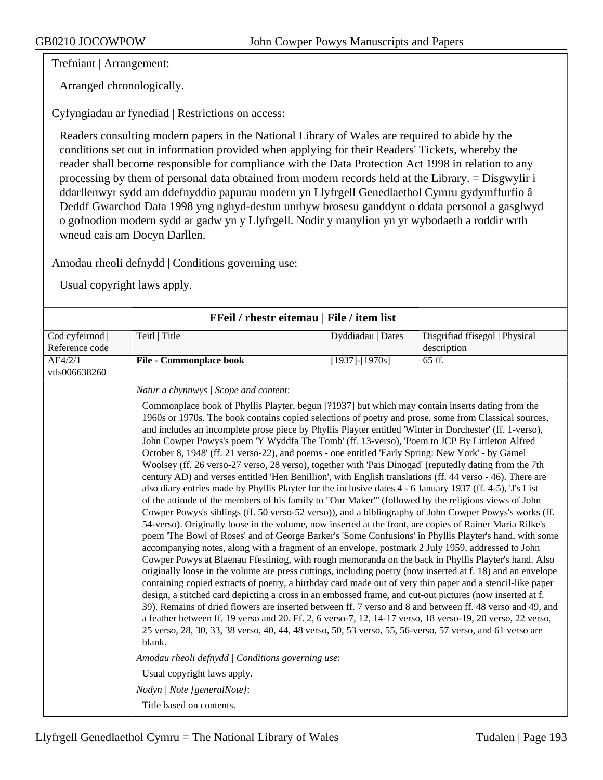Trefniant | Arrangement:

Arranged chronologically.

## Cyfyngiadau ar fynediad | Restrictions on access:

Readers consulting modern papers in the National Library of Wales are required to abide by the conditions set out in information provided when applying for their Readers' Tickets, whereby the reader shall become responsible for compliance with the Data Protection Act 1998 in relation to any processing by them of personal data obtained from modern records held at the Library. = Disgwylir i ddarllenwyr sydd am ddefnyddio papurau modern yn Llyfrgell Genedlaethol Cymru gydymffurfio â Deddf Gwarchod Data 1998 yng nghyd-destun unrhyw brosesu ganddynt o ddata personol a gasglwyd o gofnodion modern sydd ar gadw yn y Llyfrgell. Nodir y manylion yn yr wybodaeth a roddir wrth wneud cais am Docyn Darllen.

## Amodau rheoli defnydd | Conditions governing use:

|                | FFeil / rhestr eitemau   File / item list                                                                                                                                                                                                                                                                                                                                                                                                                                                                                                                                                                                                                                                                                                                                                                                                                                                                                                                                                                                                                                                                                                                                                                                                                                                                                                                                                                                                                                                                                                                                                                                                                                                                                                                                                                                                                                                                                                                                                                                                                                                                                                                                                                                                                                                                                                                      |                      |                                |
|----------------|----------------------------------------------------------------------------------------------------------------------------------------------------------------------------------------------------------------------------------------------------------------------------------------------------------------------------------------------------------------------------------------------------------------------------------------------------------------------------------------------------------------------------------------------------------------------------------------------------------------------------------------------------------------------------------------------------------------------------------------------------------------------------------------------------------------------------------------------------------------------------------------------------------------------------------------------------------------------------------------------------------------------------------------------------------------------------------------------------------------------------------------------------------------------------------------------------------------------------------------------------------------------------------------------------------------------------------------------------------------------------------------------------------------------------------------------------------------------------------------------------------------------------------------------------------------------------------------------------------------------------------------------------------------------------------------------------------------------------------------------------------------------------------------------------------------------------------------------------------------------------------------------------------------------------------------------------------------------------------------------------------------------------------------------------------------------------------------------------------------------------------------------------------------------------------------------------------------------------------------------------------------------------------------------------------------------------------------------------------------|----------------------|--------------------------------|
| Cod cyfeirnod  | Teitl   Title                                                                                                                                                                                                                                                                                                                                                                                                                                                                                                                                                                                                                                                                                                                                                                                                                                                                                                                                                                                                                                                                                                                                                                                                                                                                                                                                                                                                                                                                                                                                                                                                                                                                                                                                                                                                                                                                                                                                                                                                                                                                                                                                                                                                                                                                                                                                                  | Dyddiadau   Dates    | Disgrifiad ffisegol   Physical |
| Reference code |                                                                                                                                                                                                                                                                                                                                                                                                                                                                                                                                                                                                                                                                                                                                                                                                                                                                                                                                                                                                                                                                                                                                                                                                                                                                                                                                                                                                                                                                                                                                                                                                                                                                                                                                                                                                                                                                                                                                                                                                                                                                                                                                                                                                                                                                                                                                                                |                      | description                    |
| AE4/2/1        | <b>File - Commonplace book</b>                                                                                                                                                                                                                                                                                                                                                                                                                                                                                                                                                                                                                                                                                                                                                                                                                                                                                                                                                                                                                                                                                                                                                                                                                                                                                                                                                                                                                                                                                                                                                                                                                                                                                                                                                                                                                                                                                                                                                                                                                                                                                                                                                                                                                                                                                                                                 | $[1937]$ - $[1970s]$ | 65 ff.                         |
| vtls006638260  |                                                                                                                                                                                                                                                                                                                                                                                                                                                                                                                                                                                                                                                                                                                                                                                                                                                                                                                                                                                                                                                                                                                                                                                                                                                                                                                                                                                                                                                                                                                                                                                                                                                                                                                                                                                                                                                                                                                                                                                                                                                                                                                                                                                                                                                                                                                                                                |                      |                                |
|                | Natur a chynnwys / Scope and content:                                                                                                                                                                                                                                                                                                                                                                                                                                                                                                                                                                                                                                                                                                                                                                                                                                                                                                                                                                                                                                                                                                                                                                                                                                                                                                                                                                                                                                                                                                                                                                                                                                                                                                                                                                                                                                                                                                                                                                                                                                                                                                                                                                                                                                                                                                                          |                      |                                |
|                | Commonplace book of Phyllis Playter, begun [?1937] but which may contain inserts dating from the<br>1960s or 1970s. The book contains copied selections of poetry and prose, some from Classical sources,<br>and includes an incomplete prose piece by Phyllis Playter entitled 'Winter in Dorchester' (ff. 1-verso),<br>John Cowper Powys's poem 'Y Wyddfa The Tomb' (ff. 13-verso), 'Poem to JCP By Littleton Alfred<br>October 8, 1948' (ff. 21 verso-22), and poems - one entitled 'Early Spring: New York' - by Gamel<br>Woolsey (ff. 26 verso-27 verso, 28 verso), together with 'Pais Dinogad' (reputedly dating from the 7th<br>century AD) and verses entitled 'Hen Benillion', with English translations (ff. 44 verso - 46). There are<br>also diary entries made by Phyllis Playter for the inclusive dates 4 - 6 January 1937 (ff. 4-5), 'J's List<br>of the attitude of the members of his family to "Our Maker"' (followed by the religious views of John<br>Cowper Powys's siblings (ff. 50 verso-52 verso)), and a bibliography of John Cowper Powys's works (ff.<br>54-verso). Originally loose in the volume, now inserted at the front, are copies of Rainer Maria Rilke's<br>poem 'The Bowl of Roses' and of George Barker's 'Some Confusions' in Phyllis Playter's hand, with some<br>accompanying notes, along with a fragment of an envelope, postmark 2 July 1959, addressed to John<br>Cowper Powys at Blaenau Ffestiniog, with rough memoranda on the back in Phyllis Playter's hand. Also<br>originally loose in the volume are press cuttings, including poetry (now inserted at f. 18) and an envelope<br>containing copied extracts of poetry, a birthday card made out of very thin paper and a stencil-like paper<br>design, a stitched card depicting a cross in an embossed frame, and cut-out pictures (now inserted at f.<br>39). Remains of dried flowers are inserted between ff. 7 verso and 8 and between ff. 48 verso and 49, and<br>a feather between ff. 19 verso and 20. Ff. 2, 6 verso-7, 12, 14-17 verso, 18 verso-19, 20 verso, 22 verso,<br>25 verso, 28, 30, 33, 38 verso, 40, 44, 48 verso, 50, 53 verso, 55, 56-verso, 57 verso, and 61 verso are<br>blank.<br>Amodau rheoli defnydd   Conditions governing use:<br>Usual copyright laws apply.<br>Nodyn   Note [generalNote]:<br>Title based on contents. |                      |                                |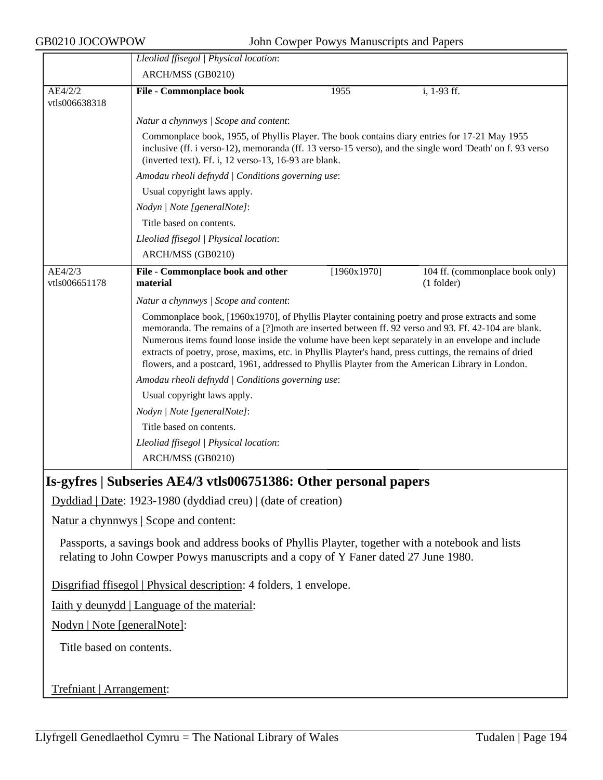GB0210 JOCOWPOW John Cowper Powys Manuscripts and Papers

|                             | Lleoliad ffisegol   Physical location:                                                                                                                                                                                                                                                                                                                                                                                                                                                                                      |             |                                                 |  |  |
|-----------------------------|-----------------------------------------------------------------------------------------------------------------------------------------------------------------------------------------------------------------------------------------------------------------------------------------------------------------------------------------------------------------------------------------------------------------------------------------------------------------------------------------------------------------------------|-------------|-------------------------------------------------|--|--|
|                             | ARCH/MSS (GB0210)                                                                                                                                                                                                                                                                                                                                                                                                                                                                                                           |             |                                                 |  |  |
| AE4/2/2                     | <b>File - Commonplace book</b>                                                                                                                                                                                                                                                                                                                                                                                                                                                                                              | 1955        | i, 1-93 ff.                                     |  |  |
| vtls006638318               |                                                                                                                                                                                                                                                                                                                                                                                                                                                                                                                             |             |                                                 |  |  |
|                             | Natur a chynnwys / Scope and content:                                                                                                                                                                                                                                                                                                                                                                                                                                                                                       |             |                                                 |  |  |
|                             | Commonplace book, 1955, of Phyllis Player. The book contains diary entries for 17-21 May 1955<br>inclusive (ff. i verso-12), memoranda (ff. 13 verso-15 verso), and the single word 'Death' on f. 93 verso<br>(inverted text). Ff. i, 12 verso-13, 16-93 are blank.                                                                                                                                                                                                                                                         |             |                                                 |  |  |
|                             | Amodau rheoli defnydd   Conditions governing use:                                                                                                                                                                                                                                                                                                                                                                                                                                                                           |             |                                                 |  |  |
|                             | Usual copyright laws apply.                                                                                                                                                                                                                                                                                                                                                                                                                                                                                                 |             |                                                 |  |  |
|                             | Nodyn   Note [generalNote]:                                                                                                                                                                                                                                                                                                                                                                                                                                                                                                 |             |                                                 |  |  |
|                             | Title based on contents.                                                                                                                                                                                                                                                                                                                                                                                                                                                                                                    |             |                                                 |  |  |
|                             | Lleoliad ffisegol   Physical location:                                                                                                                                                                                                                                                                                                                                                                                                                                                                                      |             |                                                 |  |  |
|                             | ARCH/MSS (GB0210)                                                                                                                                                                                                                                                                                                                                                                                                                                                                                                           |             |                                                 |  |  |
| AE4/2/3<br>vtls006651178    | File - Commonplace book and other<br>material                                                                                                                                                                                                                                                                                                                                                                                                                                                                               | [1960x1970] | 104 ff. (commonplace book only)<br>$(1$ folder) |  |  |
|                             | Natur a chynnwys / Scope and content:                                                                                                                                                                                                                                                                                                                                                                                                                                                                                       |             |                                                 |  |  |
|                             | Commonplace book, [1960x1970], of Phyllis Playter containing poetry and prose extracts and some<br>memoranda. The remains of a [?] moth are inserted between ff. 92 verso and 93. Ff. 42-104 are blank.<br>Numerous items found loose inside the volume have been kept separately in an envelope and include<br>extracts of poetry, prose, maxims, etc. in Phyllis Playter's hand, press cuttings, the remains of dried<br>flowers, and a postcard, 1961, addressed to Phyllis Playter from the American Library in London. |             |                                                 |  |  |
|                             | Amodau rheoli defnydd   Conditions governing use:                                                                                                                                                                                                                                                                                                                                                                                                                                                                           |             |                                                 |  |  |
|                             | Usual copyright laws apply.                                                                                                                                                                                                                                                                                                                                                                                                                                                                                                 |             |                                                 |  |  |
|                             | Nodyn   Note [generalNote]:                                                                                                                                                                                                                                                                                                                                                                                                                                                                                                 |             |                                                 |  |  |
|                             | Title based on contents.                                                                                                                                                                                                                                                                                                                                                                                                                                                                                                    |             |                                                 |  |  |
|                             | Lleoliad ffisegol   Physical location:                                                                                                                                                                                                                                                                                                                                                                                                                                                                                      |             |                                                 |  |  |
|                             | ARCH/MSS (GB0210)                                                                                                                                                                                                                                                                                                                                                                                                                                                                                                           |             |                                                 |  |  |
|                             | Is-gyfres   Subseries AE4/3 vtls006751386: Other personal papers                                                                                                                                                                                                                                                                                                                                                                                                                                                            |             |                                                 |  |  |
|                             | Dyddiad   Date: 1923-1980 (dyddiad creu)   (date of creation)                                                                                                                                                                                                                                                                                                                                                                                                                                                               |             |                                                 |  |  |
|                             | Natur a chynnwys   Scope and content:                                                                                                                                                                                                                                                                                                                                                                                                                                                                                       |             |                                                 |  |  |
|                             | Passports, a savings book and address books of Phyllis Playter, together with a notebook and lists<br>relating to John Cowper Powys manuscripts and a copy of Y Faner dated 27 June 1980.                                                                                                                                                                                                                                                                                                                                   |             |                                                 |  |  |
|                             | Disgrifiad ffisegol   Physical description: 4 folders, 1 envelope.                                                                                                                                                                                                                                                                                                                                                                                                                                                          |             |                                                 |  |  |
|                             | <u>Iaith y deunydd</u>   Language of the material:                                                                                                                                                                                                                                                                                                                                                                                                                                                                          |             |                                                 |  |  |
| Nodyn   Note [generalNote]: |                                                                                                                                                                                                                                                                                                                                                                                                                                                                                                                             |             |                                                 |  |  |
| Title based on contents.    |                                                                                                                                                                                                                                                                                                                                                                                                                                                                                                                             |             |                                                 |  |  |
| Trefniant   Arrangement:    |                                                                                                                                                                                                                                                                                                                                                                                                                                                                                                                             |             |                                                 |  |  |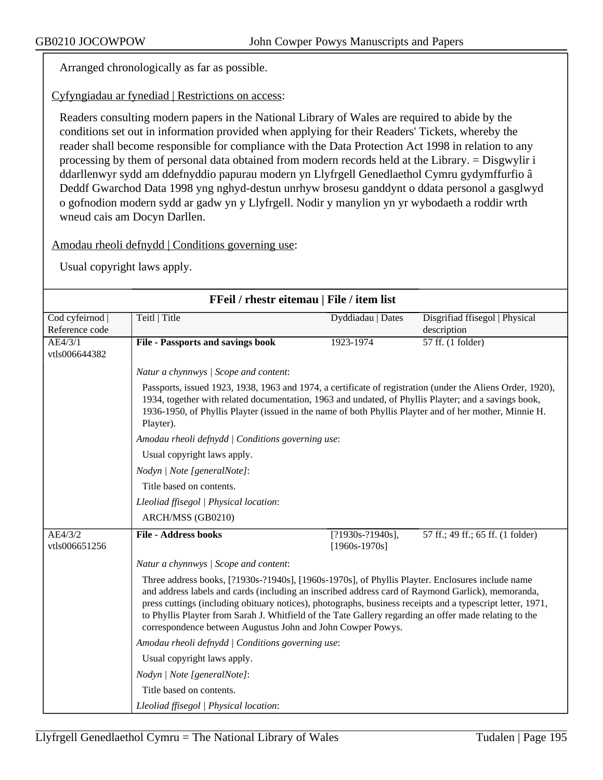Arranged chronologically as far as possible.

Cyfyngiadau ar fynediad | Restrictions on access:

Readers consulting modern papers in the National Library of Wales are required to abide by the conditions set out in information provided when applying for their Readers' Tickets, whereby the reader shall become responsible for compliance with the Data Protection Act 1998 in relation to any processing by them of personal data obtained from modern records held at the Library. = Disgwylir i ddarllenwyr sydd am ddefnyddio papurau modern yn Llyfrgell Genedlaethol Cymru gydymffurfio â Deddf Gwarchod Data 1998 yng nghyd-destun unrhyw brosesu ganddynt o ddata personol a gasglwyd o gofnodion modern sydd ar gadw yn y Llyfrgell. Nodir y manylion yn yr wybodaeth a roddir wrth wneud cais am Docyn Darllen.

Amodau rheoli defnydd | Conditions governing use:

| FFeil / rhestr eitemau   File / item list |                                                                                                                                                                                                                                                                                                                                                                                                                               |                                        |                                               |  |  |
|-------------------------------------------|-------------------------------------------------------------------------------------------------------------------------------------------------------------------------------------------------------------------------------------------------------------------------------------------------------------------------------------------------------------------------------------------------------------------------------|----------------------------------------|-----------------------------------------------|--|--|
| Cod cyfeirnod<br>Reference code           | Teitl   Title                                                                                                                                                                                                                                                                                                                                                                                                                 | Dyddiadau   Dates                      | Disgrifiad ffisegol   Physical<br>description |  |  |
| AE4/3/1<br>vtls006644382                  | <b>File - Passports and savings book</b>                                                                                                                                                                                                                                                                                                                                                                                      | 1923-1974                              | 57 ff. (1 folder)                             |  |  |
|                                           | Natur a chynnwys / Scope and content:                                                                                                                                                                                                                                                                                                                                                                                         |                                        |                                               |  |  |
|                                           | Passports, issued 1923, 1938, 1963 and 1974, a certificate of registration (under the Aliens Order, 1920),<br>1934, together with related documentation, 1963 and undated, of Phyllis Playter; and a savings book,<br>1936-1950, of Phyllis Playter (issued in the name of both Phyllis Playter and of her mother, Minnie H.<br>Playter).<br>Amodau rheoli defnydd   Conditions governing use:<br>Usual copyright laws apply. |                                        |                                               |  |  |
|                                           |                                                                                                                                                                                                                                                                                                                                                                                                                               |                                        |                                               |  |  |
|                                           |                                                                                                                                                                                                                                                                                                                                                                                                                               |                                        |                                               |  |  |
|                                           | Nodyn   Note [generalNote]:                                                                                                                                                                                                                                                                                                                                                                                                   |                                        |                                               |  |  |
|                                           | Title based on contents.                                                                                                                                                                                                                                                                                                                                                                                                      |                                        |                                               |  |  |
|                                           | Lleoliad ffisegol   Physical location:                                                                                                                                                                                                                                                                                                                                                                                        |                                        |                                               |  |  |
|                                           | ARCH/MSS (GB0210)                                                                                                                                                                                                                                                                                                                                                                                                             |                                        |                                               |  |  |
| AE4/3/2<br>vtls006651256                  | <b>File - Address books</b>                                                                                                                                                                                                                                                                                                                                                                                                   | $[?1930s-?1940s]$ ,<br>$[1960s-1970s]$ | 57 ff.; 49 ff.; 65 ff. (1 folder)             |  |  |
|                                           | Natur a chynnwys / Scope and content:                                                                                                                                                                                                                                                                                                                                                                                         |                                        |                                               |  |  |
|                                           | Three address books, [?1930s-?1940s], [1960s-1970s], of Phyllis Playter. Enclosures include name<br>and address labels and cards (including an inscribed address card of Raymond Garlick), memoranda,<br>press cuttings (including obituary notices), photographs, business receipts and a typescript letter, 1971,<br>to Phyllis Playter from Sarah J. Whitfield of the Tate Gallery regarding an offer made relating to the |                                        |                                               |  |  |
|                                           | Amodau rheoli defnydd   Conditions governing use:                                                                                                                                                                                                                                                                                                                                                                             |                                        |                                               |  |  |
|                                           | Usual copyright laws apply.                                                                                                                                                                                                                                                                                                                                                                                                   |                                        |                                               |  |  |
|                                           | Nodyn   Note [generalNote]:                                                                                                                                                                                                                                                                                                                                                                                                   |                                        |                                               |  |  |
|                                           | Title based on contents.                                                                                                                                                                                                                                                                                                                                                                                                      |                                        |                                               |  |  |
|                                           | Lleoliad ffisegol   Physical location:                                                                                                                                                                                                                                                                                                                                                                                        |                                        |                                               |  |  |